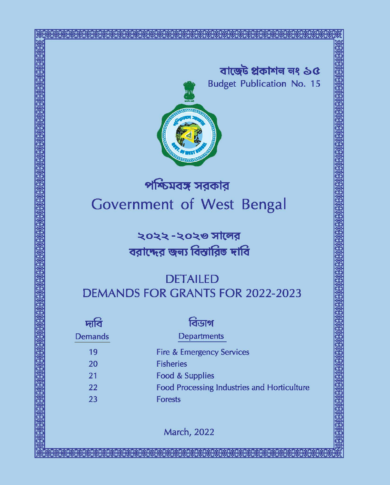বাৰ্ত্তেট প্ৰকাশন নং ১৫ **Budget Publication No. 15** 



# পশ্চিমবঙ্গ সরকার Government of West Bengal

২০২২ -২০২৩ সালের বরাদ্দের জন্য বিস্তারিত দাবি

## **DETAILED DEMANDS FOR GRANTS FOR 2022-2023**

| দাব            | বিডাগ                                              |
|----------------|----------------------------------------------------|
| <b>Demands</b> | <b>Departments</b>                                 |
| 19             | <b>Fire &amp; Emergency Services</b>               |
| 20             | <b>Fisheries</b>                                   |
| 21             | Food & Supplies                                    |
| 22             | <b>Food Processing Industries and Horticulture</b> |
| 23             | <b>Forests</b>                                     |

**March, 2022**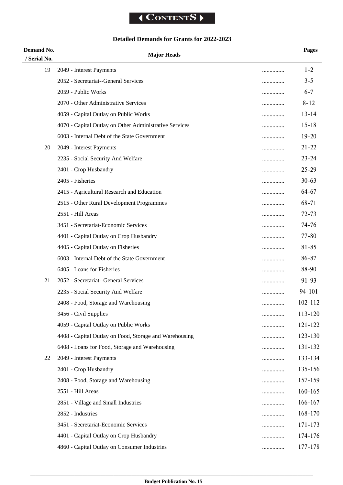## **Detailed Demands for Grants for 2022-2023**

| Demand No.   | <b>Major Heads</b>                                     |   | Pages       |
|--------------|--------------------------------------------------------|---|-------------|
| / Serial No. |                                                        |   |             |
| 19           | 2049 - Interest Payments                               |   | $1 - 2$     |
|              | 2052 - Secretariat--General Services                   |   | $3 - 5$     |
|              | 2059 - Public Works                                    | . | $6 - 7$     |
|              | 2070 - Other Administrative Services                   |   | $8 - 12$    |
|              | 4059 - Capital Outlay on Public Works                  |   | $13 - 14$   |
|              | 4070 - Capital Outlay on Other Administrative Services | . | $15 - 18$   |
|              | 6003 - Internal Debt of the State Government           | . | $19 - 20$   |
| 20           | 2049 - Interest Payments                               | . | $21 - 22$   |
|              | 2235 - Social Security And Welfare                     |   | $23 - 24$   |
|              | 2401 - Crop Husbandry                                  | . | $25 - 29$   |
|              | 2405 - Fisheries                                       |   | $30 - 63$   |
|              | 2415 - Agricultural Research and Education             | . | $64 - 67$   |
|              | 2515 - Other Rural Development Programmes              | . | 68-71       |
|              | 2551 - Hill Areas                                      | . | $72 - 73$   |
|              | 3451 - Secretariat-Economic Services                   |   | $74 - 76$   |
|              | 4401 - Capital Outlay on Crop Husbandry                | . | $77 - 80$   |
|              | 4405 - Capital Outlay on Fisheries                     |   | 81-85       |
|              | 6003 - Internal Debt of the State Government           |   | 86-87       |
|              | 6405 - Loans for Fisheries                             |   | 88-90       |
| 21           | 2052 - Secretariat--General Services                   | . | $91 - 93$   |
|              | 2235 - Social Security And Welfare                     | . | 94-101      |
|              | 2408 - Food, Storage and Warehousing                   |   | $102 - 112$ |
|              | 3456 - Civil Supplies                                  |   | 113-120     |
|              | 4059 - Capital Outlay on Public Works                  | . | 121-122     |
|              | 4408 - Capital Outlay on Food, Storage and Warehousing | . | $123 - 130$ |
|              | 6408 - Loans for Food, Storage and Warehousing         | . | 131-132     |
| 22           | 2049 - Interest Payments                               | . | 133-134     |
|              | 2401 - Crop Husbandry                                  | . | 135-156     |
|              | 2408 - Food, Storage and Warehousing                   | . | 157-159     |
|              | 2551 - Hill Areas                                      |   | $160 - 165$ |
|              | 2851 - Village and Small Industries                    | . | 166-167     |
|              | 2852 - Industries                                      | . | $168 - 170$ |
|              | 3451 - Secretariat-Economic Services                   | . | 171-173     |
|              | 4401 - Capital Outlay on Crop Husbandry                | . | 174-176     |
|              | 4860 - Capital Outlay on Consumer Industries           | . | 177-178     |
|              |                                                        |   |             |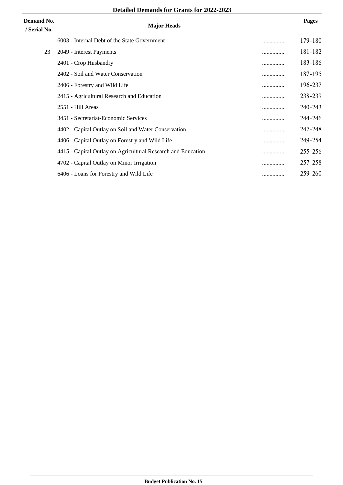| <b>Detailed Demands for Grants for 2022-2023</b> |  |
|--------------------------------------------------|--|
|--------------------------------------------------|--|

| Demand No.<br>/ Serial No. | <b>Major Heads</b>                                           |   | <b>Pages</b> |
|----------------------------|--------------------------------------------------------------|---|--------------|
|                            | 6003 - Internal Debt of the State Government                 |   | 179-180      |
| 23                         | 2049 - Interest Payments                                     | . | 181-182      |
|                            | 2401 - Crop Husbandry                                        |   | 183-186      |
|                            | 2402 - Soil and Water Conservation                           |   | 187-195      |
|                            | 2406 - Forestry and Wild Life                                | . | 196-237      |
|                            | 2415 - Agricultural Research and Education                   |   | 238-239      |
|                            | 2551 - Hill Areas                                            |   | 240-243      |
|                            | 3451 - Secretariat-Economic Services                         |   | 244-246      |
|                            | 4402 - Capital Outlay on Soil and Water Conservation         |   | 247-248      |
|                            | 4406 - Capital Outlay on Forestry and Wild Life              |   | 249-254      |
|                            | 4415 - Capital Outlay on Agricultural Research and Education |   | 255-256      |
|                            | 4702 - Capital Outlay on Minor Irrigation                    | . | 257-258      |
|                            | 6406 - Loans for Forestry and Wild Life                      |   | 259-260      |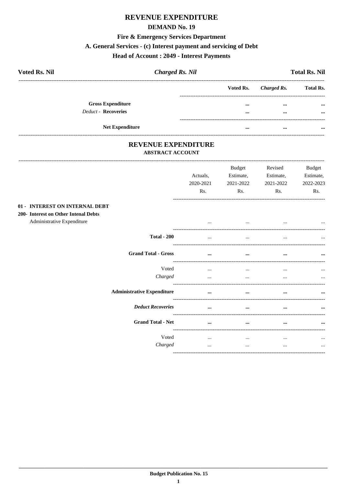#### **DEMAND No. 19**

#### **Fire & Emergency Services Department**

## A. General Services - (c) Interest payment and servicing of Debt

## **Head of Account : 2049 - Interest Payments**

| <b>Voted Rs. Nil</b>       | <b>Charged Rs. Nil</b> |          |                       | <b>Total Rs. Nil</b> |
|----------------------------|------------------------|----------|-----------------------|----------------------|
|                            |                        |          | Voted Rs. Charged Rs. | <b>Total Rs.</b>     |
| <b>Gross Expenditure</b>   |                        | $\cdots$ | $\cdots$              | $\cdots$             |
| <b>Deduct - Recoveries</b> |                        | $\cdots$ | $\cdots$              | $\cdots$             |
| <b>Net Expenditure</b>     |                        | $\cdots$ | $\cdots$              | $\cdots$             |

#### REVENUE EXPENDITURE **ABSTRACT ACCOUNT**

----------------------------

------------------------------

|                                                                                                      |                                   | Actuals,<br>2020-2021<br>Rs. | <b>Budget</b><br>Estimate,<br>2021-2022<br>Rs. | Revised<br>Estimate,<br>2021-2022<br>Rs. | <b>Budget</b><br>Estimate,<br>2022-2023<br>Rs. |
|------------------------------------------------------------------------------------------------------|-----------------------------------|------------------------------|------------------------------------------------|------------------------------------------|------------------------------------------------|
| 01 - INTEREST ON INTERNAL DEBT<br>200- Interest on Other Intenal Debts<br>Administrative Expenditure |                                   |                              | $\cdots$                                       | $\cdots$                                 |                                                |
|                                                                                                      | <b>Total - 200</b>                |                              | $\cdots$                                       | $\cdots$                                 | $\cdots$                                       |
|                                                                                                      | <b>Grand Total - Gross</b>        | $\cdots$                     | $\cdots$                                       | $\cdots$                                 | $\cdots$                                       |
|                                                                                                      | Voted<br>Charged                  | $\cdots$<br>$\cdots$         | $\cdots$<br>$\cdots$                           | $\cdots$<br>$\cdots$                     | $\cdots$<br>                                   |
|                                                                                                      | <b>Administrative Expenditure</b> |                              | $\cdots$                                       |                                          |                                                |
|                                                                                                      | <b>Deduct Recoveries</b>          | $\cdots$                     | $\cdots$                                       |                                          |                                                |
|                                                                                                      | <b>Grand Total - Net</b>          | $\cdots$                     | $\cdots$                                       |                                          | $\cdots$                                       |
|                                                                                                      | Voted<br>Charged                  | $\cdots$<br>$\cdots$         | $\cdots$<br>$\cdots$                           | $\cdots$<br>$\cdots$                     | $\cdots$<br>$\cdots$                           |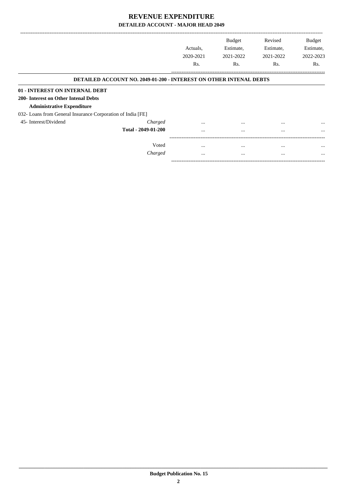|                                                             |                                                                           | Actuals.<br>2020-2021<br>Rs. | <b>Budget</b><br>Estimate,<br>2021-2022<br>Rs. | Revised<br>Estimate,<br>2021-2022<br>Rs. | <b>Budget</b><br>Estimate,<br>2022-2023<br>Rs. |
|-------------------------------------------------------------|---------------------------------------------------------------------------|------------------------------|------------------------------------------------|------------------------------------------|------------------------------------------------|
|                                                             |                                                                           |                              |                                                |                                          |                                                |
|                                                             | <b>DETAILED ACCOUNT NO. 2049-01-200 - INTEREST ON OTHER INTENAL DEBTS</b> |                              |                                                |                                          |                                                |
| 01 - INTEREST ON INTERNAL DEBT                              |                                                                           |                              |                                                |                                          |                                                |
| 200- Interest on Other Intenal Debts                        |                                                                           |                              |                                                |                                          |                                                |
| <b>Administrative Expenditure</b>                           |                                                                           |                              |                                                |                                          |                                                |
| 032- Loans from General Insurance Corporation of India [FE] |                                                                           |                              |                                                |                                          |                                                |
| 45- Interest/Dividend                                       | Charged                                                                   | $\cdots$                     | $\cdots$                                       | $\cdots$                                 | $\cdots$                                       |
|                                                             | Total - 2049-01-200                                                       | $\cdots$                     | $\cdots$                                       | $\cdots$                                 | $\cdots$                                       |
|                                                             | Voted                                                                     | $\cdots$                     | $\cdots$                                       | $\cdots$                                 | $\cdots$                                       |
|                                                             | Charged                                                                   | $\cdots$                     | $\cdots$                                       | $\cdots$                                 | $\cdots$                                       |

-----------------------------------------------------------------------------------------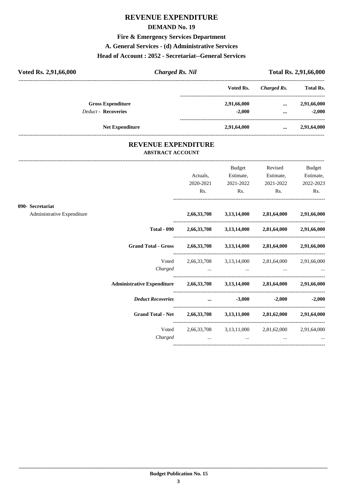#### **DEMAND No. 19**

#### **Fire & Emergency Services Department**

#### **A. General Services - (d) Administrative Services**

#### **Head of Account : 2052 - Secretariat--General Services**

| Voted Rs. 2,91,66,000      | <b>Charged Rs. Nil</b> |             |             | <b>Total Rs. 2,91,66,000</b> |
|----------------------------|------------------------|-------------|-------------|------------------------------|
|                            |                        | Voted Rs.   | Charged Rs. | <b>Total Rs.</b>             |
| <b>Gross Expenditure</b>   |                        | 2,91,66,000 | $\cdots$    | 2,91,66,000                  |
| <b>Deduct - Recoveries</b> |                        | $-2.000$    | $\cdots$    | $-2.000$                     |
| <b>Net Expenditure</b>     |                        | 2,91,64,000 | $\cdots$    | 2,91,64,000                  |

#### **REVENUE EXPENDITURE ABSTRACT ACCOUNT**

---------------------------------------------------------------------------------------------------------------------------------------------------------------------------------

|                            |                          |                                     | <b>Budget</b> | Revised                                                             | <b>Budget</b>                                                                                                                                                                                                                                                                                                                                                                                                                                                                                                                                                                                                                                                 |
|----------------------------|--------------------------|-------------------------------------|---------------|---------------------------------------------------------------------|---------------------------------------------------------------------------------------------------------------------------------------------------------------------------------------------------------------------------------------------------------------------------------------------------------------------------------------------------------------------------------------------------------------------------------------------------------------------------------------------------------------------------------------------------------------------------------------------------------------------------------------------------------------|
|                            |                          |                                     |               |                                                                     | Estimate,                                                                                                                                                                                                                                                                                                                                                                                                                                                                                                                                                                                                                                                     |
|                            |                          | Rs.                                 |               |                                                                     | 2022-2023<br>Rs.                                                                                                                                                                                                                                                                                                                                                                                                                                                                                                                                                                                                                                              |
|                            |                          |                                     |               |                                                                     |                                                                                                                                                                                                                                                                                                                                                                                                                                                                                                                                                                                                                                                               |
| Administrative Expenditure |                          |                                     |               |                                                                     |                                                                                                                                                                                                                                                                                                                                                                                                                                                                                                                                                                                                                                                               |
|                            |                          |                                     |               |                                                                     |                                                                                                                                                                                                                                                                                                                                                                                                                                                                                                                                                                                                                                                               |
|                            |                          |                                     |               |                                                                     |                                                                                                                                                                                                                                                                                                                                                                                                                                                                                                                                                                                                                                                               |
|                            | Voted                    |                                     |               |                                                                     |                                                                                                                                                                                                                                                                                                                                                                                                                                                                                                                                                                                                                                                               |
|                            |                          |                                     |               |                                                                     |                                                                                                                                                                                                                                                                                                                                                                                                                                                                                                                                                                                                                                                               |
|                            |                          |                                     |               |                                                                     |                                                                                                                                                                                                                                                                                                                                                                                                                                                                                                                                                                                                                                                               |
|                            | <b>Deduct Recoveries</b> |                                     |               |                                                                     | $-2,000$ $-2,000$                                                                                                                                                                                                                                                                                                                                                                                                                                                                                                                                                                                                                                             |
|                            |                          |                                     |               |                                                                     |                                                                                                                                                                                                                                                                                                                                                                                                                                                                                                                                                                                                                                                               |
|                            |                          |                                     |               |                                                                     |                                                                                                                                                                                                                                                                                                                                                                                                                                                                                                                                                                                                                                                               |
|                            | Charged                  | and the contract of the contract of |               | $\cdots$                                                            |                                                                                                                                                                                                                                                                                                                                                                                                                                                                                                                                                                                                                                                               |
|                            | 090- Secretariat         | Charged                             | Actuals,      | Estimate,<br>2020-2021<br>2021-2022<br>and the contract of the con- | Estimate,<br>2021-2022<br>$\mathbf{Rs.}$<br>$\mathbf{Rs.}$<br>2,66,33,708 3,13,14,000 2,81,64,000 2,91,66,000<br>Total - 090 $2,66,33,708$ $3,13,14,000$ $2,81,64,000$ $2,91,66,000$<br>Grand Total - Gross 2,66,33,708 3,13,14,000 2,81,64,000 2,91,66,000<br>$2,66,33,708$ $3,13,14,000$ $2,81,64,000$ $2,91,66,000$<br>the contract of the contract of the contract of the contract of the contract of the contract of the<br>Administrative Expenditure 2,66,33,708 3,13,14,000 2,81,64,000 2,91,66,000<br>$\dots$ $-3,000$<br>Grand Total - Net 2,66,33,708 3,13,11,000 2,81,62,000 2,91,64,000<br>Voted 2,66,33,708 3,13,11,000 2,81,62,000 2,91,64,000 |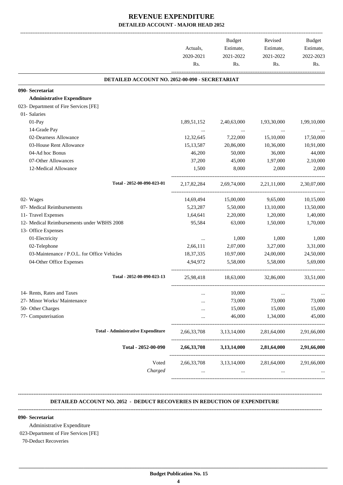|                                                | Actuals,<br>2020-2021<br>Rs. | <b>Budget</b><br>Estimate,<br>2021-2022<br>Rs. | Revised<br>Estimate,<br>2021-2022                     | Budget<br>Estimate,<br>2022-2023<br>Rs. |
|------------------------------------------------|------------------------------|------------------------------------------------|-------------------------------------------------------|-----------------------------------------|
|                                                |                              |                                                |                                                       |                                         |
| DETAILED ACCOUNT NO. 2052-00-090 - SECRETARIAT |                              |                                                |                                                       |                                         |
| 090- Secretariat                               |                              |                                                |                                                       |                                         |
| <b>Administrative Expenditure</b>              |                              |                                                |                                                       |                                         |
| 023- Department of Fire Services [FE]          |                              |                                                |                                                       |                                         |
| 01- Salaries                                   |                              |                                                |                                                       |                                         |
| 01-Pay                                         | 1,89,51,152                  | 2,40,63,000                                    | 1,93,30,000                                           | 1,99,10,000                             |
| 14-Grade Pay                                   |                              | $\ldots$                                       | $\ldots$                                              |                                         |
| 02-Dearness Allowance                          | 12,32,645                    | 7,22,000                                       | 15,10,000                                             | 17,50,000                               |
| 03-House Rent Allowance                        | 15, 13, 587                  | 20,86,000                                      | 10,36,000                                             | 10,91,000                               |
| 04-Ad hoc Bonus                                | 46,200                       | 50,000                                         | 36,000                                                | 44,000                                  |
| 07-Other Allowances                            | 37,200                       | 45,000                                         | 1,97,000                                              | 2,10,000                                |
| 12-Medical Allowance                           | 1,500                        | 8,000                                          | 2,000                                                 | 2,000                                   |
| Total - 2052-00-090-023-01                     | 2,17,82,284                  |                                                | 2,69,74,000 2,21,11,000                               | 2,30,07,000                             |
| 02- Wages                                      | 14,69,494                    | 15,00,000                                      | 9,65,000                                              | 10,15,000                               |
| 07- Medical Reimbursements                     | 5,23,287                     | 5,50,000                                       | 13,10,000                                             | 13,50,000                               |
| 11- Travel Expenses                            | 1,64,641                     | 2,20,000                                       | 1,20,000                                              | 1,40,000                                |
| 12- Medical Reimbursements under WBHS 2008     | 95,584                       | 63,000                                         | 1,50,000                                              | 1,70,000                                |
| 13- Office Expenses                            |                              |                                                |                                                       |                                         |
| 01-Electricity                                 | $\cdots$                     | 1,000                                          | 1,000                                                 | 1,000                                   |
| 02-Telephone                                   | 2,66,111                     | 2,07,000                                       | 3,27,000                                              | 3,31,000                                |
| 03-Maintenance / P.O.L. for Office Vehicles    | 18, 37, 335                  | 10,97,000                                      | 24,00,000                                             | 24,50,000                               |
| 04-Other Office Expenses                       | 4,94,972                     | 5,58,000                                       | 5,58,000                                              | 5,69,000                                |
| Total - 2052-00-090-023-13                     | 25,98,418                    | 18,63,000                                      | 32,86,000                                             | 33,51,000                               |
| 14- Rents, Rates and Taxes                     |                              | 10,000                                         |                                                       | $\ldots$                                |
| 27- Minor Works/ Maintenance                   |                              | 73,000                                         |                                                       | 73,000                                  |
| 50- Other Charges                              |                              | 15,000                                         |                                                       | 15,000                                  |
| 77- Computerisation                            |                              | 46,000                                         | 1,34,000                                              | 45,000                                  |
| <b>Total - Administrative Expenditure</b>      | 2,66,33,708                  | 3,13,14,000                                    | 2,81,64,000                                           | 2,91,66,000                             |
| Total - 2052-00-090                            | 2,66,33,708                  | 3,13,14,000                                    | Rs.<br>73,000<br>15,000<br>2,81,64,000<br>2,81,64,000 | 2,91,66,000                             |
| Voted                                          | 2,66,33,708                  | 3,13,14,000                                    |                                                       | 2,91,66,000                             |
| Charged                                        |                              |                                                |                                                       |                                         |

#### **DETAILED ACCOUNT NO. 2052 - DEDUCT RECOVERIES IN REDUCTION OF EXPENDITURE**

**--------------------------------------------------------------------------------------------------------------------------------------------------------------------------------**

**--------------------------------------------------------------------------------------------------------------------------------------------------------------------------------**

#### **090- Secretariat**

Administrative Expenditure

023-Department of Fire Services [FE]

70-Deduct Recoveries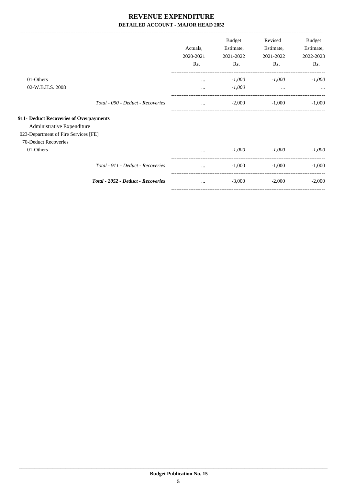|                                        |                                    | Actuals,<br>2020-2021 | <b>Budget</b><br>Estimate,<br>2021-2022 | Revised<br>Estimate,<br>2021-2022 | Budget<br>Estimate,<br>2022-2023 |
|----------------------------------------|------------------------------------|-----------------------|-----------------------------------------|-----------------------------------|----------------------------------|
|                                        |                                    | Rs.                   | Rs.                                     | Rs.                               | Rs.                              |
| 01-Others                              |                                    | $\cdots$              | $-1,000$                                | $-1,000$                          | $-1,000$                         |
| 02-W.B.H.S. 2008                       |                                    | $\cdots$              | $-1,000$                                | $\cdots$                          |                                  |
|                                        | Total - 090 - Deduct - Recoveries  | $\cdots$              | $-2,000$                                | $-1,000$                          | $-1,000$                         |
| 911- Deduct Recoveries of Overpayments |                                    |                       |                                         |                                   |                                  |
| Administrative Expenditure             |                                    |                       |                                         |                                   |                                  |
| 023-Department of Fire Services [FE]   |                                    |                       |                                         |                                   |                                  |
| 70-Deduct Recoveries                   |                                    |                       |                                         |                                   |                                  |
| 01-Others                              |                                    | $\cdots$              | $-1,000$                                | $-1,000$                          | $-1,000$                         |
|                                        | Total - 911 - Deduct - Recoveries  |                       | $-1,000$                                | $-1,000$                          | $-1,000$                         |
|                                        | Total - 2052 - Deduct - Recoveries | $\cdots$              | $-3,000$                                | $-2,000$                          | $-2,000$                         |
|                                        |                                    |                       |                                         |                                   |                                  |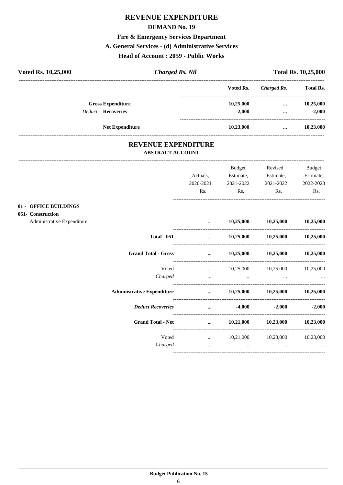#### **DEMAND No. 19**

## Fire & Emergency Services Department

#### A. General Services - (d) Administrative Services

#### Head of Account: 2059 - Public Works

| Voted Rs. 10,25,000 |                            | <b>Charged Rs. Nil</b>                                |           | Charged Rs.<br><br><br> | <b>Total Rs. 10,25,000</b> |
|---------------------|----------------------------|-------------------------------------------------------|-----------|-------------------------|----------------------------|
|                     |                            |                                                       | Voted Rs. |                         | <b>Total Rs.</b>           |
|                     | <b>Gross Expenditure</b>   |                                                       | 10,25,000 |                         | 10,25,000                  |
|                     | <b>Deduct - Recoveries</b> |                                                       | $-2,000$  |                         | $-2,000$                   |
|                     | <b>Net Expenditure</b>     |                                                       | 10,23,000 |                         | 10,23,000                  |
|                     |                            | <b>REVENUE EXPENDITURE</b><br><b>ABSTRACT ACCOUNT</b> |           |                         |                            |
|                     |                            |                                                       |           |                         |                            |

|                                            |                                   |                                                           | <b>Budget</b>                                                                   | Revised                             | <b>Budget</b> |
|--------------------------------------------|-----------------------------------|-----------------------------------------------------------|---------------------------------------------------------------------------------|-------------------------------------|---------------|
|                                            |                                   | Actuals,                                                  | Estimate,                                                                       | Estimate,                           | Estimate,     |
|                                            |                                   | 2020-2021                                                 | 2021-2022                                                                       | 2021-2022                           | 2022-2023     |
|                                            |                                   | Rs.                                                       | Rs.                                                                             | Rs.                                 | Rs.           |
| 01 - OFFICE BUILDINGS<br>051- Construction |                                   |                                                           |                                                                                 |                                     |               |
| Administrative Expenditure                 |                                   |                                                           |                                                                                 | $10,25,000$ $10,25,000$ $10,25,000$ |               |
|                                            | <b>Total - 051</b>                |                                                           | $10,25,000$ $10,25,000$ $10,25,000$                                             |                                     |               |
|                                            | <b>Grand Total - Gross</b>        | $\mathbf{r}$ and $\mathbf{r}$ are the set of $\mathbf{r}$ |                                                                                 | $10,25,000$ $10,25,000$ $10,25,000$ |               |
|                                            | Voted                             |                                                           | $10,25,000$ $10,25,000$ $10,25,000$                                             |                                     |               |
|                                            | Charged                           | $\cdots$                                                  | the contract of the contract of the contract of the contract of the contract of |                                     |               |
|                                            | <b>Administrative Expenditure</b> |                                                           | $\ldots$ 10,25,000 10,25,000 10,25,000                                          |                                     |               |
|                                            | <b>Deduct Recoveries</b>          |                                                           | $\cdots$ . The contract of $\cdots$                                             | $-4,000$ $-2,000$                   | $-2,000$      |
|                                            | <b>Grand Total - Net</b>          | $\cdots$                                                  |                                                                                 | $10,21,000$ $10,23,000$             | 10,23,000     |
|                                            | Voted                             |                                                           | $10,21,000$ $10,23,000$ $10,23,000$                                             |                                     |               |
|                                            | Charged                           | $\cdots$                                                  | $\cdots$                                                                        | $\cdots$                            | $\cdots$      |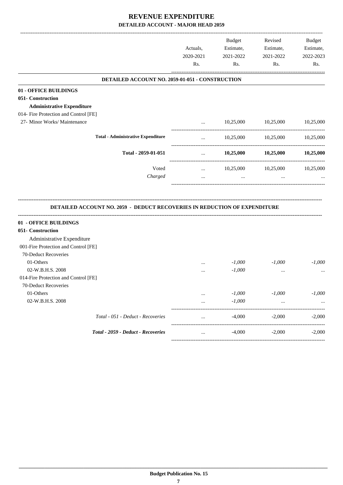-------------------------------------------------------------------------------------------------------------------------------------------------------------------------------

|                                                                           | Actuals,<br>2020-2021 | <b>Budget</b><br>Estimate,<br>2021-2022 | Revised<br>Estimate,<br>2021-2022 | <b>Budget</b><br>Estimate,<br>2022-2023 |
|---------------------------------------------------------------------------|-----------------------|-----------------------------------------|-----------------------------------|-----------------------------------------|
|                                                                           | Rs.                   | Rs.                                     | Rs.                               | Rs.                                     |
| DETAILED ACCOUNT NO. 2059-01-051 - CONSTRUCTION                           |                       |                                         |                                   |                                         |
| 01 - OFFICE BUILDINGS                                                     |                       |                                         |                                   |                                         |
| 051- Construction                                                         |                       |                                         |                                   |                                         |
| <b>Administrative Expenditure</b>                                         |                       |                                         |                                   |                                         |
| 014- Fire Protection and Control [FE]                                     |                       |                                         |                                   |                                         |
| 27- Minor Works/ Maintenance                                              |                       | 10,25,000                               | 10,25,000                         | 10,25,000                               |
| <b>Total - Administrative Expenditure</b>                                 | $\cdots$              | 10,25,000                               | 10,25,000                         | 10,25,000                               |
| Total - 2059-01-051                                                       | $\cdots$              | 10,25,000                               | 10,25,000                         | 10,25,000                               |
| Voted                                                                     | $\cdots$              | 10,25,000                               | 10,25,000                         | 10,25,000                               |
| Charged                                                                   | $\cdots$              | $\cdots$                                |                                   |                                         |
| DETAILED ACCOUNT NO. 2059 - DEDUCT RECOVERIES IN REDUCTION OF EXPENDITURE |                       |                                         |                                   |                                         |
| 01 - OFFICE BUILDINGS                                                     |                       |                                         |                                   |                                         |
| 051- Construction                                                         |                       |                                         |                                   |                                         |
| Administrative Expenditure                                                |                       |                                         |                                   |                                         |
| 001-Fire Protection and Control [FE]                                      |                       |                                         |                                   |                                         |
| 70-Deduct Recoveries                                                      |                       |                                         |                                   |                                         |
| 01-Others                                                                 | $\cdots$              | $-1,000$                                | $-1,000$                          | $-1,000$                                |
| 02-W.B.H.S. 2008                                                          | $\cdots$              | $-1,000$                                | $\cdots$                          |                                         |
| 014-Fire Protection and Control [FE]                                      |                       |                                         |                                   |                                         |
| 70-Deduct Recoveries                                                      |                       |                                         |                                   |                                         |
| 01-Others                                                                 |                       | $-1,000$                                | $-1,000$                          | $-1,000$                                |
| 02-W.B.H.S. 2008                                                          |                       | $-1,000$                                |                                   |                                         |
| Total - 051 - Deduct - Recoveries                                         |                       | $-4,000$                                | $-2,000$                          | $-2,000$                                |
| Total - 2059 - Deduct - Recoveries                                        |                       | $-4,000$                                | $-2,000$                          | $-2,000$                                |
|                                                                           |                       |                                         |                                   |                                         |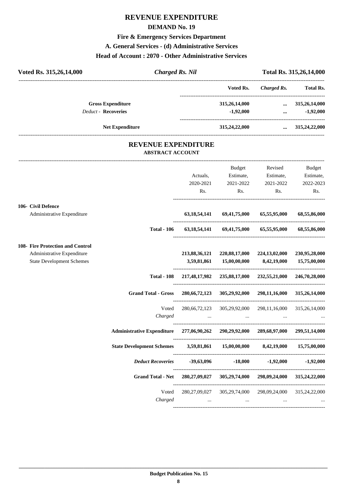#### **DEMAND No. 19**

## **Fire & Emergency Services Department**

#### **A. General Services - (d) Administrative Services**

#### **Head of Account : 2070 - Other Administrative Services**

| Voted Rs. 315,26,14,000          | <b>Charged Rs. Nil</b>                                                    |                 |                                                 | Total Rs. 315,26,14,000 |                  |
|----------------------------------|---------------------------------------------------------------------------|-----------------|-------------------------------------------------|-------------------------|------------------|
|                                  |                                                                           |                 | Voted Rs.                                       | <b>Charged Rs.</b>      | <b>Total Rs.</b> |
| <b>Gross Expenditure</b>         |                                                                           |                 | 315,26,14,000                                   | $\cdots$                | 315,26,14,000    |
| Deduct - Recoveries              |                                                                           |                 | $-1,92,000$                                     | $\cdots$                | $-1,92,000$      |
|                                  | <b>Net Expenditure</b>                                                    |                 | 315,24,22,000                                   | $\cdots$                | 315,24,22,000    |
|                                  | <b>REVENUE EXPENDITURE</b><br><b>ABSTRACT ACCOUNT</b>                     |                 |                                                 |                         |                  |
|                                  |                                                                           |                 | <b>Budget</b>                                   | Revised                 | <b>Budget</b>    |
|                                  |                                                                           | Actuals,        | Estimate,                                       | Estimate,               | Estimate,        |
|                                  |                                                                           | 2020-2021       | 2021-2022                                       | 2021-2022               | 2022-2023        |
|                                  |                                                                           | Rs.             | Rs.                                             | Rs.                     | Rs.              |
| 106- Civil Defence               |                                                                           |                 |                                                 |                         |                  |
| Administrative Expenditure       |                                                                           | 63, 18, 54, 141 | 69,41,75,000                                    | 65,55,95,000            | 68,55,86,000     |
|                                  | <b>Total - 106</b>                                                        |                 | 63, 18, 54, 141 69, 41, 75, 000 65, 55, 95, 000 |                         | 68,55,86,000     |
| 108- Fire Protection and Control |                                                                           |                 |                                                 |                         |                  |
| Administrative Expenditure       |                                                                           | 213,88,36,121   | 220,88,17,000                                   | 224,13,02,000           | 230,95,28,000    |
| <b>State Development Schemes</b> |                                                                           | 3,59,81,861     | 15,00,00,000                                    | 8,42,19,000             | 15,75,00,000     |
|                                  | <b>Total - 108</b>                                                        |                 | 217,48,17,982 235,88,17,000                     | 232,55,21,000           | 246,70,28,000    |
|                                  | <b>Grand Total - Gross</b>                                                |                 | 280,66,72,123 305,29,92,000                     | 298,11,16,000           | 315,26,14,000    |
|                                  | Voted<br>Charged                                                          |                 | 280,66,72,123 305,29,92,000 298,11,16,000       |                         | 315,26,14,000    |
|                                  | Administrative Expenditure 277,06,90,262 290,29,92,000 289,68,97,000      |                 |                                                 |                         | 299,51,14,000    |
|                                  | <b>State Development Schemes</b>                                          |                 | 3,59,81,861 15,00,00,000                        | 8,42,19,000             | 15,75,00,000     |
|                                  | <b>Deduct Recoveries</b>                                                  | $-39,63,096$    |                                                 | $-18,000$ $-1,92,000$   | $-1,92,000$      |
|                                  | Grand Total - Net 280,27,09,027 305,29,74,000 298,09,24,000 315,24,22,000 |                 |                                                 |                         |                  |
|                                  | Voted                                                                     |                 | 280,27,09,027 305,29,74,000 298,09,24,000       |                         | 315,24,22,000    |
|                                  | Charged                                                                   | $\cdots$        | $\cdots$                                        | $\cdots$                |                  |
|                                  |                                                                           |                 |                                                 |                         |                  |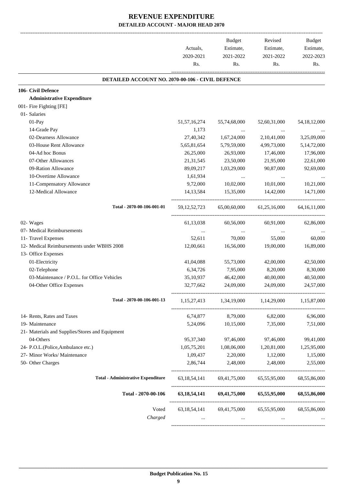|                                                  |                 | Budget                                 | Revised        | Budget                  |
|--------------------------------------------------|-----------------|----------------------------------------|----------------|-------------------------|
|                                                  | Actuals,        | Estimate,                              | Estimate,      | Estimate,               |
|                                                  | 2020-2021       | 2021-2022                              | 2021-2022      | 2022-2023               |
|                                                  | Rs.             | Rs.                                    | Rs.            | Rs.                     |
| DETAILED ACCOUNT NO. 2070-00-106 - CIVIL DEFENCE |                 |                                        |                |                         |
| 106- Civil Defence                               |                 |                                        |                |                         |
| <b>Administrative Expenditure</b>                |                 |                                        |                |                         |
| 001- Fire Fighting [FE]                          |                 |                                        |                |                         |
| 01- Salaries                                     |                 |                                        |                |                         |
| 01-Pay                                           | 51, 57, 16, 274 | 55,74,68,000                           | 52,60,31,000   | 54, 18, 12, 000         |
| 14-Grade Pay                                     | 1,173           |                                        |                |                         |
| 02-Dearness Allowance                            | 27,40,342       | 1,67,24,000                            | 2, 10, 41, 000 | 3,25,09,000             |
| 03-House Rent Allowance                          | 5,65,81,654     | 5,79,59,000                            | 4,99,73,000    | 5,14,72,000             |
| 04-Ad hoc Bonus                                  | 26,25,000       | 26,93,000                              | 17,46,000      | 17,96,000               |
| 07-Other Allowances                              | 21, 31, 545     | 23,50,000                              | 21,95,000      | 22,61,000               |
| 09-Ration Allowance                              | 89,09,217       | 1,03,29,000                            | 90,87,000      | 92,69,000               |
| 10-Overtime Allowance                            | 1,61,934        | $\cdots$                               | $\cdots$       |                         |
| 11-Compensatory Allowance                        | 9,72,000        | 10,02,000                              | 10,01,000      | 10,21,000               |
| 12-Medical Allowance                             | 14, 13, 584     | 15,35,000                              | 14,42,000      | 14,71,000               |
| Total - 2070-00-106-001-01                       | 59, 12, 52, 723 | 65,00,60,000                           | 61,25,16,000   | 64, 16, 11, 000         |
| 02- Wages                                        | 61,13,038       | 60,56,000                              | 60,91,000      | 62,86,000               |
| 07- Medical Reimbursements                       | $\cdots$        | $\ldots$                               | $\cdots$       |                         |
| 11- Travel Expenses                              | 52,611          | 70,000                                 | 55,000         | 60,000                  |
| 12- Medical Reimbursements under WBHS 2008       | 12,00,661       | 16,56,000                              | 19,00,000      | 16,89,000               |
| 13- Office Expenses                              |                 |                                        |                |                         |
| 01-Electricity                                   | 41,04,088       | 55,73,000                              | 42,00,000      | 42,50,000               |
| 02-Telephone                                     | 6, 34, 726      | 7,95,000                               | 8,20,000       | 8,30,000                |
| 03-Maintenance / P.O.L. for Office Vehicles      | 35,10,937       | 46,42,000                              | 40,00,000      | 40,50,000               |
| 04-Other Office Expenses                         | 32,77,662       | 24,09,000                              | 24,09,000      | 24,57,000               |
| Total - 2070-00-106-001-13                       |                 | $1,15,27,413$ $1,34,19,000$            |                | 1,14,29,000 1,15,87,000 |
| 14- Rents, Rates and Taxes                       | 6,74,877        | 8,79,000                               | 6,82,000       | 6,96,000                |
| 19- Maintenance                                  | 5,24,096        | 10,15,000                              | 7,35,000       | 7,51,000                |
| 21- Materials and Supplies/Stores and Equipment  |                 |                                        |                |                         |
| 04-Others                                        | 95, 37, 340     | 97,46,000                              | 97,46,000      | 99,41,000               |
| 24- P.O.L.(Police, Ambulance etc.)               | 1,05,75,201     | 1,08,06,000                            | 1,20,81,000    | 1,25,95,000             |
| 27- Minor Works/ Maintenance                     | 1,09,437        | 2,20,000                               | 1,12,000       | 1,15,000                |
| 50- Other Charges                                | 2,86,744        | 2,48,000                               | 2,48,000       | 2,55,000                |
| <b>Total - Administrative Expenditure</b>        |                 | 63,18,54,141 69,41,75,000              | 65,55,95,000   | 68,55,86,000            |
|                                                  |                 |                                        |                |                         |
| Total - 2070-00-106                              | 63, 18, 54, 141 | 69,41,75,000                           | 65,55,95,000   | 68,55,86,000            |
| Voted                                            |                 | 63,18,54,141 69,41,75,000 65,55,95,000 |                | 68,55,86,000            |
| Charged                                          |                 |                                        |                |                         |
|                                                  |                 |                                        |                |                         |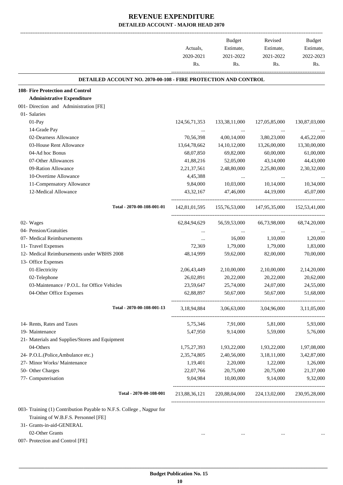|                                                 |                                                                | Actuals,<br>2020-2021<br>Rs. | Budget<br>Estimate,<br>2021-2022<br>Rs. | Revised<br>Estimate,<br>2021-2022<br>Rs. | Budget<br>Estimate,<br>2022-2023<br>Rs. |
|-------------------------------------------------|----------------------------------------------------------------|------------------------------|-----------------------------------------|------------------------------------------|-----------------------------------------|
|                                                 | DETAILED ACCOUNT NO. 2070-00-108 - FIRE PROTECTION AND CONTROL |                              |                                         |                                          |                                         |
| 108- Fire Protection and Control                |                                                                |                              |                                         |                                          |                                         |
| <b>Administrative Expenditure</b>               |                                                                |                              |                                         |                                          |                                         |
| 001- Direction and Administration [FE]          |                                                                |                              |                                         |                                          |                                         |
| 01- Salaries                                    |                                                                |                              |                                         |                                          |                                         |
| 01-Pay                                          |                                                                | 124, 56, 71, 353             | 133, 38, 11, 000                        | 127,05,85,000                            | 130,87,03,000                           |
| 14-Grade Pay                                    |                                                                |                              |                                         |                                          |                                         |
| 02-Dearness Allowance                           |                                                                | 70,56,398                    | 4,00,14,000                             | 3,80,23,000                              | 4,45,22,000                             |
| 03-House Rent Allowance                         |                                                                | 13,64,78,662                 | 14, 10, 12, 000                         | 13,26,00,000                             | 13,30,00,000                            |
| 04-Ad hoc Bonus                                 |                                                                | 68,07,850                    | 69,82,000                               | 60,00,000                                | 61,00,000                               |
| 07-Other Allowances                             |                                                                | 41,88,216                    | 52,05,000                               | 43,14,000                                | 44,43,000                               |
| 09-Ration Allowance                             |                                                                | 2, 21, 37, 561               | 2,48,80,000                             | 2,25,80,000                              | 2,30,32,000                             |
| 10-Overtime Allowance                           |                                                                | 4,45,388                     |                                         |                                          |                                         |
| 11-Compensatory Allowance                       |                                                                | 9,84,000                     | 10,03,000                               | 10,14,000                                | 10,34,000                               |
| 12-Medical Allowance                            |                                                                | 43, 32, 167                  | 47,46,000                               | 44,19,000                                | 45,07,000                               |
|                                                 | Total - 2070-00-108-001-01                                     | 142,81,01,595                | 155,76,53,000                           | 147,95,35,000                            | 152,53,41,000                           |
| 02- Wages                                       |                                                                | 62,84,94,629                 | 56, 59, 53, 000                         | 66,73,98,000                             | 68,74,20,000                            |
| 04- Pension/Gratuities                          |                                                                |                              |                                         |                                          |                                         |
| 07- Medical Reimbursements                      |                                                                | $\cdots$                     | 16,000                                  | 1,10,000                                 | 1,20,000                                |
| 11- Travel Expenses                             |                                                                | 72,369                       | 1,79,000                                | 1,79,000                                 | 1,83,000                                |
| 12- Medical Reimbursements under WBHS 2008      |                                                                | 48, 14, 999                  | 59,62,000                               | 82,00,000                                | 70,00,000                               |
| 13- Office Expenses                             |                                                                |                              |                                         |                                          |                                         |
| 01-Electricity                                  |                                                                | 2,06,43,449                  | 2,10,00,000                             | 2,10,00,000                              | 2,14,20,000                             |
| 02-Telephone                                    |                                                                | 26,02,891                    | 20,22,000                               | 20,22,000                                | 20,62,000                               |
| 03-Maintenance / P.O.L. for Office Vehicles     |                                                                | 23,59,647                    | 25,74,000                               | 24,07,000                                | 24,55,000                               |
| 04-Other Office Expenses                        |                                                                | 62,88,897                    | 50,67,000                               | 50,67,000                                | 51,68,000                               |
|                                                 | Total - 2070-00-108-001-13                                     | 3,18,94,884                  |                                         | 3,06,63,000 3,04,96,000 3,11,05,000      |                                         |
| 14- Rents, Rates and Taxes                      |                                                                | 5,75,346                     | 7,91,000                                | 5,81,000                                 | 5,93,000                                |
| 19- Maintenance                                 |                                                                | 5,47,950                     | 9,14,000                                | 5,59,000                                 | 5,76,000                                |
| 21- Materials and Supplies/Stores and Equipment |                                                                |                              |                                         |                                          |                                         |
| 04-Others                                       |                                                                | 1,75,27,393                  | 1,93,22,000                             | 1,93,22,000                              | 1,97,08,000                             |
| 24- P.O.L.(Police, Ambulance etc.)              |                                                                | 2,35,74,805                  | 2,40,56,000                             | 3,18,11,000                              | 3,42,87,000                             |
| 27- Minor Works/ Maintenance                    |                                                                | 1,19,401                     | 2,20,000                                | 1,22,000                                 | 1,26,000                                |
| 50- Other Charges                               |                                                                | 22,07,766                    | 20,75,000                               | 20,75,000                                | 21,37,000                               |
| 77- Computerisation                             |                                                                | 9,04,984                     | 10,00,000                               | 9,14,000                                 | 9,32,000                                |
|                                                 | Total - 2070-00-108-001                                        | 213,88,36,121                |                                         | 220,88,04,000 224,13,02,000              | 230,95,28,000                           |

Training of W.B.F.S. Personnel [FE]

31- Grants-in-aid-GENERAL

02-Other Grants ... ... ... ...

007- Protection and Control [FE]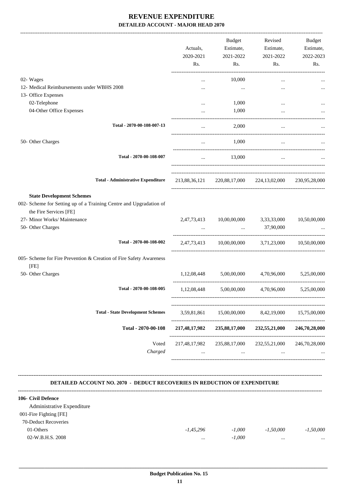|                                                                                                                                                                                       | Actuals,<br>2020-2021      | Budget<br>Estimate,<br>2021-2022                        | Revised<br>Estimate,<br>2021-2022 | Budget<br>Estimate,<br>2022-2023 |
|---------------------------------------------------------------------------------------------------------------------------------------------------------------------------------------|----------------------------|---------------------------------------------------------|-----------------------------------|----------------------------------|
|                                                                                                                                                                                       | Rs.                        | Rs.                                                     | Rs.                               | Rs.                              |
| 02- Wages                                                                                                                                                                             | $\cdots$                   | 10,000                                                  | $\cdots$                          |                                  |
| 12- Medical Reimbursements under WBHS 2008                                                                                                                                            | $\cdots$                   | $\cdots$                                                |                                   |                                  |
| 13- Office Expenses                                                                                                                                                                   |                            |                                                         |                                   |                                  |
| 02-Telephone                                                                                                                                                                          | $\ddotsc$                  | 1,000                                                   | $\cdots$                          |                                  |
| 04-Other Office Expenses                                                                                                                                                              |                            | 1,000                                                   |                                   |                                  |
| Total - 2070-00-108-007-13                                                                                                                                                            | $\cdots$                   | 2,000                                                   | $\cdots$                          |                                  |
| 50- Other Charges                                                                                                                                                                     | $\cdots$                   | 1,000                                                   | $\cdots$                          |                                  |
| Total - 2070-00-108-007                                                                                                                                                               | $\cdots$                   | 13,000                                                  | $\cdots$                          |                                  |
| <b>Total - Administrative Expenditure</b>                                                                                                                                             |                            | 213,88,36,121 220,88,17,000 224,13,02,000               |                                   | 230,95,28,000                    |
| <b>State Development Schemes</b><br>002- Scheme for Setting up of a Training Centre and Upgradation of<br>the Fire Services [FE]<br>27- Minor Works/ Maintenance<br>50- Other Charges |                            | 2,47,73,413 10,00,00,000 3,33,33,000<br><b>Section</b>  | 37,90,000                         | 10,50,00,000                     |
| Total - 2070-00-108-002                                                                                                                                                               |                            | 2,47,73,413 10,00,00,000 3,71,23,000 10,50,00,000       |                                   |                                  |
| 005- Scheme for Fire Prevention & Creation of Fire Safety Awareness<br>[FE]                                                                                                           |                            |                                                         |                                   |                                  |
| 50- Other Charges                                                                                                                                                                     |                            | $1,12,08,448$ $5,00,00,000$ $4,70,96,000$ $5,25,00,000$ |                                   |                                  |
| Total - 2070-00-108-005                                                                                                                                                               |                            | 1,12,08,448 5,00,00,000 4,70,96,000 5,25,00,000         |                                   |                                  |
| <b>Total - State Development Schemes</b>                                                                                                                                              | 3,59,81,861                | 15,00,00,000                                            | 8,42,19,000                       | 15,75,00,000                     |
| Total - 2070-00-108                                                                                                                                                                   | 217,48,17,982              | 235,88,17,000                                           | 232,55,21,000                     | 246,70,28,000                    |
| Voted<br>Charged                                                                                                                                                                      | 217,48,17,982<br>$\ddotsc$ | 235,88,17,000<br>                                       | 232,55,21,000<br>                 | 246,70,28,000                    |

#### **DETAILED ACCOUNT NO. 2070 - DEDUCT RECOVERIES IN REDUCTION OF EXPENDITURE**

**--------------------------------------------------------------------------------------------------------------------------------------------------------------------------------**

| 106- Civil Defence         |             |          |             |             |
|----------------------------|-------------|----------|-------------|-------------|
| Administrative Expenditure |             |          |             |             |
| 001-Fire Fighting [FE]     |             |          |             |             |
| 70-Deduct Recoveries       |             |          |             |             |
| 01-Others                  | $-1,45,296$ | $-1,000$ | $-1.50,000$ | $-1.50,000$ |
| 02-W.B.H.S. 2008           | $\cdots$    | $-1,000$ | $\cdots$    | $\cdots$    |
|                            |             |          |             |             |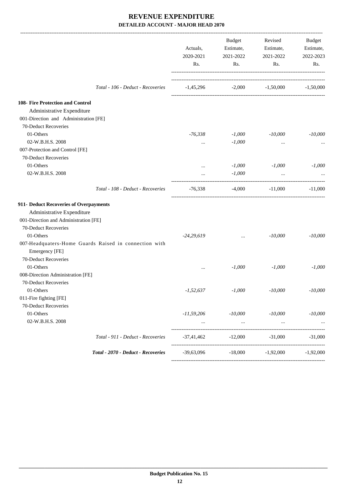|                                                       | Actuals,<br>2020-2021                        |                               | Budget<br>Estimate,<br>2021-2022 | Revised<br>Estimate,<br>2021-2022 | Budget<br>Estimate,<br>2022-2023 |
|-------------------------------------------------------|----------------------------------------------|-------------------------------|----------------------------------|-----------------------------------|----------------------------------|
|                                                       | Rs.                                          | Rs.                           | Rs.                              | Rs.                               |                                  |
| Total - 106 - Deduct - Recoveries                     | $-1,45,296$ $-2,000$ $-1,50,000$ $-1,50,000$ |                               |                                  |                                   |                                  |
| 108- Fire Protection and Control                      |                                              |                               |                                  |                                   |                                  |
| Administrative Expenditure                            |                                              |                               |                                  |                                   |                                  |
| 001-Direction and Administration [FE]                 |                                              |                               |                                  |                                   |                                  |
| 70-Deduct Recoveries                                  |                                              |                               |                                  |                                   |                                  |
| 01-Others                                             | $-76,338$                                    | $-1,000$                      | $-10,000$                        | $-10,000$                         |                                  |
| 02-W.B.H.S. 2008                                      | $\cdots$                                     | $-1,000$                      | $\cdots$                         |                                   |                                  |
| 007-Protection and Control [FE]                       |                                              |                               |                                  |                                   |                                  |
| 70-Deduct Recoveries                                  |                                              |                               |                                  |                                   |                                  |
| 01-Others                                             | $\cdots$                                     | $-1,000$                      | $-1,000$                         | $-1,000$                          |                                  |
| 02-W.B.H.S. 2008                                      |                                              | $-1,000$                      | $\ddotsc$                        |                                   |                                  |
| Total - 108 - Deduct - Recoveries                     | $-76,338$                                    | $-4,000$                      | $-11,000$                        | $-11,000$                         |                                  |
| 911- Deduct Recoveries of Overpayments                |                                              |                               |                                  |                                   |                                  |
| Administrative Expenditure                            |                                              |                               |                                  |                                   |                                  |
| 001-Direction and Administration [FE]                 |                                              |                               |                                  |                                   |                                  |
| 70-Deduct Recoveries                                  |                                              |                               |                                  |                                   |                                  |
| 01-Others                                             | $-24,29,619$                                 | $\cdots$                      | $-10,000$                        | $-10,000$                         |                                  |
| 007-Headquaters-Home Guards Raised in connection with |                                              |                               |                                  |                                   |                                  |
| Emergency [FE]                                        |                                              |                               |                                  |                                   |                                  |
| 70-Deduct Recoveries                                  |                                              |                               |                                  |                                   |                                  |
| 01-Others                                             | $\cdots$                                     | $-1,000$                      | $-1,000$                         | $-1,000$                          |                                  |
| 008-Direction Administration [FE]                     |                                              |                               |                                  |                                   |                                  |
| 70-Deduct Recoveries                                  |                                              |                               |                                  |                                   |                                  |
| 01-Others                                             | $-1,52,637$                                  | $-1,000$                      | $-10,000$                        | $-10,000$                         |                                  |
| 011-Fire fighting [FE]                                |                                              |                               |                                  |                                   |                                  |
| 70-Deduct Recoveries                                  |                                              |                               |                                  |                                   |                                  |
| 01-Others                                             | $-11,59,206$                                 | $-10,000$                     | $-10,000$                        | $-10,000$                         |                                  |
| 02-W.B.H.S. 2008                                      |                                              | $\cdots$<br>----------------- | $\ldots$<br>-----------------    | ----------------                  |                                  |
| Total - 911 - Deduct - Recoveries                     | -37,41,462                                   | $-12,000$                     | $-31,000$                        | $-31,000$                         |                                  |
| Total - 2070 - Deduct - Recoveries                    | $-39,63,096$                                 | $-18,000$                     | $-1,92,000$                      | $-1,92,000$                       |                                  |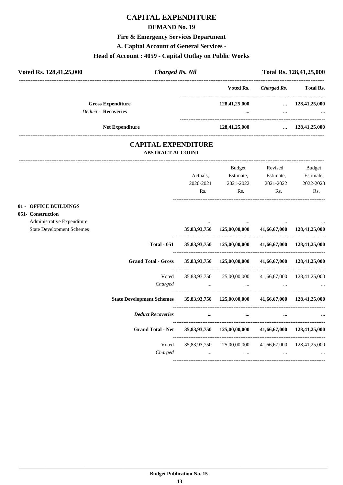## **CAPITAL EXPENDITURE**

#### **DEMAND No. 19**

## **Fire & Emergency Services Department**

**A. Capital Account of General Services -**

## **Head of Account : 4059 - Capital Outlay on Public Works**

| Voted Rs. 128,41,25,000    | <b>Charged Rs. Nil</b> |               |             | Total Rs. 128,41,25,000 |
|----------------------------|------------------------|---------------|-------------|-------------------------|
|                            |                        | Voted Rs.     | Charged Rs. | <b>Total Rs.</b>        |
| <b>Gross Expenditure</b>   |                        | 128,41,25,000 | $\cdots$    | 128,41,25,000           |
| <b>Deduct - Recoveries</b> |                        |               |             | $\cdots$                |
| <b>Net Expenditure</b>     |                        | 128,41,25,000 | $\cdots$    | 128,41,25,000           |
|                            | CADITAL EVDENDITUDE    |               |             |                         |

#### **CAPITAL EXPENDITURE ABSTRACT ACCOUNT**

---------------------------------------------------------------------------------------------------------------------------------------------------------------------------------

|                                                                |                            | Actuals,<br>2020-2021<br>Rs. | <b>Budget</b><br>Estimate,<br>2021-2022<br>Rs.                                                                                                      | Revised<br>Estimate,<br>2021-2022<br>Rs. | <b>Budget</b><br>Estimate,<br>2022-2023<br>Rs.                |
|----------------------------------------------------------------|----------------------------|------------------------------|-----------------------------------------------------------------------------------------------------------------------------------------------------|------------------------------------------|---------------------------------------------------------------|
| 01 - OFFICE BUILDINGS<br>051- Construction                     |                            |                              |                                                                                                                                                     |                                          |                                                               |
| Administrative Expenditure<br><b>State Development Schemes</b> |                            |                              | 35,83,93,750  125,00,00,000  41,66,67,000  128,41,25,000                                                                                            |                                          |                                                               |
|                                                                | <b>Total - 051</b>         |                              | 35,83,93,750 125,00,00,000 41,66,67,000 128,41,25,000                                                                                               |                                          |                                                               |
|                                                                | <b>Grand Total - Gross</b> |                              | 35,83,93,750 125,00,00,000                                                                                                                          |                                          | 41,66,67,000 128,41,25,000                                    |
|                                                                | Voted<br>Charged           |                              | 35,83,93,750  125,00,00,000  41,66,67,000  128,41,25,000<br>and the contract of the contract of the contract of the contract of the contract of the |                                          | $\mathbf{r}$ and $\mathbf{r}$ are all the set of $\mathbf{r}$ |
|                                                                |                            |                              | State Development Schemes 35,83,93,750 125,00,00,000 41,66,67,000 128,41,25,000                                                                     |                                          |                                                               |
|                                                                | <b>Deduct Recoveries</b>   | $\cdots$                     | $\cdots$                                                                                                                                            |                                          |                                                               |
|                                                                | <b>Grand Total - Net</b>   |                              | 35,83,93,750 125,00,00,000 41,66,67,000 128,41,25,000                                                                                               |                                          |                                                               |
|                                                                | Voted<br>Charged           |                              | 35,83,93,750  125,00,00,000  41,66,67,000  128,41,25,000<br>and the state of the state of the state of the                                          |                                          | $\mathbf{r}$ and $\mathbf{r}$ are all the set of $\mathbf{r}$ |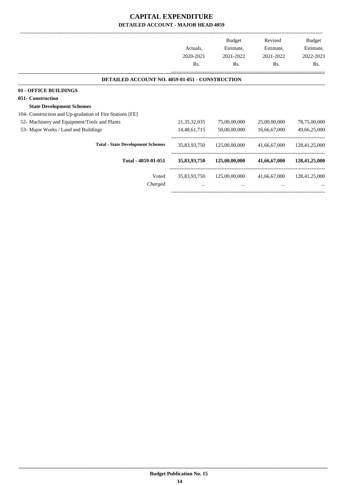## **CAPITAL EXPENDITURE DETAILED ACCOUNT - MAJOR HEAD 4059**

|                                                          |                 | <b>Budget</b> | Revised      | <b>Budget</b> |
|----------------------------------------------------------|-----------------|---------------|--------------|---------------|
|                                                          | Actuals,        | Estimate,     | Estimate,    | Estimate,     |
|                                                          | 2020-2021       | 2021-2022     | 2021-2022    | 2022-2023     |
|                                                          | Rs.             | Rs.           | Rs.          | Rs.           |
| DETAILED ACCOUNT NO. 4059-01-051 - CONSTRUCTION          |                 |               |              |               |
| 01 - OFFICE BUILDINGS                                    |                 |               |              |               |
| 051- Construction                                        |                 |               |              |               |
| <b>State Development Schemes</b>                         |                 |               |              |               |
| 104- Construction and Up-gradation of Fire Stations [FE] |                 |               |              |               |
| 52- Machinery and Equipment/Tools and Plants             | 21, 35, 32, 035 | 75,00,00,000  | 25,00,00,000 | 78,75,00,000  |
| 53- Major Works / Land and Buildings                     | 14,48,61,715    | 50,00,00,000  | 16,66,67,000 | 49,66,25,000  |
| <b>Total - State Development Schemes</b>                 | 35,83,93,750    | 125,00,00,000 | 41,66,67,000 | 128,41,25,000 |
| Total - 4059-01-051                                      | 35,83,93,750    | 125,00,00,000 | 41,66,67,000 | 128,41,25,000 |
| Voted                                                    | 35,83,93,750    | 125,00,00,000 | 41,66,67,000 | 128,41,25,000 |
| Charged                                                  | $\cdots$        | $\cdots$      | $\cdots$     |               |
|                                                          |                 |               |              |               |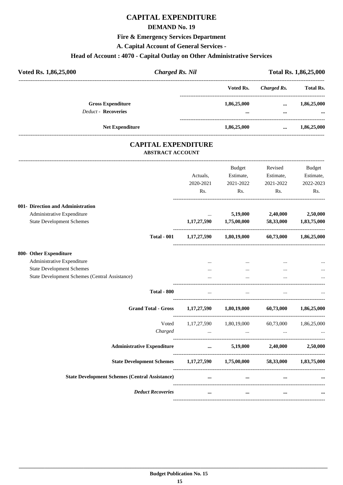## **CAPITAL EXPENDITURE**

#### **DEMAND No. 19**

#### **Fire & Emergency Services Department**

**A. Capital Account of General Services -**

## **Head of Account : 4070 - Capital Outlay on Other Administrative Services**

| Voted Rs. 1,86,25,000 |                                                        | <b>Charged Rs. Nil</b> | Total Rs. 1,86,25,000   |                      |                         |
|-----------------------|--------------------------------------------------------|------------------------|-------------------------|----------------------|-------------------------|
|                       |                                                        |                        | Voted Rs.               | Charged Rs.          | <b>Total Rs.</b>        |
|                       | <b>Gross Expenditure</b><br><b>Deduct - Recoveries</b> |                        | 1,86,25,000<br>$\cdots$ | $\cdots$<br>$\cdots$ | 1,86,25,000<br>$\cdots$ |
|                       | <b>Net Expenditure</b>                                 |                        | 1,86,25,000             | $\cdots$             | 1,86,25,000             |

#### **CAPITAL EXPENDITURE ABSTRACT ACCOUNT**

---------------------------------------------------------------------------------------------------------------------------------------------------------------------------------

|                                                                                                     | Actuals.<br>2020-2021<br>Rs. | <b>Budget</b><br>Estimate,<br>2021-2022<br>Rs.                             | Revised<br>Estimate,<br>2021-2022<br>Rs. | <b>Budget</b><br>Estimate,<br>2022-2023<br>Rs. |
|-----------------------------------------------------------------------------------------------------|------------------------------|----------------------------------------------------------------------------|------------------------------------------|------------------------------------------------|
| 001- Direction and Administration<br>Administrative Expenditure<br><b>State Development Schemes</b> | $\cdots$<br>1,17,27,590      | 5,19,000<br>1,75,00,000                                                    | 2,40,000<br>58,33,000                    | 2,50,000<br>1,83,75,000                        |
| <b>Total - 001</b>                                                                                  |                              | $1,17,27,590$ $1,80,19,000$ $60,73,000$ $1,86,25,000$                      |                                          |                                                |
| 800- Other Expenditure                                                                              |                              |                                                                            |                                          |                                                |
| Administrative Expenditure                                                                          | $\cdots$                     | $\cdots$                                                                   |                                          |                                                |
| <b>State Development Schemes</b>                                                                    |                              | $\cdots$                                                                   | $\cdots$                                 |                                                |
| <b>State Development Schemes (Central Assistance)</b>                                               |                              |                                                                            |                                          |                                                |
| <b>Total - 800</b>                                                                                  | $\cdots$                     | $\cdots$                                                                   | $\cdots$                                 |                                                |
| <b>Grand Total - Gross</b>                                                                          |                              | $1,17,27,590$ $1,80,19,000$ $60,73,000$ $1,86,25,000$                      |                                          |                                                |
| Voted                                                                                               |                              | 1,17,27,590 1,80,19,000 60,73,000 1,86,25,000                              |                                          |                                                |
| Charged                                                                                             |                              | $\mathbf{r}$ and $\mathbf{r}$ are the set of $\mathbf{r}$ and $\mathbf{r}$ |                                          |                                                |
| <b>Administrative Expenditure</b>                                                                   |                              | $5,19,000$ $2,40,000$ $2,50,000$                                           |                                          |                                                |
| State Development Schemes 1,17,27,590 1,75,00,000 58,33,000 1,83,75,000                             |                              |                                                                            |                                          |                                                |
| <b>State Development Schemes (Central Assistance)</b>                                               |                              |                                                                            |                                          |                                                |
| <b>Deduct Recoveries</b>                                                                            | $\cdots$                     | $\cdots$                                                                   | $\cdots$                                 |                                                |
|                                                                                                     |                              |                                                                            |                                          |                                                |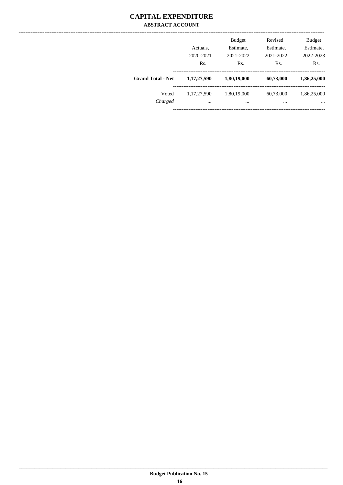#### **CAPITAL EXPENDITURE ABSTRACT ACCOUNT**

|                          | Actuals,<br>2020-2021<br>Rs. | <b>Budget</b><br>Estimate,<br>2021-2022<br>Rs. | Revised<br>Estimate,<br>2021-2022<br>Rs. | <b>Budget</b><br>Estimate,<br>2022-2023<br>Rs. |
|--------------------------|------------------------------|------------------------------------------------|------------------------------------------|------------------------------------------------|
| <b>Grand Total - Net</b> | 1,17,27,590                  | 1,80,19,000                                    | 60,73,000                                | 1,86,25,000                                    |
| Voted<br>Charged         | 1,17,27,590<br>$\cdots$      | 1,80,19,000<br>$\cdots$                        | 60,73,000<br>$\cdots$                    | 1,86,25,000<br>$\cdots$                        |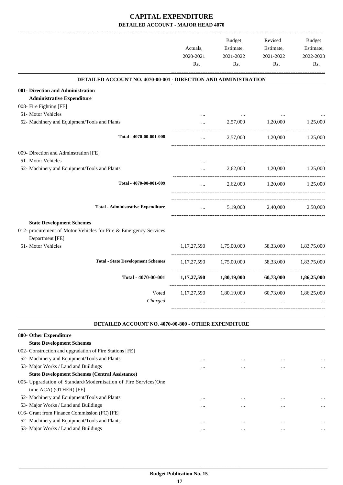## **CAPITAL EXPENDITURE DETAILED ACCOUNT - MAJOR HEAD 4070**

|                                                                                     | Actuals,<br>2020-2021<br>Rs. | <b>Budget</b><br>Estimate,<br>2021-2022<br>Rs. | Revised<br>Estimate,<br>2021-2022<br>Rs. | <b>Budget</b><br>Estimate,<br>2022-2023<br>Rs. |
|-------------------------------------------------------------------------------------|------------------------------|------------------------------------------------|------------------------------------------|------------------------------------------------|
| <b>DETAILED ACCOUNT NO. 4070-00-001 - DIRECTION AND ADMINISTRATION</b>              |                              |                                                |                                          |                                                |
| 001- Direction and Administration                                                   |                              |                                                |                                          |                                                |
| <b>Administrative Expenditure</b>                                                   |                              |                                                |                                          |                                                |
| 008- Fire Fighting [FE]                                                             |                              |                                                |                                          |                                                |
| 51- Motor Vehicles                                                                  |                              |                                                |                                          |                                                |
| 52- Machinery and Equipment/Tools and Plants                                        |                              | 2,57,000                                       | 1,20,000                                 | 1,25,000                                       |
| Total - 4070-00-001-008                                                             |                              | 2,57,000                                       | 1,20,000                                 | 1,25,000                                       |
| 009- Direction and Adminstration [FE]                                               |                              |                                                |                                          |                                                |
| 51- Motor Vehicles                                                                  |                              |                                                |                                          |                                                |
| 52- Machinery and Equipment/Tools and Plants                                        |                              | 2,62,000                                       | 1,20,000                                 | 1,25,000                                       |
| Total - 4070-00-001-009                                                             |                              | 2,62,000                                       | 1,20,000                                 | 1,25,000                                       |
| <b>Total - Administrative Expenditure</b>                                           |                              | 5,19,000                                       | 2,40,000                                 | 2,50,000                                       |
| <b>State Development Schemes</b>                                                    |                              |                                                |                                          |                                                |
| 012- procurement of Motor Vehicles for Fire & Emergency Services<br>Department [FE] |                              |                                                |                                          |                                                |
| 51- Motor Vehicles                                                                  | 1,17,27,590                  | 1,75,00,000                                    | 58,33,000                                | 1,83,75,000                                    |
| <b>Total - State Development Schemes</b>                                            | 1, 17, 27, 590               | 1,75,00,000                                    | 58,33,000                                | 1,83,75,000                                    |
| Total - 4070-00-001                                                                 | 1, 17, 27, 590               | 1,80,19,000                                    | 60,73,000                                | 1,86,25,000                                    |
| Voted<br>Charged                                                                    | 1,17,27,590                  | 1,80,19,000                                    | 60,73,000                                | 1,86,25,000                                    |

#### **DETAILED ACCOUNT NO. 4070-00-800 - OTHER EXPENDITURE .**

| 800- Other Expenditure                                           |          |          |          |          |
|------------------------------------------------------------------|----------|----------|----------|----------|
| <b>State Development Schemes</b>                                 |          |          |          |          |
| 002- Construction and upgradation of Fire Stations [FE]          |          |          |          |          |
| 52- Machinery and Equipment/Tools and Plants                     | $\cdots$ | $\cdots$ | $\cdots$ | $\cdots$ |
| 53- Major Works / Land and Buildings                             | $\cdots$ | $\cdots$ | $\cdots$ | $\cdots$ |
| <b>State Development Schemes (Central Assistance)</b>            |          |          |          |          |
| 005- Upgradation of Standard/Modernisation of Fire Services (One |          |          |          |          |
| time ACA) (OTHER) [FE]                                           |          |          |          |          |
| 52- Machinery and Equipment/Tools and Plants                     | $\cdots$ | $\cdots$ | $\cdots$ | $\cdots$ |
| 53- Major Works / Land and Buildings                             |          |          |          |          |
| 016- Grant from Finance Commission (FC) [FE]                     |          |          |          |          |
| 52- Machinery and Equipment/Tools and Plants                     |          | $\cdots$ |          | $\cdots$ |
| 53- Major Works / Land and Buildings                             |          |          |          | $\cdots$ |
|                                                                  |          |          |          |          |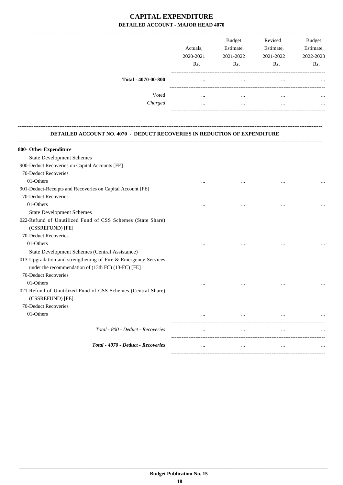## **CAPITAL EXPENDITURE DETAILED ACCOUNT - MAJOR HEAD 4070**

| Actuals.<br>2020-2021<br>Rs. | <b>Budget</b><br>Estimate,<br>2021-2022<br>Rs. | Revised<br>Estimate,<br>2021-2022<br>Rs. | <b>Budget</b><br>Estimate,<br>2022-2023<br>Rs. |
|------------------------------|------------------------------------------------|------------------------------------------|------------------------------------------------|
| $\cdots$                     |                                                |                                          |                                                |
| $\cdots$                     |                                                |                                          |                                                |
|                              | $\cdots$                                       |                                          |                                                |
|                              |                                                |                                          |                                                |

**--------------------------------------------------------------------------------------------------------------------------------------------------------------------------------**

#### **DETAILED ACCOUNT NO. 4070 - DEDUCT RECOVERIES IN REDUCTION OF EXPENDITURE**

| 800- Other Expenditure                                                           |          |          |          |  |
|----------------------------------------------------------------------------------|----------|----------|----------|--|
| <b>State Development Schemes</b>                                                 |          |          |          |  |
| 900-Deduct Recoveries on Capital Accounts [FE]                                   |          |          |          |  |
| 70-Deduct Recoveries                                                             |          |          |          |  |
| 01-Others                                                                        | $\cdots$ |          |          |  |
| 901-Deduct-Receipts and Recoveries on Capital Account [FE]                       |          |          |          |  |
| 70-Deduct Recoveries                                                             |          |          |          |  |
| 01-Others                                                                        | $\cdots$ | $\cdots$ | $\cdots$ |  |
| <b>State Development Schemes</b>                                                 |          |          |          |  |
| 022-Refund of Unutilized Fund of CSS Schemes (State Share)<br>(CSSREFUND) [FE]   |          |          |          |  |
| 70-Deduct Recoveries                                                             |          |          |          |  |
| 01-Others                                                                        | $\cdots$ |          | $\cdots$ |  |
| State Development Schemes (Central Assistance)                                   |          |          |          |  |
| 013-Upgradation and strengthening of Fire & Emergency Services                   |          |          |          |  |
| under the recommendation of (13th FC) (13-FC) [FE]                               |          |          |          |  |
| 70-Deduct Recoveries                                                             |          |          |          |  |
| 01-Others                                                                        | $\cdots$ |          | $\cdots$ |  |
| 021-Refund of Unutilized Fund of CSS Schemes (Central Share)<br>(CSSREFUND) [FE] |          |          |          |  |
| 70-Deduct Recoveries                                                             |          |          |          |  |
| 01-Others                                                                        |          | $\cdots$ |          |  |
| Total - 800 - Deduct - Recoveries                                                |          |          | $\cdots$ |  |
| Total - 4070 - Deduct - Recoveries                                               | $\cdots$ | $\cdots$ | $\cdots$ |  |
|                                                                                  |          |          |          |  |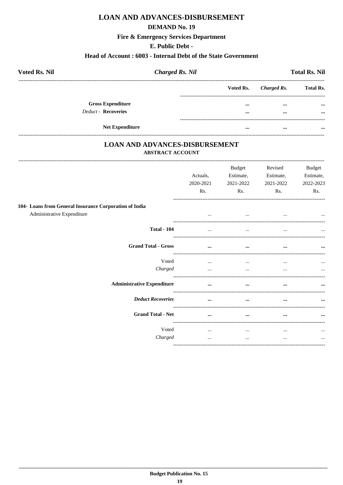## **LOAN AND ADVANCES-DISBURSEMENT**

#### **DEMAND No. 19**

#### **Fire & Emergency Services Department**

#### E. Public Debt -

#### Head of Account: 6003 - Internal Debt of the State Government

| <b>Voted Rs. Nil</b>     | <b>Charged Rs. Nil</b> |          |                       | <b>Total Rs. Nil</b> |
|--------------------------|------------------------|----------|-----------------------|----------------------|
|                          |                        |          | Voted Rs. Charged Rs. | <b>Total Rs.</b>     |
| <b>Gross Expenditure</b> |                        | $\cdots$ | $\cdots$              | $\cdots$             |
| Deduct - Recoveries      |                        | $\cdots$ | $\cdots$              | $\cdots$             |
| <b>Net Expenditure</b>   |                        |          |                       |                      |

#### **LOAN AND ADVANCES-DISBURSEMENT** ABSTRACT ACCOUNT

|                                                                                      | Actuals,<br>2020-2021<br>Rs. | Budget<br>Estimate,<br>2021-2022<br>Rs. | Revised<br>Estimate,<br>2021-2022<br>Rs. | <b>Budget</b><br>Estimate,<br>2022-2023<br>Rs. |
|--------------------------------------------------------------------------------------|------------------------------|-----------------------------------------|------------------------------------------|------------------------------------------------|
| 104- Loans from General Insurance Corporation of India<br>Administrative Expenditure | $\cdots$                     | $\cdots$                                | $\cdots$                                 | $\cdots$                                       |
| <b>Total - 104</b>                                                                   |                              |                                         |                                          |                                                |
| <b>Grand Total - Gross</b>                                                           | $\cdots$                     | $\cdots$                                | $\cdots$                                 | $\cdots$                                       |
| Voted<br>Charged                                                                     | $\cdots$<br>$\cdots$         | $\cdots$<br>$\cdots$                    | $\cdots$                                 | $\cdots$<br>                                   |
| <b>Administrative Expenditure</b>                                                    | $\cdots$                     | $\cdots$                                | $\cdots$                                 | $\cdots$                                       |
| <b>Deduct Recoveries</b>                                                             | $\cdots$                     | $\cdots$                                |                                          | $\cdots$                                       |
| <b>Grand Total - Net</b>                                                             | $\cdots$                     | $\cdots$                                | $\cdots$                                 |                                                |
| Voted<br>Charged                                                                     | $\cdots$<br>$\cdots$         | $\cdots$<br>$\cdots$                    | $\cdots$<br>$\cdots$                     | $\cdots$                                       |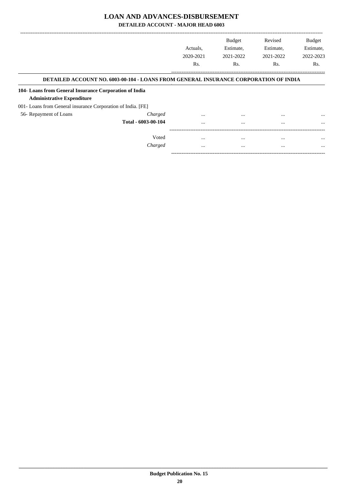## **LOAN AND ADVANCES-DISBURSEMENT**

**DETAILED ACCOUNT - MAJOR HEAD 6003**

|                                                              |                                                                                             |           | <b>Budget</b> | Revised   | <b>Budget</b> |
|--------------------------------------------------------------|---------------------------------------------------------------------------------------------|-----------|---------------|-----------|---------------|
|                                                              |                                                                                             | Actuals.  | Estimate,     | Estimate, | Estimate,     |
|                                                              |                                                                                             | 2020-2021 | 2021-2022     | 2021-2022 | 2022-2023     |
|                                                              |                                                                                             | Rs.       | Rs.           | Rs.       | Rs.           |
|                                                              | <b>DETAILED ACCOUNT NO. 6003-00-104 - LOANS FROM GENERAL INSURANCE CORPORATION OF INDIA</b> |           |               |           |               |
| 104- Loans from General Insurance Corporation of India       |                                                                                             |           |               |           |               |
| <b>Administrative Expenditure</b>                            |                                                                                             |           |               |           |               |
| 001- Loans from General insurance Corporation of India. [FE] |                                                                                             |           |               |           |               |
| 56- Repayment of Loans                                       | Charged                                                                                     | $\cdots$  |               | $\cdots$  | $\cdots$      |
|                                                              | Total - 6003-00-104                                                                         | $\cdots$  | $\cdots$      | $\cdots$  | $\cdots$      |
|                                                              |                                                                                             |           |               |           |               |
|                                                              | Voted                                                                                       | $\cdots$  | $\cdots$      | $\cdots$  | $\cdots$      |
|                                                              | Charged                                                                                     | $\cdots$  | $\cdots$      | $\cdots$  | $\cdots$      |
|                                                              |                                                                                             |           |               |           |               |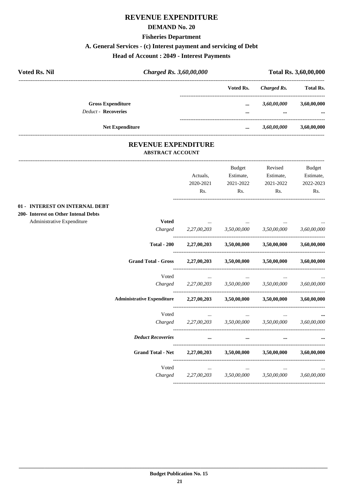#### **DEMAND No. 20**

#### **Fisheries Department**

## **A. General Services - (c) Interest payment and servicing of Debt**

## **Head of Account : 2049 - Interest Payments**

| <b>Voted Rs. Nil</b> |                            | Charged Rs. 3,60,00,000 |                         | Total Rs. 3,60,00,000 |             |  |
|----------------------|----------------------------|-------------------------|-------------------------|-----------------------|-------------|--|
|                      |                            | Voted Rs.               | Charged Rs.             | <b>Total Rs.</b>      |             |  |
|                      | <b>Gross Expenditure</b>   |                         |                         | 3,60,00,000           | 3,60,00,000 |  |
|                      | <b>Deduct - Recoveries</b> |                         | $\cdots$                | $\cdots$              | $\cdots$    |  |
|                      | <b>Net Expenditure</b>     |                         | $\bullet\bullet\bullet$ | 3,60,00,000           | 3,60,00,000 |  |

#### **REVENUE EXPENDITURE ABSTRACT ACCOUNT**

---------------------------------------------------------------------------------------------------------------------------------------------------------------------------------

|                                      |                                   |                                     | Budget                                    | Revised                                   | <b>Budget</b> |
|--------------------------------------|-----------------------------------|-------------------------------------|-------------------------------------------|-------------------------------------------|---------------|
|                                      |                                   | Actuals,                            | Estimate,                                 | Estimate,                                 | Estimate,     |
|                                      |                                   | 2020-2021                           | 2021-2022                                 | 2021-2022                                 | 2022-2023     |
|                                      |                                   | Rs.                                 | Rs.                                       | Rs.                                       | Rs.           |
| 01 - INTEREST ON INTERNAL DEBT       |                                   |                                     |                                           |                                           |               |
| 200- Interest on Other Intenal Debts |                                   |                                     |                                           |                                           |               |
| Administrative Expenditure           | <b>Voted</b>                      |                                     |                                           |                                           |               |
|                                      | Charged                           |                                     | $2,27,00,203$ $3,50,00,000$ $3,50,00,000$ |                                           | 3,60,00,000   |
|                                      | <b>Total - 200</b>                |                                     |                                           | $2,27,00,203$ $3,50,00,000$ $3,50,00,000$ | 3,60,00,000   |
|                                      | <b>Grand Total - Gross</b>        |                                     | $2,27,00,203$ $3,50,00,000$               | 3,50,00,000                               | 3,60,00,000   |
|                                      | Voted                             | $\cdots$                            |                                           |                                           |               |
|                                      | Charged                           | 2,27,00,203 3,50,00,000 3,50,00,000 |                                           |                                           | 3,60,00,000   |
|                                      | <b>Administrative Expenditure</b> |                                     |                                           | $2,27,00,203$ $3,50,00,000$ $3,50,00,000$ | 3,60,00,000   |
|                                      | Voted                             | $\cdots$                            | $\cdots$                                  |                                           |               |
|                                      | Charged                           | 2,27,00,203                         |                                           | 3,50,00,000 3,50,00,000                   | 3,60,00,000   |
|                                      | <b>Deduct Recoveries</b>          | $\cdots$                            | $\cdots$                                  |                                           |               |
|                                      | <b>Grand Total - Net</b>          | 2,27,00,203                         | 3,50,00,000                               | 3,50,00,000                               | 3.60.00.000   |
|                                      | Voted                             | $\cdots$                            | $\cdots$                                  | $\cdots$                                  |               |
|                                      | Charged                           | 2,27,00,203                         | 3,50,00,000                               | 3,50,00,000                               | 3,60,00,000   |
|                                      |                                   |                                     |                                           |                                           |               |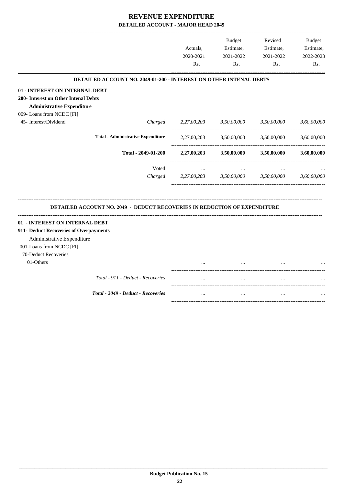|                                                                                                                                                            |                                                                                  | Actuals,<br>2020-2021<br>Rs. | <b>Budget</b><br>Estimate,<br>2021-2022<br>Rs. | Revised<br>Estimate,<br>2021-2022<br>Rs. | <b>Budget</b><br>Estimate,<br>2022-2023<br>Rs. |
|------------------------------------------------------------------------------------------------------------------------------------------------------------|----------------------------------------------------------------------------------|------------------------------|------------------------------------------------|------------------------------------------|------------------------------------------------|
|                                                                                                                                                            | DETAILED ACCOUNT NO. 2049-01-200 - INTEREST ON OTHER INTENAL DEBTS               |                              |                                                |                                          |                                                |
| 01 - INTEREST ON INTERNAL DEBT<br>200- Interest on Other Intenal Debts<br><b>Administrative Expenditure</b><br>009- Loans from NCDC [FI]                   |                                                                                  |                              |                                                |                                          |                                                |
| 45- Interest/Dividend                                                                                                                                      | Charged                                                                          | 2,27,00,203                  | 3,50,00,000                                    | 3,50,00,000                              | 3,60,00,000                                    |
|                                                                                                                                                            | <b>Total - Administrative Expenditure</b>                                        | 2,27,00,203                  | 3,50,00,000                                    | 3,50,00,000                              | 3,60,00,000                                    |
|                                                                                                                                                            | Total - 2049-01-200                                                              | 2,27,00,203                  | 3,50,00,000                                    | 3,50,00,000                              | 3,60,00,000                                    |
|                                                                                                                                                            | Voted<br>Charged                                                                 | $\cdots$<br>2,27,00,203      | $\cdots$<br>3,50,00,000                        | 3,50,00,000                              | 3,60,00,000                                    |
|                                                                                                                                                            | <b>DETAILED ACCOUNT NO. 2049 - DEDUCT RECOVERIES IN REDUCTION OF EXPENDITURE</b> |                              |                                                |                                          |                                                |
| 01 - INTEREST ON INTERNAL DEBT<br>911- Deduct Recoveries of Overpayments<br>Administrative Expenditure<br>001-Loans from NCDC [FI]<br>70-Deduct Recoveries |                                                                                  |                              |                                                |                                          |                                                |
| 01-Others                                                                                                                                                  |                                                                                  |                              |                                                |                                          |                                                |
|                                                                                                                                                            | Total - 911 - Deduct - Recoveries                                                |                              |                                                |                                          |                                                |
|                                                                                                                                                            | Total - 2049 - Deduct - Recoveries                                               |                              |                                                |                                          |                                                |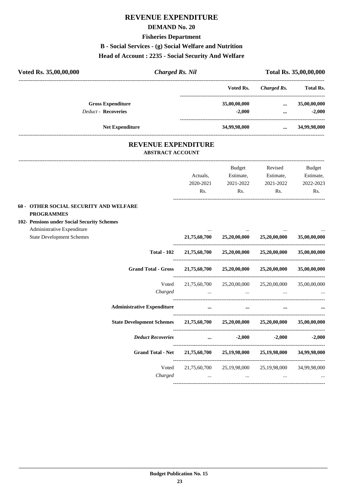#### **DEMAND No. 20**

#### **Fisheries Department**

## **B - Social Services - (g) Social Welfare and Nutrition**

#### **Head of Account : 2235 - Social Security And Welfare**

| Voted Rs. 35,00,00,000                                           | <b>Charged Rs. Nil</b>  |                            |              |                                              | Total Rs. 35,00,00,000 |
|------------------------------------------------------------------|-------------------------|----------------------------|--------------|----------------------------------------------|------------------------|
|                                                                  |                         |                            | Voted Rs.    | <b>Charged Rs.</b>                           | <b>Total Rs.</b>       |
| <b>Gross Expenditure</b>                                         |                         |                            | 35,00,00,000 | $\cdots$                                     | 35,00,00,000           |
| <b>Deduct - Recoveries</b>                                       |                         |                            | $-2,000$     | $\cdots$                                     | $-2,000$               |
| Net Expenditure                                                  |                         |                            | 34,99,98,000 | $\cdots$                                     | 34,99,98,000           |
|                                                                  |                         | <b>REVENUE EXPENDITURE</b> |              |                                              |                        |
|                                                                  | <b>ABSTRACT ACCOUNT</b> |                            |              |                                              |                        |
|                                                                  |                         |                            | Budget       | Revised                                      | Budget                 |
|                                                                  |                         | Actuals,                   | Estimate,    | Estimate,                                    | Estimate,              |
|                                                                  |                         | 2020-2021                  | 2021-2022    | 2021-2022                                    | 2022-2023              |
|                                                                  |                         | Rs.                        | Rs.          | Rs.                                          | Rs.                    |
| 60 - OTHER SOCIAL SECURITY AND WELFARE<br><b>PROGRAMMES</b>      |                         |                            |              |                                              |                        |
| 102- Pensions under Social Security Schemes                      |                         |                            |              |                                              |                        |
| Administrative Expenditure                                       |                         |                            |              |                                              |                        |
| <b>State Development Schemes</b>                                 |                         | 21,75,60,700               | 25,20,00,000 | 25,20,00,000                                 | 35,00,00,000           |
|                                                                  | <b>Total - 102</b>      | 21,75,60,700               | 25,20,00,000 | 25,20,00,000                                 | 35,00,00,000           |
| <b>Grand Total - Gross</b>                                       |                         |                            |              | $21,75,60,700$ $25,20,00,000$ $25,20,00,000$ | 35,00,00,000           |
|                                                                  | Voted                   | 21,75,60,700               | 25,20,00,000 | 25,20,00,000                                 | 35,00,00,000           |
|                                                                  | Charged                 | $\cdots$                   | $\cdots$     | $\cdots$                                     |                        |
| <b>Administrative Expenditure</b>                                |                         |                            | $\cdots$     |                                              |                        |
| State Development Schemes 21,75,60,700 25,20,00,000 25,20,00,000 |                         |                            |              |                                              | 35,00,00,000           |
| <b>Deduct Recoveries</b>                                         |                         |                            | $-2,000$     | $-2,000$                                     | $-2,000$               |
| <b>Grand Total - Net</b>                                         |                         | 21,75,60,700               | 25,19,98,000 | 25,19,98,000                                 | 34,99,98,000           |
|                                                                  | Voted                   | 21,75,60,700               |              | 25,19,98,000 25,19,98,000                    | 34,99,98,000           |
|                                                                  | Charged                 | $\cdots$                   | $\cdots$     | $\cdots$                                     |                        |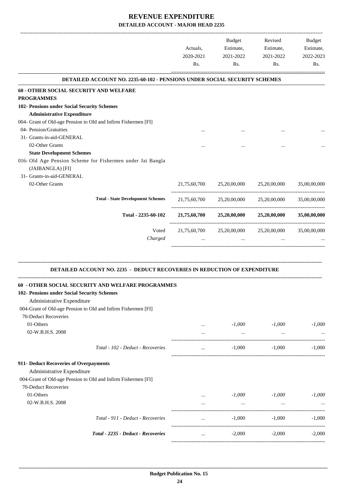|                                                                           | Actuals,<br>2020-2021<br>Rs. | Budget<br>Estimate,<br>2021-2022<br>Rs.             | Revised<br>Estimate,<br>2021-2022<br>Rs. | Budget<br>Estimate,<br>2022-2023<br>Rs. |
|---------------------------------------------------------------------------|------------------------------|-----------------------------------------------------|------------------------------------------|-----------------------------------------|
| DETAILED ACCOUNT NO. 2235-60-102 - PENSIONS UNDER SOCIAL SECURITY SCHEMES |                              |                                                     |                                          |                                         |
| 60 - OTHER SOCIAL SECURITY AND WELFARE                                    |                              |                                                     |                                          |                                         |
| <b>PROGRAMMES</b>                                                         |                              |                                                     |                                          |                                         |
| 102- Pensions under Social Security Schemes                               |                              |                                                     |                                          |                                         |
| <b>Administrative Expenditure</b>                                         |                              |                                                     |                                          |                                         |
| 004- Grant of Old-age Pension to Old and Infirm Fishermen [FI]            |                              |                                                     |                                          |                                         |
| 04- Pension/Gratuities                                                    |                              |                                                     |                                          |                                         |
| 31- Grants-in-aid-GENERAL                                                 |                              |                                                     |                                          |                                         |
| 02-Other Grants                                                           |                              |                                                     |                                          |                                         |
| <b>State Development Schemes</b>                                          |                              |                                                     |                                          |                                         |
| 016- Old Age Pension Scheme for Fishermen under Jai Bangla                |                              |                                                     |                                          |                                         |
| (JAIBANGLA) [FI]                                                          |                              |                                                     |                                          |                                         |
| 31- Grants-in-aid-GENERAL                                                 |                              |                                                     |                                          |                                         |
| 02-Other Grants                                                           | 21,75,60,700                 |                                                     | 25,20,00,000 25,20,00,000 35,00,00,000   |                                         |
| <b>Total - State Development Schemes</b>                                  |                              | 21,75,60,700 25,20,00,000 25,20,00,000 35,00,00,000 |                                          |                                         |
| Total - 2235-60-102                                                       |                              | 21,75,60,700 25,20,00,000 25,20,00,000 35,00,00,000 |                                          |                                         |
| Voted                                                                     | 21,75,60,700                 |                                                     | 25,20,00,000 25,20,00,000                | 35,00,00,000                            |
| Charged                                                                   |                              | $\cdots$                                            | $\cdots$                                 |                                         |
| DETAILED ACCOUNT NO. 2235 - DEDUCT RECOVERIES IN REDUCTION OF EXPENDITURE |                              |                                                     |                                          |                                         |
| 60 - OTHER SOCIAL SECURITY AND WELFARE PROGRAMMES                         |                              |                                                     |                                          |                                         |
| 102- Pensions under Social Security Schemes                               |                              |                                                     |                                          |                                         |
| Administrative Expenditure                                                |                              |                                                     |                                          |                                         |
| 004-Grant of Old-age Pension to Old and Infirm Fishermen [FI]             |                              |                                                     |                                          |                                         |
| 70-Deduct Recoveries                                                      |                              |                                                     |                                          |                                         |
| 01-Others                                                                 | $\cdots$                     | $-1,000$                                            | $-1,000$                                 | $-1,000$                                |
| 02-W.B.H.S. 2008                                                          |                              | $\ldots$                                            | $\cdots$                                 |                                         |
|                                                                           |                              |                                                     |                                          |                                         |
| Total - 102 - Deduct - Recoveries                                         | $\cdots$                     | $-1,000$                                            | $-1,000$                                 | $-1,000$                                |
| 911- Deduct Recoveries of Overpayments                                    |                              |                                                     |                                          |                                         |
| Administrative Expenditure                                                |                              |                                                     |                                          |                                         |
| 004-Grant of Old-age Pension to Old and Infirm Fishermen [FI]             |                              |                                                     |                                          |                                         |
| 70-Deduct Recoveries                                                      |                              |                                                     |                                          |                                         |
| 01-Others                                                                 |                              | $-1,000$                                            | $-1,000$                                 | $-1,000$                                |
| 02-W.B.H.S. 2008                                                          | $\cdots$<br>$\cdots$         | $\cdots$                                            |                                          |                                         |
|                                                                           |                              |                                                     | -----------------------                  |                                         |
| Total - 911 - Deduct - Recoveries                                         |                              | $-1,000$                                            | $-1,000$                                 | $-1,000$                                |
|                                                                           |                              |                                                     |                                          |                                         |
| Total - 2235 - Deduct - Recoveries                                        | $\cdots$                     | $-2,000$                                            | $-2,000$                                 | $-2,000$                                |
|                                                                           |                              |                                                     |                                          |                                         |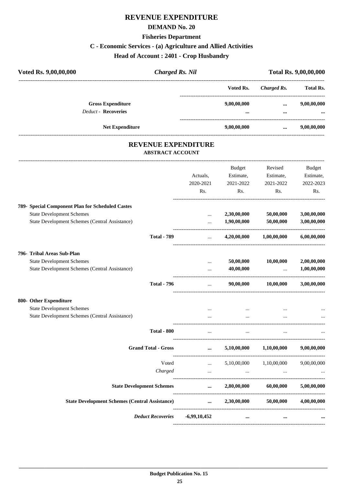#### **DEMAND No. 20**

## **Fisheries Department**

## **C - Economic Services - (a) Agriculture and Allied Activities**

**Head of Account : 2401 - Crop Husbandry**

| Voted Rs. 9,00,00,000                                  | <b>Charged Rs. Nil</b> |                 |                      | <b>Total Rs. 9,00,00,000</b> |  |  |
|--------------------------------------------------------|------------------------|-----------------|----------------------|------------------------------|--|--|
|                                                        |                        | Voted Rs.       | Charged Rs.          | <b>Total Rs.</b>             |  |  |
| <b>Gross Expenditure</b><br><b>Deduct - Recoveries</b> |                        | 9,00,00,000<br> | $\cdots$<br>$\cdots$ | 9,00,00,000<br>              |  |  |
|                                                        | <b>Net Expenditure</b> | 9,00,00,000     |                      | 9,00,00,000                  |  |  |
|                                                        |                        |                 |                      |                              |  |  |

#### **REVENUE EXPENDITURE ABSTRACT ACCOUNT**

|                                                       |                                                                                      | <b>Budget</b> | Revised     | <b>Budget</b>              |
|-------------------------------------------------------|--------------------------------------------------------------------------------------|---------------|-------------|----------------------------|
|                                                       | Actuals,                                                                             | Estimate,     | Estimate,   | Estimate,                  |
|                                                       | 2020-2021                                                                            | 2021-2022     | 2021-2022   | 2022-2023                  |
|                                                       | R <sub>s</sub> .                                                                     | Rs.           | Rs.         | Rs.                        |
|                                                       |                                                                                      |               |             |                            |
|                                                       |                                                                                      |               | 50,00,000   | 3,00,00,000                |
| State Development Schemes (Central Assistance)        | $\cdots$                                                                             | 1,90,00,000   | 50,00,000   | 3,00,00,000                |
| <b>Total - 789</b>                                    | $\cdots$                                                                             | 4,20,00,000   | 1,00,00,000 | 6,00,00,000                |
| 796- Tribal Areas Sub-Plan                            |                                                                                      |               |             |                            |
| <b>State Development Schemes</b>                      | $\cdots$                                                                             | 50,00,000     | 10,00,000   | 2,00,00,000                |
| State Development Schemes (Central Assistance)        | $\cdots$                                                                             | 40,00,000     | $\cdots$    | 1,00,00,000                |
| <b>Total - 796</b>                                    |                                                                                      | 90,00,000     | 10,00,000   | 3,00,00,000                |
| 800- Other Expenditure                                |                                                                                      |               |             |                            |
| <b>State Development Schemes</b>                      |                                                                                      |               |             |                            |
| State Development Schemes (Central Assistance)        |                                                                                      |               |             |                            |
| <b>Total - 800</b>                                    | $\ddotsc$                                                                            | $\ddotsc$     | $\dddotsc$  |                            |
| <b>Grand Total - Gross</b>                            | $\cdots$                                                                             | 5,10,00,000   | 1,10,00,000 | 9,00,00,000                |
| Voted                                                 | $\cdots$                                                                             | 5,10,00,000   |             | 9,00,00,000                |
| Charged                                               | $\cdots$                                                                             | $\ddotsc$     |             |                            |
| <b>State Development Schemes</b>                      | $\cdots$                                                                             |               | 60,00,000   | 5,00,00,000                |
| <b>State Development Schemes (Central Assistance)</b> | $\cdots$                                                                             | 2,30,00,000   | 50,00,000   | 4,00,00,000                |
| <b>Deduct Recoveries</b>                              | $-6,99,10,452$                                                                       | $\cdots$      |             |                            |
|                                                       | 789- Special Component Plan for Scheduled Castes<br><b>State Development Schemes</b> |               | 2,30,00,000 | 1,10,00,000<br>2,80,00,000 |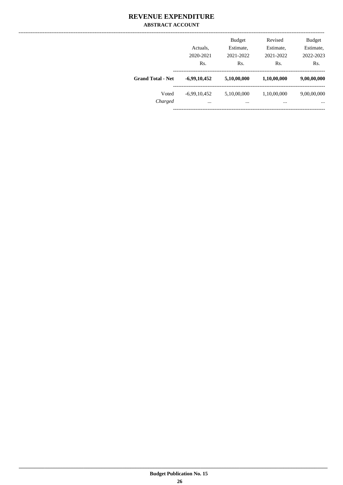#### **REVENUE EXPENDITURE ABSTRACT ACCOUNT**

|                          | Actuals,<br>2020-2021 | <b>Budget</b><br>Estimate,<br>2021-2022 | Revised<br>Estimate,<br>2021-2022 | <b>Budget</b><br>Estimate,<br>2022-2023 |
|--------------------------|-----------------------|-----------------------------------------|-----------------------------------|-----------------------------------------|
| <b>Grand Total - Net</b> | Rs.                   | Rs.                                     | Rs.                               | Rs.                                     |
|                          | $-6,99,10,452$        | 5,10,00,000                             | 1,10,00,000                       | 9,00,00,000                             |
| Voted                    | $-6,99,10,452$        | 5,10,00,000                             | 1,10,00,000                       | 9,00,00,000                             |
| Charged                  | $\cdots$              |                                         |                                   | $\cdots$                                |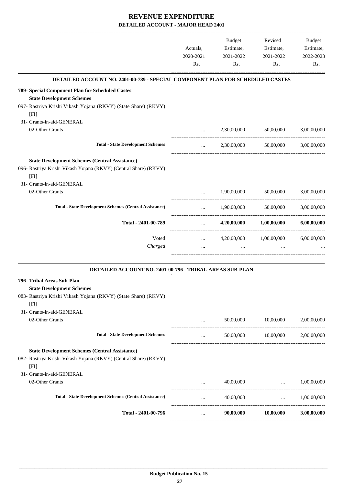|                                                                                      |                           | Budget           | Revised                             | <b>Budget</b>       |
|--------------------------------------------------------------------------------------|---------------------------|------------------|-------------------------------------|---------------------|
|                                                                                      | Actuals,                  | Estimate,        | Estimate,                           | Estimate,           |
|                                                                                      | 2020-2021<br>Rs.          | 2021-2022<br>Rs. | 2021-2022<br>Rs.                    | 2022-2023<br>Rs.    |
|                                                                                      |                           |                  |                                     |                     |
| DETAILED ACCOUNT NO. 2401-00-789 - SPECIAL COMPONENT PLAN FOR SCHEDULED CASTES       |                           |                  |                                     |                     |
| 789- Special Component Plan for Scheduled Castes<br><b>State Development Schemes</b> |                           |                  |                                     |                     |
| 097- Rastriya Krishi Vikash Yojana (RKVY) (State Share) (RKVY)<br>[FI]               |                           |                  |                                     |                     |
| 31- Grants-in-aid-GENERAL                                                            |                           |                  |                                     |                     |
| 02-Other Grants                                                                      | $\cdots$                  | 2,30,00,000      | 50,00,000                           | 3,00,00,000         |
| <b>Total - State Development Schemes</b>                                             | $\cdots$                  | 2,30,00,000      | 50,00,000                           | 3,00,00,000         |
| <b>State Development Schemes (Central Assistance)</b>                                |                           |                  |                                     |                     |
| 096- Rastriya Krishi Vikash Yojana (RKVY) (Central Share) (RKVY)<br>[FI]             |                           |                  |                                     |                     |
| 31- Grants-in-aid-GENERAL                                                            |                           |                  |                                     |                     |
| 02-Other Grants                                                                      | $\cdots$                  | 1,90,00,000      | 50,00,000                           | 3,00,00,000         |
| <b>Total - State Development Schemes (Central Assistance)</b>                        | $\cdots$<br>------------- | 1,90,00,000      | 50,00,000                           | 3,00,00,000         |
| Total - 2401-00-789                                                                  | $\cdots$                  | 4,20,00,000      | $1{,}00{,}00{,}000$                 | 6,00,00,000         |
| Voted                                                                                | $\cdots$                  | 4,20,00,000      | 1,00,00,000                         | 6,00,00,000         |
| Charged                                                                              |                           | $\cdots$         |                                     |                     |
| DETAILED ACCOUNT NO. 2401-00-796 - TRIBAL AREAS SUB-PLAN                             |                           |                  |                                     |                     |
| 796- Tribal Areas Sub-Plan                                                           |                           |                  |                                     |                     |
| <b>State Development Schemes</b>                                                     |                           |                  |                                     |                     |
| 083- Rastriya Krishi Vikash Yojana (RKVY) (State Share) (RKVY)<br>[FI]               |                           |                  |                                     |                     |
| 31- Grants-in-aid-GENERAL                                                            |                           |                  |                                     |                     |
| 02-Other Grants                                                                      | and the state             | 50,00,000        | 10,00,000                           | 2,00,00,000         |
| <b>Total - State Development Schemes</b>                                             | $\cdots$                  |                  | 50,00,000   10,00,000   2,00,00,000 |                     |
| <b>State Development Schemes (Central Assistance)</b>                                |                           |                  |                                     |                     |
| 082- Rastriya Krishi Vikash Yojana (RKVY) (Central Share) (RKVY)<br>[FI]             |                           |                  |                                     |                     |
| 31- Grants-in-aid-GENERAL                                                            |                           |                  |                                     |                     |
| 02-Other Grants                                                                      | $\cdots$                  |                  | $40,00,000$                         | 1,00,00,000         |
| <b>Total - State Development Schemes (Central Assistance)</b>                        | $\cdots$                  | 40,00,000        |                                     | $\dots$ 1,00,00,000 |
| Total - 2401-00-796                                                                  | $\cdots$                  | 90,00,000        | 10,00,000                           | 3,00,00,000         |
|                                                                                      |                           |                  |                                     |                     |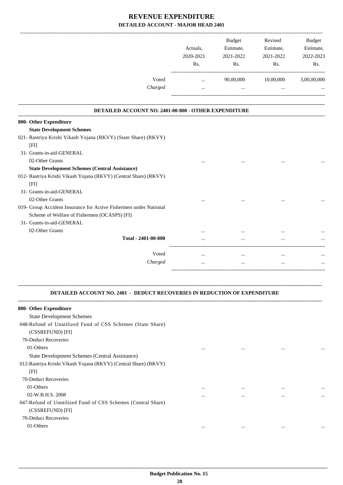|                                                                                       | Actuals.<br>2020-2021<br>Rs. | <b>Budget</b><br>Estimate,<br>2021-2022<br>R <sub>s</sub> . | Revised<br>Estimate,<br>2021-2022<br>Rs. | <b>Budget</b><br>Estimate,<br>2022-2023<br>Rs. |
|---------------------------------------------------------------------------------------|------------------------------|-------------------------------------------------------------|------------------------------------------|------------------------------------------------|
| Voted                                                                                 |                              | 90,00,000                                                   | 10,00,000                                | 3,00,00,000                                    |
| Charged                                                                               | $\cdots$<br>$\cdots$         | $\cdots$                                                    | $\cdots$                                 | $\cdots$                                       |
| <b>DETAILED ACCOUNT NO. 2401-00-800 - OTHER EXPENDITURE</b><br>800- Other Expenditure |                              |                                                             |                                          |                                                |

| <b>State Development Schemes</b>                                  |          |          |          |           |
|-------------------------------------------------------------------|----------|----------|----------|-----------|
| 021- Rastriya Krishi Vikash Yojana (RKVY) (State Share) (RKVY)    |          |          |          |           |
| [FI]                                                              |          |          |          |           |
| 31- Grants-in-aid-GENERAL                                         |          |          |          |           |
| 02-Other Grants                                                   | $\cdots$ | $\cdots$ | $\cdots$ | $\cdots$  |
| <b>State Development Schemes (Central Assistance)</b>             |          |          |          |           |
| 012- Rastriya Krishi Vikash Yojana (RKVY) (Central Share) (RKVY)  |          |          |          |           |
| [FI]                                                              |          |          |          |           |
| 31- Grants-in-aid-GENERAL                                         |          |          |          |           |
| 02-Other Grants                                                   | $\cdots$ | $\cdots$ | $\cdots$ | $\ddotsc$ |
| 019- Group Accident Insurance for Active Fishermen under National |          |          |          |           |
| Scheme of Welfare of Fishermen (OCASPS) [FI]                      |          |          |          |           |
| 31- Grants-in-aid-GENERAL                                         |          |          |          |           |
| 02-Other Grants                                                   | $\cdots$ | $\cdots$ | $\cdots$ | $\ddotsc$ |
| Total - 2401-00-800                                               | $\cdots$ | $\cdots$ | $\cdots$ | $\ddotsc$ |
|                                                                   |          |          |          |           |
| Voted                                                             | $\cdots$ | $\cdots$ | $\cdots$ | $\ddotsc$ |
| Charged                                                           | $\cdots$ | $\cdots$ | $\cdots$ | $\ddotsc$ |
|                                                                   |          |          |          |           |

#### **DETAILED ACCOUNT NO. 2401 - DEDUCT RECOVERIES IN REDUCTION OF EXPENDITURE**

**--------------------------------------------------------------------------------------------------------------------------------------------------------------------------------**

| 800- Other Expenditure                                          |          |          |          |          |
|-----------------------------------------------------------------|----------|----------|----------|----------|
| <b>State Development Schemes</b>                                |          |          |          |          |
| 048-Refund of Unutilized Fund of CSS Schemes (State Share)      |          |          |          |          |
| (CSSREFUND) [FI]                                                |          |          |          |          |
| 70-Deduct Recoveries                                            |          |          |          |          |
| 01-Others                                                       | $\cdots$ |          | $\cdots$ | $\cdots$ |
| State Development Schemes (Central Assistance)                  |          |          |          |          |
| 012-Rastriya Krishi Vikash Yojana (RKVY) (Central Share) (RKVY) |          |          |          |          |
| [FI]                                                            |          |          |          |          |
| 70-Deduct Recoveries                                            |          |          |          |          |
| 01-Others                                                       | $\cdots$ |          | $\cdots$ | $\cdots$ |
| 02-W.B.H.S. 2008                                                | $\cdots$ | $\cdots$ | $\cdots$ | $\cdots$ |
| 047-Refund of Unutilized Fund of CSS Schemes (Central Share)    |          |          |          |          |
| (CSSREFUND) [FI]                                                |          |          |          |          |
| 70-Deduct Recoveries                                            |          |          |          |          |
| 01-Others                                                       | $\cdots$ |          | $\cdots$ | $\cdots$ |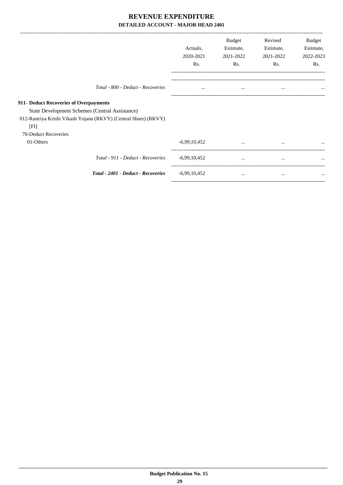|                                                |                                                                                                                   | Actuals,<br>2020-2021<br>Rs. | Budget<br>Estimate,<br>2021-2022<br>Rs. | Revised<br>Estimate,<br>2021-2022<br>Rs. | Budget<br>Estimate,<br>2022-2023<br>Rs. |
|------------------------------------------------|-------------------------------------------------------------------------------------------------------------------|------------------------------|-----------------------------------------|------------------------------------------|-----------------------------------------|
|                                                | Total - 800 - Deduct - Recoveries                                                                                 | $\cdots$                     | $\cdots$                                | $\cdots$                                 | $\ddotsc$                               |
| 911- Deduct Recoveries of Overpayments<br>[FI] | State Development Schemes (Central Assistance)<br>012-Rastriya Krishi Vikash Yojana (RKVY) (Central Share) (RKVY) |                              |                                         |                                          |                                         |
| 70-Deduct Recoveries<br>01-Others              |                                                                                                                   | $-6,99,10,452$               | $\cdots$                                | $\cdots$                                 |                                         |
|                                                | Total - 911 - Deduct - Recoveries                                                                                 | $-6,99,10,452$               | $\cdots$                                | $\cdots$                                 | $\cdots$                                |
|                                                | Total - 2401 - Deduct - Recoveries                                                                                | $-6,99,10,452$               | $\cdots$                                | $\cdots$                                 | $\cdots$                                |

-----------------------------------------------------------------------------------------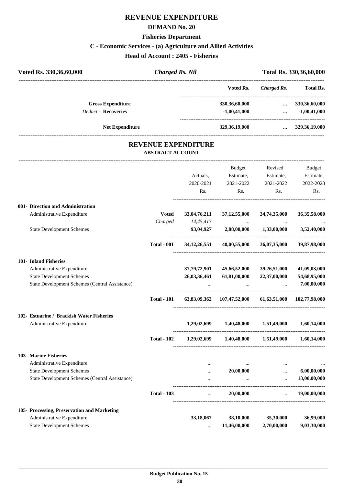#### **DEMAND No. 20**

## **Fisheries Department**

## **C - Economic Services - (a) Agriculture and Allied Activities**

**Head of Account : 2405 - Fisheries**

| Voted Rs. 330, 36, 60, 000 | <b>Charged Rs. Nil</b>                                |                  | Total Rs. 330, 36, 60, 000 |                  |  |
|----------------------------|-------------------------------------------------------|------------------|----------------------------|------------------|--|
|                            |                                                       | Voted Rs.        | Charged Rs.                | <b>Total Rs.</b> |  |
| <b>Gross Expenditure</b>   |                                                       | 330, 36, 60, 000 | $\cdots$                   | 330, 36, 60, 000 |  |
| <b>Deduct - Recoveries</b> |                                                       | $-1,00,41,000$   | $\cdots$                   | $-1,00,41,000$   |  |
| <b>Net Expenditure</b>     |                                                       | 329, 36, 19, 000 | $\cdots$                   | 329, 36, 19, 000 |  |
|                            | <b>REVENUE EXPENDITURE</b><br><b>ABSTRACT ACCOUNT</b> |                  |                            |                  |  |
|                            |                                                       | Budget           | Revised                    | <b>Budget</b>    |  |
|                            | Actuals.                                              | Estimate,        | Estimate,                  | Estimate,        |  |

|                                                |                    | 2020-2021    | 2021-2022                                             | 2021-2022                     | 2022-2023       |
|------------------------------------------------|--------------------|--------------|-------------------------------------------------------|-------------------------------|-----------------|
|                                                |                    | Rs.          | Rs.                                                   | Rs.                           | Rs.             |
| 001- Direction and Administration              |                    |              |                                                       |                               |                 |
| Administrative Expenditure                     | <b>Voted</b>       | 33,04,76,211 | 37, 12, 55, 000                                       | 34,74,35,000                  | 36, 35, 58, 000 |
|                                                | Charged            | 14,45,413    |                                                       |                               |                 |
| <b>State Development Schemes</b>               |                    |              | 93,04,927 2,88,00,000 1,33,00,000                     |                               | 3,52,40,000     |
|                                                | <b>Total - 001</b> |              | $34,12,26,551$ $40,00,55,000$ $36,07,35,000$          |                               | 39,87,98,000    |
| 101- Inland Fisheries                          |                    |              |                                                       |                               |                 |
| Administrative Expenditure                     |                    | 37,79,72,901 | 45,66,52,000                                          | 39,26,51,000                  | 41,09,03,000    |
| <b>State Development Schemes</b>               |                    | 26,03,36,461 | 61,81,00,000                                          | 22,37,00,000                  | 54,68,95,000    |
| State Development Schemes (Central Assistance) |                    |              |                                                       | $\overline{\phantom{a}}$      | 7,00,00,000     |
|                                                | <b>Total - 101</b> |              | 63,83,09,362 107,47,52,000 61,63,51,000 102,77,98,000 |                               |                 |
| 102- Estuarine / Brackish Water Fisheries      |                    |              |                                                       |                               |                 |
| Administrative Expenditure                     |                    |              | $1,29,02,699$ $1,40,48,000$ $1,51,49,000$             |                               | 1,60,14,000     |
|                                                | <b>Total - 102</b> |              | 1,29,02,699 1,40,48,000 1,51,49,000 1,60,14,000       |                               |                 |
| 103- Marine Fisheries                          |                    |              |                                                       |                               |                 |
| Administrative Expenditure                     |                    | $\ddotsc$    |                                                       |                               |                 |
| <b>State Development Schemes</b>               |                    | $\cdots$     | 20,00,000                                             | $\ddotsc$                     | 6,00,00,000     |
| State Development Schemes (Central Assistance) |                    |              |                                                       |                               | 13,00,00,000    |
|                                                | <b>Total - 103</b> | $\ddotsc$    | 20,00,000                                             | $\mathbf{r}$ and $\mathbf{r}$ | 19,00,00,000    |
| 105- Processing, Preservation and Marketing    |                    |              |                                                       |                               |                 |
| Administrative Expenditure                     |                    | 33,18,067    | 38,10,000                                             | 35,30,000                     | 36,99,000       |
| <b>State Development Schemes</b>               |                    |              | 11,46,00,000                                          | 2,70,00,000                   | 9,03,30,000     |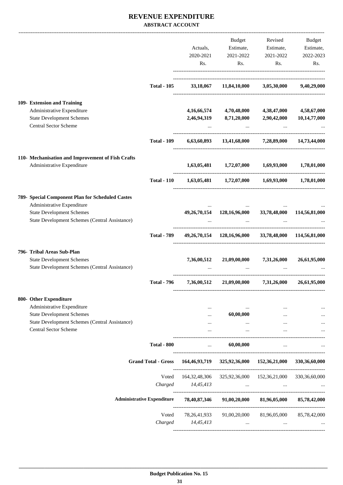#### **REVENUE EXPENDITURE ABSTRACT ACCOUNT**

|  |                                                                                 |                                   |                 | Budget                                                                                   | Revised                                                                   | Budget           |
|--|---------------------------------------------------------------------------------|-----------------------------------|-----------------|------------------------------------------------------------------------------------------|---------------------------------------------------------------------------|------------------|
|  |                                                                                 |                                   | Actuals,        | Estimate,                                                                                | Estimate,                                                                 | Estimate,        |
|  |                                                                                 |                                   | 2020-2021       | 2021-2022                                                                                | 2021-2022                                                                 | 2022-2023        |
|  |                                                                                 |                                   |                 |                                                                                          |                                                                           |                  |
|  |                                                                                 |                                   | Rs.             | Rs.                                                                                      | Rs.                                                                       | Rs.              |
|  |                                                                                 | <b>Total - 105</b>                |                 | 33,18,067 11,84,10,000 3,05,30,000                                                       |                                                                           | 9,40,29,000      |
|  | 109- Extension and Training                                                     |                                   |                 |                                                                                          |                                                                           |                  |
|  | Administrative Expenditure                                                      |                                   |                 | 4,16,66,574 4,70,48,000 4,38,47,000                                                      |                                                                           | 4,58,67,000      |
|  | <b>State Development Schemes</b>                                                |                                   |                 | 2,46,94,319 8,71,20,000 2,90,42,000                                                      |                                                                           | 10,14,77,000     |
|  | <b>Central Sector Scheme</b>                                                    |                                   | $\cdots$        | <b>Contract</b>                                                                          |                                                                           |                  |
|  |                                                                                 | <b>Total - 109</b>                |                 | 6,63,60,893 13,41,68,000 7,28,89,000 14,73,44,000                                        |                                                                           |                  |
|  |                                                                                 |                                   |                 |                                                                                          |                                                                           |                  |
|  | 110- Mechanisation and Improvement of Fish Crafts<br>Administrative Expenditure |                                   |                 | $1,63,05,481 \qquad \quad 1,72,07,000 \qquad \quad 1,69,93,000 \qquad \quad 1,78,01,000$ |                                                                           |                  |
|  |                                                                                 | <b>Total - 110</b>                |                 | $1,63,05,481$ $1,72,07,000$ $1,69,93,000$ $1,78,01,000$                                  |                                                                           |                  |
|  | 789- Special Component Plan for Scheduled Castes                                |                                   |                 |                                                                                          |                                                                           |                  |
|  | Administrative Expenditure                                                      |                                   |                 |                                                                                          |                                                                           |                  |
|  | <b>State Development Schemes</b>                                                |                                   |                 | 49,26,70,154 128,16,96,000 33,78,48,000 114,56,81,000                                    |                                                                           |                  |
|  | State Development Schemes (Central Assistance)                                  |                                   |                 |                                                                                          |                                                                           |                  |
|  |                                                                                 | <b>Total - 789</b>                |                 | 49,26,70,154 128,16,96,000 33,78,48,000 114,56,81,000                                    |                                                                           |                  |
|  | 796- Tribal Areas Sub-Plan                                                      |                                   |                 |                                                                                          |                                                                           |                  |
|  | <b>State Development Schemes</b>                                                |                                   | 7,36,00,512     |                                                                                          | 21,09,00,000 7,31,26,000                                                  | 26,61,95,000     |
|  | State Development Schemes (Central Assistance)                                  |                                   |                 |                                                                                          |                                                                           |                  |
|  |                                                                                 | <b>Total - 796</b>                | 7,36,00,512     |                                                                                          | 21,09,00,000 7,31,26,000                                                  | 26,61,95,000     |
|  | 800- Other Expenditure                                                          |                                   |                 |                                                                                          |                                                                           |                  |
|  | Administrative Expenditure                                                      |                                   | $\cdots$        | $\cdots$                                                                                 | $\cdots$                                                                  |                  |
|  | <b>State Development Schemes</b>                                                |                                   | $\cdots$        | 60,00,000                                                                                | $\cdots$                                                                  |                  |
|  | State Development Schemes (Central Assistance)                                  |                                   | $\cdots$        | $\cdots$                                                                                 | $\cdots$                                                                  |                  |
|  | Central Sector Scheme                                                           |                                   | $\cdots$        | $\cdots$                                                                                 | $\cdots$                                                                  |                  |
|  |                                                                                 | <b>Total - 800</b>                | $\cdots$        | 60,00,000                                                                                | $\ddots$                                                                  |                  |
|  |                                                                                 |                                   |                 | Grand Total - Gross 164,46,93,719 325,92,36,000 152,36,21,000 330,36,60,000              |                                                                           |                  |
|  |                                                                                 | Voted                             |                 | 164, 32, 48, 306 325, 92, 36, 000 152, 36, 21, 000                                       |                                                                           | 330, 36, 60, 000 |
|  |                                                                                 | Charged                           | 14,45,413       | and the company of the company of the                                                    | $\ddots$                                                                  |                  |
|  |                                                                                 | <b>Administrative Expenditure</b> | 78,40,87,346    | 91,00,20,000                                                                             | 81,96,05,000                                                              | 85,78,42,000     |
|  |                                                                                 | Voted                             | 78, 26, 41, 933 |                                                                                          | 91,00,20,000 81,96,05,000                                                 | 85,78,42,000     |
|  |                                                                                 | Charged                           | 14,45,413       |                                                                                          | $\mathbf{r}$ and $\mathbf{r}$ are all the set of $\mathbf{r}$<br>$\cdots$ |                  |
|  |                                                                                 |                                   |                 |                                                                                          |                                                                           |                  |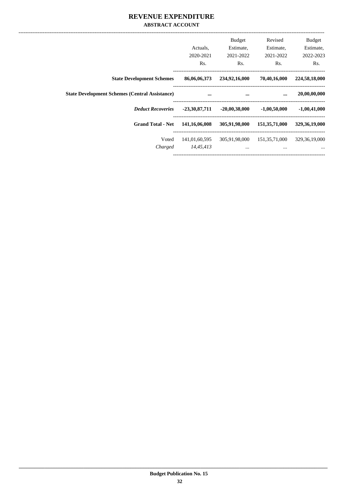#### **REVENUE EXPENDITURE ABSTRACT ACCOUNT**

|                                                       | Actuals.<br>2020-2021 | <b>Budget</b><br>Estimate,<br>2021-2022 | Revised<br>Estimate,<br>2021-2022 | <b>Budget</b><br>Estimate,<br>2022-2023 |
|-------------------------------------------------------|-----------------------|-----------------------------------------|-----------------------------------|-----------------------------------------|
|                                                       | Rs.                   | Rs.                                     | Rs.                               | Rs.                                     |
| <b>State Development Schemes</b>                      | 86,06,06,373          | 234,92,16,000                           | 70,40,16,000                      | 224,58,18,000                           |
| <b>State Development Schemes (Central Assistance)</b> | $\cdots$              | $\cdots$                                | $\ddotsc$                         | 20,00,00,000                            |
| <b>Deduct Recoveries</b>                              | $-23,30,87,711$       | $-20,00,38,000$                         | $-1,00,50,000$                    | $-1,00,41,000$                          |
| <b>Grand Total - Net</b>                              | 141,16,06,008         | 305,91,98,000                           | 151,35,71,000                     | 329, 36, 19, 000                        |
| Voted                                                 | 141,01,60,595         | 305,91,98,000                           | 151,35,71,000                     | 329, 36, 19, 000                        |
| Charged                                               | 14,45,413             | $\cdots$                                | $\cdots$                          | $\cdots$                                |
|                                                       |                       |                                         |                                   |                                         |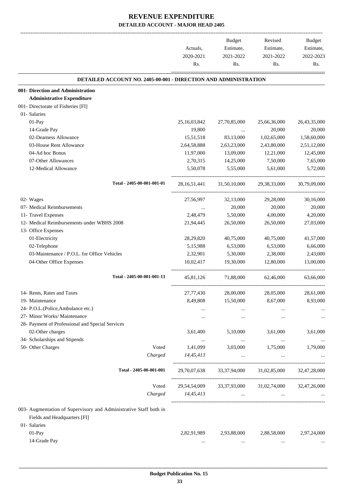|                                                                        | Actuals,<br>2020-2021<br>Rs. | Budget<br>Estimate,<br>2021-2022<br>Rs. | Revised<br>Estimate,<br>2021-2022<br>Rs. | Budget<br>Estimate,<br>2022-2023<br>Rs. |
|------------------------------------------------------------------------|------------------------------|-----------------------------------------|------------------------------------------|-----------------------------------------|
| <b>DETAILED ACCOUNT NO. 2405-00-001 - DIRECTION AND ADMINISTRATION</b> |                              |                                         |                                          |                                         |
| 001- Direction and Administration                                      |                              |                                         |                                          |                                         |
| <b>Administrative Expenditure</b>                                      |                              |                                         |                                          |                                         |
| 001- Directorate of Fisheries [FI]                                     |                              |                                         |                                          |                                         |
| 01- Salaries                                                           |                              |                                         |                                          |                                         |
| 01-Pay                                                                 | 25,16,03,842                 | 27,70,85,000                            | 25,66,36,000                             | 26,43,35,000                            |
| 14-Grade Pay                                                           | 19,800                       | $\ldots$                                | 20,000                                   | 20,000                                  |
| 02-Dearness Allowance                                                  | 15,51,518                    | 83,13,000                               | 1,02,65,000                              | 1,58,60,000                             |
| 03-House Rent Allowance                                                | 2,64,58,888                  | 2,63,23,000                             | 2,43,80,000                              | 2,51,12,000                             |
| 04-Ad hoc Bonus                                                        | 11,97,000                    | 13,09,000                               | 12,21,000                                | 12,45,000                               |
| 07-Other Allowances                                                    | 2,70,315                     | 14,25,000                               | 7,50,000                                 | 7,65,000                                |
| 12-Medical Allowance                                                   | 5,50,078                     | 5,55,000                                | 5,61,000                                 | 5,72,000                                |
| Total - 2405-00-001-001-01                                             |                              | 28, 16, 51, 441 31, 50, 10, 000         | 29,38,33,000                             | 30,79,09,000                            |
| 02- Wages                                                              | 27,56,997                    | 32,13,000                               | 29,28,000                                | 30,16,000                               |
| 07- Medical Reimbursements                                             |                              | 20,000                                  | 20,000                                   | 20,000                                  |
| 11- Travel Expenses                                                    | 2,48,479                     | 5,50,000                                | 4,00,000                                 | 4,20,000                                |
| 12- Medical Reimbursements under WBHS 2008                             | 21,94,445                    | 26,50,000                               | 26,50,000                                | 27,03,000                               |
| 13- Office Expenses                                                    |                              |                                         |                                          |                                         |
| 01-Electricity                                                         | 28,29,820                    | 40,75,000                               | 40,75,000                                | 41,57,000                               |
| 02-Telephone                                                           | 5,15,988                     | 6,53,000                                | 6,53,000                                 | 6,66,000                                |
| 03-Maintenance / P.O.L. for Office Vehicles                            | 2,32,901                     | 5,30,000                                | 2,38,000                                 | 2,43,000                                |
| 04-Other Office Expenses                                               | 10,02,417                    | 19,30,000                               | 12,80,000                                | 13,00,000                               |
| Total - 2405-00-001-001-13                                             | 45,81,126                    | 71,88,000                               | 62,46,000                                | 63,66,000                               |
|                                                                        |                              |                                         |                                          |                                         |
| 14- Rents, Rates and Taxes                                             | 27,77,430                    | 28,00,000                               | 28,05,000                                | 28,61,000                               |
| 19- Maintenance                                                        | 8,49,808                     | 15,50,000                               | 8,67,000                                 | 8,93,000                                |
| 24- P.O.L.(Police,Ambulance etc.)                                      | $\ldots$                     | $\ldots$                                | $\cdots$                                 |                                         |
| 27- Minor Works/ Maintenance                                           | $\cdots$                     | $\cdots$                                | $\cdots$                                 | $\cdots$                                |
| 28- Payment of Professional and Special Services                       |                              |                                         |                                          |                                         |
| 02-Other charges                                                       | 3,61,400                     | 5,10,000                                | 3,61,000                                 | 3,61,000                                |
| 34- Scholarships and Stipends<br>50- Other Charges<br>Voted            | $\cdots$                     | $\ldots$<br>3,03,000                    | $\cdots$                                 | $\cdots$                                |
| Charged                                                                | 1,41,099<br>14,45,413        | $\cdots$                                | 1,75,000<br>$\cdots$                     | 1,79,000                                |
| Total - 2405-00-001-001                                                |                              |                                         |                                          |                                         |
|                                                                        |                              |                                         | 29,70,07,638 33,37,94,000 31,02,85,000   | 32,47,28,000                            |
| Voted                                                                  |                              |                                         | 29,54,54,009 33,37,93,000 31,02,74,000   | 32,47,26,000                            |
| Charged                                                                | 14,45,413                    | $\cdots$                                | $\cdots$                                 |                                         |
| 003- Augmentation of Supervisory and Administrative Staff both in      |                              |                                         |                                          |                                         |
| Fields and Headquarters [FI]                                           |                              |                                         |                                          |                                         |
| 01- Salaries                                                           |                              |                                         |                                          |                                         |
|                                                                        |                              |                                         |                                          |                                         |
| 01-Pay                                                                 | 2,82,91,989                  | 2,93,88,000                             | 2,88,58,000                              | 2,97,24,000                             |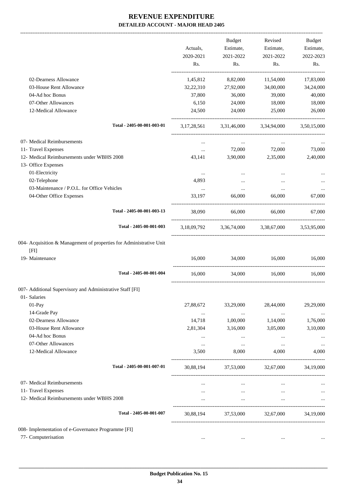-------------------------------------------------------------------------------------------------------------------------------------------------------------------------------

|                                                                             | Actuals,<br>2020-2021<br>Rs. | <b>Budget</b><br>Estimate,<br>2021-2022<br>Rs. | Revised<br>Estimate,<br>2021-2022<br>Rs.        | <b>Budget</b><br>Estimate,<br>2022-2023<br>Rs. |
|-----------------------------------------------------------------------------|------------------------------|------------------------------------------------|-------------------------------------------------|------------------------------------------------|
| 02-Dearness Allowance                                                       | 1,45,812                     | 8,82,000                                       | 11,54,000                                       | 17,83,000                                      |
| 03-House Rent Allowance                                                     | 32,22,310                    | 27,92,000                                      | 34,00,000                                       | 34,24,000                                      |
| 04-Ad hoc Bonus                                                             | 37,800                       | 36,000                                         | 39,000                                          | 40,000                                         |
| 07-Other Allowances                                                         | 6,150                        | 24,000                                         | 18,000                                          | 18,000                                         |
| 12-Medical Allowance                                                        | 24,500                       | 24,000                                         | 25,000                                          | 26,000                                         |
| Total - 2405-00-001-003-01                                                  |                              |                                                | 3,17,28,561 3,31,46,000 3,34,94,000 3,50,15,000 |                                                |
| 07- Medical Reimbursements                                                  | $\cdots$                     | $\cdots$                                       | $\cdots$                                        |                                                |
| 11- Travel Expenses                                                         | $\cdots$                     | 72,000                                         | 72,000                                          | 73,000                                         |
| 12- Medical Reimbursements under WBHS 2008                                  | 43,141                       | 3,90,000                                       | 2,35,000                                        | 2,40,000                                       |
| 13- Office Expenses                                                         |                              |                                                |                                                 |                                                |
| 01-Electricity                                                              | $\ldots$                     | $\cdots$                                       | $\cdots$                                        |                                                |
| 02-Telephone                                                                | 4,893                        | $\cdots$                                       |                                                 |                                                |
| 03-Maintenance / P.O.L. for Office Vehicles                                 | $\cdots$                     | $\cdots$                                       | $\cdots$                                        | $\ldots$                                       |
| 04-Other Office Expenses                                                    | 33,197                       | 66,000                                         | 66,000                                          | 67,000                                         |
| Total - 2405-00-001-003-13                                                  | 38,090                       | 66,000                                         | 66,000                                          | 67,000                                         |
| Total - 2405-00-001-003                                                     |                              |                                                | 3,18,09,792 3,36,74,000 3,38,67,000 3,53,95,000 |                                                |
| 004- Acquisition & Management of properties for Administrative Unit<br>[FI] |                              |                                                |                                                 |                                                |
| 19- Maintenance                                                             | 16,000                       | 34,000                                         | 16,000                                          | 16,000                                         |
| Total - 2405-00-001-004                                                     | 16,000                       |                                                | 34,000 16,000                                   | 16,000                                         |
| 007- Additional Supervisory and Administrative Staff [FI]                   |                              |                                                |                                                 |                                                |
| 01- Salaries                                                                |                              |                                                |                                                 |                                                |
| $01-Pay$                                                                    | 27,88,672                    | 33,29,000                                      | 28,44,000                                       | 29,29,000                                      |
| 14-Grade Pay                                                                | $\cdots$                     | $\ldots$                                       | $\ldots$                                        |                                                |
| 02-Dearness Allowance                                                       | 14,718                       | 1,00,000                                       | 1,14,000                                        | 1,76,000                                       |
| 03-House Rent Allowance                                                     | 2,81,304                     | 3,16,000                                       | 3,05,000                                        | 3,10,000                                       |
| 04-Ad hoc Bonus                                                             | $\cdots$                     | $\cdots$                                       | $\cdots$                                        | $\ddotsc$                                      |
| 07-Other Allowances                                                         | $\cdots$                     | $\cdots$                                       | $\cdots$                                        | $\cdots$                                       |
| 12-Medical Allowance                                                        | 3,500                        | 8,000                                          | 4,000                                           | 4,000                                          |
| Total - 2405-00-001-007-01                                                  | 30,88,194                    |                                                | 37,53,000 32,67,000                             | 34,19,000                                      |
| 07- Medical Reimbursements                                                  | $\cdots$                     | $\cdots$                                       | $\cdots$                                        |                                                |
| 11- Travel Expenses                                                         | $\cdots$                     | $\cdots$                                       | $\cdots$                                        |                                                |
| 12- Medical Reimbursements under WBHS 2008                                  | $\cdots$                     | $\cdots$                                       | $\cdots$                                        |                                                |
| Total - 2405-00-001-007                                                     | 30,88,194                    |                                                | 37,53,000 32,67,000                             | 34,19,000                                      |
| 008- Implementation of e-Governance Programme [FI]                          |                              |                                                |                                                 |                                                |
| 77- Computerisation                                                         | $\cdots$                     |                                                |                                                 |                                                |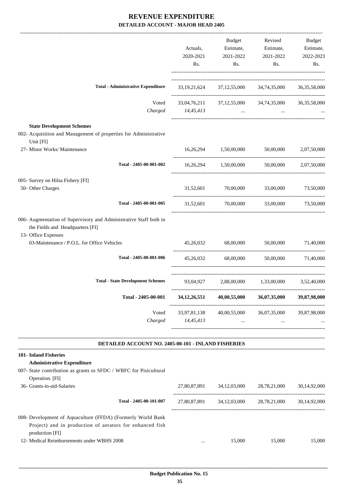|                                                                                                                                                                             | Actuals,<br>2020-2021<br>Rs. | <b>Budget</b><br>2021-2022<br>Rs. | Revised<br>Estimate, Estimate,<br>2021-2022<br>Rs.                                                           | Budget<br>Estimate,<br>2022-2023<br>Rs. |
|-----------------------------------------------------------------------------------------------------------------------------------------------------------------------------|------------------------------|-----------------------------------|--------------------------------------------------------------------------------------------------------------|-----------------------------------------|
| <b>Total - Administrative Expenditure</b>                                                                                                                                   |                              |                                   | 33,19,21,624 37,12,55,000 34,74,35,000 36,35,58,000                                                          |                                         |
| Charged                                                                                                                                                                     | $14,45,413$                  |                                   | Voted 33,04,76,211 37,12,55,000 34,74,35,000 36,35,58,000<br>$\cdots$                                        |                                         |
| <b>State Development Schemes</b><br>002- Acquisition and Management of properties for Administrative<br>Unit [FI]                                                           |                              |                                   |                                                                                                              |                                         |
| 27- Minor Works/ Maintenance                                                                                                                                                |                              | 16,26,294 1,50,00,000             | 50,00,000                                                                                                    | 2,07,50,000                             |
| Total - 2405-00-001-002                                                                                                                                                     |                              |                                   | $16,26,294$ $1,50,00,000$ $50,00,000$ $2,07,50,000$                                                          |                                         |
| 005- Survey on Hilsa Fishery [FI]<br>50- Other Charges                                                                                                                      |                              | 31,52,601 70,00,000 33,00,000     |                                                                                                              | 73,50,000                               |
| Total - 2405-00-001-005                                                                                                                                                     |                              |                                   | 31,52,601 70,00,000 33,00,000 73,50,000                                                                      |                                         |
| 006- Augmentation of Supervisory and Administrative Staff both in<br>the Fields and Headquarters [FI]<br>13- Office Expenses<br>03-Maintenance / P.O.L. for Office Vehicles |                              |                                   | 45,26,032 68,00,000 50,00,000 71,40,000                                                                      |                                         |
|                                                                                                                                                                             |                              |                                   |                                                                                                              |                                         |
| Total - 2405-00-001-006                                                                                                                                                     |                              |                                   | 45,26,032 68,00,000 50,00,000 71,40,000                                                                      |                                         |
| <b>Total - State Development Schemes</b>                                                                                                                                    |                              |                                   | 93,04,927 2,88,00,000 1,33,00,000 3,52,40,000                                                                |                                         |
| Total - 2405-00-001                                                                                                                                                         |                              |                                   | $34,12,26,551$ $40,00,55,000$ $36,07,35,000$                                                                 | 39,87,98,000                            |
| Voted<br>Charged                                                                                                                                                            | 14,45,413                    | 33,97,81,138 40,00,55,000         | 36,07,35,000<br>and the state of the state of<br>$\mathbf{a} \cdot \mathbf{a} = \mathbf{a} \cdot \mathbf{a}$ | 39,87,98,000                            |
| DETAILED ACCOUNT NO. 2405-00-101 - INLAND FISHERIES                                                                                                                         |                              |                                   |                                                                                                              |                                         |
| 101- Inland Fisheries<br><b>Administrative Expenditure</b><br>007- State contribution as grants to SFDC / WBFC for Pisicultural<br>Operation. [FI]                          |                              |                                   |                                                                                                              |                                         |
| 36- Grants-in-aid-Salaries                                                                                                                                                  |                              |                                   | 27,80,87,891 34,12,03,000 28,78,21,000                                                                       | 30,14,92,000                            |
| Total - 2405-00-101-007                                                                                                                                                     |                              |                                   | 27,80,87,891 34,12,03,000 28,78,21,000                                                                       | 30,14,92,000                            |

008- Development of Aquaculture (FFDA) (Formerly World Bank Project) and in production of aerators for enhanced fish production [FI] 12- Medical Reimbursements under WBHS 2008 ... 15,000 15,000 15,000 15,000 15,000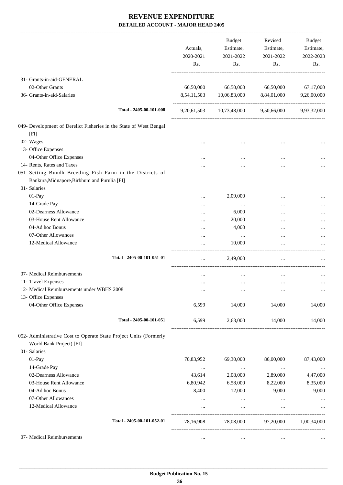|                                                                                                           | Actuals,<br>2020-2021<br>Rs. | <b>Budget</b><br>Estimate,<br>2021-2022<br>Rs. | Revised<br>Estimate,<br>2021-2022<br>Rs. | <b>Budget</b><br>Estimate,<br>2022-2023<br>Rs. |
|-----------------------------------------------------------------------------------------------------------|------------------------------|------------------------------------------------|------------------------------------------|------------------------------------------------|
| 31- Grants-in-aid-GENERAL                                                                                 |                              |                                                |                                          |                                                |
| 02-Other Grants                                                                                           | 66,50,000                    | 66,50,000                                      | 66,50,000                                | 67,17,000                                      |
| 36- Grants-in-aid-Salaries                                                                                | 8,54,11,503                  | 10,06,83,000                                   | 8,84,01,000                              | 9,26,00,000                                    |
| Total - 2405-00-101-008                                                                                   |                              | 9,20,61,503 10,73,48,000 9,50,66,000           |                                          | 9,93,32,000                                    |
| 049- Development of Derelict Fisheries in the State of West Bengal                                        |                              |                                                |                                          |                                                |
| [FI]                                                                                                      |                              |                                                |                                          |                                                |
| 02- Wages                                                                                                 |                              |                                                |                                          |                                                |
| 13- Office Expenses                                                                                       |                              |                                                |                                          |                                                |
| 04-Other Office Expenses                                                                                  |                              |                                                |                                          |                                                |
| 14- Rents, Rates and Taxes                                                                                |                              |                                                |                                          |                                                |
| 051- Setting Bundh Breeding Fish Farm in the Districts of<br>Bankura, Midnapore, Birbhum and Purulia [FI] |                              |                                                |                                          |                                                |
| 01- Salaries                                                                                              |                              |                                                |                                          |                                                |
| 01-Pay                                                                                                    |                              | 2,09,000                                       |                                          |                                                |
| 14-Grade Pay                                                                                              |                              | $\cdots$                                       |                                          |                                                |
| 02-Dearness Allowance                                                                                     |                              | 6,000                                          |                                          |                                                |
| 03-House Rent Allowance                                                                                   |                              | 20,000                                         |                                          |                                                |
| 04-Ad hoc Bonus                                                                                           |                              | 4,000                                          |                                          |                                                |
| 07-Other Allowances                                                                                       |                              | $\cdots$                                       |                                          |                                                |
| 12-Medical Allowance                                                                                      |                              | 10,000                                         | $\ddotsc$                                |                                                |
| Total - 2405-00-101-051-01                                                                                |                              | 2,49,000                                       | $\cdots$                                 |                                                |
| 07- Medical Reimbursements                                                                                |                              |                                                |                                          |                                                |
| 11- Travel Expenses                                                                                       |                              |                                                |                                          | $\cdots$                                       |
| 12- Medical Reimbursements under WBHS 2008                                                                |                              |                                                |                                          | $\cdots$                                       |
| 13- Office Expenses                                                                                       |                              |                                                |                                          |                                                |
| 04-Other Office Expenses                                                                                  | 6,599                        | 14,000                                         | 14,000                                   | 14,000                                         |
| Total - 2405-00-101-051                                                                                   | 6,599                        |                                                | 2,63,000 14,000                          | 14,000                                         |
| 052- Administrative Cost to Operate State Project Units (Formerly                                         |                              |                                                |                                          |                                                |
| World Bank Project) [FI]                                                                                  |                              |                                                |                                          |                                                |
| 01- Salaries                                                                                              |                              |                                                |                                          |                                                |
| 01-Pay                                                                                                    | 70,83,952                    | 69,30,000                                      | 86,00,000                                | 87,43,000                                      |
| 14-Grade Pay                                                                                              | $\cdots$                     | $\ldots$                                       | $\cdots$                                 | $\cdots$                                       |
| 02-Dearness Allowance                                                                                     | 43,614                       | 2,08,000                                       | 2,89,000                                 | 4,47,000                                       |
| 03-House Rent Allowance                                                                                   | 6,80,942                     | 6,58,000                                       | 8,22,000                                 | 8,35,000                                       |
| 04-Ad hoc Bonus                                                                                           | 8,400                        | 12,000                                         | 9,000                                    | 9,000                                          |
| 07-Other Allowances                                                                                       |                              | $\cdots$                                       | $\cdots$                                 |                                                |
| 12-Medical Allowance                                                                                      | $\cdots$                     | $\cdots$                                       | $\ldots$                                 | $\cdots$                                       |
| Total - 2405-00-101-052-01                                                                                |                              |                                                |                                          |                                                |
|                                                                                                           | 78,16,908                    | 78,08,000                                      | 97,20,000                                | 1,00,34,000                                    |
| 07- Medical Reimbursements                                                                                | $\cdots$                     | $\ldots$                                       | $\cdots$                                 |                                                |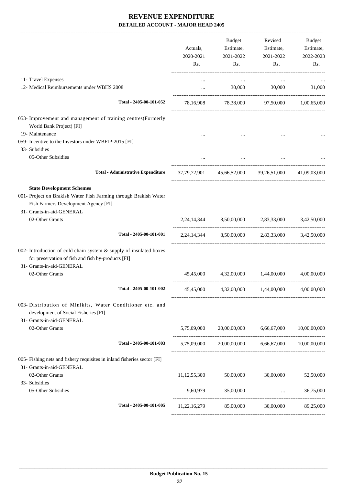|                                                                                                                                                                           | Actuals,<br>2020-2021<br>Rs. | Budget<br>Estimate,<br>2021-2022<br>Rs. | Revised<br>Estimate,<br>2021-2022<br>Rs.            | Budget<br>Estimate,<br>2022-2023<br>Rs. |
|---------------------------------------------------------------------------------------------------------------------------------------------------------------------------|------------------------------|-----------------------------------------|-----------------------------------------------------|-----------------------------------------|
| 11- Travel Expenses                                                                                                                                                       | $\cdots$                     | $\cdots$                                | $\cdots$                                            |                                         |
| 12- Medical Reimbursements under WBHS 2008                                                                                                                                | $\cdots$                     | 30,000                                  | 30,000                                              | 31,000                                  |
| Total - 2405-00-101-052                                                                                                                                                   |                              |                                         | 78,16,908 78,38,000 97,50,000 1,00,65,000           |                                         |
| 053- Improvement and management of training centres(Formerly<br>World Bank Project) [FI]                                                                                  |                              |                                         |                                                     |                                         |
| 19- Maintenance                                                                                                                                                           |                              |                                         |                                                     |                                         |
| 059- Incentive to the Investors under WBFIP-2015 [FI]<br>33- Subsidies                                                                                                    |                              |                                         |                                                     |                                         |
| 05-Other Subsidies                                                                                                                                                        |                              |                                         |                                                     |                                         |
| <b>Total - Administrative Expenditure</b>                                                                                                                                 |                              |                                         | 37,79,72,901 45,66,52,000 39,26,51,000 41,09,03,000 |                                         |
| <b>State Development Schemes</b><br>001- Project on Brakish Water Fish Farming through Brakish Water<br>Fish Farmers Development Agency [FI]<br>31- Grants-in-aid-GENERAL |                              |                                         |                                                     |                                         |
| 02-Other Grants                                                                                                                                                           |                              |                                         | 2,24,14,344 8,50,00,000 2,83,33,000 3,42,50,000     |                                         |
| Total - 2405-00-101-001                                                                                                                                                   |                              |                                         | 2,24,14,344 8,50,00,000 2,83,33,000 3,42,50,000     |                                         |
| 002- Introduction of cold chain system & supply of insulated boxes<br>for preservation of fish and fish by-products [FI]<br>31- Grants-in-aid-GENERAL                     |                              |                                         |                                                     |                                         |
| 02-Other Grants                                                                                                                                                           |                              |                                         | 45,45,000 4,32,00,000 1,44,00,000 4,00,00,000       |                                         |
| Total - 2405-00-101-002                                                                                                                                                   |                              |                                         | 45,45,000 4,32,00,000 1,44,00,000 4,00,00,000       |                                         |
| 003- Distribution of Minikits, Water Conditioner etc. and<br>development of Social Fisheries [FI]<br>31- Grants-in-aid-GENERAL                                            |                              |                                         |                                                     |                                         |
| 02-Other Grants                                                                                                                                                           | 5,75,09,000                  | 20,00,00,000                            | 6,66,67,000                                         | 10,00,00,000                            |
| Total - 2405-00-101-003                                                                                                                                                   |                              | 5,75,09,000 20,00,00,000                | 6,66,67,000                                         | 10,00,00,000                            |
| 005- Fishing nets and fishery requisites in inland fisheries sector [FI]<br>31- Grants-in-aid-GENERAL                                                                     |                              |                                         |                                                     |                                         |
| 02-Other Grants<br>33- Subsidies                                                                                                                                          | 11, 12, 55, 300              | 50,00,000                               | 30,00,000                                           | 52,50,000                               |
| 05-Other Subsidies                                                                                                                                                        | 9,60,979                     | 35,00,000                               | $\ddotsc$                                           | 36,75,000                               |
| Total - 2405-00-101-005                                                                                                                                                   | 11,22,16,279                 | 85,00,000                               | 30,00,000                                           | 89,25,000                               |
|                                                                                                                                                                           |                              |                                         |                                                     |                                         |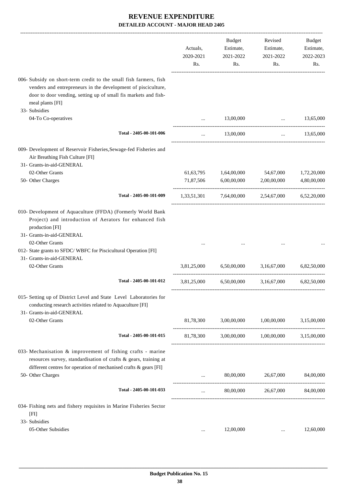|                                                                                                                                                                                                                                            | Actuals,<br>2020-2021<br>Rs. | <b>Budget</b><br>Estimate,<br>2021-2022<br>Rs. | Revised<br>Estimate,<br>2021-2022<br>Rs.        | Budget<br>Estimate,<br>2022-2023<br>Rs. |
|--------------------------------------------------------------------------------------------------------------------------------------------------------------------------------------------------------------------------------------------|------------------------------|------------------------------------------------|-------------------------------------------------|-----------------------------------------|
| 006- Subsidy on short-term credit to the small fish farmers, fish<br>venders and entrepreneurs in the development of pisciculture,<br>door to door vending, setting up of small fis markets and fish-<br>meal plants [FI]<br>33- Subsidies |                              |                                                |                                                 |                                         |
| 04-To Co-operatives                                                                                                                                                                                                                        |                              | 13,00,000                                      | $\cdots$                                        | 13,65,000                               |
| Total - 2405-00-101-006                                                                                                                                                                                                                    | $\cdots$                     | 13,00,000                                      | $\cdots$                                        | 13,65,000                               |
| 009- Development of Reservoir Fisheries, Sewage-fed Fisheries and<br>Air Breathing Fish Culture [FI]<br>31- Grants-in-aid-GENERAL                                                                                                          |                              |                                                |                                                 |                                         |
| 02-Other Grants                                                                                                                                                                                                                            |                              | 61,63,795 1,64,00,000                          | 54,67,000                                       | 1,72,20,000                             |
| 50- Other Charges                                                                                                                                                                                                                          |                              | 71,87,506 6,00,00,000                          | 2,00,00,000                                     | 4,80,00,000                             |
| Total - 2405-00-101-009                                                                                                                                                                                                                    |                              |                                                | 1,33,51,301 7,64,00,000 2,54,67,000 6,52,20,000 |                                         |
| 010- Development of Aquaculture (FFDA) (Formerly World Bank<br>Project) and introduction of Aerators for enhanced fish<br>production [FI]<br>31- Grants-in-aid-GENERAL                                                                     |                              |                                                |                                                 |                                         |
| 02-Other Grants<br>012- State grants to SFDC/WBFC for Piscicultural Operation [FI]<br>31- Grants-in-aid-GENERAL                                                                                                                            |                              |                                                |                                                 |                                         |
| 02-Other Grants                                                                                                                                                                                                                            | 3,81,25,000                  | 6,50,00,000                                    | 3,16,67,000                                     | 6,82,50,000                             |
| Total - 2405-00-101-012                                                                                                                                                                                                                    | 3,81,25,000                  | 6,50,00,000                                    | 3,16,67,000                                     | 6,82,50,000                             |
| 015- Setting up of District Level and State Level Laboratories for<br>conducting research activities related to Aquaculture [FI]<br>31- Grants-in-aid-GENERAL                                                                              |                              |                                                |                                                 |                                         |
| 02-Other Grants                                                                                                                                                                                                                            | 81,78,300                    | 3,00,00,000                                    | 1,00,00,000                                     | 3,15,00,000                             |
| Total - 2405-00-101-015                                                                                                                                                                                                                    |                              |                                                | 81,78,300 3,00,00,000 1,00,00,000 3,15,00,000   |                                         |
| 033- Mechanisation $&$ improvement of fishing crafts - marine<br>resources survey, standardisation of crafts & gears, training at<br>different centres for operation of mechanised crafts & gears [FI]                                     |                              |                                                |                                                 |                                         |
| 50- Other Charges                                                                                                                                                                                                                          | $\cdots$                     | 80,00,000                                      | 26,67,000                                       | 84,00,000                               |
| Total - 2405-00-101-033                                                                                                                                                                                                                    | $\cdots$                     |                                                | 80,00,000 26,67,000 84,00,000                   |                                         |
| 034- Fishing nets and fishery requisites in Marine Fisheries Sector<br>[FI]                                                                                                                                                                |                              |                                                |                                                 |                                         |
| 33- Subsidies                                                                                                                                                                                                                              |                              |                                                |                                                 |                                         |
| 05-Other Subsidies                                                                                                                                                                                                                         | $\cdots$                     | 12,00,000                                      |                                                 | 12,60,000                               |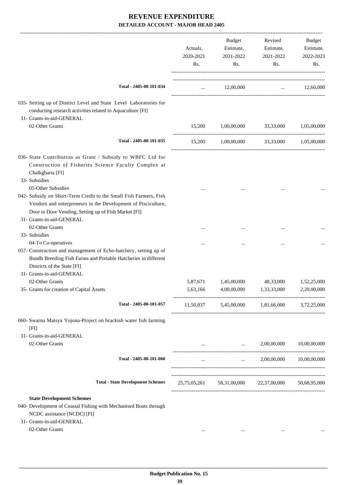|                                                                                                                                                                                                                                               | Actuals,<br>2020-2021<br>Rs. | Budget<br>Estimate,<br>2021-2022<br>Rs. | Revised<br>Estimate,<br>2021-2022<br>Rs.            | Budget<br>Estimate,<br>2022-2023<br>Rs. |
|-----------------------------------------------------------------------------------------------------------------------------------------------------------------------------------------------------------------------------------------------|------------------------------|-----------------------------------------|-----------------------------------------------------|-----------------------------------------|
| Total - 2405-00-101-034                                                                                                                                                                                                                       |                              | 12,00,000<br>$\mathbf{1}$               |                                                     | $\ldots$ 12,60,000                      |
| 035- Setting up of District Level and State Level Laboratories for<br>conducting research activities related to Aquaculture [FI]<br>31- Grants-in-aid-GENERAL                                                                                 |                              |                                         |                                                     |                                         |
| 02-Other Grants                                                                                                                                                                                                                               | 15,200                       | 1,00,00,000                             | 33,33,000                                           | 1,05,00,000                             |
| Total - 2405-00-101-035                                                                                                                                                                                                                       | 15,200                       | 1,00,00,000                             | 33,33,000                                           | 1,05,00,000                             |
| 036- State Contribution as Grant / Subsidy to WBFC Ltd for<br>Construction of Fisheries Science Faculty Complex at<br>Chalkgharia [FI]<br>33- Subsidies                                                                                       |                              |                                         |                                                     |                                         |
| 05-Other Subsidies<br>042- Subsidy on Short-Term Credit to the Small Fish Farmers, Fish<br>Vendors and enterpreneurs in the Development of Pisciculture,<br>Door to Door Vending, Setting up of Fish Market [FI]<br>31- Grants-in-aid-GENERAL |                              |                                         |                                                     |                                         |
| 02-Other Grants<br>33- Subsidies                                                                                                                                                                                                              |                              |                                         |                                                     |                                         |
| 04-To Co-operatives<br>057- Construction and management of Echo-hatchery, setting up of<br>Bundh Breeding Fish Farms and Portable Hatcheries in different<br>Districts of the State [FI]                                                      |                              |                                         |                                                     |                                         |
| 31- Grants-in-aid-GENERAL<br>02-Other Grants                                                                                                                                                                                                  | 5,87,671                     | 1,45,00,000                             | 48,33,000                                           | 1,52,25,000                             |
| 35- Grants for creation of Capital Assets                                                                                                                                                                                                     | 5,63,166                     | 4,00,00,000                             | 1,33,33,000                                         | 2,20,00,000                             |
| Total - 2405-00-101-057                                                                                                                                                                                                                       |                              |                                         | 11,50,837 5,45,00,000 1,81,66,000 3,72,25,000       |                                         |
| 060- Swarna Matsya Yojona-Project on brackish water fish farming<br>[FI]                                                                                                                                                                      |                              |                                         |                                                     |                                         |
| 31- Grants-in-aid-GENERAL<br>02-Other Grants                                                                                                                                                                                                  | $\cdots$                     | $\mathbf{r}$ and $\mathbf{r}$           | 2,00,00,000                                         | 10,00,00,000                            |
| Total - 2405-00-101-060                                                                                                                                                                                                                       | $\cdots$                     | $\cdots$ . The same of $\cdots$         | 2,00,00,000                                         | 10,00,00,000                            |
| <b>Total - State Development Schemes</b>                                                                                                                                                                                                      |                              |                                         | 25,75,05,261 58,31,00,000 22,37,00,000 50,68,95,000 |                                         |
| <b>State Development Schemes</b><br>040- Development of Coastal Fishing with Mechanised Boats through<br>NCDC assistance (NCDC) [FI]<br>31- Grants-in-aid-GENERAL<br>02-Other Grants                                                          | $\cdots$                     | $\cdots$                                | $\cdots$                                            |                                         |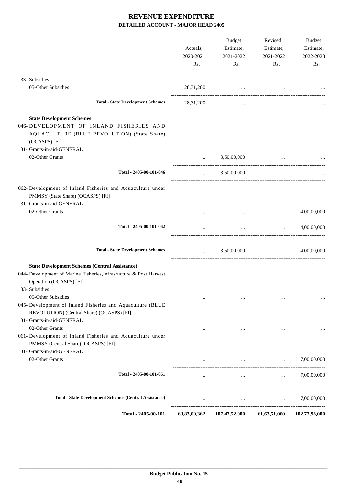|                                                                                                                                                                          | Actuals,<br>2020-2021<br>Rs.                   | Budget<br>Estimate,<br>2021-2022<br>Rs. | Revised<br>Estimate,<br>2021-2022<br>Rs.                                                                                                                                                                                                                                                                                                                                                                                                                           | Budget<br>Estimate,<br>2022-2023<br>Rs.                       |
|--------------------------------------------------------------------------------------------------------------------------------------------------------------------------|------------------------------------------------|-----------------------------------------|--------------------------------------------------------------------------------------------------------------------------------------------------------------------------------------------------------------------------------------------------------------------------------------------------------------------------------------------------------------------------------------------------------------------------------------------------------------------|---------------------------------------------------------------|
| 33- Subsidies                                                                                                                                                            |                                                |                                         |                                                                                                                                                                                                                                                                                                                                                                                                                                                                    |                                                               |
| 05-Other Subsidies                                                                                                                                                       | 28,31,200                                      | the contract of the contract of the     |                                                                                                                                                                                                                                                                                                                                                                                                                                                                    |                                                               |
| <b>Total - State Development Schemes</b>                                                                                                                                 | 28, 31, 200                                    | $\ddotsc$                               | $\cdots$                                                                                                                                                                                                                                                                                                                                                                                                                                                           |                                                               |
| <b>State Development Schemes</b><br>046-DEVELOPMENT OF INLAND FISHERIES AND<br>AQUACULTURE (BLUE REVOLUTION) (State Share)<br>(OCASPS) [FI]<br>31- Grants-in-aid-GENERAL |                                                |                                         |                                                                                                                                                                                                                                                                                                                                                                                                                                                                    |                                                               |
| 02-Other Grants                                                                                                                                                          | $\cdots$                                       | 3,50,00,000                             |                                                                                                                                                                                                                                                                                                                                                                                                                                                                    |                                                               |
| Total - 2405-00-101-046                                                                                                                                                  | $\cdots$                                       | 3,50,00,000                             | $\ddotsc$                                                                                                                                                                                                                                                                                                                                                                                                                                                          |                                                               |
| 062- Development of Inland Fisheries and Aquaculture under<br>PMMSY (State Share) (OCASPS) [FI]<br>31- Grants-in-aid-GENERAL                                             |                                                |                                         |                                                                                                                                                                                                                                                                                                                                                                                                                                                                    |                                                               |
| 02-Other Grants                                                                                                                                                          |                                                |                                         | $\mathbf{m}$ and $\mathbf{m}$                                                                                                                                                                                                                                                                                                                                                                                                                                      | 4,00,00,000                                                   |
| Total - 2405-00-101-062                                                                                                                                                  |                                                | $\cdots$                                | $\mathbf{r}$ and $\mathbf{r}$ and $\mathbf{r}$                                                                                                                                                                                                                                                                                                                                                                                                                     | 4,00,00,000                                                   |
| <b>Total - State Development Schemes</b>                                                                                                                                 | $\mathbf{r}$ and $\mathbf{r}$ and $\mathbf{r}$ | 3,50,00,000                             |                                                                                                                                                                                                                                                                                                                                                                                                                                                                    | $\ldots$ 4,00,00,000                                          |
| <b>State Development Schemes (Central Assistance)</b><br>044- Development of Marine Fisheries, Infrasructure & Post Harvest<br>Operation (OCASPS) [FI]<br>33- Subsidies  |                                                |                                         |                                                                                                                                                                                                                                                                                                                                                                                                                                                                    |                                                               |
| 05-Other Subsidies<br>045- Development of Inland Fisheries and Aquaculture (BLUE<br>REVOLUTION) (Central Share) (OCASPS) [FI]                                            |                                                |                                         | $\cdots$                                                                                                                                                                                                                                                                                                                                                                                                                                                           | $\cdots$                                                      |
| 31- Grants-in-aid-GENERAL<br>02-Other Grants                                                                                                                             | $\cdots$                                       | $\cdots$                                |                                                                                                                                                                                                                                                                                                                                                                                                                                                                    |                                                               |
| 061- Development of Inland Fisheries and Aquaculture under<br>PMMSY (Central Share) (OCASPS) [FI]<br>31- Grants-in-aid-GENERAL                                           |                                                |                                         |                                                                                                                                                                                                                                                                                                                                                                                                                                                                    |                                                               |
| 02-Other Grants                                                                                                                                                          | $\cdots$                                       |                                         | <b>Sales Control</b><br>$\mathbf{1}_{\mathbf{1}_{\mathbf{1}_{\mathbf{2}}\mathbf{1}_{\mathbf{3}}\mathbf{1}_{\mathbf{4}}\mathbf{1}_{\mathbf{5}}\mathbf{1}_{\mathbf{6}}\mathbf{1}_{\mathbf{7}}\mathbf{1}_{\mathbf{8}}\mathbf{1}_{\mathbf{9}}\mathbf{1}_{\mathbf{1}_{\mathbf{1}}\mathbf{1}_{\mathbf{1}}\mathbf{1}_{\mathbf{1}}\mathbf{1}_{\mathbf{1}}\mathbf{1}_{\mathbf{1}}\mathbf{1}_{\mathbf{1}}\mathbf{1}_{\mathbf{1}}\mathbf{1}_{\mathbf{1}}\mathbf{1}_{\mathbf{$ | 7,00,00,000                                                   |
| Total - 2405-00-101-061                                                                                                                                                  | $\cdots$                                       | $\cdots$                                |                                                                                                                                                                                                                                                                                                                                                                                                                                                                    | 7,00,00,000<br>$\mathbf{1}$ and $\mathbf{1}$ and $\mathbf{1}$ |
| <b>Total - State Development Schemes (Central Assistance)</b>                                                                                                            |                                                |                                         | <b>Contract Contract Contract</b><br><b>Contract Contract Contract</b>                                                                                                                                                                                                                                                                                                                                                                                             | 7,00,00,000                                                   |
| Total - 2405-00-101                                                                                                                                                      | 63,83,09,362                                   | 107,47,52,000 61,63,51,000              |                                                                                                                                                                                                                                                                                                                                                                                                                                                                    | 102,77,98,000                                                 |
|                                                                                                                                                                          |                                                |                                         |                                                                                                                                                                                                                                                                                                                                                                                                                                                                    |                                                               |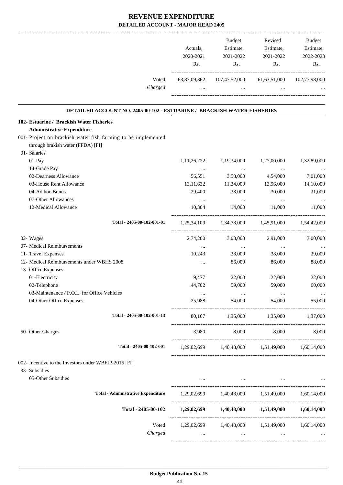|                                                                                | Actuals,<br>2020-2021<br>Rs. | Budget<br>Estimate,<br>2021-2022<br>Rs.                                                             | Revised<br>Estimate,<br>2021-2022<br>Rs.             | <b>Budget</b><br>Estimate,<br>2022-2023<br>Rs. |
|--------------------------------------------------------------------------------|------------------------------|-----------------------------------------------------------------------------------------------------|------------------------------------------------------|------------------------------------------------|
| Voted<br>Charged                                                               | 63,83,09,362<br>$\cdots$     | $\sim$ $\sim$                                                                                       | 107,47,52,000 61,63,51,000 102,77,98,000<br>$\cdots$ |                                                |
| <b>DETAILED ACCOUNT NO. 2405-00-102 - ESTUARINE / BRACKISH WATER FISHERIES</b> |                              |                                                                                                     |                                                      |                                                |
| 102- Estuarine / Brackish Water Fisheries                                      |                              |                                                                                                     |                                                      |                                                |
| <b>Administrative Expenditure</b>                                              |                              |                                                                                                     |                                                      |                                                |
| 001- Project on brackish water fish farming to be implemented                  |                              |                                                                                                     |                                                      |                                                |
| through brakish water (FFDA) [FI]                                              |                              |                                                                                                     |                                                      |                                                |
| 01- Salaries                                                                   |                              |                                                                                                     |                                                      |                                                |
| 01-Pay                                                                         | 1,11,26,222                  | 1,19,34,000                                                                                         | 1,27,00,000                                          | 1,32,89,000                                    |
| 14-Grade Pay                                                                   | $\cdots$                     | $\sim$ 1000 $\mu$                                                                                   | $\ldots$                                             |                                                |
| 02-Dearness Allowance                                                          | 56,551                       | 3,58,000                                                                                            | 4,54,000                                             | 7,01,000                                       |
| 03-House Rent Allowance                                                        | 13,11,632                    | 11,34,000                                                                                           | 13,96,000                                            | 14,10,000                                      |
| 04-Ad hoc Bonus                                                                | 29,400                       | 38,000                                                                                              | 30,000                                               | 31,000                                         |
| 07-Other Allowances                                                            | $\cdots$                     | $\cdots$                                                                                            | $\cdots$                                             | $\ldots$                                       |
| 12-Medical Allowance                                                           | 10,304                       | 14,000                                                                                              | 11,000                                               | 11,000                                         |
| Total - 2405-00-102-001-01                                                     |                              | 1,25,34,109 1,34,78,000 1,45,91,000 1,54,42,000                                                     |                                                      |                                                |
| 02- Wages                                                                      | 2,74,200                     | 3,03,000                                                                                            | 2,91,000                                             | 3,00,000                                       |
| 07- Medical Reimbursements                                                     | $\cdots$                     | $\ldots$                                                                                            | $\ldots$                                             |                                                |
| 11- Travel Expenses                                                            | 10,243                       | 38,000                                                                                              | 38,000                                               | 39,000                                         |
| 12- Medical Reimbursements under WBHS 2008                                     | $\cdots$                     | 86,000                                                                                              | 86,000                                               | 88,000                                         |
| 13- Office Expenses                                                            |                              |                                                                                                     |                                                      |                                                |
| 01-Electricity                                                                 | 9,477                        | 22,000                                                                                              | 22,000                                               | 22,000                                         |
| 02-Telephone                                                                   | 44,702                       | 59,000                                                                                              | 59,000                                               | 60,000                                         |
| 03-Maintenance / P.O.L. for Office Vehicles                                    |                              |                                                                                                     |                                                      |                                                |
| 04-Other Office Expenses                                                       | 25,988                       | 54,000                                                                                              | 54,000                                               | 55,000                                         |
| Total - 2405-00-102-001-13                                                     | 80,167                       | 1,35,000 1,35,000                                                                                   |                                                      | 1,37,000                                       |
| 50- Other Charges                                                              | 3,980                        | 8,000 8,000                                                                                         |                                                      | 8,000                                          |
| Total - 2405-00-102-001                                                        |                              | 1,29,02,699 1,40,48,000 1,51,49,000 1,60,14,000                                                     |                                                      |                                                |
| 002- Incentive to the Investors under WBFIP-2015 [FI]                          |                              |                                                                                                     |                                                      |                                                |
| 33- Subsidies                                                                  |                              |                                                                                                     |                                                      |                                                |
| 05-Other Subsidies                                                             |                              | and the contract of the contract of the contract of the contract of the contract of the contract of |                                                      |                                                |
| <b>Total - Administrative Expenditure</b>                                      |                              | 1,29,02,699 1,40,48,000 1,51,49,000 1,60,14,000                                                     |                                                      |                                                |
| Total - 2405-00-102                                                            |                              | $1,29,02,699$ $1,40,48,000$ $1,51,49,000$ $1,60,14,000$                                             |                                                      |                                                |
| Voted                                                                          |                              | 1,29,02,699 1,40,48,000 1,51,49,000                                                                 |                                                      | 1,60,14,000                                    |
| Charged                                                                        | $\cdots$                     |                                                                                                     | $\cdots$                                             |                                                |

-----------------------------------------------------------------------------------------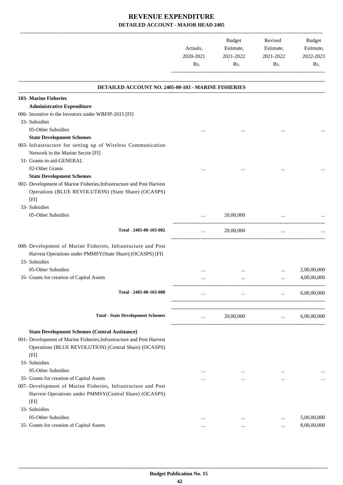|                                                                        | Actuals,<br>2020-2021<br>Rs. | Budget<br>Estimate,<br>2021-2022<br>Rs. | Revised<br>Estimate,<br>2021-2022<br>Rs. | Budget<br>Estimate,<br>2022-2023<br>Rs. |
|------------------------------------------------------------------------|------------------------------|-----------------------------------------|------------------------------------------|-----------------------------------------|
|                                                                        |                              |                                         |                                          |                                         |
| DETAILED ACCOUNT NO. 2405-00-103 - MARINE FISHERIES                    |                              |                                         |                                          |                                         |
| 103- Marine Fisheries                                                  |                              |                                         |                                          |                                         |
| <b>Administrative Expenditure</b>                                      |                              |                                         |                                          |                                         |
| 006- Incentive to the Investors under WBFIP-2015 [FI]<br>33- Subsidies |                              |                                         |                                          |                                         |
| 05-Other Subsidies                                                     |                              |                                         |                                          |                                         |
| <b>State Development Schemes</b>                                       |                              |                                         |                                          |                                         |
| 003- Infrastructure for setting up of Wireless Communication           |                              |                                         |                                          |                                         |
| Network in the Marine Sector [FI]                                      |                              |                                         |                                          |                                         |
| 31- Grants-in-aid-GENERAL                                              |                              |                                         |                                          |                                         |
| 02-Other Grants                                                        |                              |                                         |                                          |                                         |
| <b>State Development Schemes</b>                                       |                              |                                         |                                          |                                         |
| 002- Development of Marine Fisheries, Infrastructure and Post Harvest  |                              |                                         |                                          |                                         |
| Operations (BLUE REVOLUTION) (State Share) (OCASPS)                    |                              |                                         |                                          |                                         |
| [FI]                                                                   |                              |                                         |                                          |                                         |
| 33- Subsidies                                                          |                              |                                         |                                          |                                         |
| 05-Other Subsidies                                                     |                              | 20,00,000                               |                                          |                                         |
|                                                                        |                              |                                         |                                          |                                         |
| Total - 2405-00-103-002                                                | $\cdots$                     | 20,00,000                               | $\ldots$                                 |                                         |
| 008- Development of Marine Fisheries, Infrastructure and Post          |                              |                                         |                                          |                                         |
| Harvest Operations under PMMSY(State Share) (OCASPS) [FI]              |                              |                                         |                                          |                                         |
| 33- Subsidies                                                          |                              |                                         |                                          |                                         |
| 05-Other Subsidies                                                     |                              |                                         |                                          | 2,00,00,000                             |
| 35- Grants for creation of Capital Assets                              |                              |                                         |                                          | 4,00,00,000                             |
|                                                                        |                              |                                         | $\cdots$                                 |                                         |
| Total - 2405-00-103-008                                                |                              |                                         |                                          | 6,00,00,000                             |
| <b>Total - State Development Schemes</b>                               | $\cdots$                     | 20,00,000                               | $\cdots$                                 | 6,00,00,000                             |
|                                                                        |                              |                                         |                                          |                                         |
| <b>State Development Schemes (Central Assistance)</b>                  |                              |                                         |                                          |                                         |
| 001- Development of Marine Fisheries, Infrastructure and Post Harvest  |                              |                                         |                                          |                                         |
| Operations (BLUE REVOLUTION) (Central Share) (OCASPS)                  |                              |                                         |                                          |                                         |
| [FI]                                                                   |                              |                                         |                                          |                                         |
| 33- Subsidies                                                          |                              |                                         |                                          |                                         |
| 05-Other Subsidies                                                     | $\cdots$                     | $\cdots$                                |                                          |                                         |
| 35- Grants for creation of Capital Assets                              | $\cdots$                     | $\cdots$                                | $\cdots$                                 | $\cdots$                                |
| 007- Development of Marine Fisheries, Infrastructure and Post          |                              |                                         |                                          |                                         |
| Harvest Operations under PMMSY(Central Share) (OCASPS)                 |                              |                                         |                                          |                                         |
| [FI]                                                                   |                              |                                         |                                          |                                         |
| 33- Subsidies                                                          |                              |                                         |                                          |                                         |
| 05-Other Subsidies                                                     | $\cdots$                     |                                         |                                          | 5,00,00,000                             |

35- Grants for creation of Capital Assets ... ... ... ... 8,00,00,000 ... ... ... 8,00,00,000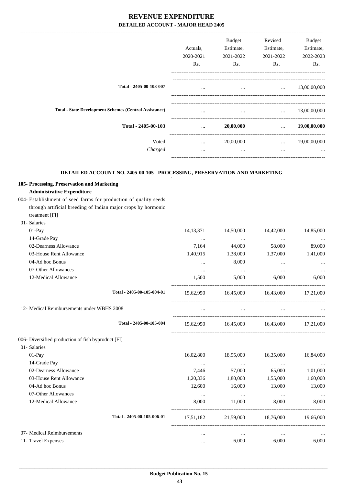|                                                                           | Actuals,<br>2020-2021<br>Rs. | Budget<br>Estimate,<br>2021-2022<br>Rs. | Revised<br>Estimate,<br>2021-2022<br>Rs.                                                                                                                                                    | Budget<br>Estimate,<br>2022-2023<br>Rs. |
|---------------------------------------------------------------------------|------------------------------|-----------------------------------------|---------------------------------------------------------------------------------------------------------------------------------------------------------------------------------------------|-----------------------------------------|
| Total - 2405-00-103-007                                                   | $\cdots$                     | $\cdots$                                |                                                                                                                                                                                             | $\ldots$ 13,00,00,000                   |
| <b>Total - State Development Schemes (Central Assistance)</b>             |                              | $\cdots$                                | $\mathbf{1}$                                                                                                                                                                                | 13,00,00,000                            |
| Total - 2405-00-103                                                       | $\cdots$                     | 20,00,000                               | $\mathbf{r}$ , and $\mathbf{r}$                                                                                                                                                             | 19,00,00,000                            |
|                                                                           |                              |                                         |                                                                                                                                                                                             |                                         |
| Voted                                                                     | $\cdots$                     | 20,00,000                               | $\mathbf{1}_{\mathbf{1}_{\mathbf{2}}\mathbf{3}_{\mathbf{3}}\mathbf{4}_{\mathbf{4}}\mathbf{5}_{\mathbf{5}_{\mathbf{5}}\mathbf{6}_{\mathbf{6}}\mathbf{6}_{\mathbf{7}}\mathbf{6}_{\mathbf{8}}$ | 19,00,00,000                            |
| Charged                                                                   | $\cdots$                     | $\cdots$                                | $\cdots$                                                                                                                                                                                    |                                         |
| DETAILED ACCOUNT NO. 2405-00-105 - PROCESSING, PRESERVATION AND MARKETING |                              |                                         |                                                                                                                                                                                             |                                         |
| 105- Processing, Preservation and Marketing                               |                              |                                         |                                                                                                                                                                                             |                                         |
| <b>Administrative Expenditure</b>                                         |                              |                                         |                                                                                                                                                                                             |                                         |
| 004- Establishment of seed farms for production of quality seeds          |                              |                                         |                                                                                                                                                                                             |                                         |
| through artificial breeding of Indian major crops by hormonic             |                              |                                         |                                                                                                                                                                                             |                                         |
| treatment [FI]                                                            |                              |                                         |                                                                                                                                                                                             |                                         |
| 01- Salaries                                                              |                              |                                         |                                                                                                                                                                                             |                                         |
| 01-Pay                                                                    | 14, 13, 371                  | 14,50,000                               | 14,42,000                                                                                                                                                                                   | 14,85,000                               |
| 14-Grade Pay                                                              |                              | $\ldots$                                | $\cdots$                                                                                                                                                                                    |                                         |
| 02-Dearness Allowance                                                     | 7,164                        | 44,000                                  | 58,000                                                                                                                                                                                      | 89,000                                  |
| 03-House Rent Allowance                                                   | 1,40,915                     | 1,38,000                                | 1,37,000                                                                                                                                                                                    | 1,41,000                                |
| 04-Ad hoc Bonus                                                           | $\cdots$                     | 8,000                                   | $\cdots$                                                                                                                                                                                    |                                         |
| 07-Other Allowances                                                       | $\cdots$                     | $\cdots$                                | $\ddotsc$                                                                                                                                                                                   |                                         |
| 12-Medical Allowance                                                      | 1,500                        | 5,000                                   | 6,000                                                                                                                                                                                       | 6,000                                   |
| Total - 2405-00-105-004-01                                                | 15,62,950                    | 16,45,000 16,43,000                     |                                                                                                                                                                                             | 17,21,000                               |
| 12- Medical Reimbursements under WBHS 2008                                |                              | $\cdots$                                | $\cdots$                                                                                                                                                                                    |                                         |
| Total - 2405-00-105-004                                                   | 15,62,950                    | 16,45,000 16,43,000                     |                                                                                                                                                                                             | 17,21,000                               |
| 006- Diversified production of fish byproduct [FI]                        |                              |                                         |                                                                                                                                                                                             |                                         |
| 01- Salaries                                                              |                              |                                         |                                                                                                                                                                                             |                                         |
| 01-Pay                                                                    | 16,02,800                    | 18,95,000                               | 16,35,000                                                                                                                                                                                   | 16,84,000                               |
| 14-Grade Pay                                                              | $\cdots$                     | $\cdots$                                | $\cdots$                                                                                                                                                                                    |                                         |
| 02-Dearness Allowance                                                     | 7,446                        | 57,000                                  | 65,000                                                                                                                                                                                      | 1,01,000                                |
| 03-House Rent Allowance                                                   | 1,20,336                     | 1,80,000                                | 1,55,000                                                                                                                                                                                    | 1,60,000                                |
| 04-Ad hoc Bonus                                                           | 12,600                       | 16,000                                  | 13,000                                                                                                                                                                                      | 13,000                                  |
| 07-Other Allowances                                                       | $\cdots$                     | $\sim$ $\sim$ $\sim$                    | $\ldots$                                                                                                                                                                                    | $\ldots$                                |
| 12-Medical Allowance                                                      | 8,000                        | 11,000                                  | 8,000                                                                                                                                                                                       | 8,000                                   |
| Total - 2405-00-105-006-01                                                |                              | 17,51,182 21,59,000 18,76,000 19,66,000 |                                                                                                                                                                                             |                                         |
| 07- Medical Reimbursements                                                | $\cdots$                     | $\ldots$                                | $\cdots$                                                                                                                                                                                    |                                         |
| 11- Travel Expenses                                                       | $\cdots$                     | 6,000                                   | 6,000                                                                                                                                                                                       | 6,000                                   |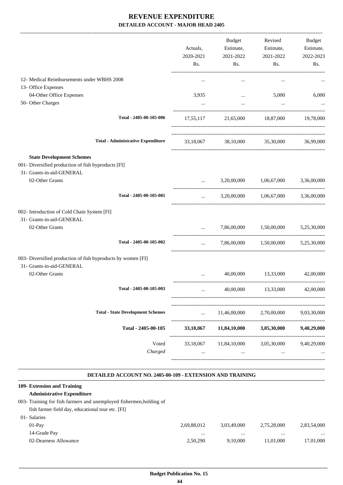| $\ddotsc$<br>3,935 | $\cdots$<br>$\cdots$<br>$\cdots$<br>17,55,117 21,65,000 18,87,000 19,78,000<br>33,18,067 38,10,000 35,30,000 36,99,000 | $\cdots$<br>5,000       | 6,000                                                                                                                                                                                                              |
|--------------------|------------------------------------------------------------------------------------------------------------------------|-------------------------|--------------------------------------------------------------------------------------------------------------------------------------------------------------------------------------------------------------------|
|                    |                                                                                                                        |                         |                                                                                                                                                                                                                    |
|                    |                                                                                                                        |                         |                                                                                                                                                                                                                    |
|                    |                                                                                                                        |                         |                                                                                                                                                                                                                    |
|                    |                                                                                                                        |                         |                                                                                                                                                                                                                    |
|                    |                                                                                                                        |                         |                                                                                                                                                                                                                    |
|                    |                                                                                                                        |                         |                                                                                                                                                                                                                    |
|                    |                                                                                                                        |                         |                                                                                                                                                                                                                    |
|                    |                                                                                                                        |                         |                                                                                                                                                                                                                    |
|                    |                                                                                                                        |                         |                                                                                                                                                                                                                    |
| $\cdots$           |                                                                                                                        |                         |                                                                                                                                                                                                                    |
|                    |                                                                                                                        |                         |                                                                                                                                                                                                                    |
|                    |                                                                                                                        |                         |                                                                                                                                                                                                                    |
| $\cdots$           |                                                                                                                        |                         | 5,25,30,000                                                                                                                                                                                                        |
| $\cdots$           |                                                                                                                        |                         |                                                                                                                                                                                                                    |
|                    |                                                                                                                        |                         |                                                                                                                                                                                                                    |
|                    |                                                                                                                        |                         |                                                                                                                                                                                                                    |
|                    |                                                                                                                        |                         |                                                                                                                                                                                                                    |
| $\cdots$           | 11,46,00,000                                                                                                           | 2,70,00,000             | 9,03,30,000                                                                                                                                                                                                        |
|                    | 11,84,10,000                                                                                                           | 3,05,30,000             | 9,40,29,000                                                                                                                                                                                                        |
| $\ddotsc$          | 11,84,10,000<br>                                                                                                       | 3,05,30,000<br>$\cdots$ | 9,40,29,000                                                                                                                                                                                                        |
|                    | 33,18,067<br>33,18,067                                                                                                 |                         | 3,20,00,000 1,06,67,000 3,36,00,000<br>3,20,00,000 1,06,67,000 3,36,00,000<br>7,86,00,000 1,50,00,000<br>7,86,00,000   1,50,00,000   5,25,30,000<br>40,00,000 13,33,000 42,00,000<br>40,00,000 13,33,000 42,00,000 |

#### **DETAILED ACCOUNT NO. 2405-00-109 - EXTENSION AND TRAINING .**

.

#### **109- Extension and Training**

| <b>Administrative Expenditure</b>                                   |             |             |             |             |
|---------------------------------------------------------------------|-------------|-------------|-------------|-------------|
| 003- Training for fish farmers and unemployed fishermen, holding of |             |             |             |             |
| fish farmer field day, educational tour etc. [FI]                   |             |             |             |             |
| 01- Salaries                                                        |             |             |             |             |
| $01-Pav$                                                            | 2,69,88,012 | 3.03.49.000 | 2.75.28.000 | 2,83,54,000 |
| 14-Grade Pay                                                        | $\cdots$    | $\cdots$    | $\cdots$    | $\cdots$    |
| 02-Dearness Allowance                                               | 2.50.290    | 9.10.000    | 11.01.000   | 17,01,000   |
|                                                                     |             |             |             |             |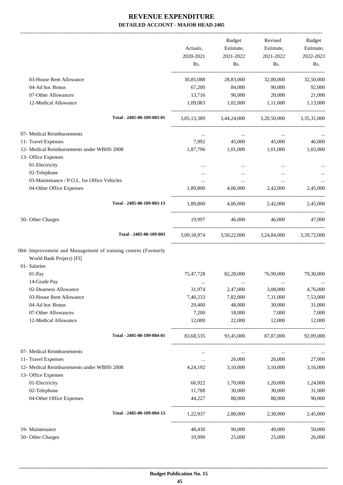|                                                               |            | Budget            | Revised                                         | Budget    |
|---------------------------------------------------------------|------------|-------------------|-------------------------------------------------|-----------|
|                                                               | Actuals,   | Estimate,         | Estimate,                                       | Estimate, |
|                                                               | 2020-2021  | 2021-2022         | 2021-2022                                       | 2022-2023 |
|                                                               | Rs.        | Rs.               | Rs.                                             | Rs.       |
| 03-House Rent Allowance                                       | 30,85,088  | 28,83,000         | 32,00,000                                       | 32,50,000 |
| 04-Ad hoc Bonus                                               | 67,200     | 84,000            | 90,000                                          | 92,000    |
| 07-Other Allowances                                           | 13,716     | 96,000            | 20,000                                          | 21,000    |
| 12-Medical Allowance                                          | 1,09,083   | 1,02,000 1,11,000 |                                                 | 1,13,000  |
| Total - 2405-00-109-003-01                                    |            |                   | 3,05,13,389 3,44,24,000 3,20,50,000 3,35,31,000 |           |
| 07- Medical Reimbursements                                    | $\ldots$   | $\cdots$          | $\cdots$                                        |           |
| 11- Travel Expenses                                           | 7,992      | 45,000            | 45,000                                          | 46,000    |
| 12- Medical Reimbursements under WBHS 2008                    | 1,87,796   | 1,01,000          | 1,01,000                                        | 1,03,000  |
| 13- Office Expenses                                           |            |                   |                                                 |           |
| 01-Electricity                                                | $\cdots$   |                   |                                                 |           |
| 02-Telephone                                                  |            |                   |                                                 |           |
| 03-Maintenance / P.O.L. for Office Vehicles                   | $\cdots$   | $\cdots$          | $\cdots$                                        |           |
| 04-Other Office Expenses                                      | 1,89,800   | 4,06,000          | 2,42,000                                        | 2,45,000  |
| Total - 2405-00-109-003-13                                    | 1,89,800   |                   | 4,06,000 2,42,000 2,45,000                      |           |
| 50- Other Charges                                             |            |                   | 19,997 46,000 46,000                            | 47,000    |
| Total - 2405-00-109-003                                       |            |                   | 3,09,18,974 3,50,22,000 3,24,84,000 3,39,72,000 |           |
| 004- Improvement and Management of training centres (Formerly |            |                   |                                                 |           |
| World Bank Project) [FI]                                      |            |                   |                                                 |           |
| 01- Salaries                                                  |            |                   |                                                 |           |
| 01-Pay                                                        | 75,47,728  | 82,28,000         | 76,99,000                                       | 79,30,000 |
| 14-Grade Pay                                                  |            |                   |                                                 |           |
| 02-Dearness Allowance                                         | 31,974     | 2,47,000          | 3,08,000                                        | 4,76,000  |
| 03-House Rent Allowance                                       | 7,40,233   | 7,82,000          | 7,31,000                                        | 7,53,000  |
| 04-Ad hoc Bonus                                               | 29,400     | 48,000            | 30,000                                          | 31,000    |
| 07-Other Allowances                                           | 7,200      | 18,000            | 7,000                                           | 7,000     |
| 12-Medical Allowance                                          | 12,000     | 22,000            | 12,000                                          | 12,000    |
| Total - 2405-00-109-004-01                                    | 83,68,535  | 93,45,000         | 87,87,000                                       | 92,09,000 |
| 07- Medical Reimbursements                                    | $\cdots$   | $\ldots$          | $\cdots$                                        |           |
| 11- Travel Expenses                                           | $\cdots$   | 26,000            | 26,000                                          | 27,000    |
| 12- Medical Reimbursements under WBHS 2008                    | 4, 24, 192 | 3,10,000          | 3,10,000                                        | 3,16,000  |
| 13- Office Expenses                                           |            |                   |                                                 |           |
| 01-Electricity                                                | 66,922     | 1,70,000          | 1,20,000                                        | 1,24,000  |
| 02-Telephone                                                  | 11,788     | 30,000            | 30,000                                          | 31,000    |
| 04-Other Office Expenses                                      | 44,227     | 88,000            | 88,000                                          | 90,000    |
| Total - 2405-00-109-004-13                                    | 1,22,937   | 2,88,000          | 2,38,000                                        | 2,45,000  |
| 19- Maintenance                                               | 48,430     | 90,000            | 49,000                                          | 50,000    |
| 50- Other Charges                                             | 10,990     | 25,000            | 25,000                                          | 26,000    |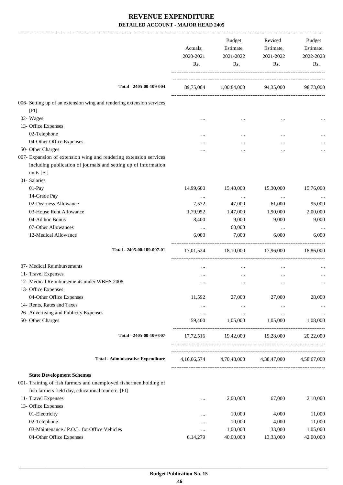|                                                                                                                                                    | Actuals,<br>2020-2021<br>Rs. | Budget<br>Estimate,<br>2021-2022<br>Rs. | Revised<br>Estimate,<br>2021-2022<br>Rs. | Budget<br>Estimate,<br>2022-2023<br>Rs. |
|----------------------------------------------------------------------------------------------------------------------------------------------------|------------------------------|-----------------------------------------|------------------------------------------|-----------------------------------------|
| Total - 2405-00-109-004                                                                                                                            |                              |                                         | 89,75,084 1,00,84,000 94,35,000          | 98,73,000                               |
| 006- Setting up of an extension wing and rendering extension services                                                                              |                              |                                         |                                          |                                         |
| [FI]                                                                                                                                               |                              |                                         |                                          |                                         |
| 02- Wages                                                                                                                                          |                              |                                         | $\ddotsc$                                |                                         |
| 13- Office Expenses                                                                                                                                |                              |                                         |                                          |                                         |
| 02-Telephone                                                                                                                                       |                              |                                         |                                          |                                         |
| 04-Other Office Expenses                                                                                                                           |                              |                                         |                                          |                                         |
| 50- Other Charges                                                                                                                                  |                              |                                         | $\ddotsc$                                |                                         |
| 007- Expansion of extension wing and rendering extension services<br>including publication of journals and setting up of information<br>units [FI] |                              |                                         |                                          |                                         |
| 01- Salaries                                                                                                                                       |                              |                                         |                                          |                                         |
| 01-Pay                                                                                                                                             | 14,99,600                    | 15,40,000                               | 15,30,000                                | 15,76,000                               |
| 14-Grade Pay                                                                                                                                       | $\ldots$                     | $\ldots$                                | $\cdots$                                 | $\cdots$                                |
| 02-Dearness Allowance                                                                                                                              | 7,572                        | 47,000                                  | 61,000                                   | 95,000                                  |
| 03-House Rent Allowance                                                                                                                            | 1,79,952                     | 1,47,000                                | 1,90,000                                 | 2,00,000                                |
| 04-Ad hoc Bonus                                                                                                                                    | 8,400                        | 9,000                                   | 9,000                                    | 9,000                                   |
| 07-Other Allowances                                                                                                                                | $\cdots$                     | 60,000                                  | $\ldots$                                 |                                         |
| 12-Medical Allowance                                                                                                                               | 6,000                        | 7,000                                   | 6,000                                    | 6,000                                   |
| Total - 2405-00-109-007-01                                                                                                                         | 17,01,524                    | 18,10,000                               | 17,96,000                                | 18,86,000                               |
| 07- Medical Reimbursements                                                                                                                         |                              | $\cdots$                                | $\cdots$                                 |                                         |
| 11- Travel Expenses                                                                                                                                |                              |                                         |                                          |                                         |
| 12- Medical Reimbursements under WBHS 2008                                                                                                         |                              |                                         |                                          |                                         |
| 13- Office Expenses                                                                                                                                |                              | $\ddotsc$                               | $\ddotsc$                                | $\cdots$                                |
| 04-Other Office Expenses                                                                                                                           | 11,592                       | 27,000                                  | 27,000                                   | 28,000                                  |
| 14- Rents, Rates and Taxes                                                                                                                         |                              | $\cdots$                                | $\cdots$                                 |                                         |
| 26- Advertising and Publicity Expenses                                                                                                             | $\ldots$                     | $\ldots$                                |                                          |                                         |
| 50- Other Charges                                                                                                                                  | 59,400                       | 1,05,000                                | $\cdots$<br>1,05,000                     | $\cdots$<br>1,08,000                    |
| Total - 2405-00-109-007                                                                                                                            | 17,72,516                    | 19,42,000                               | 19,28,000                                | 20,22,000                               |
| <b>Total - Administrative Expenditure</b>                                                                                                          | 4,16,66,574                  | 4,70,48,000                             | 4,38,47,000                              | 4,58,67,000                             |
|                                                                                                                                                    |                              |                                         |                                          |                                         |
| <b>State Development Schemes</b>                                                                                                                   |                              |                                         |                                          |                                         |
| 001- Training of fish farmers and unemployed fishermen, holding of                                                                                 |                              |                                         |                                          |                                         |
| fish farmers field day, educational tour etc. [FI]                                                                                                 |                              |                                         |                                          |                                         |
| 11- Travel Expenses                                                                                                                                |                              | 2,00,000                                | 67,000                                   | 2,10,000                                |
| 13- Office Expenses                                                                                                                                |                              |                                         |                                          |                                         |
| 01-Electricity                                                                                                                                     | $\ddotsc$                    | 10,000                                  | 4,000                                    | 11,000                                  |
| 02-Telephone                                                                                                                                       | $\cdots$                     | 10,000                                  | 4,000                                    | 11,000                                  |
| 03-Maintenance / P.O.L. for Office Vehicles                                                                                                        | $\cdots$                     | 1,00,000                                | 33,000                                   | 1,05,000                                |
| 04-Other Office Expenses                                                                                                                           | 6,14,279                     | 40,00,000                               | 13,33,000                                | 42,00,000                               |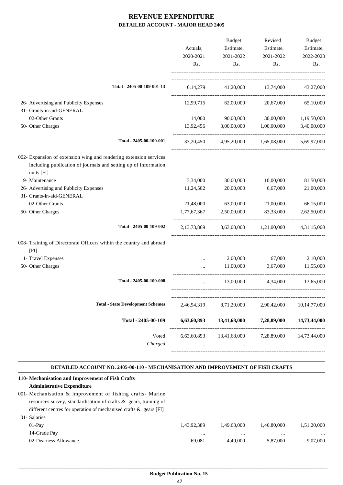|                                                                                                                                                    | Actuals,<br>2020-2021<br>Rs. | <b>Budget</b><br>Estimate,             | Revised<br>Estimate,    | Budget<br>Estimate, |
|----------------------------------------------------------------------------------------------------------------------------------------------------|------------------------------|----------------------------------------|-------------------------|---------------------|
|                                                                                                                                                    |                              |                                        | 2021-2022<br>Rs.        | 2021-2022<br>Rs.    |
| Total - 2405-00-109-001-13                                                                                                                         |                              | 6,14,279 41,20,000 13,74,000 43,27,000 |                         |                     |
| 26- Advertising and Publicity Expenses                                                                                                             | 12,99,715                    | 62,00,000                              | 20,67,000               | 65,10,000           |
| 31- Grants-in-aid-GENERAL                                                                                                                          |                              |                                        |                         |                     |
| 02-Other Grants                                                                                                                                    | 14,000                       | 90,00,000                              | 30,00,000               | 1,19,50,000         |
| 50- Other Charges                                                                                                                                  | 13,92,456                    | 3,00,00,000                            | 1,00,00,000             | 3,40,00,000         |
| Total - 2405-00-109-001                                                                                                                            | 33, 20, 450                  |                                        | 4,95,20,000 1,65,08,000 | 5,69,97,000         |
| 002- Expansion of extension wing and rendering extension services<br>including publication of journals and setting up of information<br>units [FI] |                              |                                        |                         |                     |
| 19- Maintenance                                                                                                                                    | 3,34,000                     | 30,00,000                              | 10,00,000               | 81,50,000           |
| 26- Advertising and Publicity Expenses                                                                                                             | 11,24,502                    | 20,00,000                              | 6,67,000                | 21,00,000           |
| 31- Grants-in-aid-GENERAL                                                                                                                          |                              |                                        |                         |                     |
| 02-Other Grants                                                                                                                                    | 21,48,000                    | 63,00,000                              | 21,00,000               | 66,15,000           |
| 50- Other Charges                                                                                                                                  | 1,77,67,367                  | 2,50,00,000                            | 83,33,000               | 2,62,50,000         |
| Total - 2405-00-109-002                                                                                                                            | 2,13,73,869                  |                                        | 3,63,00,000 1,21,00,000 | 4,31,15,000         |
| 008- Training of Directorate Officers within the country and abroad<br>[FI]                                                                        |                              |                                        |                         |                     |
| 11- Travel Expenses                                                                                                                                | $\cdots$                     | 2,00,000                               | 67,000                  | 2,10,000            |
| 50- Other Charges                                                                                                                                  | $\cdots$                     | 11,00,000                              | 3,67,000                | 11,55,000           |
| Total - 2405-00-109-008                                                                                                                            | $\cdots$                     | 13,00,000                              | 4,34,000                | 13,65,000           |
| <b>Total - State Development Schemes</b>                                                                                                           | 2,46,94,319                  | 8,71,20,000                            | 2,90,42,000             | 10, 14, 77, 000     |
| Total - 2405-00-109                                                                                                                                | 6,63,60,893                  | 13,41,68,000                           | 7,28,89,000             | 14,73,44,000        |
| Voted<br>Charged                                                                                                                                   | $\cdots$                     | 6,63,60,893 13,41,68,000<br>$\cdots$   | 7,28,89,000<br>$\cdots$ | 14,73,44,000        |
|                                                                                                                                                    |                              |                                        |                         |                     |

#### **DETAILED ACCOUNT NO. 2405-00-110 - MECHANISATION AND IMPROVEMENT OF FISH CRAFTS .**

.

| 110- Mechanisation and Improvement of Fish Crafts                    |             |             |             |             |
|----------------------------------------------------------------------|-------------|-------------|-------------|-------------|
| <b>Administrative Expenditure</b>                                    |             |             |             |             |
| 001- Mechanisation & improvement of fishing crafts- Marine           |             |             |             |             |
| resources survey, standardisation of crafts $\&$ gears, training of  |             |             |             |             |
| different centres for operation of mechanised crafts $\&$ gears [FI] |             |             |             |             |
| 01- Salaries                                                         |             |             |             |             |
| $01-Pav$                                                             | 1,43,92,389 | 1.49.63.000 | 1.46.80,000 | 1,51,20,000 |
| 14-Grade Pay                                                         |             |             |             |             |
| 02-Dearness Allowance                                                | 69.081      | 4.49.000    | 5,87,000    | 9.07.000    |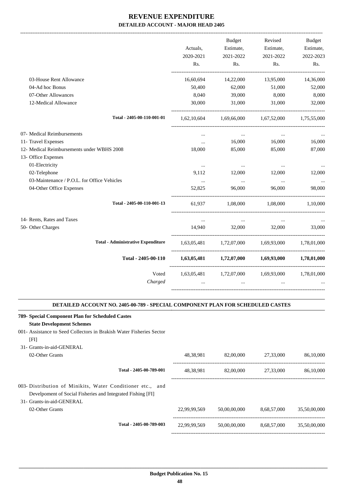|                                             |             | Budget                  | Revised                                                 | <b>Budget</b> |
|---------------------------------------------|-------------|-------------------------|---------------------------------------------------------|---------------|
|                                             | Actuals,    | Estimate,               | Estimate,                                               | Estimate,     |
|                                             | 2020-2021   | 2021-2022               | 2021-2022                                               | 2022-2023     |
|                                             | Rs.         | Rs.                     | Rs.                                                     | Rs.           |
| 03-House Rent Allowance                     | 16,60,694   | 14,22,000               | 13,95,000                                               | 14,36,000     |
| 04-Ad hoc Bonus                             | 50,400      | 62,000                  | 51,000                                                  | 52,000        |
| 07-Other Allowances                         | 8,040       | 39,000                  | 8,000                                                   | 8,000         |
| 12-Medical Allowance                        | 30,000      | 31,000                  | 31,000                                                  | 32,000        |
| Total - 2405-00-110-001-01                  | 1,62,10,604 | 1,69,66,000 1,67,52,000 |                                                         | 1,75,55,000   |
| 07- Medical Reimbursements                  | $\cdots$    | $\cdots$                | $\cdots$                                                |               |
| 11- Travel Expenses                         | $\cdots$    | 16,000                  | 16,000                                                  | 16,000        |
| 12- Medical Reimbursements under WBHS 2008  | 18,000      | 85,000                  | 85,000                                                  | 87,000        |
| 13- Office Expenses                         |             |                         |                                                         |               |
| 01-Electricity                              | $\cdots$    | $\cdots$                | $\cdots$                                                |               |
| 02-Telephone                                | 9,112       | 12,000                  | 12,000                                                  | 12,000        |
| 03-Maintenance / P.O.L. for Office Vehicles | $\ddots$    | $\ddots$                | $\ddots$                                                | $\cdots$      |
| 04-Other Office Expenses                    | 52,825      | 96,000                  | 96,000                                                  | 98,000        |
| Total - 2405-00-110-001-13                  | 61,937      | 1,08,000                | 1,08,000                                                | 1.10.000      |
| 14- Rents, Rates and Taxes                  | $\ldots$    | $\ldots$                | $\ldots$                                                |               |
| 50- Other Charges                           | 14,940      | 32,000                  | 32,000                                                  | 33,000        |
| <b>Total - Administrative Expenditure</b>   |             |                         | $1,63,05,481$ $1,72,07,000$ $1,69,93,000$ $1,78,01,000$ |               |
| Total - 2405-00-110                         |             |                         | $1,63,05,481$ $1,72,07,000$ $1,69,93,000$               | 1,78,01,000   |
| Voted                                       |             |                         | 1,63,05,481 1,72,07,000 1,69,93,000 1,78,01,000         |               |
| Charged                                     |             | $\cdots$                |                                                         |               |
|                                             |             |                         |                                                         |               |

#### **DETAILED ACCOUNT NO. 2405-00-789 - SPECIAL COMPONENT PLAN FOR SCHEDULED CASTES .**

| 789- Special Component Plan for Scheduled Castes                     |              |              |             |              |
|----------------------------------------------------------------------|--------------|--------------|-------------|--------------|
| <b>State Development Schemes</b>                                     |              |              |             |              |
| 001- Assistance to Seed Collectors in Brakish Water Fisheries Sector |              |              |             |              |
| [FI]                                                                 |              |              |             |              |
| 31- Grants-in-aid-GENERAL                                            |              |              |             |              |
| 02-Other Grants                                                      | 48,38,981    | 82,00,000    | 27,33,000   | 86,10,000    |
| Total - 2405-00-789-001                                              | 48,38,981    | 82,00,000    | 27,33,000   | 86,10,000    |
| 003- Distribution of Minikits, Water Conditioner etc., and           |              |              |             |              |
| Develpoment of Social Fisheries and Integrated Fishing [FI]          |              |              |             |              |
| 31- Grants-in-aid-GENERAL                                            |              |              |             |              |
| 02-Other Grants                                                      | 22,99,99,569 | 50,00,00,000 | 8,68,57,000 | 35,50,00,000 |
| Total - 2405-00-789-003                                              | 22,99,99,569 | 50,00,00,000 | 8,68,57,000 | 35,50,00,000 |
|                                                                      |              |              |             |              |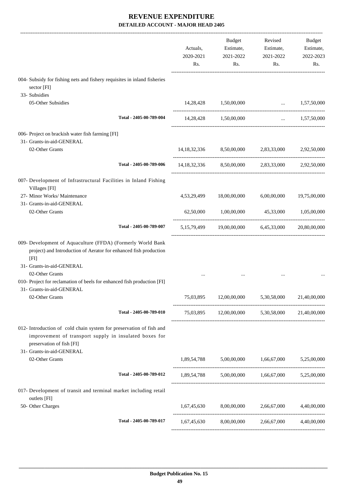|                                                                                                                                                                                                                                                                     | Actuals,<br>2020-2021<br>Rs. | <b>Budget</b><br>Estimate,<br>2021-2022<br>Rs.           | Revised<br>Estimate,<br>2021-2022<br>Rs. | Budget<br>Estimate,<br>2022-2023<br>Rs. |
|---------------------------------------------------------------------------------------------------------------------------------------------------------------------------------------------------------------------------------------------------------------------|------------------------------|----------------------------------------------------------|------------------------------------------|-----------------------------------------|
| 004- Subsidy for fishing nets and fishery requisites in inland fisheries<br>sector [FI]                                                                                                                                                                             |                              |                                                          |                                          |                                         |
| 33- Subsidies<br>05-Other Subsidies                                                                                                                                                                                                                                 | 14,28,428                    | 1,50,00,000                                              | $\mathbf{r}$ and $\mathbf{r}$            | 1,57,50,000                             |
| Total - 2405-00-789-004                                                                                                                                                                                                                                             |                              | 14,28,428 1,50,00,000                                    |                                          | $\ldots$ 1,57,50,000                    |
| 006- Project on brackish water fish farming [FI]<br>31- Grants-in-aid-GENERAL<br>02-Other Grants                                                                                                                                                                    |                              | 14,18,32,336 8,50,00,000 2,83,33,000                     |                                          | 2,92,50,000                             |
| Total - 2405-00-789-006                                                                                                                                                                                                                                             |                              | 14,18,32,336 8,50,00,000                                 | 2,83,33,000                              | 2.92.50,000                             |
| 007- Development of Infrastructural Facilities in Inland Fishing<br>Villages [FI]                                                                                                                                                                                   |                              |                                                          |                                          |                                         |
| 27- Minor Works/ Maintenance<br>31- Grants-in-aid-GENERAL<br>02-Other Grants                                                                                                                                                                                        | 4,53,29,499<br>62,50,000     | 18,00,00,000<br>1,00,00,000                              | 6,00,00,000<br>45,33,000                 | 19,75,00,000<br>1,05,00,000             |
| Total - 2405-00-789-007                                                                                                                                                                                                                                             | 5, 15, 79, 499               |                                                          | 19,00,00,000 6,45,33,000                 | 20,80,00,000                            |
| 009- Development of Aquaculture (FFDA) (Formerly World Bank<br>project) and Introduction of Aerator for enhanced fish production<br>[FI]<br>31- Grants-in-aid-GENERAL<br>02-Other Grants<br>010- Project for reclamation of beels for enhanced fish production [FI] |                              |                                                          |                                          |                                         |
| 31- Grants-in-aid-GENERAL                                                                                                                                                                                                                                           |                              |                                                          |                                          |                                         |
| 02-Other Grants                                                                                                                                                                                                                                                     |                              | 75,03,895 12,00,00,000 5,30,58,000 21,40,00,000          |                                          |                                         |
| Total - 2405-00-789-010                                                                                                                                                                                                                                             |                              | 75,03,895 12,00,00,000 5,30,58,000 21,40,00,000          |                                          |                                         |
| 012- Introduction of cold chain system for preservation of fish and<br>improvement of transport supply in insulated boxes for<br>preservation of fish [FI]<br>31- Grants-in-aid-GENERAL                                                                             |                              |                                                          |                                          |                                         |
| 02-Other Grants                                                                                                                                                                                                                                                     |                              | $1,89,54,788$ $5,00,000,000$ $1,66,67,000$ $5,25,00,000$ |                                          |                                         |
| Total - 2405-00-789-012                                                                                                                                                                                                                                             |                              | 1,89,54,788 5,00,00,000 1,66,67,000 5,25,00,000          |                                          |                                         |
| 017- Development of transit and terminal market including retail<br>outlets [FI]                                                                                                                                                                                    |                              |                                                          |                                          |                                         |
| 50- Other Charges                                                                                                                                                                                                                                                   |                              | $1,67,45,630$ $8,00,00,000$ $2,66,67,000$ $4,40,00,000$  |                                          |                                         |
| Total - 2405-00-789-017                                                                                                                                                                                                                                             |                              | 1,67,45,630 8,00,00,000 2,66,67,000                      |                                          | 4,40,00,000                             |
|                                                                                                                                                                                                                                                                     |                              |                                                          |                                          |                                         |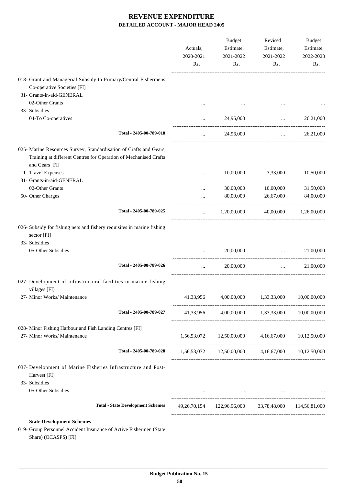|                                                                                                                                                          | Actuals,<br>2020-2021<br>Rs. | Estimate,<br>2021-2022<br>Rs.                                                       | Estimate,<br>2021-2022<br>Rs. | Budget<br>Estimate,<br>2022-2023<br>Rs. |
|----------------------------------------------------------------------------------------------------------------------------------------------------------|------------------------------|-------------------------------------------------------------------------------------|-------------------------------|-----------------------------------------|
| 018- Grant and Managerial Subsidy to Primary/Central Fishermens                                                                                          |                              |                                                                                     |                               |                                         |
| Co-operative Societies [FI]                                                                                                                              |                              |                                                                                     |                               |                                         |
| 31- Grants-in-aid-GENERAL                                                                                                                                |                              |                                                                                     |                               |                                         |
| 02-Other Grants                                                                                                                                          | $\cdots$                     |                                                                                     |                               |                                         |
| 33- Subsidies                                                                                                                                            |                              |                                                                                     |                               |                                         |
| 04-To Co-operatives                                                                                                                                      |                              | 24,96,000                                                                           | $\cdots$                      | 26,21,000                               |
| Total - 2405-00-789-018                                                                                                                                  | $\cdots$                     | 24,96,000                                                                           | $\ddots$                      | 26,21,000                               |
| 025- Marine Resources Survey, Standardisation of Crafts and Gears,<br>Training at different Centres for Operation of Mechanised Crafts<br>and Gears [FI] |                              |                                                                                     |                               |                                         |
| 11- Travel Expenses                                                                                                                                      |                              | 10,00,000                                                                           | 3,33,000                      | 10,50,000                               |
| 31- Grants-in-aid-GENERAL                                                                                                                                |                              |                                                                                     |                               |                                         |
| 02-Other Grants                                                                                                                                          | $\cdots$                     | 30,00,000                                                                           | 10,00,000                     | 31,50,000                               |
| 50- Other Charges                                                                                                                                        | $\cdots$                     | 80,00,000                                                                           | 26,67,000                     | 84,00,000                               |
| Total - 2405-00-789-025                                                                                                                                  | $\cdots$                     | 1,20,00,000                                                                         | 40,00,000                     | 1,26,00,000                             |
| 026- Subsidy for fishing nets and fishery requisites in marine fishing<br>sector [FI]<br>33- Subsidies                                                   |                              |                                                                                     |                               |                                         |
| 05-Other Subsidies                                                                                                                                       | $\cdots$                     | 20,00,000                                                                           | $\ddotsc$                     | 21,00,000                               |
| Total - 2405-00-789-026                                                                                                                                  | $\cdots$                     | 20,00,000                                                                           | $\ddots$                      | 21,00,000                               |
| 027- Development of infrastructural facilities in marine fishing                                                                                         |                              |                                                                                     |                               |                                         |
| villages [FI]<br>27- Minor Works/ Maintenance                                                                                                            |                              | 41,33,956 4,00,00,000 1,33,33,000                                                   |                               | 10,00,00,000                            |
| Total - 2405-00-789-027                                                                                                                                  |                              | 41,33,956 4,00,00,000 1,33,33,000 10,00,00,000                                      |                               |                                         |
| 028- Minor Fishing Harbour and Fish Landing Centres [FI]                                                                                                 |                              |                                                                                     |                               |                                         |
| 27- Minor Works/ Maintenance                                                                                                                             |                              | $1,56,53,072$ $12,50,00,000$ $4,16,67,000$ $10,12,50,000$                           |                               |                                         |
| Total - 2405-00-789-028                                                                                                                                  |                              | 1,56,53,072 12,50,00,000 4,16,67,000 10,12,50,000                                   |                               |                                         |
| 037- Development of Marine Fisheries Infrastructure and Post-<br>Harvest [FI]<br>33- Subsidies                                                           |                              |                                                                                     |                               |                                         |
| 05-Other Subsidies                                                                                                                                       |                              | and the contract of the contract of the contract of the contract of the contract of |                               |                                         |
| <b>Total - State Development Schemes</b>                                                                                                                 |                              | 49,26,70,154 122,96,96,000 33,78,48,000 114,56,81,000                               |                               |                                         |

019- Group Personnel Accident Insurance of Active Fishermen (State Share) (OCASPS) [FI]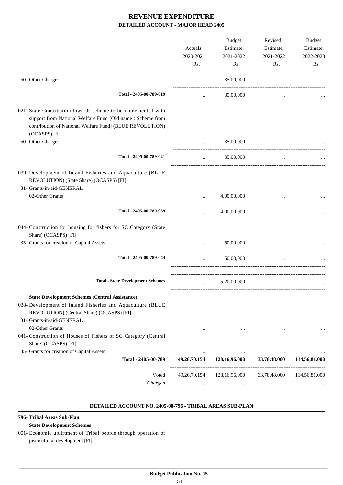|                                                                                                                                                                                                          | Actuals,<br>2020-2021<br>Rs. | Budget<br>Estimate,<br>2021-2022<br>Rs. | Revised<br>Estimate,<br>2021-2022<br>Rs. | Budget<br>Estimate,<br>2022-2023<br>Rs. |
|----------------------------------------------------------------------------------------------------------------------------------------------------------------------------------------------------------|------------------------------|-----------------------------------------|------------------------------------------|-----------------------------------------|
| 50- Other Charges                                                                                                                                                                                        | $\cdots$                     | 35,00,000                               | $\cdots$                                 |                                         |
| Total - 2405-00-789-019                                                                                                                                                                                  | $\cdots$                     | 35,00,000                               | $\cdots$                                 |                                         |
| 021- State Contribution towards scheme to be implemented with<br>support from National Welfare Fund [Old name : Scheme from<br>contribution of National Welfare Fund] (BLUE REVOLUTION)<br>(OCASPS) [FI] |                              |                                         |                                          |                                         |
| 50- Other Charges                                                                                                                                                                                        | $\cdots$                     | 35,00,000                               |                                          |                                         |
| Total - 2405-00-789-021                                                                                                                                                                                  | $\cdots$                     | 35,00,000                               | $\cdots$                                 |                                         |
| 039- Development of Inland Fisheries and Aquaculture (BLUE<br>REVOLUTION) (State Share) (OCASPS) [FI]<br>31- Grants-in-aid-GENERAL                                                                       |                              |                                         |                                          |                                         |
| 02-Other Grants                                                                                                                                                                                          | $\cdots$                     | 4,00,00,000                             |                                          |                                         |
| Total - 2405-00-789-039                                                                                                                                                                                  | $\cdots$                     | 4,00,00,000                             | $\cdots$                                 |                                         |
| 044- Construction for housing for fishers for SC Category (State<br>Share) (OCASPS) [FI]                                                                                                                 |                              |                                         |                                          |                                         |
| 35- Grants for creation of Capital Assets                                                                                                                                                                |                              | 50,00,000                               |                                          |                                         |
| Total - 2405-00-789-044                                                                                                                                                                                  | $\cdots$                     | 50,00,000                               | $\ddotsc$                                |                                         |
| <b>Total - State Development Schemes</b>                                                                                                                                                                 | $\cdots$                     | 5,20,00,000                             | $\cdots$                                 |                                         |
| <b>State Development Schemes (Central Assistance)</b><br>038- Development of Inland Fisheries and Aquaculture (BLUE<br>REVOLUTION) (Central Share) (OCASPS) [FI]<br>31- Grants-in-aid-GENERAL            |                              |                                         |                                          |                                         |
| 02-Other Grants<br>041- Construction of Houses of Fishers of SC Category (Central<br>Share) (OCASPS) [FI]                                                                                                |                              |                                         |                                          |                                         |
| 35- Grants for creation of Capital Assets<br>Total - 2405-00-789                                                                                                                                         | 49,26,70,154                 | 128,16,96,000                           | <br>33,78,48,000                         | 114,56,81,000                           |
| Voted<br>Charged                                                                                                                                                                                         | 49, 26, 70, 154              | 128,16,96,000<br>$\cdots$               | 33,78,48,000                             | 114,56,81,000                           |

#### **DETAILED ACCOUNT NO. 2405-00-796 - TRIBAL AREAS SUB-PLAN .**

### **796- Tribal Areas Sub-Plan**

### **State Development Schemes**

001- Economic upliftment of Tribal people through operation of piscicultural development [FI]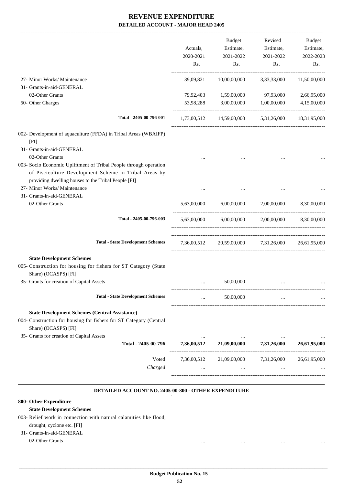|                                                                                                                                                                                                      | Actuals,<br>2020-2021<br>Rs. | <b>Budget</b><br>Estimate,<br>2021-2022<br>Rs.    | Revised<br>Estimate,<br>2021-2022<br>Rs. | Budget<br>Estimate,<br>2022-2023<br>Rs. |
|------------------------------------------------------------------------------------------------------------------------------------------------------------------------------------------------------|------------------------------|---------------------------------------------------|------------------------------------------|-----------------------------------------|
| 27- Minor Works/ Maintenance                                                                                                                                                                         | 39,09,821                    | 10,00,00,000                                      | 3,33,33,000                              | 11,50,00,000                            |
| 31- Grants-in-aid-GENERAL                                                                                                                                                                            |                              |                                                   |                                          |                                         |
| 02-Other Grants                                                                                                                                                                                      | 79,92,403                    | 1,59,00,000                                       | 97,93,000                                | 2,66,95,000                             |
| 50- Other Charges                                                                                                                                                                                    | 53,98,288                    | 3,00,00,000                                       | 1,00,00,000                              | 4,15,00,000                             |
| Total - 2405-00-796-001                                                                                                                                                                              |                              | 1,73,00,512 14,59,00,000 5,31,26,000 18,31,95,000 |                                          |                                         |
| 002- Development of aquaculture (FFDA) in Tribal Areas (WBAIFP)<br>[FI]                                                                                                                              |                              |                                                   |                                          |                                         |
| 31- Grants-in-aid-GENERAL                                                                                                                                                                            |                              |                                                   |                                          |                                         |
| 02-Other Grants<br>003- Socio Economic Upliftment of Tribal People through operation<br>of Pisciculture Development Scheme in Tribal Areas by<br>providing dwelling houses to the Tribal People [FI] |                              |                                                   |                                          |                                         |
| 27- Minor Works/ Maintenance                                                                                                                                                                         |                              |                                                   |                                          |                                         |
| 31- Grants-in-aid-GENERAL                                                                                                                                                                            |                              |                                                   |                                          |                                         |
| 02-Other Grants                                                                                                                                                                                      | 5,63,00,000                  | 6,00,00,000                                       | 2,00,00,000                              | 8,30,00,000                             |
| Total - 2405-00-796-003                                                                                                                                                                              | 5,63,00,000                  |                                                   | $6,00,00,000$ $2,00,00,000$              | 8,30,00,000                             |
| <b>Total - State Development Schemes</b>                                                                                                                                                             |                              | 7,36,00,512 20,59,00,000 7,31,26,000              |                                          | 26,61,95,000                            |
| <b>State Development Schemes</b><br>005- Construction for housing for fishers for ST Category (State<br>Share) (OCASPS) [FI]                                                                         |                              |                                                   |                                          |                                         |
| 35- Grants for creation of Capital Assets                                                                                                                                                            |                              | 50,00,000                                         |                                          |                                         |
| <b>Total - State Development Schemes</b>                                                                                                                                                             |                              | 50,00,000                                         |                                          |                                         |
| <b>State Development Schemes (Central Assistance)</b><br>004- Construction for housing for fishers for ST Category (Central<br>Share) (OCASPS) [FI]                                                  |                              |                                                   |                                          |                                         |
| 35- Grants for creation of Capital Assets<br>Total - 2405-00-796                                                                                                                                     | 7,36,00,512                  | 21,09,00,000                                      | 7,31,26,000                              | 26,61,95,000                            |
| Voted                                                                                                                                                                                                | 7,36,00,512                  | 21,09,00,000                                      | 7,31,26,000                              | 26,61,95,000                            |
| Charged                                                                                                                                                                                              |                              |                                                   |                                          |                                         |

#### **DETAILED ACCOUNT NO. 2405-00-800 - OTHER EXPENDITURE .**

## **800- Other Expenditure**

### **State Development Schemes**

003- Relief work in connection with natural calamities like flood,

#### drought, cyclone etc. [FI]

 31- Grants-in-aid-GENERAL 02-Other Grants ... ... ... ...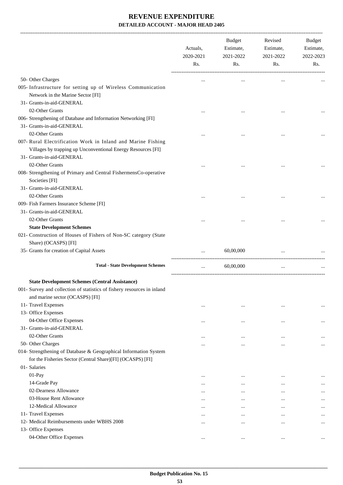|                                                                                                                                                                     | Actuals,<br>2020-2021<br>Rs. | Budget<br>Estimate,<br>2021-2022<br>Rs. | Revised<br>Estimate,<br>2021-2022<br>Rs. | <b>Budget</b><br>Estimate,<br>2022-2023<br>Rs. |
|---------------------------------------------------------------------------------------------------------------------------------------------------------------------|------------------------------|-----------------------------------------|------------------------------------------|------------------------------------------------|
| 50- Other Charges                                                                                                                                                   |                              | $\cdots$                                |                                          |                                                |
| 005- Infrastructure for setting up of Wireless Communication<br>Network in the Marine Sector [FI]<br>31- Grants-in-aid-GENERAL                                      |                              |                                         |                                          |                                                |
| 02-Other Grants                                                                                                                                                     |                              |                                         |                                          |                                                |
| 006- Strengthening of Database and Information Networking [FI]<br>31- Grants-in-aid-GENERAL<br>02-Other Grants                                                      |                              |                                         |                                          |                                                |
| 007- Rural Electrification Work in Inland and Marine Fishing<br>Villages by trapping up Unconventional Energy Resources [FI]<br>31- Grants-in-aid-GENERAL           |                              |                                         |                                          |                                                |
| 02-Other Grants<br>008- Strengthening of Primary and Central FishermensCo-operative<br>Societies [FI]                                                               |                              |                                         |                                          |                                                |
| 31- Grants-in-aid-GENERAL                                                                                                                                           |                              |                                         |                                          |                                                |
| 02-Other Grants<br>009- Fish Farmers Insurance Scheme [FI]                                                                                                          |                              |                                         |                                          |                                                |
| 31- Grants-in-aid-GENERAL<br>02-Other Grants                                                                                                                        |                              |                                         |                                          |                                                |
| <b>State Development Schemes</b><br>021- Construction of Houses of Fishers of Non-SC category (State<br>Share) (OCASPS) [FI]                                        |                              |                                         |                                          |                                                |
| 35- Grants for creation of Capital Assets                                                                                                                           |                              | 60,00,000                               | $\cdots$                                 |                                                |
| <b>Total - State Development Schemes</b>                                                                                                                            | $\cdots$                     | 60,00,000                               | $\cdots$                                 |                                                |
| <b>State Development Schemes (Central Assistance)</b><br>001- Survey and collection of statistics of fishery resources in inland<br>and marine sector (OCASPS) [FI] |                              |                                         |                                          |                                                |
| 11- Travel Expenses                                                                                                                                                 | $\cdots$                     | $\cdots$                                |                                          |                                                |
| 13- Office Expenses                                                                                                                                                 |                              |                                         |                                          |                                                |
| 04-Other Office Expenses<br>31- Grants-in-aid-GENERAL                                                                                                               | $\cdots$                     | $\cdots$                                |                                          |                                                |
| 02-Other Grants                                                                                                                                                     |                              |                                         |                                          |                                                |
| 50- Other Charges                                                                                                                                                   |                              |                                         |                                          |                                                |
| 014- Strengthening of Database & Geographical Information System<br>for the Fisheries Sector (Central Share)[FI] (OCASPS) [FI]                                      | $\cdots$                     |                                         |                                          | $\cdots$                                       |
| 01- Salaries                                                                                                                                                        |                              |                                         |                                          |                                                |
| 01-Pay                                                                                                                                                              | $\cdots$                     | $\cdots$                                |                                          | $\cdots$                                       |
| 14-Grade Pay                                                                                                                                                        | $\cdots$                     | $\cdots$                                | $\cdots$                                 |                                                |
| 02-Dearness Allowance                                                                                                                                               | $\cdots$                     | $\cdots$                                | $\cdots$                                 | $\cdots$                                       |
| 03-House Rent Allowance                                                                                                                                             | $\cdots$                     | $\cdots$                                | $\cdots$                                 |                                                |
| 12-Medical Allowance                                                                                                                                                | $\cdots$                     | $\cdots$                                |                                          | $\cdots$                                       |
| 11- Travel Expenses                                                                                                                                                 |                              |                                         |                                          |                                                |
| 12- Medical Reimbursements under WBHS 2008                                                                                                                          | $\cdots$                     | $\cdots$                                |                                          | $\cdots$                                       |
| 13- Office Expenses<br>04-Other Office Expenses                                                                                                                     | $\cdots$                     | $\cdots$                                | $\ddotsc$                                | $\cdots$                                       |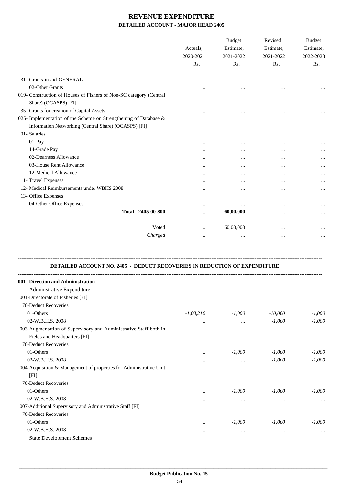|                                                                    | Actuals,<br>2020-2021<br>Rs. | <b>Budget</b><br>Estimate,<br>2021-2022<br>Rs. | Revised<br>Estimate,<br>2021-2022<br>Rs. | <b>Budget</b><br>Estimate,<br>2022-2023<br>Rs. |
|--------------------------------------------------------------------|------------------------------|------------------------------------------------|------------------------------------------|------------------------------------------------|
| 31- Grants-in-aid-GENERAL                                          |                              |                                                |                                          |                                                |
| 02-Other Grants                                                    |                              | $\ddotsc$                                      |                                          |                                                |
| 019- Construction of Houses of Fishers of Non-SC category (Central |                              |                                                |                                          |                                                |
| Share) (OCASPS) [FI]<br>35- Grants for creation of Capital Assets  |                              |                                                |                                          |                                                |
| 025- Implementation of the Scheme on Strengthening of Database &   |                              |                                                | $\ddotsc$                                |                                                |
| Information Networking (Central Share) (OCASPS) [FI]               |                              |                                                |                                          |                                                |
| 01- Salaries                                                       |                              |                                                |                                          |                                                |
|                                                                    |                              |                                                |                                          |                                                |
| $01-Pay$                                                           |                              |                                                | $\ddotsc$                                |                                                |
| 14-Grade Pay                                                       |                              |                                                | $\ddotsc$                                |                                                |
| 02-Dearness Allowance                                              |                              |                                                | $\cdots$                                 | $\cdots$                                       |
| 03-House Rent Allowance                                            | .                            |                                                |                                          |                                                |
| 12-Medical Allowance                                               | .                            | $\cdots$                                       | $\ddotsc$                                |                                                |
| 11- Travel Expenses                                                | $\cdots$                     | $\ddotsc$                                      | $\ddotsc$                                | $\cdots$                                       |
| 12- Medical Reimbursements under WBHS 2008                         |                              |                                                | $\ddotsc$                                |                                                |
| 13- Office Expenses                                                |                              |                                                |                                          |                                                |
| 04-Other Office Expenses                                           |                              | $\cdots$                                       | $\ddotsc$                                |                                                |
| Total - 2405-00-800                                                | .                            | 60,00,000                                      | $\ddotsc$                                |                                                |
| Voted                                                              | $\cdots$                     | 60,00,000                                      | $\cdots$                                 |                                                |
| Charged                                                            | $\cdots$                     | $\cdots$                                       | $\cdots$                                 |                                                |

## **DETAILED ACCOUNT NO. 2405 - DEDUCT RECOVERIES IN REDUCTION OF EXPENDITURE**

**--------------------------------------------------------------------------------------------------------------------------------------------------------------------------------**

| 001- Direction and Administration                                  |             |          |           |          |
|--------------------------------------------------------------------|-------------|----------|-----------|----------|
| Administrative Expenditure                                         |             |          |           |          |
| 001-Directorate of Fisheries [FI]                                  |             |          |           |          |
| 70-Deduct Recoveries                                               |             |          |           |          |
| 01-Others                                                          | $-1,08,216$ | $-1,000$ | $-10,000$ | $-1,000$ |
| 02-W.B.H.S. 2008                                                   | $\cdots$    | $\cdots$ | $-1,000$  | $-1,000$ |
| 003-Augmentation of Supervisory and Administrative Staff both in   |             |          |           |          |
| Fields and Headquarters [FI]                                       |             |          |           |          |
| 70-Deduct Recoveries                                               |             |          |           |          |
| 01-Others                                                          | $\cdots$    | $-1,000$ | $-1,000$  | $-1,000$ |
| 02-W.B.H.S. 2008                                                   | $\cdots$    | $\cdots$ | $-1,000$  | $-1,000$ |
| 004-Acquisition & Management of properties for Administrative Unit |             |          |           |          |
| [FI]                                                               |             |          |           |          |
| 70-Deduct Recoveries                                               |             |          |           |          |
| 01-Others                                                          | $\cdots$    | $-1,000$ | $-1,000$  | $-1.000$ |
| 02-W.B.H.S. 2008                                                   | $\cdots$    | $\cdots$ | $\cdots$  | $\cdots$ |
| 007-Additional Supervisory and Administrative Staff [FI]           |             |          |           |          |
| 70-Deduct Recoveries                                               |             |          |           |          |
| 01-Others                                                          | $\cdots$    | $-1,000$ | $-1,000$  | $-1.000$ |
| 02-W.B.H.S. 2008                                                   | $\cdots$    | $\cdots$ | $\cdots$  | $\cdots$ |
| <b>State Development Schemes</b>                                   |             |          |           |          |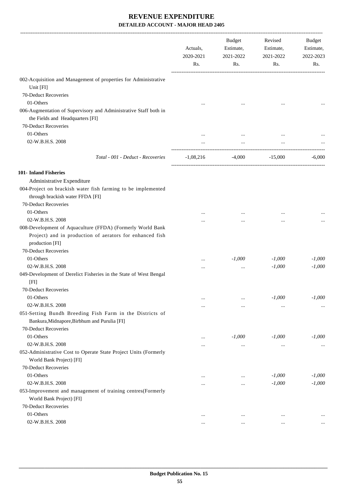|                                                                                                                                           | Actuals,<br>2020-2021<br>Rs. | Budget<br>Estimate,<br>2021-2022<br>Rs. | Revised<br>Estimate,<br>2021-2022<br>Rs. | Budget<br>Estimate,<br>2022-2023<br>Rs. |
|-------------------------------------------------------------------------------------------------------------------------------------------|------------------------------|-----------------------------------------|------------------------------------------|-----------------------------------------|
| 002-Acquisition and Management of properties for Administrative                                                                           |                              |                                         |                                          |                                         |
| Unit [FI]                                                                                                                                 |                              |                                         |                                          |                                         |
| 70-Deduct Recoveries                                                                                                                      |                              |                                         |                                          |                                         |
| 01-Others<br>006-Augmentation of Supervisory and Administrative Staff both in<br>the Fields and Headquarters [FI]                         |                              |                                         |                                          |                                         |
| 70-Deduct Recoveries                                                                                                                      |                              |                                         |                                          |                                         |
| 01-Others                                                                                                                                 |                              |                                         |                                          |                                         |
| 02-W.B.H.S. 2008                                                                                                                          |                              |                                         |                                          |                                         |
| Total - 001 - Deduct - Recoveries                                                                                                         | $-1,08,216$                  |                                         | $-4,000$ $-15,000$                       | $-6,000$                                |
| 101- Inland Fisheries                                                                                                                     |                              |                                         |                                          |                                         |
| Administrative Expenditure                                                                                                                |                              |                                         |                                          |                                         |
| 004-Project on brackish water fish farming to be implemented<br>through brackish water FFDA [FI]                                          |                              |                                         |                                          |                                         |
| 70-Deduct Recoveries                                                                                                                      |                              |                                         |                                          |                                         |
| 01-Others                                                                                                                                 |                              |                                         |                                          |                                         |
| 02-W.B.H.S. 2008                                                                                                                          |                              |                                         | $\cdots$                                 |                                         |
| 008-Development of Aquaculture (FFDA) (Formerly World Bank<br>Project) and in production of aerators for enhanced fish<br>production [FI] |                              |                                         |                                          |                                         |
| 70-Deduct Recoveries                                                                                                                      |                              |                                         |                                          |                                         |
| 01-Others                                                                                                                                 | $\cdots$                     | $-1,000$                                | $-1,000$                                 | $-1,000$                                |
| 02-W.B.H.S. 2008                                                                                                                          |                              |                                         | $-1,000$                                 | $-1,000$                                |
| 049-Development of Derelict Fisheries in the State of West Bengal                                                                         |                              |                                         |                                          |                                         |
| [FI]                                                                                                                                      |                              |                                         |                                          |                                         |
| 70-Deduct Recoveries                                                                                                                      |                              |                                         |                                          |                                         |
| 01-Others                                                                                                                                 |                              | $\cdots$                                | $-1,000$                                 | $-1,000$                                |
| 02-W.B.H.S. 2008                                                                                                                          |                              | $\cdots$                                |                                          | $\cdots$                                |
| 051-Setting Bundh Breeding Fish Farm in the Districts of<br>Bankura, Midnapore, Birbhum and Purulia [FI]                                  |                              |                                         |                                          |                                         |
| 70-Deduct Recoveries                                                                                                                      |                              |                                         |                                          |                                         |
| 01-Others                                                                                                                                 |                              | $-1,000$                                | $-1,000$                                 | $-1,000$                                |
| 02-W.B.H.S. 2008                                                                                                                          |                              | $\cdots$                                | $\cdots$                                 | $\cdots$                                |
| 052-Administrative Cost to Operate State Project Units (Formerly<br>World Bank Project) [FI]                                              |                              |                                         |                                          |                                         |
| 70-Deduct Recoveries                                                                                                                      |                              |                                         |                                          |                                         |
| 01-Others                                                                                                                                 | $\cdots$                     | $\cdots$                                | $-1,000$                                 | $-1,000$                                |
| 02-W.B.H.S. 2008                                                                                                                          |                              |                                         | $-1,000$                                 | $-1,000$                                |
| 053-Improvement and management of training centres(Formerly                                                                               |                              |                                         |                                          |                                         |
| World Bank Project) [FI]                                                                                                                  |                              |                                         |                                          |                                         |
| 70-Deduct Recoveries                                                                                                                      |                              |                                         |                                          |                                         |
| 01-Others                                                                                                                                 | $\cdots$                     | $\cdots$                                | $\cdots$                                 |                                         |
| 02-W.B.H.S. 2008                                                                                                                          |                              | $\cdots$                                |                                          |                                         |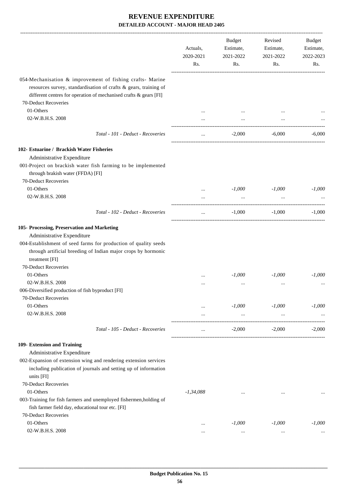|                                                                                                                                                    | Actuals,<br>2020-2021<br>Rs. | <b>Budget</b><br>Estimate,<br>2021-2022<br>Rs. | Revised<br>Estimate,<br>2021-2022<br>Rs. | Budget<br>Estimate,<br>2022-2023<br>Rs. |
|----------------------------------------------------------------------------------------------------------------------------------------------------|------------------------------|------------------------------------------------|------------------------------------------|-----------------------------------------|
| 054-Mechanisation & improvement of fishing crafts- Marine<br>resources survey, standardisation of crafts & gears, training of                      |                              |                                                |                                          |                                         |
| different centres for operation of mechanised crafts & gears [FI]                                                                                  |                              |                                                |                                          |                                         |
| 70-Deduct Recoveries                                                                                                                               |                              |                                                |                                          |                                         |
| 01-Others                                                                                                                                          |                              |                                                |                                          |                                         |
| 02-W.B.H.S. 2008                                                                                                                                   |                              |                                                |                                          |                                         |
| Total - 101 - Deduct - Recoveries                                                                                                                  | $\cdots$                     | $-2,000$                                       | $-6,000$                                 | $-6,000$                                |
| 102- Estuarine / Brackish Water Fisheries                                                                                                          |                              |                                                |                                          |                                         |
| Administrative Expenditure                                                                                                                         |                              |                                                |                                          |                                         |
| 001-Project on brackish water fish farming to be implemented<br>through brakish water (FFDA) [FI]                                                  |                              |                                                |                                          |                                         |
| 70-Deduct Recoveries                                                                                                                               |                              |                                                |                                          |                                         |
| 01-Others                                                                                                                                          | $\cdots$                     | $-1,000$                                       | $-1,000$                                 | $-1,000$                                |
| 02-W.B.H.S. 2008                                                                                                                                   |                              | $\ldots$                                       | $\cdots$                                 |                                         |
| Total - 102 - Deduct - Recoveries                                                                                                                  | $\cdots$                     | $-1,000$                                       | $-1,000$                                 | $-1,000$                                |
| 105- Processing, Preservation and Marketing                                                                                                        |                              |                                                |                                          |                                         |
| Administrative Expenditure                                                                                                                         |                              |                                                |                                          |                                         |
| 004-Establishment of seed farms for production of quality seeds<br>through artificial breeding of Indian major crops by hormonic<br>treatment [FI] |                              |                                                |                                          |                                         |
| 70-Deduct Recoveries                                                                                                                               |                              |                                                |                                          |                                         |
| 01-Others                                                                                                                                          |                              | $-1,000$                                       | $-1,000$                                 | $-1,000$                                |
| 02-W.B.H.S. 2008                                                                                                                                   |                              | $\cdots$                                       |                                          |                                         |
| 006-Diversified production of fish byproduct [FI]                                                                                                  |                              |                                                |                                          |                                         |
| 70-Deduct Recoveries                                                                                                                               |                              |                                                |                                          |                                         |
| 01-Others                                                                                                                                          | $\cdots$                     | $-1,000$                                       | $-1,000$                                 | $-1,000$                                |
| 02-W.B.H.S. 2008                                                                                                                                   | $\cdots$                     | $\ldots$                                       | $\ldots$                                 |                                         |
| Total - 105 - Deduct - Recoveries                                                                                                                  |                              | $-2,000$                                       | $-2,000$                                 | $-2,000$                                |
| 109- Extension and Training                                                                                                                        |                              |                                                |                                          |                                         |
| Administrative Expenditure                                                                                                                         |                              |                                                |                                          |                                         |
| 002-Expansion of extension wing and rendering extension services                                                                                   |                              |                                                |                                          |                                         |
| including publication of journals and setting up of information<br>units [FI]                                                                      |                              |                                                |                                          |                                         |
| 70-Deduct Recoveries                                                                                                                               |                              |                                                |                                          |                                         |
| 01-Others                                                                                                                                          | $-1,34,088$                  | $\ddotsc$                                      |                                          |                                         |
| 003-Training for fish farmers and unemployed fishermen, holding of                                                                                 |                              |                                                |                                          |                                         |
| fish farmer field day, educational tour etc. [FI]                                                                                                  |                              |                                                |                                          |                                         |
| 70-Deduct Recoveries                                                                                                                               |                              |                                                |                                          |                                         |
| 01-Others                                                                                                                                          |                              | $-1,000$                                       | $-1,000$                                 | $-1,000$                                |
| 02-W.B.H.S. 2008                                                                                                                                   |                              | $\cdots$                                       | $\cdots$                                 |                                         |
|                                                                                                                                                    |                              |                                                |                                          |                                         |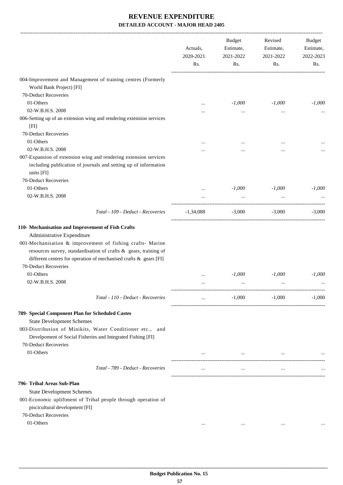|                                                                                                                                                                                                                                                                                                               | Actuals,<br>2020-2021<br>Rs. | <b>Budget</b><br>Estimate,<br>2021-2022<br>Rs. | Revised<br>Estimate,<br>2021-2022<br>Rs. | Budget<br>Estimate,<br>2022-2023<br>Rs. |
|---------------------------------------------------------------------------------------------------------------------------------------------------------------------------------------------------------------------------------------------------------------------------------------------------------------|------------------------------|------------------------------------------------|------------------------------------------|-----------------------------------------|
| 004-Improvement and Management of training centres (Formerly<br>World Bank Project) [FI]                                                                                                                                                                                                                      |                              |                                                |                                          |                                         |
| 70-Deduct Recoveries                                                                                                                                                                                                                                                                                          |                              |                                                |                                          |                                         |
| 01-Others                                                                                                                                                                                                                                                                                                     |                              | $-1,000$                                       | $-1,000$                                 | $-1,000$                                |
| 02-W.B.H.S. 2008                                                                                                                                                                                                                                                                                              |                              | $\cdots$                                       | $\cdots$                                 |                                         |
| 006-Setting up of an extension wing and rendering extension services<br>[FI]                                                                                                                                                                                                                                  |                              |                                                |                                          |                                         |
| 70-Deduct Recoveries                                                                                                                                                                                                                                                                                          |                              |                                                |                                          |                                         |
| 01-Others                                                                                                                                                                                                                                                                                                     |                              |                                                |                                          |                                         |
| 02-W.B.H.S. 2008                                                                                                                                                                                                                                                                                              |                              |                                                |                                          |                                         |
| 007-Expansion of extension wing and rendering extension services                                                                                                                                                                                                                                              |                              |                                                |                                          |                                         |
| including publication of journals and setting up of information<br>units [FI]                                                                                                                                                                                                                                 |                              |                                                |                                          |                                         |
| 70-Deduct Recoveries                                                                                                                                                                                                                                                                                          |                              |                                                |                                          |                                         |
| 01-Others                                                                                                                                                                                                                                                                                                     |                              | $-1,000$                                       | $-1,000$                                 | $-1,000$                                |
| 02-W.B.H.S. 2008                                                                                                                                                                                                                                                                                              |                              | $\ldots$                                       |                                          |                                         |
| Total - 109 - Deduct - Recoveries                                                                                                                                                                                                                                                                             | $-1,34,088$                  | $-3,000$                                       | $-3,000$                                 | $-3,000$                                |
| 110- Mechanisation and Improvement of Fish Crafts<br>Administrative Expenditure<br>001-Mechanisation & improvement of fishing crafts- Marine<br>resources survey, standardisation of crafts & gears, training of<br>different centres for operation of mechanised crafts & gears [FI]<br>70-Deduct Recoveries |                              |                                                |                                          |                                         |
| 01-Others                                                                                                                                                                                                                                                                                                     |                              | $-1,000$                                       | $-1,000$                                 | $-1,000$                                |
| 02-W.B.H.S. 2008                                                                                                                                                                                                                                                                                              | .                            | $\cdots$                                       | $\cdots$                                 |                                         |
| Total - 110 - Deduct - Recoveries                                                                                                                                                                                                                                                                             | $\cdots$                     | $-1,000$                                       | $-1,000$                                 | $-1.000$                                |
| 789- Special Component Plan for Scheduled Castes<br><b>State Development Schemes</b><br>003-Distribution of Minikits, Water Conditioner etc., and<br>Develpoment of Social Fisheries and Integrated Fishing [FI]<br>70-Deduct Recoveries<br>01-Others                                                         |                              |                                                | $\cdots$                                 |                                         |
| Total - 789 - Deduct - Recoveries                                                                                                                                                                                                                                                                             | $\cdots$                     | $\cdots$                                       | $\cdots$                                 |                                         |
| 796- Tribal Areas Sub-Plan<br><b>State Development Schemes</b><br>001-Economic upliftment of Tribal people through operation of<br>piscicultural development [FI]<br>70-Deduct Recoveries<br>01-Others                                                                                                        |                              |                                                | $\ddotsc$                                |                                         |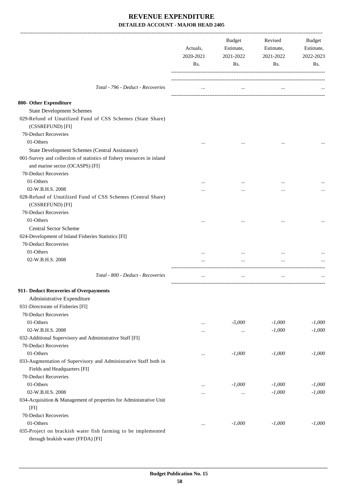|                                                                                                           | Actuals,<br>2020-2021<br>Rs. | Budget<br>Estimate,<br>2021-2022<br>Rs. | Revised<br>Estimate,<br>2021-2022<br>Rs. | <b>Budget</b><br>Estimate,<br>2022-2023<br>Rs. |
|-----------------------------------------------------------------------------------------------------------|------------------------------|-----------------------------------------|------------------------------------------|------------------------------------------------|
|                                                                                                           |                              |                                         |                                          |                                                |
| Total - 796 - Deduct - Recoveries                                                                         |                              |                                         |                                          |                                                |
| 800- Other Expenditure                                                                                    |                              |                                         |                                          |                                                |
| <b>State Development Schemes</b>                                                                          |                              |                                         |                                          |                                                |
| 029-Refund of Unutilized Fund of CSS Schemes (State Share)<br>(CSSREFUND) [FI]                            |                              |                                         |                                          |                                                |
| 70-Deduct Recoveries                                                                                      |                              |                                         |                                          |                                                |
| 01-Others                                                                                                 |                              |                                         |                                          |                                                |
| State Development Schemes (Central Assistance)                                                            |                              |                                         |                                          |                                                |
| 001-Survey and collection of statistics of fishery resources in inland<br>and marine sector (OCASPS) [FI] |                              |                                         |                                          |                                                |
| 70-Deduct Recoveries                                                                                      |                              |                                         |                                          |                                                |
| 01-Others                                                                                                 |                              |                                         |                                          |                                                |
| 02-W.B.H.S. 2008                                                                                          |                              |                                         |                                          |                                                |
| 028-Refund of Unutilized Fund of CSS Schemes (Central Share)<br>(CSSREFUND) [FI]                          |                              |                                         |                                          |                                                |
| 70-Deduct Recoveries                                                                                      |                              |                                         |                                          |                                                |
| 01-Others                                                                                                 |                              |                                         |                                          |                                                |
| <b>Central Sector Scheme</b>                                                                              |                              |                                         |                                          |                                                |
| 024-Development of Inland Fisheries Statistics [FI]                                                       |                              |                                         |                                          |                                                |
| 70-Deduct Recoveries                                                                                      |                              |                                         |                                          |                                                |
| 01-Others                                                                                                 |                              |                                         |                                          |                                                |
| 02-W.B.H.S. 2008                                                                                          |                              |                                         |                                          |                                                |
| Total - 800 - Deduct - Recoveries                                                                         |                              | $\ddotsc$                               | $\cdots$                                 |                                                |
| 911- Deduct Recoveries of Overpayments                                                                    |                              |                                         |                                          |                                                |
| Administrative Expenditure                                                                                |                              |                                         |                                          |                                                |
| 031-Directorate of Fisheries [FI]                                                                         |                              |                                         |                                          |                                                |
| 70-Deduct Recoveries                                                                                      |                              |                                         |                                          |                                                |
| 01-Others                                                                                                 | $\cdots$                     | $-5,000$                                | $-1,000$                                 | $-1,000$                                       |
| 02-W.B.H.S. 2008                                                                                          |                              | $\ldots$                                | $-1,000$                                 | $-1,000$                                       |
| 032-Additional Supervisory and Administrative Staff [FI]                                                  |                              |                                         |                                          |                                                |
| 70-Deduct Recoveries                                                                                      |                              |                                         |                                          |                                                |
| 01-Others                                                                                                 | $\cdots$                     | $-1,000$                                | $-1,000$                                 | $-1,000$                                       |
| 033-Augmentation of Supervisory and Administrative Staff both in                                          |                              |                                         |                                          |                                                |
| Fields and Headquarters [FI]                                                                              |                              |                                         |                                          |                                                |
| 70-Deduct Recoveries                                                                                      |                              |                                         |                                          |                                                |
| 01-Others                                                                                                 | $\cdots$                     | $-1,000$                                | $-1,000$                                 | $-1,000$                                       |
| 02-W.B.H.S. 2008                                                                                          | $\cdots$                     | $\cdots$                                | $-1,000$                                 | $-1,000$                                       |
| 034-Acquisition & Management of properties for Administrative Unit<br>[FI]                                |                              |                                         |                                          |                                                |
| 70-Deduct Recoveries                                                                                      |                              |                                         |                                          |                                                |
| 01-Others                                                                                                 | $\cdots$                     | $-1,000$                                | $-1,000$                                 | $-1,000$                                       |
| 035-Project on brackish water fish farming to be implemented<br>through brakish water (FFDA) [FI]         |                              |                                         |                                          |                                                |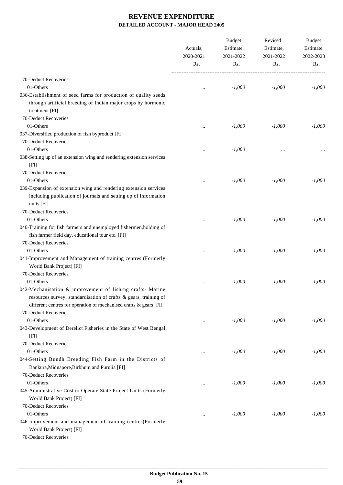-------------------------------------------------------------------------------------------------------------------------------------------------------------------------------

|                                                                                                                                                   | Actuals,<br>2020-2021<br>Rs. | <b>Budget</b><br>Estimate,<br>2021-2022<br>Rs. | Revised<br>Estimate,<br>2021-2022<br>Rs. | <b>Budget</b><br>Estimate,<br>2022-2023<br>Rs. |
|---------------------------------------------------------------------------------------------------------------------------------------------------|------------------------------|------------------------------------------------|------------------------------------------|------------------------------------------------|
| 70-Deduct Recoveries                                                                                                                              |                              |                                                |                                          |                                                |
| 01-Others                                                                                                                                         | $\cdots$                     | $-1,000$                                       | $-1,000$                                 | $-1,000$                                       |
| 036-Establishment of seed farms for production of quality seeds                                                                                   |                              |                                                |                                          |                                                |
| through artificial breeding of Indian major crops by hormonic<br>treatment [FI]                                                                   |                              |                                                |                                          |                                                |
| 70-Deduct Recoveries                                                                                                                              |                              |                                                |                                          |                                                |
| 01-Others                                                                                                                                         | $\ddotsc$                    | $-1,000$                                       | $-1,000$                                 | $-1,000$                                       |
| 037-Diversified production of fish byproduct [FI]                                                                                                 |                              |                                                |                                          |                                                |
| 70-Deduct Recoveries                                                                                                                              |                              |                                                |                                          |                                                |
| 01-Others                                                                                                                                         |                              | $-1,000$                                       |                                          |                                                |
| 038-Setting up of an extension wing and rendering extension services<br>[FI]                                                                      | $\ddotsc$                    |                                                | $\ddotsc$                                |                                                |
| 70-Deduct Recoveries                                                                                                                              |                              |                                                |                                          |                                                |
| 01-Others                                                                                                                                         |                              | $-1,000$                                       | $-1,000$                                 | $-1,000$                                       |
| 039-Expansion of extension wing and rendering extension services<br>including publication of journals and setting up of information<br>units [FI] |                              |                                                |                                          |                                                |
| 70-Deduct Recoveries                                                                                                                              |                              |                                                |                                          |                                                |
| 01-Others                                                                                                                                         |                              | $-1,000$                                       | $-1,000$                                 | $-1,000$                                       |
| 040-Training for fish farmers and unemployed fishermen, holding of                                                                                |                              |                                                |                                          |                                                |
| fish farmer field day, educational tour etc. [FI]                                                                                                 |                              |                                                |                                          |                                                |
| 70-Deduct Recoveries                                                                                                                              |                              |                                                |                                          |                                                |
| 01-Others                                                                                                                                         | $\ddotsc$                    | $-1,000$                                       | $-1,000$                                 | $-1,000$                                       |
| 041-Improvement and Management of training centres (Formerly                                                                                      |                              |                                                |                                          |                                                |
| World Bank Project) [FI]                                                                                                                          |                              |                                                |                                          |                                                |
| 70-Deduct Recoveries                                                                                                                              |                              |                                                |                                          |                                                |
| 01-Others                                                                                                                                         |                              | $-1,000$                                       | $-1,000$                                 | $-1,000$                                       |
| 042-Mechanisation & improvement of fishing crafts- Marine                                                                                         |                              |                                                |                                          |                                                |
| resources survey, standardisation of crafts & gears, training of                                                                                  |                              |                                                |                                          |                                                |
| different centres for operation of mechanised crafts & gears [FI]                                                                                 |                              |                                                |                                          |                                                |
| 70-Deduct Recoveries                                                                                                                              |                              |                                                |                                          |                                                |
| 01-Others                                                                                                                                         | $\cdots$                     | $-1,000$                                       | $-1,000$                                 | $-1,000$                                       |
| 043-Development of Derelict Fisheries in the State of West Bengal                                                                                 |                              |                                                |                                          |                                                |
| [FI]                                                                                                                                              |                              |                                                |                                          |                                                |
| 70-Deduct Recoveries                                                                                                                              |                              |                                                |                                          |                                                |
| 01-Others                                                                                                                                         | $\ddotsc$                    | $-1,000$                                       | $-1,000$                                 | $-1,000$                                       |
| 044-Setting Bundh Breeding Fish Farm in the Districts of                                                                                          |                              |                                                |                                          |                                                |
| Bankura, Midnapore, Birbhum and Purulia [FI]                                                                                                      |                              |                                                |                                          |                                                |
| 70-Deduct Recoveries                                                                                                                              |                              |                                                |                                          |                                                |
| 01-Others                                                                                                                                         | $\cdots$                     | $-1,000$                                       | $-1,000$                                 | $-1,000$                                       |
| 045-Administrative Cost to Operate State Project Units (Formerly                                                                                  |                              |                                                |                                          |                                                |
| World Bank Project) [FI]                                                                                                                          |                              |                                                |                                          |                                                |
| 70-Deduct Recoveries                                                                                                                              |                              |                                                |                                          |                                                |
| 01-Others                                                                                                                                         | $\cdots$                     | $-1,000$                                       | $-1,000$                                 | $-1,000$                                       |
| 046-Improvement and management of training centres(Formerly                                                                                       |                              |                                                |                                          |                                                |
| World Bank Project) [FI]                                                                                                                          |                              |                                                |                                          |                                                |
| 70-Deduct Recoveries                                                                                                                              |                              |                                                |                                          |                                                |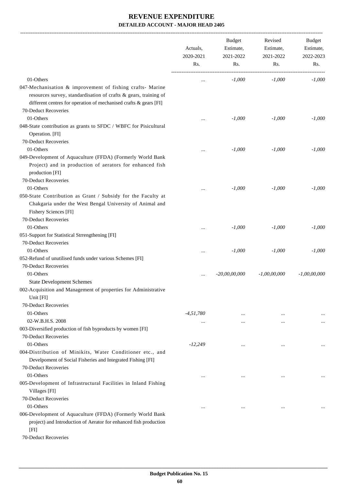|                                                                                                                                                                                                    | Actuals,<br>2020-2021<br>Rs. | <b>Budget</b><br>Estimate,<br>2021-2022<br>Rs. | Revised<br>Estimate,<br>2021-2022<br>Rs. | Budget<br>Estimate,<br>2022-2023<br>Rs. |
|----------------------------------------------------------------------------------------------------------------------------------------------------------------------------------------------------|------------------------------|------------------------------------------------|------------------------------------------|-----------------------------------------|
| 01-Others                                                                                                                                                                                          | $\cdots$                     | $-1,000$                                       | $-1,000$                                 | $-1,000$                                |
| 047-Mechanisation & improvement of fishing crafts- Marine<br>resources survey, standardisation of crafts & gears, training of<br>different centres for operation of mechanised crafts & gears [FI] |                              |                                                |                                          |                                         |
| 70-Deduct Recoveries                                                                                                                                                                               |                              |                                                |                                          |                                         |
| 01-Others                                                                                                                                                                                          |                              | $-1,000$                                       | $-1,000$                                 | $-1,000$                                |
| 048-State contribution as grants to SFDC / WBFC for Pisicultural<br>Operation. [FI]                                                                                                                |                              |                                                |                                          |                                         |
| 70-Deduct Recoveries                                                                                                                                                                               |                              |                                                |                                          |                                         |
| 01-Others<br>049-Development of Aquaculture (FFDA) (Formerly World Bank<br>Project) and in production of aerators for enhanced fish<br>production [FI]                                             |                              | $-1,000$                                       | $-1,000$                                 | $-1,000$                                |
| 70-Deduct Recoveries                                                                                                                                                                               |                              |                                                |                                          |                                         |
| 01-Others                                                                                                                                                                                          |                              | $-1,000$                                       | $-1,000$                                 | $-1.000$                                |
| 050-State Contribution as Grant / Subsidy for the Faculty at<br>Chakgaria under the West Bengal University of Animal and<br>Fishery Sciences [FI]<br>70-Deduct Recoveries<br>01-Others             | $\ddotsc$                    | $-1,000$                                       | $-1,000$                                 | $-1,000$                                |
| 051-Support for Statistical Strrengthening [FI]                                                                                                                                                    |                              |                                                |                                          |                                         |
| 70-Deduct Recoveries<br>01-Others                                                                                                                                                                  |                              |                                                |                                          | $-1,000$                                |
| 052-Refund of unutilised funds under various Schemes [FI]                                                                                                                                          |                              | $-1,000$                                       | $-1,000$                                 |                                         |
| 70-Deduct Recoveries                                                                                                                                                                               |                              |                                                |                                          |                                         |
| 01-Others                                                                                                                                                                                          | $\cdots$                     | $-20,00,00,000$                                | $-1,00,00,000$                           | $-1,00,00,000$                          |
| <b>State Development Schemes</b>                                                                                                                                                                   |                              |                                                |                                          |                                         |
| 002-Acquisition and Management of properties for Administrative<br>Unit [FI]                                                                                                                       |                              |                                                |                                          |                                         |
| 70-Deduct Recoveries                                                                                                                                                                               |                              |                                                |                                          |                                         |
| 01-Others                                                                                                                                                                                          | $-4,51,780$                  |                                                |                                          |                                         |
| 02-W.B.H.S. 2008                                                                                                                                                                                   | $\cdots$                     |                                                |                                          |                                         |
| 003-Diversified production of fish byproducts by women [FI]<br>70-Deduct Recoveries                                                                                                                |                              |                                                |                                          |                                         |
| 01-Others                                                                                                                                                                                          | $-12,249$                    |                                                |                                          |                                         |
| 004-Distribution of Minikits, Water Conditioner etc., and<br>Develpoment of Social Fisheries and Integrated Fishing [FI]<br>70-Deduct Recoveries                                                   |                              |                                                |                                          |                                         |
| 01-Others                                                                                                                                                                                          | $\ddotsc$                    | $\cdots$                                       |                                          |                                         |
| 005-Development of Infrastructural Facilities in Inland Fishing<br>Villages [FI]                                                                                                                   |                              |                                                |                                          |                                         |
| 70-Deduct Recoveries                                                                                                                                                                               |                              |                                                |                                          |                                         |
| 01-Others                                                                                                                                                                                          |                              |                                                |                                          |                                         |
| 006-Development of Aquaculture (FFDA) (Formerly World Bank<br>project) and Introduction of Aerator for enhanced fish production<br>[FI]                                                            |                              |                                                |                                          |                                         |

70-Deduct Recoveries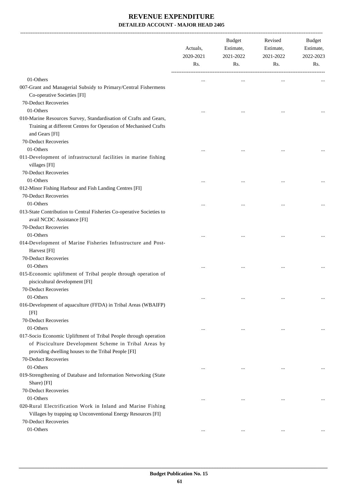-------------------------------------------------------------------------------------------------------------------------------------------------------------------------------

|                                                                                                                                                                                  | Actuals,<br>2020-2021<br>Rs. | <b>Budget</b><br>Estimate,<br>2021-2022<br>Rs. | Revised<br>Estimate,<br>2021-2022<br>Rs. | <b>Budget</b><br>Estimate,<br>2022-2023<br>Rs. |
|----------------------------------------------------------------------------------------------------------------------------------------------------------------------------------|------------------------------|------------------------------------------------|------------------------------------------|------------------------------------------------|
| 01-Others                                                                                                                                                                        | $\cdots$                     | $\cdots$                                       | $\ddotsc$                                |                                                |
| 007-Grant and Managerial Subsidy to Primary/Central Fishermens<br>Co-operative Societies [FI]<br>70-Deduct Recoveries                                                            |                              |                                                |                                          |                                                |
| 01-Others                                                                                                                                                                        |                              |                                                |                                          |                                                |
| 010-Marine Resources Survey, Standardisation of Crafts and Gears,                                                                                                                |                              |                                                |                                          |                                                |
| Training at different Centres for Operation of Mechanised Crafts<br>and Gears [FI]                                                                                               |                              |                                                |                                          |                                                |
| 70-Deduct Recoveries                                                                                                                                                             |                              |                                                |                                          |                                                |
| 01-Others                                                                                                                                                                        |                              |                                                |                                          |                                                |
| 011-Development of infrastructural facilities in marine fishing<br>villages [FI]                                                                                                 |                              |                                                |                                          |                                                |
| 70-Deduct Recoveries                                                                                                                                                             |                              |                                                |                                          |                                                |
| 01-Others                                                                                                                                                                        | $\cdots$                     | $\cdots$                                       | $\ddotsc$                                |                                                |
| 012-Minor Fishing Harbour and Fish Landing Centres [FI]<br>70-Deduct Recoveries                                                                                                  |                              |                                                |                                          |                                                |
| 01-Others                                                                                                                                                                        | $\ddotsc$                    | $\cdots$                                       |                                          |                                                |
| 013-State Contribution to Central Fisheries Co-operative Societies to<br>avail NCDC Assistance [FI]<br>70-Deduct Recoveries                                                      |                              |                                                |                                          |                                                |
| 01-Others                                                                                                                                                                        |                              |                                                |                                          |                                                |
| 014-Development of Marine Fisheries Infrastructure and Post-<br>Harvest [FI]                                                                                                     |                              |                                                |                                          |                                                |
| 70-Deduct Recoveries                                                                                                                                                             |                              |                                                |                                          |                                                |
| 01-Others                                                                                                                                                                        |                              |                                                |                                          |                                                |
| 015-Economic upliftment of Tribal people through operation of<br>piscicultural development [FI]                                                                                  |                              |                                                |                                          |                                                |
| 70-Deduct Recoveries<br>01-Others                                                                                                                                                | $\ddotsc$                    | $\ddotsc$                                      | $\ddotsc$                                | $\cdots$                                       |
| 016-Development of aquaculture (FFDA) in Tribal Areas (WBAIFP)<br>[FI]<br>70-Deduct Recoveries                                                                                   |                              |                                                |                                          |                                                |
| 01-Others                                                                                                                                                                        |                              |                                                |                                          |                                                |
| 017-Socio Economic Upliftment of Tribal People through operation<br>of Pisciculture Development Scheme in Tribal Areas by<br>providing dwelling houses to the Tribal People [FI] | $\ddotsc$                    |                                                | $\cdots$                                 |                                                |
| 70-Deduct Recoveries                                                                                                                                                             |                              |                                                |                                          |                                                |
| 01-Others                                                                                                                                                                        |                              | $\ddotsc$                                      | $\ddotsc$                                |                                                |
| 019-Strengthening of Database and Information Networking (State<br>Share) [FI]                                                                                                   |                              |                                                |                                          |                                                |
| 70-Deduct Recoveries                                                                                                                                                             |                              |                                                |                                          |                                                |
| 01-Others<br>020-Rural Electrification Work in Inland and Marine Fishing<br>Villages by trapping up Unconventional Energy Resources [FI]<br>70-Deduct Recoveries                 |                              |                                                | $\ddotsc$                                |                                                |
| 01-Others                                                                                                                                                                        | $\cdots$                     | $\cdots$                                       | $\cdots$                                 |                                                |
|                                                                                                                                                                                  |                              |                                                |                                          |                                                |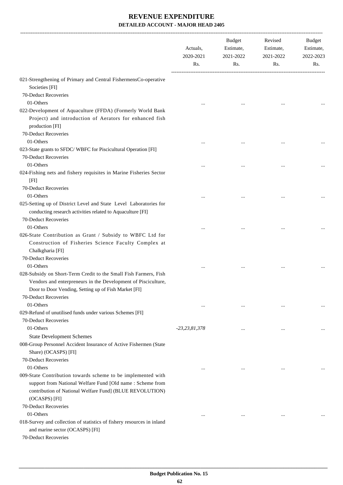|                                                                                                                                                         | Actuals,<br>2020-2021<br>Rs. | Budget<br>Estimate,<br>2021-2022<br>Rs. | Revised<br>Estimate,<br>2021-2022<br>Rs. | Budget<br>Estimate,<br>2022-2023<br>Rs. |
|---------------------------------------------------------------------------------------------------------------------------------------------------------|------------------------------|-----------------------------------------|------------------------------------------|-----------------------------------------|
| 021-Strengthening of Primary and Central FishermensCo-operative<br>Societies [FI]                                                                       |                              |                                         |                                          |                                         |
| 70-Deduct Recoveries                                                                                                                                    |                              |                                         |                                          |                                         |
|                                                                                                                                                         |                              |                                         |                                          |                                         |
| 01-Others<br>022-Development of Aquaculture (FFDA) (Formerly World Bank<br>Project) and introduction of Aerators for enhanced fish                      |                              |                                         |                                          |                                         |
| production [FI]<br>70-Deduct Recoveries                                                                                                                 |                              |                                         |                                          |                                         |
| 01-Others                                                                                                                                               |                              |                                         |                                          |                                         |
| 023-State grants to SFDC/WBFC for Piscicultural Operation [FI]<br>70-Deduct Recoveries                                                                  |                              |                                         |                                          |                                         |
| 01-Others                                                                                                                                               |                              |                                         |                                          |                                         |
| 024-Fishing nets and fishery requisites in Marine Fisheries Sector<br>[FI]                                                                              |                              |                                         |                                          |                                         |
| 70-Deduct Recoveries                                                                                                                                    |                              |                                         |                                          |                                         |
| 01-Others                                                                                                                                               |                              |                                         |                                          |                                         |
| 025-Setting up of District Level and State Level Laboratories for<br>conducting research activities related to Aquaculture [FI]<br>70-Deduct Recoveries |                              |                                         |                                          |                                         |
| 01-Others                                                                                                                                               |                              |                                         |                                          |                                         |
| 026-State Contribution as Grant / Subsidy to WBFC Ltd for                                                                                               |                              |                                         |                                          |                                         |
| Construction of Fisheries Science Faculty Complex at<br>Chalkgharia [FI]                                                                                |                              |                                         |                                          |                                         |
| 70-Deduct Recoveries                                                                                                                                    |                              |                                         |                                          |                                         |
| 01-Others                                                                                                                                               |                              |                                         | $\cdots$                                 |                                         |
| 028-Subsidy on Short-Term Credit to the Small Fish Farmers, Fish<br>Vendors and enterpreneurs in the Development of Pisciculture,                       |                              |                                         |                                          |                                         |
| Door to Door Vending, Setting up of Fish Market [FI]                                                                                                    |                              |                                         |                                          |                                         |
| <b>70-Deduct Recoveries</b>                                                                                                                             |                              |                                         |                                          |                                         |
| 01-Others                                                                                                                                               |                              | $\cdots$                                | $\cdots$                                 |                                         |
| 029-Refund of unutilised funds under various Schemes [FI]                                                                                               |                              |                                         |                                          |                                         |
| 70-Deduct Recoveries                                                                                                                                    |                              |                                         |                                          |                                         |
| 01-Others                                                                                                                                               | $-23,23,81,378$              | $\cdots$                                | $\ddotsc$                                |                                         |
| <b>State Development Schemes</b>                                                                                                                        |                              |                                         |                                          |                                         |
| 008-Group Personnel Accident Insurance of Active Fishermen (State<br>Share) (OCASPS) [FI]                                                               |                              |                                         |                                          |                                         |
| 70-Deduct Recoveries                                                                                                                                    |                              |                                         |                                          |                                         |
| 01-Others                                                                                                                                               |                              | $\ddotsc$                               | $\ddotsc$                                |                                         |
| 009-State Contribution towards scheme to be implemented with                                                                                            |                              |                                         |                                          |                                         |
| support from National Welfare Fund [Old name : Scheme from                                                                                              |                              |                                         |                                          |                                         |
| contribution of National Welfare Fund] (BLUE REVOLUTION)<br>(OCASPS) [FI]                                                                               |                              |                                         |                                          |                                         |
| 70-Deduct Recoveries                                                                                                                                    |                              |                                         |                                          |                                         |
| 01-Others                                                                                                                                               |                              |                                         | $\ddotsc$                                |                                         |
| 018-Survey and collection of statistics of fishery resources in inland<br>and marine sector (OCASPS) [FI]<br>70-Deduct Recoveries                       |                              |                                         |                                          |                                         |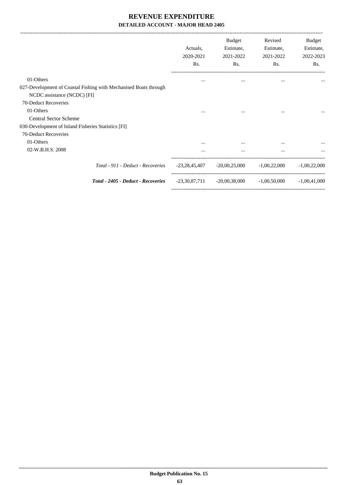|                                                                  | Actuals,<br>2020-2021<br>Rs. | <b>Budget</b><br>Estimate,<br>2021-2022<br>Rs. | Revised<br>Estimate,<br>2021-2022<br>Rs. | Budget<br>Estimate,<br>2022-2023<br>Rs. |
|------------------------------------------------------------------|------------------------------|------------------------------------------------|------------------------------------------|-----------------------------------------|
| 01-Others                                                        |                              | $\cdots$                                       | $\cdots$                                 |                                         |
| 027-Development of Coastal Fishing with Mechanised Boats through |                              |                                                |                                          |                                         |
| NCDC assistance (NCDC) [FI]                                      |                              |                                                |                                          |                                         |
| 70-Deduct Recoveries                                             |                              |                                                |                                          |                                         |
| 01-Others                                                        | $\cdots$                     | $\cdots$                                       | $\cdots$                                 |                                         |
| <b>Central Sector Scheme</b>                                     |                              |                                                |                                          |                                         |
| 030-Development of Inland Fisheries Statistics [FI]              |                              |                                                |                                          |                                         |
| 70-Deduct Recoveries                                             |                              |                                                |                                          |                                         |
| 01-Others                                                        |                              |                                                | $\cdots$                                 |                                         |
| 02-W.B.H.S. 2008                                                 | $\cdots$                     | $\cdots$                                       | $\cdots$                                 | $\cdots$                                |
| Total - 911 - Deduct - Recoveries                                | -23,28,45,407                | $-20,00,25,000$                                | $-1,00,22,000$                           | $-1.00,22,000$                          |
| Total - 2405 - Deduct - Recoveries                               | -23,30,87,711                | -20,00,38,000                                  | $-1,00,50,000$                           | $-1,00,41,000$                          |
|                                                                  |                              |                                                |                                          |                                         |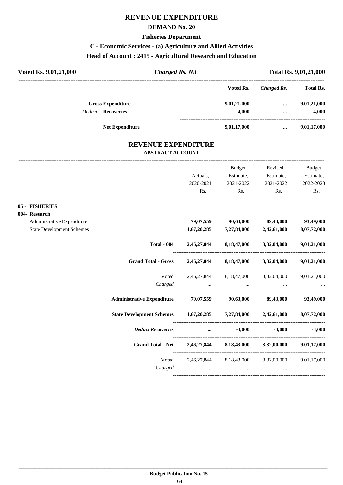# **REVENUE EXPENDITURE**

### **DEMAND No. 20**

#### **Fisheries Department**

# **C - Economic Services - (a) Agriculture and Allied Activities**

## **Head of Account : 2415 - Agricultural Research and Education**

| Voted Rs. 9,01,21,000      | <b>Charged Rs. Nil</b> |             | <b>Total Rs. 9,01,21,000</b> |                  |  |
|----------------------------|------------------------|-------------|------------------------------|------------------|--|
|                            |                        | Voted Rs.   | Charged Rs.                  | <b>Total Rs.</b> |  |
| <b>Gross Expenditure</b>   |                        | 9,01,21,000 | $\cdots$                     | 9,01,21,000      |  |
| <b>Deduct - Recoveries</b> |                        | $-4.000$    | $\cdots$                     | $-4,000$         |  |
| <b>Net Expenditure</b>     |                        | 9,01,17,000 | $\cdots$                     | 9,01,17,000      |  |

## **REVENUE EXPENDITURE ABSTRACT ACCOUNT**

---------------------------------------------------------------------------------------------------------------------------------------------------------------------------------

|                                  |                                                                           |           | Budget           | Revised                                                 | Budget            |
|----------------------------------|---------------------------------------------------------------------------|-----------|------------------|---------------------------------------------------------|-------------------|
|                                  |                                                                           | Actuals,  | Estimate,        | Estimate,                                               | Estimate,         |
|                                  |                                                                           | 2020-2021 | 2021-2022        | 2021-2022                                               | 2022-2023         |
|                                  |                                                                           | Rs.       | Rs.              | Rs.                                                     | Rs.               |
| 05 - FISHERIES                   |                                                                           |           |                  |                                                         |                   |
| 004- Research                    |                                                                           |           |                  |                                                         |                   |
| Administrative Expenditure       |                                                                           |           |                  | 79,07,559 90,63,000 89,43,000 93,49,000                 |                   |
| <b>State Development Schemes</b> |                                                                           |           |                  | $1,67,20,285$ $7,27,84,000$ $2,42,61,000$ $8,07,72,000$ |                   |
|                                  | <b>Total - 004</b>                                                        |           |                  | 2,46,27,844 8,18,47,000 3,32,04,000 9,01,21,000         |                   |
|                                  | <b>Grand Total - Gross</b>                                                |           |                  | 2,46,27,844 8,18,47,000 3,32,04,000 9,01,21,000         |                   |
|                                  |                                                                           |           |                  | Voted 2,46,27,844 8,18,47,000 3,32,04,000 9,01,21,000   |                   |
|                                  |                                                                           |           | Charged          |                                                         |                   |
|                                  | Administrative Expenditure 79,07,559 90,63,000 89,43,000 93,49,000        |           |                  |                                                         |                   |
|                                  | State Development Schemes 1,67,20,285 7,27,84,000 2,42,61,000 8,07,72,000 |           |                  |                                                         |                   |
|                                  | <b>Deduct Recoveries</b>                                                  |           | $\dots$ $-4,000$ |                                                         | $-4.000$ $-4.000$ |
|                                  | Grand Total - Net 2,46,27,844 8,18,43,000 3,32,00,000 9,01,17,000         |           |                  |                                                         |                   |
|                                  |                                                                           |           |                  | Voted 2,46,27,844 8,18,43,000 3,32,00,000 9,01,17,000   |                   |
|                                  |                                                                           |           |                  | $Charged$ $\dots$ $\dots$ $\dots$ $\dots$               |                   |
|                                  |                                                                           |           |                  |                                                         |                   |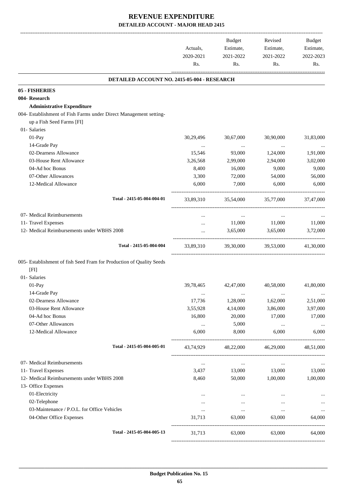|                                                                      | Actuals,<br>2020-2021<br>Rs. | Budget<br>Estimate,<br>2021-2022<br>Rs. | Revised<br>Estimate,<br>2021-2022<br>Rs. | Budget<br>Estimate,<br>2022-2023<br>Rs. |
|----------------------------------------------------------------------|------------------------------|-----------------------------------------|------------------------------------------|-----------------------------------------|
| DETAILED ACCOUNT NO. 2415-05-004 - RESEARCH                          |                              |                                         |                                          |                                         |
| 05 - FISHERIES                                                       |                              |                                         |                                          |                                         |
| 004- Research                                                        |                              |                                         |                                          |                                         |
| <b>Administrative Expenditure</b>                                    |                              |                                         |                                          |                                         |
| 004- Establishment of Fish Farms under Direct Management setting-    |                              |                                         |                                          |                                         |
| up a Fish Seed Farms [FI]                                            |                              |                                         |                                          |                                         |
| 01- Salaries                                                         |                              |                                         |                                          |                                         |
| 01-Pay                                                               | 30,29,496                    | 30,67,000                               | 30,90,000                                | 31,83,000                               |
| 14-Grade Pay                                                         | $\ldots$                     | $\cdots$                                | $\cdots$                                 |                                         |
| 02-Dearness Allowance                                                | 15,546                       | 93,000                                  | 1,24,000                                 | 1,91,000                                |
| 03-House Rent Allowance                                              | 3,26,568                     | 2,99,000                                | 2,94,000                                 | 3,02,000                                |
| 04-Ad hoc Bonus<br>07-Other Allowances                               | 8,400<br>3,300               | 16,000<br>72,000                        | 9,000<br>54,000                          | 9,000<br>56,000                         |
| 12-Medical Allowance                                                 | 6,000                        | 7,000                                   | 6,000                                    | 6,000                                   |
|                                                                      |                              |                                         |                                          |                                         |
| Total - 2415-05-004-004-01                                           | 33,89,310                    | 35,54,000                               | 35,77,000                                | 37,47,000                               |
| 07- Medical Reimbursements                                           | $\cdots$                     | $\sim$ 0.00 $\sim$                      | $\ldots$                                 |                                         |
| 11- Travel Expenses                                                  | $\cdots$                     | 11,000                                  | 11,000                                   | 11,000                                  |
| 12- Medical Reimbursements under WBHS 2008                           | $\cdots$                     | 3,65,000                                | 3,65,000                                 | 3,72,000                                |
| Total - 2415-05-004-004                                              | 33,89,310                    | 39,30,000                               | 39,53,000                                | 41,30,000                               |
| 005- Establishment of fish Seed Fram for Production of Quality Seeds |                              |                                         |                                          |                                         |
| [FI]                                                                 |                              |                                         |                                          |                                         |
| 01- Salaries                                                         |                              |                                         |                                          |                                         |
| 01-Pay                                                               | 39,78,465                    | 42,47,000                               | 40,58,000                                | 41,80,000                               |
| 14-Grade Pay                                                         | $\cdots$                     | $\cdots$                                | $\cdots$                                 | $\cdots$                                |
| 02-Dearness Allowance<br>03-House Rent Allowance                     | 17,736<br>3,55,928           | 1,28,000                                | 1,62,000                                 | 2,51,000                                |
| 04-Ad hoc Bonus                                                      | 16,800                       | 4,14,000<br>20,000                      | 3,86,000<br>17,000                       | 3,97,000<br>17,000                      |
| 07-Other Allowances                                                  | $\cdots$                     | 5,000                                   |                                          |                                         |
| 12-Medical Allowance                                                 | 6,000                        | 8,000                                   | $\ldots$<br>6,000                        | <br>6,000                               |
| Total - 2415-05-004-005-01                                           | 43,74,929                    | 48,22,000                               | 46,29,000                                | 48,51,000                               |
| 07- Medical Reimbursements                                           |                              | $\cdots$                                | $\cdots$                                 |                                         |
| 11- Travel Expenses                                                  | $\cdots$<br>3,437            | 13,000                                  | 13,000                                   | 13,000                                  |
| 12- Medical Reimbursements under WBHS 2008                           | 8,460                        | 50,000                                  | 1,00,000                                 | 1,00,000                                |
| 13- Office Expenses                                                  |                              |                                         |                                          |                                         |
| 01-Electricity                                                       | $\cdots$                     | $\cdots$                                | $\cdots$                                 |                                         |
| 02-Telephone                                                         |                              | $\cdots$                                |                                          |                                         |
| 03-Maintenance / P.O.L. for Office Vehicles                          | $\cdots$                     | $\cdots$                                | $\ldots$                                 | $\ldots$                                |
| 04-Other Office Expenses                                             | 31,713                       | 63,000                                  | 63,000                                   | 64,000                                  |
| Total - 2415-05-004-005-13                                           | 31,713                       | 63,000                                  | 63,000                                   | 64,000                                  |
|                                                                      |                              |                                         |                                          |                                         |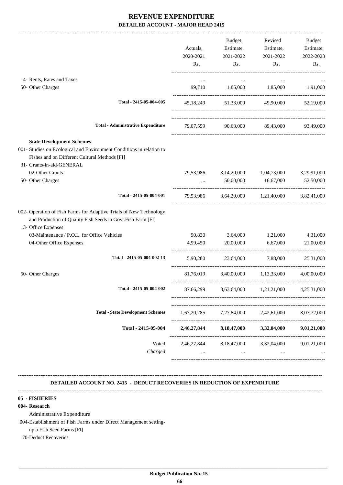|                                                                                                                                                                                        | Actuals,<br>2020-2021<br>Rs. | Budget<br>Estimate,<br>2021-2022<br>Rs. | Revised<br>Estimate,<br>2021-2022<br>Rs.            | Budget<br>Estimate,<br>2022-2023<br>Rs. |
|----------------------------------------------------------------------------------------------------------------------------------------------------------------------------------------|------------------------------|-----------------------------------------|-----------------------------------------------------|-----------------------------------------|
| 14- Rents, Rates and Taxes<br>50- Other Charges                                                                                                                                        | $\cdots$                     | $\ldots$<br>99,710 1,85,000 1,85,000    | $\cdots$                                            | 1,91,000                                |
|                                                                                                                                                                                        |                              |                                         |                                                     |                                         |
| Total - 2415-05-004-005                                                                                                                                                                |                              |                                         | 45,18,249 51,33,000 49,90,000 52,19,000             |                                         |
| <b>Total - Administrative Expenditure</b>                                                                                                                                              |                              |                                         | 79,07,559 90,63,000 89,43,000                       | 93,49,000                               |
| <b>State Development Schemes</b><br>001- Studies on Ecological and Environment Conditions in relation to<br>Fishes and on Different Cultural Methods [FI]<br>31- Grants-in-aid-GENERAL |                              |                                         |                                                     |                                         |
| 02-Other Grants                                                                                                                                                                        |                              |                                         | 79,53,986 3,14,20,000 1,04,73,000 3,29,91,000       |                                         |
| 50- Other Charges                                                                                                                                                                      |                              |                                         | $50,00,000$ $16,67,000$ $52,50,000$                 |                                         |
| Total - 2415-05-004-001                                                                                                                                                                |                              |                                         | 79,53,986 3,64,20,000 1,21,40,000 3,82,41,000       |                                         |
| 002- Operation of Fish Farms for Adaptive Trials of New Technology<br>and Production of Quality Fish Seeds in Govt. Fish Farm [FI]<br>13- Office Expenses                              |                              |                                         |                                                     |                                         |
| 03-Maintenance / P.O.L. for Office Vehicles                                                                                                                                            |                              | 90,830 3,64,000 1,21,000                |                                                     | 4,31,000                                |
| 04-Other Office Expenses                                                                                                                                                               |                              | 4,99,450 20,00,000 6,67,000             |                                                     | 21,00,000                               |
| Total - 2415-05-004-002-13                                                                                                                                                             | 5,90,280                     |                                         | 23,64,000 7,88,000                                  | 25,31,000                               |
| 50- Other Charges                                                                                                                                                                      |                              |                                         | 81,76,019 3,40,00,000 1,13,33,000 4,00,00,000       |                                         |
| Total - 2415-05-004-002                                                                                                                                                                |                              |                                         | 87,66,299 $3,63,64,000$ $1,21,21,000$ $4,25,31,000$ |                                         |
| <b>Total - State Development Schemes</b>                                                                                                                                               | 1,67,20,285                  | 7,27,84,000                             | 2,42,61,000                                         | 8,07,72,000                             |
| Total - 2415-05-004                                                                                                                                                                    | 2,46,27,844                  | 8,18,47,000                             | 3,32,04,000                                         | 9,01,21,000                             |
| Voted<br>Charged                                                                                                                                                                       | 2,46,27,844                  | 8,18,47,000<br>$\cdots$                 | 3,32,04,000<br>$\ddotsc$                            | 9,01,21,000                             |
|                                                                                                                                                                                        |                              |                                         |                                                     |                                         |

 **DETAILED ACCOUNT NO. 2415 - DEDUCT RECOVERIES IN REDUCTION OF EXPENDITURE**

**--------------------------------------------------------------------------------------------------------------------------------------------------------------------------------**

**--------------------------------------------------------------------------------------------------------------------------------------------------------------------------------**

#### **05 - FISHERIES**

#### **004- Research**

Administrative Expenditure

004-Establishment of Fish Farms under Direct Management setting-

up a Fish Seed Farms [FI]

70-Deduct Recoveries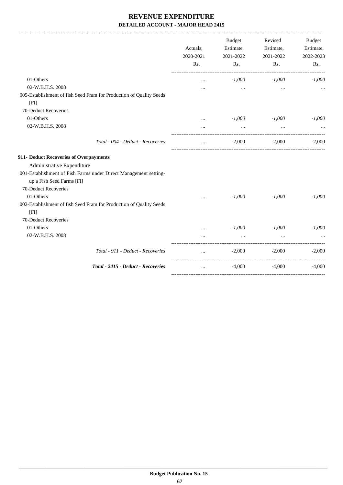|                                                                     | Actuals,<br>2020-2021<br>Rs. | <b>Budget</b><br>Estimate,<br>2021-2022<br>Rs. | Revised<br>Estimate,<br>2021-2022<br>Rs. | Budget<br>Estimate,<br>2022-2023<br>Rs. |
|---------------------------------------------------------------------|------------------------------|------------------------------------------------|------------------------------------------|-----------------------------------------|
| 01-Others                                                           | $\ddotsc$                    | $-1,000$                                       | $-1,000$                                 | $-1,000$                                |
| 02-W.B.H.S. 2008                                                    |                              | $\cdots$                                       | $\cdots$                                 |                                         |
| 005-Establishment of fish Seed Fram for Production of Quality Seeds |                              |                                                |                                          |                                         |
| [FI]                                                                |                              |                                                |                                          |                                         |
| 70-Deduct Recoveries                                                |                              |                                                |                                          |                                         |
| 01-Others                                                           | $\cdots$                     | $-1,000$                                       | $-1,000$                                 | $-1,000$                                |
| 02-W.B.H.S. 2008                                                    |                              | $\cdots$                                       | $\cdots$                                 |                                         |
| Total - 004 - Deduct - Recoveries                                   | $\ddotsc$                    | $-2,000$                                       | $-2,000$                                 | $-2.000$                                |
| 911- Deduct Recoveries of Overpayments                              |                              |                                                |                                          |                                         |
| Administrative Expenditure                                          |                              |                                                |                                          |                                         |
| 001-Establishment of Fish Farms under Direct Management setting-    |                              |                                                |                                          |                                         |
| up a Fish Seed Farms [FI]                                           |                              |                                                |                                          |                                         |
| 70-Deduct Recoveries                                                |                              |                                                |                                          |                                         |
| 01-Others                                                           |                              | $-1,000$                                       | $-1,000$                                 | $-1,000$                                |
| 002-Establishment of fish Seed Fram for Production of Quality Seeds |                              |                                                |                                          |                                         |
| [FI]                                                                |                              |                                                |                                          |                                         |
| 70-Deduct Recoveries                                                |                              |                                                |                                          |                                         |
| 01-Others                                                           | $\cdots$                     | $-1,000$                                       | $-1,000$                                 | $-1,000$                                |
| 02-W.B.H.S. 2008                                                    |                              | $\cdots$                                       |                                          |                                         |
| Total - 911 - Deduct - Recoveries                                   |                              | $-2,000$                                       | $-2,000$                                 | $-2,000$                                |
| Total - 2415 - Deduct - Recoveries                                  | $\cdots$                     | $-4,000$                                       | $-4,000$                                 | $-4,000$                                |
|                                                                     |                              |                                                |                                          |                                         |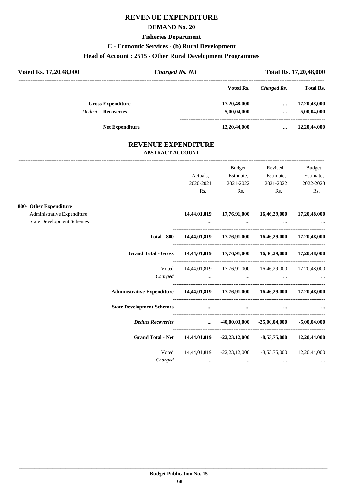# **REVENUE EXPENDITURE**

## **DEMAND No. 20**

#### **Fisheries Department**

## **C - Economic Services - (b) Rural Development**

## **Head of Account : 2515 - Other Rural Development Programmes**

| Voted Rs. 17,20,48,000     | Charged Rs. Nil |                | Total Rs. 17,20,48,000 |                  |
|----------------------------|-----------------|----------------|------------------------|------------------|
|                            |                 | Voted Rs.      | Charged Rs.            | <b>Total Rs.</b> |
| <b>Gross Expenditure</b>   |                 | 17,20,48,000   | $\cdots$               | 17,20,48,000     |
| <b>Deduct - Recoveries</b> |                 | $-5,00,04,000$ | $\cdots$               | $-5,00,04,000$   |
| <b>Net Expenditure</b>     |                 | 12,20,44,000   | $\cdots$               | 12,20,44,000     |

## **REVENUE EXPENDITURE ABSTRACT ACCOUNT**

---------------------------------------------------------------------------------------------------------------------------------------------------------------------------------

|                                                                |                                                                         |                                                                                           | Budget                                                  | Revised                                                         | Budget       |
|----------------------------------------------------------------|-------------------------------------------------------------------------|-------------------------------------------------------------------------------------------|---------------------------------------------------------|-----------------------------------------------------------------|--------------|
|                                                                |                                                                         | Actuals,                                                                                  | Estimate,                                               | Estimate,                                                       | Estimate,    |
|                                                                |                                                                         | 2020-2021                                                                                 | 2021-2022                                               | 2021-2022                                                       | 2022-2023    |
|                                                                |                                                                         | Rs.                                                                                       | Rs.                                                     | Rs.                                                             | Rs.          |
| 800- Other Expenditure                                         |                                                                         |                                                                                           |                                                         |                                                                 |              |
| Administrative Expenditure<br><b>State Development Schemes</b> |                                                                         | 14,44,01,819                                                                              | 17,76,91,000<br>and the state of the state of the state | 16,46,29,000<br>the contract of the contract of the contract of | 17,20,48,000 |
|                                                                |                                                                         |                                                                                           |                                                         |                                                                 |              |
|                                                                | <b>Total - 800</b>                                                      |                                                                                           |                                                         | 14,44,01,819 17,76,91,000 16,46,29,000 17,20,48,000             |              |
|                                                                | Grand Total - Gross 14,44,01,819 17,76,91,000 16,46,29,000 17,20,48,000 |                                                                                           |                                                         |                                                                 |              |
|                                                                | Voted                                                                   |                                                                                           |                                                         | 14,44,01,819 17,76,91,000 16,46,29,000 17,20,48,000             |              |
|                                                                |                                                                         |                                                                                           |                                                         | Charged                                                         |              |
|                                                                |                                                                         |                                                                                           |                                                         |                                                                 |              |
|                                                                | <b>State Development Schemes</b>                                        | $\mathbf{r} = \mathbf{r} \cdot \mathbf{r}$ and $\mathbf{r} = \mathbf{r} \cdot \mathbf{r}$ |                                                         | $\cdots$                                                        | $\cdots$     |
|                                                                | <i>Deduct Recoveries</i> 40,00,03,000 -25,00,04,000 -5,00,04,000        |                                                                                           |                                                         |                                                                 |              |
|                                                                | Grand Total - Net 14,44,01,819 -22,23,12,000 -8,53,75,000 12,20,44,000  |                                                                                           |                                                         |                                                                 |              |
|                                                                |                                                                         |                                                                                           |                                                         | Voted 14,44,01,819 -22,23,12,000 -8,53,75,000 12,20,44,000      |              |
|                                                                |                                                                         |                                                                                           |                                                         |                                                                 |              |
|                                                                |                                                                         |                                                                                           |                                                         |                                                                 |              |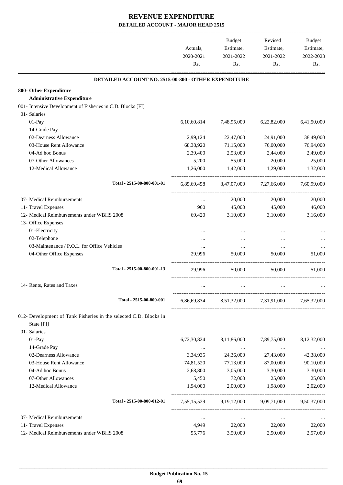|                                                                   |             | Budget                    | Revised                                         | Budget      |
|-------------------------------------------------------------------|-------------|---------------------------|-------------------------------------------------|-------------|
|                                                                   | Actuals,    | Estimate,                 | Estimate,                                       | Estimate,   |
|                                                                   | 2020-2021   | 2021-2022                 | 2021-2022                                       | 2022-2023   |
|                                                                   | Rs.         | Rs.                       | Rs.                                             | Rs.         |
| DETAILED ACCOUNT NO. 2515-00-800 - OTHER EXPENDITURE              |             |                           |                                                 |             |
| 800- Other Expenditure                                            |             |                           |                                                 |             |
| <b>Administrative Expenditure</b>                                 |             |                           |                                                 |             |
| 001- Intensive Development of Fisheries in C.D. Blocks [FI]       |             |                           |                                                 |             |
| 01- Salaries                                                      |             |                           |                                                 |             |
| 01-Pay                                                            | 6,10,60,814 | 7,48,95,000               | 6,22,82,000                                     | 6,41,50,000 |
| 14-Grade Pay                                                      | $\cdots$    |                           | $\cdots$                                        |             |
| 02-Dearness Allowance                                             | 2,99,124    | 22,47,000                 | 24,91,000                                       | 38,49,000   |
| 03-House Rent Allowance                                           | 68,38,920   | 71,15,000                 | 76,00,000                                       | 76,94,000   |
| 04-Ad hoc Bonus                                                   | 2,39,400    | 2,53,000                  | 2,44,000                                        | 2,49,000    |
| 07-Other Allowances                                               | 5,200       | 55,000                    | 20,000                                          | 25,000      |
| 12-Medical Allowance                                              | 1,26,000    | 1,42,000                  | 1,29,000                                        | 1,32,000    |
| Total - 2515-00-800-001-01                                        | 6,85,69,458 |                           | 8,47,07,000 7,27,66,000                         | 7,60,99,000 |
| 07- Medical Reimbursements                                        | $\cdots$    | 20,000                    | 20,000                                          | 20,000      |
| 11- Travel Expenses                                               | 960         | 45,000                    | 45,000                                          | 46,000      |
| 12- Medical Reimbursements under WBHS 2008                        | 69,420      | 3,10,000                  | 3,10,000                                        | 3,16,000    |
| 13- Office Expenses                                               |             |                           |                                                 |             |
| 01-Electricity                                                    | $\cdots$    |                           | $\cdots$                                        |             |
| 02-Telephone                                                      |             |                           |                                                 |             |
| 03-Maintenance / P.O.L. for Office Vehicles                       | $\cdots$    | $\cdots$                  | $\cdots$                                        |             |
| 04-Other Office Expenses                                          | 29.996      | 50,000                    | 50,000                                          | 51,000      |
| Total - 2515-00-800-001-13                                        | 29.996      | 50,000                    | 50,000                                          | 51,000      |
| 14- Rents, Rates and Taxes                                        | $\cdots$    | $\cdots$                  | $\cdots$                                        |             |
| Total - 2515-00-800-001                                           |             |                           |                                                 |             |
|                                                                   |             |                           | 6,86,69,834 8,51,32,000 7,31,91,000 7,65,32,000 |             |
| 012- Development of Tank Fisheries in the selected C.D. Blocks in |             |                           |                                                 |             |
| State [FI]                                                        |             |                           |                                                 |             |
| 01- Salaries                                                      |             |                           |                                                 |             |
| 01-Pay                                                            | 6,72,30,824 | 8,11,86,000               | 7,89,75,000                                     | 8,12,32,000 |
| 14-Grade Pay                                                      | $\ldots$    | $\sim 100$ and $\sim 100$ | $\sim 100$ and $\sim 100$                       | $\cdots$    |
| 02-Dearness Allowance                                             | 3,34,935    | 24,36,000                 | 27,43,000                                       | 42,38,000   |
| 03-House Rent Allowance                                           | 74,81,520   | 77,13,000                 | 87,00,000                                       | 90,10,000   |
| 04-Ad hoc Bonus                                                   | 2,68,800    | 3,05,000                  | 3,30,000                                        | 3,30,000    |
| 07-Other Allowances                                               | 5,450       | 72,000                    | 25,000                                          | 25,000      |
| 12-Medical Allowance                                              | 1,94,000    | 2,00,000                  | 1,98,000                                        | 2,02,000    |
| Total - 2515-00-800-012-01                                        |             |                           | 7,55,15,529 9,19,12,000 9,09,71,000 9,50,37,000 |             |
| 07- Medical Reimbursements                                        | $\cdots$    | $\ldots$                  | $\cdots$                                        |             |
| 11- Travel Expenses                                               | 4,949       | 22,000                    | 22,000                                          | 22,000      |
| 12- Medical Reimbursements under WBHS 2008                        | 55,776      | 3,50,000                  | 2,50,000                                        | 2,57,000    |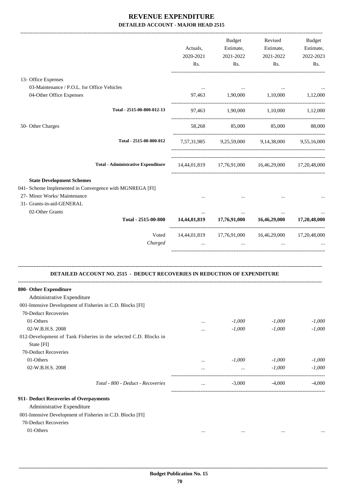|                                                                                          |                                                                                  | Actuals,     | Budget<br>Estimate,                    | Revised<br>Estimate,                                | Budget<br>Estimate, |
|------------------------------------------------------------------------------------------|----------------------------------------------------------------------------------|--------------|----------------------------------------|-----------------------------------------------------|---------------------|
|                                                                                          |                                                                                  | 2020-2021    | 2021-2022                              | 2021-2022                                           | 2022-2023           |
|                                                                                          |                                                                                  | Rs.          | Rs.                                    | Rs.                                                 | Rs.                 |
| 13- Office Expenses                                                                      |                                                                                  |              |                                        |                                                     |                     |
| 03-Maintenance / P.O.L. for Office Vehicles                                              |                                                                                  |              |                                        |                                                     |                     |
| 04-Other Office Expenses                                                                 |                                                                                  | 97,463       | 1,90,000 1,10,000                      |                                                     | 1,12,000            |
|                                                                                          | Total - 2515-00-800-012-13                                                       |              |                                        | 97,463 1,90,000 1,10,000 1,12,000                   |                     |
| 50- Other Charges                                                                        |                                                                                  | 58,268       | 85,000                                 | 85,000                                              | 88,000              |
|                                                                                          | Total - 2515-00-800-012                                                          |              |                                        | 7,57,31,985 9,25,59,000 9,14,38,000 9,55,16,000     |                     |
|                                                                                          | <b>Total - Administrative Expenditure</b>                                        |              |                                        | 14,44,01,819 17,76,91,000 16,46,29,000 17,20,48,000 |                     |
| <b>State Development Schemes</b>                                                         |                                                                                  |              |                                        |                                                     |                     |
| 041- Scheme Implemented in Convergence with MGNREGA [FI]<br>27- Minor Works/ Maintenance |                                                                                  |              |                                        |                                                     |                     |
| 31- Grants-in-aid-GENERAL                                                                |                                                                                  |              |                                        |                                                     |                     |
| 02-Other Grants                                                                          | Total - 2515-00-800                                                              |              | 14,44,01,819 17,76,91,000 16,46,29,000 |                                                     | 17,20,48,000        |
|                                                                                          | Voted                                                                            |              |                                        | 14,44,01,819 17,76,91,000 16,46,29,000 17,20,48,000 |                     |
|                                                                                          | Charged                                                                          |              | $\ddotsc$                              |                                                     |                     |
|                                                                                          | <b>DETAILED ACCOUNT NO. 2515 - DEDUCT RECOVERIES IN REDUCTION OF EXPENDITURE</b> |              |                                        |                                                     |                     |
| 800- Other Expenditure                                                                   |                                                                                  |              |                                        |                                                     |                     |
| Administrative Expenditure                                                               |                                                                                  |              |                                        |                                                     |                     |
| 001-Intensive Development of Fisheries in C.D. Blocks [FI]<br>70-Deduct Recoveries       |                                                                                  |              |                                        |                                                     |                     |
| 01-Others                                                                                |                                                                                  |              | $-1,000$                               | $-1,000$                                            | $-1,000$            |
| 02-W.B.H.S. 2008                                                                         |                                                                                  | <br>$\cdots$ | $-1,000$                               | $-1,000$                                            | $-1,000$            |
| 012-Development of Tank Fisheries in the selected C.D. Blocks in<br>State [FI]           |                                                                                  |              |                                        |                                                     |                     |
| 70-Deduct Recoveries                                                                     |                                                                                  |              |                                        |                                                     |                     |
| 01-Others                                                                                |                                                                                  | $\cdots$     | $-1,000$                               | $-1,000$                                            | $-1,000$            |
| 02-W.B.H.S. 2008                                                                         |                                                                                  | $\cdots$     | $\ldots$                               | $-1,000$                                            | $-1,000$            |
|                                                                                          | Total - 800 - Deduct - Recoveries                                                | $\cdots$     | $-3,000$                               | -4,000                                              | $-4,000$            |
| 911- Deduct Recoveries of Overpayments                                                   |                                                                                  |              |                                        |                                                     |                     |
| Administrative Expenditure                                                               |                                                                                  |              |                                        |                                                     |                     |
| 001-Intensive Development of Fisheries in C.D. Blocks [FI]                               |                                                                                  |              |                                        |                                                     |                     |
| 70-Deduct Recoveries                                                                     |                                                                                  |              |                                        |                                                     |                     |
| 01-Others                                                                                |                                                                                  | $\cdots$     | $\cdots$                               | $\ddotsc$                                           |                     |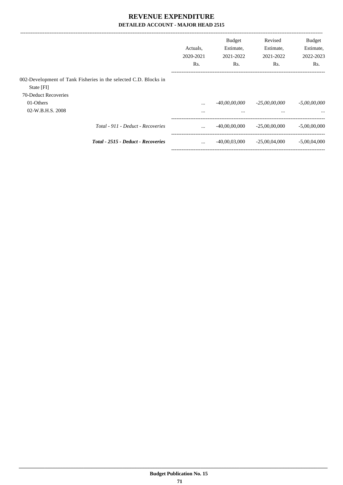|                      |                                                                  | Actuals.<br>2020-2021<br>Rs. | <b>Budget</b><br>Estimate,<br>2021-2022<br>Rs. | Revised<br>Estimate,<br>2021-2022<br>Rs. | <b>Budget</b><br>Estimate,<br>2022-2023<br>Rs. |
|----------------------|------------------------------------------------------------------|------------------------------|------------------------------------------------|------------------------------------------|------------------------------------------------|
| State [FI]           | 002-Development of Tank Fisheries in the selected C.D. Blocks in |                              |                                                |                                          |                                                |
| 70-Deduct Recoveries |                                                                  |                              |                                                |                                          |                                                |
| 01-Others            |                                                                  | $\cdots$                     | -40,00,00,000                                  | $-25,00,00,000$                          | $-5,00,00,000$                                 |
| 02-W.B.H.S. 2008     |                                                                  | $\cdots$                     | $\cdots$                                       | $\cdots$                                 | $\cdots$                                       |
|                      | Total - 911 - Deduct - Recoveries                                | $\ddotsc$                    | $-40,00,00,000$                                | $-25,00,00,000$                          | $-5,00,00,000$                                 |
|                      | Total - 2515 - Deduct - Recoveries                               | $\cdots$                     | $-40,00,03,000$                                | $-25,00,04,000$                          | $-5,00,04,000$                                 |
|                      |                                                                  |                              |                                                |                                          |                                                |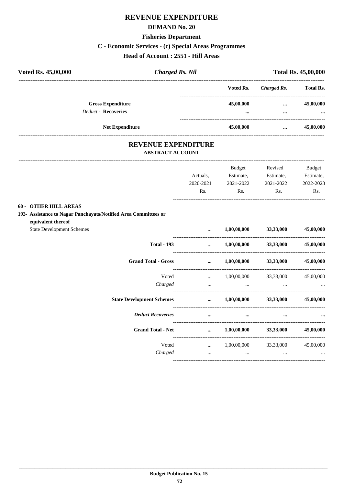# REVENUE EXPENDITURE

#### **DEMAND No. 20**

# **Fisheries Department**

# C - Economic Services - (c) Special Areas Programmes

## Head of Account : 2551 - Hill Areas

| Voted Rs. 45,00,000 |                            | <b>Charged Rs. Nil</b> |           | <b>Total Rs. 45,00,000</b> |                  |
|---------------------|----------------------------|------------------------|-----------|----------------------------|------------------|
|                     |                            |                        | Voted Rs. | Charged Rs.                | <b>Total Rs.</b> |
|                     | <b>Gross Expenditure</b>   |                        | 45,00,000 | $\cdots$                   | 45,00,000        |
|                     | <b>Deduct - Recoveries</b> |                        |           | $\cdots$                   | $\cdots$         |
|                     | <b>Net Expenditure</b>     |                        | 45,00,000 | $\cdots$                   | 45,00,000        |

# REVENUE EXPENDITURE

## ABSTRACT ACCOUNT

|                                                                                                                       | Actuals,<br>2020-2021<br>Rs. | <b>Budget</b><br>Estimate,<br>2021-2022<br>Rs.                               | Revised<br>Estimate,<br>2021-2022<br>Rs. | <b>Budget</b><br>Estimate,<br>2022-2023<br>Rs. |
|-----------------------------------------------------------------------------------------------------------------------|------------------------------|------------------------------------------------------------------------------|------------------------------------------|------------------------------------------------|
| <b>60 - OTHER HILL AREAS</b><br>193- Assistance to Nagar Panchayats/Notified Area Committees or<br>equivalent thereof |                              |                                                                              |                                          |                                                |
| <b>State Development Schemes</b><br><b>Total - 193</b>                                                                | $\cdots$                     | $\ldots$ 1,00,00,000 33,33,000                                               | $1,00,00,000$ $33,33,000$                | 45,00,000<br>45,00,000                         |
| <b>Grand Total - Gross</b>                                                                                            | $\cdots$                     | $1,00,00,000$ $33,33,000$                                                    |                                          | 45,00,000                                      |
| Voted<br>Charged                                                                                                      | $\ddots$                     | $1,00,00,000$ $33,33,000$ $45,00,000$<br>the contract of the contract of the |                                          |                                                |
| <b>State Development Schemes</b>                                                                                      |                              | $\dots$ 1,00,00,000 33,33,000                                                |                                          | 45,00,000                                      |
| <b>Deduct Recoveries</b>                                                                                              | $\cdots$                     | $\cdots$                                                                     | $\cdots$                                 |                                                |
| <b>Grand Total - Net</b>                                                                                              |                              | $\dots$ 1,00,00,000 33,33,000                                                |                                          | 45,00,000                                      |
| Voted<br>Charged                                                                                                      | $\cdots$                     | $1,00,00,000$ $33,33,000$ $45,00,000$<br>$\cdots$                            | $\cdots$                                 |                                                |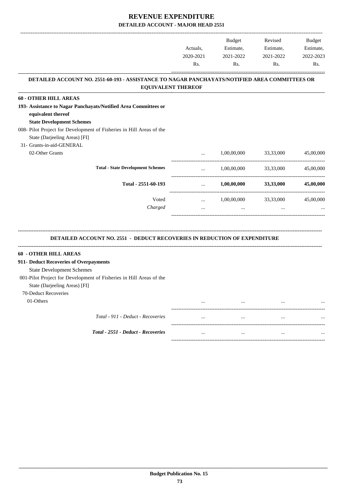-------------------------------------------------------------------------------------------------------------------------------------------------------------------------------

|                                                                                                                                                                                                   | Actuals,<br>2020-2021 | <b>Budget</b><br>Estimate,<br>2021-2022 | Revised<br>Estimate,<br>2021-2022 | <b>Budget</b><br>Estimate,<br>2022-2023 |
|---------------------------------------------------------------------------------------------------------------------------------------------------------------------------------------------------|-----------------------|-----------------------------------------|-----------------------------------|-----------------------------------------|
|                                                                                                                                                                                                   | Rs.                   | Rs.                                     | Rs.                               | Rs.                                     |
| DETAILED ACCOUNT NO. 2551-60-193 - ASSISTANCE TO NAGAR PANCHAYATS/NOTIFIED AREA COMMITTEES OR<br><b>EQUIVALENT THEREOF</b>                                                                        |                       |                                         |                                   |                                         |
| <b>60 - OTHER HILL AREAS</b>                                                                                                                                                                      |                       |                                         |                                   |                                         |
| 193- Assistance to Nagar Panchayats/Notified Area Committees or<br>equivalent thereof<br><b>State Development Schemes</b><br>008- Pilot Project for Development of Fisheries in Hill Areas of the |                       |                                         |                                   |                                         |
| State (Darjeeling Areas) [FI]                                                                                                                                                                     |                       |                                         |                                   |                                         |
| 31- Grants-in-aid-GENERAL                                                                                                                                                                         |                       |                                         |                                   |                                         |
| 02-Other Grants                                                                                                                                                                                   |                       | 1,00,00,000                             | 33,33,000                         | 45,00,000                               |
| <b>Total - State Development Schemes</b>                                                                                                                                                          | -----------------     | 1,00,00,000                             | 33,33,000                         | 45,00,000                               |
| Total - 2551-60-193                                                                                                                                                                               |                       | 1,00,00,000                             | 33,33,000                         | 45,00,000                               |
| Voted                                                                                                                                                                                             | $\cdots$              | 1,00,00,000                             | 33,33,000                         | 45,00,000                               |
| Charged                                                                                                                                                                                           | $\ddotsc$             | $\ddotsc$                               | $\ddotsc$                         |                                         |
| <b>DETAILED ACCOUNT NO. 2551 - DEDUCT RECOVERIES IN REDUCTION OF EXPENDITURE</b>                                                                                                                  |                       |                                         |                                   |                                         |
| -----------------------<br>60 - OTHER HILL AREAS                                                                                                                                                  |                       |                                         |                                   |                                         |
| 911- Deduct Recoveries of Overpayments                                                                                                                                                            |                       |                                         |                                   |                                         |
| <b>State Development Schemes</b>                                                                                                                                                                  |                       |                                         |                                   |                                         |
| 001-Pilot Project for Development of Fisheries in Hill Areas of the                                                                                                                               |                       |                                         |                                   |                                         |
| State (Darjeeling Areas) [FI]                                                                                                                                                                     |                       |                                         |                                   |                                         |
| 70-Deduct Recoveries                                                                                                                                                                              |                       |                                         |                                   |                                         |
| 01-Others                                                                                                                                                                                         | $\ddotsc$             | $\cdots$                                | $\cdots$                          |                                         |
| Total - 911 - Deduct - Recoveries                                                                                                                                                                 | $\cdots$              | $\ldots$                                | $\cdots$                          |                                         |
| Total - 2551 - Deduct - Recoveries                                                                                                                                                                | $\cdots$              | $\cdots$                                | $\cdots$                          |                                         |

-----------------------------------------------------------------------------------------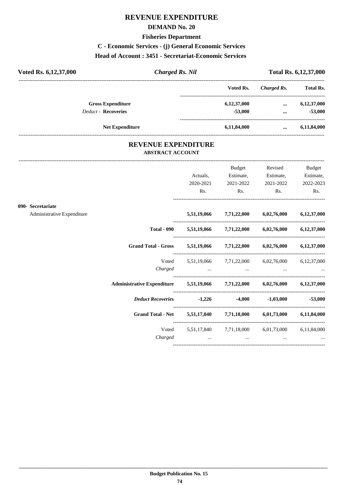# **REVENUE EXPENDITURE**

#### **DEMAND No. 20**

#### **Fisheries Department**

## **C - Economic Services - (j) General Economic Services**

#### **Head of Account : 3451 - Secretariat-Economic Services**

| Voted Rs. 6, 12, 37, 000   | <b>Charged Rs. Nil</b> |             | Total Rs. 6, 12, 37, 000 |                  |
|----------------------------|------------------------|-------------|--------------------------|------------------|
|                            |                        | Voted Rs.   | Charged Rs.              | <b>Total Rs.</b> |
| <b>Gross Expenditure</b>   |                        | 6,12,37,000 | $\cdots$                 | 6,12,37,000      |
| <b>Deduct - Recoveries</b> |                        | $-53,000$   | $\cdots$                 | $-53,000$        |
|                            | <b>Net Expenditure</b> | 6,11,84,000 |                          | 6,11,84,000      |

## **REVENUE EXPENDITURE ABSTRACT ACCOUNT**

---------------------------------------------------------------------------------------------------------------------------------------------------------------------------------

|                                                 |                                                                            | Actuals,<br>2020-2021<br>Rs. | Budget<br>Estimate,<br>2021-2022<br>$\mathbf{Rs.}$ | Revised<br>$\mathbf{Rs.}$                                           | <b>Budget</b><br>Estimate, Estimate,<br>2021-2022 2022-2023<br>Rs. |
|-------------------------------------------------|----------------------------------------------------------------------------|------------------------------|----------------------------------------------------|---------------------------------------------------------------------|--------------------------------------------------------------------|
| 090- Secretariate<br>Administrative Expenditure |                                                                            |                              |                                                    | 5,51,19,066 7,71,22,000 6,02,76,000 6,12,37,000                     |                                                                    |
|                                                 |                                                                            |                              |                                                    | Total - 090 $5,51,19,066$ $7,71,22,000$ $6,02,76,000$ $6,12,37,000$ |                                                                    |
|                                                 | Grand Total - Gross 5,51,19,066 7,71,22,000 6,02,76,000 6,12,37,000        |                              |                                                    |                                                                     |                                                                    |
|                                                 | Voted                                                                      |                              |                                                    | 5,51,19,066 7,71,22,000 6,02,76,000 6,12,37,000                     |                                                                    |
|                                                 | Administrative Expenditure 5,51,19,066 7,71,22,000 6,02,76,000 6,12,37,000 |                              |                                                    |                                                                     |                                                                    |
|                                                 | <i>Deduct Recoveries</i> 1,226 -4,000 -1,03,000 -53,000                    |                              |                                                    |                                                                     |                                                                    |
|                                                 | Grand Total - Net 5,51,17,840 7,71,18,000 6,01,73,000 6,11,84,000          |                              |                                                    |                                                                     |                                                                    |
|                                                 | Charged                                                                    | and the contract of the con- | and the contract of the con-                       | Voted 5,51,17,840 7,71,18,000 6,01,73,000 6,11,84,000               | <b>Second Contract Contract</b>                                    |
|                                                 |                                                                            |                              |                                                    |                                                                     |                                                                    |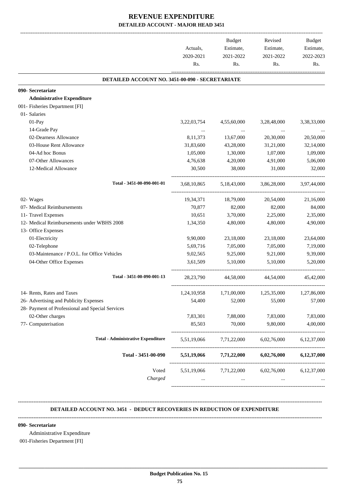|                                                  | Actuals,         | Budget<br>Estimate,<br>2021-2022                | Revised<br>Estimate,<br>2021-2022 | Budget<br>Estimate,<br>2022-2023 |
|--------------------------------------------------|------------------|-------------------------------------------------|-----------------------------------|----------------------------------|
|                                                  | 2020-2021<br>Rs. | Rs.                                             | Rs.                               | Rs.                              |
| DETAILED ACCOUNT NO. 3451-00-090 - SECRETARIATE  |                  |                                                 |                                   |                                  |
| 090- Secretariate                                |                  |                                                 |                                   |                                  |
| <b>Administrative Expenditure</b>                |                  |                                                 |                                   |                                  |
| 001- Fisheries Department [FI]                   |                  |                                                 |                                   |                                  |
| 01- Salaries                                     |                  |                                                 |                                   |                                  |
| 01-Pay                                           | 3,22,03,754      | 4,55,60,000                                     | 3,28,48,000                       | 3,38,33,000                      |
| 14-Grade Pay                                     |                  | $\cdots$                                        | $\cdots$                          |                                  |
| 02-Dearness Allowance                            | 8,11,373         | 13,67,000                                       | 20,30,000                         | 20,50,000                        |
| 03-House Rent Allowance                          | 31,83,600        | 43,28,000                                       | 31,21,000                         | 32,14,000                        |
| 04-Ad hoc Bonus                                  | 1,05,000         | 1,30,000                                        | 1,07,000                          | 1,09,000                         |
| 07-Other Allowances                              | 4,76,638         | 4,20,000                                        | 4,91,000                          | 5,06,000                         |
| 12-Medical Allowance                             | 30,500           | 38,000                                          | 31,000                            | 32,000                           |
| Total - 3451-00-090-001-01                       | 3,68,10,865      | 5,18,43,000                                     | 3,86,28,000                       | 3,97,44,000                      |
| 02- Wages                                        | 19,34,371        | 18,79,000                                       | 20,54,000                         | 21,16,000                        |
| 07- Medical Reimbursements                       | 70,877           | 82,000                                          | 82,000                            | 84,000                           |
| 11- Travel Expenses                              | 10,651           | 3,70,000                                        | 2,25,000                          | 2,35,000                         |
| 12- Medical Reimbursements under WBHS 2008       | 1,34,350         | 4,80,000                                        | 4,80,000                          | 4,90,000                         |
| 13- Office Expenses                              |                  |                                                 |                                   |                                  |
| 01-Electricity                                   | 9,90,000         | 23,18,000                                       | 23,18,000                         | 23,64,000                        |
| 02-Telephone                                     | 5,69,716         | 7,05,000                                        | 7,05,000                          | 7,19,000                         |
| 03-Maintenance / P.O.L. for Office Vehicles      | 9,02,565         | 9,25,000                                        | 9,21,000                          | 9,39,000                         |
| 04-Other Office Expenses                         | 3,61,509         | 5,10,000                                        | 5,10,000                          | 5,20,000                         |
| Total - 3451-00-090-001-13                       | 28, 23, 790      | 44,58,000                                       | 44,54,000                         | 45,42,000                        |
| 14- Rents, Rates and Taxes                       | 1,24,10,958      | 1,71,00,000                                     | 1,25,35,000                       | 1,27,86,000                      |
| 26- Advertising and Publicity Expenses           | 54,400           | 52,000                                          | 55,000                            | 57,000                           |
| 28- Payment of Professional and Special Services |                  |                                                 |                                   |                                  |
| 02-Other charges                                 | 7,83,301         | 7,88,000                                        | 7,83,000                          | 7,83,000                         |
| 77- Computerisation                              | 85,503           | 70,000                                          | 9,80,000                          | 4,00,000                         |
| <b>Total - Administrative Expenditure</b>        | 5,51,19,066      | 7,71,22,000                                     | 6,02,76,000                       | 6,12,37,000                      |
| Total - 3451-00-090                              | 5,51,19,066      |                                                 | $7,71,22,000$ $6,02,76,000$       | 6,12,37,000                      |
| Voted                                            |                  | 5,51,19,066 7,71,22,000 6,02,76,000 6,12,37,000 |                                   |                                  |
| Charged                                          | $\cdots$         | $\cdots$                                        | $\cdots$                          |                                  |

#### **-------------------------------------------------------------------------------------------------------------------------------------------------------------------------------- DETAILED ACCOUNT NO. 3451 - DEDUCT RECOVERIES IN REDUCTION OF EXPENDITURE**

**--------------------------------------------------------------------------------------------------------------------------------------------------------------------------------**

#### **090- Secretariate**

Administrative Expenditure

001-Fisheries Department [FI]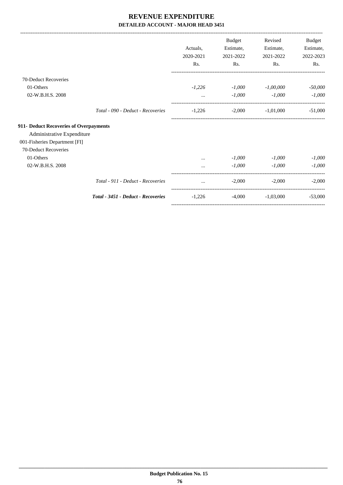|                                        |                                    |           | <b>Budget</b> | Revised     | Budget    |
|----------------------------------------|------------------------------------|-----------|---------------|-------------|-----------|
|                                        |                                    | Actuals.  | Estimate,     | Estimate,   | Estimate, |
|                                        |                                    | 2020-2021 | 2021-2022     | 2021-2022   | 2022-2023 |
|                                        |                                    | Rs.       | Rs.           | Rs.         | Rs.       |
| 70-Deduct Recoveries                   |                                    |           |               |             |           |
| 01-Others                              |                                    | $-1,226$  | $-1,000$      | $-1,00,000$ | $-50,000$ |
| 02-W.B.H.S. 2008                       |                                    | $\cdots$  | $-1,000$      | $-1,000$    | $-1,000$  |
|                                        | Total - 090 - Deduct - Recoveries  | $-1,226$  | $-2,000$      | $-1,01,000$ | $-51,000$ |
| 911- Deduct Recoveries of Overpayments |                                    |           |               |             |           |
| Administrative Expenditure             |                                    |           |               |             |           |
| 001-Fisheries Department [FI]          |                                    |           |               |             |           |
| 70-Deduct Recoveries                   |                                    |           |               |             |           |
| 01-Others                              |                                    |           | $-1,000$      | $-1,000$    | $-1,000$  |
| 02-W.B.H.S. 2008                       |                                    |           | $-1,000$      | $-1,000$    | $-1,000$  |
|                                        | Total - 911 - Deduct - Recoveries  | $\cdots$  | $-2,000$      | $-2,000$    | $-2.000$  |
|                                        | Total - 3451 - Deduct - Recoveries | $-1,226$  | $-4,000$      | $-1,03,000$ | $-53,000$ |
|                                        |                                    |           |               |             |           |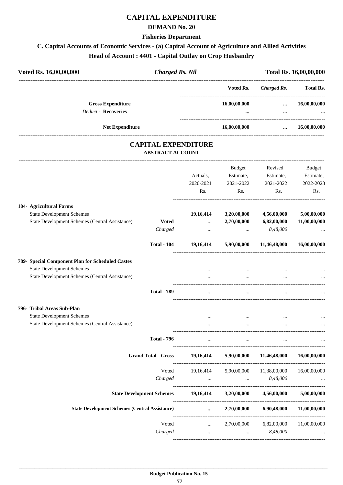## **CAPITAL EXPENDITURE**

#### **DEMAND No. 20**

#### **Fisheries Department**

# **C. Capital Accounts of Economic Services - (a) Capital Account of Agriculture and Allied Activities Head of Account : 4401 - Capital Outlay on Crop Husbandry**

| Voted Rs. 16,00,00,000 |                                                        | Charged Rs. Nil |                                         | Total Rs. 16,00,00,000 |                  |
|------------------------|--------------------------------------------------------|-----------------|-----------------------------------------|------------------------|------------------|
|                        |                                                        |                 | Voted Rs.                               | Charged Rs.            | <b>Total Rs.</b> |
|                        | <b>Gross Expenditure</b><br><b>Deduct - Recoveries</b> |                 | 16,00,00,000<br>$\bullet\bullet\bullet$ | $\cdots$<br>$\cdots$   | 16,00,00,000<br> |
|                        | <b>Net Expenditure</b>                                 |                 | 16,00,00,000                            | $\cdots$               | 16,00,00,000     |

## **CAPITAL EXPENDITURE ABSTRACT ACCOUNT**

---------------------------------------------------------------------------------------------------------------------------------------------------------------------------------

|                                                       |                                                             | Actuals,<br>2020-2021<br>Rs.                   | <b>Budget</b><br>Estimate,<br>2021-2022<br>Rs. | Revised<br>Estimate,<br>2021-2022<br>Rs.        | <b>Budget</b><br>Estimate,<br>2022-2023<br>Rs. |
|-------------------------------------------------------|-------------------------------------------------------------|------------------------------------------------|------------------------------------------------|-------------------------------------------------|------------------------------------------------|
| 104- Agricultural Farms                               |                                                             |                                                |                                                |                                                 |                                                |
| <b>State Development Schemes</b>                      |                                                             | 19,16,414                                      | 3,20,00,000                                    | 4,56,00,000                                     | 5,00,00,000                                    |
| State Development Schemes (Central Assistance)        | <b>Voted</b>                                                | $\mathbf{1}$ , and $\mathbf{1}$                | 2,70,00,000                                    | 6,82,00,000                                     | 11,00,00,000                                   |
|                                                       | Charged                                                     | $\mathbf{r}$                                   | $\sim$ $\sim$                                  | 8,48,000                                        |                                                |
|                                                       | <b>Total - 104</b>                                          |                                                | 19,16,414 5,90,00,000 11,46,48,000             |                                                 | 16,00,00,000                                   |
| 789- Special Component Plan for Scheduled Castes      |                                                             |                                                |                                                |                                                 |                                                |
| <b>State Development Schemes</b>                      |                                                             |                                                |                                                |                                                 |                                                |
| State Development Schemes (Central Assistance)        |                                                             | $\cdots$                                       | $\cdots$                                       | $\cdots$                                        |                                                |
|                                                       | <b>Total - 789</b>                                          | $\cdots$                                       | $\cdots$                                       |                                                 |                                                |
| 796- Tribal Areas Sub-Plan                            |                                                             |                                                |                                                |                                                 |                                                |
| <b>State Development Schemes</b>                      |                                                             | $\cdots$                                       | $\cdots$                                       |                                                 |                                                |
| State Development Schemes (Central Assistance)        |                                                             |                                                |                                                |                                                 |                                                |
|                                                       | <b>Total - 796</b>                                          | $\cdots$                                       | $\dddot{\phantom{0}}$                          |                                                 |                                                |
|                                                       | <b>Grand Total - Gross</b>                                  |                                                |                                                | 19,16,414 5,90,00,000 11,46,48,000 16,00,00,000 |                                                |
|                                                       | Voted                                                       |                                                | 19,16,414 5,90,00,000 11,38,00,000             |                                                 | 16,00,00,000                                   |
|                                                       | Charged                                                     | $\mathbf{r}$                                   |                                                | $\ldots$ $8,48,000$                             |                                                |
|                                                       | State Development Schemes 19,16,414 3,20,00,000 4,56,00,000 |                                                |                                                |                                                 | 5,00,00,000                                    |
| <b>State Development Schemes (Central Assistance)</b> |                                                             | $\cdots$                                       |                                                | 2,70,00,000 6,90,48,000                         | 11,00,00,000                                   |
|                                                       | Voted                                                       | $\mathbf{1}$ and $\mathbf{1}$ and $\mathbf{1}$ | 2,70,00,000                                    | 6,82,00,000                                     | 11,00,00,000                                   |
|                                                       | Charged                                                     |                                                | and the state of the                           | 8,48,000<br><b>Contract Contract</b>            |                                                |
|                                                       |                                                             |                                                |                                                |                                                 |                                                |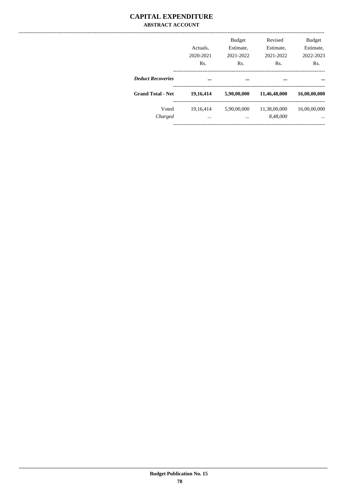## **CAPITAL EXPENDITURE ABSTRACT ACCOUNT**

|                          | Actuals.<br>2020-2021<br>Rs. | <b>Budget</b><br>Estimate,<br>2021-2022<br>Rs. | Revised<br>Estimate,<br>2021-2022<br>Rs. | <b>Budget</b><br>Estimate.<br>2022-2023<br>Rs. |
|--------------------------|------------------------------|------------------------------------------------|------------------------------------------|------------------------------------------------|
| <b>Deduct Recoveries</b> |                              | $\cdots$                                       |                                          |                                                |
| <b>Grand Total - Net</b> | 19,16,414                    | 5,90,00,000                                    | 11,46,48,000                             | 16,00,00,000                                   |
| Voted<br>Charged         | 19.16.414<br>$\cdots$        | 5,90,00,000<br>                                | 11,38,00,000<br>8,48,000                 | 16,00,00,000<br>                               |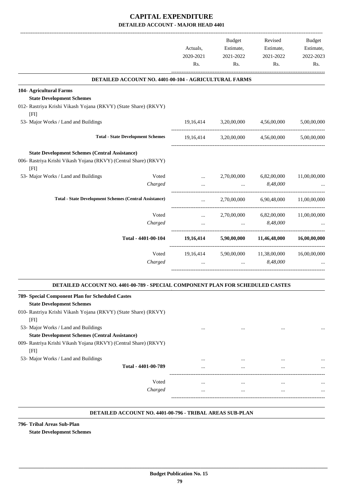|                                                                                |           |           | <b>Budget</b> | Revised                            | Budget       |
|--------------------------------------------------------------------------------|-----------|-----------|---------------|------------------------------------|--------------|
|                                                                                | Actuals,  |           | Estimate,     | Estimate,                          | Estimate,    |
|                                                                                | 2020-2021 |           | 2021-2022     | 2021-2022                          | 2022-2023    |
|                                                                                | Rs.       |           | Rs.           | Rs.                                | Rs.          |
| DETAILED ACCOUNT NO. 4401-00-104 - AGRICULTURAL FARMS                          |           |           |               |                                    |              |
| 104- Agricultural Farms                                                        |           |           |               |                                    |              |
| <b>State Development Schemes</b>                                               |           |           |               |                                    |              |
| 012- Rastriya Krishi Vikash Yojana (RKVY) (State Share) (RKVY)<br>[FI]         |           |           |               |                                    |              |
| 53- Major Works / Land and Buildings                                           |           |           |               | 19,16,414 3,20,00,000 4,56,00,000  | 5,00,00,000  |
| <b>Total - State Development Schemes</b>                                       |           |           |               | 19,16,414 3,20,00,000 4,56,00,000  | 5,00,00,000  |
| <b>State Development Schemes (Central Assistance)</b>                          |           |           |               |                                    |              |
| 006- Rastriya Krishi Vikash Yojana (RKVY) (Central Share) (RKVY)<br>[FI]       |           |           |               |                                    |              |
| 53- Major Works / Land and Buildings                                           | Voted     | $\cdots$  | 2,70,00,000   | 6,82,00,000                        | 11,00,00,000 |
| Charged                                                                        |           | $\cdots$  | $\cdots$      | 8,48,000                           |              |
| <b>Total - State Development Schemes (Central Assistance)</b>                  |           | $\ddotsc$ | 2,70,00,000   | 6,90,48,000                        | 11,00,00,000 |
|                                                                                | Voted     | $\cdots$  |               | 2,70,00,000 6,82,00,000            | 11,00,00,000 |
| Charged                                                                        |           | $\cdots$  | $\sim$        | 8,48,000                           |              |
| Total - 4401-00-104                                                            |           |           |               | 19,16,414 5,90,00,000 11,46,48,000 | 16,00,00,000 |
|                                                                                | Voted     |           |               | 19,16,414 5,90,00,000 11,38,00,000 | 16,00,00,000 |
| Charged                                                                        |           |           | $\mathbf{r}$  | 8.48.000                           |              |
| DETAILED ACCOUNT NO. 4401-00-789 - SPECIAL COMPONENT PLAN FOR SCHEDULED CASTES |           |           |               |                                    |              |
| 789- Special Component Plan for Scheduled Castes                               |           |           |               |                                    |              |
| <b>State Development Schemes</b>                                               |           |           |               |                                    |              |
| 010- Rastriya Krishi Vikash Yojana (RKVY) (State Share) (RKVY)<br>[FI]         |           |           |               |                                    |              |
| 53- Major Works / Land and Buildings                                           |           | $\cdots$  | $\cdots$      | $\cdots$                           |              |
| <b>State Development Schemes (Central Assistance)</b>                          |           |           |               |                                    |              |

009- Rastriya Krishi Vikash Yojana (RKVY) (Central Share) (RKVY) [FI]

53- Major Works / Land and Buildings

| .                   |          |          |              |
|---------------------|----------|----------|--------------|
|                     | $\cdots$ | $\cdots$ | <br>$\cdots$ |
| Total - 4401-00-789 |          |          | <br>$\cdots$ |
|                     |          |          |              |
| Voted               | $\cdots$ |          | <br>$\cdots$ |
| Charged             | $\cdots$ |          | <br>$\cdots$ |
|                     |          |          |              |

.

#### **DETAILED ACCOUNT NO. 4401-00-796 - TRIBAL AREAS SUB-PLAN .**

**796- Tribal Areas Sub-Plan**

**State Development Schemes**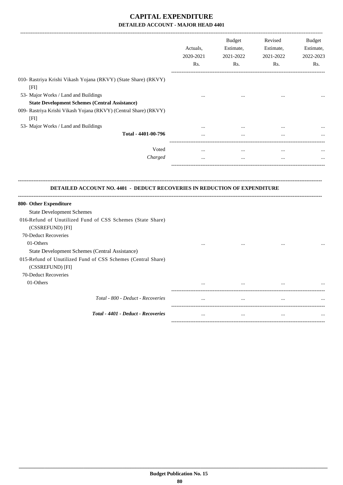|                                                                                                                                    | Actuals,<br>2020-2021<br>Rs. | <b>Budget</b><br>Estimate,<br>2021-2022<br>Rs. | Revised<br>Estimate,<br>2021-2022<br>Rs. | <b>Budget</b><br>Estimate,<br>2022-2023<br>Rs. |
|------------------------------------------------------------------------------------------------------------------------------------|------------------------------|------------------------------------------------|------------------------------------------|------------------------------------------------|
| 010- Rastriya Krishi Vikash Yojana (RKVY) (State Share) (RKVY)<br>[FI]                                                             |                              |                                                |                                          |                                                |
| 53- Major Works / Land and Buildings<br><b>State Development Schemes (Central Assistance)</b>                                      |                              |                                                |                                          |                                                |
| 009- Rastriya Krishi Vikash Yojana (RKVY) (Central Share) (RKVY)<br>[FI]                                                           |                              |                                                |                                          |                                                |
| 53- Major Works / Land and Buildings                                                                                               |                              |                                                |                                          |                                                |
| Total - 4401-00-796                                                                                                                |                              |                                                |                                          |                                                |
| Voted<br>Charged                                                                                                                   | $\cdots$<br>$\cdots$         | $\cdots$<br>$\cdots$                           | $\ddotsc$<br>$\ddotsc$                   |                                                |
|                                                                                                                                    |                              |                                                |                                          |                                                |
| DETAILED ACCOUNT NO. 4401 - DEDUCT RECOVERIES IN REDUCTION OF EXPENDITURE                                                          |                              |                                                |                                          |                                                |
| 800- Other Expenditure                                                                                                             |                              |                                                |                                          |                                                |
| <b>State Development Schemes</b>                                                                                                   |                              |                                                |                                          |                                                |
| 016-Refund of Unutilized Fund of CSS Schemes (State Share)                                                                         |                              |                                                |                                          |                                                |
| (CSSREFUND) [FI]                                                                                                                   |                              |                                                |                                          |                                                |
| 70-Deduct Recoveries                                                                                                               |                              |                                                |                                          |                                                |
| 01-Others                                                                                                                          |                              |                                                |                                          |                                                |
| State Development Schemes (Central Assistance)<br>015-Refund of Unutilized Fund of CSS Schemes (Central Share)<br>(CSSREFUND) [FI] |                              |                                                |                                          |                                                |
| 70-Deduct Recoveries                                                                                                               |                              |                                                |                                          |                                                |
| 01-Others                                                                                                                          |                              |                                                |                                          |                                                |
| Total - 800 - Deduct - Recoveries                                                                                                  | $\cdots$                     | $\cdots$                                       | $\ddotsc$                                |                                                |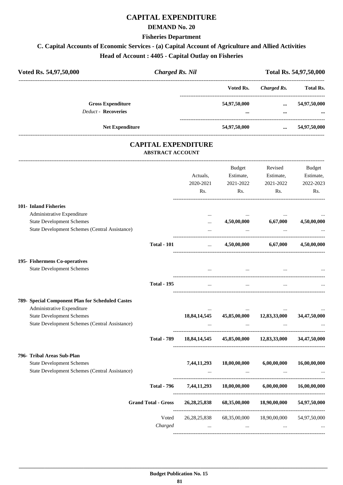## **CAPITAL EXPENDITURE**

#### **DEMAND No. 20**

#### **Fisheries Department**

# **C. Capital Accounts of Economic Services - (a) Capital Account of Agriculture and Allied Activities Head of Account : 4405 - Capital Outlay on Fisheries**

| Voted Rs. 54,97,50,000     | <b>Charged Rs. Nil</b> |              |             | Total Rs. 54,97,50,000 |  |  |
|----------------------------|------------------------|--------------|-------------|------------------------|--|--|
|                            |                        | Voted Rs.    | Charged Rs. | <b>Total Rs.</b>       |  |  |
| <b>Gross Expenditure</b>   |                        | 54,97,50,000 | $\cdots$    | 54,97,50,000           |  |  |
| <b>Deduct - Recoveries</b> |                        | $\cdots$     |             |                        |  |  |
| <b>Net Expenditure</b>     |                        | 54,97,50,000 | $\cdots$    | 54,97,50,000           |  |  |

## **CAPITAL EXPENDITURE ABSTRACT ACCOUNT**

---------------------------------------------------------------------------------------------------------------------------------------------------------------------------------

---------------------------------------------------------------------------------------------------------------------------------------------------------------------------------

|                                                                                           |                            | Actuals,<br>2020-2021<br>Rs. | <b>Budget</b><br>Estimate,<br>2021-2022<br>Rs. | Revised<br>Estimate,<br>2021-2022<br>Rs. | <b>Budget</b><br>Estimate,<br>2022-2023<br>Rs. |
|-------------------------------------------------------------------------------------------|----------------------------|------------------------------|------------------------------------------------|------------------------------------------|------------------------------------------------|
| 101- Inland Fisheries                                                                     |                            |                              |                                                |                                          |                                                |
| Administrative Expenditure                                                                |                            | $\ddotsc$                    |                                                |                                          |                                                |
| <b>State Development Schemes</b><br><b>State Development Schemes (Central Assistance)</b> |                            | $\cdots$<br>$\cdots$         | 4,50,00,000                                    | 6,67,000                                 | 4,50,00,000                                    |
|                                                                                           | <b>Total - 101</b>         | $\cdots$                     |                                                | 4,50,00,000 6,67,000                     | 4,50,00,000                                    |
| 195- Fishermens Co-operatives                                                             |                            |                              |                                                |                                          |                                                |
| <b>State Development Schemes</b>                                                          |                            | $\cdots$                     | $\overline{\phantom{a}}$                       |                                          |                                                |
|                                                                                           | <b>Total - 195</b>         |                              | $\cdots$                                       |                                          |                                                |
| 789- Special Component Plan for Scheduled Castes                                          |                            |                              |                                                |                                          |                                                |
| Administrative Expenditure                                                                |                            |                              |                                                |                                          |                                                |
| <b>State Development Schemes</b><br>State Development Schemes (Central Assistance)        |                            | 18,84,14,545                 |                                                | 45,85,00,000 12,83,33,000                | 34,47,50,000                                   |
|                                                                                           | <b>Total - 789</b>         |                              | 18,84,14,545 45,85,00,000 12,83,33,000         |                                          | 34,47,50,000                                   |
| 796- Tribal Areas Sub-Plan                                                                |                            |                              |                                                |                                          |                                                |
| <b>State Development Schemes</b>                                                          |                            | 7,44,11,293                  | 18,00,00,000                                   | 6,00,00,000                              | 16,00,00,000                                   |
| State Development Schemes (Central Assistance)                                            |                            |                              |                                                |                                          |                                                |
|                                                                                           | <b>Total - 796</b>         |                              | 7,44,11,293 18,00,00,000                       | 6,00,00,000                              | 16,00,00,000                                   |
|                                                                                           | <b>Grand Total - Gross</b> | 26, 28, 25, 838              | 68,35,00,000                                   | 18,90,00,000                             | 54,97,50,000                                   |
|                                                                                           | Voted                      | 26, 28, 25, 838              | 68,35,00,000                                   | 18,90,00,000                             | 54,97,50,000                                   |
|                                                                                           | Charged                    | $\cdots$                     | $\cdots$                                       |                                          |                                                |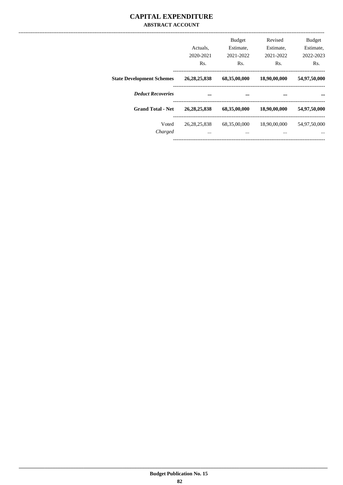## **CAPITAL EXPENDITURE ABSTRACT ACCOUNT**

|                                  | Actuals.<br>2020-2021<br>Rs. | <b>Budget</b><br>Estimate.<br>2021-2022<br>Rs. | Revised<br>Estimate,<br>2021-2022<br>Rs. | <b>Budget</b><br>Estimate,<br>2022-2023<br>Rs. |
|----------------------------------|------------------------------|------------------------------------------------|------------------------------------------|------------------------------------------------|
| <b>State Development Schemes</b> | 26, 28, 25, 838              | 68,35,00,000                                   | 18,90,00,000                             | 54,97,50,000                                   |
| <b>Deduct Recoveries</b>         |                              |                                                |                                          |                                                |
| <b>Grand Total - Net</b>         | 26, 28, 25, 838              | 68,35,00,000                                   | 18,90,00,000                             | 54,97,50,000                                   |
| Voted<br>Charged                 | 26, 28, 25, 838<br>$\cdots$  | 68,35,00,000<br>$\cdots$                       | 18,90,00,000<br>$\cdots$                 | 54,97,50,000<br>$\cdots$                       |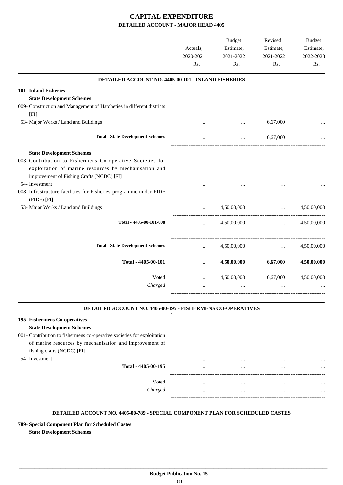|                                                                                                                                                                                                                                                                                                            | Actuals,<br>2020-2021<br>Rs.                          | Budget<br>Estimate,<br>2021-2022<br>Rs. | Revised<br>Estimate,<br>2021-2022<br>Rs.      | <b>Budget</b><br>Estimate,<br>2022-2023<br>Rs. |
|------------------------------------------------------------------------------------------------------------------------------------------------------------------------------------------------------------------------------------------------------------------------------------------------------------|-------------------------------------------------------|-----------------------------------------|-----------------------------------------------|------------------------------------------------|
| DETAILED ACCOUNT NO. 4405-00-101 - INLAND FISHERIES                                                                                                                                                                                                                                                        |                                                       |                                         |                                               |                                                |
| 101- Inland Fisheries<br><b>State Development Schemes</b><br>009- Construction and Management of Hatcheries in different districts                                                                                                                                                                         |                                                       |                                         |                                               |                                                |
| [FI]<br>53- Major Works / Land and Buildings                                                                                                                                                                                                                                                               |                                                       |                                         | 6,67,000                                      |                                                |
| <b>Total - State Development Schemes</b>                                                                                                                                                                                                                                                                   | $\cdots$                                              | $\cdots$                                | 6,67,000                                      |                                                |
| <b>State Development Schemes</b><br>003- Contribution to Fishermens Co-operative Societies for<br>exploitation of marine resources by mechanisation and<br>improvement of Fishing Crafts (NCDC) [FI]<br>54- Investment<br>008- Infrastructure facilities for Fisheries programme under FIDF<br>(FIDF) [FI] |                                                       |                                         |                                               |                                                |
| 53- Major Works / Land and Buildings                                                                                                                                                                                                                                                                       | $\ddotsc$                                             | 4,50,00,000                             | $\cdots$                                      | 4,50,00,000                                    |
| Total - 4405-00-101-008                                                                                                                                                                                                                                                                                    | $\cdots$                                              | 4,50,00,000                             | --------------------------------<br>$\cdots$  | 4,50,00,000                                    |
| <b>Total - State Development Schemes</b>                                                                                                                                                                                                                                                                   | $\mathbf{r}$                                          | 4.50.00.000                             | $\mathbf{r}$ and $\mathbf{r}$                 | 4.50.00.000                                    |
| Total - 4405-00-101                                                                                                                                                                                                                                                                                        | $\cdots$                                              | 4,50,00,000                             | ---------------------------------<br>6,67,000 | 4.50.00.000                                    |
| Voted<br>Charged                                                                                                                                                                                                                                                                                           | -----------------------------<br>$\cdots$<br>$\cdots$ | 4,50,00,000<br>$\ddotsc$                | 6,67,000<br>$\cdots$                          | 4,50,00,000                                    |

#### **DETAILED ACCOUNT NO. 4405-00-195 - FISHERMENS CO-OPERATIVES .**

.

## **195- Fishermens Co-operatives State Development Schemes** 001- Contribution to fishermens co-operative societies for exploitation of marine resources by mechanisation and improvement of fishing crafts (NCDC) [FI] 54- Investment ... ... ... ... **Total - 4405-00-195** ... ... ... ... ------------------------------------------------------------------------------------------ Voted ... ... ... ... *Charged* ... ... ... ... ----------------------------------------------------------------------------------------- .

#### **DETAILED ACCOUNT NO. 4405-00-789 - SPECIAL COMPONENT PLAN FOR SCHEDULED CASTES .**

 **\_\_\_\_\_\_\_\_\_\_\_\_\_\_\_\_\_\_\_\_\_\_\_\_\_\_\_\_\_\_\_\_\_\_\_\_\_\_\_\_\_\_\_\_\_\_\_\_\_\_\_\_\_\_\_\_\_\_\_\_\_\_\_\_\_\_\_\_\_\_\_\_\_\_\_\_\_\_\_\_\_\_\_\_\_\_\_\_\_\_\_\_\_\_\_\_\_\_\_\_\_\_\_\_\_\_\_\_\_\_\_\_\_\_\_\_\_\_\_**

**789- Special Component Plan for Scheduled Castes State Development Schemes**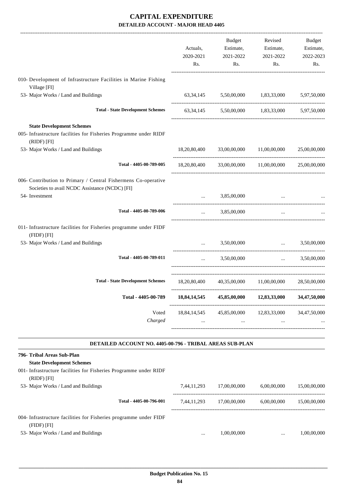|                                                                                                                                     | Actuals,<br>2020-2021<br>Rs. | Budget<br>Estimate,<br>2021-2022<br>Rs.    | Revised<br>Estimate,<br>2021-2022<br>Rs.                                                     | <b>Budget</b><br>Estimate,<br>2022-2023<br>Rs. |
|-------------------------------------------------------------------------------------------------------------------------------------|------------------------------|--------------------------------------------|----------------------------------------------------------------------------------------------|------------------------------------------------|
| 010- Development of Infrastructure Facilities in Marine Fishing                                                                     |                              |                                            |                                                                                              |                                                |
| Village [FI]<br>53- Major Works / Land and Buildings                                                                                |                              |                                            | 63,34,145 5,50,00,000 1,83,33,000                                                            | 5,97,50,000                                    |
| <b>Total - State Development Schemes</b>                                                                                            |                              |                                            | 63,34,145 5,50,00,000 1,83,33,000 5,97,50,000                                                |                                                |
| <b>State Development Schemes</b><br>005- Infrastructure facilities for Fisheries Programme under RIDF<br>(RIDF) [FI]                |                              |                                            |                                                                                              |                                                |
| 53- Major Works / Land and Buildings                                                                                                |                              |                                            | 18,20,80,400 33,00,00,000 11,00,00,000                                                       | 25,00,00,000                                   |
| Total - 4405-00-789-005                                                                                                             |                              |                                            | $18,20,80,400$ $33,00,00,000$ $11,00,00,000$ $25,00,00,000$                                  |                                                |
| 006- Contribution to Primary / Central Fishermens Co-operative<br>Societies to avail NCDC Assistance (NCDC) [FI]<br>54- Investment  |                              | 3,85,00,000                                |                                                                                              |                                                |
|                                                                                                                                     | $\cdots$                     |                                            | and the control of the same                                                                  |                                                |
| Total - 4405-00-789-006                                                                                                             | $\cdots$                     | 3,85,00,000                                | $\cdots$                                                                                     |                                                |
| 011- Infrastructure facilities for Fisheries programme under FIDF<br>(FIDF) [FI]                                                    |                              |                                            |                                                                                              |                                                |
| 53- Major Works / Land and Buildings                                                                                                |                              | 3,50,00,000                                | and the control of the control of                                                            | 3,50,00,000                                    |
| Total - 4405-00-789-011                                                                                                             | $\cdots$                     | 3,50,00,000                                | $\cdots$                                                                                     | 3,50,00,000                                    |
| <b>Total - State Development Schemes</b>                                                                                            |                              |                                            | 18,20,80,400 40,35,00,000 11,00,00,000                                                       | 28,50,00,000                                   |
| Total - 4405-00-789                                                                                                                 |                              |                                            | $18,84,14,545$ $45,85,00,000$ $12,83,33,000$ $34,47,50,000$                                  |                                                |
| Voted<br>Charged                                                                                                                    |                              | and the state of the state                 | 18,84,14,545 45,85,00,000 12,83,33,000 34,47,50,000<br>and the state of the<br>$\sim$ $\sim$ |                                                |
| DETAILED ACCOUNT NO. 4405-00-796 - TRIBAL AREAS SUB-PLAN                                                                            |                              |                                            |                                                                                              |                                                |
| 796- Tribal Areas Sub-Plan<br><b>State Development Schemes</b><br>001- Infrastructure facilities for Fisheries Programme under RIDF |                              |                                            |                                                                                              |                                                |
| (RIDF) [FI]<br>53- Major Works / Land and Buildings                                                                                 |                              | $7,44,11,293$ $17,00,00,000$ $6,00,00,000$ |                                                                                              | 15,00,00,000                                   |
| Total - 4405-00-796-001                                                                                                             |                              |                                            | 7,44,11,293 17,00,00,000 6,00,00,000 15,00,00,000                                            |                                                |
| 004- Infrastructure facilities for Fisheries programme under FIDF                                                                   |                              |                                            |                                                                                              |                                                |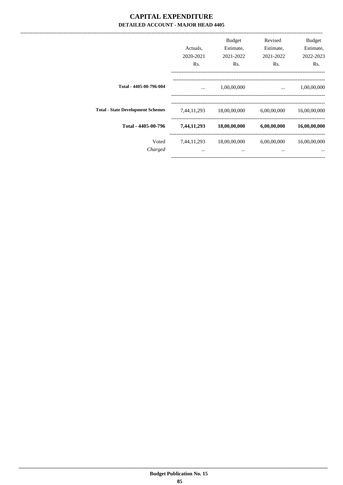------------------------------

|                                          | Actuals.<br>2020-2021<br>Rs. | <b>Budget</b><br>Estimate,<br>2021-2022<br>Rs. | Revised<br>Estimate,<br>2021-2022<br>Rs. | <b>Budget</b><br>Estimate,<br>2022-2023<br>Rs. |
|------------------------------------------|------------------------------|------------------------------------------------|------------------------------------------|------------------------------------------------|
| Total - 4405-00-796-004                  | $\cdots$                     | 1,00,00,000                                    | $\cdots$                                 | 1,00,00,000                                    |
| <b>Total - State Development Schemes</b> | 7,44,11,293                  | 18,00,00,000                                   | 6,00,00,000                              | 16,00,00,000                                   |
| Total - 4405-00-796                      | 7,44,11,293                  | 18,00,00,000                                   | 6,00,00,000                              | 16,00,00,000                                   |
| Voted<br>Charged                         | 7,44,11,293<br>$\cdots$      | 18,00,00,000<br>$\cdots$                       | 6,00,00,000<br>$\cdots$                  | 16,00,00,000                                   |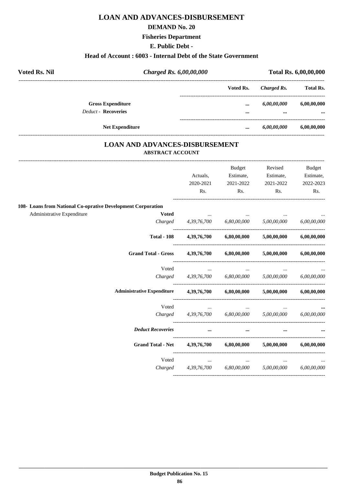# **LOAN AND ADVANCES-DISBURSEMENT**

#### **DEMAND No. 20**

#### **Fisheries Department**

#### **E. Public Debt -**

#### **Head of Account : 6003 - Internal Debt of the State Government**

| <b>Voted Rs. Nil</b> | Charged Rs. 6,00,00,000    |           | Total Rs. 6,00,00,000 |                  |             |
|----------------------|----------------------------|-----------|-----------------------|------------------|-------------|
|                      |                            | Voted Rs. | Charged Rs.           | <b>Total Rs.</b> |             |
|                      | <b>Gross Expenditure</b>   |           | $\cdots$              | 6,00,00,000      | 6,00,00,000 |
|                      | <b>Deduct - Recoveries</b> |           | $\cdots$              |                  | $\cdots$    |
|                      | <b>Net Expenditure</b>     |           |                       | 6,00,00,000      | 6,00,00,000 |

## **LOAN AND ADVANCES-DISBURSEMENT ABSTRACT ACCOUNT**

|                                                              |                                                                                | Actuals,            | <b>Budget</b><br>Estimate,                                              | Revised<br>Estimate,                                      | Budget<br>Estimate, |
|--------------------------------------------------------------|--------------------------------------------------------------------------------|---------------------|-------------------------------------------------------------------------|-----------------------------------------------------------|---------------------|
|                                                              |                                                                                | 2020-2021<br>Rs.    | 2021-2022<br>$\mathbf{Rs.}$                                             | 2021-2022<br>$\mathbf{Rs.}$                               | 2022-2023<br>Rs.    |
| 108- Loans from National Co-oprative Development Corporation |                                                                                |                     |                                                                         |                                                           |                     |
| Administrative Expenditure                                   | <b>Voted</b>                                                                   |                     |                                                                         |                                                           |                     |
|                                                              |                                                                                |                     |                                                                         | Charged 4,39,76,700 6,80,00,000 5,00,00,000 6,00,00,000   |                     |
|                                                              | <b>Total - 108</b>                                                             |                     |                                                                         | $4,39,76,700$ $6,80,00,000$ $5,00,00,000$ $6,00,00,000$   |                     |
|                                                              | <b>Grand Total - Gross</b>                                                     |                     | 4,39,76,700 6,80,00,000                                                 | $5,00,00,000$ $6,00,00,000$                               |                     |
|                                                              | Voted                                                                          |                     | $\sigma_{\rm{max}}$ and $\sigma_{\rm{max}}$<br><b>Contract Contract</b> |                                                           |                     |
|                                                              |                                                                                |                     |                                                                         | Charged 4,39,76,700 6,80,00,000 5,00,00,000 6,00,00,000   |                     |
|                                                              | Administrative Expenditure  4,39,76,700  6,80,00,000  5,00,00,000  6,00,00,000 |                     |                                                                         |                                                           |                     |
|                                                              | Voted                                                                          |                     | the company's company's company's company's                             |                                                           |                     |
|                                                              |                                                                                |                     |                                                                         | $Charged$ 4,39,76,700 6,80,00,000 5,00,00,000 6,00,00,000 |                     |
|                                                              | <b>Deduct Recoveries</b>                                                       |                     |                                                                         |                                                           |                     |
|                                                              | Grand Total - Net 4,39,76,700 6,80,00,000 5,00,00,000 6,00,00,000              |                     |                                                                         |                                                           |                     |
|                                                              | Voted                                                                          | $\sigma_{\rm{max}}$ | $\cdots$                                                                |                                                           |                     |
|                                                              |                                                                                |                     |                                                                         | Charged 4,39,76,700 6,80,00,000 5,00,00,000 6,00,00,000   |                     |
|                                                              |                                                                                |                     |                                                                         |                                                           |                     |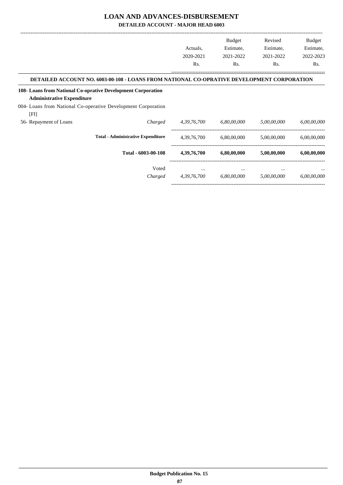## **LOAN AND ADVANCES-DISBURSEMENT**

**DETAILED ACCOUNT - MAJOR HEAD 6003**

|                                   |                                                                                            |                | <b>Budget</b> | Revised     | Budget      |
|-----------------------------------|--------------------------------------------------------------------------------------------|----------------|---------------|-------------|-------------|
|                                   |                                                                                            | Actuals,       | Estimate,     | Estimate,   | Estimate,   |
|                                   |                                                                                            | 2020-2021      | 2021-2022     | 2021-2022   | 2022-2023   |
|                                   |                                                                                            | Rs.            | Rs.           | Rs.         | Rs.         |
|                                   | DETAILED ACCOUNT NO. 6003-00-108 - LOANS FROM NATIONAL CO-OPRATIVE DEVELOPMENT CORPORATION |                |               |             |             |
|                                   | 108- Loans from National Co-oprative Development Corporation                               |                |               |             |             |
| <b>Administrative Expenditure</b> |                                                                                            |                |               |             |             |
|                                   | 004- Loans from National Co-operative Development Corporation                              |                |               |             |             |
| [FI]                              |                                                                                            |                |               |             |             |
| 56- Repayment of Loans            | Charged                                                                                    | 4, 39, 76, 700 | 6,80,00,000   | 5,00,00,000 | 6,00,00,000 |
|                                   | <b>Total - Administrative Expenditure</b>                                                  | 4,39,76,700    | 6,80,00,000   | 5,00,00,000 | 6,00,00,000 |
|                                   | Total - 6003-00-108                                                                        | 4,39,76,700    | 6,80,00,000   | 5,00,00,000 | 6,00,00,000 |
|                                   | Voted                                                                                      | $\cdots$       | $\cdots$      | $\cdots$    |             |
|                                   | Charged                                                                                    | 4, 39, 76, 700 | 6,80,00,000   | 5,00,00,000 | 6,00,00,000 |
|                                   |                                                                                            |                |               |             |             |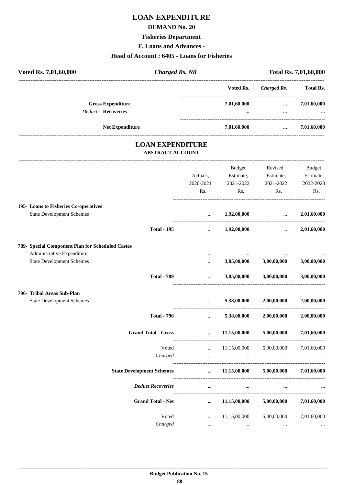# **LOAN EXPENDITURE**

#### **DEMAND No. 20**

#### **Fisheries Department**

F. Loans and Advances -

## Head of Account: 6405 - Loans for Fisheries

| Voted Rs. 7,01,60,000                            | <b>Charged Rs. Nil</b>                             |                          |                                                                           |                                     | Total Rs. 7,01,60,000 |
|--------------------------------------------------|----------------------------------------------------|--------------------------|---------------------------------------------------------------------------|-------------------------------------|-----------------------|
|                                                  |                                                    |                          | Voted Rs.                                                                 | Charged Rs. Total Rs.               |                       |
| <b>Gross Expenditure</b>                         |                                                    |                          | 7,01,60,000                                                               |                                     | $\ldots$ 7,01,60,000  |
| <b>Deduct - Recoveries</b>                       |                                                    |                          |                                                                           | $\cdots$                            |                       |
| Net Expenditure                                  |                                                    |                          | 7,01,60,000                                                               | $\sim 10^{-10}$ and $\sim 10^{-10}$ | 7,01,60,000           |
|                                                  | <b>LOAN EXPENDITURE</b><br><b>ABSTRACT ACCOUNT</b> |                          |                                                                           |                                     |                       |
|                                                  |                                                    |                          | <b>Budget</b>                                                             | Revised                             | Budget                |
|                                                  |                                                    | Actuals,                 |                                                                           | Estimate, Estimate,                 | Estimate,             |
|                                                  |                                                    | 2020-2021                | 2021-2022                                                                 | 2021-2022                           | 2022-2023             |
|                                                  |                                                    | Rs.                      | Rs.                                                                       | Rs.                                 | Rs.                   |
| 195- Loans to Fisheries Co-operatives            |                                                    |                          |                                                                           |                                     |                       |
| <b>State Development Schemes</b>                 |                                                    |                          | $\dots$ 1,92,00,000                                                       | and the state of the state of the   | 2,01,60,000           |
|                                                  | <b>Total - 195</b>                                 | $\ddots$                 | 1,92,00,000                                                               | <b>Contract Contract Contract</b>   | 2,01,60,000           |
| 789- Special Component Plan for Scheduled Castes |                                                    |                          |                                                                           |                                     |                       |
| Administrative Expenditure                       |                                                    |                          |                                                                           |                                     |                       |
| <b>State Development Schemes</b>                 |                                                    | $\cdots$                 | 3,85,00,000                                                               | 3,00,00,000                         | 3,00,00,000           |
|                                                  | <b>Total - 789</b>                                 | <b>Contract Contract</b> |                                                                           | 3,85,00,000 3,00,00,000 3,00,00,000 |                       |
| 796- Tribal Areas Sub-Plan                       |                                                    |                          |                                                                           |                                     |                       |
| <b>State Development Schemes</b>                 |                                                    |                          |                                                                           | 5,38,00,000 2,00,00,000             | $2{,}00{,}00{,}000$   |
|                                                  | <b>Total - 796</b>                                 |                          |                                                                           | 5,38,00,000 2,00,00,000 2,00,00,000 |                       |
| <b>Grand Total - Gross</b>                       |                                                    | $\cdots$                 | 11,15,00,000                                                              | 5,00,00,000                         | 7,01,60,000           |
|                                                  | Voted                                              |                          | $\ldots$ 11,15,00,000                                                     | 5,00,00,000                         | 7,01,60,000           |
|                                                  | Charged                                            |                          | $\mathbf{r}$ and $\mathbf{r}$ are all the set of $\mathbf{r}$<br>$\cdots$ | $\cdots$                            |                       |
| <b>State Development Schemes</b>                 |                                                    | $\cdots$                 | 11,15,00,000                                                              | 5,00,00,000                         | 7,01,60,000           |
| <b>Deduct Recoveries</b>                         |                                                    | $\cdots$                 | $\cdots$                                                                  | $\cdots$                            |                       |
|                                                  |                                                    | Grand Total - Net        | 11,15,00,000                                                              | 5,00,00,000                         | 7,01,60,000           |

 $\langle \ldots \rangle$ 

Voted  $Charged$ 

...  $11,15,00,000$   $5,00,00,000$   $7,01,60,000$ 

 $\ldots$ 

 $\ddotsc$ 

 $\sim$   $\sim$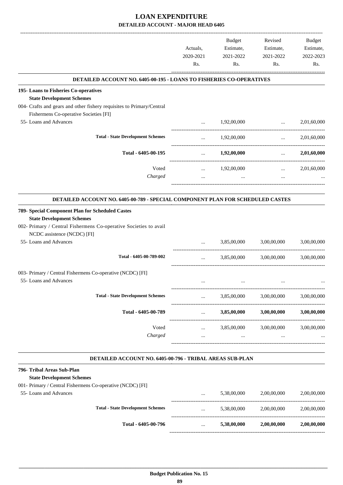|                                                                                                                                                           | Actuals,<br>2020-2021<br>Rs. | Budget<br>Estimate,<br>2021-2022<br>Rs. | Revised<br>Estimate,<br>2021-2022<br>Rs.                                                 | Budget<br>Estimate,<br>2022-2023<br>Rs. |
|-----------------------------------------------------------------------------------------------------------------------------------------------------------|------------------------------|-----------------------------------------|------------------------------------------------------------------------------------------|-----------------------------------------|
| <b>DETAILED ACCOUNT NO. 6405-00-195 - LOANS TO FISHERIES CO-OPERATIVES</b>                                                                                |                              |                                         |                                                                                          |                                         |
| 195- Loans to Fisheries Co-operatives                                                                                                                     |                              |                                         |                                                                                          |                                         |
| <b>State Development Schemes</b>                                                                                                                          |                              |                                         |                                                                                          |                                         |
| 004- Crafts and gears and other fishery requisites to Primary/Central                                                                                     |                              |                                         |                                                                                          |                                         |
| Fishermens Co-operative Societies [FI]<br>55- Loans and Advances                                                                                          |                              | 1,92,00,000                             |                                                                                          | 2,01,60,000                             |
|                                                                                                                                                           | $\cdots$                     |                                         | <b><i>Property of the Company of the Company</i></b><br>-------------------------------- |                                         |
| <b>Total - State Development Schemes</b>                                                                                                                  | $\cdots$                     | 1,92,00,000                             | $\mathbf{r}$                                                                             | 2,01,60,000                             |
| Total - 6405-00-195                                                                                                                                       | $\cdots$                     | 1,92,00,000                             | $\cdots$                                                                                 | 2,01,60,000                             |
| Voted                                                                                                                                                     | $\cdots$                     | 1,92,00,000                             | $\cdots$                                                                                 | 2,01,60,000                             |
| Charged                                                                                                                                                   | $\cdots$                     | $\cdots$                                | $\cdots$                                                                                 |                                         |
|                                                                                                                                                           |                              |                                         |                                                                                          |                                         |
| DETAILED ACCOUNT NO. 6405-00-789 - SPECIAL COMPONENT PLAN FOR SCHEDULED CASTES                                                                            |                              |                                         |                                                                                          |                                         |
| 789- Special Component Plan for Scheduled Castes<br><b>State Development Schemes</b><br>002- Primary / Central Fishermens Co-operative Societies to avail |                              |                                         |                                                                                          |                                         |
| NCDC assistence (NCDC) [FI]                                                                                                                               |                              |                                         |                                                                                          |                                         |
| 55- Loans and Advances                                                                                                                                    |                              | 3,85,00,000                             | 3,00,00,000                                                                              | 3,00,00,000                             |
| Total - 6405-00-789-002                                                                                                                                   | $\cdots$                     | 3,85,00,000                             | 3,00,00,000                                                                              | 3,00,00,000                             |
| 003- Primary / Central Fishermens Co-operative (NCDC) [FI]<br>55- Loans and Advances                                                                      |                              |                                         |                                                                                          |                                         |
|                                                                                                                                                           |                              |                                         |                                                                                          |                                         |
| <b>Total - State Development Schemes</b>                                                                                                                  | $\cdots$                     | 3,85,00,000                             | 3,00,00,000                                                                              | 3,00,00,000                             |
| Total - 6405-00-789                                                                                                                                       | $\ldots$                     | 3,85,00,000                             | 3,00,00,000                                                                              | 3,00,00,000                             |
| Voted                                                                                                                                                     | $\cdots$                     |                                         | 3,85,00,000 3,00,00,000                                                                  | 3,00,00,000                             |
| Charged                                                                                                                                                   | $\cdots$                     |                                         | <b>The Committee Committee</b><br>$\cdots$                                               |                                         |
| DETAILED ACCOUNT NO. 6405-00-796 - TRIBAL AREAS SUB-PLAN                                                                                                  |                              |                                         |                                                                                          |                                         |
| 796- Tribal Areas Sub-Plan                                                                                                                                |                              |                                         |                                                                                          |                                         |
| <b>State Development Schemes</b>                                                                                                                          |                              |                                         |                                                                                          |                                         |
| 001- Primary / Central Fishermens Co-operative (NCDC) [FI]                                                                                                |                              |                                         |                                                                                          |                                         |
| 55- Loans and Advances                                                                                                                                    | $\cdots$                     | 5,38,00,000                             | 2,00,00,000                                                                              | 2,00,00,000                             |
| <b>Total - State Development Schemes</b>                                                                                                                  |                              | 5,38,00,000                             | 2,00,00,000                                                                              | 2,00,00,000                             |
|                                                                                                                                                           | $\cdots$                     |                                         |                                                                                          |                                         |
| Total - 6405-00-796                                                                                                                                       | $\cdots$                     | 5,38,00,000                             | 2,00,00,000                                                                              | 2,00,00,000                             |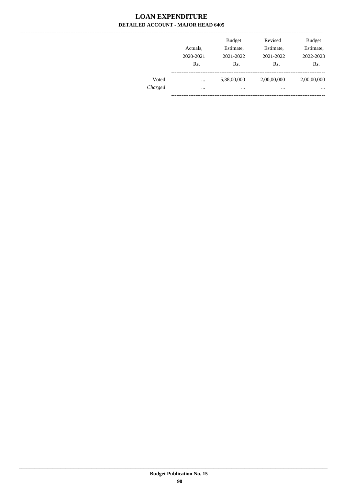$\overline{a}$ 

|         | Actuals,<br>2020-2021<br>Rs. | <b>Budget</b><br>Estimate,<br>2021-2022<br>Rs. | Revised<br>Estimate,<br>2021-2022<br>Rs. | <b>Budget</b><br>Estimate,<br>2022-2023<br>Rs. |
|---------|------------------------------|------------------------------------------------|------------------------------------------|------------------------------------------------|
| Voted   | $\cdots$                     | 5,38,00,000                                    | 2,00,00,000                              | 2,00,00,000                                    |
| Charged | $\cdots$                     | $\cdots$                                       | $\cdots$                                 | $\cdots$                                       |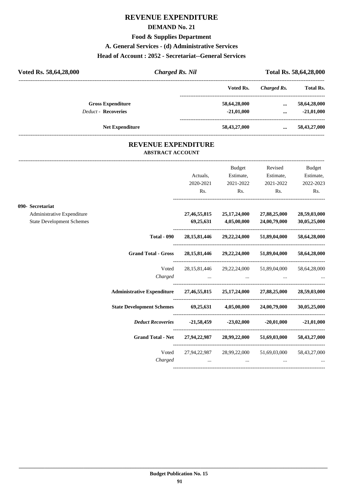# **REVENUE EXPENDITURE**

#### **DEMAND No. 21**

**Food & Supplies Department**

#### **A. General Services - (d) Administrative Services**

# **Head of Account : 2052 - Secretariat--General Services**

| Voted Rs. 58,64,28,000     | <b>Charged Rs. Nil</b> |              | Total Rs. 58,64,28,000 |                  |  |
|----------------------------|------------------------|--------------|------------------------|------------------|--|
|                            |                        | Voted Rs.    | Charged Rs.            | <b>Total Rs.</b> |  |
| <b>Gross Expenditure</b>   |                        | 58,64,28,000 | $\cdots$               | 58,64,28,000     |  |
| <b>Deduct - Recoveries</b> |                        | $-21,01,000$ | $\cdots$               | $-21,01,000$     |  |
| <b>Net Expenditure</b>     |                        | 58,43,27,000 | $\cdots$               | 58,43,27,000     |  |

## **REVENUE EXPENDITURE ABSTRACT ACCOUNT**

---------------------------------------------------------------------------------------------------------------------------------------------------------------------------------

|                                  |                                                                                     |           | Budget                                                                                                                                                                                                                                        | Revised                                         | Budget                          |
|----------------------------------|-------------------------------------------------------------------------------------|-----------|-----------------------------------------------------------------------------------------------------------------------------------------------------------------------------------------------------------------------------------------------|-------------------------------------------------|---------------------------------|
|                                  |                                                                                     | Actuals,  | Estimate,                                                                                                                                                                                                                                     | Estimate,                                       | Estimate,                       |
|                                  |                                                                                     | 2020-2021 | 2021-2022                                                                                                                                                                                                                                     | 2021-2022                                       | 2022-2023                       |
|                                  |                                                                                     | Rs.       | $\mathbf{Rs.}$                                                                                                                                                                                                                                | Rs.                                             | Rs.                             |
| 090- Secretariat                 |                                                                                     |           |                                                                                                                                                                                                                                               |                                                 |                                 |
| Administrative Expenditure       |                                                                                     |           | 27,46,55,815 25,17,24,000                                                                                                                                                                                                                     | 27,88,25,000                                    | 28,59,03,000                    |
| <b>State Development Schemes</b> |                                                                                     |           |                                                                                                                                                                                                                                               | 69,25,631 4,05,00,000 24,00,79,000              | 30,05,25,000                    |
|                                  | <b>Total - 090</b>                                                                  |           |                                                                                                                                                                                                                                               | 28, 15, 81, 446 29, 22, 24, 000 51, 89, 04, 000 | 58,64,28,000                    |
|                                  | Grand Total - Gross 28, 15, 81, 446 29, 22, 24, 000 51, 89, 04, 000 58, 64, 28, 000 |           |                                                                                                                                                                                                                                               |                                                 |                                 |
|                                  | Voted                                                                               |           |                                                                                                                                                                                                                                               | 28,15,81,446 29,22,24,000 51,89,04,000          | 58,64,28,000                    |
|                                  | Charged                                                                             |           |                                                                                                                                                                                                                                               |                                                 |                                 |
|                                  | Administrative Expenditure 27,46,55,815 25,17,24,000 27,88,25,000 28,59,03,000      |           |                                                                                                                                                                                                                                               |                                                 |                                 |
|                                  | State Development Schemes 69,25,631 4,05,00,000 24,00,79,000 30,05,25,000           |           |                                                                                                                                                                                                                                               |                                                 |                                 |
|                                  |                                                                                     |           |                                                                                                                                                                                                                                               |                                                 |                                 |
|                                  | Grand Total - Net 27,94,22,987 28,99,22,000 51,69,03,000 58,43,27,000               |           |                                                                                                                                                                                                                                               |                                                 |                                 |
|                                  | Voted                                                                               |           |                                                                                                                                                                                                                                               | 27,94,22,987 28,99,22,000 51,69,03,000          | 58,43,27,000                    |
|                                  |                                                                                     | Charged   | $\mathbf{r}$ , and the contract of the contract of the contract of the contract of the contract of the contract of the contract of the contract of the contract of the contract of the contract of the contract of the contract o<br>$\cdots$ |                                                 | <b>Second Contract Contract</b> |
|                                  |                                                                                     |           |                                                                                                                                                                                                                                               |                                                 |                                 |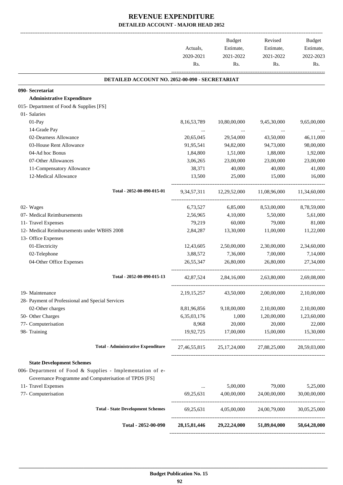|                                                           |                | <b>Budget</b>                                   | Revised                  | Budget       |
|-----------------------------------------------------------|----------------|-------------------------------------------------|--------------------------|--------------|
|                                                           | Actuals,       | Estimate,                                       | Estimate,                | Estimate,    |
|                                                           | 2020-2021      | 2021-2022                                       | 2021-2022                | 2022-2023    |
|                                                           | Rs.            | Rs.                                             | Rs.                      | Rs.          |
| DETAILED ACCOUNT NO. 2052-00-090 - SECRETARIAT            |                |                                                 |                          |              |
| 090- Secretariat                                          |                |                                                 |                          |              |
| <b>Administrative Expenditure</b>                         |                |                                                 |                          |              |
| 015- Department of Food & Supplies [FS]                   |                |                                                 |                          |              |
| 01- Salaries                                              |                |                                                 |                          |              |
| 01-Pay                                                    | 8,16,53,789    | 10,80,00,000                                    | 9,45,30,000              | 9,65,00,000  |
| 14-Grade Pay                                              |                |                                                 |                          |              |
| 02-Dearness Allowance                                     | 20,65,045      | 29,54,000                                       | 43,50,000                | 46,11,000    |
| 03-House Rent Allowance                                   | 91,95,541      | 94,82,000                                       | 94,73,000                | 98,00,000    |
| 04-Ad hoc Bonus                                           | 1,84,800       | 1,51,000                                        | 1,88,000                 | 1,92,000     |
| 07-Other Allowances                                       | 3,06,265       | 23,00,000                                       | 23,00,000                | 23,00,000    |
| 11-Compensatory Allowance                                 | 38,371         | 40,000                                          | 40,000                   | 41,000       |
| 12-Medical Allowance                                      | 13,500         | 25,000                                          | 15,000                   | 16,000       |
| Total - 2052-00-090-015-01                                | 9,34,57,311    | 12,29,52,000                                    | 11,08,96,000             | 11.34.60.000 |
| 02- Wages                                                 | 6,73,527       | 6,85,000                                        | 8,53,00,000              | 8,78,59,000  |
| 07- Medical Reimbursements                                | 2,56,965       | 4,10,000                                        | 5,50,000                 | 5,61,000     |
| 11- Travel Expenses                                       | 79,219         | 60,000                                          | 79,000                   | 81,000       |
| 12- Medical Reimbursements under WBHS 2008                | 2,84,287       | 13,30,000                                       | 11,00,000                | 11,22,000    |
| 13- Office Expenses                                       |                |                                                 |                          |              |
| 01-Electricity                                            | 12,43,605      | 2,50,00,000                                     | 2,30,00,000              | 2,34,60,000  |
| 02-Telephone                                              | 3,88,572       | 7,36,000                                        | 7,00,000                 | 7,14,000     |
| 04-Other Office Expenses                                  | 26, 55, 347    | 26,80,000                                       | 26,80,000                | 27,34,000    |
| Total - 2052-00-090-015-13                                | 42,87,524      | 2,84,16,000                                     | 2,63,80,000              | 2,69,08,000  |
| 19- Maintenance                                           | 2, 19, 15, 257 | 43,50,000                                       | 2,00,00,000              | 2,10,00,000  |
| 28- Payment of Professional and Special Services          |                |                                                 |                          |              |
| 02-Other charges                                          | 8,81,96,856    | 9,18,00,000                                     | 2,10,00,000              | 2,10,00,000  |
| 50- Other Charges                                         | 6,35,03,176    | 1,000                                           | 1,20,00,000              | 1,23,60,000  |
| 77- Computerisation                                       | 8,968          | 20,000                                          | 20,000                   | 22,000       |
| 98- Training                                              | 19,92,725      | 17,00,000                                       | 15,00,000                | 15,30,000    |
| <b>Total - Administrative Expenditure</b>                 |                | 27,46,55,815 25,17,24,000 27,88,25,000          |                          | 28,59,03,000 |
| <b>State Development Schemes</b>                          |                |                                                 |                          |              |
| 006- Department of Food & Supplies - Implementation of e- |                |                                                 |                          |              |
| Governance Programme and Computerisation of TPDS [FS]     |                |                                                 |                          |              |
| 11- Travel Expenses                                       | $\cdots$       | 5,00,000                                        | 79,000                   | 5,25,000     |
| 77- Computerisation                                       | 69,25,631      | 4,00,00,000                                     | 24,00,00,000             | 30,00,00,000 |
| <b>Total - State Development Schemes</b>                  | 69,25,631      |                                                 | 4,05,00,000 24,00,79,000 | 30,05,25,000 |
| Total - 2052-00-090                                       |                | 28, 15, 81, 446 29, 22, 24, 000 51, 89, 04, 000 |                          | 58,64,28,000 |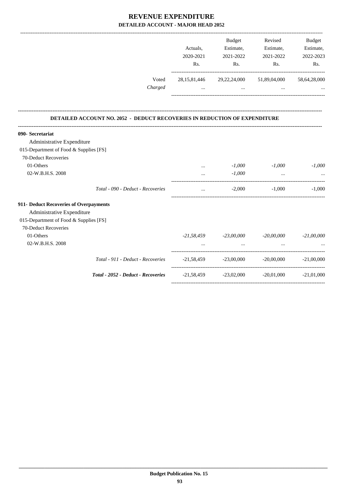| Voted                                                                     | Actuals,<br>2020-2021<br>Rs.    | <b>Budget</b><br>Estimate,<br>2021-2022<br>Rs. | Revised<br>Estimate,<br>2021-2022<br>Rs.<br>28,15,81,446 29,22,24,000 51,89,04,000                                  | Budget<br>Estimate,<br>2022-2023<br>Rs. |
|---------------------------------------------------------------------------|---------------------------------|------------------------------------------------|---------------------------------------------------------------------------------------------------------------------|-----------------------------------------|
| Charged                                                                   | $\mathbf{r}$ , and $\mathbf{r}$ |                                                | and the contract of the contract of the contract of the contract of the contract of the contract of the contract of | 58,64,28,000                            |
| DETAILED ACCOUNT NO. 2052 - DEDUCT RECOVERIES IN REDUCTION OF EXPENDITURE |                                 |                                                |                                                                                                                     |                                         |
| 090- Secretariat                                                          |                                 |                                                |                                                                                                                     |                                         |
| Administrative Expenditure                                                |                                 |                                                |                                                                                                                     |                                         |
| 015-Department of Food & Supplies [FS]                                    |                                 |                                                |                                                                                                                     |                                         |
| 70-Deduct Recoveries                                                      |                                 |                                                |                                                                                                                     |                                         |
| 01-Others                                                                 | $\cdots$                        | $-1,000$                                       | $-1,000$                                                                                                            | $-1,000$                                |
| 02-W.B.H.S. 2008                                                          |                                 | $-1,000$                                       | $\cdots$                                                                                                            |                                         |
| Total - 090 - Deduct - Recoveries                                         | $\cdots$                        | $-2,000$                                       | $-1,000$                                                                                                            | $-1,000$                                |
| 911- Deduct Recoveries of Overpayments                                    |                                 |                                                |                                                                                                                     |                                         |
| Administrative Expenditure                                                |                                 |                                                |                                                                                                                     |                                         |
| 015-Department of Food & Supplies [FS]                                    |                                 |                                                |                                                                                                                     |                                         |
| 70-Deduct Recoveries                                                      |                                 |                                                |                                                                                                                     |                                         |
| 01-Others                                                                 |                                 |                                                | $-21,58,459$ $-23,00,000$ $-20,00,000$ $-21,00,000$                                                                 |                                         |
| 02-W.B.H.S. 2008                                                          |                                 | $\cdots$                                       | $\cdots$                                                                                                            |                                         |
| Total - 911 - Deduct - Recoveries                                         |                                 |                                                | $-21,58,459$ $-23,00,000$ $-20,00,000$ $-21,00,000$                                                                 |                                         |
| Total - 2052 - Deduct - Recoveries                                        |                                 |                                                | $-21,58,459$ $-23,02,000$ $-20,01,000$ $-21,01,000$                                                                 |                                         |
|                                                                           |                                 |                                                |                                                                                                                     |                                         |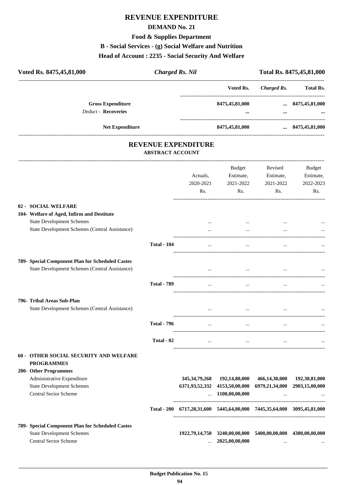# **REVENUE EXPENDITURE**

#### **DEMAND No. 21**

**Food & Supplies Department**

**B - Social Services - (g) Social Welfare and Nutrition**

#### **Head of Account : 2235 - Social Security And Welfare**

| Voted Rs. 8475, 45, 81, 000                            | <b>Charged Rs. Nil</b> |                    |             | Total Rs. 8475, 45, 81, 000 |
|--------------------------------------------------------|------------------------|--------------------|-------------|-----------------------------|
|                                                        |                        | Voted Rs.          | Charged Rs. | <b>Total Rs.</b>            |
| <b>Gross Expenditure</b><br><b>Deduct - Recoveries</b> |                        | 8475,45,81,000<br> | $\cdots$    | $\dots$ 8475,45,81,000<br>  |
| <b>Net Expenditure</b>                                 |                        | 8475,45,81,000     |             | $\dots$ 8475,45,81,000      |
|                                                        |                        |                    |             |                             |

## **REVENUE EXPENDITURE ABSTRACT ACCOUNT**

---------------------------------------------------------------------------------------------------------------------------------------------------------------------------------

|                                                       |                    | Actuals,<br>2020-2021<br>Rs.                                            | <b>Budget</b><br>Estimate,<br>2021-2022<br>Rs. | Revised<br>Estimate,<br>2021-2022<br>Rs. | <b>Budget</b><br>Estimate,<br>2022-2023<br>Rs. |
|-------------------------------------------------------|--------------------|-------------------------------------------------------------------------|------------------------------------------------|------------------------------------------|------------------------------------------------|
| 02 - SOCIAL WELFARE                                   |                    |                                                                         |                                                |                                          |                                                |
| 104- Welfare of Aged, Infirm and Destitute            |                    |                                                                         |                                                |                                          |                                                |
| <b>State Development Schemes</b>                      |                    | $\cdots$                                                                | $\cdots$                                       |                                          |                                                |
| <b>State Development Schemes (Central Assistance)</b> |                    | $\dddotsc$                                                              | $\ddotsc$                                      | $\cdots$                                 |                                                |
|                                                       | <b>Total - 104</b> | $\ddotsc$                                                               | $\ddotsc$                                      |                                          |                                                |
| 789- Special Component Plan for Scheduled Castes      |                    |                                                                         |                                                |                                          |                                                |
| State Development Schemes (Central Assistance)        |                    |                                                                         |                                                |                                          |                                                |
|                                                       | <b>Total - 789</b> | $\ddotsc$                                                               | $\cdots$                                       | $\ddotsc$                                |                                                |
| 796- Tribal Areas Sub-Plan                            |                    |                                                                         |                                                |                                          |                                                |
| State Development Schemes (Central Assistance)        |                    | $\cdots$                                                                | $\cdots$                                       | $\cdots$                                 |                                                |
|                                                       | <b>Total - 796</b> | $\sim 10^{-10}$                                                         | $\cdots$                                       | $\ddotsc$                                |                                                |
|                                                       | Total - 02         | $\ddotsc$                                                               | $\dddotsc$                                     | $\cdots$                                 |                                                |
| <b>60 - OTHER SOCIAL SECURITY AND WELFARE</b>         |                    |                                                                         |                                                |                                          |                                                |
| <b>PROGRAMMES</b><br>200- Other Programmes            |                    |                                                                         |                                                |                                          |                                                |
| Administrative Expenditure                            |                    | 345, 34, 79, 268                                                        | 192,14,80,000                                  | 466,14,30,000                            | 192,30,81,000                                  |
| <b>State Development Schemes</b>                      |                    |                                                                         | 6371,93,52,332 4153,50,00,000                  |                                          | 6979,21,34,000 2903,15,00,000                  |
| <b>Central Sector Scheme</b>                          |                    |                                                                         | $\dots$ 1100,00,00,000                         | $\cdot$                                  |                                                |
|                                                       |                    | Total - 200 6717,28,31,600 5445,64,80,000 7445,35,64,000 3095,45,81,000 |                                                |                                          |                                                |
| 789- Special Component Plan for Scheduled Castes      |                    |                                                                         |                                                |                                          |                                                |
| <b>State Development Schemes</b>                      |                    |                                                                         | 1922,79,14,750 3240,00,00,000                  | 5400,00,00,000                           | 4380,00,00,000                                 |
| Central Sector Scheme                                 |                    | $\cdots$                                                                | 2025,00,00,000                                 | $\cdots$                                 |                                                |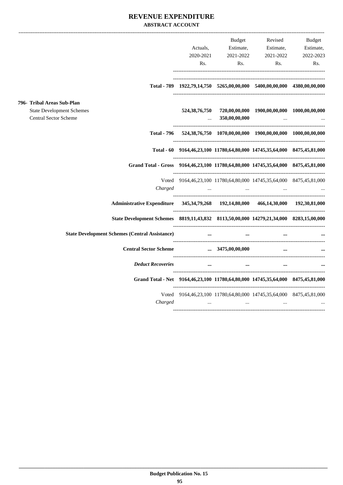## **REVENUE EXPENDITURE ABSTRACT ACCOUNT**

|                                                                  | ------------------------------------                                                           |                           |                                |                                                                                              | ----------------------------------- |
|------------------------------------------------------------------|------------------------------------------------------------------------------------------------|---------------------------|--------------------------------|----------------------------------------------------------------------------------------------|-------------------------------------|
|                                                                  |                                                                                                |                           | Budget                         |                                                                                              | Revised Budget                      |
|                                                                  |                                                                                                | Actuals,                  | Estimate,                      | Estimate,                                                                                    | Estimate,                           |
|                                                                  |                                                                                                | 2020-2021                 | 2021-2022                      | 2021-2022                                                                                    | 2022-2023                           |
|                                                                  |                                                                                                | Rs.                       |                                | Rs.<br>Rs.                                                                                   | Rs.                                 |
|                                                                  |                                                                                                |                           |                                | Total - 789 1922,79,14,750 5265,00,00,000 5400,00,00,000 4380,00,00,000                      |                                     |
| 796- Tribal Areas Sub-Plan                                       |                                                                                                |                           |                                |                                                                                              |                                     |
| <b>State Development Schemes</b><br><b>Central Sector Scheme</b> |                                                                                                |                           |                                | 524,38,76,750 720,00,00,000 1900,00,00,000 1000,00,00,000<br>$\ldots$ 350,00,00,000 $\ldots$ |                                     |
|                                                                  |                                                                                                |                           |                                | Total - 796 524,38,76,750 1070,00,00,000 1900,00,00,000 1000,00,00,000                       |                                     |
|                                                                  |                                                                                                |                           |                                | Total - 60 9164,46,23,100 11780,64,80,000 14745,35,64,000 8475,45,81,000                     |                                     |
|                                                                  | Grand Total - Gross 9164,46,23,100 11780,64,80,000 14745,35,64,000 8475,45,81,000              |                           |                                |                                                                                              |                                     |
|                                                                  |                                                                                                |                           |                                | Voted 9164,46,23,100 11780,64,80,000 14745,35,64,000 8475,45,81,000                          |                                     |
|                                                                  | Charged                                                                                        | $\sim 100$ and $\sim 100$ |                                | $\sim 100$ km s $^{-1}$ and $\sim 100$<br><b>Contract Contract</b>                           |                                     |
|                                                                  | Administrative Expenditure 345, 34, 79, 268 192, 14, 80, 000 466, 14, 30, 000 192, 30, 81, 000 |                           |                                |                                                                                              |                                     |
|                                                                  | State Development Schemes 8819,11,43,832 8113,50,00,000 14279,21,34,000 8283,15,00,000         |                           |                                |                                                                                              |                                     |
|                                                                  | <b>State Development Schemes (Central Assistance)</b>                                          | $\cdots$                  | and the company of the company |                                                                                              |                                     |
|                                                                  | Central Sector Scheme  3475,00,00,000                                                          |                           |                                | $\cdots$                                                                                     |                                     |
|                                                                  | <b>Deduct Recoveries</b>                                                                       |                           | $\cdots$                       | $\mathbf{m}$ and $\mathbf{m}$ are $\mathbf{m}$ . The $\mathbf{m}$<br>$\cdots$                |                                     |
|                                                                  | Grand Total - Net 9164,46,23,100 11780,64,80,000 14745,35,64,000 8475,45,81,000                |                           |                                |                                                                                              |                                     |
|                                                                  | Charged                                                                                        |                           |                                | Voted 9164,46,23,100 11780,64,80,000 14745,35,64,000 8475,45,81,000                          |                                     |
|                                                                  |                                                                                                |                           | <b>Contract Contract</b>       | the contract of the contract of the contract of                                              |                                     |
|                                                                  |                                                                                                |                           |                                |                                                                                              |                                     |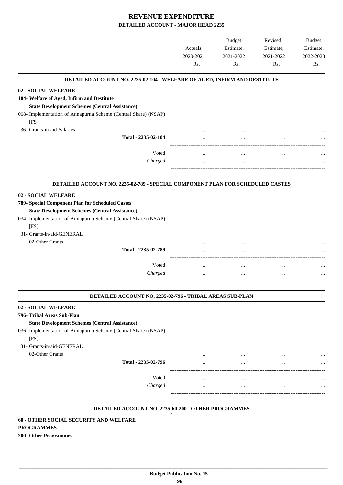|                                                                                                                                                                                                                                                                                                       | Actuals,<br>2020-2021<br>Rs. | <b>Budget</b><br>Estimate,<br>2021-2022<br>Rs. | Revised<br>Estimate,<br>2021-2022<br>Rs. | <b>Budget</b><br>Estimate,<br>2022-2023<br>Rs. |
|-------------------------------------------------------------------------------------------------------------------------------------------------------------------------------------------------------------------------------------------------------------------------------------------------------|------------------------------|------------------------------------------------|------------------------------------------|------------------------------------------------|
| DETAILED ACCOUNT NO. 2235-02-104 - WELFARE OF AGED, INFIRM AND DESTITUTE                                                                                                                                                                                                                              |                              |                                                |                                          |                                                |
| 02 - SOCIAL WELFARE<br>104- Welfare of Aged, Infirm and Destitute<br><b>State Development Schemes (Central Assistance)</b>                                                                                                                                                                            |                              |                                                |                                          |                                                |
| 008- Implementation of Annapurna Scheme (Central Share) (NSAP)                                                                                                                                                                                                                                        |                              |                                                |                                          |                                                |
| [FS]<br>36- Grants-in-aid-Salaries                                                                                                                                                                                                                                                                    |                              |                                                |                                          |                                                |
| Total - 2235-02-104                                                                                                                                                                                                                                                                                   |                              |                                                |                                          |                                                |
| Voted                                                                                                                                                                                                                                                                                                 |                              |                                                |                                          |                                                |
| Charged                                                                                                                                                                                                                                                                                               |                              | $\cdots$                                       | $\cdots$                                 |                                                |
| DETAILED ACCOUNT NO. 2235-02-789 - SPECIAL COMPONENT PLAN FOR SCHEDULED CASTES                                                                                                                                                                                                                        |                              |                                                |                                          |                                                |
| 02 - SOCIAL WELFARE<br>789- Special Component Plan for Scheduled Castes<br><b>State Development Schemes (Central Assistance)</b><br>034- Implementation of Annapurna Scheme (Central Share) (NSAP)<br>[FS]<br>31- Grants-in-aid-GENERAL<br>02-Other Grants<br>Total - 2235-02-789<br>Voted<br>Charged | $\cdots$<br>                 | $\cdots$<br>$\ddotsc$                          | $\cdots$<br>                             |                                                |
|                                                                                                                                                                                                                                                                                                       |                              |                                                |                                          |                                                |
| DETAILED ACCOUNT NO. 2235-02-796 - TRIBAL AREAS SUB-PLAN                                                                                                                                                                                                                                              |                              |                                                |                                          |                                                |
| 02 - SOCIAL WELFARE<br>796- Tribal Areas Sub-Plan<br><b>State Development Schemes (Central Assistance)</b><br>036- Implementation of Annapurna Scheme (Central Share) (NSAP)<br>[FS]<br>31- Grants-in-aid-GENERAL                                                                                     |                              |                                                |                                          |                                                |
| 02-Other Grants                                                                                                                                                                                                                                                                                       |                              |                                                |                                          |                                                |
| Total - 2235-02-796                                                                                                                                                                                                                                                                                   |                              |                                                |                                          |                                                |
| Voted<br>Charged                                                                                                                                                                                                                                                                                      | $\cdots$                     | $\ddotsc$<br>$\cdots$                          | $\cdots$                                 |                                                |
|                                                                                                                                                                                                                                                                                                       |                              |                                                |                                          |                                                |

#### **DETAILED ACCOUNT NO. 2235-60-200 - OTHER PROGRAMMES .**

**60 - OTHER SOCIAL SECURITY AND WELFARE PROGRAMMES 200- Other Programmes**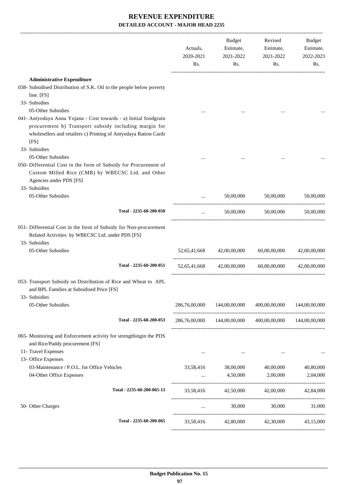|                                                                                                                                                              | Actuals,<br>2020-2021<br>Rs. | <b>Budget</b><br>Estimate,<br>2021-2022<br>Rs. | Revised<br>Estimate,<br>2021-2022<br>Rs.                | Budget<br>Estimate,<br>2022-2023<br>Rs. |
|--------------------------------------------------------------------------------------------------------------------------------------------------------------|------------------------------|------------------------------------------------|---------------------------------------------------------|-----------------------------------------|
| <b>Administrative Expenditure</b>                                                                                                                            |                              |                                                |                                                         |                                         |
| 038- Subsidised Distribution of S.K. Oil to the people below poverty                                                                                         |                              |                                                |                                                         |                                         |
| line. [FS]                                                                                                                                                   |                              |                                                |                                                         |                                         |
| 33- Subsidies                                                                                                                                                |                              |                                                |                                                         |                                         |
| 05-Other Subsidies                                                                                                                                           |                              |                                                |                                                         |                                         |
| 041- Antyodaya Anna Yojana - Cost towards - a) Initial foodgrain                                                                                             |                              |                                                |                                                         |                                         |
| procurement b) Transport subsidy including margin for                                                                                                        |                              |                                                |                                                         |                                         |
| wholesellers and retailers c) Printing of Antyodaya Ration Cards                                                                                             |                              |                                                |                                                         |                                         |
| [FS]                                                                                                                                                         |                              |                                                |                                                         |                                         |
| 33- Subsidies                                                                                                                                                |                              |                                                |                                                         |                                         |
| 05-Other Subsidies                                                                                                                                           |                              |                                                |                                                         |                                         |
| 050- Differential Cost in the form of Subsidy for Procurement of                                                                                             |                              |                                                |                                                         |                                         |
| Custom Milled Rice (CMR) by WBECSC Ltd. and Other                                                                                                            |                              |                                                |                                                         |                                         |
| Agencies under PDS [FS]                                                                                                                                      |                              |                                                |                                                         |                                         |
| 33- Subsidies                                                                                                                                                |                              |                                                |                                                         |                                         |
| 05-Other Subsidies                                                                                                                                           | $\cdots$                     | 50,00,000                                      | 50,00,000                                               | 50,00,000                               |
|                                                                                                                                                              |                              |                                                |                                                         |                                         |
| Total - 2235-60-200-050                                                                                                                                      | $\cdots$                     | 50,00,000                                      | 50,00,000                                               | 50,00,000                               |
| 051- Differential Cost in the form of Subsidy for Non-procurement<br>Related Activities by WBECSC Ltd. under PDS [FS]<br>33- Subsidies<br>05-Other Subsidies | 52,65,41,668                 | 42,00,00,000                                   | 60,00,00,000                                            | 42,00,00,000                            |
|                                                                                                                                                              |                              |                                                |                                                         |                                         |
| Total - 2235-60-200-051                                                                                                                                      | 52,65,41,668                 | 42,00,00,000                                   | 60,00,00,000                                            | 42,00,00,000                            |
| 053- Transport Subsidy on Distribution of Rice and Wheat to APL<br>and BPL Families at Subsidised Price [FS]<br>33- Subsidies                                |                              |                                                |                                                         |                                         |
| 05-Other Subsidies                                                                                                                                           |                              | 286,76,00,000 144,00,00,000                    | 400,00,00,000 144,00,00,000                             |                                         |
| Total - 2235-60-200-053                                                                                                                                      |                              |                                                | 286,76,00,000 144,00,00,000 400,00,00,000 144,00,00,000 |                                         |
| 065- Monitoring and Enforcement activity for strengthingin the PDS<br>and Rice/Paddy procurement [FS]                                                        |                              |                                                |                                                         |                                         |
| 11- Travel Expenses                                                                                                                                          | $\cdots$                     | $\cdots$                                       | $\cdots$                                                |                                         |
| 13- Office Expenses                                                                                                                                          |                              |                                                |                                                         |                                         |
| 03-Maintenance / P.O.L. for Office Vehicles                                                                                                                  |                              |                                                | 33,58,416 38,00,000 40,00,000                           | 40,80,000                               |
| 04-Other Office Expenses                                                                                                                                     |                              |                                                | $4,50,000$ $2,00,000$                                   | 2,04,000                                |
| Total - 2235-60-200-065-13                                                                                                                                   |                              |                                                | 33,58,416 42,50,000 42,00,000 42,84,000                 |                                         |
| 50- Other Charges                                                                                                                                            | $\ldots$                     |                                                | 30,000 30,000 31,000                                    |                                         |
| Total - 2235-60-200-065                                                                                                                                      |                              |                                                | 33,58,416 42,80,000 42,30,000                           | 43,15,000                               |
|                                                                                                                                                              |                              |                                                |                                                         |                                         |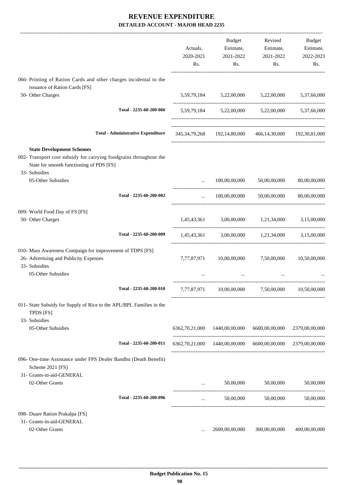|                                                                                                        | Actuals,<br>2020-2021<br>Rs. | Budget<br>Estimate,<br>2021-2022<br>Rs.                             | Revised<br>Estimate,<br>2021-2022<br>Rs.      | Budget<br>Estimate,<br>2022-2023<br>Rs. |
|--------------------------------------------------------------------------------------------------------|------------------------------|---------------------------------------------------------------------|-----------------------------------------------|-----------------------------------------|
| 066- Printing of Ration Cards and other charges incidental to the                                      |                              |                                                                     |                                               |                                         |
| issuance of Ration Cards [FS]<br>50- Other Charges                                                     |                              | 5,59,79,184 5,22,00,000 5,22,00,000 5,37,66,000                     |                                               |                                         |
|                                                                                                        |                              |                                                                     |                                               |                                         |
| Total - 2235-60-200-066                                                                                |                              | 5,59,79,184 5,22,00,000 5,22,00,000 5,37,66,000                     |                                               |                                         |
| <b>Total - Administrative Expenditure</b>                                                              |                              | 345, 34, 79, 268 192, 14, 80, 000 466, 14, 30, 000 192, 30, 81, 000 |                                               |                                         |
| <b>State Development Schemes</b><br>002- Transport cost subsidy for carrying foodgrains throughout the |                              |                                                                     |                                               |                                         |
| State for smooth functioning of PDS [FS]                                                               |                              |                                                                     |                                               |                                         |
| 33- Subsidies<br>05-Other Subsidies                                                                    |                              |                                                                     | 100,00,00,000 50,00,00,000 80,00,00,000       |                                         |
|                                                                                                        |                              |                                                                     |                                               |                                         |
| Total - 2235-60-200-002                                                                                | $\cdots$                     |                                                                     | $100,00,00,000$ $50,00,00,000$ $80,00,00,000$ |                                         |
| 009- World Food Day of FS [FS]                                                                         |                              |                                                                     |                                               |                                         |
| 50- Other Charges                                                                                      |                              | 1,45,43,361 3,00,00,000 1,21,34,000 3,15,00,000                     |                                               |                                         |
| Total - 2235-60-200-009                                                                                |                              | 1,45,43,361 3,00,00,000 1,21,34,000 3,15,00,000                     |                                               |                                         |
| 010- Mass Awareness Compaign for improvement of TDPS [FS]                                              |                              |                                                                     |                                               |                                         |
| 26- Advertising and Publicity Expenses<br>33- Subsidies                                                | 7,77,87,971                  | 10,00,00,000                                                        | 7,50,00,000                                   | 10,50,00,000                            |
| 05-Other Subsidies                                                                                     |                              |                                                                     |                                               |                                         |
| Total - 2235-60-200-010                                                                                |                              | 7,77,87,971 10,00,00,000 7,50,00,000 10,50,00,000                   |                                               |                                         |
| 011- State Subsidy for Supply of Rice to the APL/BPL Families in the<br>TPDS [FS]                      |                              |                                                                     |                                               |                                         |
| 33- Subsidies<br>05-Other Subsidies                                                                    |                              | 6362,70,21,000 1440,00,00,000                                       | 6600,00,00,000                                | 2379,00,00,000                          |
| Total - 2235-60-200-011                                                                                |                              | 6362,70,21,000 1440,00,00,000 6600,00,00,000 2379,00,00,000         |                                               |                                         |
| 096- One-time Assistance under FPS Dealer Bandhu (Death Benefit)<br>Scheme 2021 [FS]                   |                              |                                                                     |                                               |                                         |
| 31- Grants-in-aid-GENERAL<br>02-Other Grants                                                           | $\cdots$                     | 50,00,000                                                           | 50,00,000                                     | 50,00,000                               |
| Total - 2235-60-200-096                                                                                | $\cdots$                     | 50,00,000                                                           | 50,00,000                                     | 50,00,000                               |
|                                                                                                        |                              |                                                                     |                                               |                                         |
| 098- Duare Ration Prakalpa [FS]<br>31- Grants-in-aid-GENERAL                                           |                              |                                                                     |                                               |                                         |
| 02-Other Grants                                                                                        |                              | 2600,00,00,000                                                      | 300,00,00,000                                 | 400,00,00,000                           |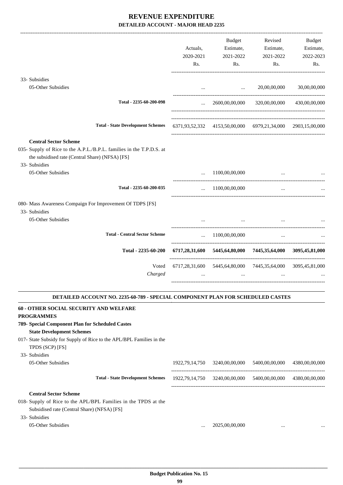|                                                                                                                                                                          | Actuals,<br>2020-2021<br>Rs. | Budget<br>Estimate,<br>2021-2022<br>Rs.                  | Revised<br>Estimate,<br>2021-2022<br>Rs.                    | <b>Budget</b><br>Estimate,<br>2022-2023<br>Rs. |
|--------------------------------------------------------------------------------------------------------------------------------------------------------------------------|------------------------------|----------------------------------------------------------|-------------------------------------------------------------|------------------------------------------------|
| 33- Subsidies                                                                                                                                                            |                              |                                                          |                                                             |                                                |
| 05-Other Subsidies                                                                                                                                                       |                              | and the state of the state of the state of the           | 20,00,00,000                                                | 30,00,00,000                                   |
| Total - 2235-60-200-098                                                                                                                                                  |                              |                                                          | $\ldots$ 2600,00,00,000 320,00,00,000 430,00,00,000         |                                                |
| <b>Total - State Development Schemes</b>                                                                                                                                 |                              |                                                          | 6371,93,52,332 4153,50,00,000 6979,21,34,000 2903,15,00,000 |                                                |
| <b>Central Sector Scheme</b><br>035- Supply of Rice to the A.P.L./B.P.L. families in the T.P.D.S. at<br>the subsidised rate (Central Share) (NFSA) [FS]<br>33- Subsidies |                              |                                                          |                                                             |                                                |
| 05-Other Subsidies                                                                                                                                                       | $\cdots$                     | 1100,00,00,000                                           |                                                             |                                                |
| Total - 2235-60-200-035                                                                                                                                                  |                              | $\ldots$ 1100,00,00,000                                  | $\ddots$                                                    |                                                |
| 080- Mass Awareness Compaign For Improvement Of TDPS [FS]<br>33- Subsidies<br>05-Other Subsidies                                                                         |                              | the contract of the contract of the contract of the      | $\cdots$                                                    |                                                |
|                                                                                                                                                                          |                              |                                                          |                                                             |                                                |
| <b>Total - Central Sector Scheme</b>                                                                                                                                     |                              | $\ldots$ 1100,00,00,000                                  | $\cdots$                                                    |                                                |
| Total - 2235-60-200                                                                                                                                                      |                              |                                                          | 6717,28,31,600 5445,64,80,000 7445,35,64,000 3095,45,81,000 |                                                |
| Voted<br>Charged                                                                                                                                                         |                              | $\cdots$                                                 | 6717,28,31,600 5445,64,80,000 7445,35,64,000 3095,45,81,000 |                                                |
| DETAILED ACCOUNT NO. 2235-60-789 - SPECIAL COMPONENT PLAN FOR SCHEDULED CASTES                                                                                           |                              |                                                          |                                                             |                                                |
| 60 - OTHER SOCIAL SECURITY AND WELFARE<br><b>PROGRAMMES</b><br>789- Special Component Plan for Scheduled Castes                                                          |                              |                                                          |                                                             |                                                |
| <b>State Development Schemes</b>                                                                                                                                         |                              |                                                          |                                                             |                                                |
| 017- State Subsidy for Supply of Rice to the APL/BPL Families in the<br>TPDS (SCP) [FS]                                                                                  |                              |                                                          |                                                             |                                                |
| 33- Subsidies<br>05-Other Subsidies                                                                                                                                      |                              | 1922, 79, 14, 750 3240, 00, 00, 000 5400, 00, 00, 00, 00 |                                                             | 4380,00,00,000                                 |
| <b>Total - State Development Schemes</b>                                                                                                                                 |                              |                                                          | 1922,79,14,750 3240,00,00,000 5400,00,00,000 4380,00,00,000 |                                                |
| <b>Central Sector Scheme</b><br>018- Supply of Rice to the APL/BPL Families in the TPDS at the<br>Subsidised rate (Central Share) (NFSA) [FS]<br>33- Subsidies           |                              |                                                          |                                                             |                                                |
| 05-Other Subsidies                                                                                                                                                       |                              | 2025,00,00,000                                           | $\cdots$                                                    |                                                |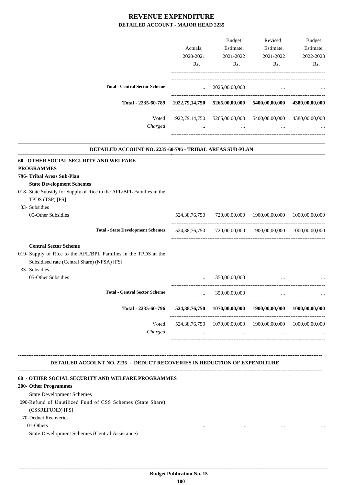|                                                                      |                  | Budget                                                                                                                                                                                                                               | Revised                                                                   | <b>Budget</b>  |
|----------------------------------------------------------------------|------------------|--------------------------------------------------------------------------------------------------------------------------------------------------------------------------------------------------------------------------------------|---------------------------------------------------------------------------|----------------|
|                                                                      | Actuals.         | Estimate,                                                                                                                                                                                                                            | Estimate,                                                                 | Estimate,      |
|                                                                      | 2020-2021        | 2021-2022                                                                                                                                                                                                                            | 2021-2022                                                                 | 2022-2023      |
|                                                                      | Rs.              | Rs.                                                                                                                                                                                                                                  | Rs.                                                                       | Rs.            |
| <b>Total - Central Sector Scheme</b>                                 | $\mathbf{r}$     | 2025,00,00,000                                                                                                                                                                                                                       | $\cdots$                                                                  |                |
| Total - 2235-60-789                                                  |                  |                                                                                                                                                                                                                                      | 1922,79,14,750 5265,00,00,000 5400,00,00,000 4380,00,00,000               |                |
| Voted                                                                |                  |                                                                                                                                                                                                                                      | 1922,79,14,750 5265,00,00,000 5400,00,00,000 4380,00,00,000               |                |
| Charged                                                              |                  | $\mathbf{r}$ and $\mathbf{r}$ are all the set of the set of the set of the set of the set of the set of the set of the set of the set of the set of the set of the set of the set of the set of the set of the set of the set of the | $\mathbf{r}$ and $\mathbf{r}$ are all the set of $\mathbf{r}$<br>$\cdots$ |                |
| DETAILED ACCOUNT NO. 2235-60-796 - TRIBAL AREAS SUB-PLAN             |                  |                                                                                                                                                                                                                                      |                                                                           |                |
| 60 - OTHER SOCIAL SECURITY AND WELFARE                               |                  |                                                                                                                                                                                                                                      |                                                                           |                |
| <b>PROGRAMMES</b>                                                    |                  |                                                                                                                                                                                                                                      |                                                                           |                |
| 796- Tribal Areas Sub-Plan                                           |                  |                                                                                                                                                                                                                                      |                                                                           |                |
| <b>State Development Schemes</b>                                     |                  |                                                                                                                                                                                                                                      |                                                                           |                |
| 018- State Subsidy for Supply of Rice to the APL/BPL Families in the |                  |                                                                                                                                                                                                                                      |                                                                           |                |
| TPDS (TSP) [FS]                                                      |                  |                                                                                                                                                                                                                                      |                                                                           |                |
| 33- Subsidies                                                        |                  |                                                                                                                                                                                                                                      |                                                                           |                |
| 05-Other Subsidies                                                   | 524, 38, 76, 750 | 720,00,00,000                                                                                                                                                                                                                        | 1900,00,00,000                                                            | 1000,00,00,000 |
| <b>Total - State Development Schemes</b>                             |                  |                                                                                                                                                                                                                                      | 524,38,76,750 720,00,00,000 1900,00,00,000 1000,00,00,000                 |                |
| <b>Central Sector Scheme</b>                                         |                  |                                                                                                                                                                                                                                      |                                                                           |                |
| 019- Supply of Rice to the APL/BPL Families in the TPDS at the       |                  |                                                                                                                                                                                                                                      |                                                                           |                |

Subsidised rate (Central Share) (NFSA) [FS]

- 33- Subsidies
	- 05-Other Subsidies

|                                      | $\cdots$                     | 350,00,00,000              | $\cdots$                   |                            |
|--------------------------------------|------------------------------|----------------------------|----------------------------|----------------------------|
| <b>Total - Central Sector Scheme</b> | $\cdots$                     | 350,00,00,000              | $\cdots$                   |                            |
| Total - 2235-60-796                  | 524, 38, 76, 750             | 1070,00,00,000             | 1900,00,00,000             | 1000,00,00,000             |
| Voted<br>Charged                     | 524, 38, 76, 750<br>$\cdots$ | 1070,00,00,000<br>$\cdots$ | 1900,00,00,000<br>$\cdots$ | 1000,00,00,000<br>$\cdots$ |
|                                      |                              |                            |                            |                            |

**-------------------------------------------------------------------------------------------------------------------------------------------------------------------------------- DETAILED ACCOUNT NO. 2235 - DEDUCT RECOVERIES IN REDUCTION OF EXPENDITURE**

#### **--------------------------------------------------------------------------------------------------------------------------------------------------------------------------------**

#### **60 - OTHER SOCIAL SECURITY AND WELFARE PROGRAMMES**

#### **200- Other Programmes**

State Development Schemes

090-Refund of Unutilized Fund of CSS Schemes (State Share)

#### (CSSREFUND) [FS]

70-Deduct Recoveries

01-Others ... ... ... ...

State Development Schemes (Central Assistance)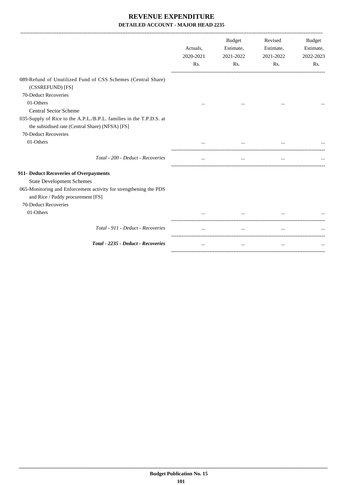|                                                                                                                                                                                                                           | Actuals,<br>2020-2021<br>Rs. | <b>Budget</b><br>Estimate,<br>2021-2022<br>Rs. | Revised<br>Estimate,<br>2021-2022<br>Rs. | <b>Budget</b><br>Estimate,<br>2022-2023<br>Rs. |
|---------------------------------------------------------------------------------------------------------------------------------------------------------------------------------------------------------------------------|------------------------------|------------------------------------------------|------------------------------------------|------------------------------------------------|
| 089-Refund of Unutilized Fund of CSS Schemes (Central Share)<br>(CSSREFUND) [FS]<br>70-Deduct Recoveries<br>01-Others                                                                                                     | $\cdots$                     |                                                |                                          |                                                |
| <b>Central Sector Scheme</b><br>035-Supply of Rice to the A.P.L./B.P.L. families in the T.P.D.S. at<br>the subsidised rate (Central Share) (NFSA) [FS]<br>70-Deduct Recoveries<br>01-Others                               |                              |                                                |                                          |                                                |
| Total - 200 - Deduct - Recoveries                                                                                                                                                                                         | $\cdots$                     | $\cdots$                                       | $\cdots$                                 |                                                |
| 911- Deduct Recoveries of Overpayments<br><b>State Development Schemes</b><br>065-Monitoring and Enforcement activity for strengthening the PDS<br>and Rice / Paddy procurement [FS]<br>70-Deduct Recoveries<br>01-Others |                              |                                                |                                          |                                                |
| Total - 911 - Deduct - Recoveries                                                                                                                                                                                         | $\cdots$                     | $\cdots$                                       | $\cdots$                                 |                                                |
| <b>Total - 2235 - Deduct - Recoveries</b>                                                                                                                                                                                 | $\cdots$                     | $\cdots$                                       | $\cdots$                                 |                                                |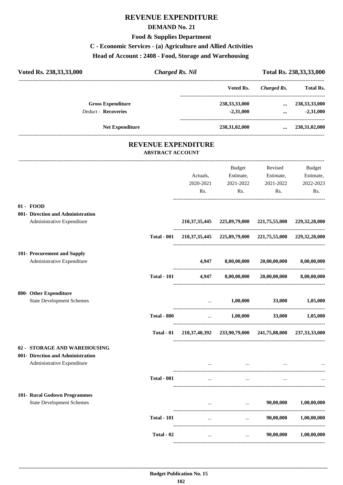# **REVENUE EXPENDITURE**

#### **DEMAND No. 21**

#### **Food & Supplies Department**

# **C - Economic Services - (a) Agriculture and Allied Activities**

**Head of Account : 2408 - Food, Storage and Warehousing** 

| Voted Rs. 238, 33, 33, 000                                                                      | <b>Charged Rs. Nil</b>  |                              |                                                                     |                                                    | Total Rs. 238, 33, 33, 000              |
|-------------------------------------------------------------------------------------------------|-------------------------|------------------------------|---------------------------------------------------------------------|----------------------------------------------------|-----------------------------------------|
|                                                                                                 |                         |                              | Voted Rs.                                                           | <b>Charged Rs.</b>                                 | <br><b>Total Rs.</b>                    |
| <b>Gross Expenditure</b><br><b>Deduct - Recoveries</b>                                          |                         |                              | 238, 33, 33, 000<br>$-2,31,000$                                     | $\cdots$<br>$\cdots$                               | 238, 33, 33, 000<br>$-2,31,000$         |
| <b>Net Expenditure</b>                                                                          |                         |                              | 238,31,02,000                                                       |                                                    | $\dots$ 238,31,02,000                   |
|                                                                                                 | <b>ABSTRACT ACCOUNT</b> | <b>REVENUE EXPENDITURE</b>   |                                                                     |                                                    |                                         |
|                                                                                                 |                         | Actuals,<br>2020-2021<br>Rs. | Budget<br>2021-2022<br>Rs.                                          | Revised<br>Estimate, Estimate,<br>2021-2022<br>Rs. | Budget<br>Estimate,<br>2022-2023<br>Rs. |
| $01 - FOOD$<br>001- Direction and Administration<br>Administrative Expenditure                  |                         |                              | 210, 37, 35, 445 225, 89, 79, 000 221, 75, 55, 000 229, 32, 28, 000 |                                                    |                                         |
|                                                                                                 | <b>Total - 001</b>      |                              | 210, 37, 35, 445 225, 89, 79, 000 221, 75, 55, 000 229, 32, 28, 000 |                                                    |                                         |
| 101- Procurement and Supply<br>Administrative Expenditure                                       |                         | 4,947                        | 8,00,00,000                                                         | 20,00,00,000                                       | 8,00,00,000                             |
|                                                                                                 | <b>Total - 101</b>      | 4,947                        | 8,00,00,000                                                         | 20,00,00,000                                       | 8,00,00,000                             |
| 800- Other Expenditure<br><b>State Development Schemes</b>                                      |                         |                              | 1,00,000                                                            | 33,000                                             | 1,05,000                                |
|                                                                                                 | <b>Total - 800</b>      | $\cdots$                     | 1,00,000                                                            | 33,000                                             | 1,05,000                                |
|                                                                                                 | Total - 01              |                              | 210,37,40,392 233,90,79,000 241,75,88,000 237,33,33,000             |                                                    |                                         |
| 02 - STORAGE AND WAREHOUSING<br>001- Direction and Administration<br>Administrative Expenditure |                         |                              | $\cdots$                                                            |                                                    |                                         |
|                                                                                                 | <b>Total - 001</b>      | $\cdots$                     | $\cdots$                                                            | $\ddotsc$                                          |                                         |
| 101- Rural Godown Programmes<br><b>State Development Schemes</b>                                |                         |                              | $\cdots$                                                            | 90,00,000                                          | 1,00,00,000                             |
|                                                                                                 | <b>Total - 101</b>      | $\cdots$                     | $\cdots$                                                            | 90,00,000                                          | 1,00,00,000                             |
|                                                                                                 | Total - 02              | $\cdots$                     | $\cdots$                                                            | 90,00,000                                          | 1,00,00,000                             |

----------------------------------------------------------------------------------------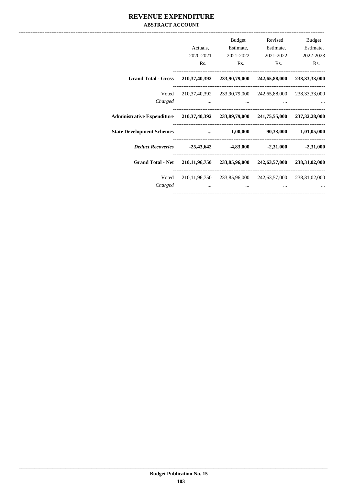## **REVENUE EXPENDITURE ABSTRACT ACCOUNT**

|                                                                                    | Actuals.<br>2020-2021                                                                                                                                                                                                                | Budget<br>Estimate,<br>2021-2022        | Revised<br>Estimate,<br>2021-2022                       | Budget<br>Estimate,<br>2022-2023 |
|------------------------------------------------------------------------------------|--------------------------------------------------------------------------------------------------------------------------------------------------------------------------------------------------------------------------------------|-----------------------------------------|---------------------------------------------------------|----------------------------------|
|                                                                                    | Rs.                                                                                                                                                                                                                                  | Rs.                                     | Rs.                                                     | Rs.                              |
| <b>Grand Total - Gross</b>                                                         |                                                                                                                                                                                                                                      |                                         | 210,37,40,392 233,90,79,000 242,65,88,000               | 238, 33, 33, 000                 |
| Voted                                                                              |                                                                                                                                                                                                                                      |                                         | 210,37,40,392 233,90,79,000 242,65,88,000 238,33,33,000 |                                  |
| Charged                                                                            | $\ddots$                                                                                                                                                                                                                             | and the contract of the contract of the | $\cdots$                                                |                                  |
| Administrative Expenditure 210,37,40,392 233,89,79,000 241,75,55,000 237,32,28,000 |                                                                                                                                                                                                                                      |                                         |                                                         |                                  |
| <b>State Development Schemes</b>                                                   | <u>and the company of the company of the company of the company of the company of the company of the company of the company of the company of the company of the company of the company of the company of the company of the com</u> | $1{,}00{,}000$                          |                                                         | 90,33,000 1,01,05,000            |
| Deduct Recoveries -25,43,642                                                       |                                                                                                                                                                                                                                      |                                         | $-4,83,000$ $-2,31,000$                                 | $-2,31,000$                      |
| <b>Grand Total - Net</b>                                                           |                                                                                                                                                                                                                                      |                                         | 210,11,96,750 233,85,96,000 242,63,57,000 238,31,02,000 |                                  |
| Voted                                                                              |                                                                                                                                                                                                                                      |                                         | 210,11,96,750 233,85,96,000 242,63,57,000 238,31,02,000 |                                  |
| Charged                                                                            | $\cdots$                                                                                                                                                                                                                             | $\cdots$                                | $\cdots$                                                |                                  |
|                                                                                    |                                                                                                                                                                                                                                      |                                         |                                                         |                                  |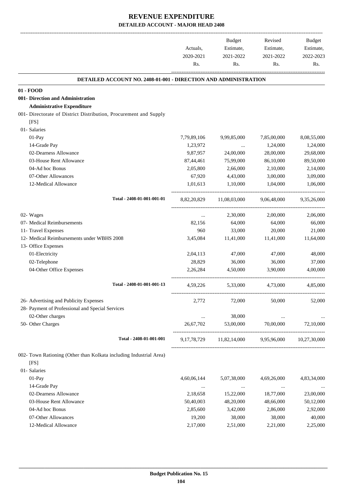-------------------------------------------------------------------------------------------------------------------------------------------------------------------------------

|                                                                        | Actuals,<br>2020-2021<br>Rs. | <b>Budget</b><br>Estimate,<br>2021-2022<br>Rs. | Revised<br>Estimate,<br>2021-2022<br>Rs. | <b>Budget</b><br>Estimate,<br>2022-2023<br>Rs. |
|------------------------------------------------------------------------|------------------------------|------------------------------------------------|------------------------------------------|------------------------------------------------|
| <b>DETAILED ACCOUNT NO. 2408-01-001 - DIRECTION AND ADMINISTRATION</b> |                              |                                                |                                          |                                                |
| 01 - FOOD                                                              |                              |                                                |                                          |                                                |
| 001- Direction and Administration                                      |                              |                                                |                                          |                                                |
| <b>Administrative Expenditure</b>                                      |                              |                                                |                                          |                                                |
| 001- Directorate of District Distribution, Procurement and Supply      |                              |                                                |                                          |                                                |
| [FS]                                                                   |                              |                                                |                                          |                                                |
| 01- Salaries                                                           |                              |                                                |                                          |                                                |
| 01-Pay                                                                 | 7,79,89,106                  | 9,99,85,000                                    | 7,85,00,000                              | 8,08,55,000                                    |
| 14-Grade Pay                                                           | 1,23,972                     | $\ldots$                                       | 1,24,000                                 | 1,24,000                                       |
| 02-Dearness Allowance                                                  | 9,87,957                     | 24,00,000                                      | 28,00,000                                | 29,68,000                                      |
| 03-House Rent Allowance                                                | 87,44,461                    | 75,99,000                                      | 86,10,000                                | 89,50,000                                      |
| 04-Ad hoc Bonus                                                        | 2,05,800                     | 2,66,000                                       | 2,10,000                                 | 2,14,000                                       |
| 07-Other Allowances                                                    | 67,920                       | 4,43,000                                       | 3,00,000                                 | 3,09,000                                       |
| 12-Medical Allowance                                                   | 1,01,613                     | 1,10,000                                       | 1.04.000                                 | 1,06,000                                       |
| Total - 2408-01-001-001-01                                             | 8,82,20,829                  | 11,08,03,000                                   | 9,06,48,000                              | 9,35,26,000                                    |
| 02- Wages                                                              | $\cdots$                     | 2,30,000                                       | 2,00,000                                 | 2,06,000                                       |
| 07- Medical Reimbursements                                             | 82,156                       | 64,000                                         | 64,000                                   | 66,000                                         |
| 11- Travel Expenses                                                    | 960                          | 33,000                                         | 20,000                                   | 21,000                                         |
| 12- Medical Reimbursements under WBHS 2008                             | 3,45,084                     | 11,41,000                                      | 11,41,000                                | 11,64,000                                      |
| 13- Office Expenses                                                    |                              |                                                |                                          |                                                |
| 01-Electricity                                                         | 2,04,113                     | 47,000                                         | 47,000                                   | 48,000                                         |
| 02-Telephone                                                           | 28,829                       | 36,000                                         | 36,000                                   | 37,000                                         |
| 04-Other Office Expenses                                               | 2,26,284                     | 4,50,000                                       | 3,90,000                                 | 4,00,000                                       |
| Total - 2408-01-001-001-13                                             | 4,59,226                     | 5,33,000                                       | 4,73,000                                 | 4,85,000                                       |
| 26- Advertising and Publicity Expenses                                 | 2,772                        | 72,000                                         | 50,000                                   | 52,000                                         |
| 28- Payment of Professional and Special Services                       |                              |                                                |                                          |                                                |
| 02-Other charges                                                       | $\cdots$                     | 38,000                                         | $\cdots$                                 |                                                |
| 50- Other Charges                                                      | 26,67,702                    | 53,00,000                                      | 70,00,000                                | 72,10,000                                      |
| Total - 2408-01-001-001                                                |                              | 9,17,78,729 11,82,14,000                       | 9,95,96,000                              | 10,27,30,000                                   |
| 002- Town Rationing (Other than Kolkata including Industrial Area)     |                              |                                                |                                          |                                                |
| [FS]                                                                   |                              |                                                |                                          |                                                |
| 01- Salaries                                                           |                              |                                                |                                          |                                                |
| 01-Pay                                                                 | 4,60,06,144                  | 5,07,38,000                                    | 4,69,26,000                              | 4,83,34,000                                    |
| 14-Grade Pay                                                           | $\ldots$                     | $\ldots$                                       | $\ldots$                                 |                                                |
| 02-Dearness Allowance                                                  | 2,18,658                     | 15,22,000                                      | 18,77,000                                | 23,00,000                                      |
| 03-House Rent Allowance                                                | 50,40,003                    | 48,20,000                                      | 48,66,000                                | 50,12,000                                      |
| 04-Ad hoc Bonus                                                        | 2,85,600                     | 3,42,000                                       | 2,86,000                                 | 2,92,000                                       |
| 07-Other Allowances                                                    | 19,200                       | 38,000                                         | 38,000                                   | 40,000                                         |
| 12-Medical Allowance                                                   | 2,17,000                     | 2,51,000                                       | 2,21,000                                 | 2,25,000                                       |
|                                                                        |                              |                                                |                                          |                                                |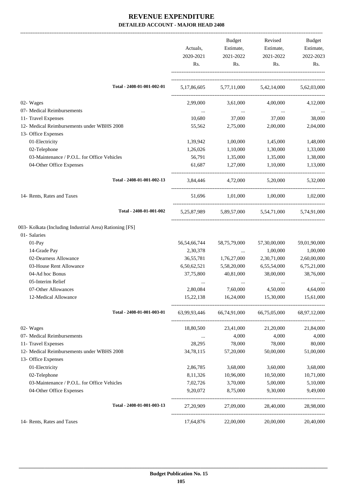|                                                                   | Actuals,<br>2020-2021<br>Rs. | Budget<br>Estimate,<br>2021-2022<br>Rs. | Revised<br>Estimate,<br>2021-2022<br>Rs.        | Budget<br>Estimate,<br>2022-2023<br>Rs. |
|-------------------------------------------------------------------|------------------------------|-----------------------------------------|-------------------------------------------------|-----------------------------------------|
| Total - 2408-01-001-002-01                                        |                              |                                         | 5,17,86,605 5,77,11,000 5,42,14,000 5,62,03,000 |                                         |
| 02- Wages                                                         | 2,99,000                     | 3,61,000                                | 4,00,000                                        | 4,12,000                                |
| 07- Medical Reimbursements                                        | $\ldots$                     | $\ldots$                                | $\ldots$                                        |                                         |
| 11- Travel Expenses                                               | 10,680                       | 37,000                                  | 37,000                                          | 38,000                                  |
| 12- Medical Reimbursements under WBHS 2008                        | 55,562                       | 2,75,000                                | 2,00,000                                        | 2,04,000                                |
| 13- Office Expenses                                               |                              |                                         |                                                 |                                         |
| 01-Electricity                                                    | 1,39,942                     | 1,00,000                                | 1,45,000                                        | 1,48,000                                |
| 02-Telephone                                                      | 1,26,026                     | 1,10,000                                | 1,30,000                                        | 1,33,000                                |
| 03-Maintenance / P.O.L. for Office Vehicles                       | 56,791                       | 1,35,000                                | 1,35,000                                        | 1,38,000                                |
| 04-Other Office Expenses                                          | 61,687                       | 1,27,000                                | 1.10.000                                        | 1,13,000                                |
| Total - 2408-01-001-002-13                                        |                              |                                         | 3,84,446 4,72,000 5,20,000 5,32,000             |                                         |
| 14- Rents, Rates and Taxes                                        |                              |                                         | 51,696 1,01,000 1,00,000 1,02,000               |                                         |
| Total - 2408-01-001-002                                           |                              |                                         | 5,25,87,989 5,89,57,000 5,54,71,000 5,74,91,000 |                                         |
| 003- Kolkata (Including Industrial Area) Rationing [FS]           |                              |                                         |                                                 |                                         |
| 01- Salaries                                                      |                              |                                         |                                                 |                                         |
| 01-Pay                                                            | 56, 54, 66, 744              | 58,75,79,000                            | 57,30,00,000                                    | 59,01,90,000                            |
| 14-Grade Pay                                                      | 2,30,378                     | $\ddots$                                | 1,00,000                                        | 1,00,000                                |
| 02-Dearness Allowance                                             | 36,55,781                    | 1,76,27,000                             | 2,30,71,000                                     | 2,60,00,000                             |
| 03-House Rent Allowance                                           | 6,50,62,521                  | 5,58,20,000                             | 6,55,54,000                                     | 6,75,21,000                             |
| 04-Ad hoc Bonus                                                   | 37,75,800                    | 40,81,000                               | 38,00,000                                       | 38,76,000                               |
| 05-Interim Relief                                                 |                              |                                         |                                                 |                                         |
| 07-Other Allowances                                               | 2,80,084                     | 7,60,000                                | 4,50,000                                        | 4,64,000                                |
| 12-Medical Allowance                                              | 15,22,138                    | 16,24,000                               | 15,30,000                                       | 15,61,000                               |
| Total - 2408-01-001-003-01                                        |                              |                                         | 63,99,93,446 66,74,91,000 66,75,05,000          | 68,97,12,000                            |
| 02- Wages                                                         | 18,80,500                    | 23,41,000                               | 21,20,000                                       | 21,84,000                               |
| 07- Medical Reimbursements                                        | $\ldots$                     | 4,000                                   | 4,000                                           | 4,000                                   |
| 11- Travel Expenses                                               | 28,295                       | 78,000                                  | 78,000                                          | 80,000                                  |
| 12- Medical Reimbursements under WBHS 2008<br>13- Office Expenses | 34,78,115                    | 57,20,000                               | 50,00,000                                       | 51,00,000                               |
| 01-Electricity                                                    | 2,86,785                     | 3,68,000                                | 3,60,000                                        | 3,68,000                                |
| 02-Telephone                                                      | 8,11,326                     | 10,96,000                               | 10,50,000                                       | 10,71,000                               |
| 03-Maintenance / P.O.L. for Office Vehicles                       | 7,02,726                     | 3,70,000                                | 5,00,000                                        | 5,10,000                                |
| 04-Other Office Expenses                                          | 9,20,072                     | 8,75,000                                | 9,30,000                                        | 9,49,000                                |
| Total - 2408-01-001-003-13                                        | 27,20,909                    | 27,09,000                               | 28,40,000                                       | 28,98,000                               |
| 14- Rents, Rates and Taxes                                        | 17,64,876                    | 22,00,000                               | 20,00,000                                       | 20,40,000                               |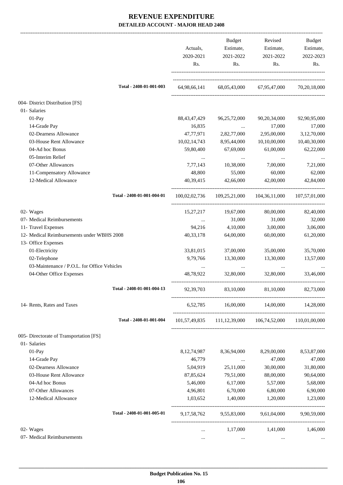|                                             | Actuals,<br>2020-2021<br>Rs. | Budget<br>Estimate,<br>2021-2022<br>Rs. | Revised<br>Estimate,<br>2021-2022<br>Rs.                | Budget<br>Estimate,<br>2022-2023<br>Rs. |
|---------------------------------------------|------------------------------|-----------------------------------------|---------------------------------------------------------|-----------------------------------------|
| Total - 2408-01-001-003                     | 64,98,66,141                 |                                         | 68,05,43,000 67,95,47,000                               | 70,20,18,000                            |
| 004- District Distribution [FS]             |                              |                                         |                                                         |                                         |
| 01- Salaries                                |                              |                                         |                                                         |                                         |
| $01-Pay$                                    | 88, 43, 47, 429              | 96,25,72,000                            | 90, 20, 34, 000                                         | 92,90,95,000                            |
| 14-Grade Pay                                | 16,835                       | $\cdots$                                | 17,000                                                  | 17,000                                  |
| 02-Dearness Allowance                       | 47,77,971                    | 2,82,77,000                             | 2,95,00,000                                             | 3,12,70,000                             |
| 03-House Rent Allowance                     | 10,02,14,743                 | 8,95,44,000                             | 10,10,00,000                                            | 10,40,30,000                            |
| 04-Ad hoc Bonus                             | 59,80,400                    | 67,69,000                               | 61,00,000                                               | 62,22,000                               |
| 05-Interim Relief                           |                              | $\cdots$                                | $\ldots$                                                |                                         |
| 07-Other Allowances                         | 7,77,143                     | 10,38,000                               | 7,00,000                                                | 7,21,000                                |
| 11-Compensatory Allowance                   | 48,800                       | 55,000                                  | 60,000                                                  | 62,000                                  |
| 12-Medical Allowance                        | 40,39,415                    | 42,66,000                               | 42,00,000                                               | 42,84,000                               |
| Total - 2408-01-001-004-01                  |                              |                                         | 100,02,02,736 109,25,21,000 104,36,11,000               | 107,57,01,000                           |
| 02- Wages                                   | 15,27,217                    | 19,67,000                               | 80,00,000                                               | 82,40,000                               |
| 07- Medical Reimbursements                  | $\cdots$                     | 31,000                                  | 31,000                                                  | 32,000                                  |
| 11- Travel Expenses                         | 94,216                       | 4,10,000                                | 3,00,000                                                | 3,06,000                                |
| 12- Medical Reimbursements under WBHS 2008  | 40, 33, 178                  | 64,00,000                               | 60,00,000                                               | 61,20,000                               |
| 13- Office Expenses                         |                              |                                         |                                                         |                                         |
| 01-Electricity                              | 33,81,015                    | 37,00,000                               | 35,00,000                                               | 35,70,000                               |
| 02-Telephone                                | 9,79,766                     | 13,30,000                               | 13,30,000                                               | 13,57,000                               |
| 03-Maintenance / P.O.L. for Office Vehicles |                              | $\cdots$                                | $\cdots$                                                |                                         |
| 04-Other Office Expenses                    | 48.78.922                    | 32,80,000                               | 32,80,000                                               | 33,46,000                               |
| Total - 2408-01-001-004-13                  | 92,39,703                    | 83,10,000                               | 81,10,000                                               | 82,73,000                               |
| 14- Rents, Rates and Taxes                  |                              |                                         | 6,52,785 16,00,000 14,00,000 14,28,000                  |                                         |
| Total - 2408-01-001-004                     |                              |                                         | 101,57,49,835 111,12,39,000 106,74,52,000 110,01,00,000 |                                         |
| 005- Directorate of Transportation [FS]     |                              |                                         |                                                         |                                         |
| 01- Salaries                                |                              |                                         |                                                         |                                         |
| 01-Pay                                      | 8, 12, 74, 987               | 8,36,94,000                             | 8,29,00,000                                             | 8,53,87,000                             |
| 14-Grade Pay                                | 46,779                       | $\cdots$                                | 47,000                                                  | 47,000                                  |
| 02-Dearness Allowance                       | 5,04,919                     | 25,11,000                               | 30,00,000                                               | 31,80,000                               |
| 03-House Rent Allowance                     | 87,85,624                    | 79,51,000                               | 88,00,000                                               | 90,64,000                               |
| 04-Ad hoc Bonus                             | 5,46,000                     | 6,17,000                                | 5,57,000                                                | 5,68,000                                |
| 07-Other Allowances                         | 4,96,801                     | 6,70,000                                | 6,80,000                                                | 6,90,000                                |
| 12-Medical Allowance                        | 1,03,652                     | 1,40,000                                | 1,20,000                                                | 1,23,000                                |
| Total - 2408-01-001-005-01                  | 9, 17, 58, 762               | 9,55,83,000 9,61,04,000                 |                                                         | 9,90,59,000                             |
| 02- Wages                                   | $\cdots$                     | 1,17,000                                | 1,41,000                                                | 1,46,000                                |
| 07- Medical Reimbursements                  | $\cdots$                     | $\ldots$                                | $\ldots$                                                |                                         |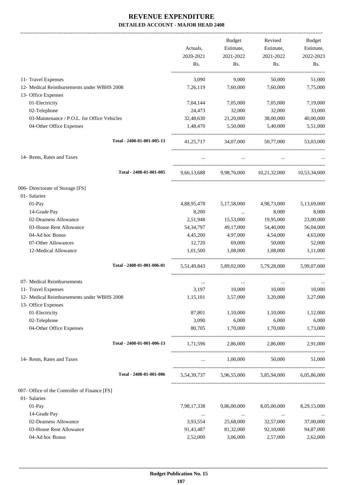-------------------------------------------------------------------------------------------------------------------------------------------------------------------------------

|                                                                   | Actuals,<br>2020-2021<br>Rs. | <b>Budget</b><br>Estimate,<br>2021-2022<br>Rs. | Revised<br>Estimate,<br>2021-2022<br>Rs.        | <b>Budget</b><br>Estimate,<br>2022-2023<br>Rs. |
|-------------------------------------------------------------------|------------------------------|------------------------------------------------|-------------------------------------------------|------------------------------------------------|
| 11- Travel Expenses                                               | 3,090                        | 9,000                                          | 50,000                                          | 51,000                                         |
| 12- Medical Reimbursements under WBHS 2008                        | 7,26,119                     | 7,60,000                                       | 7,60,000                                        | 7,75,000                                       |
| 13- Office Expenses                                               |                              |                                                |                                                 |                                                |
| 01-Electricity                                                    | 7,04,144                     | 7,05,000                                       | 7,05,000                                        | 7,19,000                                       |
| 02-Telephone                                                      | 24,473                       | 32,000                                         | 32,000                                          | 33,000                                         |
| 03-Maintenance / P.O.L. for Office Vehicles                       | 32,48,630                    | 21,20,000                                      | 38,00,000                                       | 40,00,000                                      |
| 04-Other Office Expenses                                          | 1,48,470                     | 5,50,000                                       | 5,40,000                                        | 5,51,000                                       |
| Total - 2408-01-001-005-13                                        | 41, 25, 717                  | 34,07,000                                      | 50,77,000                                       | 53,03,000                                      |
| 14- Rents, Rates and Taxes                                        |                              |                                                |                                                 |                                                |
| Total - 2408-01-001-005                                           | 9,66,13,688                  | 9,98,76,000                                    | 10,21,32,000                                    | 10.53.34.000                                   |
| 006- Directorate of Storage [FS]                                  |                              |                                                |                                                 |                                                |
| 01- Salaries                                                      |                              |                                                |                                                 |                                                |
| 01-Pay                                                            | 4,88,95,478                  | 5,17,58,000                                    | 4,98,73,000                                     | 5,13,69,000                                    |
| 14-Grade Pay                                                      | 8,200                        | $\ldots$                                       | 8,000                                           | 8,000                                          |
| 02-Dearness Allowance                                             | 2,51,948                     | 15,53,000                                      | 19,95,000                                       | 23,00,000                                      |
| 03-House Rent Allowance                                           | 54, 34, 797                  | 49,17,000                                      | 54,40,000                                       | 56,04,000                                      |
| 04-Ad hoc Bonus                                                   | 4,45,200                     | 4,97,000                                       | 4,54,000                                        | 4,63,000                                       |
| 07-Other Allowances                                               | 12,720                       | 69,000                                         | 50,000                                          | 52,000                                         |
| 12-Medical Allowance                                              | 1,01,500                     | 1,08,000                                       | 1,08,000                                        | 1,11,000                                       |
| Total - 2408-01-001-006-01                                        | 5,51,49,843                  | 5.89.02.000                                    | 5.79.28.000                                     | 5.99.07.000                                    |
| 07- Medical Reimbursements                                        | $\cdots$                     | $\cdots$                                       | $\cdots$                                        |                                                |
| 11- Travel Expenses                                               | 3,197                        | 10,000                                         | 10,000                                          | 10,000                                         |
| 12- Medical Reimbursements under WBHS 2008<br>13- Office Expenses | 1,15,101                     | 3,57,000                                       | 3,20,000                                        | 3,27,000                                       |
| 01-Electricity                                                    | 87,801                       | 1,10,000                                       | 1,10,000                                        | 1,12,000                                       |
| 02-Telephone                                                      | 3,090                        | 6,000                                          | 6,000                                           | 6,000                                          |
| 04-Other Office Expenses                                          | 80,705                       | 1,70,000                                       | 1,70,000                                        | 1,73,000                                       |
| Total - 2408-01-001-006-13                                        | 1,71,596                     | 2,86,000                                       | 2,86,000                                        | 2,91,000                                       |
| 14- Rents, Rates and Taxes                                        | $\cdots$                     | 1,00,000                                       | 50,000                                          | 51,000                                         |
| Total - 2408-01-001-006                                           |                              |                                                | 5,54,39,737 5,96,55,000 5,85,94,000 6,05,86,000 |                                                |
| 007- Office of the Controller of Finance [FS]                     |                              |                                                |                                                 |                                                |
| 01- Salaries                                                      |                              |                                                |                                                 |                                                |
| 01-Pay                                                            | 7,98,17,338                  | 9,86,00,000                                    | 8,05,00,000                                     | 8,29,15,000                                    |
| 14-Grade Pay                                                      | $\cdots$                     | $\ldots$                                       | $\ldots$                                        |                                                |
| 02-Dearness Allowance                                             | 3,93,554                     | 25,68,000                                      | 32,57,000                                       | 37,00,000                                      |
| 03-House Rent Allowance                                           | 91,43,487                    | 81,32,000                                      | 92,10,000                                       | 94,87,000                                      |
| 04-Ad hoc Bonus                                                   | 2,52,000                     | 3,06,000                                       | 2,57,000                                        | 2,62,000                                       |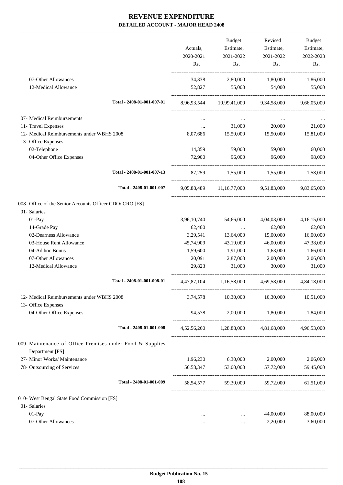|                                                                              |                            |             | Budget                                           | Revised                       | Budget      |
|------------------------------------------------------------------------------|----------------------------|-------------|--------------------------------------------------|-------------------------------|-------------|
|                                                                              |                            | Actuals,    | Estimate,                                        | Estimate,                     | Estimate,   |
|                                                                              |                            | 2020-2021   | 2021-2022                                        | 2021-2022                     | 2022-2023   |
|                                                                              |                            | Rs.         | Rs.                                              | Rs.                           | Rs.         |
| 07-Other Allowances                                                          |                            | 34,338      | 2,80,000                                         | 1,80,000                      | 1,86,000    |
| 12-Medical Allowance                                                         |                            | 52,827      | 55,000                                           | 54,000                        | 55,000      |
|                                                                              | Total - 2408-01-001-007-01 |             | 8.96.93.544 10.99.41.000 9.34.58.000 9.66.05.000 |                               |             |
| 07- Medical Reimbursements                                                   |                            |             |                                                  |                               |             |
| 11- Travel Expenses                                                          |                            | $\cdots$    | 31,000                                           | 20,000                        | 21,000      |
| 12- Medical Reimbursements under WBHS 2008                                   |                            | 8,07,686    | 15,50,000                                        | 15,50,000                     | 15,81,000   |
| 13- Office Expenses                                                          |                            |             |                                                  |                               |             |
| 02-Telephone                                                                 |                            | 14,359      | 59,000                                           | 59,000                        | 60,000      |
| 04-Other Office Expenses                                                     |                            | 72,900      | 96,000                                           | 96,000                        | 98,000      |
|                                                                              | Total - 2408-01-001-007-13 |             | 87,259 1,55,000 1,55,000 1,58,000                |                               |             |
|                                                                              | Total - 2408-01-001-007    |             | 9,05,88,489 11,16,77,000 9,51,83,000 9,83,65,000 |                               |             |
| 008- Office of the Senior Accounts Officer CDO/ CRO [FS]                     |                            |             |                                                  |                               |             |
| 01- Salaries                                                                 |                            |             |                                                  |                               |             |
| 01-Pay                                                                       |                            | 3,96,10,740 | 54,66,000                                        | 4,04,03,000                   | 4,16,15,000 |
| 14-Grade Pay                                                                 |                            | 62,400      | <b>Contractor</b>                                | 62,000                        | 62,000      |
| 02-Dearness Allowance                                                        |                            | 3,29,541    | 13,64,000                                        | 15,00,000                     | 16,00,000   |
| 03-House Rent Allowance                                                      |                            | 45,74,909   | 43,19,000                                        | 46,00,000                     | 47,38,000   |
| 04-Ad hoc Bonus                                                              |                            | 1,59,600    | 1,91,000                                         | 1,63,000                      | 1,66,000    |
| 07-Other Allowances                                                          |                            | 20,091      | 2,87,000                                         | 2,00,000                      | 2,06,000    |
| 12-Medical Allowance                                                         |                            | 29,823      | 31,000                                           | 30,000                        | 31,000      |
|                                                                              | Total - 2408-01-001-008-01 | 4,47,87,104 | 1,16,58,000                                      | 4,69,58,000                   | 4,84,18,000 |
| 12- Medical Reimbursements under WBHS 2008                                   |                            | 3,74,578    | 10,30,000                                        | 10,30,000                     | 10,51,000   |
| 13- Office Expenses<br>04-Other Office Expenses                              |                            | 94,578      | 2,00,000                                         | 1,80,000                      | 1,84,000    |
|                                                                              | Total - 2408-01-001-008    |             | 4,52,56,260 1,28,88,000 4,81,68,000 4,96,53,000  |                               |             |
| 009- Maintenance of Office Premises under Food & Supplies<br>Department [FS] |                            |             |                                                  |                               |             |
| 27- Minor Works/ Maintenance                                                 |                            | 1,96,230    | 6,30,000                                         | 2,00,000                      | 2,06,000    |
| 78- Outsourcing of Services                                                  |                            |             | 56,58,347 53,00,000                              | 57,72,000                     | 59,45,000   |
|                                                                              | Total - 2408-01-001-009    | 58, 54, 577 |                                                  | 59,30,000 59,72,000 61,51,000 |             |
| 010- West Bengal State Food Commission [FS]                                  |                            |             |                                                  |                               |             |
| 01- Salaries                                                                 |                            |             |                                                  |                               |             |
| 01-Pay                                                                       |                            |             | $\cdots$                                         | 44,00,000                     | 88,00,000   |
| 07-Other Allowances                                                          |                            |             | $\ldots$                                         | 2,20,000                      | 3,60,000    |
|                                                                              |                            |             |                                                  |                               |             |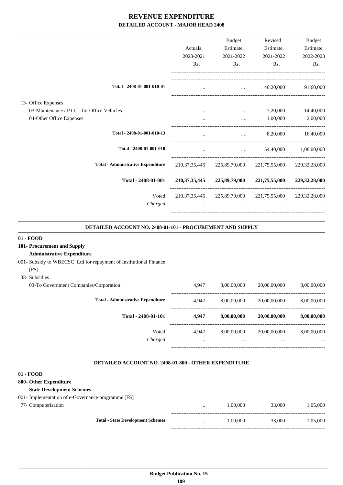|                                                                                                | Actuals.<br>2020-2021<br>Rs. | <b>Budget</b><br>Estimate,<br>2021-2022<br>Rs. | Revised<br>Estimate,<br>2021-2022<br>Rs.                                                                                                                                                                                         | Budget<br>Estimate,<br>2022-2023<br>Rs. |
|------------------------------------------------------------------------------------------------|------------------------------|------------------------------------------------|----------------------------------------------------------------------------------------------------------------------------------------------------------------------------------------------------------------------------------|-----------------------------------------|
| Total - 2408-01-001-010-01                                                                     |                              | $\cdots$                                       | 46,20,000                                                                                                                                                                                                                        | 91,60,000                               |
| 13- Office Expenses<br>03-Maintenance / P.O.L. for Office Vehicles<br>04-Other Office Expenses | $\cdots$                     | $\cdots$<br>$\cdots$                           | 7,20,000<br>1,00,000                                                                                                                                                                                                             | 14,40,000<br>2,00,000                   |
| Total - 2408-01-001-010-13                                                                     | $\cdots$                     | $\cdots$                                       | 8,20,000                                                                                                                                                                                                                         | 16,40,000                               |
| Total - 2408-01-001-010                                                                        | $\cdots$                     |                                                | $\cdots$ . The contract of the contract of the contract of the contract of the contract of the contract of the contract of the contract of the contract of the contract of the contract of the contract of the contract of the c | 54,40,000 1,08,00,000                   |
| <b>Total - Administrative Expenditure</b>                                                      | 210, 37, 35, 445             |                                                | 225,89,79,000 221,75,55,000                                                                                                                                                                                                      | 229, 32, 28, 000                        |
| Total - 2408-01-001                                                                            | 210, 37, 35, 445             |                                                | 225,89,79,000 221,75,55,000                                                                                                                                                                                                      | 229, 32, 28, 000                        |
| Voted<br>Charged                                                                               | $\cdots$                     | $\cdots$                                       | 210, 37, 35, 445 225, 89, 79, 000 221, 75, 55, 000 229, 32, 28, 000<br>$\cdots$                                                                                                                                                  |                                         |

### **DETAILED ACCOUNT NO. 2408-01-101 - PROCUREMENT AND SUPPLY .**

### **01 - FOOD**

## **101- Procurement and Supply**

### **Administrative Expenditure**

- 001- Subsidy to WBECSC Ltd for repayment of Institutional Finance
- [FS]
- 33- Subsidies

| 03-To Government Companies/Corporation    | 4.947    | 8,00,00,000 | 20,00,00,000 | 8,00,00,000 |
|-------------------------------------------|----------|-------------|--------------|-------------|
| <b>Total - Administrative Expenditure</b> | 4.947    | 8,00,00,000 | 20,00,00,000 | 8,00,00,000 |
| Total - 2408-01-101                       | 4.947    | 8,00,00,000 | 20,00,00,000 | 8,00,00,000 |
| Voted                                     | 4.947    | 8,00,00,000 | 20,00,00,000 | 8.00.00.000 |
| Charged                                   | $\cdots$ | $\cdots$    |              | $\cdots$    |

-----------------------------------------------------------------------------------------

.

.

### **DETAILED ACCOUNT NO. 2408-01-800 - OTHER EXPENDITURE .**

### **01 - FOOD**

### **800- Other Expenditure**

77- Computerisation

### **State Development Schemes**

| 001- Implementation of e-Governance programme [FS] |  |
|----------------------------------------------------|--|
|----------------------------------------------------|--|

|                                          | $\cdots$ | 1.00.000 | 33,000 | 1,05,000 |
|------------------------------------------|----------|----------|--------|----------|
| <b>Total - State Development Schemes</b> | $\cdots$ | 1.00.000 | 33,000 | 1,05,000 |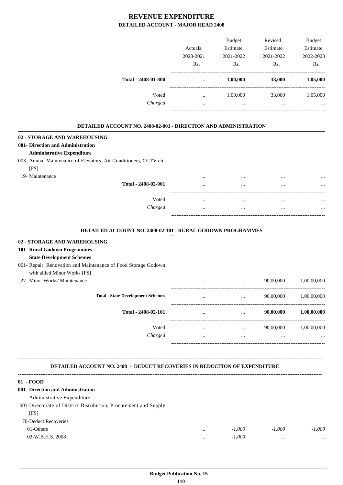|                     | Actuals.<br>2020-2021 | <b>Budget</b><br>Estimate,<br>2021-2022 | Revised<br>Estimate,<br>2021-2022 | <b>Budget</b><br>Estimate,<br>2022-2023 |
|---------------------|-----------------------|-----------------------------------------|-----------------------------------|-----------------------------------------|
|                     | Rs.                   | Rs.                                     | Rs.                               | Rs.                                     |
| Total - 2408-01-800 | $\cdots$              | 1,00,000                                | 33,000                            | 1,05,000                                |
| Voted               | $\cdots$              | 1.00.000                                | 33,000                            | 1,05,000                                |
| Charged             | $\cdots$              | $\cdots$                                | $\cdots$                          | $\ddotsc$                               |

| <b>DETAILED ACCOUNT NO. 2408-02-001 - DIRECTION AND ADMINISTRATION</b>           |                     |                                                   |                                    |           |             |
|----------------------------------------------------------------------------------|---------------------|---------------------------------------------------|------------------------------------|-----------|-------------|
| 02 - STORAGE AND WAREHOUSING                                                     |                     |                                                   |                                    |           |             |
| 001- Direction and Administration                                                |                     |                                                   |                                    |           |             |
| <b>Administrative Expenditure</b>                                                |                     |                                                   |                                    |           |             |
| 003- Annual Maintenance of Elevators, Air Conditioners, CCTV etc.                |                     |                                                   |                                    |           |             |
| [FS]                                                                             |                     |                                                   |                                    |           |             |
| 19- Maintenance                                                                  |                     |                                                   |                                    |           |             |
|                                                                                  | Total - 2408-02-001 |                                                   |                                    |           |             |
|                                                                                  | Voted               | $\cdots$                                          | $\cdots$                           | $\cdots$  |             |
|                                                                                  | Charged             | $\cdots$                                          | $\cdots$                           | $\cdots$  |             |
| <b>DETAILED ACCOUNT NO. 2408-02-101 - RURAL GODOWN PROGRAMMES</b>                |                     |                                                   |                                    |           |             |
| 02 - STORAGE AND WAREHOUSING                                                     |                     |                                                   |                                    |           |             |
| 101- Rural Godown Programmes                                                     |                     |                                                   |                                    |           |             |
| <b>State Development Schemes</b>                                                 |                     |                                                   |                                    |           |             |
| 001- Repair, Renovation and Maintenance of Food Storage Godown                   |                     |                                                   |                                    |           |             |
| with allied Minor Works [FS]<br>27- Minor Works/ Maintenance                     |                     |                                                   |                                    |           |             |
|                                                                                  |                     | .                                                 | ---------------------------------- | 90,00,000 | 1,00,00,000 |
| <b>Total - State Development Schemes</b>                                         |                     | $\ddotsc$<br>------------------------------------ |                                    | 90,00,000 | 1,00,00,000 |
|                                                                                  | Total - 2408-02-101 |                                                   |                                    | 90,00,000 | 1,00,00,000 |
|                                                                                  | Voted               | $\dddotsc$                                        | $\cdots$                           | 90,00,000 | 1,00,00,000 |
|                                                                                  | Charged             | $\cdots$                                          | $\ddots$                           |           |             |
| <b>DETAILED ACCOUNT NO. 2408 - DEDUCT RECOVERIES IN REDUCTION OF EXPENDITURE</b> |                     |                                                   |                                    |           |             |
| 01 - FOOD                                                                        |                     |                                                   |                                    |           |             |
| 001- Direction and Administration                                                |                     |                                                   |                                    |           |             |
| Administrative Expenditure                                                       |                     |                                                   |                                    |           |             |
| 001-Directorate of District Distribution, Procurement and Supply                 |                     |                                                   |                                    |           |             |

 $[FS]$ 70-Deduct Recoveries 01-Others ... *-1,000 -1,000 -1,000*

02-W.B.H.S. 2008 ... *-1,000* ... ...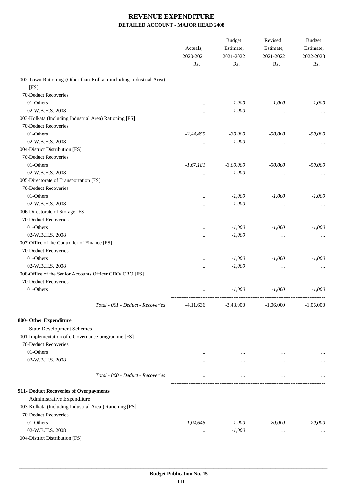|                                                                   | Actuals,<br>2020-2021<br>Rs. | <b>Budget</b><br>Estimate,<br>2021-2022 | Revised<br>Estimate, | 2021-2022   |  | Budget<br>Estimate,<br>2022-2023 |
|-------------------------------------------------------------------|------------------------------|-----------------------------------------|----------------------|-------------|--|----------------------------------|
|                                                                   |                              | Rs.                                     | Rs.                  | Rs.         |  |                                  |
| 002-Town Rationing (Other than Kolkata including Industrial Area) |                              |                                         |                      |             |  |                                  |
| [FS]                                                              |                              |                                         |                      |             |  |                                  |
| 70-Deduct Recoveries                                              |                              |                                         |                      |             |  |                                  |
| 01-Others                                                         |                              | $-1,000$                                | $-1,000$             | $-1,000$    |  |                                  |
| 02-W.B.H.S. 2008                                                  |                              | $-1,000$                                |                      |             |  |                                  |
| 003-Kolkata (Including Industrial Area) Rationing [FS]            |                              |                                         | $\cdots$             |             |  |                                  |
| 70-Deduct Recoveries                                              |                              |                                         |                      |             |  |                                  |
| 01-Others                                                         | $-2,44,455$                  | $-30,000$                               | $-50,000$            | $-50,000$   |  |                                  |
| 02-W.B.H.S. 2008                                                  |                              | $-1,000$                                |                      |             |  |                                  |
| 004-District Distribution [FS]                                    | $\cdots$                     |                                         | $\cdots$             |             |  |                                  |
| 70-Deduct Recoveries                                              |                              |                                         |                      |             |  |                                  |
| 01-Others                                                         |                              |                                         | $-50,000$            |             |  |                                  |
| 02-W.B.H.S. 2008                                                  | $-1,67,181$                  | $-3,00,000$                             |                      | $-50,000$   |  |                                  |
|                                                                   |                              | $-1,000$                                | $\cdots$             |             |  |                                  |
| 005-Directorate of Transportation [FS]                            |                              |                                         |                      |             |  |                                  |
| 70-Deduct Recoveries                                              |                              |                                         |                      |             |  |                                  |
| 01-Others                                                         |                              | $-1,000$                                | $-1,000$             | $-1,000$    |  |                                  |
| 02-W.B.H.S. 2008                                                  |                              | $-1,000$                                | $\cdots$             |             |  |                                  |
| 006-Directorate of Storage [FS]                                   |                              |                                         |                      |             |  |                                  |
| 70-Deduct Recoveries                                              |                              |                                         |                      |             |  |                                  |
| 01-Others                                                         |                              | $-1,000$                                | $-1,000$             | $-1,000$    |  |                                  |
| 02-W.B.H.S. 2008                                                  |                              | $-1,000$                                | $\cdots$             |             |  |                                  |
| 007-Office of the Controller of Finance [FS]                      |                              |                                         |                      |             |  |                                  |
| 70-Deduct Recoveries                                              |                              |                                         |                      |             |  |                                  |
| 01-Others                                                         |                              | $-1,000$                                | $-1,000$             | $-1,000$    |  |                                  |
| 02-W.B.H.S. 2008                                                  |                              | $-1,000$                                | $\cdots$             |             |  |                                  |
| 008-Office of the Senior Accounts Officer CDO/ CRO [FS]           |                              |                                         |                      |             |  |                                  |
| 70-Deduct Recoveries                                              |                              |                                         |                      |             |  |                                  |
| 01-Others                                                         |                              | $-1,000$                                | $-1,000$             | $-1,000$    |  |                                  |
| Total - 001 - Deduct - Recoveries                                 | -4,11,636                    | $-3,43,000$                             | $-1,06,000$          | $-1,06,000$ |  |                                  |
| 800- Other Expenditure                                            |                              |                                         |                      |             |  |                                  |
| <b>State Development Schemes</b>                                  |                              |                                         |                      |             |  |                                  |
| 001-Implementation of e-Governance programme [FS]                 |                              |                                         |                      |             |  |                                  |
| 70-Deduct Recoveries                                              |                              |                                         |                      |             |  |                                  |
| 01-Others                                                         | $\cdots$                     | $\ldots$                                | $\cdots$             |             |  |                                  |
| 02-W.B.H.S. 2008                                                  | $\cdots$                     | $\cdots$                                | $\cdots$             |             |  |                                  |
|                                                                   |                              |                                         |                      |             |  |                                  |
| Total - 800 - Deduct - Recoveries                                 | $\cdots$                     | $\cdots$                                | $\cdots$             |             |  |                                  |
| 911- Deduct Recoveries of Overpayments                            |                              |                                         |                      |             |  |                                  |
| Administrative Expenditure                                        |                              |                                         |                      |             |  |                                  |
| 003-Kolkata (Including Industrial Area) Rationing [FS]            |                              |                                         |                      |             |  |                                  |
| 70-Deduct Recoveries                                              |                              |                                         |                      |             |  |                                  |
| 01-Others                                                         | $-1,04,645$                  | $-1,000$                                | $-20,000$            | $-20,000$   |  |                                  |
| 02-W.B.H.S. 2008                                                  | $\cdots$                     | $-1,000$                                | $\cdots$             |             |  |                                  |
| 004-District Distribution [FS]                                    |                              |                                         |                      |             |  |                                  |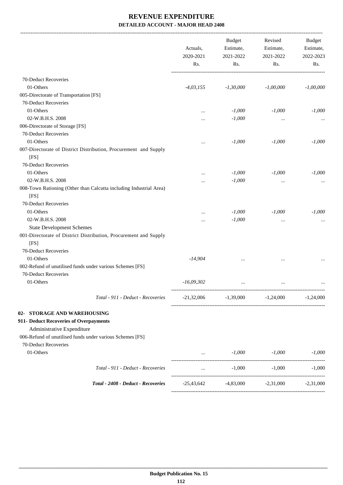|                                        |                                                                    | Actuals,<br>2020-2021<br>Rs. | <b>Budget</b><br>Estimate,<br>2021-2022<br>Rs. | Revised<br>Estimate,<br>2021-2022<br>Rs.         | Budget<br>Estimate,<br>2022-2023<br>Rs. |
|----------------------------------------|--------------------------------------------------------------------|------------------------------|------------------------------------------------|--------------------------------------------------|-----------------------------------------|
|                                        |                                                                    |                              |                                                |                                                  |                                         |
| 70-Deduct Recoveries                   |                                                                    |                              |                                                |                                                  |                                         |
| 01-Others                              |                                                                    | $-4,03,155$                  | $-1,30,000$                                    | $-1,00,000$                                      | $-1,00,000$                             |
| 005-Directorate of Transportation [FS] |                                                                    |                              |                                                |                                                  |                                         |
| 70-Deduct Recoveries                   |                                                                    |                              |                                                |                                                  |                                         |
| 01-Others                              |                                                                    |                              | $-1,000$                                       | $-1,000$                                         | $-1,000$                                |
| 02-W.B.H.S. 2008                       |                                                                    |                              | $-1,000$                                       |                                                  |                                         |
| 006-Directorate of Storage [FS]        |                                                                    |                              |                                                |                                                  |                                         |
| 70-Deduct Recoveries                   |                                                                    |                              |                                                |                                                  |                                         |
| 01-Others                              |                                                                    |                              | $-1,000$                                       | $-1,000$                                         | $-1,000$                                |
| [FS]                                   | 007-Directorate of District Distribution, Procurement and Supply   |                              |                                                |                                                  |                                         |
| 70-Deduct Recoveries                   |                                                                    |                              |                                                |                                                  |                                         |
| 01-Others                              |                                                                    |                              | $-1,000$                                       | $-1,000$                                         | $-1,000$                                |
| 02-W.B.H.S. 2008                       |                                                                    |                              | $-1,000$                                       |                                                  |                                         |
| [FS]                                   | 008-Town Rationing (Other than Calcutta including Industrial Area) |                              |                                                |                                                  |                                         |
| 70-Deduct Recoveries                   |                                                                    |                              |                                                |                                                  |                                         |
| 01-Others                              |                                                                    |                              | $-1,000$                                       | $-1,000$                                         | $-1,000$                                |
| 02-W.B.H.S. 2008                       |                                                                    |                              | $-1,000$                                       |                                                  |                                         |
| <b>State Development Schemes</b>       |                                                                    |                              |                                                |                                                  |                                         |
| [FS]                                   | 001-Directorate of District Distribution, Procurement and Supply   |                              |                                                |                                                  |                                         |
| 70-Deduct Recoveries<br>01-Others      |                                                                    | $-14,904$                    |                                                |                                                  |                                         |
| 70-Deduct Recoveries                   | 002-Refund of unutilised funds under various Schemes [FS]          |                              |                                                |                                                  |                                         |
| 01-Others                              |                                                                    | $-16,09,302$                 | $\cdots$                                       | $\cdots$                                         |                                         |
|                                        | Total - 911 - Deduct - Recoveries                                  | $-21,32,006$                 |                                                | $-1,39,000$ $-1,24,000$                          | $-1,24,000$                             |
| 02- STORAGE AND WAREHOUSING            |                                                                    |                              |                                                |                                                  |                                         |
| 911- Deduct Recoveries of Overpayments |                                                                    |                              |                                                |                                                  |                                         |
| Administrative Expenditure             |                                                                    |                              |                                                |                                                  |                                         |
|                                        | 006-Refund of unutilised funds under various Schemes [FS]          |                              |                                                |                                                  |                                         |
| 70-Deduct Recoveries                   |                                                                    |                              |                                                |                                                  |                                         |
| 01-Others                              |                                                                    |                              | $-1,000$<br>and the state of the               | $-1,000$                                         | $-1,000$                                |
|                                        | Total - 911 - Deduct - Recoveries                                  | $\cdots$                     | $-1,000$                                       | $-1,000$                                         | $-1,000$                                |
|                                        | Total - 2408 - Deduct - Recoveries                                 |                              |                                                | $-25,43,642$ $-4,83,000$ $-2,31,000$ $-2,31,000$ |                                         |
|                                        |                                                                    |                              |                                                |                                                  |                                         |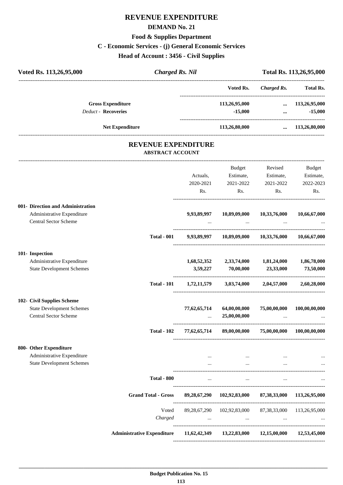# **REVENUE EXPENDITURE**

### **DEMAND No. 21**

# **Food & Supplies Department**

# **C - Economic Services - (j) General Economic Services**

**Head of Account : 3456 - Civil Supplies**

| Voted Rs. 113,26,95,000           | <b>Charged Rs. Nil</b>                                |              | Total Rs. 113,26,95,000                                                         |                                 |                       |
|-----------------------------------|-------------------------------------------------------|--------------|---------------------------------------------------------------------------------|---------------------------------|-----------------------|
|                                   |                                                       |              | Voted Rs.                                                                       | <b>Charged Rs.</b>              | <b>Total Rs.</b>      |
| <b>Gross Expenditure</b>          |                                                       |              | 113,26,95,000                                                                   | $\cdots$                        | 113,26,95,000         |
| <b>Deduct - Recoveries</b>        |                                                       |              | $-15,000$                                                                       | $\cdots$                        | $-15,000$             |
| <b>Net Expenditure</b>            |                                                       |              | 113,26,80,000                                                                   |                                 | $\dots$ 113,26,80,000 |
|                                   | <b>REVENUE EXPENDITURE</b><br><b>ABSTRACT ACCOUNT</b> |              |                                                                                 |                                 |                       |
|                                   |                                                       |              | Budget                                                                          | Revised                         | Budget                |
|                                   |                                                       | Actuals,     | Estimate,                                                                       | Estimate,                       | Estimate,             |
|                                   |                                                       | 2020-2021    | 2021-2022                                                                       | 2021-2022                       | 2022-2023             |
|                                   |                                                       | Rs.          | Rs.                                                                             | Rs.                             | Rs.                   |
| 001- Direction and Administration |                                                       |              |                                                                                 |                                 |                       |
| Administrative Expenditure        |                                                       | 9,93,89,997  | 10,89,09,000                                                                    | 10,33,76,000                    | 10,66,67,000          |
| <b>Central Sector Scheme</b>      |                                                       |              |                                                                                 |                                 |                       |
|                                   | <b>Total - 001</b>                                    |              | 9,93,89,997 10,89,09,000 10,33,76,000 10,66,67,000                              |                                 |                       |
| 101- Inspection                   |                                                       |              |                                                                                 |                                 |                       |
| Administrative Expenditure        |                                                       | 1,68,52,352  | 2,33,74,000 1,81,24,000                                                         |                                 | 1,86,78,000           |
| <b>State Development Schemes</b>  |                                                       | 3,59,227     | 70,00,000                                                                       | 23,33,000                       | 73,50,000             |
|                                   | <b>Total - 101</b>                                    |              | $1,72,11,579$ $3,03,74,000$ $2,04,57,000$ $2,60,28,000$                         |                                 |                       |
| 102- Civil Supplies Scheme        |                                                       |              |                                                                                 |                                 |                       |
| <b>State Development Schemes</b>  |                                                       | 77,62,65,714 | 64,00,00,000                                                                    | 75,00,00,000                    | 100,00,00,000         |
| Central Sector Scheme             |                                                       | $\cdots$     | 25,00,00,000                                                                    | $\cdots$                        |                       |
|                                   | <b>Total - 102</b>                                    |              | 77,62,65,714 89,00,00,000 75,00,00,000 100,00,00,000                            |                                 |                       |
| 800- Other Expenditure            |                                                       |              |                                                                                 |                                 |                       |
| Administrative Expenditure        |                                                       | $\cdots$     | $\cdots$                                                                        | the contract of the contract of |                       |
| <b>State Development Schemes</b>  |                                                       |              | $\cdots$                                                                        | $\cdots$                        |                       |
|                                   | <b>Total - 800</b>                                    | $\cdots$     | $\cdots$                                                                        | $\cdots$                        |                       |
|                                   | <b>Grand Total - Gross</b>                            |              | 89,28,67,290 102,92,83,000 87,38,33,000 113,26,95,000                           |                                 |                       |
|                                   | Voted                                                 |              | 89,28,67,290 102,92,83,000 87,38,33,000 113,26,95,000                           |                                 |                       |
|                                   | Charged                                               |              | the contract of the contract of the contract of the contract of the contract of | $\cdots$                        |                       |
|                                   | <b>Administrative Expenditure</b>                     | 11,62,42,349 | 13,22,83,000                                                                    | 12,15,00,000                    | 12,53,45,000          |

----------------------------------------------------------------------------------------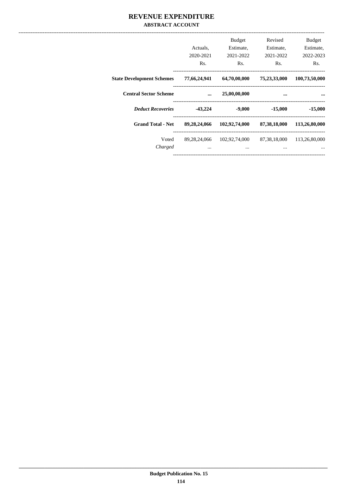## REVENUE EXPENDITURE **ABSTRACT ACCOUNT**

|                                  | Actuals,<br>2020-2021<br>Rs. | <b>Budget</b><br>Estimate,<br>2021-2022<br>Rs. | Revised<br>Estimate,<br>2021-2022<br>Rs. | <b>Budget</b><br>Estimate,<br>2022-2023<br>Rs. |
|----------------------------------|------------------------------|------------------------------------------------|------------------------------------------|------------------------------------------------|
| <b>State Development Schemes</b> | 77,66,24,941                 | 64,70,00,000                                   | 75,23,33,000                             | 100,73,50,000                                  |
| <b>Central Sector Scheme</b>     | $\ddotsc$                    | 25,00,00,000                                   | $\ddotsc$                                |                                                |
| <b>Deduct Recoveries</b>         | $-43,224$                    | $-9,000$                                       | $-15,000$                                | $-15,000$                                      |
| <b>Grand Total - Net</b>         | 89,28,24,066                 | 102,92,74,000                                  | 87,38,18,000                             | 113,26,80,000                                  |
| Voted<br>Charged                 | 89, 28, 24, 066<br>$\cdots$  | 102,92,74,000<br>$\cdots$                      | 87,38,18,000<br>$\cdots$                 | 113,26,80,000                                  |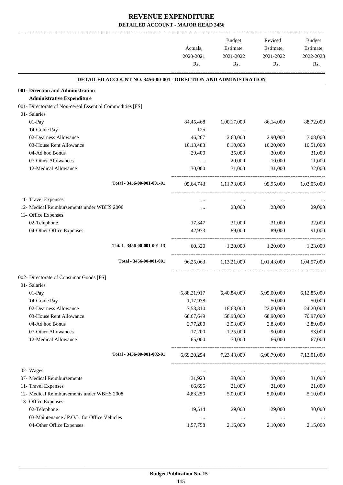|                                                           |                                                                        | Actuals,    | Budget<br>Estimate,                           | Revised<br>Estimate,    | Budget<br>Estimate, |
|-----------------------------------------------------------|------------------------------------------------------------------------|-------------|-----------------------------------------------|-------------------------|---------------------|
|                                                           |                                                                        | 2020-2021   | 2021-2022                                     | 2021-2022               | 2022-2023           |
|                                                           |                                                                        | Rs.         | Rs.                                           | Rs.                     | Rs.                 |
|                                                           | <b>DETAILED ACCOUNT NO. 3456-00-001 - DIRECTION AND ADMINISTRATION</b> |             |                                               |                         |                     |
| 001- Direction and Administration                         |                                                                        |             |                                               |                         |                     |
| <b>Administrative Expenditure</b>                         |                                                                        |             |                                               |                         |                     |
| 001- Directorate of Non-cereal Essential Commodities [FS] |                                                                        |             |                                               |                         |                     |
| 01- Salaries                                              |                                                                        |             |                                               |                         |                     |
| 01-Pay                                                    |                                                                        | 84,45,468   | 1,00,17,000                                   | 86,14,000               | 88,72,000           |
| 14-Grade Pay                                              |                                                                        | 125         | $\sim$ $\sim$                                 | $\ldots$                |                     |
| 02-Dearness Allowance                                     |                                                                        | 46,267      | 2,60,000                                      | 2,90,000                | 3,08,000            |
| 03-House Rent Allowance                                   |                                                                        | 10,13,483   | 8,10,000                                      | 10,20,000               | 10,51,000           |
| 04-Ad hoc Bonus                                           |                                                                        | 29,400      | 35,000                                        | 30,000                  | 31,000              |
| 07-Other Allowances                                       |                                                                        | $\ldots$    | 20,000                                        | 10,000                  | 11,000              |
| 12-Medical Allowance                                      |                                                                        | 30,000      | 31,000                                        | 31,000                  | 32,000              |
|                                                           | Total - 3456-00-001-001-01                                             |             | 95,64,743 1,11,73,000 99,95,000 1,03,05,000   |                         |                     |
| 11- Travel Expenses                                       |                                                                        |             | $\cdots$                                      | $\cdots$                |                     |
| 12- Medical Reimbursements under WBHS 2008                |                                                                        |             | 28,000                                        | 28,000                  | 29,000              |
| 13- Office Expenses                                       |                                                                        |             |                                               |                         |                     |
| 02-Telephone                                              |                                                                        | 17,347      | 31,000                                        | 31,000                  | 32,000              |
| 04-Other Office Expenses                                  |                                                                        | 42,973      | 89,000                                        | 89,000                  | 91,000              |
|                                                           | Total - 3456-00-001-001-13                                             | 60,320      | $1,20,000$ $1,20,000$ $1,23,000$              |                         |                     |
|                                                           | Total - 3456-00-001-001                                                |             | 96.25.063 1.13.21.000 1.01.43.000 1.04.57.000 |                         |                     |
| 002- Directorate of Consumar Goods [FS]                   |                                                                        |             |                                               |                         |                     |
| 01- Salaries                                              |                                                                        |             |                                               |                         |                     |
| 01-Pay                                                    |                                                                        | 5,88,21,917 | 6,40,84,000                                   | 5,95,00,000             | 6,12,85,000         |
| 14-Grade Pay                                              |                                                                        | 1,17,978    | $\cdots$                                      | 50,000                  | 50,000              |
| 02-Dearness Allowance                                     |                                                                        | 7,53,310    | 18,63,000                                     | 22,00,000               | 24,20,000           |
| 03-House Rent Allowance                                   |                                                                        | 68,67,649   | 58,98,000                                     | 68,90,000               | 70,97,000           |
| 04-Ad hoc Bonus                                           |                                                                        | 2,77,200    | 2,93,000                                      | 2,83,000                | 2,89,000            |
| 07-Other Allowances                                       |                                                                        | 17,200      | 1,35,000                                      | 90,000                  | 93,000              |
| 12-Medical Allowance                                      |                                                                        | 65,000      | 70,000                                        | 66,000                  | 67,000              |
|                                                           | Total - 3456-00-001-002-01                                             | 6,69,20,254 |                                               | 7,23,43,000 6,90,79,000 | 7,13,01,000         |
| 02- Wages                                                 |                                                                        | $\cdots$    | $\ldots$                                      | $\cdots$                |                     |
| 07- Medical Reimbursements                                |                                                                        | 31,923      | 30,000                                        | 30,000                  | 31,000              |
| 11- Travel Expenses                                       |                                                                        | 66,695      | 21,000                                        | 21,000                  | 21,000              |
| 12- Medical Reimbursements under WBHS 2008                |                                                                        | 4,83,250    | 5,00,000                                      | 5,00,000                | 5,10,000            |
| 13- Office Expenses                                       |                                                                        |             |                                               |                         |                     |
| 02-Telephone                                              |                                                                        | 19,514      | 29,000                                        | 29,000                  | 30,000              |
| 03-Maintenance / P.O.L. for Office Vehicles               |                                                                        |             | $\ldots$                                      | $\cdots$                |                     |
| 04-Other Office Expenses                                  |                                                                        | 1,57,758    | 2,16,000                                      | 2,10,000                | 2,15,000            |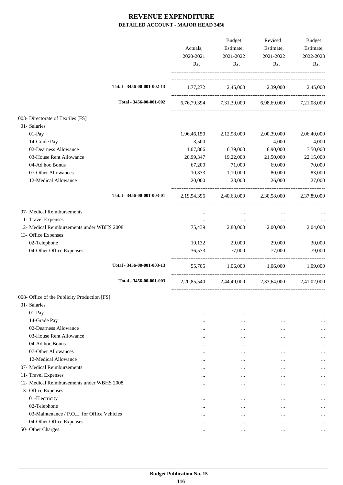|                                              |                            | Actuals,<br>2020-2021<br>Rs. | Budget<br>Estimate,<br>2021-2022<br>Rs. | Revised<br>Estimate,<br>2021-2022<br>Rs.        | Budget<br>Estimate,<br>2022-2023<br>Rs. |
|----------------------------------------------|----------------------------|------------------------------|-----------------------------------------|-------------------------------------------------|-----------------------------------------|
|                                              | Total - 3456-00-001-002-13 |                              |                                         | 1,77,272 2,45,000 2,39,000 2,45,000             |                                         |
|                                              | Total - 3456-00-001-002    |                              |                                         | 6,76,79,394 7,31,39,000 6,98,69,000 7,21,08,000 |                                         |
| 003- Directorate of Textiles [FS]            |                            |                              |                                         |                                                 |                                         |
| 01- Salaries                                 |                            |                              |                                         |                                                 |                                         |
| 01-Pay                                       |                            | 1,96,46,150                  | 2,12,98,000                             | 2,00,39,000                                     | 2,06,40,000                             |
| 14-Grade Pay                                 |                            | 3,500                        | $\ldots$                                | 4,000                                           | 4,000                                   |
| 02-Dearness Allowance                        |                            | 1,07,866                     | 6,39,000                                | 6,90,000                                        | 7,50,000                                |
| 03-House Rent Allowance                      |                            | 20,99,347                    | 19,22,000                               | 21,50,000                                       | 22,15,000                               |
| 04-Ad hoc Bonus                              |                            | 67,200                       | 71,000                                  | 69,000                                          | 70,000                                  |
| 07-Other Allowances                          |                            | 10,333                       | 1,10,000                                | 80,000                                          | 83,000                                  |
| 12-Medical Allowance                         |                            | 20,000                       | 23,000                                  | 26,000                                          | 27,000                                  |
|                                              | Total - 3456-00-001-003-01 |                              |                                         | 2,19,54,396 2,40,63,000 2,30,58,000 2,37,89,000 |                                         |
| 07- Medical Reimbursements                   |                            | $\cdots$                     | $\cdots$                                | $\cdots$                                        |                                         |
| 11- Travel Expenses                          |                            | $\cdots$                     | $\cdots$                                | $\cdots$                                        | $\cdots$                                |
| 12- Medical Reimbursements under WBHS 2008   |                            | 75,439                       | 2,80,000                                | 2,00,000                                        | 2,04,000                                |
| 13- Office Expenses                          |                            |                              |                                         |                                                 |                                         |
| 02-Telephone                                 |                            | 19,132                       | 29,000                                  | 29,000                                          | 30,000                                  |
| 04-Other Office Expenses                     |                            | 36,573                       | 77,000                                  | 77,000                                          | 79,000                                  |
|                                              | Total - 3456-00-001-003-13 | 55,705                       | 1,06,000                                | 1,06,000                                        | 1,09,000                                |
|                                              | Total - 3456-00-001-003    |                              | 2,20,85,540 2,44,49,000                 | 2,33,64,000 2,41,02,000                         |                                         |
| 008- Office of the Publicity Production [FS] |                            |                              |                                         |                                                 |                                         |
| 01- Salaries                                 |                            |                              |                                         |                                                 |                                         |
| 01-Pay                                       |                            | $\cdots$                     | $\cdots$                                |                                                 | $\cdots$                                |
| 14-Grade Pay                                 |                            | $\cdots$                     | $\ddotsc$                               | $\cdots$                                        |                                         |
| 02-Dearness Allowance                        |                            | $\cdots$                     | $\cdots$                                | $\cdots$                                        |                                         |
| 03-House Rent Allowance                      |                            | $\cdots$                     | $\cdots$                                |                                                 |                                         |
| 04-Ad hoc Bonus                              |                            | $\cdots$                     | $\cdots$                                |                                                 |                                         |
| 07-Other Allowances                          |                            | $\cdots$                     | $\cdots$                                |                                                 | $\cdots$                                |
| 12-Medical Allowance                         |                            |                              | $\cdots$                                |                                                 |                                         |
| 07- Medical Reimbursements                   |                            | $\cdots$                     | $\cdots$                                | $\cdots$                                        |                                         |
| 11- Travel Expenses                          |                            | $\cdots$                     | $\cdots$                                | $\cdots$                                        |                                         |
| 12- Medical Reimbursements under WBHS 2008   |                            |                              | $\cdots$                                | $\cdots$                                        |                                         |
| 13- Office Expenses                          |                            |                              |                                         |                                                 |                                         |
| 01-Electricity                               |                            | $\cdots$                     | $\cdots$                                |                                                 |                                         |
| 02-Telephone                                 |                            | $\cdots$                     | $\cdots$                                | $\cdots$                                        | $\cdots$                                |
| 03-Maintenance / P.O.L. for Office Vehicles  |                            |                              | $\cdots$                                |                                                 |                                         |
| 04-Other Office Expenses                     |                            | $\cdots$                     | $\cdots$                                | $\cdots$                                        |                                         |
| 50- Other Charges                            |                            | $\cdots$                     | $\cdots$                                | $\cdots$                                        |                                         |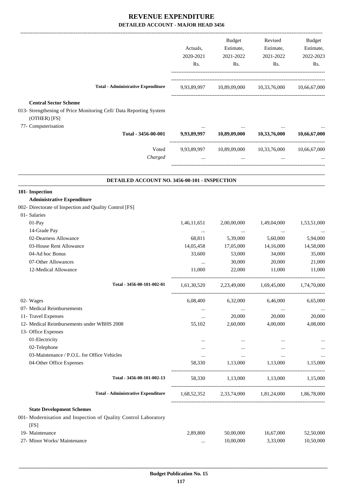|                                                                                                                                           | Actuals,<br>2020-2021<br>Rs.               | Budget<br>Estimate,<br>2021-2022<br>Rs.     | Revised<br>Estimate,<br>2021-2022<br>Rs.           | Budget<br>Estimate,<br>2022-2023<br>Rs. |
|-------------------------------------------------------------------------------------------------------------------------------------------|--------------------------------------------|---------------------------------------------|----------------------------------------------------|-----------------------------------------|
| <b>Total - Administrative Expenditure</b>                                                                                                 |                                            |                                             | 9,93,89,997 10,89,09,000 10,33,76,000 10,66,67,000 |                                         |
| <b>Central Sector Scheme</b><br>013- Strengthening of Price Monitoring Cell/ Data Reporting System<br>(OTHER) [FS]<br>77- Computerisation |                                            |                                             |                                                    |                                         |
| Total - 3456-00-001                                                                                                                       | 9,93,89,997                                | 10,89,09,000                                | 10,33,76,000                                       | 10,66,67,000                            |
| Voted<br>Charged                                                                                                                          | 9,93,89,997                                | $\ddots$                                    | 10,89,09,000 10,33,76,000<br>$\ddots$              | 10,66,67,000                            |
| DETAILED ACCOUNT NO. 3456-00-101 - INSPECTION                                                                                             |                                            |                                             |                                                    |                                         |
| 101- Inspection<br><b>Administrative Expenditure</b><br>002- Directorate of Inspection and Quality Control [FS]                           |                                            |                                             |                                                    |                                         |
| 01- Salaries<br>01-Pay<br>14-Grade Pay                                                                                                    | 1,46,11,651                                | 2,00,00,000                                 | 1,49,04,000                                        | 1,53,51,000                             |
| 02-Dearness Allowance<br>03-House Rent Allowance<br>04-Ad hoc Bonus                                                                       | $\cdots$<br>68,811<br>14,05,458<br>33,600  | $\cdots$<br>5,39,000<br>17,05,000<br>53,000 | $\cdots$<br>5,60,000<br>14,16,000<br>34,000        | 5,94,000<br>14,58,000<br>35,000         |
| 07-Other Allowances<br>12-Medical Allowance                                                                                               | $\cdots$<br>11,000                         | 30,000<br>22,000                            | 20,000<br>11,000                                   | 21,000<br>11,000                        |
| Total - 3456-00-101-002-01                                                                                                                | 1,61,30,520                                | 2,23,49,000                                 | 1,69,45,000                                        | 1,74,70,000                             |
| 02- Wages<br>07- Medical Reimbursements<br>11- Travel Expenses<br>12- Medical Reimbursements under WBHS 2008                              | 6,08,400<br>$\cdots$<br>$\ldots$<br>55,102 | 6,32,000<br>$\cdots$<br>20,000<br>2,60,000  | 6,46,000<br>$\ldots$<br>20,000<br>4,00,000         | 6,65,000<br>20,000<br>4,08,000          |
| 13- Office Expenses<br>01-Electricity<br>02-Telephone                                                                                     | $\cdots$<br>$\cdots$                       | $\ldots$<br>$\cdots$                        | $\cdots$<br>$\cdots$                               | $\cdots$                                |
| 03-Maintenance / P.O.L. for Office Vehicles<br>04-Other Office Expenses                                                                   | <br>58,330                                 | $\cdots$<br>1,13,000                        | $\ldots$<br>1,13,000                               | 1,15,000                                |
| Total - 3456-00-101-002-13                                                                                                                |                                            |                                             | 58,330 1,13,000 1,13,000 1,15,000                  |                                         |
| <b>Total - Administrative Expenditure</b>                                                                                                 |                                            |                                             | 1,68,52,352 2,33,74,000 1,81,24,000 1,86,78,000    |                                         |
| <b>State Development Schemes</b><br>001- Modernisation and Inspection of Quality Control Laboratory<br>[FS]                               |                                            |                                             |                                                    |                                         |
| 19- Maintenance<br>27- Minor Works/ Maintenance                                                                                           | 2,89,800<br>$\ldots$                       | 50,00,000<br>10,00,000                      | 16,67,000<br>3,33,000                              | 52,50,000<br>10,50,000                  |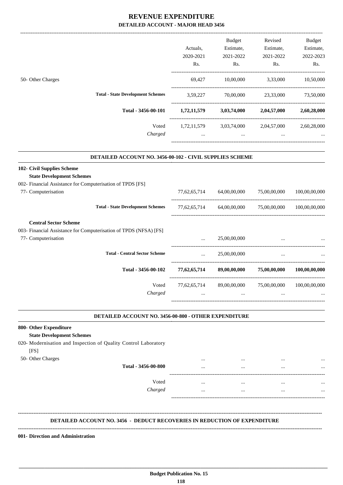|                                                                                                                              |                                         | Budget                                          | Revised                   | <b>Budget</b> |
|------------------------------------------------------------------------------------------------------------------------------|-----------------------------------------|-------------------------------------------------|---------------------------|---------------|
|                                                                                                                              | Actuals,                                | Estimate,                                       | Estimate,                 | Estimate,     |
|                                                                                                                              | 2020-2021                               | 2021-2022                                       | 2021-2022                 | 2022-2023     |
|                                                                                                                              | Rs.                                     | Rs.                                             | Rs.                       | Rs.           |
| 50- Other Charges                                                                                                            | 69,427                                  | 10,00,000 3,33,000                              |                           | 10,50,000     |
| <b>Total - State Development Schemes</b>                                                                                     |                                         | 3,59,227 70,00,000 23,33,000 73,50,000          |                           |               |
| Total - 3456-00-101                                                                                                          |                                         | $1,72,11,579$ $3,03,74,000$ $2,04,57,000$       |                           | 2,60,28,000   |
| Voted                                                                                                                        |                                         | 1,72,11,579 3,03,74,000 2,04,57,000 2,60,28,000 |                           |               |
| Charged                                                                                                                      |                                         | $\ddotsc$                                       |                           |               |
| 102- Civil Supplies Scheme<br><b>State Development Schemes</b><br>002- Financial Assistance for Computerisation of TPDS [FS] |                                         |                                                 |                           |               |
| 77- Computerisation                                                                                                          |                                         | 77,62,65,714 64,00,00,000 75,00,00,000          |                           | 100,00,00,000 |
| <b>Total - State Development Schemes</b>                                                                                     | 77,62,65,714                            |                                                 | 64,00,00,000 75,00,00,000 | 100,00,00,000 |
| <b>Central Sector Scheme</b><br>003- Financial Assistance for Computerisation of TPDS (NFSA) [FS]<br>77- Computerisation     |                                         | 25,00,00,000                                    | -----------------------   |               |
| <b>Total - Central Sector Scheme</b>                                                                                         | $\mathbf{r}$ , and $\mathbf{r}$         | 25,00,00,000                                    | $\cdots$                  |               |
| Total - 3456-00-102                                                                                                          | -----------------------<br>77,62,65,714 |                                                 | 89,00,00,000 75,00,00,000 | 100,00,00,000 |
| Voted                                                                                                                        | 77,62,65,714                            | 89,00,00,000                                    | 75,00,00,000              | 100,00,00,000 |
| Charged                                                                                                                      | $\cdots$                                | $\cdots$                                        | $\cdots$                  |               |

#### **DETAILED ACCOUNT NO. 3456-00-800 - OTHER EXPENDITURE .**

-----------------------------------------------------------------------------------------

.

| 800- Other Expenditure                                          |          |          |          |          |
|-----------------------------------------------------------------|----------|----------|----------|----------|
| <b>State Development Schemes</b>                                |          |          |          |          |
| 020- Modernisation and Inspection of Quality Control Laboratory |          |          |          |          |
| [FS]                                                            |          |          |          |          |
| 50- Other Charges                                               | $\cdots$ |          | $\cdots$ | $\cdots$ |
| Total - 3456-00-800                                             | $\cdots$ |          | $\cdots$ | $\cdots$ |
| Voted                                                           | $\cdots$ | $\cdots$ | $\cdots$ | $\cdots$ |
| Charged                                                         | $\cdots$ |          | $\cdots$ |          |
|                                                                 |          |          |          |          |
|                                                                 |          |          |          |          |
|                                                                 |          |          |          |          |

### **DETAILED ACCOUNT NO. 3456 - DEDUCT RECOVERIES IN REDUCTION OF EXPENDITURE**

**--------------------------------------------------------------------------------------------------------------------------------------------------------------------------------**

 **\_\_\_\_\_\_\_\_\_\_\_\_\_\_\_\_\_\_\_\_\_\_\_\_\_\_\_\_\_\_\_\_\_\_\_\_\_\_\_\_\_\_\_\_\_\_\_\_\_\_\_\_\_\_\_\_\_\_\_\_\_\_\_\_\_\_\_\_\_\_\_\_\_\_\_\_\_\_\_\_\_\_\_\_\_\_\_\_\_\_\_\_\_\_\_\_\_\_\_\_\_\_\_\_\_\_\_\_\_\_\_\_\_\_\_\_\_\_\_**

**001- Direction and Administration**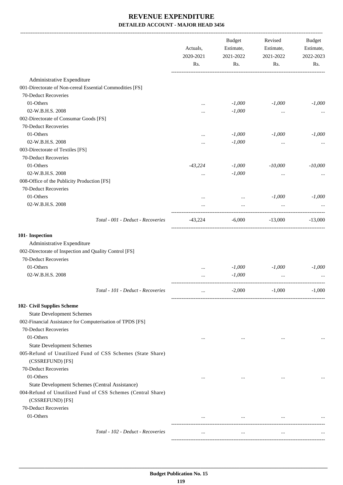|                                                                                                                                    | Actuals,<br>2020-2021<br>Rs. | <b>Budget</b><br>Estimate,<br>2021-2022<br>Rs. | Revised<br>Estimate,<br>2021-2022<br>Rs. | <b>Budget</b><br>Estimate,<br>2022-2023<br>Rs. |
|------------------------------------------------------------------------------------------------------------------------------------|------------------------------|------------------------------------------------|------------------------------------------|------------------------------------------------|
| Administrative Expenditure                                                                                                         |                              |                                                |                                          |                                                |
| 001-Directorate of Non-cereal Essential Commodities [FS]                                                                           |                              |                                                |                                          |                                                |
| 70-Deduct Recoveries                                                                                                               |                              |                                                |                                          |                                                |
| 01-Others                                                                                                                          | $\cdots$                     | $-1,000$                                       | $-1,000$                                 | $-1,000$                                       |
| 02-W.B.H.S. 2008                                                                                                                   | $\cdots$                     | $-1,000$                                       | $\ddotsc$                                |                                                |
| 002-Directorate of Consumar Goods [FS]                                                                                             |                              |                                                |                                          |                                                |
| 70-Deduct Recoveries                                                                                                               |                              |                                                |                                          |                                                |
| 01-Others                                                                                                                          |                              | $-1,000$                                       | $-1,000$                                 | $-1,000$                                       |
| 02-W.B.H.S. 2008                                                                                                                   | $\cdots$                     | $-1,000$                                       | $\ddotsc$                                |                                                |
| 003-Directorate of Textiles [FS]                                                                                                   |                              |                                                |                                          |                                                |
| 70-Deduct Recoveries                                                                                                               |                              |                                                |                                          |                                                |
| 01-Others                                                                                                                          | $-43,224$                    | $-1,000$                                       | $-10,000$                                | $-10,000$                                      |
| 02-W.B.H.S. 2008                                                                                                                   | $\cdots$                     | $-1,000$                                       | $\ddotsc$                                |                                                |
| 008-Office of the Publicity Production [FS]                                                                                        |                              |                                                |                                          |                                                |
| 70-Deduct Recoveries                                                                                                               |                              |                                                |                                          |                                                |
| 01-Others                                                                                                                          | $\cdots$                     | $\cdots$                                       | $-1,000$                                 | $-1,000$                                       |
| 02-W.B.H.S. 2008                                                                                                                   |                              |                                                | $\cdots$                                 |                                                |
| Total - 001 - Deduct - Recoveries                                                                                                  | -43,224                      | $-6,000$                                       | $-13,000$                                | $-13,000$                                      |
| 101- Inspection                                                                                                                    |                              |                                                |                                          |                                                |
| Administrative Expenditure                                                                                                         |                              |                                                |                                          |                                                |
| 002-Directorate of Inspection and Quality Control [FS]                                                                             |                              |                                                |                                          |                                                |
| 70-Deduct Recoveries                                                                                                               |                              |                                                |                                          |                                                |
| 01-Others                                                                                                                          |                              | $-1,000$                                       | $-1,000$                                 | $-1,000$                                       |
| 02-W.B.H.S. 2008                                                                                                                   |                              | $-1,000$                                       | $\cdots$                                 |                                                |
| Total - 101 - Deduct - Recoveries                                                                                                  |                              | $-2,000$                                       | $-1,000$                                 | $-1,000$                                       |
| 102- Civil Supplies Scheme                                                                                                         |                              |                                                |                                          |                                                |
| <b>State Development Schemes</b>                                                                                                   |                              |                                                |                                          |                                                |
| 002-Financial Assistance for Computerisation of TPDS [FS]                                                                          |                              |                                                |                                          |                                                |
| 70-Deduct Recoveries                                                                                                               |                              |                                                |                                          |                                                |
| 01-Others                                                                                                                          | $\cdots$                     | $\cdots$                                       | $\cdots$                                 |                                                |
| <b>State Development Schemes</b>                                                                                                   |                              |                                                |                                          |                                                |
| 005-Refund of Unutilized Fund of CSS Schemes (State Share)                                                                         |                              |                                                |                                          |                                                |
| (CSSREFUND) [FS]                                                                                                                   |                              |                                                |                                          |                                                |
| 70-Deduct Recoveries                                                                                                               |                              |                                                |                                          |                                                |
| 01-Others                                                                                                                          | $\cdots$                     | $\cdots$                                       | $\cdots$                                 |                                                |
| State Development Schemes (Central Assistance)<br>004-Refund of Unutilized Fund of CSS Schemes (Central Share)<br>(CSSREFUND) [FS] |                              |                                                |                                          |                                                |
| 70-Deduct Recoveries                                                                                                               |                              |                                                |                                          |                                                |
| 01-Others                                                                                                                          |                              | $\mathbf{1}$ and $\mathbf{1}$ and $\mathbf{1}$ | $\cdots$                                 |                                                |
|                                                                                                                                    |                              |                                                |                                          |                                                |
| Total - 102 - Deduct - Recoveries                                                                                                  | $\cdots$                     | $\cdots$                                       | $\cdots$                                 |                                                |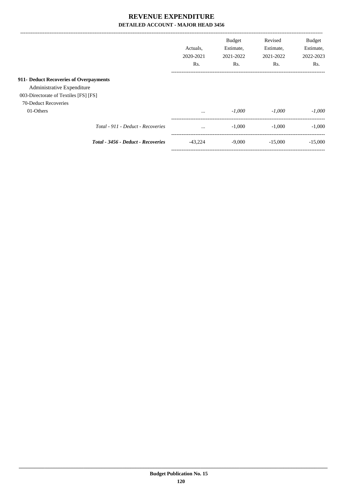|                                        | Actuals.<br>2020-2021<br>R <sub>s</sub> . | <b>Budget</b><br>Estimate,<br>2021-2022<br>Rs. | Revised<br>Estimate,<br>2021-2022<br>Rs. | <b>Budget</b><br>Estimate,<br>2022-2023<br>Rs. |
|----------------------------------------|-------------------------------------------|------------------------------------------------|------------------------------------------|------------------------------------------------|
|                                        |                                           |                                                |                                          |                                                |
| 911- Deduct Recoveries of Overpayments |                                           |                                                |                                          |                                                |
| Administrative Expenditure             |                                           |                                                |                                          |                                                |
| 003-Directorate of Textiles [FS] [FS]  |                                           |                                                |                                          |                                                |
| 70-Deduct Recoveries                   |                                           |                                                |                                          |                                                |
| 01-Others                              | $\cdots$                                  | $-1,000$                                       | $-1.000$                                 | $-1.000$                                       |
| Total - 911 - Deduct - Recoveries      | $\cdots$                                  | $-1,000$                                       | $-1.000$                                 | $-1,000$                                       |
| Total - 3456 - Deduct - Recoveries     | $-43.224$                                 | $-9,000$                                       | $-15,000$                                | $-15,000$                                      |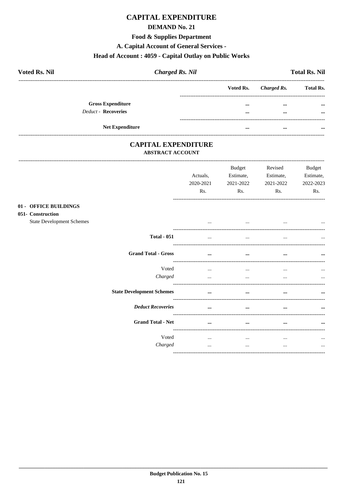# **CAPITAL EXPENDITURE**

## **DEMAND No. 21**

### **Food & Supplies Department**

A. Capital Account of General Services -

# Head of Account: 4059 - Capital Outlay on Public Works

| <b>Voted Rs. Nil</b>       |                        | <b>Charged Rs. Nil</b> |                         |                       | <b>Total Rs. Nil</b> |
|----------------------------|------------------------|------------------------|-------------------------|-----------------------|----------------------|
|                            |                        |                        |                         | Voted Rs. Charged Rs. | <b>Total Rs.</b>     |
| <b>Gross Expenditure</b>   |                        |                        | $\cdots$                | $\cdots$              | $\cdots$             |
| <b>Deduct - Recoveries</b> |                        |                        | $\bullet\bullet\bullet$ | $\cdots$              | $\cdots$             |
|                            |                        |                        |                         |                       |                      |
|                            | <b>Net Expenditure</b> |                        | $\cdots$                | $\cdots$              | $\cdots$             |

## **CAPITAL EXPENDITURE ABSTRACT ACCOUNT**

 $01 051 -$ 

|                                                                             |                                  | Actuals,<br>2020-2021<br>Rs. | <b>Budget</b><br>Estimate,<br>2021-2022<br>Rs. | Revised<br>Estimate,<br>2021-2022<br>Rs. | <b>Budget</b><br>Estimate,<br>2022-2023<br>Rs. |
|-----------------------------------------------------------------------------|----------------------------------|------------------------------|------------------------------------------------|------------------------------------------|------------------------------------------------|
| <b>OFFICE BUILDINGS</b><br>Construction<br><b>State Development Schemes</b> |                                  | $\cdots$                     | $\cdots$                                       | $\cdots$                                 |                                                |
|                                                                             | <b>Total - 051</b>               | $\cdots$                     | $\cdots$                                       | $\cdots$                                 |                                                |
|                                                                             | <b>Grand Total - Gross</b>       | $\cdots$                     | $\cdots$                                       |                                          |                                                |
|                                                                             | Voted<br>Charged                 | $\cdots$<br>$\cdots$         | $\cdots$<br>$\cdots$                           | $\cdots$<br>$\cdots$                     | $\cdots$                                       |
|                                                                             | <b>State Development Schemes</b> | $\cdots$                     | $\cdots$                                       | $\cdots$                                 |                                                |
|                                                                             | <b>Deduct Recoveries</b>         | $\cdots$                     | $\cdots$                                       | $\cdots$                                 |                                                |
|                                                                             | <b>Grand Total - Net</b>         | $\cdots$                     | $\cdots$                                       | $\cdots$                                 |                                                |
|                                                                             | Voted<br>Charged                 | $\cdots$<br>$\cdots$         | $\cdots$<br>$\cdots$                           | $\cdots$<br>$\cdots$                     | $\cdots$<br>$\cdots$                           |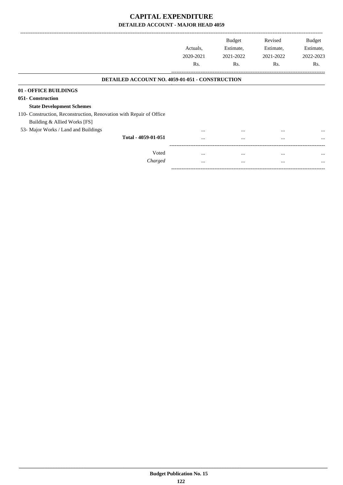-------------------------------------------------------------------------------------------------------------------------------------------------------------------------------

-----------------------------------------------------------------------------------------

|                                                                     | Actuals.<br>2020-2021<br>Rs. | <b>Budget</b><br>Estimate,<br>2021-2022<br>Rs. | Revised<br>Estimate,<br>2021-2022<br>Rs. | <b>Budget</b><br>Estimate,<br>2022-2023<br>Rs. |
|---------------------------------------------------------------------|------------------------------|------------------------------------------------|------------------------------------------|------------------------------------------------|
| <b>DETAILED ACCOUNT NO. 4059-01-051 - CONSTRUCTION</b>              |                              |                                                |                                          |                                                |
| 01 - OFFICE BUILDINGS                                               |                              |                                                |                                          |                                                |
| 051- Construction                                                   |                              |                                                |                                          |                                                |
| <b>State Development Schemes</b>                                    |                              |                                                |                                          |                                                |
| 110- Construction, Reconstruction, Renovation with Repair of Office |                              |                                                |                                          |                                                |
| Building & Allied Works [FS]                                        |                              |                                                |                                          |                                                |
| 53- Major Works / Land and Buildings                                | $\cdots$                     | $\cdots$                                       | $\cdots$                                 | $\cdots$                                       |
| Total - 4059-01-051                                                 | $\cdots$                     | $\cdots$                                       | $\cdots$                                 | $\cdots$                                       |
| Voted                                                               |                              |                                                |                                          |                                                |
|                                                                     | $\cdots$                     | $\cdots$                                       | $\cdots$                                 | $\cdots$                                       |
| Charged                                                             | $\cdots$                     | $\cdots$                                       | $\cdots$                                 | $\cdots$                                       |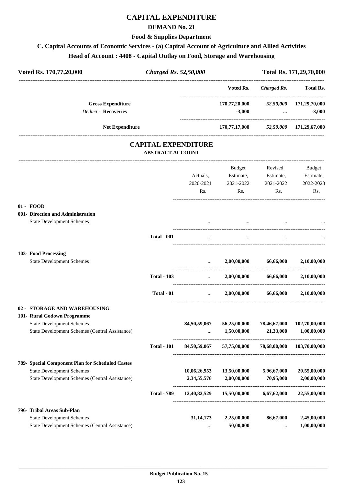# **CAPITAL EXPENDITURE**

### **DEMAND No. 21**

### **Food & Supplies Department**

# **C. Capital Accounts of Economic Services - (a) Capital Account of Agriculture and Allied Activities Head of Account : 4408 - Capital Outlay on Food, Storage and Warehousing**

| Voted Rs. 170,77,20,000                               | <b>Charged Rs. 52,50,000</b>                          |              |               | Total Rs. 171,29,70,000                        |               |
|-------------------------------------------------------|-------------------------------------------------------|--------------|---------------|------------------------------------------------|---------------|
|                                                       |                                                       |              | Voted Rs.     | Charged Rs.                                    | Total Rs.     |
| <b>Gross Expenditure</b>                              |                                                       |              | 170,77,20,000 | 52,50,000                                      | 171,29,70,000 |
| <b>Deduct - Recoveries</b>                            |                                                       |              | $-3,000$      | $\cdots$                                       | $-3,000$      |
| <b>Net Expenditure</b>                                |                                                       |              |               | 170,77,17,000 52,50,000 171,29,67,000          |               |
|                                                       | <b>CAPITAL EXPENDITURE</b><br><b>ABSTRACT ACCOUNT</b> |              |               |                                                |               |
|                                                       |                                                       |              | Budget        | Revised                                        | Budget        |
|                                                       |                                                       | Actuals,     | Estimate,     | Estimate,                                      | Estimate,     |
|                                                       |                                                       | 2020-2021    | 2021-2022     | 2021-2022                                      | 2022-2023     |
|                                                       |                                                       | Rs.          | Rs.           | Rs.                                            | Rs.           |
| $01 - FOOD$                                           |                                                       |              |               |                                                |               |
| 001- Direction and Administration                     |                                                       |              |               |                                                |               |
| <b>State Development Schemes</b>                      |                                                       |              |               |                                                |               |
|                                                       | <b>Total - 001</b>                                    | $\cdots$     | $\ddotsc$     |                                                |               |
| 103- Food Processing                                  |                                                       |              |               |                                                |               |
| <b>State Development Schemes</b>                      |                                                       |              | 2,00,00,000   | 66,66,000                                      | 2,10,00,000   |
|                                                       | <b>Total - 103</b>                                    | $\cdots$     | 2,00,00,000   | 66,66,000                                      | 2,10,00,000   |
|                                                       | Total - 01                                            | $\cdots$     | 2,00,00,000   | 66,66,000                                      | 2,10,00,000   |
| 02 - STORAGE AND WAREHOUSING                          |                                                       |              |               |                                                |               |
| 101- Rural Godown Programme                           |                                                       |              |               |                                                |               |
| <b>State Development Schemes</b>                      |                                                       | 84,50,59,067 | 56,25,00,000  | 78,46,67,000                                   | 102,70,00,000 |
| State Development Schemes (Central Assistance)        |                                                       | $\cdots$     | 1,50,00,000   | 21,33,000<br>--------------------------------- | 1,00,00,000   |
|                                                       | <b>Total - 101</b>                                    | 84,50,59,067 | 57,75,00,000  | 78,68,00,000                                   | 103,70,00,000 |
| 789- Special Component Plan for Scheduled Castes      |                                                       |              |               |                                                |               |
| <b>State Development Schemes</b>                      |                                                       | 10,06,26,953 | 13,50,00,000  | 5,96,67,000                                    | 20,55,00,000  |
| <b>State Development Schemes (Central Assistance)</b> |                                                       | 2,34,55,576  | 2,00,00,000   | 70,95,000                                      | 2,00,00,000   |
|                                                       | <b>Total - 789</b>                                    | 12,40,82,529 | 15,50,00,000  | 6,67,62,000                                    | 22,55,00,000  |
| 796- Tribal Areas Sub-Plan                            |                                                       |              |               |                                                |               |
| <b>State Development Schemes</b>                      |                                                       | 31, 14, 173  | 2,25,00,000   | 86,67,000                                      | 2,45,00,000   |
| State Development Schemes (Central Assistance)        |                                                       | $\cdots$     | 50,00,000     | $\ldots$                                       | 1,00,00,000   |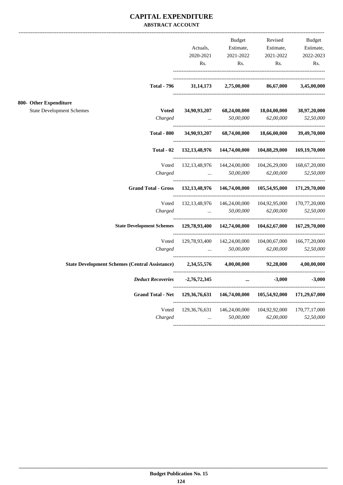## **CAPITAL EXPENDITURE ABSTRACT ACCOUNT**

|                                                       |                                  |                         | Budget                                             | Revised                                                             | <b>Budget</b>                      |
|-------------------------------------------------------|----------------------------------|-------------------------|----------------------------------------------------|---------------------------------------------------------------------|------------------------------------|
|                                                       |                                  | Actuals,                | Estimate,                                          | Estimate,                                                           | Estimate,                          |
|                                                       |                                  | 2020-2021               | 2021-2022                                          | 2021-2022                                                           | 2022-2023                          |
|                                                       |                                  | Rs.                     | Rs.                                                | Rs.                                                                 | Rs.                                |
|                                                       | <b>Total - 796</b>               | 31, 14, 173             | 2,75,00,000                                        | 86,67,000                                                           | 3,45,00,000                        |
| 800- Other Expenditure                                |                                  |                         |                                                    |                                                                     |                                    |
| <b>State Development Schemes</b>                      | <b>Voted</b>                     | 34,90,93,207            | 68,24,00,000                                       | 18,04,00,000                                                        | 38,97,20,000                       |
|                                                       | Charged                          | $\cdots$                | 50,00,000                                          | 62,00,000                                                           | 52,50,000                          |
|                                                       | <b>Total - 800</b>               | 34,90,93,207            | 68,74,00,000                                       | 18,66,00,000                                                        | 39,49,70,000                       |
|                                                       | Total - 02                       | 132, 13, 48, 976        | 144,74,00,000                                      | 104,88,29,000                                                       | 169,19,70,000                      |
|                                                       | Voted                            |                         | 132, 13, 48, 976 144, 24, 00, 000 104, 26, 29, 000 |                                                                     | 168, 67, 20, 000                   |
|                                                       | Charged                          | $\sim 100$ km s $^{-1}$ | 50,00,000                                          | 62,00,000                                                           | 52,50,000                          |
|                                                       | <b>Grand Total - Gross</b>       |                         |                                                    | 132, 13, 48, 976 146, 74, 00, 000 105, 54, 95, 000 171, 29, 70, 000 |                                    |
|                                                       | Voted                            | 132, 13, 48, 976        | 146,24,00,000                                      | 104,92,95,000                                                       | 170,77,20,000                      |
|                                                       | Charged                          | $\sim$                  | 50,00,000                                          | 62,00,000                                                           | 52,50,000                          |
|                                                       | <b>State Development Schemes</b> |                         | 129,78,93,400 142,74,00,000                        | 104,62,67,000                                                       | 167,29,70,000<br>----------------- |
|                                                       | Voted                            |                         | 129,78,93,400 142,24,00,000 104,00,67,000          |                                                                     | 166,77,20,000                      |
|                                                       | Charged                          | $\mathbf{r}$            | 50.00.000                                          | 62,00,000                                                           | 52,50,000                          |
| <b>State Development Schemes (Central Assistance)</b> |                                  | 2,34,55,576             | 4.00.00.000                                        | 92.28.000                                                           | 4,00,00,000                        |
|                                                       | <b>Deduct Recoveries</b>         | -2,76,72,345            | $\cdots$                                           | $-3,000$                                                            | $-3,000$                           |
|                                                       | <b>Grand Total - Net</b>         |                         |                                                    | 129, 36, 76, 631 146, 74, 00, 000 105, 54, 92, 000 171, 29, 67, 000 |                                    |
|                                                       | Voted                            |                         |                                                    | 129,36,76,631 146,24,00,000 104,92,92,000                           | 170,77,17,000                      |
|                                                       | Charged                          |                         | 50,00,000<br>$\mathbf{r}$                          | 62,00,000                                                           | 52,50,000                          |
|                                                       |                                  |                         |                                                    |                                                                     |                                    |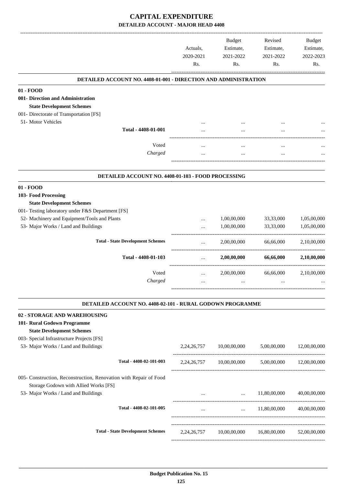|                                                                        | Actuals,<br>2020-2021<br>Rs. | <b>Budget</b><br>Estimate,<br>2021-2022<br>Rs. | Revised<br>Estimate,<br>2021-2022<br>Rs.          | Budget<br>Estimate,<br>2022-2023<br>Rs. |
|------------------------------------------------------------------------|------------------------------|------------------------------------------------|---------------------------------------------------|-----------------------------------------|
| <b>DETAILED ACCOUNT NO. 4408-01-001 - DIRECTION AND ADMINISTRATION</b> |                              |                                                |                                                   |                                         |
| 01 - FOOD                                                              |                              |                                                |                                                   |                                         |
| 001- Direction and Administration                                      |                              |                                                |                                                   |                                         |
| <b>State Development Schemes</b>                                       |                              |                                                |                                                   |                                         |
| 001- Directorate of Transportation [FS]                                |                              |                                                |                                                   |                                         |
| 51- Motor Vehicles<br>Total - 4408-01-001                              |                              |                                                |                                                   |                                         |
|                                                                        |                              |                                                |                                                   |                                         |
| Voted                                                                  |                              |                                                |                                                   |                                         |
| Charged                                                                |                              |                                                |                                                   |                                         |
|                                                                        |                              |                                                |                                                   |                                         |
| DETAILED ACCOUNT NO. 4408-01-103 - FOOD PROCESSING                     |                              |                                                |                                                   |                                         |
| $01 - FOOD$                                                            |                              |                                                |                                                   |                                         |
| 103- Food Processing                                                   |                              |                                                |                                                   |                                         |
| <b>State Development Schemes</b>                                       |                              |                                                |                                                   |                                         |
| 001- Testing laboratory under F&S Department [FS]                      |                              |                                                |                                                   |                                         |
| 52- Machinery and Equipment/Tools and Plants                           |                              | 1,00,00,000                                    | 33,33,000                                         | 1,05,00,000                             |
| 53- Major Works / Land and Buildings                                   |                              | 1,00,00,000                                    | 33,33,000                                         | 1,05,00,000                             |
| <b>Total - State Development Schemes</b>                               |                              | 2,00,00,000                                    | 66,66,000                                         | 2,10,00,000                             |
| Total - 4408-01-103                                                    | $\ldots$                     | 2,00,00,000                                    | 66,66,000                                         | 2,10,00,000                             |
| Voted                                                                  | $\cdots$                     | 2,00,00,000                                    | 66,66,000                                         | 2,10,00,000                             |
| Charged                                                                |                              |                                                |                                                   |                                         |
| DETAILED ACCOUNT NO. 4408-02-101 - RURAL GODOWN PROGRAMME              |                              |                                                |                                                   |                                         |
| 02 - STORAGE AND WAREHOUSING                                           |                              |                                                |                                                   |                                         |
| 101- Rural Godown Programme                                            |                              |                                                |                                                   |                                         |
| <b>State Development Schemes</b>                                       |                              |                                                |                                                   |                                         |
| 003- Special Infrastructure Projects [FS]                              |                              |                                                |                                                   |                                         |
| 53- Major Works / Land and Buildings                                   |                              | 2,24,26,757 10,00,00,000                       | 5,00,00,000                                       | 12,00,00,000                            |
| Total - 4408-02-101-003                                                |                              |                                                | 2,24,26,757 10,00,00,000 5,00,00,000 12,00,00,000 |                                         |
| 005- Construction, Reconstruction, Renovation with Repair of Food      |                              |                                                |                                                   |                                         |
| Storage Godown with Allied Works [FS]                                  |                              |                                                |                                                   |                                         |
| 53- Major Works / Land and Buildings                                   | $\cdots$                     | $\ddots$                                       | 11,80,00,000                                      | 40,00,00,000                            |
| Total - 4408-02-101-005                                                |                              | -------------------------------                | $\ldots$ 11,80,00,000                             | 40,00,00,000                            |
|                                                                        | $\cdots$                     |                                                |                                                   |                                         |
| <b>Total - State Development Schemes</b>                               |                              |                                                | 2,24,26,757 10,00,00,000 16,80,00,000             | 52,00,00,000                            |
|                                                                        |                              |                                                |                                                   |                                         |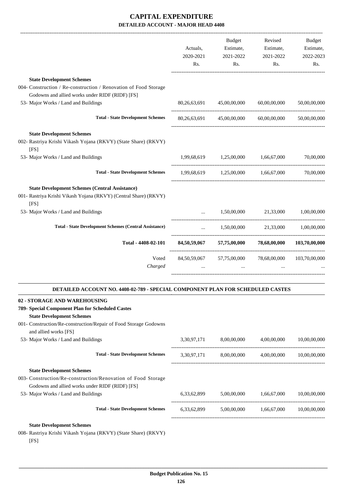|                                                                                | Actuals,<br>2020-2021<br>Rs. | Budget<br>Estimate,<br>2021-2022<br>Rs.          | Revised<br>Estimate,<br>2021-2022<br>Rs. | <b>Budget</b><br>Estimate,<br>2022-2023<br>Rs. |
|--------------------------------------------------------------------------------|------------------------------|--------------------------------------------------|------------------------------------------|------------------------------------------------|
| <b>State Development Schemes</b>                                               |                              |                                                  |                                          |                                                |
| 004- Construction / Re-construction / Renovation of Food Storage               |                              |                                                  |                                          |                                                |
| Godowns and allied works under RIDF (RIDF) [FS]                                |                              |                                                  |                                          |                                                |
| 53- Major Works / Land and Buildings                                           | 80, 26, 63, 691              | 45,00,00,000                                     | 60,00,00,000                             | 50,00,00,000                                   |
| <b>Total - State Development Schemes</b>                                       |                              | 80,26,63,691 45,00,00,000 60,00,00,000           |                                          | 50,00,00,000                                   |
| <b>State Development Schemes</b>                                               |                              |                                                  |                                          |                                                |
| 002- Rastriya Krishi Vikash Yojana (RKVY) (State Share) (RKVY)<br>[FS]         |                              |                                                  |                                          |                                                |
| 53- Major Works / Land and Buildings                                           | 1,99,68,619                  | 1,25,00,000                                      | 1,66,67,000                              | 70,00,000                                      |
| <b>Total - State Development Schemes</b>                                       |                              | 1,99,68,619 1,25,00,000 1,66,67,000              |                                          | 70,00,000                                      |
| <b>State Development Schemes (Central Assistance)</b>                          |                              |                                                  |                                          |                                                |
| 001- Rastriya Krishi Vikash Yojana (RKVY) (Central Share) (RKVY)<br>[FS]       |                              |                                                  |                                          |                                                |
| 53- Major Works / Land and Buildings                                           |                              | 1,50,00,000                                      | 21,33,000                                | 1,00,00,000                                    |
| <b>Total - State Development Schemes (Central Assistance)</b>                  | $\cdots$                     |                                                  | 1,50,00,000 21,33,000                    | 1,00,00,000                                    |
| Total - 4408-02-101                                                            |                              | 84,50,59,067 57,75,00,000                        | 78,68,00,000                             | 103,70,00,000                                  |
| Voted                                                                          | 84,50,59,067                 | 57,75,00,000                                     | 78,68,00,000                             | 103,70,00,000                                  |
| Charged                                                                        |                              |                                                  |                                          |                                                |
| DETAILED ACCOUNT NO. 4408-02-789 - SPECIAL COMPONENT PLAN FOR SCHEDULED CASTES |                              |                                                  |                                          |                                                |
| 02 - STORAGE AND WAREHOUSING                                                   |                              |                                                  |                                          |                                                |
| 789- Special Component Plan for Scheduled Castes                               |                              |                                                  |                                          |                                                |
| <b>State Development Schemes</b>                                               |                              |                                                  |                                          |                                                |
| 001- Construction/Re-construction/Repair of Food Storage Godowns               |                              |                                                  |                                          |                                                |
| and allied works [FS]                                                          |                              |                                                  |                                          |                                                |
| 53- Major Works / Land and Buildings                                           |                              | 3,30,97,171 8,00,00,000 4,00,00,000              |                                          | 10,00,00,000                                   |
| <b>Total - State Development Schemes</b>                                       |                              | 3,30,97,171 8,00,00,000 4,00,00,000 10,00,00,000 |                                          |                                                |
| <b>State Development Schemes</b>                                               |                              |                                                  |                                          |                                                |
| 003- Construction/Re-construction/Renovation of Food Storage                   |                              |                                                  |                                          |                                                |
| Godowns and allied works under RIDF (RIDF) [FS]                                |                              |                                                  |                                          |                                                |
| 53- Major Works / Land and Buildings                                           |                              | 6,33,62,899 5,00,00,000 1,66,67,000              |                                          | 10,00,00,000                                   |
| <b>Total - State Development Schemes</b>                                       |                              | 6,33,62,899 5,00,00,000 1,66,67,000 10,00,00,000 |                                          |                                                |
|                                                                                |                              |                                                  |                                          |                                                |

008- Rastriya Krishi Vikash Yojana (RKVY) (State Share) (RKVY) [FS]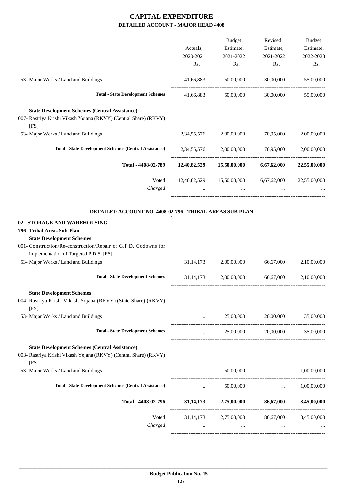|                                                                                                                                                                                                                   |               | Budget                                                                 | Revised                       | Budget                   |
|-------------------------------------------------------------------------------------------------------------------------------------------------------------------------------------------------------------------|---------------|------------------------------------------------------------------------|-------------------------------|--------------------------|
|                                                                                                                                                                                                                   | Actuals,      | Estimate,                                                              | Estimate,                     | Estimate,                |
|                                                                                                                                                                                                                   | 2020-2021     | 2021-2022                                                              | 2021-2022                     | 2022-2023                |
|                                                                                                                                                                                                                   | Rs.           | Rs.                                                                    | Rs.                           | Rs.                      |
| 53- Major Works / Land and Buildings                                                                                                                                                                              | 41,66,883     | 50,00,000                                                              | 30,00,000                     | 55,00,000                |
| <b>Total - State Development Schemes</b>                                                                                                                                                                          | 41,66,883     |                                                                        | 50,00,000 30,00,000           | 55,00,000                |
| <b>State Development Schemes (Central Assistance)</b><br>007- Rastriya Krishi Vikash Yojana (RKVY) (Central Share) (RKVY)<br>[FS]                                                                                 |               |                                                                        |                               |                          |
| 53- Major Works / Land and Buildings                                                                                                                                                                              |               | 2,34,55,576 2,00,00,000 70,95,000                                      |                               | 2,00,00,000              |
| <b>Total - State Development Schemes (Central Assistance)</b>                                                                                                                                                     |               | 2,34,55,576 2,00,00,000 70,95,000 2,00,00,000                          |                               |                          |
| Total - 4408-02-789                                                                                                                                                                                               |               | $12,40,82,529$ $15,50,00,000$                                          |                               | 6,67,62,000 22,55,00,000 |
| Voted<br>Charged                                                                                                                                                                                                  | $\ddots$      | $12,40,82,529$ $15,50,00,000$ $6,67,62,000$ $22,55,00,000$<br>$\ddots$ | $\ddots$                      |                          |
| DETAILED ACCOUNT NO. 4408-02-796 - TRIBAL AREAS SUB-PLAN                                                                                                                                                          |               |                                                                        |                               |                          |
| <b>02 - STORAGE AND WAREHOUSING</b><br>796- Tribal Areas Sub-Plan<br><b>State Development Schemes</b><br>001- Construction/Re-construction/Repair of G.F.D. Godowns for<br>implementation of Targeted P.D.S. [FS] |               |                                                                        |                               |                          |
| 53- Major Works / Land and Buildings                                                                                                                                                                              | 31, 14, 173   | 2,00,00,000                                                            | 66,67,000                     | 2,10,00,000              |
| <b>Total - State Development Schemes</b>                                                                                                                                                                          |               | 31,14,173 2,00,00,000                                                  |                               | 66,67,000 2,10,00,000    |
| <b>State Development Schemes</b><br>004- Rastriya Krishi Vikash Yojana (RKVY) (State Share) (RKVY)<br>[FS]                                                                                                        |               |                                                                        |                               |                          |
| 53- Major Works / Land and Buildings                                                                                                                                                                              | $\cdots$      | 25,00,000                                                              | 20,00,000                     | 35,00,000                |
| <b>Total - State Development Schemes</b>                                                                                                                                                                          | $\cdots$      | 25,00,000                                                              | 20,00,000                     | 35,00,000                |
| <b>State Development Schemes (Central Assistance)</b><br>003- Rastriya Krishi Vikash Yojana (RKVY) (Central Share) (RKVY)<br>[FS]                                                                                 |               |                                                                        |                               |                          |
| 53- Major Works / Land and Buildings                                                                                                                                                                              |               | 50,00,000                                                              | $\ldots$ 1,00,00,000          |                          |
| <b>Total - State Development Schemes (Central Assistance)</b>                                                                                                                                                     | and the state | 50,00,000                                                              | $\mathbf{r}$ and $\mathbf{r}$ | 1,00,00,000              |
| Total - 4408-02-796                                                                                                                                                                                               |               | 31,14,173 2,75,00,000 86,67,000 3,45,00,000                            |                               |                          |
| Voted<br>Charged                                                                                                                                                                                                  |               | 31,14,173 2,75,00,000 86,67,000 3,45,00,000<br>$\cdots$                | $\cdots$                      |                          |
|                                                                                                                                                                                                                   |               |                                                                        |                               |                          |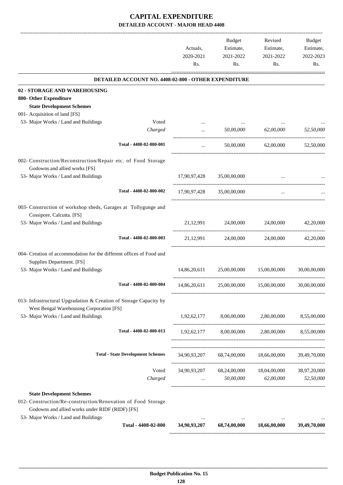|                                                                                                                                                                                             |                  | Actuals,<br>2020-2021<br>Rs. | Budget<br>Estimate,<br>2021-2022<br>Rs. | Revised<br>Estimate,<br>2021-2022<br>Rs.                                                      | Budget<br>Estimate,<br>2022-2023<br>Rs. |
|---------------------------------------------------------------------------------------------------------------------------------------------------------------------------------------------|------------------|------------------------------|-----------------------------------------|-----------------------------------------------------------------------------------------------|-----------------------------------------|
| DETAILED ACCOUNT NO. 4408-02-800 - OTHER EXPENDITURE                                                                                                                                        |                  |                              |                                         |                                                                                               |                                         |
| 02 - STORAGE AND WAREHOUSING<br>800- Other Expenditure<br><b>State Development Schemes</b>                                                                                                  |                  |                              |                                         |                                                                                               |                                         |
| 001- Acquisition of land [FS]<br>53- Major Works / Land and Buildings                                                                                                                       | Voted            |                              |                                         |                                                                                               |                                         |
|                                                                                                                                                                                             | Charged          | $\cdots$                     | 50,00,000                               | 62,00,000                                                                                     | 52,50,000                               |
| Total - 4408-02-800-001                                                                                                                                                                     |                  | $\cdots$                     | 50,00,000                               | 62,00,000                                                                                     | 52,50,000                               |
| 002- Construction/Reconstruction/Repair etc. of Food Storage<br>Godowns and allied works [FS]                                                                                               |                  |                              |                                         |                                                                                               |                                         |
| 53- Major Works / Land and Buildings                                                                                                                                                        |                  |                              | 17,90,97,428 35,00,00,000               |                                                                                               |                                         |
| Total - 4408-02-800-002                                                                                                                                                                     |                  | 17,90,97,428                 | 35,00,00,000                            | $\ddotsc$                                                                                     |                                         |
| 003- Construction of workshop sheds, Garages at Tollygunge and<br>Cossipore, Calcutta. [FS]                                                                                                 |                  |                              |                                         |                                                                                               |                                         |
| 53- Major Works / Land and Buildings                                                                                                                                                        |                  | 21, 12, 991                  | 24,00,000                               | 24,00,000                                                                                     | 42,20,000                               |
| Total - 4408-02-800-003                                                                                                                                                                     |                  | 21,12,991                    | 24,00,000                               | 24,00,000                                                                                     | 42,20,000                               |
| 004- Creation of accommodation for the different offices of Food and<br>Supplies Department. [FS]                                                                                           |                  |                              |                                         |                                                                                               |                                         |
| 53- Major Works / Land and Buildings                                                                                                                                                        |                  | 14,86,20,611                 | 25,00,00,000                            | 15,00,00,000                                                                                  | 30,00,00,000                            |
| Total - 4408-02-800-004                                                                                                                                                                     |                  | 14,86,20,611                 | 25,00,00,000                            | 15,00,00,000                                                                                  | 30,00,00,000                            |
| 013- Infrastructural Upgradation & Creation of Storage Capacity by<br>West Bengal Warehousing Corporation [FS]                                                                              |                  |                              |                                         |                                                                                               |                                         |
| 53- Major Works / Land and Buildings                                                                                                                                                        |                  |                              |                                         | 1,92,62,177 8,00,00,000 2,80,00,000 8,55,00,000                                               |                                         |
| Total - 4408-02-800-013                                                                                                                                                                     |                  |                              |                                         | 1,92,62,177 8,00,00,000 2,80,00,000 8,55,00,000                                               |                                         |
| <b>Total - State Development Schemes</b>                                                                                                                                                    |                  |                              |                                         | 34,90,93,207 68,74,00,000 18,66,00,000 39,49,70,000                                           |                                         |
|                                                                                                                                                                                             | Voted<br>Charged |                              |                                         | 34,90,93,207 68,24,00,000 18,04,00,000 38,97,20,000<br>$\ldots$ 50,00,000 62,00,000 52,50,000 |                                         |
| <b>State Development Schemes</b><br>012- Construction/Re-construction/Renovation of Food Storage<br>Godowns and allied works under RIDF (RIDF) [FS]<br>53- Major Works / Land and Buildings |                  | $\ldots$                     |                                         |                                                                                               |                                         |
| Total - 4408-02-800                                                                                                                                                                         |                  |                              |                                         | 34,90,93,207 68,74,00,000 18,66,00,000                                                        | 39,49,70,000                            |
|                                                                                                                                                                                             |                  |                              |                                         |                                                                                               |                                         |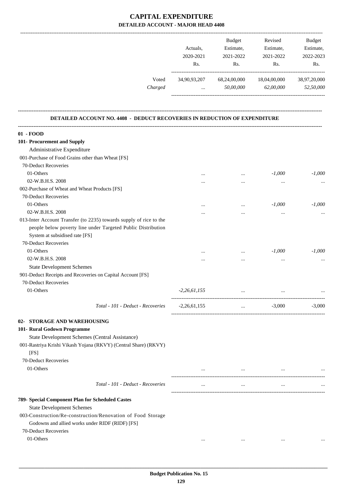|                                                                           | 2020-2021<br>Rs.         | Estimate,<br>2021-2022<br>Rs. | Estimate,<br>2021-2022<br>Rs. | Estimate,<br>2022-2023<br>Rs. |
|---------------------------------------------------------------------------|--------------------------|-------------------------------|-------------------------------|-------------------------------|
| Voted<br>Charged                                                          | 34,90,93,207<br>$\cdots$ | 68,24,00,000<br>50,00,000     | 18,04,00,000<br>62,00,000     | 38,97,20,000<br>52,50,000     |
| DETAILED ACCOUNT NO. 4408 - DEDUCT RECOVERIES IN REDUCTION OF EXPENDITURE |                          |                               |                               |                               |
| 01 - FOOD                                                                 |                          |                               |                               |                               |
| 101- Procurement and Supply                                               |                          |                               |                               |                               |
| Administrative Expenditure                                                |                          |                               |                               |                               |
| 001-Purchase of Food Grains other than Wheat [FS]                         |                          |                               |                               |                               |
| 70-Deduct Recoveries                                                      |                          |                               |                               |                               |
| 01-Others                                                                 | $\cdots$                 | $\cdots$                      | $-1,000$                      | $-1,000$                      |
| 02-W.B.H.S. 2008                                                          |                          | $\cdots$                      |                               |                               |
| 002-Purchase of Wheat and Wheat Products [FS]                             |                          |                               |                               |                               |
| 70-Deduct Recoveries                                                      |                          |                               |                               |                               |
| 01-Others                                                                 |                          |                               | $-1,000$                      | $-1,000$                      |
| 02-W.B.H.S. 2008                                                          |                          |                               | $\ddotsc$                     |                               |
| 013-Inter Account Transfer (to 2235) towards supply of rice to the        |                          |                               |                               |                               |
| people below poverty line under Targeted Public Distribution              |                          |                               |                               |                               |
| System at subsidised rate [FS]                                            |                          |                               |                               |                               |
| 70-Deduct Recoveries                                                      |                          |                               |                               |                               |
| 01-Others                                                                 |                          | $\cdots$                      | $-1,000$                      | $-1,000$                      |
| 02-W.B.H.S. 2008                                                          | $\cdots$                 | $\cdots$                      | $\cdots$                      |                               |
| <b>State Development Schemes</b>                                          |                          |                               |                               |                               |
| 901-Deduct Receipts and Recoveries on Capital Account [FS]                |                          |                               |                               |                               |
| 70-Deduct Recoveries                                                      |                          |                               |                               |                               |
| 01-Others                                                                 | $-2,26,61,155$           |                               |                               |                               |
| Total - 101 - Deduct - Recoveries                                         | $-2,26,61,155$           | $\cdots$                      | $-3,000$                      | $-3,000$                      |
| 02- STORAGE AND WAREHOUSING                                               |                          |                               |                               |                               |
| 101- Rural Godown Programme                                               |                          |                               |                               |                               |
| State Development Schemes (Central Assistance)                            |                          |                               |                               |                               |
| 001-Rastriya Krishi Vikash Yojana (RKVY) (Central Share) (RKVY)           |                          |                               |                               |                               |
| [FS]                                                                      |                          |                               |                               |                               |
| 70-Deduct Recoveries                                                      |                          |                               |                               |                               |
| 01-Others                                                                 | $\cdots$                 | $\cdots$                      | $\cdots$                      |                               |
| Total - 101 - Deduct - Recoveries                                         | $\cdots$                 | $\cdots$                      | $\cdots$                      |                               |
|                                                                           |                          |                               |                               |                               |
| 789- Special Component Plan for Scheduled Castes                          |                          |                               |                               |                               |
| <b>State Development Schemes</b>                                          |                          |                               |                               |                               |
| 003-Construction/Re-construction/Renovation of Food Storage               |                          |                               |                               |                               |
| Godowns and allied works under RIDF (RIDF) [FS]                           |                          |                               |                               |                               |
| 70-Deduct Recoveries                                                      |                          |                               |                               |                               |
| 01-Others                                                                 | $\cdots$                 | $\cdots$                      | $\cdots$                      |                               |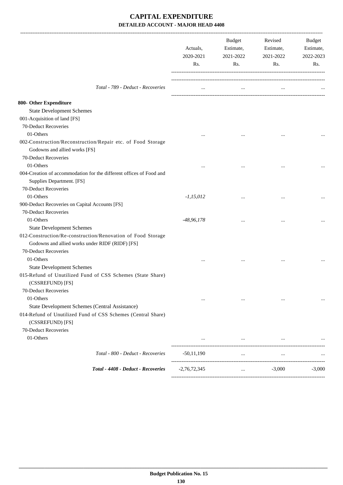|                                                                                                                                        | Actuals,<br>2020-2021<br>Rs. | Budget<br>Estimate,<br>2021-2022<br>Rs. | Revised<br>Estimate,<br>2021-2022<br>Rs. | Budget<br>Estimate,<br>2022-2023<br>Rs. |
|----------------------------------------------------------------------------------------------------------------------------------------|------------------------------|-----------------------------------------|------------------------------------------|-----------------------------------------|
|                                                                                                                                        |                              |                                         |                                          |                                         |
| Total - 789 - Deduct - Recoveries                                                                                                      | $\cdots$                     | $\cdots$                                |                                          |                                         |
| 800- Other Expenditure                                                                                                                 |                              |                                         |                                          |                                         |
| <b>State Development Schemes</b>                                                                                                       |                              |                                         |                                          |                                         |
| 001-Acquisition of land [FS]                                                                                                           |                              |                                         |                                          |                                         |
| 70-Deduct Recoveries                                                                                                                   |                              |                                         |                                          |                                         |
| 01-Others                                                                                                                              |                              |                                         |                                          |                                         |
| 002-Construction/Reconstruction/Repair etc. of Food Storage<br>Godowns and allied works [FS]                                           |                              |                                         |                                          |                                         |
| 70-Deduct Recoveries                                                                                                                   |                              |                                         |                                          |                                         |
| 01-Others                                                                                                                              |                              |                                         |                                          |                                         |
| 004-Creation of accommodation for the different offices of Food and<br>Supplies Department. [FS]                                       |                              |                                         |                                          |                                         |
| 70-Deduct Recoveries                                                                                                                   |                              |                                         |                                          |                                         |
| 01-Others                                                                                                                              | $-1,15,012$                  | $\cdots$                                |                                          |                                         |
| 900-Deduct Recoveries on Capital Accounts [FS]                                                                                         |                              |                                         |                                          |                                         |
| 70-Deduct Recoveries                                                                                                                   |                              |                                         |                                          |                                         |
| 01-Others                                                                                                                              | $-48,96,178$                 |                                         |                                          |                                         |
| <b>State Development Schemes</b>                                                                                                       |                              |                                         |                                          |                                         |
| 012-Construction/Re-construction/Renovation of Food Storage<br>Godowns and allied works under RIDF (RIDF) [FS]<br>70-Deduct Recoveries |                              |                                         |                                          |                                         |
| 01-Others                                                                                                                              | $\cdots$                     |                                         | $\ddotsc$                                |                                         |
| <b>State Development Schemes</b>                                                                                                       |                              |                                         |                                          |                                         |
| 015-Refund of Unutilized Fund of CSS Schemes (State Share)<br>(CSSREFUND) [FS]                                                         |                              |                                         |                                          |                                         |
| 70-Deduct Recoveries                                                                                                                   |                              |                                         |                                          |                                         |
| 01-Others                                                                                                                              | $\cdots$                     | $\cdots$                                | $\cdots$                                 | $\cdots$                                |
| State Development Schemes (Central Assistance)                                                                                         |                              |                                         |                                          |                                         |
| 014-Refund of Unutilized Fund of CSS Schemes (Central Share)<br>(CSSREFUND) [FS]                                                       |                              |                                         |                                          |                                         |
| 70-Deduct Recoveries                                                                                                                   |                              |                                         |                                          |                                         |
| 01-Others                                                                                                                              | $\cdots$                     | $\cdots$                                | $\cdots$                                 |                                         |
| Total - 800 - Deduct - Recoveries                                                                                                      | $-50,11,190$                 | $\cdots$                                | $\ldots$                                 |                                         |
| Total - 4408 - Deduct - Recoveries                                                                                                     | $-2,76,72,345$               | $\cdots$                                | $-3,000$                                 | $-3,000$                                |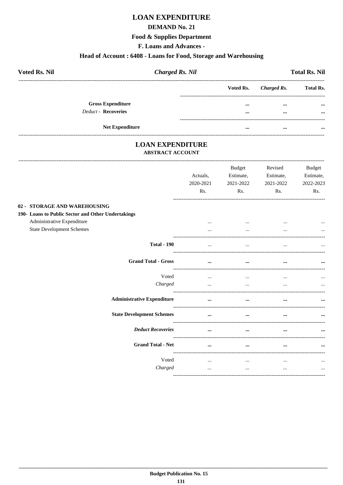# **LOAN EXPENDITURE**

## **DEMAND No. 21**

### **Food & Supplies Department**

F. Loans and Advances -

### Head of Account: 6408 - Loans for Food, Storage and Warehousing

| <b>Voted Rs. Nil</b>     | <b>Charged Rs. Nil</b> |  | <b>Total Rs. Nil</b>  |                  |  |
|--------------------------|------------------------|--|-----------------------|------------------|--|
|                          |                        |  | Voted Rs. Charged Rs. | <b>Total Rs.</b> |  |
| <b>Gross Expenditure</b> |                        |  |                       | $\cdots$         |  |
| Deduct - Recoveries      |                        |  | $\cdots$              | $\cdots$         |  |
| <b>Net Expenditure</b>   |                        |  |                       |                  |  |

# **LOAN EXPENDITURE**

# **ABSTRACT ACCOUNT**

|                                                    | Actuals,<br>2020-2021<br>Rs. | <b>Budget</b><br>Estimate,<br>2021-2022<br>Rs. | Revised<br>Estimate,<br>2021-2022<br>Rs. | <b>Budget</b><br>Estimate,<br>2022-2023<br>Rs. |
|----------------------------------------------------|------------------------------|------------------------------------------------|------------------------------------------|------------------------------------------------|
| 02 - STORAGE AND WAREHOUSING                       |                              |                                                |                                          |                                                |
| 190- Loans to Public Sector and Other Undertakings |                              |                                                |                                          |                                                |
| Administrative Expenditure                         | $\cdots$                     | $\cdots$                                       |                                          | $\cdots$                                       |
| <b>State Development Schemes</b>                   |                              | $\cdots$                                       |                                          |                                                |
| <b>Total - 190</b>                                 | $\cdots$                     | $\ddotsc$                                      |                                          |                                                |
| <b>Grand Total - Gross</b>                         | $\cdots$                     | $\cdots$                                       |                                          |                                                |
| Voted                                              | $\ddotsc$                    | $\cdots$                                       | $\cdots$                                 |                                                |
| Charged                                            | $\cdots$                     | $\cdots$                                       | $\cdots$                                 |                                                |
| <b>Administrative Expenditure</b>                  | $\cdots$                     | $\cdots$                                       | $\ddotsc$                                |                                                |
| <b>State Development Schemes</b>                   | $\cdots$                     | $\cdots$                                       |                                          |                                                |
| <b>Deduct Recoveries</b>                           | $\cdots$                     | $\cdots$                                       |                                          |                                                |
| <b>Grand Total - Net</b>                           | $\cdots$                     | $\cdots$                                       |                                          |                                                |
| Voted                                              | $\cdots$                     | $\cdots$                                       | $\cdots$                                 |                                                |
| Charged                                            | $\cdots$                     | $\cdots$                                       | $\cdots$                                 | $\cdots$                                       |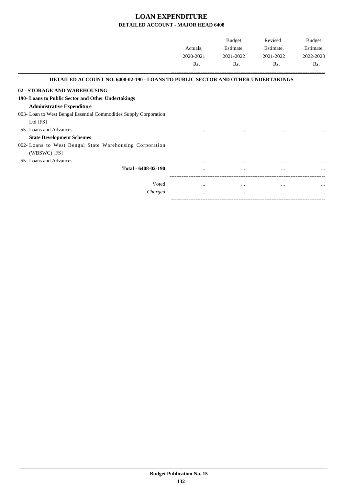|                                                                                         |           | <b>Budget</b> | Revised   | Budget    |
|-----------------------------------------------------------------------------------------|-----------|---------------|-----------|-----------|
|                                                                                         | Actuals.  | Estimate,     | Estimate, | Estimate, |
|                                                                                         | 2020-2021 | 2021-2022     | 2021-2022 | 2022-2023 |
|                                                                                         | Rs.       | Rs.           | Rs.       | Rs.       |
| <b>DETAILED ACCOUNT NO. 6408-02-190 - LOANS TO PUBLIC SECTOR AND OTHER UNDERTAKINGS</b> |           |               |           |           |
| 02 - STORAGE AND WAREHOUSING                                                            |           |               |           |           |
| 190- Loans to Public Sector and Other Undertakings                                      |           |               |           |           |
| <b>Administrative Expenditure</b>                                                       |           |               |           |           |
| 003- Loan to West Bengal Essential Commodities Supply Corporation                       |           |               |           |           |
| Ltd [FS]                                                                                |           |               |           |           |
| 55- Loans and Advances                                                                  |           |               |           | $\cdots$  |
| <b>State Development Schemes</b>                                                        |           |               |           |           |
| 002- Loans to West Bengal State Warehousing Corporation                                 |           |               |           |           |
| (WBSWC) [FS]                                                                            |           |               |           |           |
| 55-Loans and Advances                                                                   | $\cdots$  |               |           |           |
| Total - 6408-02-190                                                                     | $\cdots$  |               |           |           |
| Voted                                                                                   | $\cdots$  | $\cdots$      | $\cdots$  |           |
| Charged                                                                                 | $\cdots$  | $\cdots$      | $\cdots$  | $\cdots$  |
|                                                                                         |           |               |           |           |

-----------------------------------------------------------------------------------------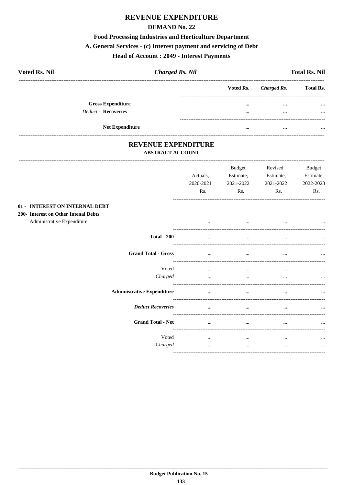# **REVENUE EXPENDITURE**

# **DEMAND No. 22**

## **Food Processing Industries and Horticulture Department**

# A. General Services - (c) Interest payment and servicing of Debt

### **Head of Account: 2049 - Interest Payments**

| <b>Voted Rs. Nil</b>     | <b>Charged Rs. Nil</b> |           |             | <b>Total Rs. Nil</b> |
|--------------------------|------------------------|-----------|-------------|----------------------|
|                          |                        | Voted Rs. | Charged Rs. | <b>Total Rs.</b>     |
| <b>Gross Expenditure</b> |                        | $\cdots$  | $\cdots$    | $\cdots$             |
| Deduct - Recoveries      |                        | $\cdots$  | $\cdots$    | $\cdots$             |
| <b>Net Expenditure</b>   |                        | $\cdots$  | $\cdots$    | $\cdots$             |

## REVENUE EXPENDITURE **ABSTRACT ACCOUNT**

|                                                                                                      |                                   | Actuals,<br>2020-2021<br>Rs. | <b>Budget</b><br>Estimate,<br>2021-2022<br>Rs. | Revised<br>Estimate,<br>2021-2022<br>Rs. | <b>Budget</b><br>Estimate,<br>2022-2023<br>Rs. |
|------------------------------------------------------------------------------------------------------|-----------------------------------|------------------------------|------------------------------------------------|------------------------------------------|------------------------------------------------|
| 01 - INTEREST ON INTERNAL DEBT<br>200- Interest on Other Intenal Debts<br>Administrative Expenditure |                                   | $\cdots$                     |                                                |                                          |                                                |
|                                                                                                      | <b>Total - 200</b>                |                              |                                                |                                          |                                                |
|                                                                                                      | <b>Grand Total - Gross</b>        | $\cdots$                     | $\cdots$                                       | $\cdots$                                 | $\cdots$                                       |
|                                                                                                      | Voted<br>Charged                  | $\cdots$<br>$\cdots$         | $\cdots$<br>$\cdots$                           | $\cdots$<br>$\cdots$                     | $\cdots$                                       |
|                                                                                                      | <b>Administrative Expenditure</b> | $\cdots$                     | $\cdots$                                       |                                          |                                                |
|                                                                                                      | <b>Deduct Recoveries</b>          | $\ddotsc$                    | $\ddotsc$                                      |                                          |                                                |
|                                                                                                      | <b>Grand Total - Net</b>          |                              |                                                |                                          |                                                |
|                                                                                                      | Voted<br>Charged                  | $\cdots$<br>$\cdots$         | $\cdots$<br>$\cdots$                           | $\cdots$<br>$\cdots$                     | $\cdots$<br>$\cdots$                           |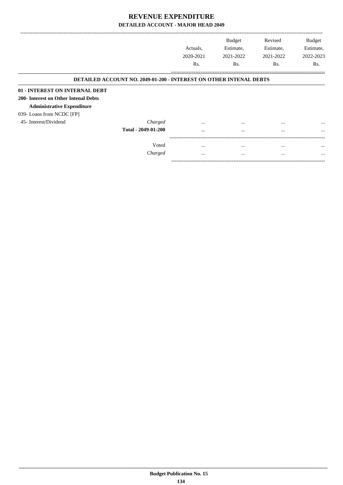|                                                                           |                     | Actuals.  | <b>Budget</b><br>Estimate, | Revised<br>Estimate, | Budget<br>Estimate, |
|---------------------------------------------------------------------------|---------------------|-----------|----------------------------|----------------------|---------------------|
|                                                                           |                     | 2020-2021 | 2021-2022                  | 2021-2022            | 2022-2023           |
|                                                                           |                     | Rs.       | Rs.                        | Rs.                  | Rs.                 |
| <b>DETAILED ACCOUNT NO. 2049-01-200 - INTEREST ON OTHER INTENAL DEBTS</b> |                     |           |                            |                      |                     |
| 01 - INTEREST ON INTERNAL DEBT                                            |                     |           |                            |                      |                     |
| 200- Interest on Other Intenal Debts                                      |                     |           |                            |                      |                     |
| <b>Administrative Expenditure</b>                                         |                     |           |                            |                      |                     |
| 039- Loans from NCDC [FP]                                                 |                     |           |                            |                      |                     |
| 45- Interest/Dividend                                                     | Charged             | $\cdots$  | $\cdots$                   | $\cdots$             | $\cdots$            |
|                                                                           | Total - 2049-01-200 | $\cdots$  | $\cdots$                   | $\cdots$             | $\cdots$            |
|                                                                           |                     |           |                            |                      |                     |
|                                                                           | Voted               | $\cdots$  | $\cdots$                   | $\cdots$             | $\cdots$            |
|                                                                           | Charged             | $\cdots$  | $\cdots$                   | $\cdots$             | $\cdots$            |

-----------------------------------------------------------------------------------------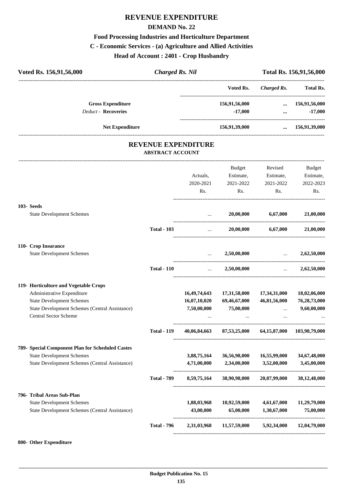# **REVENUE EXPENDITURE**

### **DEMAND No. 22**

# **Food Processing Industries and Horticulture Department C - Economic Services - (a) Agriculture and Allied Activities Head of Account : 2401 - Crop Husbandry**

| Voted Rs. 156,91,56,000                                                        | <b>Charged Rs. Nil</b>  |                            |                                                      |                                                | Total Rs. 156,91,56,000                      |
|--------------------------------------------------------------------------------|-------------------------|----------------------------|------------------------------------------------------|------------------------------------------------|----------------------------------------------|
|                                                                                |                         |                            | -------------------------------------<br>Voted Rs.   | ------------------------<br><b>Charged Rs.</b> | <b>Total Rs.</b>                             |
| <b>Gross Expenditure</b>                                                       |                         |                            | 156,91,56,000                                        | $\cdots$                                       | 156,91,56,000                                |
| Deduct - Recoveries                                                            |                         |                            | $-17,000$                                            |                                                | $-17,000$<br>$\cdots$ . The same $\cdots$    |
| <b>Net Expenditure</b>                                                         |                         |                            | 156,91,39,000                                        |                                                | $\dots$ 156,91,39,000                        |
|                                                                                | <b>ABSTRACT ACCOUNT</b> | <b>REVENUE EXPENDITURE</b> |                                                      |                                                |                                              |
|                                                                                |                         |                            | <b>Budget</b>                                        | Revised                                        | Budget                                       |
|                                                                                |                         | Actuals,                   |                                                      | Estimate, Estimate,                            | Estimate,                                    |
|                                                                                |                         | 2020-2021                  | 2021-2022                                            | 2021-2022                                      | 2022-2023                                    |
|                                                                                |                         | Rs.                        | Rs.                                                  | Rs.                                            | Rs.                                          |
| 103- Seeds                                                                     |                         |                            |                                                      |                                                |                                              |
| <b>State Development Schemes</b>                                               |                         |                            | 20,00,000<br><b>ALCOHOL:</b>                         | 6,67,000                                       | 21,00,000                                    |
|                                                                                | <b>Total - 103</b>      |                            | $\mathbf{r}$ and $\mathbf{r}$ and $\mathbf{r}$       | 20,00,000 6,67,000                             | 21,00,000                                    |
| 110- Crop Insurance                                                            |                         |                            |                                                      |                                                |                                              |
| <b>State Development Schemes</b>                                               |                         | $\ddotsc$                  | 2,50,00,000                                          | and the company of the                         | 2,62,50,000                                  |
|                                                                                | <b>Total - 110</b>      | $\sim$ $\sim$              | 2,50,00,000                                          |                                                | 2,62,50,000<br>$\mathbf{r}$ and $\mathbf{r}$ |
| 119- Horticulture and Vegetable Crops                                          |                         |                            |                                                      |                                                |                                              |
| Administrative Expenditure                                                     |                         | 16,49,74,643               | 17,31,58,000                                         | 17,34,31,000                                   | 18,02,06,000                                 |
| <b>State Development Schemes</b>                                               |                         | 16,07,10,020               | 69,46,67,000                                         | 46,81,56,000                                   | 76,28,73,000                                 |
| State Development Schemes (Central Assistance)<br><b>Central Sector Scheme</b> |                         | 7,50,00,000<br>$\cdots$    | 75,00,000<br>$\cdots$                                | $\cdots$<br>$\cdots$                           | 9,60,00,000                                  |
|                                                                                |                         |                            |                                                      |                                                |                                              |
|                                                                                | <b>Total - 119</b>      |                            | 40,06,84,663 87,53,25,000 64,15,87,000 103,90,79,000 |                                                |                                              |
| 789- Special Component Plan for Scheduled Castes                               |                         |                            |                                                      |                                                |                                              |
| <b>State Development Schemes</b>                                               |                         | 3,88,75,164                | 36,56,98,000                                         | 16,55,99,000                                   | 34,67,48,000                                 |
| State Development Schemes (Central Assistance)                                 |                         | 4,71,00,000                | 2,34,00,000                                          | 3,52,00,000                                    | 3,45,00,000                                  |
|                                                                                |                         | Total - 789 8,59,75,164    |                                                      | 38,90,98,000 20,07,99,000 38,12,48,000         |                                              |
| 796- Tribal Areas Sub-Plan                                                     |                         |                            |                                                      |                                                |                                              |
| <b>State Development Schemes</b>                                               |                         | 1,88,03,968                | 10,92,59,000                                         | 4,61,67,000                                    | 11,29,79,000                                 |
| State Development Schemes (Central Assistance)                                 |                         | 43,00,000                  | 65,00,000                                            | 1,30,67,000                                    | 75,00,000                                    |
|                                                                                | <b>Total - 796</b>      |                            | 2,31,03,968 11,57,59,000 5,92,34,000 12,04,79,000    |                                                |                                              |
|                                                                                |                         |                            |                                                      |                                                |                                              |

### **800- Other Expenditure**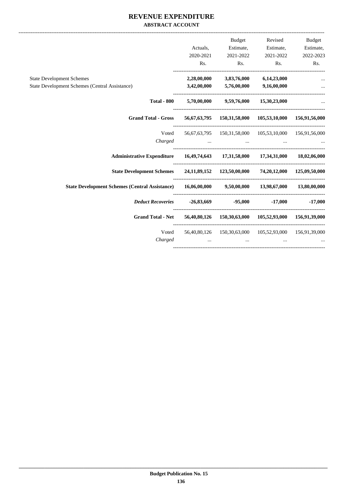## **REVENUE EXPENDITURE ABSTRACT ACCOUNT**

| Budget              | Revised                                                | <b>Budget</b>                              |                                            |                                                                                                   |
|---------------------|--------------------------------------------------------|--------------------------------------------|--------------------------------------------|---------------------------------------------------------------------------------------------------|
| Estimate, Estimate, |                                                        | Estimate,                                  | Actuals,                                   |                                                                                                   |
| 2022-2023           | 2021-2022                                              | 2021-2022                                  | 2020-2021                                  |                                                                                                   |
| Rs.                 | Rs. Rs.                                                |                                            | Rs.                                        |                                                                                                   |
|                     | 3,83,76,000 6,14,23,000                                |                                            | 2,28,00,000                                | <b>State Development Schemes</b>                                                                  |
|                     |                                                        | $3,42,00,000$ $5,76,00,000$ $9,16,00,000$  |                                            | <b>State Development Schemes (Central Assistance)</b>                                             |
|                     |                                                        | $5,70,00,000$ $9,59,76,000$ $15,30,23,000$ |                                            | <b>Total - 800</b>                                                                                |
|                     | 56,67,63,795 150,31,58,000 105,53,10,000 156,91,56,000 |                                            |                                            | <b>Grand Total - Gross</b>                                                                        |
|                     | 56,67,63,795 150,31,58,000 105,53,10,000 156,91,56,000 |                                            |                                            | Voted                                                                                             |
|                     | the contract of the contract of the                    | and the contract of the contract of        | and the contract of the contract of the    | Charged                                                                                           |
|                     |                                                        |                                            |                                            |                                                                                                   |
|                     |                                                        |                                            |                                            | State Development Schemes 24,11,89,152 123,50,00,000 74,20,12,000 125,09,50,000                   |
|                     |                                                        |                                            |                                            | State Development Schemes (Central Assistance) 16,06,00,000 9,50,00,000 13,98,67,000 13,80,00,000 |
|                     |                                                        |                                            |                                            | <i>Deduct Recoveries</i> $-26,83,669$ $-95,000$ $-17,000$ $-17,000$                               |
|                     |                                                        |                                            |                                            | Grand Total - Net 56,40,80,126 150,30,63,000 105,52,93,000 156,91,39,000                          |
|                     | 56,40,80,126 150,30,63,000 105,52,93,000 156,91,39,000 |                                            |                                            | Voted                                                                                             |
|                     | $\cdots$                                               | $\ddots$                                   | and the control of the control of the con- | Charged                                                                                           |
|                     |                                                        |                                            |                                            |                                                                                                   |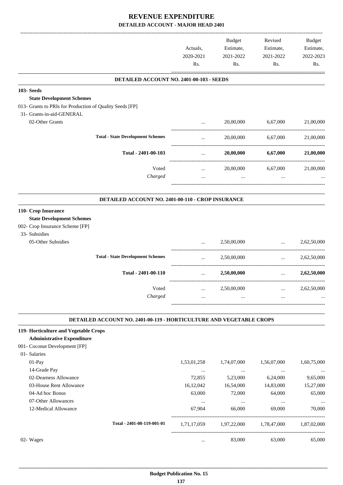-------------------------------------------------------------------------------------------------------------------------------------------------------------------------------

|                                                          |                                                                            | Actuals,<br>2020-2021<br>Rs. | <b>Budget</b><br>Estimate,<br>2021-2022<br>Rs. | Revised<br>Estimate,<br>2021-2022<br>Rs. | <b>Budget</b><br>Estimate,<br>2022-2023<br>Rs. |
|----------------------------------------------------------|----------------------------------------------------------------------------|------------------------------|------------------------------------------------|------------------------------------------|------------------------------------------------|
|                                                          | DETAILED ACCOUNT NO. 2401-00-103 - SEEDS                                   |                              |                                                |                                          |                                                |
| 103-Seeds<br><b>State Development Schemes</b>            |                                                                            |                              |                                                |                                          |                                                |
| 013- Grants to PRIs for Production of Quality Seeds [FP] |                                                                            |                              |                                                |                                          |                                                |
| 31- Grants-in-aid-GENERAL<br>02-Other Grants             |                                                                            |                              | 20,00,000                                      | 6,67,000                                 | 21,00,000                                      |
|                                                          |                                                                            | $\cdots$                     |                                                |                                          |                                                |
|                                                          | <b>Total - State Development Schemes</b>                                   | $\cdots$                     | 20,00,000                                      | 6,67,000                                 | 21,00,000                                      |
|                                                          | Total - 2401-00-103                                                        | $\ddots$                     | 20,00,000                                      | 6,67,000                                 | 21,00,000                                      |
|                                                          | Voted                                                                      | $\cdots$                     | 20,00,000                                      | 6,67,000                                 | 21,00,000                                      |
|                                                          | Charged                                                                    | $\cdots$                     | $\cdots$                                       | $\cdots$                                 |                                                |
|                                                          | DETAILED ACCOUNT NO. 2401-00-110 - CROP INSURANCE                          |                              |                                                |                                          |                                                |
| 110- Crop Insurance                                      |                                                                            |                              |                                                |                                          |                                                |
| <b>State Development Schemes</b>                         |                                                                            |                              |                                                |                                          |                                                |
| 002- Crop Insurance Scheme [FP]                          |                                                                            |                              |                                                |                                          |                                                |
| 33- Subsidies                                            |                                                                            |                              |                                                |                                          |                                                |
| 05-Other Subsidies                                       |                                                                            | $\cdots$                     | 2,50,00,000                                    | $\ddotsc$                                | 2,62,50,000                                    |
|                                                          | <b>Total - State Development Schemes</b>                                   |                              |                                                | ----------------------------------       |                                                |
|                                                          |                                                                            | $\cdots$                     | 2,50,00,000                                    | and the state                            | 2,62,50,000                                    |
|                                                          | Total - 2401-00-110                                                        | $\cdots$                     | 2,50,00,000                                    | $\mathbf{r}$                             | 2,62,50,000                                    |
|                                                          | Voted                                                                      | $\ldots$                     | 2,50,00,000                                    | $\cdots$                                 | 2,62,50,000                                    |
|                                                          | Charged                                                                    |                              |                                                |                                          |                                                |
|                                                          | <b>DETAILED ACCOUNT NO. 2401-00-119 - HORTICULTURE AND VEGETABLE CROPS</b> |                              |                                                |                                          |                                                |
| 119- Horticulture and Vegetable Crops                    |                                                                            |                              |                                                |                                          |                                                |
| <b>Administrative Expenditure</b>                        |                                                                            |                              |                                                |                                          |                                                |
| 001- Coconut Development [FP]                            |                                                                            |                              |                                                |                                          |                                                |
| 01- Salaries                                             |                                                                            |                              |                                                |                                          |                                                |
| 01-Pay                                                   |                                                                            | 1,53,01,258                  | 1,74,07,000                                    | 1,56,07,000                              | 1,60,75,000                                    |
| 14-Grade Pay                                             |                                                                            | $\ldots$                     | $\ldots$                                       | $\cdots$                                 |                                                |
| 02-Dearness Allowance                                    |                                                                            | 72,855                       | 5,23,000                                       | 6,24,000                                 | 9,65,000                                       |
| 03-House Rent Allowance                                  |                                                                            | 16,12,042                    | 16,54,000                                      | 14,83,000                                | 15,27,000                                      |
| 04-Ad hoc Bonus<br>07-Other Allowances                   |                                                                            | 63,000                       | 72,000                                         | 64,000                                   | 65,000                                         |
| 12-Medical Allowance                                     |                                                                            | $\ldots$<br>67,904           | $\ldots$<br>66,000                             | $\ldots$<br>69,000                       | 70,000                                         |
|                                                          |                                                                            |                              |                                                |                                          |                                                |
|                                                          | Total - 2401-00-119-001-01                                                 | 1,71,17,059                  | 1,97,22,000                                    | 1,78,47,000                              | 1,87,02,000                                    |
| 02- Wages                                                |                                                                            | $\cdots$                     | 83,000                                         | 63,000                                   | 65,000                                         |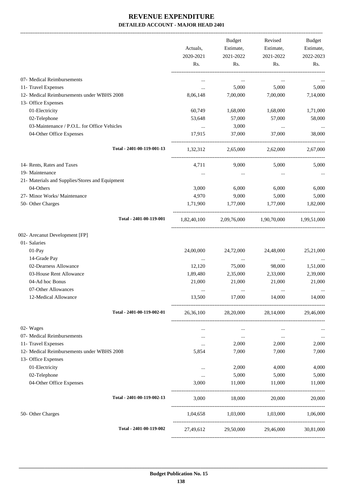-------------------------------------------------------------------------------------------------------------------------------------------------------------------------------

|                                                 | Actuals,<br>2020-2021<br>Rs. | <b>Budget</b><br>Estimate,<br>2021-2022<br>Rs. | Revised<br>Estimate,<br>2021-2022<br>Rs. | <b>Budget</b><br>Estimate,<br>2022-2023<br>Rs. |
|-------------------------------------------------|------------------------------|------------------------------------------------|------------------------------------------|------------------------------------------------|
| 07- Medical Reimbursements                      | $\cdots$                     | $\cdots$                                       | $\cdots$                                 |                                                |
| 11- Travel Expenses                             | $\cdots$                     | 5,000                                          | 5,000                                    | 5,000                                          |
| 12- Medical Reimbursements under WBHS 2008      | 8,06,148                     | 7,00,000                                       | 7,00,000                                 | 7,14,000                                       |
| 13- Office Expenses                             |                              |                                                |                                          |                                                |
| 01-Electricity                                  | 60,749                       | 1,68,000                                       | 1,68,000                                 | 1,71,000                                       |
| 02-Telephone                                    | 53,648                       | 57,000                                         | 57,000                                   | 58,000                                         |
| 03-Maintenance / P.O.L. for Office Vehicles     | $\cdots$                     | 3,000                                          | $\cdots$                                 |                                                |
| 04-Other Office Expenses                        | 17,915                       | 37,000                                         | 37,000                                   | 38,000                                         |
| Total - 2401-00-119-001-13                      | 1,32,312                     | 2,65,000                                       | 2,62,000                                 | 2.67,000                                       |
| 14- Rents, Rates and Taxes                      | 4,711                        | 9.000                                          | 5,000                                    | 5,000                                          |
| 19- Maintenance                                 |                              | $\cdots$                                       | $\cdots$                                 |                                                |
| 21- Materials and Supplies/Stores and Equipment |                              |                                                |                                          |                                                |
| 04-Others                                       | 3,000                        | 6,000                                          | 6,000                                    | 6,000                                          |
| 27- Minor Works/ Maintenance                    | 4,970                        | 9,000                                          | 5,000                                    | 5,000                                          |
| 50- Other Charges                               | 1,71,900                     | 1,77,000                                       | 1,77,000                                 | 1,82,000                                       |
| Total - 2401-00-119-001                         | 1,82,40,100                  |                                                | 2,09,76,000 1,90,70,000 1,99,51,000      |                                                |
| 002- Arecanut Development [FP]                  |                              |                                                |                                          |                                                |
| 01- Salaries                                    |                              |                                                |                                          |                                                |
| 01-Pay                                          | 24,00,000                    | 24,72,000                                      | 24,48,000                                | 25,21,000                                      |
| 14-Grade Pay                                    | $\cdots$                     | $\cdots$                                       | $\ldots$                                 |                                                |
| 02-Dearness Allowance                           | 12,120                       | 75,000                                         | 98,000                                   | 1,51,000                                       |
| 03-House Rent Allowance                         | 1,89,480                     | 2,35,000                                       | 2,33,000                                 | 2,39,000                                       |
| 04-Ad hoc Bonus                                 | 21,000                       | 21,000                                         | 21,000                                   | 21,000                                         |
| 07-Other Allowances                             | $\cdots$                     | $\cdots$                                       | $\cdots$                                 | $\cdots$                                       |
| 12-Medical Allowance                            | 13,500                       | 17,000                                         | 14,000                                   | 14,000                                         |
| Total - 2401-00-119-002-01                      |                              |                                                | 26,36,100 28,20,000 28,14,000            | 29,46,000                                      |
| 02- Wages                                       | $\cdots$                     | $\cdots$                                       | $\cdots$                                 |                                                |
| 07- Medical Reimbursements                      | $\cdots$                     | $\ldots$                                       | $\cdots$                                 | $\cdots$                                       |
| 11- Travel Expenses                             | $\cdots$                     | 2,000                                          | 2,000                                    | 2,000                                          |
| 12- Medical Reimbursements under WBHS 2008      | 5,854                        | 7,000                                          | 7,000                                    | 7,000                                          |
| 13- Office Expenses                             |                              |                                                |                                          |                                                |
| 01-Electricity                                  | $\cdots$                     | 2,000                                          | 4,000                                    | 4,000                                          |
| 02-Telephone                                    | $\cdots$                     | 5,000                                          | 5,000                                    | 5,000                                          |
| 04-Other Office Expenses                        | 3,000                        | 11,000                                         | 11,000                                   | 11,000                                         |
| Total - 2401-00-119-002-13                      | 3,000                        | 18,000                                         | 20,000                                   | 20,000                                         |
| 50- Other Charges                               |                              |                                                | 1,04,658 1,03,000 1,03,000 1,06,000      |                                                |
| Total - 2401-00-119-002                         | 27,49,612                    |                                                | 29,50,000 29,46,000                      | 30,81,000                                      |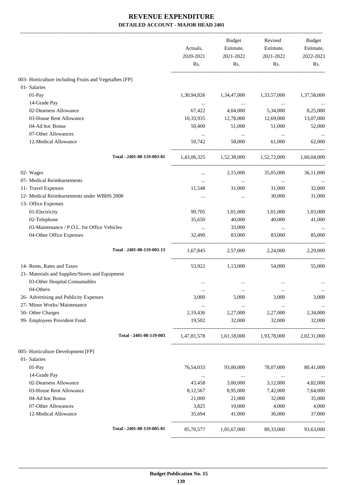|                                                        | Actuals,<br>2020-2021<br>Rs. | Budget<br>Estimate,<br>2021-2022<br>Rs. | Revised<br>Estimate,<br>2021-2022<br>Rs.        | Budget<br>Estimate,<br>2022-2023<br>Rs. |
|--------------------------------------------------------|------------------------------|-----------------------------------------|-------------------------------------------------|-----------------------------------------|
| 003- Horticulture including Fruits and Vegetalbes [FP] |                              |                                         |                                                 |                                         |
| 01- Salaries                                           |                              |                                         |                                                 |                                         |
| 01-Pay                                                 | 1,30,94,826                  | 1,34,47,000                             | 1,33,57,000                                     | 1,37,58,000                             |
| 14-Grade Pay                                           | $\ldots$                     | $\ldots$                                | $\cdots$                                        |                                         |
| 02-Dearness Allowance                                  | 67,422                       | 4,04,000                                | 5,34,000                                        | 8,25,000                                |
| 03-House Rent Allowance                                | 10,33,935                    | 12,78,000                               | 12,69,000                                       | 13,07,000                               |
| 04-Ad hoc Bonus                                        | 50,400                       | 51,000                                  | 51,000                                          | 52,000                                  |
| 07-Other Allowances                                    | $\cdots$                     | $\cdots$                                | $\cdots$                                        |                                         |
| 12-Medical Allowance                                   | 59,742                       | 58,000                                  | 61,000                                          | 62,000                                  |
| Total - 2401-00-119-003-01                             |                              | 1,43,06,325 1,52,38,000 1,52,72,000     |                                                 | 1,60,04,000                             |
| 02- Wages                                              | $\cdots$                     | 2,15,000                                | 35,05,000                                       | 36,11,000                               |
| 07- Medical Reimbursements                             | $\cdots$                     | $\cdots$                                | $\cdots$                                        |                                         |
| 11- Travel Expenses                                    | 11,548                       | 31,000                                  | 31,000                                          | 32,000                                  |
| 12- Medical Reimbursements under WBHS 2008             | $\cdots$                     | $\cdots$                                | 30,000                                          | 31,000                                  |
| 13- Office Expenses                                    |                              |                                         |                                                 |                                         |
| 01-Electricity                                         | 99,705                       | 1,01,000                                | 1,01,000                                        | 1,03,000                                |
| 02-Telephone                                           | 35,650                       | 40,000                                  | 40,000                                          | 41,000                                  |
| 03-Maintenance / P.O.L. for Office Vehicles            | $\cdots$                     | 33,000                                  | $\cdots$                                        |                                         |
| 04-Other Office Expenses                               | 32,490                       | 83,000                                  | 83,000                                          | 85,000                                  |
| Total - 2401-00-119-003-13                             | 1,67,845                     | 2,57,000                                | 2,24,000                                        | 2,29,000                                |
| 14- Rents, Rates and Taxes                             | 53,922                       | 1,13,000                                | 54,000                                          | 55,000                                  |
| 21- Materials and Supplies/Stores and Equipment        |                              |                                         |                                                 |                                         |
| 03-Other Hospital Consumables                          |                              | $\cdots$                                |                                                 |                                         |
| 04-Others                                              |                              |                                         |                                                 | $\cdots$                                |
| 26- Advertising and Publicity Expenses                 | 3,000                        | 5,000                                   | 3,000                                           | 3,000                                   |
| 27- Minor Works/ Maintenance                           | $\cdots$                     | $\cdots$                                | $\cdots$                                        | $\cdots$                                |
| 50- Other Charges                                      | 2,19,436                     | 2,27,000                                | 2,27,000                                        | 2,34,000                                |
| 99- Employees Provident Fund                           | 19,502                       | 32,000                                  | 32,000                                          | 32,000                                  |
| Total - 2401-00-119-003                                |                              |                                         | 1,47,81,578 1,61,18,000 1,93,78,000 2,02,31,000 |                                         |
| 005- Horticulture Development [FP]                     |                              |                                         |                                                 |                                         |
| 01- Salaries                                           |                              |                                         |                                                 |                                         |
| 01-Pay                                                 | 76,54,033                    | 93,00,000                               | 78,07,000                                       | 80,41,000                               |
| 14-Grade Pay                                           | $\ldots$                     | $\sim 10^{11}$ and $\sim 10^{11}$       | $\sim 100$ and $\sim 100$                       | $\sim$ $\sim$                           |
| 02-Dearness Allowance                                  | 43,458                       | 3,00,000                                | 3,12,000                                        | 4,82,000                                |
| 03-House Rent Allowance                                | 8,12,567                     | 8,95,000                                | 7,42,000                                        | 7,64,000                                |
| 04-Ad hoc Bonus                                        | 21,000                       | 21,000                                  | 32,000                                          | 35,000                                  |
| 07-Other Allowances                                    | 3,825                        | 10,000                                  | 4,000                                           | 4,000                                   |
| 12-Medical Allowance                                   | 35,694                       | 41,000                                  | 36,000                                          | 37,000                                  |
| Total - 2401-00-119-005-01                             |                              | 85,70,577 1,05,67,000 89,33,000         |                                                 | 93,63,000                               |
|                                                        |                              |                                         |                                                 |                                         |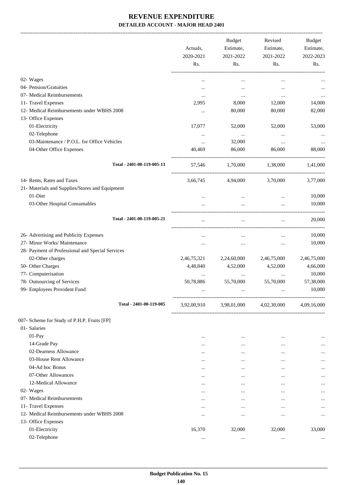|                                                  | Actuals,<br>2020-2021<br>Rs. | <b>Budget</b><br>Estimate,<br>2021-2022<br>Rs. | Revised<br>Estimate,<br>2021-2022<br>Rs. | Budget<br>Estimate,<br>2022-2023<br>Rs. |
|--------------------------------------------------|------------------------------|------------------------------------------------|------------------------------------------|-----------------------------------------|
|                                                  |                              |                                                |                                          |                                         |
| 02- Wages                                        |                              | $\cdots$                                       | $\cdots$                                 |                                         |
| 04- Pension/Gratuities                           |                              | $\cdots$                                       |                                          |                                         |
| 07- Medical Reimbursements                       | $\cdots$                     | $\cdots$                                       | $\cdots$                                 |                                         |
| 11- Travel Expenses                              | 2,995                        | 8,000                                          | 12,000                                   | 14,000                                  |
| 12- Medical Reimbursements under WBHS 2008       | $\cdots$                     | 80,000                                         | 80,000                                   | 82,000                                  |
| 13- Office Expenses                              |                              |                                                |                                          |                                         |
| 01-Electricity                                   | 17,077                       | 52,000                                         | 52,000                                   | 53,000                                  |
| 02-Telephone                                     | $\cdots$                     | $\cdots$                                       | $\ddotsc$                                |                                         |
| 03-Maintenance / P.O.L. for Office Vehicles      | $\cdots$                     | 32,000                                         | $\ldots$                                 |                                         |
| 04-Other Office Expenses                         | 40,469                       | 86,000                                         | 86,000                                   | 88,000                                  |
| Total - 2401-00-119-005-13                       | 57,546                       | 1,70,000                                       | 1,38,000                                 | 1,41,000                                |
| 14- Rents, Rates and Taxes                       | 3,66,745                     | 4,94,000                                       | 3,70,000                                 | 3,77,000                                |
| 21- Materials and Supplies/Stores and Equipment  |                              |                                                |                                          |                                         |
| 01-Diet                                          | $\ddotsc$                    | $\cdots$                                       | $\cdots$                                 | 10,000                                  |
| 03-Other Hospital Consumables                    |                              | $\cdots$                                       | $\ldots$                                 | 10,000                                  |
|                                                  |                              |                                                |                                          |                                         |
| Total - 2401-00-119-005-21                       |                              | $\cdots$                                       | $\cdots$                                 | 20,000                                  |
| 26- Advertising and Publicity Expenses           | $\ddotsc$                    | $\cdots$                                       |                                          | 10,000                                  |
| 27- Minor Works/ Maintenance                     | $\ddotsc$                    | $\cdots$                                       | $\ddotsc$                                | 10,000                                  |
| 28- Payment of Professional and Special Services |                              |                                                |                                          |                                         |
| 02-Other charges                                 | 2,46,75,321                  | 2,24,60,000                                    | 2,46,75,000                              | 2,46,75,000                             |
| 50- Other Charges                                | 4,48,840                     | 4,52,000                                       | 4,52,000                                 | 4,66,000                                |
| 77- Computerisation                              |                              |                                                |                                          | 10,000                                  |
| 78- Outsourcing of Services                      | 50,78,886                    | 55,70,000                                      | 55,70,000                                | 57,38,000                               |
| 99- Employees Provident Fund                     |                              |                                                |                                          | 10,000                                  |
| Total - 2401-00-119-005                          | 3,92,00,910                  | 3,98,01,000                                    | 4,02,30,000                              | 4,09,16,000                             |
| 007- Scheme for Study of P.H.P. Fruits [FP]      |                              |                                                |                                          |                                         |
| 01- Salaries                                     |                              |                                                |                                          |                                         |
| $01-Pay$                                         |                              | $\cdots$                                       | $\ddotsc$                                |                                         |
| 14-Grade Pay                                     |                              | $\cdots$                                       | $\ddotsc$                                | $\cdots$                                |
| 02-Dearness Allowance                            |                              | $\cdots$                                       | $\ddotsc$                                |                                         |
| 03-House Rent Allowance                          |                              | $\ddotsc$                                      |                                          | $\cdots$                                |
| 04-Ad hoc Bonus                                  | $\cdots$                     | $\cdots$                                       | $\cdots$                                 |                                         |
| 07-Other Allowances                              | $\cdots$                     | $\cdots$                                       | $\cdots$                                 | $\cdots$                                |
| 12-Medical Allowance                             | $\cdots$                     | $\cdots$                                       | $\cdots$                                 |                                         |
| 02- Wages                                        | $\cdots$                     | $\cdots$                                       | $\cdots$                                 | $\cdots$                                |
| 07- Medical Reimbursements                       | $\cdots$                     | $\cdots$                                       | $\ddotsc$                                | $\cdots$                                |
| 11- Travel Expenses                              | $\cdots$                     | $\cdots$                                       | $\cdots$                                 | $\cdots$                                |
| 12- Medical Reimbursements under WBHS 2008       | $\cdots$                     | $\cdots$                                       |                                          | $\cdots$                                |
| 13- Office Expenses                              |                              |                                                |                                          |                                         |
| 01-Electricity                                   | 16,370                       | 32,000                                         | 32,000                                   | 33,000                                  |
| 02-Telephone                                     | $\ldots$                     | $\ldots$                                       | $\ldots$                                 | $\cdots$                                |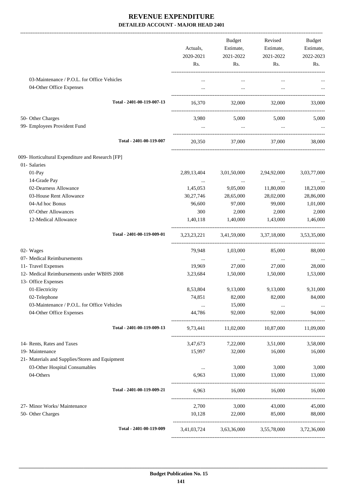|                                                                         |                            | Actuals,<br>2020-2021<br>Rs. | Budget<br>Estimate,<br>2021-2022<br>Rs. | Revised<br>Estimate,<br>2021-2022<br>Rs.        | Budget<br>Estimate,<br>2022-2023<br>Rs. |
|-------------------------------------------------------------------------|----------------------------|------------------------------|-----------------------------------------|-------------------------------------------------|-----------------------------------------|
| 03-Maintenance / P.O.L. for Office Vehicles<br>04-Other Office Expenses |                            | $\cdots$                     | $\cdots$<br>$\ldots$                    |                                                 |                                         |
|                                                                         | Total - 2401-00-119-007-13 |                              |                                         | 16,370 32,000 32,000                            | 33,000                                  |
| 50- Other Charges                                                       |                            |                              | 3,980 5,000                             | 5,000                                           | 5,000                                   |
| 99- Employees Provident Fund                                            |                            | $\cdots$                     | $\sim$ $\sim$                           | $\sim$                                          |                                         |
|                                                                         | Total - 2401-00-119-007    | 20,350                       | 37,000                                  | 37,000                                          | 38,000                                  |
| 009- Horticultural Expenditure and Research [FP]<br>01- Salaries        |                            |                              |                                         |                                                 |                                         |
| 01-Pay                                                                  |                            | 2,89,13,404                  | 3,01,50,000                             | 2,94,92,000                                     | 3,03,77,000                             |
| 14-Grade Pay                                                            |                            | $\cdots$                     | $\cdots$                                | $\cdots$                                        |                                         |
| 02-Dearness Allowance                                                   |                            | 1,45,053                     | 9,05,000                                | 11,80,000                                       | 18,23,000                               |
| 03-House Rent Allowance                                                 |                            | 30,27,746                    | 28,65,000                               | 28,02,000                                       | 28,86,000                               |
| 04-Ad hoc Bonus                                                         |                            | 96,600                       | 97,000                                  | 99,000                                          | 1,01,000                                |
| 07-Other Allowances                                                     |                            | 300                          | 2,000                                   | 2,000                                           | 2,000                                   |
| 12-Medical Allowance                                                    |                            | 1,40,118                     | 1,40,000                                | 1,43,000                                        | 1,46,000                                |
|                                                                         | Total - 2401-00-119-009-01 |                              |                                         | 3,23,23,221 3,41,59,000 3,37,18,000             | 3,53,35,000                             |
| 02- Wages                                                               |                            | 79,948                       | 1,03,000                                | 85,000                                          | 88,000                                  |
| 07- Medical Reimbursements                                              |                            | $\cdots$                     | $\ldots$                                | $\ldots$                                        |                                         |
| 11- Travel Expenses                                                     |                            | 19,969                       | 27,000                                  | 27,000                                          | 28,000                                  |
| 12- Medical Reimbursements under WBHS 2008<br>13- Office Expenses       |                            | 3,23,684                     | 1,50,000                                | 1,50,000                                        | 1,53,000                                |
| 01-Electricity                                                          |                            | 8,53,804                     | 9,13,000                                | 9,13,000                                        | 9,31,000                                |
| 02-Telephone                                                            |                            | 74,851                       | 82,000                                  | 82,000                                          | 84,000                                  |
| 03-Maintenance / P.O.L. for Office Vehicles                             |                            | $\cdots$                     | 15,000                                  | $\cdots$                                        |                                         |
| 04-Other Office Expenses                                                |                            | 44,786                       | 92,000                                  | 92,000                                          | 94,000                                  |
|                                                                         | Total - 2401-00-119-009-13 | 9,73,441                     | 11,02,000                               | 10,87,000                                       | 11,09,000                               |
| 14- Rents, Rates and Taxes                                              |                            | 3,47,673                     | 7,22,000                                | 3,51,000                                        | 3,58,000                                |
| 19- Maintenance                                                         |                            | 15,997                       | 32,000                                  | 16,000                                          | 16,000                                  |
| 21- Materials and Supplies/Stores and Equipment                         |                            |                              |                                         |                                                 |                                         |
| 03-Other Hospital Consumables                                           |                            | $\cdots$                     | 3,000                                   | 3,000                                           | 3,000                                   |
| 04-Others                                                               |                            | 6,963                        | 13,000                                  | 13,000                                          | 13,000                                  |
|                                                                         | Total - 2401-00-119-009-21 | 6,963                        | 16,000                                  | 16,000                                          | 16,000                                  |
| 27- Minor Works/ Maintenance                                            |                            | 2,700                        | 3,000                                   | 43,000                                          | 45,000                                  |
| 50- Other Charges                                                       |                            | 10,128                       | 22,000                                  | 85,000                                          | 88,000                                  |
|                                                                         | Total - 2401-00-119-009    |                              |                                         | 3,41,03,724 3,63,36,000 3,55,78,000 3,72,36,000 |                                         |
|                                                                         |                            |                              |                                         |                                                 |                                         |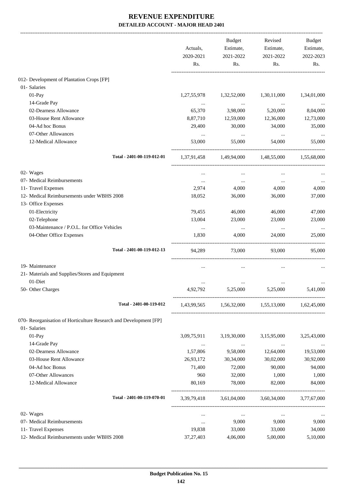|                                                                   | Actuals,<br>2020-2021<br>Rs. | Budget<br>Estimate,<br>2021-2022<br>Rs. | Revised<br>Estimate,<br>2021-2022<br>Rs.        | Budget<br>Estimate,<br>2022-2023<br>Rs. |
|-------------------------------------------------------------------|------------------------------|-----------------------------------------|-------------------------------------------------|-----------------------------------------|
| 012- Development of Plantation Crops [FP]                         |                              |                                         |                                                 |                                         |
| 01- Salaries                                                      |                              |                                         |                                                 |                                         |
| 01-Pay                                                            | 1,27,55,978                  | 1,32,52,000                             | 1,30,11,000                                     | 1,34,01,000                             |
| 14-Grade Pay                                                      |                              | $\cdots$                                | $\ddotsc$                                       |                                         |
| 02-Dearness Allowance                                             | 65,370                       | 3,98,000                                | 5,20,000                                        | 8,04,000                                |
| 03-House Rent Allowance                                           | 8,87,710                     | 12,59,000                               | 12,36,000                                       | 12,73,000                               |
| 04-Ad hoc Bonus                                                   | 29,400                       | 30,000                                  | 34,000                                          | 35,000                                  |
| 07-Other Allowances                                               | $\cdots$                     | $\cdots$                                | $\ldots$                                        | $\cdots$                                |
| 12-Medical Allowance                                              | 53,000                       | 55,000                                  | 54,000                                          | 55,000                                  |
| Total - 2401-00-119-012-01                                        |                              | 1,37,91,458 1,49,94,000 1,48,55,000     |                                                 | 1,55,68,000                             |
| 02- Wages                                                         |                              |                                         |                                                 |                                         |
| 07- Medical Reimbursements                                        | $\cdots$                     | $\cdots$                                | $\ddotsc$                                       |                                         |
| 11- Travel Expenses                                               | 2,974                        | 4,000                                   | 4,000                                           | 4,000                                   |
| 12- Medical Reimbursements under WBHS 2008                        | 18,052                       | 36,000                                  | 36,000                                          | 37,000                                  |
| 13- Office Expenses                                               |                              |                                         |                                                 |                                         |
| 01-Electricity                                                    | 79,455                       | 46,000                                  | 46,000                                          | 47,000                                  |
| 02-Telephone                                                      | 13,004                       | 23,000                                  | 23,000                                          | 23,000                                  |
| 03-Maintenance / P.O.L. for Office Vehicles                       | $\cdots$                     | $\cdots$                                | $\cdots$                                        |                                         |
| 04-Other Office Expenses                                          | 1,830                        | 4,000                                   | 24,000                                          | 25,000                                  |
| Total - 2401-00-119-012-13                                        | 94,289                       | 73,000                                  | 93,000                                          | 95,000                                  |
| 19- Maintenance                                                   |                              |                                         |                                                 |                                         |
| 21- Materials and Supplies/Stores and Equipment                   |                              |                                         |                                                 |                                         |
| 01-Diet                                                           |                              |                                         |                                                 |                                         |
| 50- Other Charges                                                 | 4,92,792                     | 5,25,000                                | 5,25,000                                        | 5,41,000                                |
| Total - 2401-00-119-012                                           |                              |                                         | 1,43,99,565 1,56,32,000 1,55,13,000 1,62,45,000 |                                         |
| 070- Reorganisation of Horticulture Research and Development [FP] |                              |                                         |                                                 |                                         |
| 01- Salaries                                                      |                              |                                         |                                                 |                                         |
| 01-Pay                                                            | 3,09,75,911                  | 3,19,30,000                             | 3,15,95,000                                     | 3,25,43,000                             |
| 14-Grade Pay                                                      | $\ldots$                     | $\ldots$                                | $\cdots$                                        | $\cdots$                                |
| 02-Dearness Allowance                                             | 1,57,806                     | 9,58,000                                | 12,64,000                                       | 19,53,000                               |
| 03-House Rent Allowance                                           | 26,93,172                    | 30,34,000                               | 30,02,000                                       | 30,92,000                               |
| 04-Ad hoc Bonus                                                   | 71,400                       | 72,000                                  | 90,000                                          | 94,000                                  |
| 07-Other Allowances                                               | 960                          | 32,000                                  | 1,000                                           | 1,000                                   |
| 12-Medical Allowance                                              | 80,169                       | 78,000                                  | 82,000                                          | 84,000                                  |
| Total - 2401-00-119-070-01                                        |                              |                                         | 3,39,79,418 3,61,04,000 3,60,34,000 3,77,67,000 |                                         |
| 02- Wages                                                         | $\cdots$                     | $\cdots$                                | $\cdots$                                        |                                         |
| 07- Medical Reimbursements                                        | $\cdots$                     | 9,000                                   | 9,000                                           | 9,000                                   |
| 11- Travel Expenses                                               | 19,838                       | 33,000                                  | 33,000                                          | 34,000                                  |
| 12- Medical Reimbursements under WBHS 2008                        | 37, 27, 403                  | 4,06,000                                | 5,00,000                                        | 5,10,000                                |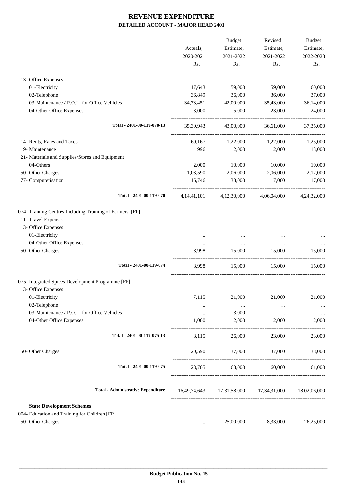|                                                           |                | <b>Budget</b> | Revised                                             | <b>Budget</b> |
|-----------------------------------------------------------|----------------|---------------|-----------------------------------------------------|---------------|
|                                                           | Actuals,       | Estimate,     | Estimate,                                           | Estimate,     |
|                                                           | 2020-2021      | 2021-2022     | 2021-2022                                           | 2022-2023     |
|                                                           | Rs.            | Rs.           | Rs.                                                 | Rs.           |
| 13- Office Expenses                                       |                |               |                                                     |               |
| 01-Electricity                                            | 17,643         | 59,000        | 59,000                                              | 60,000        |
| 02-Telephone                                              | 36,849         | 36,000        | 36,000                                              | 37,000        |
| 03-Maintenance / P.O.L. for Office Vehicles               | 34,73,451      | 42,00,000     | 35,43,000                                           | 36,14,000     |
| 04-Other Office Expenses                                  | 3,000          | 5,000         | 23,000                                              | 24,000        |
| Total - 2401-00-119-070-13                                | 35,30,943      | 43,00,000     | 36,61,000                                           | 37,35,000     |
| 14- Rents, Rates and Taxes                                | 60,167         | 1,22,000      | 1,22,000                                            | 1,25,000      |
| 19- Maintenance                                           | 996            | 2,000         | 12,000                                              | 13,000        |
| 21- Materials and Supplies/Stores and Equipment           |                |               |                                                     |               |
| 04-Others                                                 | 2,000          | 10,000        | 10,000                                              | 10,000        |
| 50- Other Charges                                         | 1,03,590       | 2,06,000      | 2,06,000                                            | 2,12,000      |
| 77- Computerisation                                       | 16,746         | 38,000        | 17,000                                              | 17,000        |
|                                                           |                |               |                                                     |               |
| Total - 2401-00-119-070                                   | 4, 14, 41, 101 | 4,12,30,000   | 4,06,04,000                                         | 4.24.32.000   |
| 074- Training Centres Including Training of Farmers. [FP] |                |               |                                                     |               |
| 11- Travel Expenses                                       |                |               |                                                     |               |
| 13- Office Expenses                                       |                |               |                                                     |               |
| 01-Electricity                                            |                |               |                                                     |               |
| 04-Other Office Expenses                                  | $\cdots$       | $\cdots$      | $\cdots$                                            |               |
| 50- Other Charges                                         | 8,998          | 15,000        | 15,000                                              | 15,000        |
| Total - 2401-00-119-074                                   | 8,998          | 15,000        | 15,000                                              | 15,000        |
| 075- Integrated Spices Development Programme [FP]         |                |               |                                                     |               |
| 13- Office Expenses                                       |                |               |                                                     |               |
| 01-Electricity                                            | 7,115          | 21,000        | 21,000                                              | 21,000        |
| 02-Telephone                                              | $\cdots$       | $\ldots$      | $\cdots$                                            |               |
| 03-Maintenance / P.O.L. for Office Vehicles               | $\cdots$       | 3,000         | $\cdots$                                            | $\cdots$      |
| 04-Other Office Expenses                                  | 1,000          | 2,000         | 2,000                                               | 2,000         |
| Total - 2401-00-119-075-13                                | 8,115          | 26,000        | 23,000                                              | 23,000        |
| 50- Other Charges                                         | 20,590         | 37,000        | 37,000                                              | 38,000        |
| Total - 2401-00-119-075                                   | 28,705         | 63,000        | 60,000                                              | 61,000        |
| <b>Total - Administrative Expenditure</b>                 |                |               | 16,49,74,643 17,31,58,000 17,34,31,000 18,02,06,000 |               |
|                                                           |                |               |                                                     |               |
| <b>State Development Schemes</b>                          |                |               |                                                     |               |
| 004- Education and Training for Children [FP]             |                |               |                                                     |               |
| 50- Other Charges                                         | $\cdots$       | 25,00,000     | 8,33,000                                            | 26,25,000     |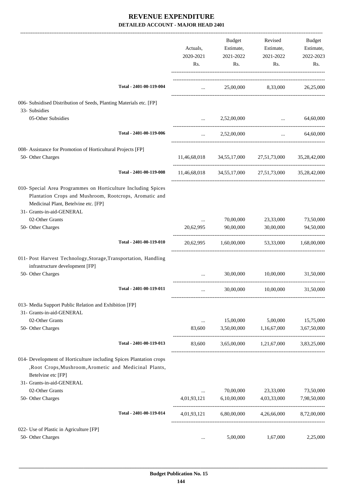|                                                                                                                                                                                              | Actuals,<br>2020-2021<br>Rs. | <b>Budget</b><br>Estimate,<br>2021-2022<br>Rs. | Revised<br>Estimate,<br>2021-2022<br>Rs.            | Budget<br>Estimate,<br>2022-2023<br>Rs. |
|----------------------------------------------------------------------------------------------------------------------------------------------------------------------------------------------|------------------------------|------------------------------------------------|-----------------------------------------------------|-----------------------------------------|
| Total - 2401-00-119-004                                                                                                                                                                      | <b>Section</b> (Section)     |                                                | 25,00,000 8,33,000 26,25,000                        |                                         |
| 006- Subsidised Distribution of Seeds, Planting Materials etc. [FP]<br>33- Subsidies                                                                                                         |                              |                                                |                                                     |                                         |
| 05-Other Subsidies                                                                                                                                                                           |                              | 2,52,00,000                                    | $\ddotsc$                                           | 64,60,000                               |
| Total - 2401-00-119-006                                                                                                                                                                      | $\cdots$                     | 2,52,00,000                                    | $\cdots$                                            | 64,60,000                               |
| 008- Assistance for Promotion of Horticultural Projects [FP]                                                                                                                                 |                              |                                                |                                                     |                                         |
| 50- Other Charges                                                                                                                                                                            |                              |                                                | 11,46,68,018 34,55,17,000 27,51,73,000 35,28,42,000 |                                         |
| Total - 2401-00-119-008                                                                                                                                                                      |                              |                                                | 11,46,68,018 34,55,17,000 27,51,73,000 35,28,42,000 |                                         |
| 010- Special Area Programmes on Horticulture Including Spices<br>Plantation Crops and Mushroom, Rootcrops, Aromatic and<br>Medicinal Plant, Betelvine etc. [FP]<br>31- Grants-in-aid-GENERAL |                              |                                                |                                                     |                                         |
| 02-Other Grants                                                                                                                                                                              |                              | 70,00,000                                      | 23,33,000                                           | 73,50,000                               |
| 50- Other Charges                                                                                                                                                                            | 20.62.995                    | 90,00,000                                      | 30,00,000                                           | 94,50,000                               |
| Total - 2401-00-119-010                                                                                                                                                                      |                              |                                                | 20,62,995 1,60,00,000 53,33,000 1,68,00,000         |                                         |
| 011- Post Harvest Technology, Storage, Transportation, Handling<br>infrastructure development [FP]                                                                                           |                              |                                                |                                                     |                                         |
| 50- Other Charges                                                                                                                                                                            |                              | 30,00,000                                      | 10,00,000                                           | 31,50,000                               |
| Total - 2401-00-119-011                                                                                                                                                                      |                              |                                                |                                                     |                                         |
| 013- Media Support Public Relation and Exhibition [FP]<br>31- Grants-in-aid-GENERAL                                                                                                          |                              |                                                |                                                     |                                         |
| 02-Other Grants                                                                                                                                                                              | $\cdots$                     | 15,00,000                                      | 5,00,000                                            | 15,75,000                               |
| 50- Other Charges                                                                                                                                                                            | 83,600                       | 3,50,00,000                                    | 1,16,67,000                                         | 3,67,50,000                             |
| Total - 2401-00-119-013                                                                                                                                                                      | 83,600                       |                                                | 3,65,00,000 1,21,67,000 3,83,25,000                 |                                         |
| 014- Development of Horticulture including Spices Plantation crops<br>, Root Crops, Mushroom, Arometic and Medicinal Plants,<br>Betelvine etc [FP]                                           |                              |                                                |                                                     |                                         |
| 31- Grants-in-aid-GENERAL                                                                                                                                                                    |                              |                                                |                                                     |                                         |
| 02-Other Grants<br>50- Other Charges                                                                                                                                                         | $\cdots$<br>4,01,93,121      | 70,00,000<br>6,10,00,000                       | 23,33,000<br>4,03,33,000                            | 73,50,000<br>7,98,50,000                |
| Total - 2401-00-119-014                                                                                                                                                                      | 4,01,93,121                  | 6,80,00,000                                    | 4,26,66,000                                         | 8,72,00,000                             |
|                                                                                                                                                                                              |                              |                                                |                                                     |                                         |
| 022- Use of Plastic in Agriculture [FP]<br>50- Other Charges                                                                                                                                 | $\cdots$                     | 5,00,000                                       | 1,67,000                                            | 2,25,000                                |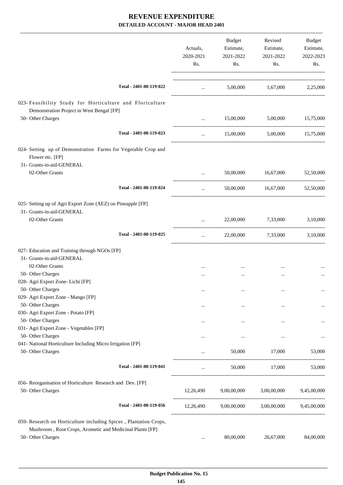|                                                                                                                                                    | Actuals,<br>2020-2021<br>Rs. |             | Revised<br>Estimate,<br>2021-2022<br>Rs. | Budget<br>Estimate,<br>2022-2023<br>Rs. |
|----------------------------------------------------------------------------------------------------------------------------------------------------|------------------------------|-------------|------------------------------------------|-----------------------------------------|
| Total - 2401-00-119-022                                                                                                                            | $\cdots$                     |             | 5,00,000 1,67,000 2,25,000               |                                         |
| 023- Feasibility Study for Horticulture and Floriculture<br>Demonstration Project in West Bengal [FP]                                              |                              |             |                                          |                                         |
| 50- Other Charges                                                                                                                                  |                              | 15,00,000   | 5,00,000 15,75,000                       |                                         |
| Total - 2401-00-119-023                                                                                                                            | $\cdots$                     | 15,00,000   | 5,00,000                                 | 15,75,000                               |
| 024- Setting up of Demonstration Farms for Vegetable Crop and<br>Flower etc. [FP]<br>31- Grants-in-aid-GENERAL                                     |                              |             |                                          |                                         |
| 02-Other Grants                                                                                                                                    |                              | 50,00,000   | 16,67,000                                | 52,50,000                               |
| Total - 2401-00-119-024                                                                                                                            | $\ddots$                     |             | 50,00,000 16,67,000                      | 52,50,000                               |
| 025- Setting up of Agri Export Zone (AEZ) on Pineapple [FP]<br>31- Grants-in-aid-GENERAL                                                           |                              |             |                                          |                                         |
| 02-Other Grants                                                                                                                                    | $\cdots$                     |             | 22,00,000 7,33,000                       | 3,10,000                                |
| Total - 2401-00-119-025                                                                                                                            | $\cdots$                     |             | 22,00,000 7,33,000                       | 3,10,000                                |
| 027- Education and Training through NGOs [FP]<br>31- Grants-in-aid-GENERAL                                                                         |                              |             |                                          |                                         |
| 02-Other Grants                                                                                                                                    |                              |             |                                          |                                         |
| 50- Other Charges                                                                                                                                  |                              |             | $\ddotsc$                                |                                         |
| 028- Agri Export Zone- Lichi [FP]<br>50- Other Charges                                                                                             |                              |             |                                          |                                         |
| 029- Agri Export Zone - Mango [FP]                                                                                                                 |                              | $\cdots$    | $\ddotsc$                                | $\ldots$                                |
| 50- Other Charges                                                                                                                                  | $\cdots$                     | $\cdots$    | $\ddotsc$                                |                                         |
| 030- Agri Export Zone - Potato [FP]                                                                                                                |                              |             |                                          |                                         |
| 50- Other Charges                                                                                                                                  | $\cdots$                     | $\cdots$    |                                          |                                         |
| 031- Agri Export Zone - Vegetables [FP]                                                                                                            |                              |             |                                          |                                         |
| 50- Other Charges                                                                                                                                  |                              | $\cdots$    | $\ddotsc$                                | $\cdots$                                |
| 041- National Horticulture Including Micro Irrigation [FP]                                                                                         |                              |             |                                          |                                         |
| 50- Other Charges                                                                                                                                  |                              | 50,000      | 17,000                                   | 53,000                                  |
| Total - 2401-00-119-041                                                                                                                            | $\cdots$                     |             | 50,000 17,000                            | 53,000                                  |
| 056- Reorganisation of Horticulture Research and Dev. [FP]<br>50- Other Charges                                                                    | 12,26,490                    | 9,00,00,000 | 3,00,00,000                              | 9,45,00,000                             |
| Total - 2401-00-119-056                                                                                                                            | 12,26,490                    | 9,00,00,000 | 3,00,00,000 9,45,00,000                  |                                         |
| 059- Research on Horticulture including Spices, Plantation Crops,<br>Mushroom, Root Crops, Arometic and Medicinal Plants [FP]<br>50- Other Charges | $\cdots$                     | 80,00,000   | 26,67,000                                | 84,00,000                               |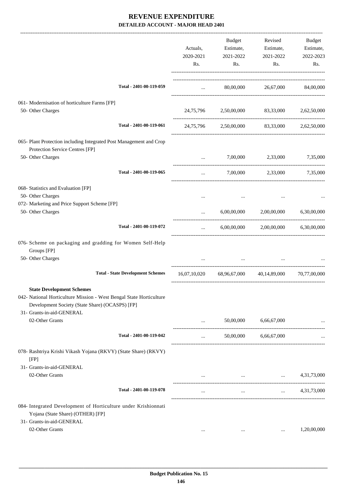|                                                                                                                                                                                         | Actuals,<br>2020-2021<br>Rs. | Budget<br>Estimate,<br>2021-2022<br>Rs. | Revised<br>Estimate,<br>2021-2022<br>Rs.                         | Budget<br>Estimate,<br>2022-2023<br>Rs. |
|-----------------------------------------------------------------------------------------------------------------------------------------------------------------------------------------|------------------------------|-----------------------------------------|------------------------------------------------------------------|-----------------------------------------|
| Total - 2401-00-119-059                                                                                                                                                                 | $\cdots$                     |                                         | 80,00,000 26,67,000 84,00,000                                    |                                         |
| 061- Modernisation of horticulture Farms [FP]<br>50- Other Charges                                                                                                                      |                              |                                         | 24,75,796 2,50,00,000 83,33,000 2,62,50,000                      |                                         |
| Total - 2401-00-119-061                                                                                                                                                                 |                              |                                         | 24,75,796 2,50,00,000 83,33,000 2,62,50,000                      |                                         |
| 065- Plant Protection including Integrated Post Management and Crop<br>Protection Service Centres [FP]<br>50- Other Charges                                                             |                              | 7,00,000                                | 2,33,000                                                         | 7,35,000                                |
| Total - 2401-00-119-065                                                                                                                                                                 | $\cdots$<br>$\cdots$         |                                         | 7,00,000 2,33,000 7,35,000                                       |                                         |
| 068- Statistics and Evaluation [FP]<br>50- Other Charges<br>072- Marketing and Price Support Scheme [FP]<br>50- Other Charges                                                           | $\cdots$                     | 6,00,00,000                             |                                                                  | 2,00,00,000 6,30,00,000                 |
| Total - 2401-00-119-072                                                                                                                                                                 | $\cdots$                     | 6,00,00,000                             | 2,00,00,000                                                      | 6,30,00,000                             |
| 076- Scheme on packaging and gradding for Women Self-Help<br>Groups [FP]<br>50- Other Charges                                                                                           |                              | $\cdots$                                |                                                                  |                                         |
| <b>Total - State Development Schemes</b>                                                                                                                                                |                              |                                         | 16,07,10,020 68,96,67,000 40,14,89,000 70,77,00,000              |                                         |
| <b>State Development Schemes</b><br>042- National Horticulture Mission - West Bengal State Horticulture<br>Development Society (State Share) (OCASPS) [FP]<br>31- Grants-in-aid-GENERAL |                              |                                         |                                                                  |                                         |
| 02-Other Grants                                                                                                                                                                         | $\cdots$                     | 50,00,000                               | 6,66,67,000                                                      | ________________________                |
| Total - 2401-00-119-042                                                                                                                                                                 | $\cdots$                     | 50,00,000                               | 6,66,67,000                                                      |                                         |
| 078- Rashtriya Krishi Vikash Yojana (RKVY) (State Share) (RKVY)<br>[FP]<br>31- Grants-in-aid-GENERAL                                                                                    |                              |                                         |                                                                  |                                         |
| 02-Other Grants                                                                                                                                                                         |                              |                                         | $\Delta\Delta\sim 10^{-11}$<br>the company of the company of the | 4,31,73,000                             |
| Total - 2401-00-119-078                                                                                                                                                                 |                              | $\cdots$                                |                                                                  | $\ldots$ 4,31,73,000                    |
| 084- Integrated Development of Horticulture under Krishionnati<br>Yojana (State Share) (OTHER) [FP]<br>31- Grants-in-aid-GENERAL<br>02-Other Grants                                     | $\cdots$                     | $\cdots$                                | $\cdots$                                                         | 1,20,00,000                             |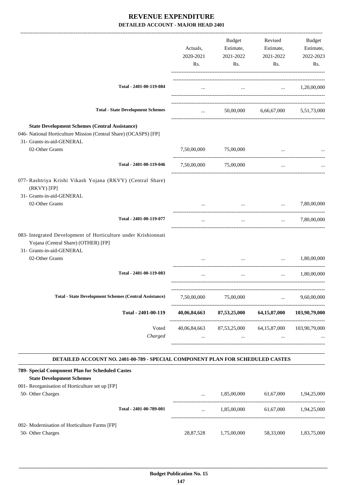|                                                                                                                                                        | Actuals,<br>2020-2021<br>Rs.    | Budget<br>Estimate,<br>2021-2022<br>Rs.                          | Revised<br>Estimate,<br>2021-2022<br>Rs.      | Budget<br>Estimate,<br>2022-2023<br>Rs. |
|--------------------------------------------------------------------------------------------------------------------------------------------------------|---------------------------------|------------------------------------------------------------------|-----------------------------------------------|-----------------------------------------|
|                                                                                                                                                        |                                 |                                                                  |                                               |                                         |
| Total - 2401-00-119-084                                                                                                                                | $\cdots$                        |                                                                  | $\ldots$ $1,20,00,000$                        |                                         |
| <b>Total - State Development Schemes</b>                                                                                                               | $\cdots$ . The same of $\cdots$ |                                                                  | 50,00,000 6,66,67,000 5,51,73,000             |                                         |
| <b>State Development Schemes (Central Assistance)</b><br>046- National Horticulture Mission (Central Share) (OCASPS) [FP]<br>31- Grants-in-aid-GENERAL |                                 |                                                                  |                                               |                                         |
| 02-Other Grants                                                                                                                                        |                                 | 7,50,00,000 75,00,000                                            | $\cdots$                                      |                                         |
| Total - 2401-00-119-046                                                                                                                                |                                 | 7,50,00,000 75,00,000                                            | $\cdots$                                      |                                         |
| 077- Rashtriya Krishi Vikash Yojana (RKVY) (Central Share)<br>(RKVY) [FP]                                                                              |                                 |                                                                  |                                               |                                         |
| 31- Grants-in-aid-GENERAL<br>02-Other Grants                                                                                                           |                                 |                                                                  | $\cdots$<br>and the state of the state of the | 7,80,00,000                             |
| Total - 2401-00-119-077                                                                                                                                | $\cdots$                        | $\cdots$                                                         | $\cdots$                                      | 7,80,00,000                             |
| 083- Integrated Development of Horticulture under Krishionnati<br>Yojana (Central Share) (OTHER) [FP]<br>31- Grants-in-aid-GENERAL                     |                                 |                                                                  |                                               |                                         |
| 02-Other Grants                                                                                                                                        | $\cdots$                        | $\mathbf{r}$ , $\mathbf{r}$                                      | $\ddotsc$                                     | 1,80,00,000                             |
| Total - 2401-00-119-083                                                                                                                                |                                 | $\cdots$                                                         | $\cdots$                                      | 1,80,00,000                             |
| <b>Total - State Development Schemes (Central Assistance)</b>                                                                                          | 7,50,00,000                     | 75,00,000                                                        | $\cdots$                                      | 9,60,00,000                             |
| Total - 2401-00-119                                                                                                                                    | 40,06,84,663                    | 87,53,25,000                                                     | 64,15,87,000                                  | 103,90,79,000                           |
| Voted<br>Charged                                                                                                                                       | $\cdots$                        | 40,06,84,663 87,53,25,000 64,15,87,000 103,90,79,000<br>$\cdots$ |                                               |                                         |
| DETAILED ACCOUNT NO. 2401-00-789 - SPECIAL COMPONENT PLAN FOR SCHEDULED CASTES                                                                         |                                 |                                                                  |                                               |                                         |

| 001- Reorganisation of Horticulture set up [FP] |  |
|-------------------------------------------------|--|
|                                                 |  |

| 50- Other Charges                             |                         | $\cdots$  | 1.85,00,000 | 61.67.000 | 1.94.25.000 |
|-----------------------------------------------|-------------------------|-----------|-------------|-----------|-------------|
|                                               | Total - 2401-00-789-001 | $\cdots$  | 1.85.00.000 | 61.67.000 | 1.94.25.000 |
| 002- Modernisation of Horticulture Farms [FP] |                         |           |             |           |             |
| 50- Other Charges                             |                         | 28,87,528 | 1.75.00.000 | 58,33,000 | 1,83,75,000 |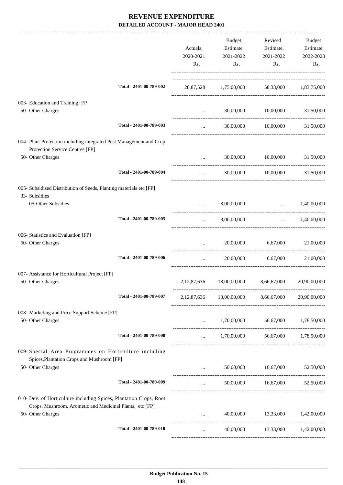|                                                                                                                                |                         | Actuals,<br>2020-2021<br>Rs. | <b>Budget</b><br>Estimate,<br>2021-2022<br>Rs. | Revised<br>Estimate,<br>2021-2022<br>Rs.                              | Budget<br>Estimate,<br>2022-2023<br>Rs. |
|--------------------------------------------------------------------------------------------------------------------------------|-------------------------|------------------------------|------------------------------------------------|-----------------------------------------------------------------------|-----------------------------------------|
|                                                                                                                                | Total - 2401-00-789-002 |                              | 28,87,528 1,75,00,000 58,33,000 1,83,75,000    |                                                                       |                                         |
| 003- Education and Training [FP]<br>50- Other Charges                                                                          |                         | $\cdots$                     | 30,00,000                                      | 10,00,000                                                             | 31,50,000                               |
|                                                                                                                                | Total - 2401-00-789-003 | $\cdots$                     |                                                | 30,00,000 10,00,000                                                   | 31,50,000                               |
| 004- Plant Protection including integrated Pest Management and Crop<br>Protection Service Centres [FP]                         |                         |                              |                                                |                                                                       |                                         |
| 50- Other Charges                                                                                                              |                         | $\cdots$                     | 30,00,000                                      | 10,00,000                                                             | 31,50,000                               |
|                                                                                                                                | Total - 2401-00-789-004 | $\cdots$                     |                                                | 30,00,000 10,00,000                                                   | 31,50,000                               |
| 005- Subsidised Distribution of Seeds, Planting materials etc [FP]<br>33- Subsidies                                            |                         |                              |                                                |                                                                       |                                         |
| 05-Other Subsidies                                                                                                             |                         | $\cdots$                     | 8,00,00,000                                    | $\mathbf{r}$ and $\mathbf{r}$<br>------------------------------------ | 1,40,00,000                             |
|                                                                                                                                | Total - 2401-00-789-005 | $\cdots$                     | 8,00,00,000                                    |                                                                       | $\ldots$ 1,40,00,000                    |
| 006- Statistics and Evaluation [FP]<br>50- Other Charges                                                                       |                         |                              | 20,00,000                                      | 6,67,000                                                              | 21,00,000                               |
|                                                                                                                                | Total - 2401-00-789-006 | $\cdots$                     | 20,00,000                                      | 6,67,000                                                              | 21,00,000                               |
| 007- Assistance for Horticultural Project [FP]<br>50- Other Charges                                                            |                         | 2,12,87,636                  | 18,00,00,000                                   | 8,66,67,000                                                           | 20,90,00,000                            |
|                                                                                                                                | Total - 2401-00-789-007 | 2, 12, 87, 636               | 18,00,00,000                                   | 8,66,67,000                                                           | 20,90,00,000                            |
| 008- Marketing and Price Support Scheme [FP]<br>50- Other Charges                                                              |                         | $\cdots$                     |                                                | 1,70,00,000 56,67,000                                                 | 1,78,50,000                             |
|                                                                                                                                | Total - 2401-00-789-008 | $\cdots$                     |                                                | 1,70,00,000 56,67,000 1,78,50,000                                     |                                         |
| 009- Special Area Programmes on Horticulture including<br>Spices, Plantation Crops and Mushroom [FP]                           |                         |                              |                                                |                                                                       |                                         |
| 50- Other Charges                                                                                                              |                         |                              |                                                | 50,00,000 16,67,000                                                   | 52,50,000                               |
|                                                                                                                                | Total - 2401-00-789-009 | $\cdots$                     |                                                | 50,00,000 16,67,000                                                   | 52,50,000                               |
| 010- Dev. of Horticulture including Spices, Plantation Crops, Root<br>Crops, Mushroom, Arometic and Medicinal Plants, etc [FP] |                         |                              |                                                |                                                                       |                                         |
| 50- Other Charges                                                                                                              |                         |                              | 40,00,000                                      | 13,33,000                                                             | 1,42,00,000                             |
|                                                                                                                                | Total - 2401-00-789-010 | $\cdots$                     |                                                | 40,00,000 13,33,000 1,42,00,000                                       |                                         |
|                                                                                                                                |                         |                              |                                                |                                                                       |                                         |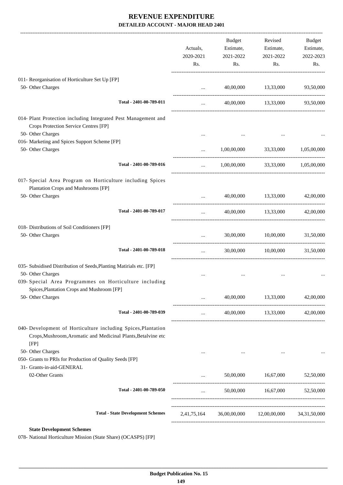|                                                                                                                                        | Actuals,<br>2020-2021<br>Rs. | Budget<br>Estimate,<br>2021-2022<br>Rs. | Revised<br>Estimate,<br>2021-2022<br>Rs. | Budget<br>Estimate,<br>2022-2023<br>Rs. |
|----------------------------------------------------------------------------------------------------------------------------------------|------------------------------|-----------------------------------------|------------------------------------------|-----------------------------------------|
| 011- Reorganisation of Horticulture Set Up [FP]<br>50- Other Charges                                                                   | $\cdots$                     | 40,00,000                               | 13,33,000                                | 93,50,000                               |
| Total - 2401-00-789-011                                                                                                                | $\cdots$                     |                                         | 40,00,000 13,33,000                      | 93,50,000                               |
| 014- Plant Protection including Integrated Pest Management and<br>Crops Protection Service Centres [FP]                                |                              |                                         |                                          |                                         |
| 50- Other Charges<br>016- Marketing and Spices Support Scheme [FP]                                                                     |                              |                                         |                                          |                                         |
| 50- Other Charges                                                                                                                      | $\cdots$                     |                                         | 1,00,00,000 33,33,000                    | 1,05,00,000                             |
| Total - 2401-00-789-016                                                                                                                | $\cdots$                     | 1,00,00,000                             | 33,33,000                                | 1,05,00,000                             |
| 017- Special Area Program on Horticulture including Spices<br>Plantation Crops and Mushrooms [FP]                                      |                              |                                         |                                          |                                         |
| 50- Other Charges                                                                                                                      | $\cdots$                     | 40,00,000                               | 13,33,000                                | 42,00,000                               |
| Total - 2401-00-789-017                                                                                                                | $\cdots$                     |                                         | 40,00,000 13,33,000                      | 42,00,000                               |
| 018- Distributions of Soil Conditioners [FP]<br>50- Other Charges                                                                      |                              | 30,00,000                               | 10,00,000                                | 31,50,000                               |
| Total - 2401-00-789-018                                                                                                                | $\cdots$                     | 30,00,000                               | 10,00,000                                | 31,50,000                               |
| 035- Subsidised Distribution of Seeds, Planting Matirials etc. [FP]                                                                    |                              |                                         |                                          |                                         |
| 50- Other Charges<br>039- Special Area Programmes on Horticulture including<br>Spices, Plantation Crops and Mushroom [FP]              |                              |                                         |                                          |                                         |
| 50- Other Charges                                                                                                                      | $\cdots$                     | 40,00,000                               | 13,33,000                                | 42,00,000                               |
| Total - 2401-00-789-039                                                                                                                |                              |                                         | 40,00,000 13,33,000                      | 42,00,000                               |
| 040- Development of Horticulture including Spices, Plantation<br>Crops, Mushroom, Aromatic and Medicinal Plants, Betalvine etc<br>[FP] |                              |                                         |                                          |                                         |
| 50- Other Charges<br>050- Grants to PRIs for Production of Quality Seeds [FP]<br>31- Grants-in-aid-GENERAL                             |                              |                                         |                                          |                                         |
| 02-Other Grants                                                                                                                        |                              |                                         | 50,00,000 16,67,000                      | 52,50,000                               |
| Total - 2401-00-789-050                                                                                                                | $\cdots$                     |                                         |                                          |                                         |
| <b>Total - State Development Schemes</b>                                                                                               | 2,41,75,164                  |                                         | 36,00,00,000 12,00,00,000                | 34, 31, 50, 000                         |
|                                                                                                                                        |                              |                                         |                                          |                                         |

#### **State Development Schemes**

078- National Horticulture Mission (State Share) (OCASPS) [FP]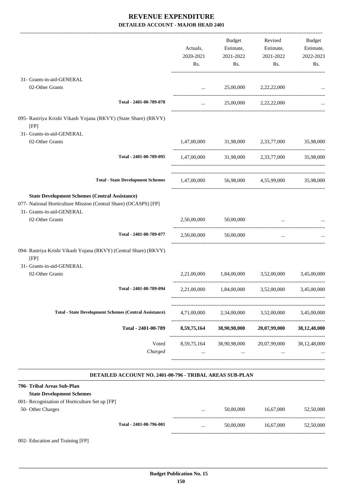|                                                                                                                                                        | Actuals,<br>2020-2021 | Budget<br>Estimate,<br>2021-2022                | Revised<br>Estimate,<br>2021-2022 | Budget<br>Estimate,<br>2022-2023 |
|--------------------------------------------------------------------------------------------------------------------------------------------------------|-----------------------|-------------------------------------------------|-----------------------------------|----------------------------------|
|                                                                                                                                                        | Rs.                   | Rs.                                             | Rs.                               | Rs.                              |
| 31- Grants-in-aid-GENERAL<br>02-Other Grants                                                                                                           | and the state         |                                                 | 25,00,000 2,22,22,000             |                                  |
| Total - 2401-00-789-078                                                                                                                                | $\cdots$              |                                                 | 25,00,000 2,22,22,000             |                                  |
| 095- Rastriya Krishi Vikash Yojana (RKVY) (State Share) (RKVY)<br>[FP]                                                                                 |                       |                                                 |                                   |                                  |
| 31- Grants-in-aid-GENERAL                                                                                                                              |                       |                                                 |                                   |                                  |
| 02-Other Grants                                                                                                                                        |                       | 1,47,00,000 31,98,000 2,33,77,000               |                                   | 35,98,000                        |
| Total - 2401-00-789-095                                                                                                                                | 1,47,00,000           |                                                 | 31,98,000 2,33,77,000 35,98,000   |                                  |
| <b>Total - State Development Schemes</b>                                                                                                               |                       | 1,47,00,000 56,98,000 4,55,99,000 35,98,000     |                                   |                                  |
| <b>State Development Schemes (Central Assistance)</b><br>077- National Horticulture Mission (Central Share) (OCASPS) [FP]<br>31- Grants-in-aid-GENERAL |                       |                                                 |                                   |                                  |
| 02-Other Grants                                                                                                                                        | 2,50,00,000           | 50,00,000                                       |                                   |                                  |
| Total - 2401-00-789-077                                                                                                                                | 2,50,00,000           | 50,00,000                                       | $\cdots$                          |                                  |
| 094- Rastriya Krishi Vikash Yojana (RKVY) (Central Share) (RKVY)<br>[FP]                                                                               |                       |                                                 |                                   |                                  |
| 31- Grants-in-aid-GENERAL<br>02-Other Grants                                                                                                           |                       | 2,21,00,000 1,84,00,000 3,52,00,000             |                                   | 3,45,00,000                      |
| Total - 2401-00-789-094                                                                                                                                |                       | 2,21,00,000 1,84,00,000 3,52,00,000 3,45,00,000 |                                   |                                  |
| <b>Total - State Development Schemes (Central Assistance)</b>                                                                                          | 4,71,00,000           | 2,34,00,000                                     | 3,52,00,000                       | 3,45,00,000                      |
| Total - 2401-00-789                                                                                                                                    | 8,59,75,164           | 38,90,98,000                                    | 20,07,99,000                      | 38,12,48,000                     |
| Voted<br>Charged                                                                                                                                       | 8,59,75,164           | 38,90,98,000<br>                                | 20,07,99,000<br>$\ddotsc$         | 38,12,48,000                     |

#### **DETAILED ACCOUNT NO. 2401-00-796 - TRIBAL AREAS SUB-PLAN .**

#### **796- Tribal Areas Sub-Plan**

| <b>State Development Schemes</b>                |                         |          |           |           |           |
|-------------------------------------------------|-------------------------|----------|-----------|-----------|-----------|
| 001 - Recognisation of Horticulture Set up [FP] |                         |          |           |           |           |
| 50- Other Charges                               |                         | $\cdots$ | 50,00,000 | 16.67.000 | 52,50,000 |
|                                                 | Total - 2401-00-796-001 | $\cdots$ | 50,00,000 | 16.67.000 | 52,50,000 |
|                                                 |                         |          |           |           |           |

002- Education and Training [FP]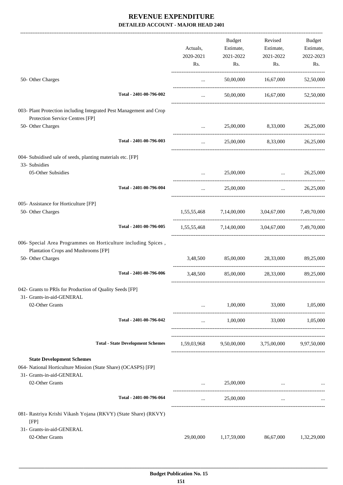|                                                                                                        |                                          |             | Budget                       | Revised                                         | Budget      |
|--------------------------------------------------------------------------------------------------------|------------------------------------------|-------------|------------------------------|-------------------------------------------------|-------------|
|                                                                                                        |                                          | Actuals,    | Estimate,                    | Estimate,                                       | Estimate,   |
|                                                                                                        |                                          | 2020-2021   | 2021-2022                    | 2021-2022                                       | 2022-2023   |
|                                                                                                        |                                          | Rs.         | Rs.                          | Rs.                                             | Rs.         |
| 50- Other Charges                                                                                      |                                          | $\cdots$    |                              |                                                 | 52,50,000   |
|                                                                                                        | Total - 2401-00-796-002                  | $\cdots$    |                              | 50,00,000 16,67,000                             | 52,50,000   |
|                                                                                                        |                                          |             |                              |                                                 |             |
| 003- Plant Protection including Integrated Pest Management and Crop<br>Protection Service Centres [FP] |                                          |             |                              |                                                 |             |
| 50- Other Charges                                                                                      |                                          | $\cdots$    | 25,00,000                    | 8,33,000                                        | 26,25,000   |
|                                                                                                        | Total - 2401-00-796-003                  | $\cdots$    | 25,00,000                    | 8,33,000                                        | 26,25,000   |
| 004- Subsidised sale of seeds, planting materials etc. [FP]                                            |                                          |             |                              |                                                 |             |
| 33- Subsidies                                                                                          |                                          |             |                              |                                                 |             |
| 05-Other Subsidies                                                                                     |                                          | $\cdots$    | 25,00,000                    | $\mathbf{r}$ and $\mathbf{r}$ and $\mathbf{r}$  | 26,25,000   |
|                                                                                                        | Total - 2401-00-796-004                  | $\cdots$    | 25,00,000                    | $\mathbf{r}$ and $\mathbf{r}$ and $\mathbf{r}$  | 26,25,000   |
| 005- Assistance for Horticulture [FP]                                                                  |                                          |             |                              |                                                 |             |
| 50- Other Charges                                                                                      |                                          |             |                              | 1,55,55,468 7,14,00,000 3,04,67,000 7,49,70,000 |             |
|                                                                                                        | Total - 2401-00-796-005                  |             | 1,55,55,468 7,14,00,000      | 3,04,67,000 7,49,70,000                         |             |
| 006- Special Area Programmes on Horticulture including Spices,<br>Plantation Crops and Mushrooms [FP]  |                                          |             |                              |                                                 |             |
| 50- Other Charges                                                                                      |                                          |             | 3,48,500 85,00,000 28,33,000 |                                                 | 89,25,000   |
|                                                                                                        | Total - 2401-00-796-006                  |             |                              | 3,48,500 85,00,000 28,33,000                    | 89,25,000   |
| 042- Grants to PRIs for Production of Quality Seeds [FP]                                               |                                          |             |                              |                                                 |             |
| 31- Grants-in-aid-GENERAL                                                                              |                                          |             |                              |                                                 |             |
| 02-Other Grants                                                                                        |                                          |             | 1,00,000                     | 33,000                                          | 1,05,000    |
|                                                                                                        | Total - 2401-00-796-042                  | $\cdots$    | 1,00,000                     | 33,000                                          | 1,05,000    |
|                                                                                                        | <b>Total - State Development Schemes</b> | 1,59,03,968 |                              | 9,50,00,000 3,75,00,000                         | 9,97,50,000 |
|                                                                                                        |                                          |             |                              |                                                 |             |
| <b>State Development Schemes</b>                                                                       |                                          |             |                              |                                                 |             |
| 064- National Horticulture Mission (State Share) (OCASPS) [FP]                                         |                                          |             |                              |                                                 |             |
| 31- Grants-in-aid-GENERAL                                                                              |                                          |             |                              |                                                 |             |
| 02-Other Grants                                                                                        |                                          | $\cdots$    | 25,00,000                    |                                                 |             |
|                                                                                                        | Total - 2401-00-796-064                  | $\cdots$    | 25,00,000                    | $\cdots$                                        |             |
| 081- Rastriya Krishi Vikash Yojana (RKVY) (State Share) (RKVY)                                         |                                          |             |                              |                                                 |             |
| [FP]<br>31- Grants-in-aid-GENERAL                                                                      |                                          |             |                              |                                                 |             |
| 02-Other Grants                                                                                        |                                          | 29,00,000   | 1,17,59,000                  | 86,67,000                                       | 1,32,29,000 |
|                                                                                                        |                                          |             |                              |                                                 |             |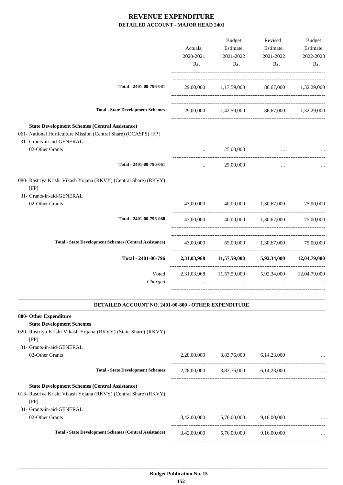|                                                                                                                                                                           | Actuals,<br>2020-2021<br>Rs. | Budget<br>Estimate,<br>2021-2022<br>Rs.           | Revised<br>Estimate,<br>2021-2022<br>Rs. | Budget<br>Estimate,<br>2022-2023<br>Rs. |
|---------------------------------------------------------------------------------------------------------------------------------------------------------------------------|------------------------------|---------------------------------------------------|------------------------------------------|-----------------------------------------|
| Total - 2401-00-796-081                                                                                                                                                   |                              | 29,00,000 1,17,59,000 86,67,000 1,32,29,000       |                                          |                                         |
| <b>Total - State Development Schemes</b>                                                                                                                                  |                              | 29,00,000 1,42,59,000 86,67,000 1,32,29,000       |                                          |                                         |
| <b>State Development Schemes (Central Assistance)</b><br>061- National Horticulture Mission (Central Share) (OCASPS) [FP]<br>31- Grants-in-aid-GENERAL<br>02-Other Grants |                              | 25,00,000                                         |                                          |                                         |
|                                                                                                                                                                           |                              |                                                   |                                          |                                         |
| Total - 2401-00-796-061                                                                                                                                                   | $\cdots$                     | 25,00,000                                         | $\cdots$                                 |                                         |
| 080- Rastriya Krishi Vikash Yojana (RKVY) (Central Share) (RKVY)<br>[FP]<br>31- Grants-in-aid-GENERAL                                                                     |                              |                                                   |                                          |                                         |
| 02-Other Grants                                                                                                                                                           |                              | 43,00,000 40,00,000 1,30,67,000 75,00,000         |                                          |                                         |
| Total - 2401-00-796-080                                                                                                                                                   | 43,00,000                    |                                                   | 40,00,000 1,30,67,000 75,00,000          |                                         |
| <b>Total - State Development Schemes (Central Assistance)</b>                                                                                                             |                              | 43,00,000 65,00,000 1,30,67,000 75,00,000         |                                          |                                         |
| Total - 2401-00-796                                                                                                                                                       |                              | 2,31,03,968 11,57,59,000 5,92,34,000 12,04,79,000 |                                          |                                         |
| Voted<br>Charged                                                                                                                                                          | $\cdots$                     | 2,31,03,968 11,57,59,000 5,92,34,000<br>$\cdots$  | $\cdots$                                 | 12,04,79,000                            |
| <b>DETAILED ACCOUNT NO. 2401-00-800 - OTHER EXPENDITURE</b>                                                                                                               |                              |                                                   |                                          |                                         |
| 800- Other Expenditure<br><b>State Development Schemes</b><br>020- Rastriya Krishi Vikash Yojana (RKVY) (State Share) (RKVY)<br>[FP]<br>31- Grants-in-aid-GENERAL         |                              |                                                   |                                          |                                         |
| 02-Other Grants                                                                                                                                                           | 2,28,00,000                  | 3,83,76,000                                       | 6,14,23,000                              |                                         |
| <b>Total - State Development Schemes</b>                                                                                                                                  | 2,28,00,000                  | 3,83,76,000                                       | 6,14,23,000                              |                                         |
| <b>State Development Schemes (Central Assistance)</b><br>013- Rastriya Krishi Vikash Yojana (RKVY) (Central Share) (RKVY)<br>[FP]<br>31- Grants-in-aid-GENERAL            |                              |                                                   |                                          |                                         |
| 02-Other Grants                                                                                                                                                           | 3,42,00,000                  | 5,76,00,000                                       | 9,16,00,000                              |                                         |
| <b>Total - State Development Schemes (Central Assistance)</b>                                                                                                             | 3,42,00,000                  | 5,76,00,000                                       | 9,16,00,000                              |                                         |

-----------------------------------------------------------------------------------------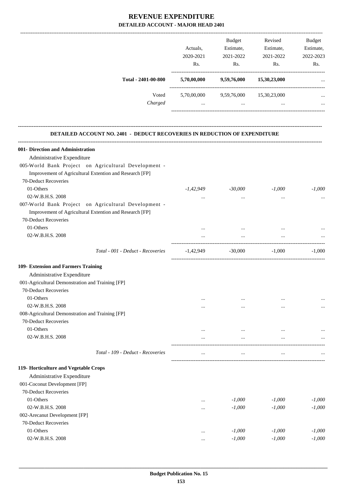|                                                                                  | Actuals,<br>2020-2021<br>Rs.<br>5,70,00,000 | Budget<br>Estimate,<br>2021-2022<br>Rs.        | Revised<br>Estimate,<br>2021-2022<br>Rs. | <b>Budget</b><br>Estimate,<br>2022-2023<br>Rs. |
|----------------------------------------------------------------------------------|---------------------------------------------|------------------------------------------------|------------------------------------------|------------------------------------------------|
| Total - 2401-00-800                                                              |                                             | 9,59,76,000                                    | 15,30,23,000                             |                                                |
| Voted                                                                            |                                             | 5,70,00,000 9,59,76,000 15,30,23,000           |                                          |                                                |
| Charged                                                                          | $\cdots$                                    | $\mathbf{1}$ and $\mathbf{1}$ and $\mathbf{1}$ | $\cdots$                                 |                                                |
| <b>DETAILED ACCOUNT NO. 2401 - DEDUCT RECOVERIES IN REDUCTION OF EXPENDITURE</b> |                                             |                                                |                                          |                                                |
| 001- Direction and Administration                                                |                                             |                                                |                                          |                                                |
| Administrative Expenditure                                                       |                                             |                                                |                                          |                                                |
| 005-World Bank Project on Agricultural Development -                             |                                             |                                                |                                          |                                                |
| Improvement of Agricultural Extention and Research [FP]                          |                                             |                                                |                                          |                                                |
| 70-Deduct Recoveries                                                             |                                             |                                                |                                          |                                                |
| 01-Others                                                                        | -1,42,949                                   | -30,000                                        | $-1,000$                                 | $-1,000$                                       |
|                                                                                  |                                             |                                                |                                          |                                                |
| 02-W.B.H.S. 2008                                                                 | $\cdots$                                    | $\cdots$                                       | $\cdots$                                 |                                                |
| 007-World Bank Project on Agricultural Development -                             |                                             |                                                |                                          |                                                |
| Improvement of Agricultural Extention and Research [FP]                          |                                             |                                                |                                          |                                                |
| 70-Deduct Recoveries                                                             |                                             |                                                |                                          |                                                |
| 01-Others                                                                        |                                             |                                                |                                          |                                                |
| 02-W.B.H.S. 2008                                                                 | $\cdots$                                    | $\cdots$                                       | $\cdots$                                 |                                                |
| Total - 001 - Deduct - Recoveries                                                | -1,42,949                                   | $-30,000$                                      | $-1,000$                                 | $-1,000$                                       |
| 109- Extension and Farmers Training                                              |                                             |                                                |                                          |                                                |
| Administrative Expenditure                                                       |                                             |                                                |                                          |                                                |
| 001-Agricultural Demonstration and Training [FP]                                 |                                             |                                                |                                          |                                                |
| 70-Deduct Recoveries                                                             |                                             |                                                |                                          |                                                |
| 01-Others                                                                        | $\cdots$                                    | $\cdots$                                       |                                          |                                                |
| 02-W.B.H.S. 2008                                                                 |                                             |                                                |                                          | $\cdots$                                       |
| 008-Agricultural Demonstration and Training [FP]                                 |                                             |                                                |                                          |                                                |
| 70-Deduct Recoveries                                                             |                                             |                                                |                                          |                                                |
| 01-Others                                                                        |                                             |                                                |                                          |                                                |
| 02-W.B.H.S. 2008                                                                 | $\cdots$                                    | $\cdots$                                       | $\cdots$                                 |                                                |
|                                                                                  |                                             |                                                |                                          |                                                |
| Total - 109 - Deduct - Recoveries                                                |                                             | $\cdots$                                       | $\cdots$                                 |                                                |
| 119- Horticulture and Vegetable Crops                                            |                                             |                                                |                                          |                                                |
| Administrative Expenditure                                                       |                                             |                                                |                                          |                                                |
| 001-Coconut Development [FP]                                                     |                                             |                                                |                                          |                                                |
| 70-Deduct Recoveries                                                             |                                             |                                                |                                          |                                                |
| 01-Others                                                                        |                                             | $-1,000$                                       | $-1,000$                                 | $-1,000$                                       |
| 02-W.B.H.S. 2008                                                                 | $\cdots$                                    | $-1,000$                                       | $-1,000$                                 | $-1,000$                                       |
| 002-Arecanut Development [FP]                                                    |                                             |                                                |                                          |                                                |
| 70-Deduct Recoveries                                                             |                                             |                                                |                                          |                                                |
|                                                                                  |                                             |                                                |                                          |                                                |
| 01-Others                                                                        | $\cdots$                                    | $-1,000$                                       | $-1,000$                                 | $-1,000$                                       |
| 02-W.B.H.S. 2008                                                                 | $\cdots$                                    | $-1,000$                                       | $-1,000$                                 | $-1,000$                                       |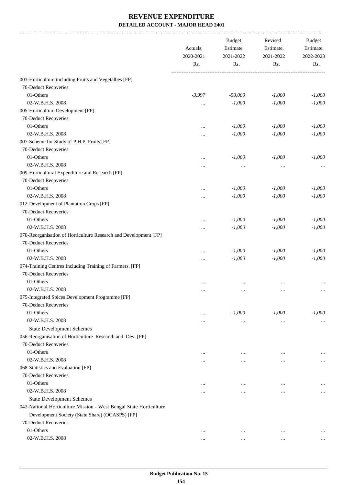|                                                                    | Actuals,<br>2020-2021 | <b>Budget</b><br>Estimate,<br>2021-2022 | Revised<br>Estimate,<br>2021-2022 | Budget<br>Estimate,<br>2022-2023 |
|--------------------------------------------------------------------|-----------------------|-----------------------------------------|-----------------------------------|----------------------------------|
|                                                                    | Rs.                   | Rs.                                     | Rs.                               | Rs.                              |
| 003-Horticulture including Fruits and Vegetalbes [FP]              |                       |                                         |                                   |                                  |
| 70-Deduct Recoveries                                               |                       |                                         |                                   |                                  |
| 01-Others                                                          | $-3,997$              | $-50,000$                               | $-1,000$                          | $-1,000$                         |
| 02-W.B.H.S. 2008                                                   |                       | $-1,000$                                | $-1,000$                          | $-1,000$                         |
| 005-Horticulture Development [FP]                                  |                       |                                         |                                   |                                  |
| 70-Deduct Recoveries                                               |                       |                                         |                                   |                                  |
| 01-Others                                                          |                       | $-1,000$                                | $-1,000$                          | $-1,000$                         |
| 02-W.B.H.S. 2008                                                   |                       | $-1,000$                                | $-1,000$                          | $-1,000$                         |
| 007-Scheme for Study of P.H.P. Fruits [FP]                         |                       |                                         |                                   |                                  |
| 70-Deduct Recoveries                                               |                       |                                         |                                   |                                  |
| 01-Others                                                          |                       | $-1,000$                                | $-1,000$                          | $-1,000$                         |
| 02-W.B.H.S. 2008                                                   |                       |                                         |                                   |                                  |
| 009-Horticultural Expenditure and Research [FP]                    |                       | $\cdots$                                | $\cdots$                          |                                  |
| 70-Deduct Recoveries                                               |                       |                                         |                                   |                                  |
| 01-Others                                                          |                       | $-1,000$                                | $-1,000$                          | $-1,000$                         |
| 02-W.B.H.S. 2008                                                   |                       | $-1,000$                                | $-1,000$                          | $-1,000$                         |
| 012-Development of Plantation Crops [FP]                           |                       |                                         |                                   |                                  |
| 70-Deduct Recoveries                                               |                       |                                         |                                   |                                  |
| 01-Others                                                          |                       | $-1,000$                                | $-1,000$                          | $-1,000$                         |
| 02-W.B.H.S. 2008                                                   |                       |                                         |                                   |                                  |
|                                                                    |                       | $-1,000$                                | $-1,000$                          | $-1,000$                         |
| 070-Reorganisation of Horticulture Research and Development [FP]   |                       |                                         |                                   |                                  |
| 70-Deduct Recoveries                                               |                       |                                         |                                   |                                  |
| 01-Others                                                          |                       | $-1,000$                                | $-1,000$                          | $-1,000$                         |
| 02-W.B.H.S. 2008                                                   |                       | $-1,000$                                | $-1,000$                          | $-1,000$                         |
| 074-Training Centres Including Training of Farmers. [FP]           |                       |                                         |                                   |                                  |
| 70-Deduct Recoveries                                               |                       |                                         |                                   |                                  |
| 01-Others                                                          | $\ddotsc$             | $\ddotsc$                               | $\ddotsc$                         |                                  |
| 02-W.B.H.S. 2008                                                   | $\cdots$              | $\ldots$                                | $\cdots$                          | $\cdots$                         |
| 075-Integrated Spices Development Programme [FP]                   |                       |                                         |                                   |                                  |
| 70-Deduct Recoveries                                               |                       |                                         |                                   |                                  |
| 01-Others                                                          | $\cdots$              | $-1,000$                                | $-1,000$                          | $-1,000$                         |
| 02-W.B.H.S. 2008                                                   |                       | $\cdots$                                | $\cdots$                          | $\cdots$                         |
| <b>State Development Schemes</b>                                   |                       |                                         |                                   |                                  |
| 056-Reorganisation of Horticulture Research and Dev. [FP]          |                       |                                         |                                   |                                  |
| 70-Deduct Recoveries                                               |                       |                                         |                                   |                                  |
| 01-Others                                                          |                       | $\ddotsc$                               |                                   |                                  |
| 02-W.B.H.S. 2008                                                   |                       |                                         |                                   | $\cdots$                         |
| 068-Statistics and Evaluation [FP]                                 |                       |                                         |                                   |                                  |
| 70-Deduct Recoveries                                               |                       |                                         |                                   |                                  |
| 01-Others                                                          |                       | $\ddotsc$                               | $\ddotsc$                         |                                  |
| 02-W.B.H.S. 2008                                                   |                       | $\ddotsc$                               | $\ddotsc$                         | $\cdots$                         |
| <b>State Development Schemes</b>                                   |                       |                                         |                                   |                                  |
| 042-National Horticulture Mission - West Bengal State Horticulture |                       |                                         |                                   |                                  |
| Development Society (State Share) (OCASPS) [FP]                    |                       |                                         |                                   |                                  |
| 70-Deduct Recoveries                                               |                       |                                         |                                   |                                  |
| 01-Others                                                          | $\cdots$              | $\cdots$                                | $\cdots$                          |                                  |
| 02-W.B.H.S. 2008                                                   | $\cdots$              | $\cdots$                                | $\cdots$                          |                                  |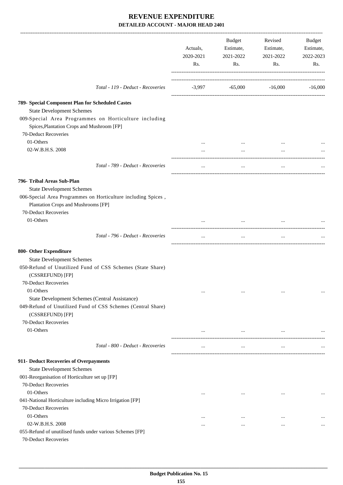|                                                                                                     | Actuals,<br>2020-2021<br>Rs. | Budget<br>Estimate,<br>2021-2022<br>Rs. | Revised<br>Estimate,<br>2021-2022<br>Rs. | Budget<br>Estimate,<br>2022-2023<br>Rs. |
|-----------------------------------------------------------------------------------------------------|------------------------------|-----------------------------------------|------------------------------------------|-----------------------------------------|
| Total - 119 - Deduct - Recoveries                                                                   |                              | $-3,997$ $-65,000$ $-16,000$ $-16,000$  |                                          |                                         |
| 789- Special Component Plan for Scheduled Castes                                                    |                              |                                         |                                          |                                         |
| <b>State Development Schemes</b>                                                                    |                              |                                         |                                          |                                         |
| 009-Special Area Programmes on Horticulture including<br>Spices, Plantation Crops and Mushroom [FP] |                              |                                         |                                          |                                         |
| 70-Deduct Recoveries                                                                                |                              |                                         |                                          |                                         |
| 01-Others                                                                                           |                              |                                         |                                          |                                         |
| 02-W.B.H.S. 2008                                                                                    |                              | $\cdots$                                | $\cdots$                                 |                                         |
| Total - 789 - Deduct - Recoveries                                                                   |                              | $\cdots$                                | $\cdots$                                 |                                         |
| 796- Tribal Areas Sub-Plan                                                                          |                              |                                         |                                          |                                         |
| <b>State Development Schemes</b>                                                                    |                              |                                         |                                          |                                         |
| 006-Special Area Programmes on Horticulture including Spices,                                       |                              |                                         |                                          |                                         |
| Plantation Crops and Mushrooms [FP]                                                                 |                              |                                         |                                          |                                         |
| 70-Deduct Recoveries                                                                                |                              |                                         |                                          |                                         |
| 01-Others                                                                                           |                              |                                         |                                          |                                         |
|                                                                                                     |                              |                                         |                                          |                                         |
| Total - 796 - Deduct - Recoveries                                                                   | $\cdots$                     | $\ldots$                                | $\cdots$                                 |                                         |
| 800- Other Expenditure                                                                              |                              |                                         |                                          |                                         |
| <b>State Development Schemes</b>                                                                    |                              |                                         |                                          |                                         |
| 050-Refund of Unutilized Fund of CSS Schemes (State Share)<br>(CSSREFUND) [FP]                      |                              |                                         |                                          |                                         |
| 70-Deduct Recoveries                                                                                |                              |                                         |                                          |                                         |
| 01-Others                                                                                           | $\cdots$                     | $\cdots$                                | $\ddotsc$                                | $\cdots$                                |
| State Development Schemes (Central Assistance)                                                      |                              |                                         |                                          |                                         |
| 049-Refund of Unutilized Fund of CSS Schemes (Central Share)<br>(CSSREFUND) [FP]                    |                              |                                         |                                          |                                         |
| 70-Deduct Recoveries                                                                                |                              |                                         |                                          |                                         |
| 01-Others                                                                                           | $\cdots$                     | $\cdots$                                | $\cdots$                                 |                                         |
| Total - 800 - Deduct - Recoveries                                                                   | $\cdots$                     | $\cdots$                                | $\cdots$                                 |                                         |
| 911- Deduct Recoveries of Overpayments                                                              |                              |                                         |                                          |                                         |
| <b>State Development Schemes</b>                                                                    |                              |                                         |                                          |                                         |
| 001-Reorganisation of Horticulture set up [FP]                                                      |                              |                                         |                                          |                                         |
| 70-Deduct Recoveries                                                                                |                              |                                         |                                          |                                         |
| 01-Others                                                                                           | $\cdots$                     | $\cdots$                                | $\cdots$                                 |                                         |
| 041-National Horticulture including Micro Irrigation [FP]                                           |                              |                                         |                                          |                                         |
| 70-Deduct Recoveries                                                                                |                              |                                         |                                          |                                         |
| 01-Others                                                                                           | $\cdots$                     | $\cdots$                                | $\cdots$                                 |                                         |
| 02-W.B.H.S. 2008                                                                                    | $\cdots$                     | $\cdots$                                | $\cdots$                                 | $\cdots$                                |
| 055-Refund of unutilised funds under various Schemes [FP]                                           |                              |                                         |                                          |                                         |
| 70-Deduct Recoveries                                                                                |                              |                                         |                                          |                                         |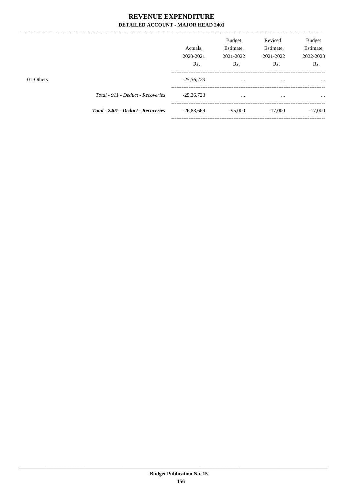$---$ 

|           |                                    | Actuals.<br>2020-2021<br>Rs. | <b>Budget</b><br>Estimate,<br>2021-2022<br>Rs. | Revised<br>Estimate,<br>2021-2022<br>Rs. | <b>Budget</b><br>Estimate,<br>2022-2023<br>Rs. |
|-----------|------------------------------------|------------------------------|------------------------------------------------|------------------------------------------|------------------------------------------------|
| 01-Others |                                    | $-25,36,723$                 | $\cdots$                                       | $\cdots$                                 |                                                |
|           | Total - 911 - Deduct - Recoveries  | $-25,36,723$                 | $\cdots$                                       | $\cdots$                                 | $\cdots$                                       |
|           | Total - 2401 - Deduct - Recoveries | $-26,83,669$                 | $-95,000$                                      | $-17,000$                                | $-17,000$                                      |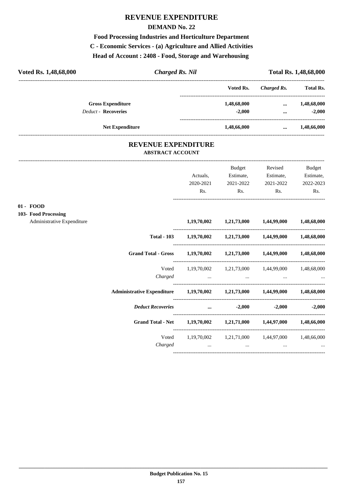## **REVENUE EXPENDITURE**

#### **DEMAND No. 22**

**Food Processing Industries and Horticulture Department C - Economic Services - (a) Agriculture and Allied Activities Head of Account : 2408 - Food, Storage and Warehousing** 

| Voted Rs. 1,48,68,000 | <b>Charged Rs. Nil</b><br>Voted Rs.<br><b>Gross Expenditure</b><br>1,48,68,000<br>$-2,000$<br><b>Deduct - Recoveries</b><br><b>Net Expenditure</b><br>1,48,66,000 | <b>Total Rs. 1,48,68,000</b> |             |                  |
|-----------------------|-------------------------------------------------------------------------------------------------------------------------------------------------------------------|------------------------------|-------------|------------------|
|                       |                                                                                                                                                                   |                              | Charged Rs. | <b>Total Rs.</b> |
|                       |                                                                                                                                                                   |                              | $\cdots$    | 1,48,68,000      |
|                       |                                                                                                                                                                   |                              |             | $-2,000$         |
|                       |                                                                                                                                                                   |                              | $\cdots$    | 1,48,66,000      |
|                       | <b>REVENUE EXPENDITURE</b><br>A DETER A CT A CCOLINT                                                                                                              |                              |             |                  |

| <b>REVENUE EXPENDITURE</b> |
|----------------------------|
| <b>ABSTRACT ACCOUNT</b>    |
|                            |

|                                     |                                                                     |           | Budget         | Revised                                                     | <b>Budget</b> |
|-------------------------------------|---------------------------------------------------------------------|-----------|----------------|-------------------------------------------------------------|---------------|
|                                     |                                                                     | Actuals,  | Estimate,      | Estimate,                                                   | Estimate,     |
|                                     |                                                                     | 2020-2021 | 2021-2022      | 2021-2022                                                   | 2022-2023     |
|                                     |                                                                     | Rs.       | $\mathbf{Rs.}$ | Rs.                                                         | Rs.           |
| $01 - FOOD$<br>103- Food Processing |                                                                     |           |                |                                                             |               |
| Administrative Expenditure          |                                                                     |           |                | $1,19,70,002$ $1,21,73,000$ $1,44,99,000$ $1,48,68,000$     |               |
|                                     |                                                                     |           |                | Total - 103 1,19,70,002 1,21,73,000 1,44,99,000 1,48,68,000 |               |
|                                     | Grand Total - Gross 1,19,70,002 1,21,73,000 1,44,99,000 1,48,68,000 |           |                |                                                             |               |
|                                     |                                                                     |           |                | Voted 1,19,70,002 1,21,73,000 1,44,99,000 1,48,68,000       |               |
|                                     |                                                                     | Charged   |                |                                                             |               |
|                                     |                                                                     |           |                |                                                             |               |
|                                     | <b>Deduct Recoveries</b>                                            |           |                | $-2,000$ $-2,000$ $-2,000$ $-2,000$                         |               |
|                                     | Grand Total - Net 1,19,70,002 1,21,71,000 1,44,97,000 1,48,66,000   |           |                |                                                             |               |
|                                     |                                                                     |           |                | Voted 1,19,70,002 1,21,71,000 1,44,97,000 1,48,66,000       |               |
|                                     |                                                                     | Charged   |                | $\cdots$                                                    |               |
|                                     |                                                                     |           |                |                                                             |               |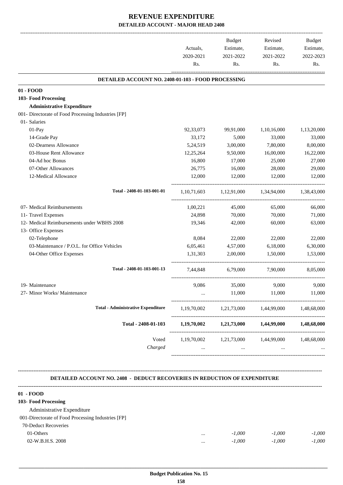|                                                     | Actuals,<br>2020-2021 | <b>Budget</b><br>Estimate,<br>2021-2022 | Revised<br>Estimate,<br>2021-2022 | <b>Budget</b><br>Estimate,<br>2022-2023 |
|-----------------------------------------------------|-----------------------|-----------------------------------------|-----------------------------------|-----------------------------------------|
|                                                     | Rs.                   | Rs.                                     | Rs.                               | Rs.                                     |
| DETAILED ACCOUNT NO. 2408-01-103 - FOOD PROCESSING  |                       |                                         |                                   |                                         |
| 01 - FOOD                                           |                       |                                         |                                   |                                         |
| 103- Food Processing                                |                       |                                         |                                   |                                         |
| <b>Administrative Expenditure</b>                   |                       |                                         |                                   |                                         |
| 001- Directorate of Food Processing Industries [FP] |                       |                                         |                                   |                                         |
| 01- Salaries                                        |                       |                                         |                                   |                                         |
| 01-Pay                                              | 92,33,073             | 99,91,000                               | 1,10,16,000                       | 1,13,20,000                             |
| 14-Grade Pay                                        | 33,172                | 5,000                                   | 33,000                            | 33,000                                  |
| 02-Dearness Allowance                               | 5,24,519              | 3,00,000                                | 7,80,000                          | 8,00,000                                |
| 03-House Rent Allowance                             | 12,25,264             | 9,50,000                                | 16,00,000                         | 16,22,000                               |
| 04-Ad hoc Bonus                                     | 16,800                | 17,000                                  | 25,000                            | 27,000                                  |
| 07-Other Allowances                                 | 26,775                | 16,000                                  | 28,000                            | 29,000                                  |
| 12-Medical Allowance                                | 12,000                | 12,000                                  | 12,000                            | 12,000                                  |
| Total - 2408-01-103-001-01                          | 1, 10, 71, 603        | 1,12,91,000                             | 1,34,94,000                       | 1,38,43,000                             |
| 07- Medical Reimbursements                          | 1,00,221              | 45,000                                  | 65,000                            | 66,000                                  |
| 11- Travel Expenses                                 | 24,898                | 70,000                                  | 70,000                            | 71,000                                  |
| 12- Medical Reimbursements under WBHS 2008          | 19,346                | 42,000                                  | 60,000                            | 63,000                                  |
| 13- Office Expenses                                 |                       |                                         |                                   |                                         |
| 02-Telephone                                        | 8,084                 | 22,000                                  | 22,000                            | 22,000                                  |
| 03-Maintenance / P.O.L. for Office Vehicles         | 6,05,461              | 4,57,000                                | 6,18,000                          | 6,30,000                                |
| 04-Other Office Expenses                            | 1.31.303              | 2,00,000                                | 1,50,000                          | 1,53,000                                |
| Total - 2408-01-103-001-13                          | 7,44,848              | 6,79,000                                | 7,90,000                          | 8,05,000                                |
| 19- Maintenance                                     | 9,086                 | 35,000                                  | 9,000                             | 9,000                                   |
| 27- Minor Works/ Maintenance                        |                       | 11,000                                  | 11,000                            | 11,000                                  |
|                                                     |                       |                                         |                                   |                                         |
| <b>Total - Administrative Expenditure</b>           | 1,19,70,002           | 1,21,73,000                             | 1,44,99,000                       | 1,48,68,000                             |
| Total - 2408-01-103                                 | 1,19,70,002           | 1,21,73,000                             | 1,44,99,000                       | 1,48,68,000                             |
| Voted                                               | 1,19,70,002           | 1,21,73,000                             | 1,44,99,000                       | 1,48,68,000                             |
| Charged                                             | $\cdots$              | $\cdots$                                | $\cdots$                          |                                         |
|                                                     |                       |                                         |                                   |                                         |

#### **DETAILED ACCOUNT NO. 2408 - DEDUCT RECOVERIES IN REDUCTION OF EXPENDITURE**

**--------------------------------------------------------------------------------------------------------------------------------------------------------------------------------**

| $01 - FOOD$                                        |          |          |          |          |
|----------------------------------------------------|----------|----------|----------|----------|
| 103- Food Processing                               |          |          |          |          |
| Administrative Expenditure                         |          |          |          |          |
| 001-Directorate of Food Processing Industries [FP] |          |          |          |          |
| 70-Deduct Recoveries                               |          |          |          |          |
| 01-Others                                          | $\cdots$ | $-1.000$ | $-1.000$ | $-1,000$ |
| 02-W.B.H.S. 2008                                   | $\cdots$ | $-1.000$ | $-1.000$ | $-1.000$ |
|                                                    |          |          |          |          |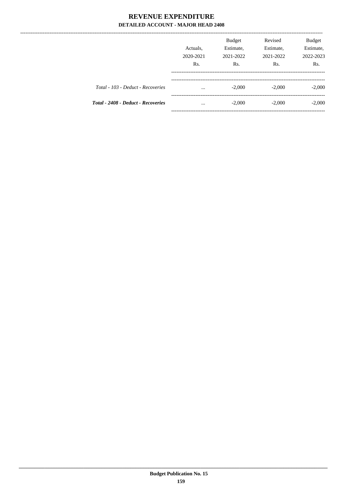|                                    | Actuals.<br>2020-2021<br>Rs. | <b>Budget</b><br>Estimate,<br>2021-2022<br>Rs. | Revised<br>Estimate,<br>2021-2022<br>R <sub>s</sub> . | <b>Budget</b><br>Estimate,<br>2022-2023<br>Rs. |
|------------------------------------|------------------------------|------------------------------------------------|-------------------------------------------------------|------------------------------------------------|
| Total - 103 - Deduct - Recoveries  | $\cdots$                     | $-2,000$                                       | $-2,000$                                              | $-2,000$                                       |
| Total - 2408 - Deduct - Recoveries | $\cdots$                     | $-2,000$                                       | $-2,000$                                              | $-2,000$                                       |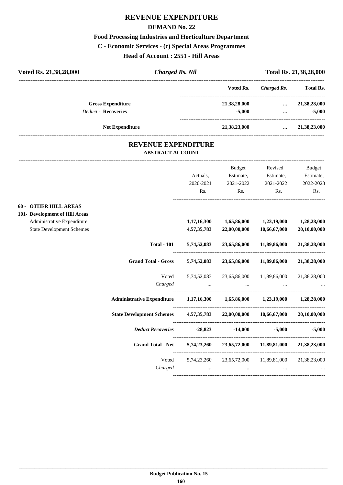### **REVENUE EXPENDITURE**

#### **DEMAND No. 22**

#### **Food Processing Industries and Horticulture Department**

**C - Economic Services - (c) Special Areas Programmes**

**Head of Account : 2551 - Hill Areas**

| Voted Rs. 21,38,28,000     | <b>Charged Rs. Nil</b> |              |             | Total Rs. 21,38,28,000 |
|----------------------------|------------------------|--------------|-------------|------------------------|
|                            |                        | Voted Rs.    | Charged Rs. | <b>Total Rs.</b>       |
| <b>Gross Expenditure</b>   |                        | 21,38,28,000 | $\cdots$    | 21,38,28,000           |
| <b>Deduct - Recoveries</b> |                        | $-5,000$     |             | $-5,000$               |
| <b>Net Expenditure</b>     |                        | 21,38,23,000 | $\cdots$    | 21,38,23,000           |
|                            |                        |              |             |                        |

#### **REVENUE EXPENDITURE ABSTRACT ACCOUNT**

---------------------------------------------------------------------------------------------------------------------------------------------------------------------------------

|                                                                |                                                                              | Actuals,<br>2020-2021<br>Rs. | Budget<br>Estimate,<br>2021-2022<br>Rs.                                                               | Revised<br>Estimate,<br>2021-2022<br>Rs. | Budget<br>Estimate,<br>2022-2023<br>Rs. |
|----------------------------------------------------------------|------------------------------------------------------------------------------|------------------------------|-------------------------------------------------------------------------------------------------------|------------------------------------------|-----------------------------------------|
| <b>60 - OTHER HILL AREAS</b><br>101- Development of Hill Areas |                                                                              |                              |                                                                                                       |                                          |                                         |
| Administrative Expenditure<br><b>State Development Schemes</b> |                                                                              |                              | $1,17,16,300$ $1,65,86,000$ $1,23,19,000$<br>4,57,35,783 22,00,00,000 10,66,67,000                    |                                          | 1,28,28,000<br>20,10,00,000             |
|                                                                | <b>Total - 101</b>                                                           |                              | 5,74,52,083 23,65,86,000 11,89,86,000 21,38,28,000                                                    |                                          |                                         |
|                                                                | <b>Grand Total - Gross</b>                                                   |                              | 5,74,52,083 23,65,86,000 11,89,86,000 21,38,28,000                                                    |                                          |                                         |
|                                                                |                                                                              |                              | Voted 5,74,52,083 23,65,86,000 11,89,86,000 21,38,28,000                                              |                                          |                                         |
|                                                                | Administrative Expenditure 1,17,16,300 1,65,86,000 1,23,19,000 1,28,28,000   |                              |                                                                                                       |                                          |                                         |
|                                                                | State Development Schemes 4,57,35,783 22,00,00,000 10,66,67,000 20,10,00,000 |                              |                                                                                                       |                                          |                                         |
|                                                                | <i>Deduct Recoveries</i> $-28,823$ $-14,000$ $-5,000$ $-5,000$               |                              |                                                                                                       |                                          |                                         |
|                                                                | Grand Total - Net 5,74,23,260 23,65,72,000 11,89,81,000 21,38,23,000         |                              |                                                                                                       |                                          |                                         |
|                                                                |                                                                              |                              | Voted 5,74,23,260 23,65,72,000 11,89,81,000 21,38,23,000<br>$Charged$ $\dots$ $\dots$ $\dots$ $\dots$ |                                          |                                         |
|                                                                |                                                                              |                              |                                                                                                       |                                          |                                         |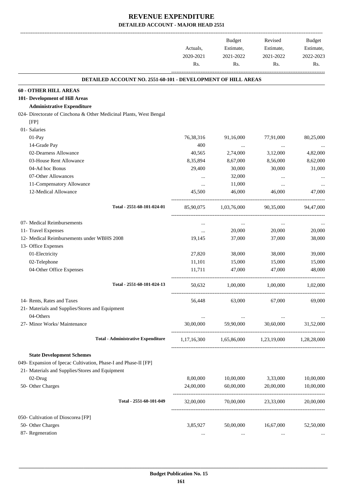-------------------------------------------------------------------------------------------------------------------------------------------------------------------------------

|                                                                                                     | Actuals,<br>2020-2021<br>Rs. | <b>Budget</b><br>Estimate,<br>2021-2022<br>Rs. | Revised<br>Estimate,<br>2021-2022<br>Rs. | <b>Budget</b><br>Estimate,<br>2022-2023<br>Rs. |
|-----------------------------------------------------------------------------------------------------|------------------------------|------------------------------------------------|------------------------------------------|------------------------------------------------|
|                                                                                                     |                              |                                                |                                          |                                                |
| <b>DETAILED ACCOUNT NO. 2551-60-101 - DEVELOPMENT OF HILL AREAS</b><br><b>60 - OTHER HILL AREAS</b> |                              |                                                |                                          |                                                |
| 101- Development of Hill Areas                                                                      |                              |                                                |                                          |                                                |
| <b>Administrative Expenditure</b>                                                                   |                              |                                                |                                          |                                                |
| 024- Directorate of Cinchona & Other Medicinal Plants, West Bengal                                  |                              |                                                |                                          |                                                |
| [FP]                                                                                                |                              |                                                |                                          |                                                |
| 01- Salaries                                                                                        |                              |                                                |                                          |                                                |
| 01-Pay                                                                                              | 76,38,316                    | 91,16,000                                      | 77,91,000                                | 80,25,000                                      |
| 14-Grade Pay                                                                                        | 400                          | $\cdots$                                       | $\ldots$                                 |                                                |
| 02-Dearness Allowance                                                                               | 40,565                       | 2,74,000                                       | 3,12,000                                 | 4,82,000                                       |
| 03-House Rent Allowance                                                                             | 8,35,894                     | 8,67,000                                       | 8,56,000                                 | 8,62,000                                       |
| 04-Ad hoc Bonus                                                                                     | 29,400                       | 30,000                                         | 30,000                                   | 31,000                                         |
| 07-Other Allowances                                                                                 |                              | 32,000                                         |                                          |                                                |
| 11-Compensatory Allowance                                                                           | $\cdots$                     | 11,000                                         | $\cdots$                                 |                                                |
| 12-Medical Allowance                                                                                | 45,500                       | 46,000                                         | 46,000                                   | 47,000                                         |
| Total - 2551-60-101-024-01                                                                          | 85,90,075                    | 1,03,76,000                                    | 90,35,000                                | 94,47,000                                      |
| 07- Medical Reimbursements                                                                          | $\cdots$                     | $\cdots$                                       | $\cdots$                                 |                                                |
| 11- Travel Expenses                                                                                 |                              | 20,000                                         | 20,000                                   | 20,000                                         |
| 12- Medical Reimbursements under WBHS 2008                                                          | 19,145                       | 37,000                                         | 37,000                                   | 38,000                                         |
| 13- Office Expenses                                                                                 |                              |                                                |                                          |                                                |
| 01-Electricity                                                                                      | 27,820                       | 38,000                                         | 38,000                                   | 39,000                                         |
| 02-Telephone                                                                                        | 11,101                       | 15,000                                         | 15,000                                   | 15,000                                         |
| 04-Other Office Expenses                                                                            | 11,711                       | 47,000                                         | 47,000                                   | 48,000                                         |
| Total - 2551-60-101-024-13                                                                          | 50,632                       | 1,00,000                                       | 1,00,000                                 | 1,02,000                                       |
| 14- Rents, Rates and Taxes                                                                          | 56,448                       | 63,000                                         | 67,000                                   | 69,000                                         |
| 21- Materials and Supplies/Stores and Equipment                                                     |                              |                                                |                                          |                                                |
| 04-Others                                                                                           | $\cdots$                     | $\cdots$                                       | $\cdots$                                 |                                                |
| 27- Minor Works/ Maintenance                                                                        | 30,00,000                    | 59,90,000                                      | 30,60,000                                | 31,52,000                                      |
| <b>Total - Administrative Expenditure</b>                                                           | 1,17,16,300                  |                                                | 1,65,86,000 1,23,19,000                  | 1,28,28,000                                    |
| <b>State Development Schemes</b>                                                                    |                              |                                                |                                          |                                                |
| 049- Expansion of Ipecac Cultivation, Phase-I and Phase-II [FP]                                     |                              |                                                |                                          |                                                |
| 21- Materials and Supplies/Stores and Equipment                                                     |                              |                                                |                                          |                                                |
| 02-Drug                                                                                             | 8,00,000                     | 10,00,000                                      | 3,33,000                                 | 10,00,000                                      |
| 50- Other Charges                                                                                   | 24,00,000                    | 60,00,000                                      | 20,00,000                                | 10,00,000                                      |
| Total - 2551-60-101-049                                                                             | 32,00,000                    | 70,00,000                                      | 23,33,000                                | 20,00,000                                      |
| 050- Cultivation of Dioscorea [FP]                                                                  |                              |                                                |                                          |                                                |
| 50- Other Charges                                                                                   | 3,85,927                     | 50,00,000                                      | 16,67,000                                | 52,50,000                                      |
| 87- Regeneration                                                                                    |                              |                                                |                                          |                                                |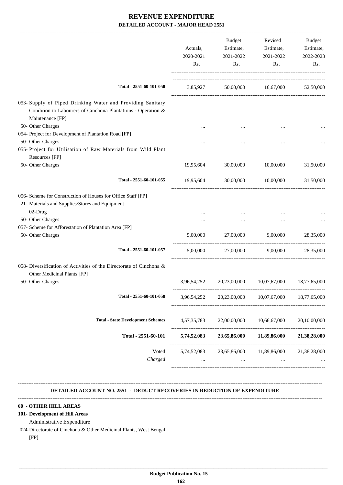|                                                                                                                                                | Actuals,<br>2020-2021 | Budget<br>Estimate,      | Revised<br>Estimate,     | Budget<br>Estimate, |
|------------------------------------------------------------------------------------------------------------------------------------------------|-----------------------|--------------------------|--------------------------|---------------------|
|                                                                                                                                                | Rs.                   | 2021-2022<br>Rs.         | 2021-2022<br>Rs.         | 2022-2023<br>Rs.    |
| Total - 2551-60-101-050                                                                                                                        | 3,85,927              |                          | 50,00,000 16,67,000      | 52,50,000           |
| 053- Supply of Piped Drinking Water and Providing Sanitary<br>Condition to Labourers of Cinchona Plantations - Operation &<br>Maintenance [FP] |                       |                          |                          |                     |
| 50- Other Charges                                                                                                                              |                       |                          |                          |                     |
| 054- Project for Development of Plantation Road [FP]                                                                                           |                       |                          |                          |                     |
| 50- Other Charges                                                                                                                              |                       |                          |                          |                     |
| 055- Project for Utilisation of Raw Materials from Wild Plant                                                                                  |                       |                          |                          |                     |
| Resources [FP]                                                                                                                                 |                       |                          |                          |                     |
| 50- Other Charges                                                                                                                              | 19,95,604             | 30,00,000                | 10,00,000                | 31,50,000           |
| Total - 2551-60-101-055                                                                                                                        | 19,95,604             |                          | 30,00,000 10,00,000      | 31,50,000           |
| 056- Scheme for Construction of Houses for Office Staff [FP]                                                                                   |                       |                          |                          |                     |
| 21- Materials and Supplies/Stores and Equipment                                                                                                |                       |                          |                          |                     |
| 02-Drug                                                                                                                                        |                       |                          |                          |                     |
| 50- Other Charges                                                                                                                              |                       | $\cdots$                 |                          |                     |
| 057- Scheme for Afforestation of Plantation Area [FP]                                                                                          |                       |                          |                          |                     |
| 50- Other Charges                                                                                                                              | 5,00,000              | 27,00,000                | 9,00,000                 | 28,35,000           |
| Total - 2551-60-101-057                                                                                                                        | 5,00,000              |                          | 27,00,000 9,00,000       | 28,35,000           |
| 058- Diversification of Activities of the Directorate of Cinchona &<br>Other Medicinal Plants [FP]                                             |                       |                          |                          |                     |
| 50- Other Charges                                                                                                                              | 3,96,54,252           | 20,23,00,000             | 10,07,67,000             | 18,77,65,000        |
| Total - 2551-60-101-058                                                                                                                        | 3,96,54,252           | 20,23,00,000             | 10,07,67,000             | 18,77,65,000        |
| <b>Total - State Development Schemes</b>                                                                                                       | 4, 57, 35, 783        | 22,00,00,000             | 10,66,67,000             | 20,10,00,000        |
| Total - 2551-60-101                                                                                                                            | 5,74,52,083           | 23,65,86,000             | 11,89,86,000             | 21,38,28,000        |
| Voted<br>Charged                                                                                                                               | 5,74,52,083           | 23,65,86,000<br>$\cdots$ | 11,89,86,000<br>$\cdots$ | 21,38,28,000        |

## **DETAILED ACCOUNT NO. 2551 - DEDUCT RECOVERIES IN REDUCTION OF EXPENDITURE**

**--------------------------------------------------------------------------------------------------------------------------------------------------------------------------------**

**--------------------------------------------------------------------------------------------------------------------------------------------------------------------------------**

#### **60 - OTHER HILL AREAS**

#### **101- Development of Hill Areas**

Administrative Expenditure

024-Directorate of Cinchona & Other Medicinal Plants, West Bengal

[FP]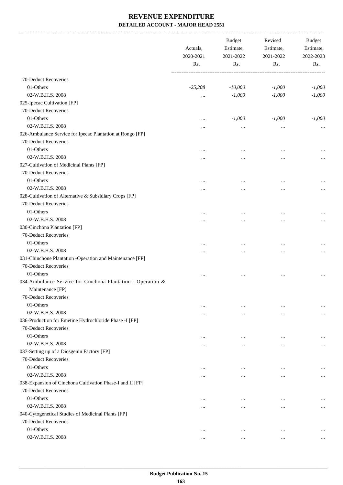-------------------------------------------------------------------------------------------------------------------------------------------------------------------------------

|                                                             | Actuals,<br>2020-2021<br>Rs. | <b>Budget</b><br>Estimate,<br>2021-2022<br>Rs. | Revised<br>Estimate,<br>2021-2022<br>Rs. | <b>Budget</b><br>Estimate,<br>2022-2023<br>Rs. |
|-------------------------------------------------------------|------------------------------|------------------------------------------------|------------------------------------------|------------------------------------------------|
| 70-Deduct Recoveries                                        |                              |                                                |                                          |                                                |
| 01-Others                                                   | $-25,208$                    | $-10,000$                                      | $-1,000$                                 | $-1,000$                                       |
| 02-W.B.H.S. 2008                                            | $\cdots$                     | $-1,000$                                       | $-1,000$                                 | $-1,000$                                       |
| 025-Ipecac Cultivation [FP]                                 |                              |                                                |                                          |                                                |
| 70-Deduct Recoveries                                        |                              |                                                |                                          |                                                |
| 01-Others                                                   | $\cdots$                     | $-1,000$                                       | $-1,000$                                 | $-1,000$                                       |
| 02-W.B.H.S. 2008                                            | $\cdots$                     | $\ddotsc$                                      | $\ddotsc$                                | $\cdots$                                       |
| 026-Ambulance Service for Ipecac Plantation at Rongo [FP]   |                              |                                                |                                          |                                                |
| 70-Deduct Recoveries                                        |                              |                                                |                                          |                                                |
| 01-Others                                                   | $\cdots$                     | $\cdots$                                       | $\cdots$                                 | $\cdots$                                       |
| 02-W.B.H.S. 2008                                            | $\cdots$                     | $\ddotsc$                                      |                                          |                                                |
| 027-Cultivation of Medicinal Plants [FP]                    |                              |                                                |                                          | $\cdots$                                       |
| 70-Deduct Recoveries                                        |                              |                                                |                                          |                                                |
| 01-Others                                                   | $\cdots$                     | $\ddotsc$                                      | $\cdots$                                 | $\cdots$                                       |
| 02-W.B.H.S. 2008                                            | $\cdots$                     | $\ddotsc$                                      |                                          | $\cdots$                                       |
| 028-Cultivation of Alternative & Subsidiary Crops [FP]      |                              |                                                |                                          |                                                |
| 70-Deduct Recoveries                                        |                              |                                                |                                          |                                                |
| 01-Others                                                   | $\cdots$                     | $\cdots$                                       | $\cdots$                                 | $\cdots$                                       |
| 02-W.B.H.S. 2008                                            | $\cdots$                     | $\ddotsc$                                      | $\ddotsc$                                | $\cdots$                                       |
| 030-Cinchona Plantation [FP]                                |                              |                                                |                                          |                                                |
| 70-Deduct Recoveries                                        |                              |                                                |                                          |                                                |
| 01-Others                                                   | $\cdots$                     | $\ddotsc$                                      | $\cdots$                                 | $\cdots$                                       |
| 02-W.B.H.S. 2008                                            | $\cdots$                     | $\ddotsc$                                      | $\ddotsc$                                | $\cdots$                                       |
| 031-Chinchone Plantation -Operation and Maintenance [FP]    |                              |                                                |                                          |                                                |
| 70-Deduct Recoveries                                        |                              |                                                |                                          |                                                |
| 01-Others                                                   | $\cdots$                     | $\cdots$                                       | $\cdots$                                 | $\cdots$                                       |
| 034-Ambulance Service for Cinchona Plantation - Operation & |                              |                                                |                                          |                                                |
| Maintenance [FP]                                            |                              |                                                |                                          |                                                |
| 70-Deduct Recoveries                                        |                              |                                                |                                          |                                                |
| 01-Others                                                   | $\cdots$                     | $\cdots$                                       | $\cdots$                                 | $\cdots$                                       |
| 02-W.B.H.S. 2008                                            |                              | $\cdots$                                       | $\cdots$                                 | $\cdots$                                       |
| 036-Production for Emetine Hydrochloride Phase -I [FP]      |                              |                                                |                                          |                                                |
| 70-Deduct Recoveries                                        |                              |                                                |                                          |                                                |
| 01-Others                                                   | $\cdots$                     | $\cdots$                                       | $\cdots$                                 | $\cdots$                                       |
| 02-W.B.H.S. 2008                                            | $\cdots$                     | $\cdots$                                       | $\ddotsc$                                | $\cdots$                                       |
| 037-Setting up of a Diosgenin Factory [FP]                  |                              |                                                |                                          |                                                |
| 70-Deduct Recoveries                                        |                              |                                                |                                          |                                                |
| 01-Others                                                   |                              |                                                |                                          |                                                |
| 02-W.B.H.S. 2008                                            | $\ddotsc$                    | $\ddotsc$                                      | $\cdots$                                 | $\cdots$                                       |
| 038-Expansion of Cinchona Cultivation Phase-I and II [FP]   | $\cdots$                     | $\cdots$                                       | $\cdots$                                 | $\cdots$                                       |
| 70-Deduct Recoveries                                        |                              |                                                |                                          |                                                |
| 01-Others                                                   |                              |                                                |                                          |                                                |
| 02-W.B.H.S. 2008                                            | $\ddotsc$                    | $\ddotsc$                                      | $\ddotsc$                                | $\cdots$                                       |
|                                                             |                              | $\ddotsc$                                      | $\ddotsc$                                | $\cdots$                                       |
| 040-Cytogenetical Studies of Medicinal Plants [FP]          |                              |                                                |                                          |                                                |
| 70-Deduct Recoveries                                        |                              |                                                |                                          |                                                |
| 01-Others                                                   | $\cdots$                     | $\cdots$                                       | $\cdots$                                 | $\cdots$                                       |
| 02-W.B.H.S. 2008                                            | $\cdots$                     | $\cdots$                                       | $\cdots$                                 | $\cdots$                                       |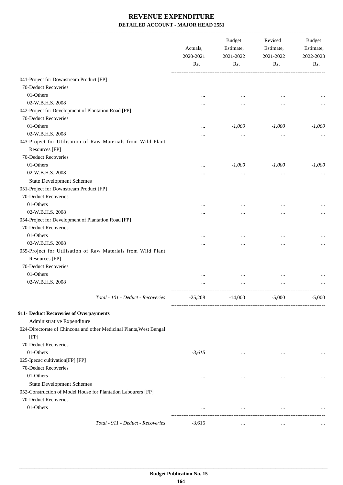|                                                                     | Actuals,<br>2020-2021<br>Rs. | <b>Budget</b><br>Estimate,<br>2021-2022<br>Rs. | Revised<br>Estimate,<br>2021-2022<br>Rs. | <b>Budget</b><br>Estimate,<br>2022-2023<br>Rs. |
|---------------------------------------------------------------------|------------------------------|------------------------------------------------|------------------------------------------|------------------------------------------------|
| 041-Project for Downstream Product [FP]                             |                              |                                                |                                          |                                                |
| 70-Deduct Recoveries                                                |                              |                                                |                                          |                                                |
| 01-Others                                                           |                              | $\cdots$                                       |                                          |                                                |
| 02-W.B.H.S. 2008                                                    |                              |                                                |                                          |                                                |
| 042-Project for Development of Plantation Road [FP]                 |                              |                                                |                                          |                                                |
| 70-Deduct Recoveries                                                |                              |                                                |                                          |                                                |
| 01-Others                                                           |                              | $-1,000$                                       | $-1,000$                                 | $-1,000$                                       |
| 02-W.B.H.S. 2008                                                    |                              |                                                |                                          |                                                |
| 043-Project for Utilisation of Raw Materials from Wild Plant        |                              |                                                |                                          |                                                |
| Resources [FP]                                                      |                              |                                                |                                          |                                                |
| 70-Deduct Recoveries                                                |                              |                                                |                                          |                                                |
| 01-Others                                                           |                              | $-1,000$                                       | $-1,000$                                 | $-1,000$                                       |
| 02-W.B.H.S. 2008                                                    |                              |                                                |                                          |                                                |
| <b>State Development Schemes</b>                                    |                              |                                                | $\cdots$                                 |                                                |
| 051-Project for Downstream Product [FP]                             |                              |                                                |                                          |                                                |
| 70-Deduct Recoveries                                                |                              |                                                |                                          |                                                |
| 01-Others                                                           |                              |                                                |                                          |                                                |
| 02-W.B.H.S. 2008                                                    |                              |                                                |                                          |                                                |
| 054-Project for Development of Plantation Road [FP]                 | .                            |                                                |                                          |                                                |
| 70-Deduct Recoveries                                                |                              |                                                |                                          |                                                |
| 01-Others                                                           |                              |                                                |                                          |                                                |
| 02-W.B.H.S. 2008                                                    |                              | $\cdots$                                       |                                          |                                                |
| 055-Project for Utilisation of Raw Materials from Wild Plant        | .                            |                                                |                                          | $\cdots$                                       |
| Resources [FP]                                                      |                              |                                                |                                          |                                                |
| 70-Deduct Recoveries                                                |                              |                                                |                                          |                                                |
| 01-Others                                                           |                              |                                                |                                          |                                                |
| 02-W.B.H.S. 2008                                                    | .                            |                                                |                                          | $\cdots$                                       |
| Total - 101 - Deduct - Recoveries                                   | $-25,208$                    | $-14,000$                                      | $-5,000$                                 | $-5,000$                                       |
| 911- Deduct Recoveries of Overpayments                              |                              |                                                |                                          |                                                |
| Administrative Expenditure                                          |                              |                                                |                                          |                                                |
| 024-Directorate of Chincona and other Medicinal Plants, West Bengal |                              |                                                |                                          |                                                |
| [FP]                                                                |                              |                                                |                                          |                                                |
| 70-Deduct Recoveries                                                |                              |                                                |                                          |                                                |
| 01-Others                                                           | $-3,615$                     | $\cdots$                                       | $\cdots$                                 |                                                |
| 025-Ipecac cultivation[FP] [FP]                                     |                              |                                                |                                          |                                                |
| 70-Deduct Recoveries                                                |                              |                                                |                                          |                                                |
| 01-Others                                                           |                              | $\cdots$                                       | $\cdots$                                 |                                                |
| <b>State Development Schemes</b>                                    |                              |                                                |                                          |                                                |
| 052-Construction of Model House for Plantation Labourers [FP]       |                              |                                                |                                          |                                                |
| 70-Deduct Recoveries                                                |                              |                                                |                                          |                                                |
| 01-Others                                                           |                              | $\ldots$                                       | $\ldots$                                 |                                                |
| Total - 911 - Deduct - Recoveries                                   | $-3,615$                     | $\cdots$                                       | $\cdots$                                 |                                                |
|                                                                     |                              |                                                |                                          |                                                |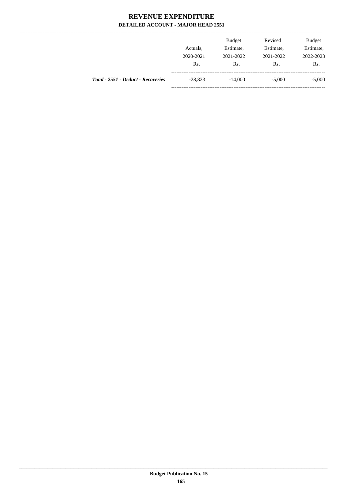--------------

|                                    |           | <b>Budget</b> | Revised   | <b>Budget</b> |
|------------------------------------|-----------|---------------|-----------|---------------|
|                                    | Actuals.  | Estimate,     | Estimate, | Estimate,     |
|                                    | 2020-2021 | 2021-2022     | 2021-2022 | 2022-2023     |
|                                    | Rs.       | Rs.           | Rs.       | Rs.           |
| Total - 2551 - Deduct - Recoveries | $-28,823$ | $-14,000$     | $-5,000$  | $-5,000$      |
|                                    |           |               |           |               |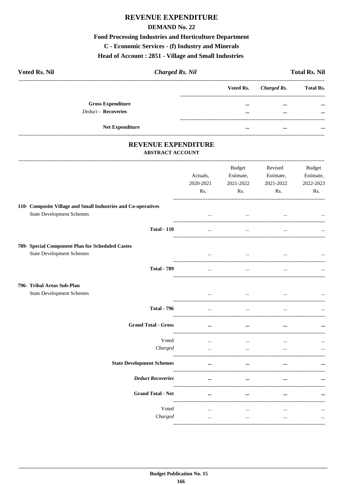## REVENUE EXPENDITURE

#### **DEMAND No. 22**

## **Food Processing Industries and Horticulture Department**

C - Economic Services - (f) Industry and Minerals

#### Head of Account: 2851 - Village and Small Industries

| <b>Voted Rs. Nil</b><br><b>Charged Rs. Nil</b>                                                    |                       |                                  |                                   | <b>Total Rs. Nil</b>                    |
|---------------------------------------------------------------------------------------------------|-----------------------|----------------------------------|-----------------------------------|-----------------------------------------|
|                                                                                                   |                       | Voted Rs.                        | <b>Charged Rs.</b>                | <b>Total Rs.</b>                        |
| <b>Gross Expenditure</b><br>Deduct - Recoveries                                                   |                       | $\cdots$                         | $\ddotsc$                         |                                         |
|                                                                                                   |                       | $\cdots$                         | $\ddotsc$                         |                                         |
| Net Expenditure                                                                                   |                       | $\cdots$                         |                                   |                                         |
| <b>REVENUE EXPENDITURE</b><br><b>ABSTRACT ACCOUNT</b>                                             |                       |                                  |                                   |                                         |
|                                                                                                   | Actuals,<br>2020-2021 | Budget<br>Estimate,<br>2021-2022 | Revised<br>Estimate,<br>2021-2022 | <b>Budget</b><br>Estimate,<br>2022-2023 |
|                                                                                                   | Rs.                   | Rs.                              | Rs.                               | Rs.                                     |
| 110- Composite Village and Small Industries and Co-operatives<br><b>State Development Schemes</b> | $\cdots$              | $\cdots$                         | $\cdots$                          |                                         |
| <b>Total - 110</b>                                                                                | $\cdots$              | $\cdots$                         | $\cdots$                          |                                         |
| 789- Special Component Plan for Scheduled Castes<br><b>State Development Schemes</b>              |                       | $\cdots$                         | $\cdots$                          |                                         |
| <b>Total - 789</b>                                                                                | $\ddotsc$             | $\ddotsc$                        |                                   |                                         |
| 796- Tribal Areas Sub-Plan<br><b>State Development Schemes</b>                                    | $\cdots$              | $\ddotsc$                        | $\cdots$                          |                                         |
| <b>Total - 796</b>                                                                                | $\cdots$              | $\cdots$                         | $\cdots$                          |                                         |
| <b>Grand Total - Gross</b>                                                                        |                       |                                  |                                   |                                         |
| Voted<br>Charged                                                                                  | $\ddotsc$<br>$\cdots$ | $\ddotsc$<br>$\cdots$            | $\cdots$                          |                                         |
| <b>State Development Schemes</b>                                                                  |                       |                                  |                                   |                                         |
| <b>Deduct Recoveries</b>                                                                          | $\cdots$              |                                  |                                   |                                         |
| <b>Grand Total - Net</b>                                                                          | $\cdots$              | $\cdots$                         |                                   |                                         |
| Voted                                                                                             | $\ddotsc$             |                                  |                                   |                                         |
| Charged                                                                                           |                       | $\ddotsc$                        |                                   |                                         |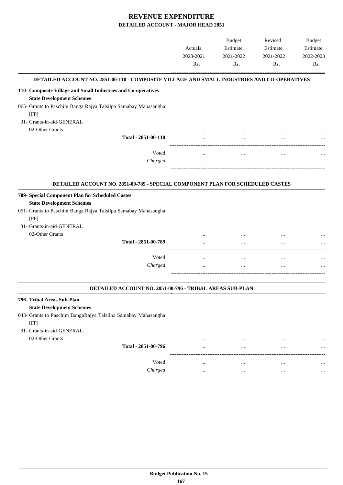|                                                                                                                                                                                             | Actuals,<br>2020-2021<br>Rs. | <b>Budget</b><br>Estimate,<br>2021-2022<br>Rs. | Revised<br>Estimate,<br>2021-2022<br>Rs. | Budget<br>Estimate,<br>2022-2023<br>Rs. |
|---------------------------------------------------------------------------------------------------------------------------------------------------------------------------------------------|------------------------------|------------------------------------------------|------------------------------------------|-----------------------------------------|
| DETAILED ACCOUNT NO. 2851-00-110 - COMPOSITE VILLAGE AND SMALL INDUSTRIES AND CO-OPERATIVES                                                                                                 |                              |                                                |                                          |                                         |
| 110- Composite Village and Small Industries and Co-operatives                                                                                                                               |                              |                                                |                                          |                                         |
| <b>State Development Schemes</b>                                                                                                                                                            |                              |                                                |                                          |                                         |
| 065- Grants to Paschim Banga Rajya Talsilpa Samabay Mahasangha<br>[FP]                                                                                                                      |                              |                                                |                                          |                                         |
| 31- Grants-in-aid-GENERAL                                                                                                                                                                   |                              |                                                |                                          |                                         |
| 02-Other Grants                                                                                                                                                                             |                              |                                                |                                          |                                         |
| Total - 2851-00-110                                                                                                                                                                         |                              |                                                |                                          |                                         |
| Voted                                                                                                                                                                                       |                              | $\cdots$                                       | $\ddotsc$                                |                                         |
| Charged                                                                                                                                                                                     |                              | $\cdots$                                       | $\cdots$                                 |                                         |
|                                                                                                                                                                                             |                              |                                                |                                          |                                         |
| DETAILED ACCOUNT NO. 2851-00-789 - SPECIAL COMPONENT PLAN FOR SCHEDULED CASTES                                                                                                              |                              |                                                |                                          |                                         |
| 789- Special Component Plan for Scheduled Castes<br><b>State Development Schemes</b><br>051- Grants to Paschim Banga Rajya Talsilpa Samabay Mahasangha<br>[FP]<br>31- Grants-in-aid-GENERAL |                              |                                                |                                          |                                         |
| 02-Other Grants                                                                                                                                                                             |                              |                                                |                                          |                                         |
| Total - 2851-00-789                                                                                                                                                                         |                              |                                                |                                          |                                         |
| Voted                                                                                                                                                                                       | $\cdots$                     | $\cdots$                                       | $\cdots$                                 |                                         |
| Charged                                                                                                                                                                                     |                              |                                                | $\cdots$                                 |                                         |
|                                                                                                                                                                                             |                              |                                                |                                          |                                         |
| DETAILED ACCOUNT NO. 2851-00-796 - TRIBAL AREAS SUB-PLAN                                                                                                                                    |                              |                                                |                                          |                                         |
|                                                                                                                                                                                             |                              |                                                |                                          |                                         |
| 796- Tribal Areas Sub-Plan                                                                                                                                                                  |                              |                                                |                                          |                                         |
| <b>State Development Schemes</b><br>043- Grants to Paschim BangaRajya Talsilpa Samabay Mahasangha<br>[FP]                                                                                   |                              |                                                |                                          |                                         |
| 31- Grants-in-aid-GENERAL                                                                                                                                                                   |                              |                                                |                                          |                                         |
| 02-Other Grants                                                                                                                                                                             | $\cdots$                     |                                                |                                          |                                         |

Voted ... ... ... ... *Charged* ... ... ... ...

-----------------------------------------------------------------------------------------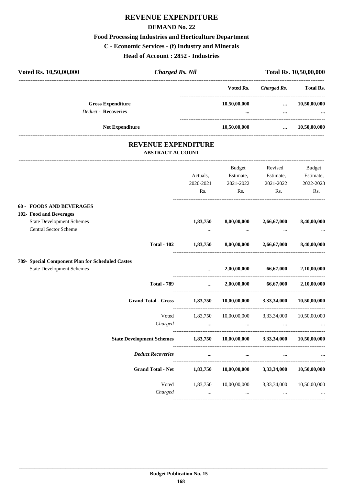## **REVENUE EXPENDITURE**

#### **DEMAND No. 22**

#### **Food Processing Industries and Horticulture Department**

**C - Economic Services - (f) Industry and Minerals**

**Head of Account : 2852 - Industries**

| Voted Rs. 10,50,00,000                           | <b>Charged Rs. Nil</b>           |                                     |                           |                                    | Total Rs. 10,50,00,000 |
|--------------------------------------------------|----------------------------------|-------------------------------------|---------------------------|------------------------------------|------------------------|
|                                                  |                                  |                                     | Voted Rs.                 | Charged Rs.                        | Total Rs.              |
| <b>Gross Expenditure</b>                         |                                  |                                     | 10,50,00,000              | $\cdots$                           | 10,50,00,000           |
| <b>Deduct - Recoveries</b>                       |                                  |                                     |                           | $\ddotsc$<br>--------------------- |                        |
| Net Expenditure                                  |                                  |                                     | 10,50,00,000              | $\cdots$                           | 10,50,00,000           |
|                                                  | <b>REVENUE EXPENDITURE</b>       |                                     |                           |                                    |                        |
|                                                  | <b>ABSTRACT ACCOUNT</b>          |                                     |                           |                                    |                        |
|                                                  |                                  |                                     | <b>Budget</b>             | Revised                            | Budget                 |
|                                                  |                                  | Actuals,                            | Estimate,                 | Estimate,                          | Estimate,              |
|                                                  |                                  | 2020-2021                           | 2021-2022                 | 2021-2022                          | 2022-2023              |
|                                                  |                                  | Rs.                                 | Rs.                       | Rs.                                | Rs.                    |
| <b>60 - FOODS AND BEVERAGES</b>                  |                                  |                                     |                           |                                    |                        |
| 102- Food and Beverages                          |                                  |                                     |                           |                                    |                        |
| <b>State Development Schemes</b>                 |                                  | 1,83,750                            | 8,00,00,000               | 2,66,67,000                        | 8,40,00,000            |
| Central Sector Scheme                            |                                  |                                     |                           |                                    |                        |
|                                                  | <b>Total - 102</b>               | 1,83,750                            | 8,00,00,000               | 2,66,67,000                        | 8,40,00,000            |
| 789- Special Component Plan for Scheduled Castes |                                  |                                     |                           |                                    |                        |
| <b>State Development Schemes</b>                 |                                  |                                     | 2,00,00,000               | 66,67,000                          | 2,10,00,000            |
|                                                  | <b>Total - 789</b>               | $\cdots$                            | 2,00,00,000               | 66,67,000                          | 2,10,00,000            |
|                                                  | <b>Grand Total - Gross</b>       | 1,83,750                            | $10,\!00,\!00,\!000$      | 3,33,34,000                        | 10,50,00,000           |
|                                                  | Voted                            | 1,83,750                            | 10,00,00,000              | 3,33,34,000                        | 10,50,00,000           |
|                                                  | Charged                          | ----------------------------------- |                           | ________________                   |                        |
|                                                  | <b>State Development Schemes</b> |                                     | $1,83,750$ $10,00,00,000$ | 3,33,34,000                        | 10,50,00,000           |
|                                                  | <b>Deduct Recoveries</b>         | $\cdots$                            | $\cdots$                  | $\cdots$                           |                        |
|                                                  | <b>Grand Total - Net</b>         | 1,83,750                            | 10,00,00,000              | 3,33,34,000                        | 10,50,00,000           |
|                                                  | Voted                            | 1,83,750                            | 10,00,00,000              | 3,33,34,000                        | 10,50,00,000           |
|                                                  | Charged                          | and the company of the com-         | $\ldots$                  | $\ldots$ .                         |                        |

----------------------------------------------------------------------------------------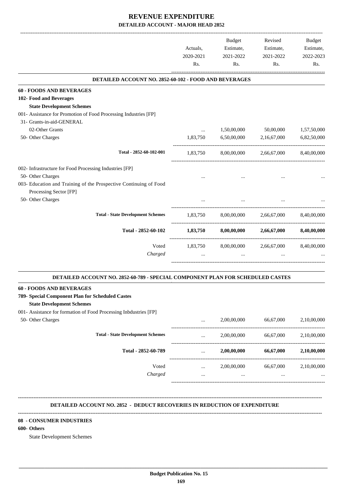|                                                                                                                         | Actuals,<br>2020-2021<br>Rs. | Budget<br>Estimate,<br>2021-2022<br>Rs. | Revised<br>Estimate,<br>2021-2022<br>Rs. | <b>Budget</b><br>Estimate,<br>2022-2023<br>Rs. |
|-------------------------------------------------------------------------------------------------------------------------|------------------------------|-----------------------------------------|------------------------------------------|------------------------------------------------|
| DETAILED ACCOUNT NO. 2852-60-102 - FOOD AND BEVERAGES                                                                   |                              |                                         |                                          |                                                |
| <b>60 - FOODS AND BEVERAGES</b>                                                                                         |                              |                                         |                                          |                                                |
| 102- Food and Beverages                                                                                                 |                              |                                         |                                          |                                                |
| <b>State Development Schemes</b>                                                                                        |                              |                                         |                                          |                                                |
| 001- Assistance for Promotion of Food Processing Industries [FP]                                                        |                              |                                         |                                          |                                                |
| 31- Grants-in-aid-GENERAL                                                                                               |                              |                                         |                                          |                                                |
| 02-Other Grants                                                                                                         | $\cdots$                     | 1,50,00,000                             | 50,00,000                                | 1,57,50,000                                    |
| 50- Other Charges                                                                                                       | 1,83,750                     | 6,50,00,000                             | 2,16,67,000                              | 6,82,50,000                                    |
| Total - 2852-60-102-001                                                                                                 | 1,83,750                     | 8,00,00,000                             | 2,66,67,000                              | 8,40,00,000                                    |
| 002- Infrastructure for Food Processing Industries [FP]                                                                 |                              |                                         |                                          |                                                |
| 50- Other Charges                                                                                                       |                              |                                         |                                          |                                                |
| 003- Education and Training of the Prospective Continuing of Food                                                       |                              |                                         |                                          |                                                |
| Processing Sector [FP]                                                                                                  |                              |                                         |                                          |                                                |
| 50- Other Charges                                                                                                       |                              |                                         |                                          |                                                |
|                                                                                                                         |                              |                                         |                                          |                                                |
| <b>Total - State Development Schemes</b>                                                                                | 1,83,750                     | 8,00,00,000                             | 2,66,67,000                              | 8,40,00,000                                    |
| Total - 2852-60-102                                                                                                     | 1,83,750                     | 8,00,00,000                             | 2,66,67,000                              | 8,40,00,000                                    |
| Voted                                                                                                                   |                              | 1,83,750 8,00,00,000                    | 2,66,67,000                              | 8,40,00,000                                    |
| Charged                                                                                                                 |                              | $\cdots$                                |                                          |                                                |
|                                                                                                                         |                              |                                         |                                          |                                                |
| DETAILED ACCOUNT NO. 2852-60-789 - SPECIAL COMPONENT PLAN FOR SCHEDULED CASTES                                          |                              |                                         |                                          |                                                |
| <b>60 - FOODS AND BEVERAGES</b><br>789- Special Component Plan for Scheduled Castes<br><b>State Development Schemes</b> |                              |                                         |                                          |                                                |
| 001- Assistance for formation of Food Processing Inbdustries [FP]<br>50- Other Charges                                  | $\cdots$                     | 2,00,00,000                             | 66,67,000                                | 2,10,00,000                                    |
| <b>Total - State Development Schemes</b>                                                                                | $\cdots$                     | 2,00,00,000                             | 66,67,000                                | 2,10,00,000                                    |
| Total - 2852-60-789                                                                                                     | $\ldots$                     | 2,00,00,000                             | 66,67,000                                | 2,10,00,000                                    |
| Voted                                                                                                                   | $\cdots$                     | 2,00,00,000                             | 66,67,000                                | 2,10,00,000                                    |
| Charged                                                                                                                 | $\cdots$                     | $\cdots$                                |                                          |                                                |
| DETAILED ACCOUNT NO. 2852 - DEDUCT RECOVERIES IN REDUCTION OF EXPENDITURE                                               |                              |                                         |                                          |                                                |

#### **08 - CONSUMER INDUSTRIES**

#### **600- Others**

State Development Schemes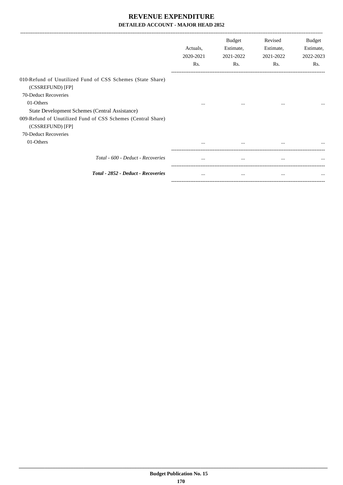|                                                                                  | Actuals,<br>2020-2021<br>Rs. | Budget<br>Estimate,<br>2021-2022<br>Rs. | Revised<br>Estimate,<br>2021-2022<br>Rs. | Budget<br>Estimate,<br>2022-2023<br>Rs. |
|----------------------------------------------------------------------------------|------------------------------|-----------------------------------------|------------------------------------------|-----------------------------------------|
| 010-Refund of Unutilized Fund of CSS Schemes (State Share)<br>(CSSREFUND) [FP]   |                              |                                         |                                          |                                         |
| 70-Deduct Recoveries                                                             |                              |                                         |                                          |                                         |
| 01-Others                                                                        | $\cdots$                     | $\cdots$                                | $\cdots$                                 |                                         |
| State Development Schemes (Central Assistance)                                   |                              |                                         |                                          |                                         |
| 009-Refund of Unutilized Fund of CSS Schemes (Central Share)<br>(CSSREFUND) [FP] |                              |                                         |                                          |                                         |
| 70-Deduct Recoveries                                                             |                              |                                         |                                          |                                         |
| 01-Others                                                                        | $\cdots$                     | $\cdots$                                | $\cdots$                                 |                                         |
| Total - 600 - Deduct - Recoveries                                                | $\cdots$                     | $\cdots$                                | $\cdots$                                 |                                         |
| Total - 2852 - Deduct - Recoveries                                               | $\cdots$                     | $\cdots$                                | $\cdots$                                 | $\cdots$                                |

-----------------------------------------------------------------------------------------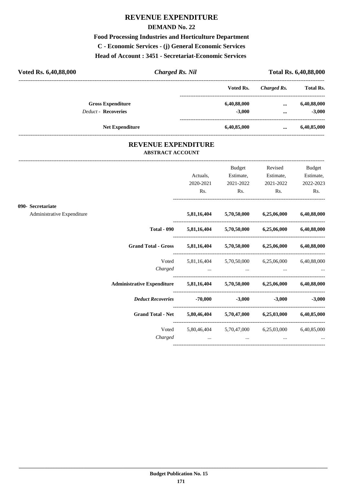### **REVENUE EXPENDITURE**

#### **DEMAND No. 22**

**Food Processing Industries and Horticulture Department C - Economic Services - (j) General Economic Services Head of Account : 3451 - Secretariat-Economic Services** 

| Voted Rs. 6,40,88,000      | <b>Charged Rs. Nil</b> |             | <b>Total Rs. 6,40,88,000</b> |                  |
|----------------------------|------------------------|-------------|------------------------------|------------------|
|                            |                        | Voted Rs.   | Charged Rs.                  | <b>Total Rs.</b> |
| <b>Gross Expenditure</b>   |                        | 6,40,88,000 | $\cdots$                     | 6,40,88,000      |
| <b>Deduct - Recoveries</b> |                        | $-3.000$    | $\cdots$                     | $-3,000$         |
|                            | <b>Net Expenditure</b> | 6,40,85,000 | $\cdots$                     | 6,40,85,000      |

#### **REVENUE EXPENDITURE ABSTRACT ACCOUNT**

---------------------------------------------------------------------------------------------------------------------------------------------------------------------------------

|                            |                                                                            |                  | Budget                      | Revised                                                     | <b>Budget</b>     |
|----------------------------|----------------------------------------------------------------------------|------------------|-----------------------------|-------------------------------------------------------------|-------------------|
|                            |                                                                            | Actuals,         | Estimate,                   | Estimate,                                                   | Estimate,         |
|                            |                                                                            | 2020-2021<br>Rs. | 2021-2022<br>$\mathbf{Rs.}$ | 2021-2022<br>$\mathbf{Rs.}$                                 | 2022-2023<br>Rs.  |
|                            |                                                                            |                  |                             |                                                             |                   |
| 090- Secretariate          |                                                                            |                  |                             |                                                             |                   |
| Administrative Expenditure |                                                                            |                  |                             | 5,81,16,404 5,70,50,000 6,25,06,000 6,40,88,000             |                   |
|                            |                                                                            |                  |                             | Total - 090 5,81,16,404 5,70,50,000 6,25,06,000 6,40,88,000 |                   |
|                            | Grand Total - Gross 5,81,16,404 5,70,50,000 6,25,06,000 6,40,88,000        |                  |                             |                                                             |                   |
|                            |                                                                            |                  |                             | Voted 5,81,16,404 5,70,50,000 6,25,06,000 6,40,88,000       |                   |
|                            |                                                                            |                  |                             | Charged                                                     |                   |
|                            | Administrative Expenditure 5,81,16,404 5,70,50,000 6,25,06,000 6,40,88,000 |                  |                             |                                                             |                   |
|                            | Deduct Recoveries -70,000 -3,000                                           |                  |                             |                                                             | $-3,000$ $-3,000$ |
|                            | Grand Total - Net 5,80,46,404 5,70,47,000 6,25,03,000 6,40,85,000          |                  |                             |                                                             |                   |
|                            |                                                                            |                  |                             | Voted 5,80,46,404 5,70,47,000 6,25,03,000 6,40,85,000       |                   |
|                            | Charged                                                                    |                  | $\cdots$                    | $\cdots$                                                    |                   |
|                            |                                                                            |                  |                             |                                                             |                   |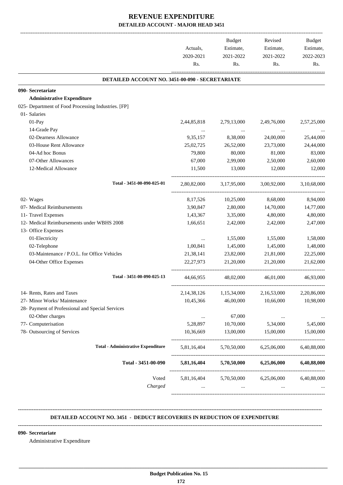|                                                     | Actuals,<br>2020-2021<br>Rs. | <b>Budget</b><br>Estimate,<br>2021-2022<br>Rs. | Revised<br>Estimate,<br>2021-2022<br>Rs. | <b>Budget</b><br>Estimate,<br>2022-2023<br>Rs. |
|-----------------------------------------------------|------------------------------|------------------------------------------------|------------------------------------------|------------------------------------------------|
| DETAILED ACCOUNT NO. 3451-00-090 - SECRETARIATE     |                              |                                                |                                          |                                                |
| 090- Secretariate                                   |                              |                                                |                                          |                                                |
| <b>Administrative Expenditure</b>                   |                              |                                                |                                          |                                                |
| 025- Department of Food Processing Industries. [FP] |                              |                                                |                                          |                                                |
| 01- Salaries                                        |                              |                                                |                                          |                                                |
| 01-Pay                                              | 2,44,85,818                  | 2,79,13,000                                    | 2,49,76,000                              | 2,57,25,000                                    |
| 14-Grade Pay                                        |                              | $\sim$ 100 $\mu$                               |                                          |                                                |
| 02-Dearness Allowance                               | 9,35,157                     | 8,38,000                                       | 24,00,000                                | 25,44,000                                      |
| 03-House Rent Allowance                             | 25,02,725                    | 26,52,000                                      | 23,73,000                                | 24,44,000                                      |
| 04-Ad hoc Bonus                                     | 79,800                       | 80,000                                         | 81,000                                   | 83,000                                         |
| 07-Other Allowances                                 | 67,000                       | 2,99,000                                       | 2,50,000                                 | 2,60,000                                       |
| 12-Medical Allowance                                | 11,500                       | 13,000                                         | 12,000                                   | 12,000                                         |
| Total - 3451-00-090-025-01                          | 2,80,82,000                  | 3,17,95,000                                    | 3,00,92,000                              | 3,10,68,000                                    |
| 02- Wages                                           | 8,17,526                     | 10,25,000                                      | 8,68,000                                 | 8,94,000                                       |
| 07- Medical Reimbursements                          | 3,90,847                     | 2,80,000                                       | 14,70,000                                | 14,77,000                                      |
| 11- Travel Expenses                                 | 1,43,367                     | 3,35,000                                       | 4,80,000                                 | 4,80,000                                       |
| 12- Medical Reimbursements under WBHS 2008          | 1,66,651                     | 2,42,000                                       | 2,42,000                                 | 2,47,000                                       |
| 13- Office Expenses                                 |                              |                                                |                                          |                                                |
| 01-Electricity                                      | $\cdots$                     | 1,55,000                                       | 1,55,000                                 | 1,58,000                                       |
| 02-Telephone                                        | 1,00,841                     | 1,45,000                                       | 1,45,000                                 | 1,48,000                                       |
| 03-Maintenance / P.O.L. for Office Vehicles         | 21,38,141                    | 23,82,000                                      | 21,81,000                                | 22,25,000                                      |
| 04-Other Office Expenses                            | 22, 27, 973                  | 21,20,000                                      | 21,20,000                                | 21,62,000                                      |
| Total - 3451-00-090-025-13                          | 44,66,955                    | 48,02,000                                      | 46,01,000                                | 46,93,000                                      |
| 14- Rents, Rates and Taxes                          | 2,14,38,126                  | 1,15,34,000                                    | 2,16,53,000                              | 2,20,86,000                                    |
| 27- Minor Works/ Maintenance                        | 10,45,366                    | 46,00,000                                      | 10,66,000                                | 10,98,000                                      |
| 28- Payment of Professional and Special Services    |                              |                                                |                                          |                                                |
| 02-Other charges                                    | $\ldots$                     | 67,000                                         | $\cdots$                                 | $\cdots$                                       |
| 77- Computerisation                                 | 5,28,897                     | 10,70,000                                      | 5,34,000                                 | 5,45,000                                       |
| 78- Outsourcing of Services                         | 10,36,669                    | 13,00,000                                      | 15,00,000                                | 15,00,000                                      |
| <b>Total - Administrative Expenditure</b>           | 5,81,16,404                  | 5,70,50,000                                    | 6,25,06,000                              | 6,40,88,000                                    |
| Total - 3451-00-090                                 | 5,81,16,404                  | 5,70,50,000                                    | 6,25,06,000                              | 6,40,88,000                                    |
| Voted                                               | 5,81,16,404                  | 5,70,50,000                                    | 6,25,06,000                              | 6,40,88,000                                    |
| Charged                                             | $\cdots$                     | $\cdots$                                       |                                          |                                                |

#### **-------------------------------------------------------------------------------------------------------------------------------------------------------------------------------- DETAILED ACCOUNT NO. 3451 - DEDUCT RECOVERIES IN REDUCTION OF EXPENDITURE**

 **\_\_\_\_\_\_\_\_\_\_\_\_\_\_\_\_\_\_\_\_\_\_\_\_\_\_\_\_\_\_\_\_\_\_\_\_\_\_\_\_\_\_\_\_\_\_\_\_\_\_\_\_\_\_\_\_\_\_\_\_\_\_\_\_\_\_\_\_\_\_\_\_\_\_\_\_\_\_\_\_\_\_\_\_\_\_\_\_\_\_\_\_\_\_\_\_\_\_\_\_\_\_\_\_\_\_\_\_\_\_\_\_\_\_\_\_\_\_\_**

#### **--------------------------------------------------------------------------------------------------------------------------------------------------------------------------------**

#### **090- Secretariate**

Administrative Expenditure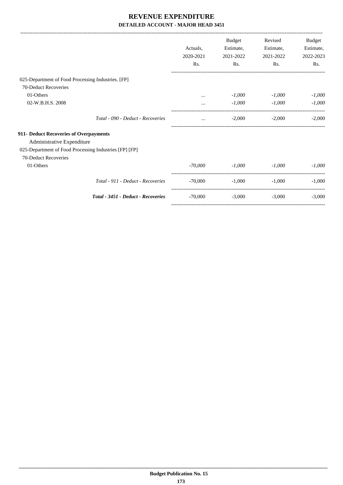|                                                        |           | <b>Budget</b> | Revised   | Budget    |
|--------------------------------------------------------|-----------|---------------|-----------|-----------|
|                                                        | Actuals.  | Estimate,     | Estimate, | Estimate, |
|                                                        | 2020-2021 | 2021-2022     | 2021-2022 | 2022-2023 |
|                                                        | Rs.       | Rs.           | Rs.       | Rs.       |
| 025-Department of Food Processing Industries. [FP]     |           |               |           |           |
| 70-Deduct Recoveries                                   |           |               |           |           |
| 01-Others                                              |           | $-1,000$      | $-1,000$  | $-1,000$  |
| 02-W.B.H.S. 2008                                       |           | $-1,000$      | $-1,000$  | $-1,000$  |
| Total - 090 - Deduct - Recoveries                      | $\cdots$  | $-2,000$      | $-2,000$  | $-2,000$  |
| 911- Deduct Recoveries of Overpayments                 |           |               |           |           |
| Administrative Expenditure                             |           |               |           |           |
| 025-Department of Food Processing Industries [FP] [FP] |           |               |           |           |
| 70-Deduct Recoveries                                   |           |               |           |           |
| 01-Others                                              | $-70,000$ | $-1,000$      | $-1,000$  | $-1,000$  |
| Total - 911 - Deduct - Recoveries                      | $-70,000$ | $-1,000$      | $-1,000$  | $-1,000$  |
| Total - 3451 - Deduct - Recoveries                     | $-70,000$ | $-3,000$      | $-3,000$  | $-3,000$  |
|                                                        |           |               |           |           |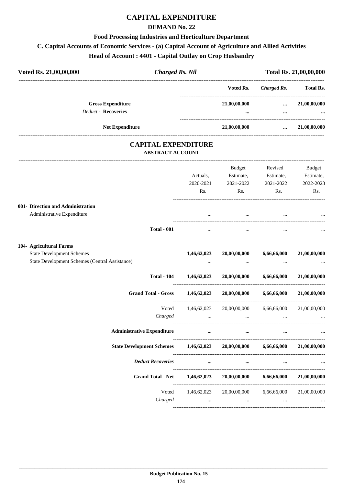# **CAPITAL EXPENDITURE**

#### **DEMAND No. 22**

#### **Food Processing Industries and Horticulture Department**

## **C. Capital Accounts of Economic Services - (a) Capital Account of Agriculture and Allied Activities**

## **Head of Account : 4401 - Capital Outlay on Crop Husbandry**

| Voted Rs. 21,00,00,000                         | <b>Charged Rs. Nil</b>                                |             |                                    |                          | Total Rs. 21,00,00,000 |
|------------------------------------------------|-------------------------------------------------------|-------------|------------------------------------|--------------------------|------------------------|
|                                                |                                                       |             | Voted Rs.                          | <b>Charged Rs.</b>       | <b>Total Rs.</b>       |
|                                                | <b>Gross Expenditure</b>                              |             | 21,00,00,000                       | $\cdots$                 | 21,00,00,000           |
| Deduct - Recoveries                            |                                                       |             | ---------------------------------- |                          |                        |
|                                                | Net Expenditure                                       |             | 21,00,00,000                       | $\cdots$                 | 21,00,00,000           |
|                                                | <b>CAPITAL EXPENDITURE</b><br><b>ABSTRACT ACCOUNT</b> |             |                                    |                          |                        |
|                                                |                                                       |             | Budget                             | Revised                  | <b>Budget</b>          |
|                                                |                                                       | Actuals,    | Estimate,                          | Estimate,                | Estimate,              |
|                                                |                                                       | 2020-2021   | 2021-2022                          | 2021-2022                | 2022-2023              |
|                                                |                                                       | Rs.         | Rs.                                | Rs.                      | Rs.                    |
| 001- Direction and Administration              |                                                       |             |                                    |                          |                        |
| Administrative Expenditure                     |                                                       |             |                                    |                          |                        |
|                                                | <b>Total - 001</b>                                    | $\cdots$    | $\cdots$                           |                          |                        |
| 104- Agricultural Farms                        |                                                       |             |                                    |                          |                        |
| <b>State Development Schemes</b>               |                                                       | 1,46,62,023 | 20,00,00,000                       | 6,66,66,000              | 21,00,00,000           |
| State Development Schemes (Central Assistance) |                                                       |             |                                    |                          |                        |
|                                                | <b>Total - 104</b>                                    | 1,46,62,023 | 20,00,00,000                       | 6,66,66,000              | 21,00,00,000           |
|                                                | <b>Grand Total - Gross</b>                            | 1,46,62,023 | 20,00,00,000                       | 6,66,66,000              | 21,00,00,000           |
|                                                | Voted                                                 | 1,46,62,023 | 20,00,00,000                       | 6,66,66,000              | 21,00,00,000           |
|                                                | Charged                                               | $\cdots$    | $\cdots$                           | $\cdots$                 |                        |
|                                                | <b>Administrative Expenditure</b>                     | $\cdots$    | $\cdots$                           | $\cdots$                 |                        |
|                                                | <b>State Development Schemes</b>                      | 1,46,62,023 |                                    | 20,00,00,000 6,66,66,000 | 21,00,00,000           |
|                                                | <b>Deduct Recoveries</b>                              | $\cdots$    | $\cdots$                           | $\cdots$                 |                        |
|                                                | <b>Grand Total - Net</b>                              | 1,46,62,023 | 20,00,00,000                       | 6,66,66,000              | 21,00,00,000           |
|                                                | Voted                                                 | 1,46,62,023 | 20,00,00,000                       | 6,66,66,000              | 21,00,00,000           |
|                                                | Charged                                               | $\cdots$    | $\cdots$                           | $\cdots$                 |                        |
|                                                |                                                       |             |                                    |                          |                        |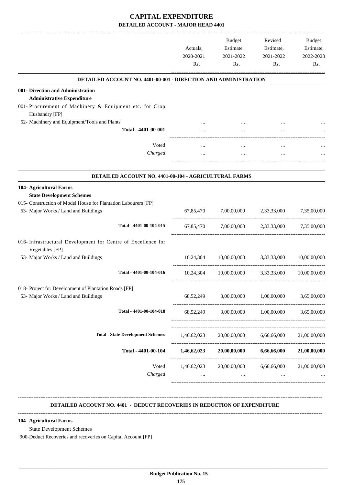#### **CAPITAL EXPENDITURE DETAILED ACCOUNT - MAJOR HEAD 4401**

|                                                                                  | Actuals,<br>2020-2021<br>Rs. | Budget<br>Estimate,<br>2021-2022<br>Rs. | Revised<br>Estimate,<br>2021-2022<br>Rs. | Budget<br>Estimate,<br>2022-2023<br>Rs. |
|----------------------------------------------------------------------------------|------------------------------|-----------------------------------------|------------------------------------------|-----------------------------------------|
| DETAILED ACCOUNT NO. 4401-00-001 - DIRECTION AND ADMINISTRATION                  |                              |                                         |                                          |                                         |
| 001- Direction and Administration                                                |                              |                                         |                                          |                                         |
| <b>Administrative Expenditure</b>                                                |                              |                                         |                                          |                                         |
| 001- Procurement of Machinery & Equipment etc. for Crop                          |                              |                                         |                                          |                                         |
| Husbandry [FP]                                                                   |                              |                                         |                                          |                                         |
| 52- Machinery and Equipment/Tools and Plants<br>Total - 4401-00-001              |                              |                                         |                                          |                                         |
|                                                                                  |                              | $\cdots$                                | $\cdots$                                 |                                         |
| Voted                                                                            |                              |                                         | $\cdots$                                 |                                         |
| Charged                                                                          |                              | $\ldots$                                | $\cdots$                                 |                                         |
|                                                                                  |                              |                                         |                                          |                                         |
| DETAILED ACCOUNT NO. 4401-00-104 - AGRICULTURAL FARMS                            |                              |                                         |                                          |                                         |
| 104- Agricultural Farms                                                          |                              |                                         |                                          |                                         |
| <b>State Development Schemes</b>                                                 |                              |                                         |                                          |                                         |
| 015- Construction of Model House for Plantation Labourers [FP]                   |                              |                                         |                                          |                                         |
| 53- Major Works / Land and Buildings                                             |                              | 67,85,470 7,00,00,000 2,33,33,000       |                                          | 7,35,00,000                             |
|                                                                                  |                              |                                         |                                          |                                         |
| Total - 4401-00-104-015                                                          | 67,85,470                    | 7,00,00,000                             |                                          | 2,33,33,000 7,35,00,000                 |
| 016- Infrastructural Development for Centre of Excellence for<br>Vegetables [FP] |                              |                                         |                                          |                                         |
| 53- Major Works / Land and Buildings                                             | 10,24,304                    | 10,00,00,000 3,33,33,000                |                                          | 10,00,00,000                            |
|                                                                                  |                              |                                         |                                          |                                         |
| Total - 4401-00-104-016                                                          | 10,24,304                    | 10,00,00,000                            | 3,33,33,000                              | 10,00,00,000                            |
| 018- Project for Development of Plantation Roads [FP]                            |                              |                                         |                                          |                                         |
| 53- Major Works / Land and Buildings                                             | 68,52,249                    | 3,00,00,000                             | 1,00,00,000                              | 3,65,00,000                             |
|                                                                                  |                              |                                         |                                          |                                         |
| Total - 4401-00-104-018                                                          | 68,52,249                    | 3,00,00,000                             | 1,00,00,000                              | 3,65,00,000                             |
|                                                                                  |                              |                                         |                                          |                                         |
| <b>Total - State Development Schemes</b>                                         |                              |                                         |                                          |                                         |
|                                                                                  | 1,46,62,023                  | 20,00,00,000                            | 6,66,66,000                              | 21,00,00,000                            |
| Total - 4401-00-104                                                              | 1,46,62,023                  | 20,00,00,000                            | 6,66,66,000                              | 21,00,00,000                            |
|                                                                                  |                              |                                         |                                          |                                         |
| Voted                                                                            | 1,46,62,023                  | 20,00,00,000                            | 6,66,66,000                              | 21,00,00,000                            |
| Charged                                                                          |                              |                                         |                                          |                                         |
|                                                                                  |                              |                                         |                                          |                                         |
|                                                                                  |                              |                                         |                                          |                                         |

**104- Agricultural Farms**

State Development Schemes

900-Deduct Recoveries and recoveries on Capital Account [FP]

 **\_\_\_\_\_\_\_\_\_\_\_\_\_\_\_\_\_\_\_\_\_\_\_\_\_\_\_\_\_\_\_\_\_\_\_\_\_\_\_\_\_\_\_\_\_\_\_\_\_\_\_\_\_\_\_\_\_\_\_\_\_\_\_\_\_\_\_\_\_\_\_\_\_\_\_\_\_\_\_\_\_\_\_\_\_\_\_\_\_\_\_\_\_\_\_\_\_\_\_\_\_\_\_\_\_\_\_\_\_\_\_\_\_\_\_\_\_\_\_**

**--------------------------------------------------------------------------------------------------------------------------------------------------------------------------------**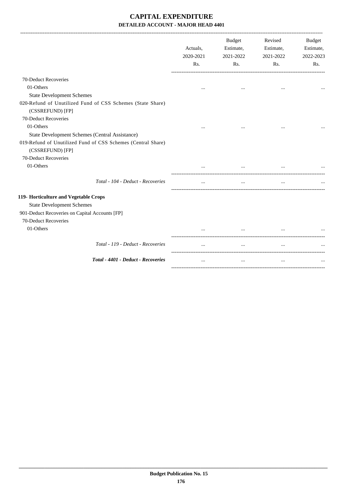## **CAPITAL EXPENDITURE DETAILED ACCOUNT - MAJOR HEAD 4401**

|                                                                                  | Actuals,<br>2020-2021<br>Rs. | <b>Budget</b><br>Estimate,<br>2021-2022<br>Rs. | Revised<br>Estimate,<br>2021-2022<br>Rs. | <b>Budget</b><br>Estimate,<br>2022-2023<br>Rs. |
|----------------------------------------------------------------------------------|------------------------------|------------------------------------------------|------------------------------------------|------------------------------------------------|
| 70-Deduct Recoveries                                                             |                              |                                                |                                          |                                                |
| 01-Others                                                                        | $\cdots$                     | $\cdots$                                       | $\ddotsc$                                |                                                |
| <b>State Development Schemes</b>                                                 |                              |                                                |                                          |                                                |
| 020-Refund of Unutilized Fund of CSS Schemes (State Share)<br>(CSSREFUND) [FP]   |                              |                                                |                                          |                                                |
| 70-Deduct Recoveries                                                             |                              |                                                |                                          |                                                |
| 01-Others                                                                        | $\ddotsc$                    |                                                | $\ddotsc$                                |                                                |
| State Development Schemes (Central Assistance)                                   |                              |                                                |                                          |                                                |
| 019-Refund of Unutilized Fund of CSS Schemes (Central Share)<br>(CSSREFUND) [FP] |                              |                                                |                                          |                                                |
| 70-Deduct Recoveries                                                             |                              |                                                |                                          |                                                |
| 01-Others                                                                        |                              |                                                | $\cdots$                                 |                                                |
| Total - 104 - Deduct - Recoveries                                                |                              |                                                |                                          |                                                |
| 119- Horticulture and Vegetable Crops                                            |                              |                                                |                                          |                                                |
| <b>State Development Schemes</b>                                                 |                              |                                                |                                          |                                                |
| 901-Deduct Recoveries on Capital Accounts [FP]                                   |                              |                                                |                                          |                                                |
| 70-Deduct Recoveries                                                             |                              |                                                |                                          |                                                |
| 01-Others                                                                        |                              |                                                |                                          |                                                |
| Total - 119 - Deduct - Recoveries                                                |                              | $\cdots$                                       | $\cdots$                                 |                                                |
| Total - 4401 - Deduct - Recoveries                                               | $\cdots$                     | $\cdots$                                       | $\cdots$                                 |                                                |
|                                                                                  |                              |                                                |                                          |                                                |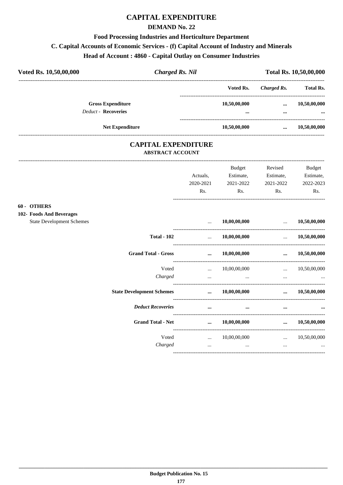## **CAPITAL EXPENDITURE**

#### **DEMAND No. 22**

#### **Food Processing Industries and Horticulture Department**

## C. Capital Accounts of Economic Services - (f) Capital Account of Industry and Minerals

#### Head of Account: 4860 - Capital Outlay on Consumer Industries

| Voted Rs. 10,50,00,000 |                            | <b>Charged Rs. Nil</b>                                |              | Total Rs. 10,50,00,000 |               |
|------------------------|----------------------------|-------------------------------------------------------|--------------|------------------------|---------------|
|                        |                            |                                                       | Voted Rs.    | Charged Rs.            | Total Rs.     |
|                        | <b>Gross Expenditure</b>   |                                                       | 10,50,00,000 | $\cdots$               | 10,50,00,000  |
|                        | <b>Deduct - Recoveries</b> |                                                       | $\cdots$     | $\cdots$               | $\cdots$      |
|                        | <b>Net Expenditure</b>     |                                                       | 10,50,00,000 | $\cdots$               | 10,50,00,000  |
|                        |                            | <b>CAPITAL EXPENDITURE</b><br><b>ABSTRACT ACCOUNT</b> |              |                        |               |
|                        |                            |                                                       | Budget       | Revised                | <b>Budget</b> |
|                        |                            | Actuals.                                              | Estimate,    | Estimate,              | Estimate,     |
|                        |                            | 2020-2021                                             | 2021-2022    | 2021-2022              | 2022-2023     |

#### 60 - OTHERS

#### 102- Foods A

| <b>OTHERS</b>                    |                                  |           |              |          |              |
|----------------------------------|----------------------------------|-----------|--------------|----------|--------------|
| <b>Foods And Beverages</b>       |                                  |           |              |          |              |
| <b>State Development Schemes</b> |                                  | $\cdots$  | 10,00,00,000 | $\cdots$ | 10,50,00,000 |
|                                  | <b>Total - 102</b>               | $\ddotsc$ | 10,00,00,000 | $\cdots$ | 10,50,00,000 |
|                                  | <b>Grand Total - Gross</b>       | $\ddotsc$ | 10,00,00,000 | $\cdots$ | 10,50,00,000 |
|                                  | Voted                            | $\ddotsc$ | 10,00,00,000 | $\cdots$ | 10,50,00,000 |
|                                  | Charged                          | $\cdots$  | $\cdots$     | $\cdots$ | $\cdots$     |
|                                  | <b>State Development Schemes</b> | $\cdots$  | 10,00,00,000 | $\cdots$ | 10,50,00,000 |
|                                  | <b>Deduct Recoveries</b>         | $\ddotsc$ | $\cdots$     | $\cdots$ | $\cdots$     |
|                                  | <b>Grand Total - Net</b>         | $\cdots$  | 10,00,00,000 | $\cdots$ | 10,50,00,000 |
|                                  | Voted                            |           | 10,00,00,000 | $\cdots$ | 10,50,00,000 |
|                                  | Charged                          | $\cdots$  | $\cdots$     | $\cdots$ | $\cdots$     |

Rs.

Rs.

Rs.

Rs.  $\overline{\phantom{a}}$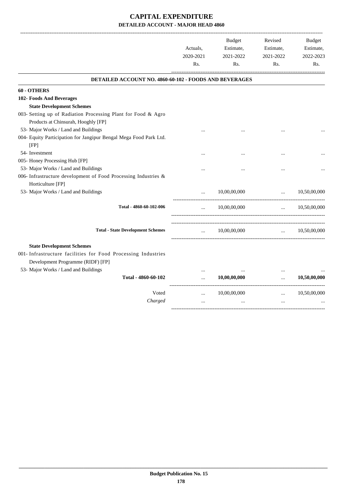## **CAPITAL EXPENDITURE DETAILED ACCOUNT - MAJOR HEAD 4860**

|                                                                   | Actuals,<br>2020-2021<br>Rs. | <b>Budget</b><br>Estimate,<br>2021-2022<br>Rs. | Revised<br>Estimate,<br>2021-2022<br>Rs. | <b>Budget</b><br>Estimate,<br>2022-2023<br>Rs. |
|-------------------------------------------------------------------|------------------------------|------------------------------------------------|------------------------------------------|------------------------------------------------|
| <b>DETAILED ACCOUNT NO. 4860-60-102 - FOODS AND BEVERAGES</b>     |                              |                                                |                                          |                                                |
| 60 - OTHERS                                                       |                              |                                                |                                          |                                                |
| 102- Foods And Beverages                                          |                              |                                                |                                          |                                                |
| <b>State Development Schemes</b>                                  |                              |                                                |                                          |                                                |
| 003- Setting up of Radiation Processing Plant for Food & Agro     |                              |                                                |                                          |                                                |
| Products at Chinsurah, Hooghly [FP]                               |                              |                                                |                                          |                                                |
| 53- Major Works / Land and Buildings                              |                              |                                                |                                          |                                                |
| 004- Equity Participation for Jangipur Bengal Mega Food Park Ltd. |                              |                                                |                                          |                                                |
| [FP]                                                              |                              |                                                |                                          |                                                |
| 54- Investment                                                    |                              |                                                |                                          |                                                |
| 005- Honey Processing Hub [FP]                                    |                              |                                                |                                          |                                                |
| 53- Major Works / Land and Buildings                              |                              |                                                |                                          |                                                |
| 006- Infrastructure development of Food Processing Industries &   |                              |                                                |                                          |                                                |
| Horticulture [FP]                                                 |                              |                                                |                                          |                                                |
| 53- Major Works / Land and Buildings                              |                              | 10,00,00,000                                   | $\ddotsc$<br>--------------------------- | 10,50,00,000                                   |
| Total - 4860-60-102-006                                           |                              | 10,00,00,000                                   | $\ddotsc$                                | 10,50,00,000                                   |
| <b>Total - State Development Schemes</b>                          | $\cdots$                     | 10,00,00,000                                   | $\ddotsc$                                | 10,50,00,000                                   |
|                                                                   |                              |                                                |                                          |                                                |
| <b>State Development Schemes</b>                                  |                              |                                                |                                          |                                                |
| 001- Infrastructure facilities for Food Processing Industries     |                              |                                                |                                          |                                                |
| Development Programme (RIDF) [FP]                                 |                              |                                                |                                          |                                                |
| 53- Major Works / Land and Buildings                              |                              |                                                |                                          |                                                |
| Total - 4860-60-102                                               | $\ddotsc$                    | 10,00,00,000                                   | $\cdots$                                 | 10,50,00,000                                   |
| Voted                                                             |                              | 10,00,00,000                                   | $\cdots$                                 | 10,50,00,000                                   |
| Charged                                                           | $\cdots$                     |                                                | $\ddotsc$                                |                                                |
|                                                                   |                              |                                                |                                          |                                                |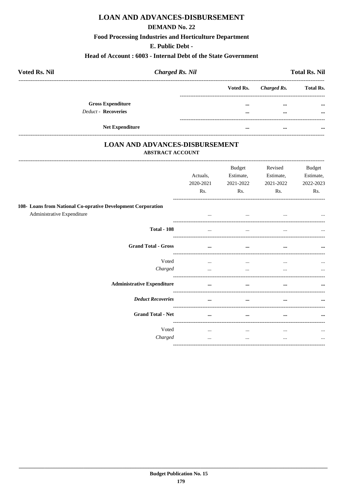## **LOAN AND ADVANCES-DISBURSEMENT**

#### **DEMAND No. 22**

#### **Food Processing Industries and Horticulture Department**

#### E. Public Debt -

#### Head of Account: 6003 - Internal Debt of the State Government

| <b>Voted Rs. Nil</b>                            | <b>Charged Rs. Nil</b> |                      |                      | <b>Total Rs. Nil</b> |
|-------------------------------------------------|------------------------|----------------------|----------------------|----------------------|
|                                                 |                        | Voted Rs.            | Charged Rs.          | <b>Total Rs.</b>     |
| <b>Gross Expenditure</b><br>Deduct - Recoveries |                        | $\cdots$<br>$\cdots$ | $\cdots$<br>$\cdots$ | $\cdots$<br>$\cdots$ |
| <b>Net Expenditure</b>                          |                        |                      | $\cdots$             | $\cdots$             |

### **LOAN AND ADVANCES-DISBURSEMENT ABSTRACT ACCOUNT**

|                                                                                            | Actuals,<br>2020-2021<br>Rs. | <b>Budget</b><br>Estimate,<br>2021-2022<br>Rs. | Revised<br>Estimate,<br>2021-2022<br>Rs. | Budget<br>Estimate,<br>2022-2023<br>Rs. |
|--------------------------------------------------------------------------------------------|------------------------------|------------------------------------------------|------------------------------------------|-----------------------------------------|
| 108- Loans from National Co-oprative Development Corporation<br>Administrative Expenditure | $\cdots$                     | $\cdots$                                       | $\cdots$                                 | $\ddotsc$                               |
| <b>Total - 108</b>                                                                         | $\cdots$                     | $\cdots$                                       | $\cdots$                                 | $\ddotsc$                               |
| <b>Grand Total - Gross</b>                                                                 | $\cdots$                     | $\cdots$                                       | $\cdots$                                 | $\cdots$                                |
| Voted<br>Charged                                                                           | $\cdots$<br>$\cdots$         | $\cdots$<br>$\cdots$                           | $\cdots$<br>                             | $\cdots$<br>$\cdots$                    |
| <b>Administrative Expenditure</b>                                                          |                              | $\cdots$                                       |                                          | $\cdots$                                |
| <b>Deduct Recoveries</b>                                                                   |                              | $\cdots$                                       |                                          |                                         |
| <b>Grand Total - Net</b>                                                                   |                              | $\cdots$                                       |                                          | $\cdots$                                |
| Voted<br>Charged                                                                           | <br>$\cdots$                 | $\cdots$<br>$\cdots$                           | $\cdots$<br>$\cdots$                     | $\cdots$<br>$\cdots$                    |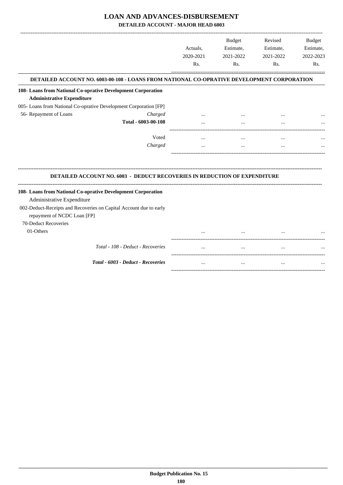## **LOAN AND ADVANCES-DISBURSEMENT**

**DETAILED ACCOUNT - MAJOR HEAD 6003**

|                                                                    |                                                                                            |                  | <b>Budget</b> | Revised   | <b>Budget</b> |
|--------------------------------------------------------------------|--------------------------------------------------------------------------------------------|------------------|---------------|-----------|---------------|
|                                                                    |                                                                                            | Actuals,         | Estimate,     | Estimate, | Estimate,     |
|                                                                    |                                                                                            | 2020-2021        | 2021-2022     | 2021-2022 | 2022-2023     |
|                                                                    |                                                                                            | R <sub>s</sub> . | Rs.           | Rs.       | Rs.           |
|                                                                    | DETAILED ACCOUNT NO. 6003-00-108 - LOANS FROM NATIONAL CO-OPRATIVE DEVELOPMENT CORPORATION |                  |               |           |               |
| 108- Loans from National Co-oprative Development Corporation       |                                                                                            |                  |               |           |               |
| <b>Administrative Expenditure</b>                                  |                                                                                            |                  |               |           |               |
| 005- Loans from National Co-oprative Development Corporation [FP]  |                                                                                            |                  |               |           |               |
| 56- Repayment of Loans                                             | Charged                                                                                    |                  |               |           |               |
|                                                                    | Total - 6003-00-108                                                                        | $\cdots$         | $\cdots$      | $\cdots$  |               |
|                                                                    | Voted                                                                                      |                  |               |           |               |
|                                                                    | Charged                                                                                    | $\ddotsc$        | $\cdots$      | $\cdots$  |               |
|                                                                    | <b>DETAILED ACCOUNT NO. 6003 - DEDUCT RECOVERIES IN REDUCTION OF EXPENDITURE</b>           |                  |               |           |               |
| 108- Loans from National Co-oprative Development Corporation       |                                                                                            |                  |               |           |               |
| Administrative Expenditure                                         |                                                                                            |                  |               |           |               |
| 002-Deduct-Receipts and Recoveries on Capital Account due to early |                                                                                            |                  |               |           |               |
| repayment of NCDC Loan [FP]                                        |                                                                                            |                  |               |           |               |
| 70-Deduct Recoveries                                               |                                                                                            |                  |               |           |               |
| 01-Others                                                          |                                                                                            |                  |               |           |               |
|                                                                    | Total - 108 - Deduct - Recoveries                                                          |                  |               |           |               |
|                                                                    | Total - 6003 - Deduct - Recoveries                                                         | $\cdots$         | $\cdots$      | $\cdots$  |               |
|                                                                    |                                                                                            |                  |               |           |               |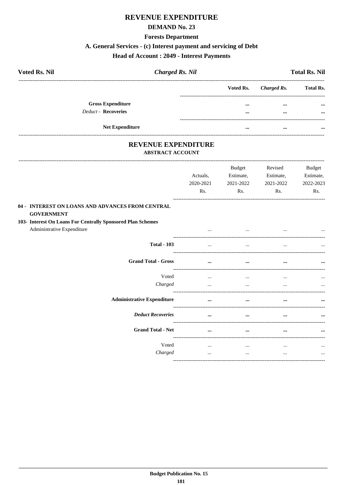## **REVENUE EXPENDITURE**

#### **DEMAND No. 23**

#### **Forests Department**

### A. General Services - (c) Interest payment and servicing of Debt

### **Head of Account : 2049 - Interest Payments**

| <b>Voted Rs. Nil</b>     | <b>Charged Rs. Nil</b> |           |             | <b>Total Rs. Nil</b> |
|--------------------------|------------------------|-----------|-------------|----------------------|
|                          |                        | Voted Rs. | Charged Rs. | <b>Total Rs.</b>     |
| <b>Gross Expenditure</b> |                        |           | $\cdots$    | $\cdots$             |
| Deduct - Recoveries      |                        | $\cdots$  | $\cdots$    | $\cdots$             |
|                          | <b>Net Expenditure</b> | $\cdots$  | $\cdots$    | $\cdots$             |

# REVENUE EXPENDITURE

#### **ABSTRACT ACCOUNT**

|                                                                                           | Actuals,<br>2020-2021<br>Rs. | <b>Budget</b><br>Estimate,<br>2021-2022<br>Rs. | Revised<br>Estimate,<br>2021-2022<br>Rs. | <b>Budget</b><br>Estimate,<br>2022-2023<br>Rs. |
|-------------------------------------------------------------------------------------------|------------------------------|------------------------------------------------|------------------------------------------|------------------------------------------------|
| 04 - INTEREST ON LOANS AND ADVANCES FROM CENTRAL<br><b>GOVERNMENT</b>                     |                              |                                                |                                          |                                                |
| 103- Interest On Loans For Centrally Sponsored Plan Schemes<br>Administrative Expenditure |                              |                                                |                                          |                                                |
| <b>Total - 103</b>                                                                        |                              | $\cdots$                                       |                                          |                                                |
| <b>Grand Total - Gross</b>                                                                | $\cdots$                     | $\cdots$                                       | $\cdots$                                 |                                                |
| Voted<br>Charged                                                                          | $\cdots$<br>$\cdots$         | $\cdots$<br>$\cdots$                           | $\cdots$<br>$\cdots$                     | $\cdots$                                       |
| <b>Administrative Expenditure</b>                                                         | $\cdots$                     | $\cdots$                                       | $\cdots$                                 | $\cdots$                                       |
| <b>Deduct Recoveries</b>                                                                  | $\cdots$                     | $\cdots$                                       |                                          |                                                |
| <b>Grand Total - Net</b>                                                                  | $\cdots$                     | $\cdots$                                       | $\cdots$                                 | $\cdots$                                       |
| Voted<br>Charged                                                                          | $\cdots$<br>$\cdots$         | $\cdots$<br>$\cdots$                           | $\cdots$<br>$\cdots$                     | $\cdots$<br>$\cdots$                           |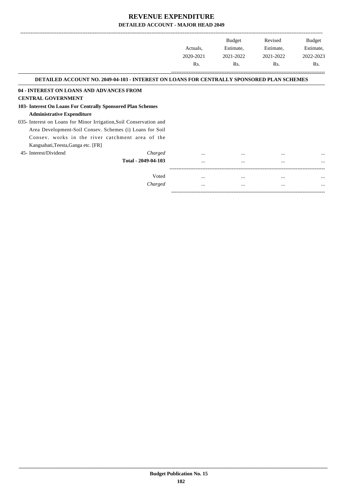|                                                                                                  |                     |           | Budget    | Revised   | Budget    |
|--------------------------------------------------------------------------------------------------|---------------------|-----------|-----------|-----------|-----------|
|                                                                                                  |                     | Actuals,  | Estimate, | Estimate, | Estimate, |
|                                                                                                  |                     | 2020-2021 | 2021-2022 | 2021-2022 | 2022-2023 |
|                                                                                                  |                     | Rs.       | Rs.       | Rs.       | Rs.       |
| <b>DETAILED ACCOUNT NO. 2049-04-103 - INTEREST ON LOANS FOR CENTRALLY SPONSORED PLAN SCHEMES</b> |                     |           |           |           |           |
| 04 - INTEREST ON LOANS AND ADVANCES FROM                                                         |                     |           |           |           |           |
| <b>CENTRAL GOVERNMENT</b>                                                                        |                     |           |           |           |           |
| 103- Interest On Loans For Centrally Sponsored Plan Schemes                                      |                     |           |           |           |           |
| <b>Administrative Expenditure</b>                                                                |                     |           |           |           |           |
| 035- Interest on Loans for Minor Irrigation, Soil Conservation and                               |                     |           |           |           |           |
| Area Development-Soil Consev. Schemes (i) Loans for Soil                                         |                     |           |           |           |           |
| Consev. works in the river catchment area of the                                                 |                     |           |           |           |           |
| Kangsabati, Teesta, Ganga etc. [FR]                                                              |                     |           |           |           |           |
| 45- Interest/Dividend                                                                            | Charged             |           |           | $\cdots$  |           |
|                                                                                                  | Total - 2049-04-103 | $\cdots$  | $\cdots$  | $\cdots$  |           |
|                                                                                                  |                     |           |           |           |           |
|                                                                                                  | Voted               |           | $\cdots$  | $\cdots$  |           |
|                                                                                                  | Charged             | $\cdots$  | $\cdots$  | $\cdots$  | $\cdots$  |

-----------------------------------------------------------------------------------------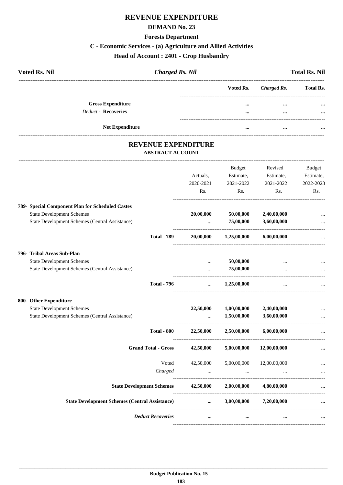## **REVENUE EXPENDITURE**

#### **DEMAND No. 23**

#### **Forests Department**

### **C - Economic Services - (a) Agriculture and Allied Activities**

### **Head of Account : 2401 - Crop Husbandry**

| <b>Voted Rs. Nil</b>     | <b>Charged Rs. Nil</b> |                       | <b>Total Rs. Nil</b> |
|--------------------------|------------------------|-----------------------|----------------------|
|                          |                        | Voted Rs. Charged Rs. | <b>Total Rs.</b>     |
| <b>Gross Expenditure</b> |                        | <br>$\cdots$          | $\cdots$             |
| Deduct - Recoveries      |                        | <br>$\cdots$          | $\cdots$             |
| <b>Net Expenditure</b>   |                        | <br>                  |                      |

### **REVENUE EXPENDITURE ABSTRACT ACCOUNT**

---------------------------------------------------------------------------------------------------------------------------------------------------------------------------------

|                                                       | Actuals,<br>2020-2021 | <b>Budget</b><br>Estimate,<br>2021-2022 | Revised<br>Estimate,<br>2021-2022 | <b>Budget</b><br>Estimate,<br>2022-2023 |
|-------------------------------------------------------|-----------------------|-----------------------------------------|-----------------------------------|-----------------------------------------|
|                                                       | Rs.                   | Rs.                                     | Rs.                               | Rs.                                     |
| 789- Special Component Plan for Scheduled Castes      |                       |                                         |                                   |                                         |
| <b>State Development Schemes</b>                      | 20,00,000             | 50,00,000                               | 2,40,00,000                       |                                         |
| State Development Schemes (Central Assistance)        | $\ddotsc$             | 75,00,000                               | 3,60,00,000                       |                                         |
| <b>Total - 789</b>                                    |                       | $20,00,000$ $1,25,00,000$               | 6,00,00,000                       |                                         |
| 796- Tribal Areas Sub-Plan                            |                       |                                         |                                   |                                         |
| <b>State Development Schemes</b>                      | $\cdots$              | 50,00,000                               |                                   |                                         |
| State Development Schemes (Central Assistance)        | $\cdots$              | 75,00,000                               | $\cdots$                          |                                         |
| <b>Total - 796</b>                                    | $\cdots$              | 1,25,00,000                             | $\cdots$                          |                                         |
| 800- Other Expenditure                                |                       |                                         |                                   |                                         |
| <b>State Development Schemes</b>                      | 22,50,000             | 1,00,00,000                             | 2,40,00,000                       |                                         |
| State Development Schemes (Central Assistance)        |                       | 1,50,00,000                             | 3,60,00,000                       | $\ddotsc$                               |
| <b>Total - 800</b>                                    |                       | $22,50,000$ $2,50,00,000$               | 6,00,00,000                       |                                         |
| <b>Grand Total - Gross</b>                            | 42,50,000             | 5,00,00,000                             | 12,00,00,000                      |                                         |
| Voted                                                 |                       | 42,50,000 5,00,00,000                   | 12,00,00,000                      |                                         |
| Charged                                               | $\sim$ $\sim$         |                                         |                                   |                                         |
| <b>State Development Schemes</b>                      | 42,50,000             | 2,00,00,000                             | 4,80,00,000                       |                                         |
| <b>State Development Schemes (Central Assistance)</b> | $\cdots$              |                                         | $3,00,00,000$ $7,20,00,000$       |                                         |
| <b>Deduct Recoveries</b>                              | $\cdots$              | $\cdots$                                | $\cdots$                          |                                         |
|                                                       |                       |                                         |                                   |                                         |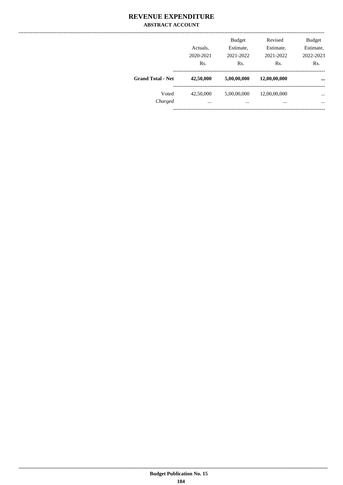|                          | Actuals.<br>2020-2021<br>Rs. | <b>Budget</b><br>Estimate,<br>2021-2022<br>Rs. | Revised<br>Estimate,<br>2021-2022<br>Rs. | <b>Budget</b><br>Estimate,<br>2022-2023<br>Rs. |
|--------------------------|------------------------------|------------------------------------------------|------------------------------------------|------------------------------------------------|
| <b>Grand Total - Net</b> | 42,50,000                    | 5,00,00,000                                    | 12,00,00,000                             | $\cdots$                                       |
| Voted<br>Charged         | 42,50,000<br>$\cdots$        | 5,00,00,000<br>                                | 12,00,00,000<br>                         | $\cdots$<br>$\cdots$                           |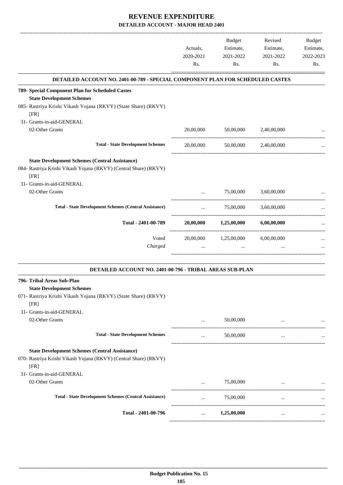|                                                                                |           | Budget      | Revised                                       | Budget    |
|--------------------------------------------------------------------------------|-----------|-------------|-----------------------------------------------|-----------|
|                                                                                | Actuals,  | Estimate,   | Estimate,                                     | Estimate, |
|                                                                                | 2020-2021 | 2021-2022   | 2021-2022                                     | 2022-2023 |
|                                                                                | Rs.       | Rs.         | Rs.                                           | Rs.       |
| DETAILED ACCOUNT NO. 2401-00-789 - SPECIAL COMPONENT PLAN FOR SCHEDULED CASTES |           |             |                                               |           |
| 789- Special Component Plan for Scheduled Castes                               |           |             |                                               |           |
| <b>State Development Schemes</b>                                               |           |             |                                               |           |
| 085- Rastriya Krishi Vikash Yojana (RKVY) (State Share) (RKVY)<br>[FR]         |           |             |                                               |           |
| 31- Grants-in-aid-GENERAL                                                      |           |             |                                               |           |
| 02-Other Grants                                                                | 20,00,000 | 50,00,000   | 2,40,00,000                                   |           |
| <b>Total - State Development Schemes</b>                                       | 20,00,000 | 50,00,000   | 2,40,00,000                                   |           |
| <b>State Development Schemes (Central Assistance)</b>                          |           |             |                                               |           |
| 084- Rastriya Krishi Vikash Yojana (RKVY) (Central Share) (RKVY)               |           |             |                                               |           |
| [FR]                                                                           |           |             |                                               |           |
| 31- Grants-in-aid-GENERAL                                                      |           |             |                                               |           |
| 02-Other Grants                                                                | $\cdots$  | 75,00,000   | 3,60,00,000                                   |           |
|                                                                                |           |             |                                               |           |
| <b>Total - State Development Schemes (Central Assistance)</b>                  | $\cdots$  | 75,00,000   | 3,60,00,000<br>------------------------------ |           |
| Total - 2401-00-789                                                            | 20,00,000 | 1,25,00,000 | 6,00,00,000                                   |           |
| Voted                                                                          | 20,00,000 | 1,25,00,000 | 6,00,00,000                                   |           |
| Charged                                                                        |           |             |                                               |           |
|                                                                                |           |             |                                               |           |
| DETAILED ACCOUNT NO. 2401-00-796 - TRIBAL AREAS SUB-PLAN                       |           |             |                                               |           |
| 796- Tribal Areas Sub-Plan                                                     |           |             |                                               |           |
| <b>State Development Schemes</b>                                               |           |             |                                               |           |
| 071- Rastriya Krishi Vikash Yojana (RKVY) (State Share) (RKVY)                 |           |             |                                               |           |
| [FR]                                                                           |           |             |                                               |           |
| 31- Grants-in-aid-GENERAL                                                      |           |             |                                               |           |
| 02-Other Grants                                                                | $\cdots$  | 50,00,000   | $\cdots$                                      |           |
| <b>Total - State Development Schemes</b>                                       | $\cdots$  | 50,00,000   | $\cdots$                                      |           |
| <b>State Development Schemes (Central Assistance)</b>                          |           |             |                                               |           |
| 070- Rastriya Krishi Vikash Yojana (RKVY) (Central Share) (RKVY)               |           |             |                                               |           |
| [FR]                                                                           |           |             |                                               |           |
| 31- Grants-in-aid-GENERAL                                                      |           |             |                                               |           |
| 02-Other Grants                                                                |           | 75,00,000   |                                               |           |
| <b>Total - State Development Schemes (Central Assistance)</b>                  | $\cdots$  | 75,00,000   | $\cdots$                                      |           |
|                                                                                |           |             |                                               |           |
| Total - 2401-00-796                                                            | $\cdots$  | 1,25,00,000 | $\cdots$                                      |           |
|                                                                                |           |             |                                               |           |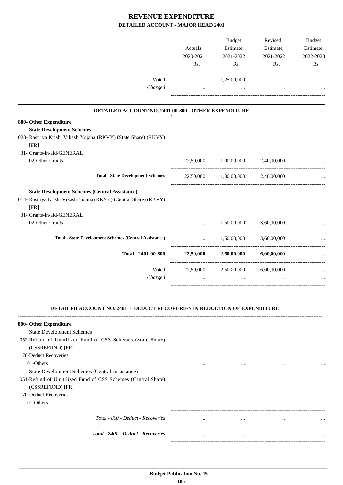|                                                                                                                                    | Actuals,<br>2020-2021<br>Rs. | Budget<br>Estimate,<br>2021-2022<br>Rs. | Revised<br>Estimate,<br>2021-2022<br>Rs. | <b>Budget</b><br>Estimate,<br>2022-2023<br>Rs. |
|------------------------------------------------------------------------------------------------------------------------------------|------------------------------|-----------------------------------------|------------------------------------------|------------------------------------------------|
| Voted                                                                                                                              | $\cdots$                     | 1,25,00,000                             |                                          |                                                |
| Charged                                                                                                                            | $\cdots$                     | $\cdots$                                | $\cdots$<br>_________________________    |                                                |
| DETAILED ACCOUNT NO. 2401-00-800 - OTHER EXPENDITURE                                                                               |                              |                                         |                                          |                                                |
| 800- Other Expenditure                                                                                                             |                              |                                         |                                          |                                                |
| <b>State Development Schemes</b>                                                                                                   |                              |                                         |                                          |                                                |
| 023- Rastriya Krishi Vikash Yojana (RKVY) (State Share) (RKVY)<br>[FR]                                                             |                              |                                         |                                          |                                                |
| 31- Grants-in-aid-GENERAL                                                                                                          |                              |                                         |                                          |                                                |
| 02-Other Grants                                                                                                                    | 22,50,000                    | 1,00,00,000                             | 2,40,00,000                              |                                                |
| <b>Total - State Development Schemes</b>                                                                                           |                              | 22,50,000 1,00,00,000 2,40,00,000       |                                          |                                                |
| <b>State Development Schemes (Central Assistance)</b><br>014- Rastriya Krishi Vikash Yojana (RKVY) (Central Share) (RKVY)          |                              |                                         |                                          |                                                |
| [FR]                                                                                                                               |                              |                                         |                                          |                                                |
| 31- Grants-in-aid-GENERAL                                                                                                          |                              |                                         |                                          |                                                |
| 02-Other Grants                                                                                                                    | $\cdots$                     | 1,50,00,000                             | 3,60,00,000<br>------------------------- |                                                |
| <b>Total - State Development Schemes (Central Assistance)</b>                                                                      | $\cdots$                     | 1,50,00,000                             | 3,60,00,000                              | ---------------------                          |
| Total - 2401-00-800                                                                                                                |                              | 22,50,000 2,50,00,000                   | 6,00,00,000                              |                                                |
| Voted                                                                                                                              | 22,50,000                    | 2,50,00,000                             | 6,00,00,000                              |                                                |
| Charged                                                                                                                            | $\cdots$                     | $\cdots$                                | $\cdots$                                 |                                                |
| <b>DETAILED ACCOUNT NO. 2401 - DEDUCT RECOVERIES IN REDUCTION OF EXPENDITURE</b>                                                   |                              |                                         |                                          |                                                |
| 800- Other Expenditure                                                                                                             |                              |                                         |                                          |                                                |
| <b>State Development Schemes</b>                                                                                                   |                              |                                         |                                          |                                                |
| 052-Refund of Unutilized Fund of CSS Schemes (State Share)<br>(CSSREFUND) [FR]                                                     |                              |                                         |                                          |                                                |
| 70-Deduct Recoveries                                                                                                               |                              |                                         |                                          |                                                |
| 01-Others                                                                                                                          | $\cdots$                     | $\cdots$                                | $\cdots$                                 |                                                |
| State Development Schemes (Central Assistance)<br>051-Refund of Unutilized Fund of CSS Schemes (Central Share)<br>(CSSREFUND) [FR] |                              |                                         |                                          |                                                |
| 70-Deduct Recoveries                                                                                                               |                              |                                         |                                          |                                                |
| 01-Others                                                                                                                          |                              | $\cdots$                                |                                          |                                                |
| Total - 800 - Deduct - Recoveries                                                                                                  | $\ldots$                     | $\cdots$                                | $\cdots$                                 |                                                |
| Total - 2401 - Deduct - Recoveries                                                                                                 | $\cdots$                     | $\cdots$                                | $\cdots$                                 |                                                |
|                                                                                                                                    |                              |                                         |                                          |                                                |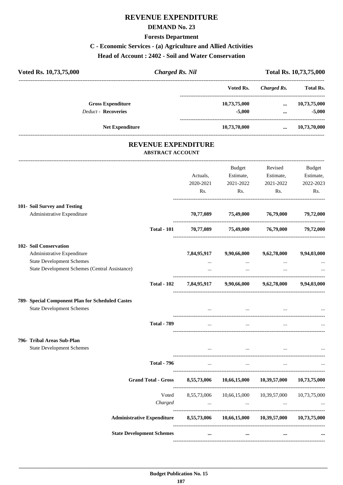## **REVENUE EXPENDITURE**

#### **DEMAND No. 23**

#### **Forests Department**

#### **C - Economic Services - (a) Agriculture and Allied Activities**

**Head of Account : 2402 - Soil and Water Conservation**

| Voted Rs. 10,73,75,000                           | <b>Charged Rs. Nil</b>                                |                                         |                                     | Total Rs. 10,73,75,000           |
|--------------------------------------------------|-------------------------------------------------------|-----------------------------------------|-------------------------------------|----------------------------------|
|                                                  |                                                       | Voted Rs.                               | <b>Charged Rs.</b>                  | <b>Total Rs.</b>                 |
| <b>Gross Expenditure</b><br>Deduct - Recoveries  |                                                       | 10,73,75,000<br>$-5,000$                | $\cdots$ . The contract of $\cdots$ | $\dots$ 10,73,75,000<br>$-5,000$ |
| Net Expenditure                                  |                                                       | 10,73,70,000                            |                                     | $\dots$ 10,73,70,000             |
|                                                  | <b>REVENUE EXPENDITURE</b><br><b>ABSTRACT ACCOUNT</b> |                                         |                                     |                                  |
|                                                  |                                                       | Budget                                  | Revised                             | <b>Budget</b>                    |
|                                                  | Actuals,                                              | Estimate,                               | Estimate,                           | Estimate,                        |
|                                                  | 2020-2021                                             | 2021-2022                               | 2021-2022                           | 2022-2023                        |
|                                                  | Rs.                                                   | Rs.                                     | Rs.                                 | Rs.                              |
| 101- Soil Survey and Testing                     |                                                       |                                         |                                     |                                  |
| Administrative Expenditure                       | 70,77,089                                             | 75,49,000 76,79,000                     |                                     | 79,72,000                        |
| <b>Total - 101</b>                               |                                                       | 70,77,089 75,49,000 76,79,000 79,72,000 |                                     |                                  |
| 102- Soil Conservation                           |                                                       |                                         |                                     |                                  |
| Administrative Expenditure                       | 7,84,95,917                                           | 9,90,66,000                             | 9,62,78,000                         | 9,94,03,000                      |
| <b>State Development Schemes</b>                 |                                                       | $\cdots$                                | $\cdots$                            |                                  |
| State Development Schemes (Central Assistance)   |                                                       | $\cdots$                                |                                     |                                  |
| <b>Total - 102</b>                               |                                                       | 7,84,95,917 9,90,66,000 9,62,78,000     |                                     | 9,94,03,000                      |
| 789- Special Component Plan for Scheduled Castes |                                                       |                                         |                                     |                                  |
| <b>State Development Schemes</b>                 |                                                       |                                         |                                     |                                  |
| <b>Total - 789</b>                               |                                                       |                                         |                                     |                                  |
| 796- Tribal Areas Sub-Plan                       |                                                       |                                         |                                     |                                  |
| <b>State Development Schemes</b>                 |                                                       | the contract of the contract of         |                                     |                                  |
| <b>Total - 796</b>                               | $\ddotsc$                                             | $\cdots$                                | $\ddotsc$                           |                                  |
| <b>Grand Total - Gross</b>                       | 8,55,73,006                                           | 10,66,15,000                            | 10,39,57,000                        | 10,73,75,000                     |
|                                                  |                                                       |                                         |                                     |                                  |
| Voted                                            | 8,55,73,006                                           | 10,66,15,000                            | 10,39,57,000                        | 10,73,75,000                     |
| Charged                                          | $\cdots$                                              | $\cdots$                                | $\cdots$                            |                                  |
| <b>Administrative Expenditure</b>                | 8,55,73,006                                           | 10,66,15,000                            | 10,39,57,000                        | 10,73,75,000                     |

----------------------------------------------------------------------------------------

----------------------------------------------------------------------------------------

**State Development Schemes ... ... ... ...**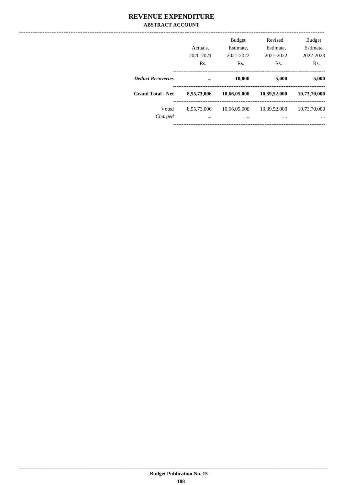|                          | Actuals.<br>2020-2021<br>Rs. | <b>Budget</b><br>Estimate.<br>2021-2022<br>Rs. | Revised<br>Estimate.<br>2021-2022<br>Rs. | <b>Budget</b><br>Estimate.<br>2022-2023<br>Rs. |
|--------------------------|------------------------------|------------------------------------------------|------------------------------------------|------------------------------------------------|
| <b>Deduct Recoveries</b> | $\ddotsc$                    | $-10,000$                                      | $-5,000$                                 | $-5,000$                                       |
| <b>Grand Total - Net</b> | 8,55,73,006                  | 10,66,05,000                                   | 10,39,52,000                             | 10,73,70,000                                   |
| Voted<br>Charged         | 8,55,73,006<br>              | 10,66,05,000<br>$\cdots$                       | 10,39,52,000<br>                         | 10,73,70,000<br>$\cdots$                       |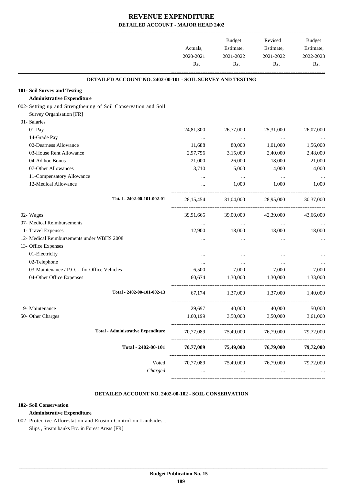|                                                                 |             | Budget    | Revised   | Budget    |
|-----------------------------------------------------------------|-------------|-----------|-----------|-----------|
|                                                                 | Actuals,    | Estimate, | Estimate, | Estimate, |
|                                                                 | 2020-2021   | 2021-2022 | 2021-2022 | 2022-2023 |
|                                                                 | Rs.         | Rs.       | Rs.       | Rs.       |
| DETAILED ACCOUNT NO. 2402-00-101 - SOIL SURVEY AND TESTING      |             |           |           |           |
| 101- Soil Survey and Testing                                    |             |           |           |           |
| <b>Administrative Expenditure</b>                               |             |           |           |           |
| 002- Setting up and Strengthening of Soil Conservation and Soil |             |           |           |           |
| Survey Organisation [FR]                                        |             |           |           |           |
| 01- Salaries                                                    |             |           |           |           |
| 01-Pay                                                          | 24,81,300   | 26,77,000 | 25,31,000 | 26,07,000 |
| 14-Grade Pay                                                    | $\cdots$    | $\cdots$  | $\cdots$  |           |
| 02-Dearness Allowance                                           | 11,688      | 80,000    | 1,01,000  | 1,56,000  |
| 03-House Rent Allowance                                         | 2,97,756    | 3,15,000  | 2,40,000  | 2,48,000  |
| 04-Ad hoc Bonus                                                 | 21,000      | 26,000    | 18,000    | 21,000    |
| 07-Other Allowances                                             | 3,710       | 5,000     | 4,000     | 4,000     |
| 11-Compensatory Allowance                                       |             | $\cdots$  | $\cdots$  |           |
| 12-Medical Allowance                                            |             | 1,000     | 1,000     | 1,000     |
| Total - 2402-00-101-002-01                                      | 28, 15, 454 | 31,04,000 | 28,95,000 | 30,37,000 |
| 02- Wages                                                       | 39,91,665   | 39,00,000 | 42,39,000 | 43,66,000 |
| 07- Medical Reimbursements                                      | $\cdots$    | $\cdots$  | $\ldots$  | $\ldots$  |
| 11- Travel Expenses                                             | 12,900      | 18,000    | 18,000    | 18,000    |
| 12- Medical Reimbursements under WBHS 2008                      | $\ddotsc$   | $\ddotsc$ | $\ddotsc$ |           |
| 13- Office Expenses                                             |             |           |           |           |
| 01-Electricity                                                  | $\cdots$    | $\ddotsc$ |           |           |
| 02-Telephone                                                    | $\cdots$    | $\cdots$  | $\ddotsc$ |           |
| 03-Maintenance / P.O.L. for Office Vehicles                     | 6,500       | 7,000     | 7,000     | 7,000     |
| 04-Other Office Expenses                                        | 60,674      | 1,30,000  | 1,30,000  | 1,33,000  |
|                                                                 |             |           |           |           |
| Total - 2402-00-101-002-13                                      | 67,174      | 1,37,000  | 1,37,000  | 1,40,000  |
| 19- Maintenance                                                 | 29,697      | 40,000    | 40,000    | 50,000    |
| 50- Other Charges                                               | 1,60,199    | 3,50,000  | 3,50,000  | 3,61,000  |
| <b>Total - Administrative Expenditure</b>                       | 70,77,089   | 75,49,000 | 76,79,000 | 79,72,000 |
| Total - 2402-00-101                                             | 70,77,089   | 75,49,000 | 76,79,000 | 79,72,000 |
| Voted                                                           | 70,77,089   | 75,49,000 | 76,79,000 | 79,72,000 |
| Charged                                                         |             | $\cdots$  |           |           |
|                                                                 |             |           |           |           |

#### **DETAILED ACCOUNT NO. 2402-00-102 - SOIL CONSERVATION .**

#### **102- Soil Conservation**

#### **Administrative Expenditure**

002- Protective Afforestation and Erosion Control on Landsides , Slips , Steam banks Etc. in Forest Areas [FR]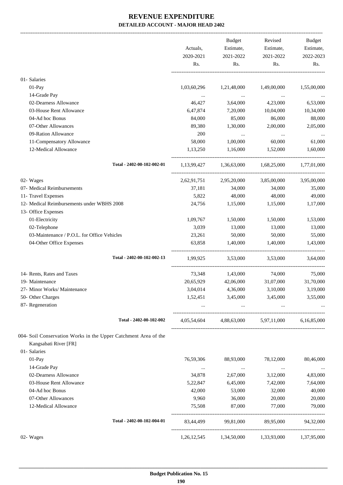|                                                                 | Actuals,<br>2020-2021<br>Rs. | Budget<br>Estimate,<br>2021-2022<br>Rs. | Revised<br>Estimate,<br>2021-2022<br>Rs.        | Budget<br>Estimate,<br>2022-2023<br>Rs. |
|-----------------------------------------------------------------|------------------------------|-----------------------------------------|-------------------------------------------------|-----------------------------------------|
|                                                                 |                              |                                         |                                                 |                                         |
| 01- Salaries                                                    |                              |                                         |                                                 |                                         |
| 01-Pay                                                          | 1,03,60,296                  | 1,21,48,000                             | 1,49,00,000                                     | 1,55,00,000                             |
| 14-Grade Pay                                                    |                              | $\sim 10^{11}$ and $\sim 10^{11}$       |                                                 |                                         |
| 02-Dearness Allowance                                           | 46,427                       | 3,64,000                                | 4,23,000                                        | 6,53,000                                |
| 03-House Rent Allowance                                         | 6,47,874                     | 7,20,000                                | 10,04,000                                       | 10,34,000                               |
| 04-Ad hoc Bonus                                                 | 84,000                       | 85,000                                  | 86,000                                          | 88,000                                  |
| 07-Other Allowances                                             | 89,380                       | 1,30,000                                | 2,00,000                                        | 2,05,000                                |
| 09-Ration Allowance                                             | 200                          | $\cdots$                                | $\ldots$                                        |                                         |
| 11-Compensatory Allowance                                       | 58,000                       | 1,00,000                                | 60,000                                          | 61,000                                  |
| 12-Medical Allowance                                            | 1,13,250                     | 1,16,000                                | 1,52,000                                        | 1,60,000                                |
| Total - 2402-00-102-002-01                                      |                              |                                         | $1,13,99,427$ $1,36,63,000$ $1,68,25,000$       | 1,77,01,000                             |
| 02- Wages                                                       | 2,62,91,751                  | 2,95,20,000                             | 3,85,00,000                                     | 3,95,00,000                             |
| 07- Medical Reimbursements                                      | 37,181                       | 34,000                                  | 34,000                                          | 35,000                                  |
| 11- Travel Expenses                                             | 5,822                        | 48,000                                  | 48,000                                          | 49,000                                  |
| 12- Medical Reimbursements under WBHS 2008                      | 24,756                       | 1,15,000                                | 1,15,000                                        | 1,17,000                                |
| 13- Office Expenses                                             |                              |                                         |                                                 |                                         |
| 01-Electricity                                                  | 1,09,767                     | 1,50,000                                | 1,50,000                                        | 1,53,000                                |
| 02-Telephone                                                    | 3,039                        | 13,000                                  | 13,000                                          | 13,000                                  |
| 03-Maintenance / P.O.L. for Office Vehicles                     | 23,261                       | 50,000                                  | 50,000                                          | 55,000                                  |
| 04-Other Office Expenses                                        | 63,858                       | 1,40,000                                | 1,40,000                                        | 1,43,000                                |
| Total - 2402-00-102-002-13                                      | 1,99,925                     |                                         | 3,53,000 3,53,000                               | 3,64,000                                |
| 14- Rents, Rates and Taxes                                      | 73,348                       | 1,43,000                                | 74,000                                          | 75,000                                  |
| 19- Maintenance                                                 | 20,65,929                    | 42,06,000                               | 31,07,000                                       | 31,70,000                               |
| 27- Minor Works/ Maintenance                                    | 3,04,014                     | 4,36,000                                | 3,10,000                                        | 3,19,000                                |
| 50- Other Charges                                               | 1,52,451                     | 3,45,000                                | 3,45,000                                        | 3,55,000                                |
| 87- Regeneration                                                | $\cdots$                     | $\cdots$                                | $\ddots$                                        |                                         |
| Total - 2402-00-102-002                                         |                              |                                         | 4,05,54,604 4,88,63,000 5,97,11,000 6,16,85,000 |                                         |
| 004- Soil Conservation Works in the Upper Catchment Area of the |                              |                                         |                                                 |                                         |
| Kangsabati River [FR]                                           |                              |                                         |                                                 |                                         |
| 01- Salaries                                                    |                              |                                         |                                                 |                                         |
| 01-Pay                                                          | 76,59,306                    | 88,93,000                               | 78,12,000                                       | 80,46,000                               |
| 14-Grade Pay                                                    | $\cdots$                     | $\ddots$                                | $\cdots$                                        | $\ldots$                                |
| 02-Dearness Allowance                                           | 34,878                       | 2,67,000                                | 3,12,000                                        | 4,83,000                                |
| 03-House Rent Allowance                                         | 5,22,847                     | 6,45,000                                | 7,42,000                                        | 7,64,000                                |
| 04-Ad hoc Bonus                                                 | 42,000                       | 53,000                                  | 32,000                                          | 40,000                                  |
| 07-Other Allowances                                             | 9,960                        | 36,000                                  | 20,000                                          | 20,000                                  |
| 12-Medical Allowance                                            | 75,508                       | 87,000                                  | 77,000                                          | 79,000                                  |
| Total - 2402-00-102-004-01                                      | 83,44,499                    | 99,81,000                               | 89,95,000                                       | 94,32,000                               |
| 02- Wages                                                       | 1,26,12,545                  | 1,34,50,000                             | 1,33,93,000                                     | 1,37,95,000                             |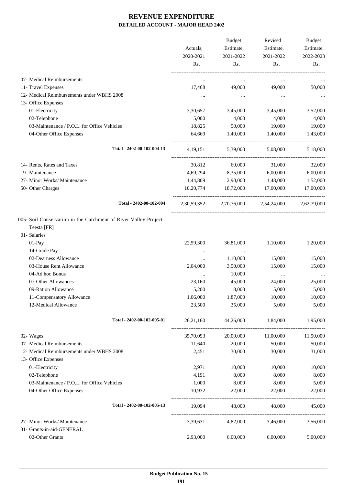-------------------------------------------------------------------------------------------------------------------------------------------------------------------------------

|                                                                                                 | Actuals,<br>2020-2021<br>Rs. | <b>Budget</b><br>Estimate,<br>2021-2022<br>Rs. | Revised<br>Estimate,<br>2021-2022<br>Rs. | <b>Budget</b><br>Estimate,<br>2022-2023<br>Rs. |
|-------------------------------------------------------------------------------------------------|------------------------------|------------------------------------------------|------------------------------------------|------------------------------------------------|
| 07- Medical Reimbursements                                                                      |                              |                                                |                                          |                                                |
| 11- Travel Expenses                                                                             | 17,468                       | 49,000                                         | 49,000                                   | 50,000                                         |
| 12- Medical Reimbursements under WBHS 2008                                                      |                              | $\cdots$                                       |                                          |                                                |
| 13- Office Expenses                                                                             |                              |                                                |                                          |                                                |
| 01-Electricity                                                                                  | 3,30,657                     | 3,45,000                                       | 3,45,000                                 | 3,52,000                                       |
| 02-Telephone                                                                                    | 5,000                        | 4,000                                          | 4,000                                    | 4,000                                          |
| 03-Maintenance / P.O.L. for Office Vehicles                                                     | 18,825                       | 50,000                                         | 19,000                                   | 19,000                                         |
| 04-Other Office Expenses                                                                        | 64,669                       | 1,40,000                                       | 1,40,000                                 | 1,43,000                                       |
| Total - 2402-00-102-004-13                                                                      | 4, 19, 151                   | 5,39,000                                       | 5,08,000                                 | 5,18,000                                       |
| 14- Rents, Rates and Taxes                                                                      | 30,812                       | 60,000                                         | 31,000                                   | 32,000                                         |
| 19- Maintenance                                                                                 | 4,69,294                     | 8,35,000                                       | 6,00,000                                 | 6,00,000                                       |
| 27- Minor Works/ Maintenance                                                                    | 1,44,809                     | 2,90,000                                       | 1,48,000                                 | 1,52,000                                       |
| 50- Other Charges                                                                               | 10,20,774                    | 18,72,000                                      | 17,00,000                                | 17,00,000                                      |
| Total - 2402-00-102-004                                                                         | 2,30,59,352                  |                                                | 2,70,76,000 2,54,24,000                  | 2,62,79,000                                    |
| 005- Soil Conservation in the Catchment of River Valley Project,<br>Teesta [FR]<br>01- Salaries |                              |                                                |                                          |                                                |
| 01-Pay                                                                                          | 22,59,300                    | 36,81,000                                      | 1,10,000                                 | 1,20,000                                       |
| 14-Grade Pay                                                                                    | $\cdots$                     | $\ldots$                                       | $\cdots$                                 |                                                |
| 02-Dearness Allowance                                                                           | $\cdots$                     | 1,10,000                                       | 15,000                                   | 15,000                                         |
| 03-House Rent Allowance                                                                         | 2,04,000                     | 3,50,000                                       | 15,000                                   | 15,000                                         |
| 04-Ad hoc Bonus                                                                                 | $\cdots$                     | 10,000                                         | $\cdots$                                 | $\cdots$                                       |
| 07-Other Allowances                                                                             | 23,160                       | 45,000                                         | 24,000                                   | 25,000                                         |
| 09-Ration Allowance                                                                             | 5,200                        | 8,000                                          | 5,000                                    | 5,000                                          |
| 11-Compensatory Allowance                                                                       | 1,06,000                     | 1,87,000                                       | 10,000                                   | 10,000                                         |
| 12-Medical Allowance                                                                            | 23,500                       | 35,000                                         | 5,000                                    | 5,000                                          |
| Total - 2402-00-102-005-01                                                                      | 26, 21, 160                  |                                                | 44,26,000 1,84,000                       | 1,95,000                                       |
| 02- Wages                                                                                       | 35,70,093                    | 20,00,000                                      | 11,00,000                                | 11,50,000                                      |
| 07- Medical Reimbursements                                                                      | 11,640                       | 20,000                                         | 50,000                                   | 50,000                                         |
| 12- Medical Reimbursements under WBHS 2008<br>13- Office Expenses                               | 2,451                        | 30,000                                         | 30,000                                   | 31,000                                         |
| 01-Electricity                                                                                  | 2,971                        | 10,000                                         | 10,000                                   | 10,000                                         |
| 02-Telephone                                                                                    | 4,191                        | 8,000                                          | 8,000                                    | 8,000                                          |
| 03-Maintenance / P.O.L. for Office Vehicles                                                     | 1,000                        | 8,000                                          | 8,000                                    | 5,000                                          |
| 04-Other Office Expenses                                                                        | 10,932                       | 22,000                                         | 22,000                                   | 22,000                                         |
| Total - 2402-00-102-005-13                                                                      | 19,094                       | 48,000                                         | 48,000                                   | 45,000                                         |
| 27- Minor Works/ Maintenance                                                                    | 3,39,631                     | 4,82,000                                       | 3,46,000                                 | 3,56,000                                       |
| 31- Grants-in-aid-GENERAL<br>02-Other Grants                                                    | 2,93,000                     | 6,00,000                                       | 6,00,000                                 | 5,00,000                                       |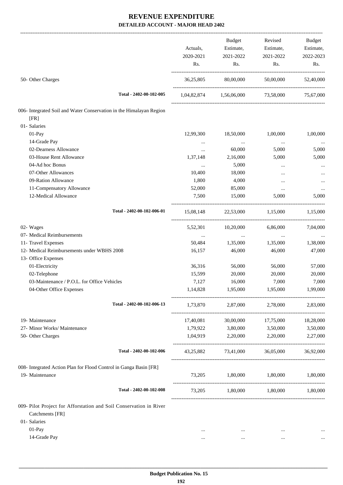|                                                                     |                  | <b>Budget</b>                     | Revised                     | Budget    |
|---------------------------------------------------------------------|------------------|-----------------------------------|-----------------------------|-----------|
|                                                                     | Actuals,         | Estimate,                         | Estimate,                   | Estimate, |
|                                                                     | 2020-2021<br>Rs. | 2021-2022<br>Rs.                  | 2021-2022                   | 2022-2023 |
|                                                                     |                  |                                   | Rs.                         | Rs.       |
| 50- Other Charges                                                   | 36,25,805        | 80,00,000                         | 50,00,000                   | 52,40,000 |
| Total - 2402-00-102-005                                             |                  | 1,04,82,874 1,56,06,000 73,58,000 |                             | 75,67,000 |
| 006- Integrated Soil and Water Conservation in the Himalayan Region |                  |                                   |                             |           |
| [FR]                                                                |                  |                                   |                             |           |
| 01- Salaries                                                        |                  |                                   |                             |           |
| 01-Pay                                                              | 12,99,300        | 18,50,000                         | 1,00,000                    | 1,00,000  |
| 14-Grade Pay                                                        | $\cdots$         | $\ldots$                          | $\ldots$                    | $\cdots$  |
| 02-Dearness Allowance                                               | $\cdots$         | 60,000                            | 5,000                       | 5,000     |
| 03-House Rent Allowance                                             | 1,37,148         | 2,16,000                          | 5,000                       | 5,000     |
| 04-Ad hoc Bonus                                                     | $\ldots$         | 5,000                             |                             |           |
| 07-Other Allowances                                                 | 10,400           | 18,000                            | $\cdots$                    |           |
| 09-Ration Allowance                                                 | 1,800            | 4,000                             | $\cdots$                    |           |
| 11-Compensatory Allowance                                           | 52,000           | 85,000                            | $\ldots$                    |           |
| 12-Medical Allowance                                                | 7,500            | 15,000                            | 5,000                       | 5,000     |
| Total - 2402-00-102-006-01                                          | 15,08,148        |                                   | 22,53,000 1,15,000 1,15,000 |           |
| 02- Wages                                                           | 5,52,301         | 10,20,000                         | 6,86,000                    | 7,04,000  |
| 07- Medical Reimbursements                                          | $\cdots$         | $\cdots$                          | $\cdots$                    |           |
| 11- Travel Expenses                                                 | 50,484           | 1,35,000                          | 1,35,000                    | 1,38,000  |
| 12- Medical Reimbursements under WBHS 2008                          | 16,157           | 46,000                            | 46,000                      | 47,000    |
| 13- Office Expenses                                                 |                  |                                   |                             |           |
| 01-Electricity                                                      | 36,316           | 56,000                            | 56,000                      | 57,000    |
| 02-Telephone                                                        | 15,599           | 20,000                            | 20,000                      | 20,000    |
| 03-Maintenance / P.O.L. for Office Vehicles                         | 7,127            | 16,000                            | 7,000                       | 7,000     |
|                                                                     |                  |                                   |                             |           |
| 04-Other Office Expenses                                            | 1,14,828         | 1,95,000                          | 1,95,000                    | 1,99,000  |
| Total - 2402-00-102-006-13                                          |                  | 1,73,870 2,87,000 2,78,000        |                             | 2,83,000  |
| 19- Maintenance                                                     | 17,40,081        | 30,00,000                         | 17,75,000                   | 18,28,000 |
| 27- Minor Works/ Maintenance                                        |                  | 1,79,922 3,80,000 3,50,000        |                             | 3,50,000  |
| 50- Other Charges                                                   |                  | 1,04,919 2,20,000 2,20,000        |                             | 2,27,000  |
| Total - 2402-00-102-006                                             | 43,25,882        | 73,41,000                         | 36,05,000                   | 36,92,000 |
| 008- Integrated Action Plan for Flood Control in Ganga Basin [FR]   |                  |                                   |                             |           |
| 19- Maintenance                                                     |                  | 73,205 1,80,000 1,80,000          |                             | 1,80,000  |
| Total - 2402-00-102-008                                             |                  | 73,205 1,80,000 1,80,000 1,80,000 |                             |           |
| 009- Pilot Project for Afforstation and Soil Conservation in River  |                  |                                   |                             |           |
| Catchments [FR]                                                     |                  |                                   |                             |           |
| 01- Salaries                                                        |                  |                                   |                             |           |
| 01-Pay                                                              | $\cdots$         | $\cdots$                          | $\cdots$                    |           |
| 14-Grade Pay                                                        | $\cdots$         | $\cdots$                          | $\cdots$                    |           |
|                                                                     |                  |                                   |                             |           |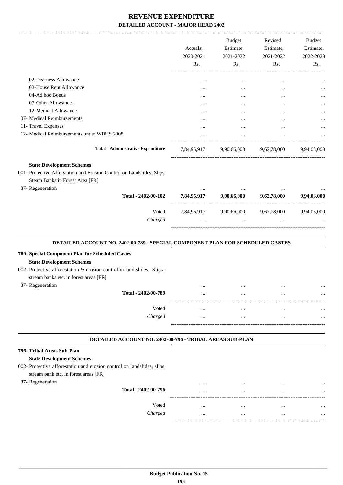|                                                                                                                                                                                          | Actuals,<br>2020-2021<br>Rs. | <b>Budget</b><br>Estimate,<br>2021-2022<br>Rs. | Revised<br>Estimate,<br>2021-2022<br>Rs.        | Budget<br>Estimate,<br>2022-2023<br>Rs. |
|------------------------------------------------------------------------------------------------------------------------------------------------------------------------------------------|------------------------------|------------------------------------------------|-------------------------------------------------|-----------------------------------------|
| 02-Dearness Allowance                                                                                                                                                                    |                              | $\cdots$                                       | $\cdots$                                        |                                         |
| 03-House Rent Allowance                                                                                                                                                                  |                              |                                                |                                                 |                                         |
| 04-Ad hoc Bonus                                                                                                                                                                          |                              |                                                | $\cdots$                                        |                                         |
| 07-Other Allowances                                                                                                                                                                      | $\cdots$                     | $\cdots$                                       | $\cdots$                                        |                                         |
| 12-Medical Allowance                                                                                                                                                                     |                              | $\cdots$                                       | $\cdots$                                        |                                         |
| 07- Medical Reimbursements                                                                                                                                                               |                              |                                                | $\cdots$                                        |                                         |
| 11- Travel Expenses                                                                                                                                                                      |                              |                                                | $\cdots$                                        |                                         |
| 12- Medical Reimbursements under WBHS 2008                                                                                                                                               | $\cdots$                     | $\cdots$                                       | $\cdots$                                        |                                         |
| <b>Total - Administrative Expenditure</b>                                                                                                                                                |                              |                                                | 7,84,95,917 9,90,66,000 9,62,78,000 9,94,03,000 |                                         |
| <b>State Development Schemes</b><br>001- Protective Afforstation and Erosion Control on Landslides, Slips,<br>Steam Banks in Forest Area [FR]<br>87- Regeneration<br>Total - 2402-00-102 |                              | 7,84,95,917 9,90,66,000 9,62,78,000            |                                                 | 9,94,03,000                             |
|                                                                                                                                                                                          |                              |                                                |                                                 |                                         |
| Voted<br>Charged                                                                                                                                                                         |                              |                                                | 7,84,95,917 9,90,66,000 9,62,78,000 9,94,03,000 |                                         |
| DETAILED ACCOUNT NO. 2402-00-789 - SPECIAL COMPONENT PLAN FOR SCHEDULED CASTES                                                                                                           |                              |                                                |                                                 |                                         |
| 789- Special Component Plan for Scheduled Castes                                                                                                                                         |                              |                                                |                                                 |                                         |
| <b>State Development Schemes</b>                                                                                                                                                         |                              |                                                |                                                 |                                         |
| 002- Protective afforestation & erosion control in land slides, Slips,<br>stream banks etc. in forest areas [FR]                                                                         |                              |                                                |                                                 |                                         |
| 87- Regeneration                                                                                                                                                                         | $\ddotsc$                    | $\cdots$                                       | $\ddotsc$                                       |                                         |

| $\sim$ |                     | <br> | . | . |
|--------|---------------------|------|---|---|
|        | Total - 2402-00-789 | <br> |   |   |
|        | Voted               | <br> |   |   |
|        |                     |      |   |   |
|        | Charged             | <br> |   |   |
|        |                     |      |   |   |

#### **DETAILED ACCOUNT NO. 2402-00-796 - TRIBAL AREAS SUB-PLAN .**

#### **796- Tribal Areas Sub-Plan State Development Schemes**

002- Protective afforestation and erosion control on landslides, slips, stream bank etc, in forest areas [FR]

87- Regeneration

| Total - 2402-00-796 | $\cdots$<br> | $\cdots$<br> | $\cdots$<br> | $\cdots$<br> |
|---------------------|--------------|--------------|--------------|--------------|
| Voted<br>Charged    |              |              |              |              |
|                     |              |              |              |              |

.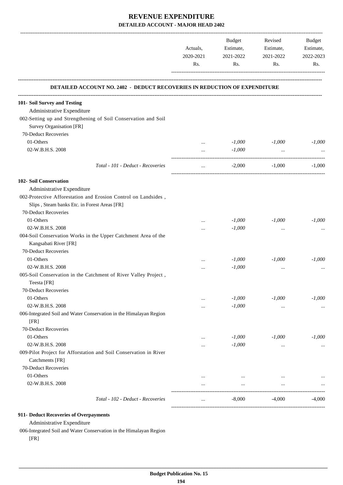|                                                                                            | Actuals,<br>2020-2021<br>Rs. | Budget<br>Estimate,<br>2021-2022<br>Rs. | Revised<br>Estimate,<br>2021-2022<br>Rs. | Budget<br>Estimate,<br>2022-2023<br>Rs. |
|--------------------------------------------------------------------------------------------|------------------------------|-----------------------------------------|------------------------------------------|-----------------------------------------|
| DETAILED ACCOUNT NO. 2402 - DEDUCT RECOVERIES IN REDUCTION OF EXPENDITURE                  |                              |                                         |                                          |                                         |
| 101- Soil Survey and Testing                                                               |                              |                                         |                                          |                                         |
| Administrative Expenditure                                                                 |                              |                                         |                                          |                                         |
| 002-Setting up and Strengthening of Soil Conservation and Soil<br>Survey Organisation [FR] |                              |                                         |                                          |                                         |
| 70-Deduct Recoveries                                                                       |                              |                                         |                                          |                                         |
| 01-Others                                                                                  | $\cdots$                     | $-1,000$                                | $-1,000$                                 | $-1,000$                                |
| 02-W.B.H.S. 2008                                                                           | $\cdots$                     | $-1,000$                                | $\ddots$                                 |                                         |
|                                                                                            |                              |                                         |                                          |                                         |
| Total - 101 - Deduct - Recoveries                                                          | $\cdots$                     | $-2,000$                                | $-1,000$                                 | $-1,000$                                |
| 102- Soil Conservation                                                                     |                              |                                         |                                          |                                         |
| Administrative Expenditure                                                                 |                              |                                         |                                          |                                         |
| 002-Protective Afforestation and Erosion Control on Landsides,                             |                              |                                         |                                          |                                         |
| Slips, Steam banks Etc. in Forest Areas [FR]                                               |                              |                                         |                                          |                                         |
| 70-Deduct Recoveries                                                                       |                              |                                         |                                          |                                         |
| 01-Others                                                                                  |                              | $-1,000$                                | $-1,000$                                 | $-1,000$                                |
| 02-W.B.H.S. 2008                                                                           |                              | $-1,000$                                | $\cdots$                                 |                                         |
| 004-Soil Conservation Works in the Upper Catchment Area of the                             |                              |                                         |                                          |                                         |
| Kangsabati River [FR]                                                                      |                              |                                         |                                          |                                         |
| 70-Deduct Recoveries                                                                       |                              |                                         |                                          |                                         |
| 01-Others                                                                                  |                              | $-1,000$                                | $-1,000$                                 | $-1,000$                                |
| 02-W.B.H.S. 2008                                                                           |                              | $-1,000$                                | $\cdots$                                 |                                         |
| 005-Soil Conservation in the Catchment of River Valley Project,                            |                              |                                         |                                          |                                         |
| Teesta [FR]                                                                                |                              |                                         |                                          |                                         |
| 70-Deduct Recoveries                                                                       |                              |                                         |                                          |                                         |
| 01-Others                                                                                  |                              | $-1,000$                                | $-1,000$                                 | $-1,000$                                |
| 02-W.B.H.S. 2008                                                                           |                              | $-1,000$                                | $\cdots$                                 | $\cdots$                                |
| 006-Integrated Soil and Water Conservation in the Himalayan Region<br>[FR]                 |                              |                                         |                                          |                                         |
| 70-Deduct Recoveries                                                                       |                              |                                         |                                          |                                         |
| 01-Others                                                                                  |                              | $-1,000$                                | $-1,000$                                 | $-1,000$                                |
| 02-W.B.H.S. 2008                                                                           |                              | $-1,000$                                | $\cdots$                                 |                                         |
| 009-Pilot Project for Afforstation and Soil Conservation in River<br>Catchments [FR]       |                              |                                         |                                          |                                         |
| 70-Deduct Recoveries                                                                       |                              |                                         |                                          |                                         |
| 01-Others                                                                                  |                              | $\cdots$                                |                                          |                                         |
| 02-W.B.H.S. 2008                                                                           |                              | $\cdots$                                | $\cdots$                                 |                                         |
| Total - 102 - Deduct - Recoveries                                                          | $\cdots$                     | $-8,000$                                | $-4,000$                                 | $-4,000$                                |

#### **911- Deduct Recoveries of Overpayments**

Administrative Expenditure

006-Integrated Soil and Water Conservation in the Himalayan Region

[FR]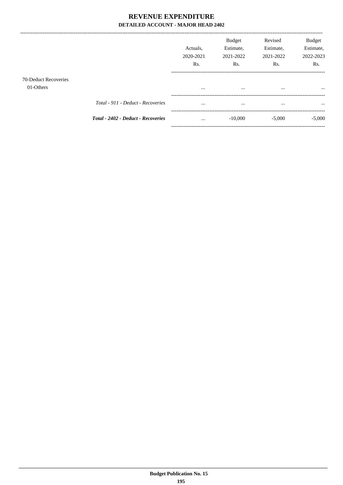|                      |                                    |                       | <b>Budget</b><br>Estimate, | Revised                | <b>Budget</b><br>Estimate, |
|----------------------|------------------------------------|-----------------------|----------------------------|------------------------|----------------------------|
|                      |                                    | Actuals.<br>2020-2021 | 2021-2022                  | Estimate,<br>2021-2022 | 2022-2023                  |
|                      |                                    | Rs.                   | Rs.                        | Rs.                    | Rs.                        |
| 70-Deduct Recoveries |                                    |                       |                            |                        |                            |
| 01-Others            |                                    | $\cdots$              |                            |                        |                            |
|                      | Total - 911 - Deduct - Recoveries  |                       |                            | $\cdots$               | $\cdots$                   |
|                      | Total - 2402 - Deduct - Recoveries | $\cdots$              | $-10,000$                  | $-5,000$               | $-5,000$                   |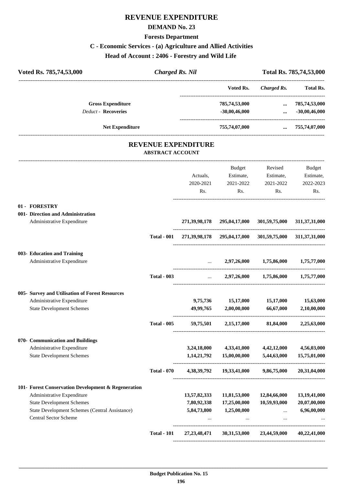## **REVENUE EXPENDITURE**

#### **DEMAND No. 23**

#### **Forests Department**

### **C - Economic Services - (a) Agriculture and Allied Activities**

#### **Head of Account : 2406 - Forestry and Wild Life**

| Voted Rs. 785,74,53,000                                                        | <b>Charged Rs. Nil</b>  |                            |                                                         |                         | Total Rs. 785,74,53,000          |
|--------------------------------------------------------------------------------|-------------------------|----------------------------|---------------------------------------------------------|-------------------------|----------------------------------|
|                                                                                |                         |                            | Voted Rs.                                               | Charged Rs.             | Total Rs.                        |
| <b>Gross Expenditure</b><br><b>Deduct - Recoveries</b>                         |                         |                            | 785,74,53,000<br>$-30,00,46,000$                        | $\cdots$<br>$\cdots$    | 785,74,53,000<br>$-30,00,46,000$ |
| <b>Net Expenditure</b>                                                         |                         |                            | 755,74,07,000                                           | $\cdots$                | 755,74,07,000                    |
|                                                                                | <b>ABSTRACT ACCOUNT</b> | <b>REVENUE EXPENDITURE</b> |                                                         |                         |                                  |
|                                                                                |                         |                            | Budget                                                  | Revised                 | Budget                           |
|                                                                                |                         | Actuals,                   | Estimate,                                               | Estimate,               | Estimate,                        |
|                                                                                |                         | 2020-2021                  | 2021-2022                                               | 2021-2022               | 2022-2023                        |
|                                                                                |                         | Rs.                        | Rs.                                                     | Rs.                     | Rs.                              |
| 01 - FORESTRY                                                                  |                         |                            |                                                         |                         |                                  |
| 001- Direction and Administration<br>Administrative Expenditure                |                         |                            | 271,39,98,178 295,04,17,000 301,59,75,000               |                         | 311, 37, 31, 000                 |
|                                                                                | <b>Total - 001</b>      |                            | 271,39,98,178 295,04,17,000 301,59,75,000 311,37,31,000 |                         |                                  |
| 003- Education and Training                                                    |                         |                            |                                                         |                         |                                  |
| Administrative Expenditure                                                     |                         | $\ddotsc$                  |                                                         | 2,97,26,000 1,75,86,000 | 1,75,77,000                      |
|                                                                                | <b>Total - 003</b>      | $\cdots$                   | 2,97,26,000                                             | 1,75,86,000             | 1,75,77,000                      |
| 005- Survey and Utilisation of Forest Resources                                |                         |                            |                                                         |                         |                                  |
| Administrative Expenditure                                                     |                         | 9,75,736                   | 15,17,000                                               | 15,17,000               | 15,63,000                        |
| <b>State Development Schemes</b>                                               |                         | 49,99,765                  | 2,00,00,000                                             | 66,67,000               | 2,10,00,000                      |
|                                                                                | <b>Total - 005</b>      | 59,75,501                  | 2,15,17,000                                             | 81,84,000               | 2,25,63,000                      |
| 070- Communication and Buildings                                               |                         |                            |                                                         |                         |                                  |
| Administrative Expenditure                                                     |                         | 3,24,18,000                | 4,33,41,000                                             | 4,42,12,000             | 4,56,03,000                      |
| <b>State Development Schemes</b>                                               |                         | 1,14,21,792                | 15,00,00,000                                            | 5,44,63,000             | 15,75,01,000                     |
|                                                                                | <b>Total - 070</b>      | 4,38,39,792                | 19,33,41,000                                            | 9,86,75,000             | 20,31,04,000                     |
| 101- Forest Conservation Development & Regeneration                            |                         |                            |                                                         |                         |                                  |
| Administrative Expenditure                                                     |                         | 13,57,82,333               | 11,81,53,000                                            | 12,84,66,000            | 13,19,41,000                     |
| <b>State Development Schemes</b>                                               |                         | 7,80,92,338                | 17,25,00,000                                            | 10,59,93,000            | 20,07,00,000                     |
| State Development Schemes (Central Assistance)<br><b>Central Sector Scheme</b> |                         | 5,84,73,800                | 1,25,00,000<br>$\cdots$                                 | $\cdots$<br>$\ldots$    | 6,96,00,000                      |
|                                                                                | <b>Total - 101</b>      | 27, 23, 48, 471            | 30,31,53,000                                            | 23,44,59,000            | 40,22,41,000                     |

----------------------------------------------------------------------------------------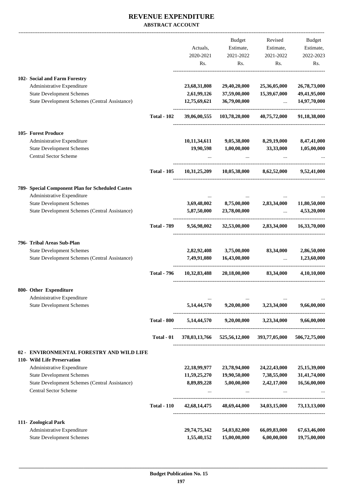|                                                                         |                    |              | Budget                      | Revised                   | Budget          |
|-------------------------------------------------------------------------|--------------------|--------------|-----------------------------|---------------------------|-----------------|
|                                                                         |                    | Actuals,     | Estimate,                   | Estimate,                 | Estimate,       |
|                                                                         |                    | 2020-2021    | 2021-2022                   | 2021-2022                 | 2022-2023       |
|                                                                         |                    | Rs.          | Rs.                         | Rs.                       | Rs.             |
| 102- Social and Farm Forestry                                           |                    |              |                             |                           |                 |
| Administrative Expenditure                                              |                    | 23,68,31,808 | 29,40,20,000                | 25,36,05,000              | 26,78,73,000    |
| <b>State Development Schemes</b>                                        |                    | 2,61,99,126  | 37,59,00,000                | 15,39,67,000              | 49,41,95,000    |
| State Development Schemes (Central Assistance)                          |                    | 12,75,69,621 | 36,79,00,000                | $\ddotsc$                 | 14,97,70,000    |
|                                                                         | <b>Total - 102</b> | 39,06,00,555 | 103,78,20,000               | 40,75,72,000              | 91,18,38,000    |
| <b>105- Forest Produce</b>                                              |                    |              |                             |                           |                 |
| Administrative Expenditure                                              |                    | 10,11,34,611 | 9,05,38,000                 | 8,29,19,000               | 8,47,41,000     |
| <b>State Development Schemes</b>                                        |                    | 19,90,598    | 1,00,00,000                 | 33,33,000                 | 1,05,00,000     |
| <b>Central Sector Scheme</b>                                            |                    |              |                             |                           |                 |
|                                                                         | <b>Total - 105</b> | 10,31,25,209 | 10,05,38,000                | 8,62,52,000               | 9,52,41,000     |
| 789- Special Component Plan for Scheduled Castes                        |                    |              |                             |                           |                 |
| Administrative Expenditure                                              |                    |              |                             |                           |                 |
| <b>State Development Schemes</b>                                        |                    | 3,69,48,002  | 8,75,00,000                 | 2,83,34,000               | 11,80,50,000    |
| State Development Schemes (Central Assistance)                          |                    | 5,87,50,000  | 23,78,00,000                | $\cdots$                  | 4,53,20,000     |
|                                                                         | <b>Total - 789</b> | 9,56,98,002  | 32,53,00,000                | 2,83,34,000               | 16,33,70,000    |
| 796- Tribal Areas Sub-Plan                                              |                    |              |                             |                           |                 |
| <b>State Development Schemes</b>                                        |                    | 2,82,92,408  | 3,75,00,000                 | 83,34,000                 | 2,86,50,000     |
| State Development Schemes (Central Assistance)                          |                    | 7,49,91,080  | 16,43,00,000                |                           | 1,23,60,000     |
|                                                                         | <b>Total - 796</b> | 10,32,83,488 | 20,18,00,000                | 83,34,000                 | 4,10,10,000     |
| 800- Other Expenditure                                                  |                    |              |                             |                           |                 |
| Administrative Expenditure<br><b>State Development Schemes</b>          |                    | 5,14,44,570  | 9,20,00,000                 | 3,23,34,000               | 9,66,00,000     |
|                                                                         |                    |              |                             |                           |                 |
|                                                                         | <b>Total - 800</b> | 5,14,44,570  | 9,20,00,000                 | 3,23,34,000               | 9,66,00,000     |
|                                                                         | Total - 01         |              | 378,03,13,766 525,56,12,000 | 393,77,05,000             | 506,72,75,000   |
| ENVIRONMENTAL FORESTRY AND WILD LIFE<br>$02 -$                          |                    |              |                             |                           |                 |
| 110- Wild Life Preservation                                             |                    |              |                             |                           |                 |
| Administrative Expenditure                                              |                    | 22,18,99,977 | 23,78,94,000                | 24, 22, 43, 000           | 25,15,39,000    |
| <b>State Development Schemes</b>                                        |                    | 11,59,25,270 | 19,90,50,000                | 7,38,55,000               | 31,41,74,000    |
| State Development Schemes (Central Assistance)<br>Central Sector Scheme |                    | 8,89,89,228  | 5,00,00,000                 | 2,42,17,000               | 16,56,00,000    |
|                                                                         | <b>Total - 110</b> | 42,68,14,475 |                             | 48,69,44,000 34,03,15,000 | 73, 13, 13, 000 |
| 111- Zoological Park                                                    |                    |              |                             |                           |                 |
| Administrative Expenditure                                              |                    | 29,74,75,342 | 54,03,82,000                | 66,09,83,000              | 67, 63, 46, 000 |
| <b>State Development Schemes</b>                                        |                    | 1,55,40,152  | 15,00,00,000                | 6,00,00,000               | 19,75,00,000    |
|                                                                         |                    |              |                             |                           |                 |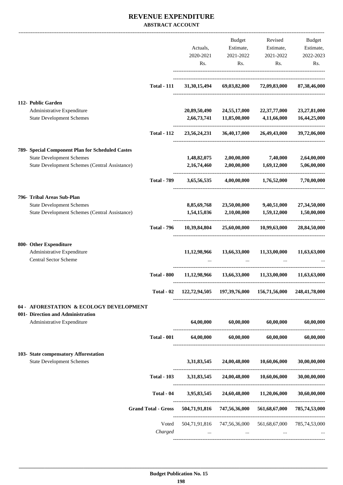|                                                  |                            |                 | <b>Budget</b>                                           | Revised       | Budget        |
|--------------------------------------------------|----------------------------|-----------------|---------------------------------------------------------|---------------|---------------|
|                                                  |                            | Actuals,        | Estimate,                                               | Estimate,     | Estimate,     |
|                                                  |                            | 2020-2021       | 2021-2022                                               | 2021-2022     | 2022-2023     |
|                                                  |                            |                 |                                                         |               |               |
|                                                  |                            | Rs.             | Rs.                                                     | Rs.           | Rs.           |
|                                                  | <b>Total - 111</b>         | 31, 30, 15, 494 | 69,03,82,000                                            | 72,09,83,000  | 87,38,46,000  |
|                                                  |                            |                 |                                                         |               |               |
| 112- Public Garden                               |                            |                 |                                                         |               |               |
| Administrative Expenditure                       |                            | 20,89,50,490    | 24,55,17,000                                            | 22,37,77,000  | 23,27,81,000  |
| <b>State Development Schemes</b>                 |                            | 2,66,73,741     | 11,85,00,000                                            | 4,11,66,000   | 16,44,25,000  |
|                                                  | <b>Total - 112</b>         | 23,56,24,231    | 36,40,17,000                                            | 26,49,43,000  | 39,72,06,000  |
| 789- Special Component Plan for Scheduled Castes |                            |                 |                                                         |               |               |
| <b>State Development Schemes</b>                 |                            | 1,48,82,075     | 2,00,00,000                                             | 7,40,000      | 2,64,00,000   |
| State Development Schemes (Central Assistance)   |                            | 2, 16, 74, 460  | 2,00,00,000                                             | 1,69,12,000   | 5,06,00,000   |
|                                                  | <b>Total - 789</b>         | 3,65,56,535     | 4,00,00,000                                             | 1,76,52,000   | 7,70,00,000   |
|                                                  |                            |                 |                                                         |               |               |
| 796- Tribal Areas Sub-Plan                       |                            |                 |                                                         |               |               |
| <b>State Development Schemes</b>                 |                            | 8,85,69,768     | 23,50,00,000                                            | 9,40,51,000   | 27,34,50,000  |
| State Development Schemes (Central Assistance)   |                            | 1,54,15,036     | 2,10,00,000                                             | 1,59,12,000   | 1,50,00,000   |
|                                                  | <b>Total - 796</b>         | 10,39,84,804    | 25,60,00,000                                            | 10,99,63,000  | 28,84,50,000  |
| 800- Other Expenditure                           |                            |                 |                                                         |               |               |
| Administrative Expenditure                       |                            | 11,12,98,966    | 13,66,33,000                                            | 11,33,00,000  | 11,63,63,000  |
| <b>Central Sector Scheme</b>                     |                            |                 |                                                         |               |               |
|                                                  | <b>Total - 800</b>         | 11,12,98,966    | 13.66.33.000                                            | 11,33,00,000  | 11,63,63,000  |
|                                                  | Total - 02                 |                 | 122,72,94,505 197,39,76,000 156,71,56,000               |               | 248,41,78,000 |
| 04 - AFORESTATION & ECOLOGY DEVELOPMENT          |                            |                 |                                                         |               |               |
| 001- Direction and Administration                |                            |                 |                                                         |               |               |
| Administrative Expenditure                       |                            | 64,00,000       | 60,00,000                                               | 60,00,000     | 60,00,000     |
|                                                  | <b>Total - 001</b>         | 64,00,000       | 60,00,000                                               | 60,00,000     | 60,00,000     |
| 103- State compensatory Afforestation            |                            |                 |                                                         |               |               |
| <b>State Development Schemes</b>                 |                            | 3,31,83,545     | 24,00,48,000                                            | 10,60,06,000  | 30,00,00,000  |
|                                                  | <b>Total - 103</b>         |                 | 3,31,83,545 24,00,48,000                                | 10,60,06,000  | 30,00,00,000  |
|                                                  | Total - 04                 | 3,95,83,545     | 24,60,48,000                                            | 11,20,06,000  | 30,60,00,000  |
|                                                  | <b>Grand Total - Gross</b> | 504,71,91,816   | 747,56,36,000                                           | 561,68,67,000 | 785,74,53,000 |
|                                                  | Voted                      |                 | 504,71,91,816 747,56,36,000 561,68,67,000 785,74,53,000 |               |               |
|                                                  | Charged                    |                 | $\cdots$                                                |               |               |
|                                                  |                            |                 |                                                         |               |               |
|                                                  |                            |                 |                                                         |               |               |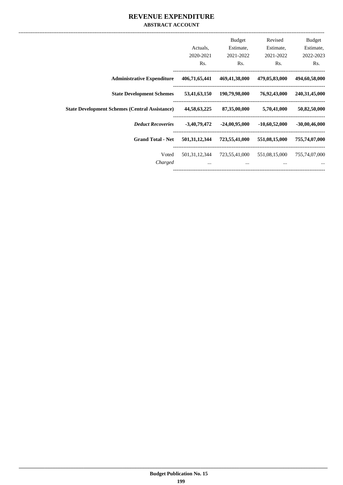|                                                       | Actuals,<br>2020-2021 | Budget<br>Estimate,<br>2021-2022 | Revised<br>Estimate,<br>2021-2022 | Budget<br>Estimate,<br>2022-2023 |
|-------------------------------------------------------|-----------------------|----------------------------------|-----------------------------------|----------------------------------|
|                                                       | Rs.                   | Rs.                              | Rs.                               | Rs.                              |
| <b>Administrative Expenditure</b>                     | 406,71,65,441         | 469,41,38,000                    | 479,05,83,000                     | 494,60,58,000                    |
| <b>State Development Schemes</b>                      | 53,41,63,150          | 190,79,98,000                    | 76,92,43,000                      | 240, 31, 45, 000                 |
| <b>State Development Schemes (Central Assistance)</b> | 44,58,63,225          | 87,35,00,000                     | 5,70,41,000                       | 50,82,50,000                     |
| <b>Deduct Recoveries</b>                              | $-3,40,79,472$        | -24,00,95,000                    | $-10,60,52,000$                   | $-30,00,46,000$                  |
| <b>Grand Total - Net</b>                              | 501, 31, 12, 344      | 723,55,41,000                    | 551,08,15,000                     | 755,74,07,000                    |
| Voted                                                 | 501, 31, 12, 344      | 723,55,41,000                    | 551,08,15,000                     | 755,74,07,000                    |
| Charged                                               | $\cdots$              | $\cdots$                         | $\cdots$                          | $\cdots$                         |
|                                                       |                       |                                  |                                   |                                  |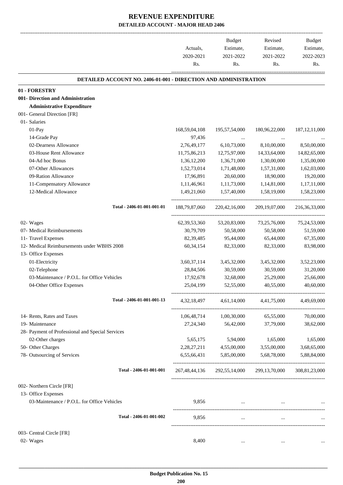-------------------------------------------------------------------------------------------------------------------------------------------------------------------------------

|                                                                        | Actuals,<br>2020-2021 | <b>Budget</b><br>Estimate,<br>2021-2022 | Revised<br>Estimate,<br>2021-2022                                                                   | <b>Budget</b><br>Estimate,<br>2022-2023 |
|------------------------------------------------------------------------|-----------------------|-----------------------------------------|-----------------------------------------------------------------------------------------------------|-----------------------------------------|
|                                                                        | Rs.                   | Rs.                                     | Rs.                                                                                                 | Rs.                                     |
| <b>DETAILED ACCOUNT NO. 2406-01-001 - DIRECTION AND ADMINISTRATION</b> |                       |                                         |                                                                                                     |                                         |
| 01 - FORESTRY                                                          |                       |                                         |                                                                                                     |                                         |
| 001- Direction and Administration                                      |                       |                                         |                                                                                                     |                                         |
| <b>Administrative Expenditure</b>                                      |                       |                                         |                                                                                                     |                                         |
| 001- General Direction [FR]                                            |                       |                                         |                                                                                                     |                                         |
| 01- Salaries                                                           |                       |                                         |                                                                                                     |                                         |
| 01-Pay                                                                 | 168,59,04,108         | 195,57,54,000                           | 180,96,22,000                                                                                       | 187, 12, 11, 000                        |
| 14-Grade Pay                                                           | 97,436                | $\cdots$                                | $\cdots$                                                                                            |                                         |
| 02-Dearness Allowance                                                  | 2,76,49,177           | 6, 10, 73, 000                          | 8,10,00,000                                                                                         | 8,50,00,000                             |
| 03-House Rent Allowance                                                | 11,75,86,213          | 12,75,97,000                            | 14,33,64,000                                                                                        | 14,82,65,000                            |
| 04-Ad hoc Bonus                                                        | 1,36,12,200           | 1,36,71,000                             | 1,30,00,000                                                                                         | 1,35,00,000                             |
| 07-Other Allowances                                                    | 1,52,73,014           | 1,71,48,000                             | 1,57,31,000                                                                                         | 1,62,03,000                             |
| 09-Ration Allowance                                                    | 17,96,891             | 20,60,000                               | 18,90,000                                                                                           | 19,20,000                               |
| 11-Compensatory Allowance                                              | 1,11,46,961           | 1,11,73,000                             | 1,14,81,000                                                                                         | 1,17,11,000                             |
| 12-Medical Allowance                                                   | 1,49,21,060           | 1,57,40,000                             | 1,58,19,000                                                                                         | 1,58,23,000                             |
| Total - 2406-01-001-001-01                                             | 188,79,87,060         | 220,42,16,000                           | 209, 19, 07, 000                                                                                    | 216, 36, 33, 000                        |
| 02- Wages                                                              | 62, 39, 53, 360       | 53, 20, 83, 000                         | 73,25,76,000                                                                                        | 75,24,53,000                            |
| 07- Medical Reimbursements                                             | 30,79,709             | 50,58,000                               | 50,58,000                                                                                           | 51,59,000                               |
| 11- Travel Expenses                                                    | 82, 39, 485           | 95,44,000                               | 65,44,000                                                                                           | 67,35,000                               |
| 12- Medical Reimbursements under WBHS 2008                             | 60, 34, 154           | 82,33,000                               | 82,33,000                                                                                           | 83,98,000                               |
| 13- Office Expenses                                                    |                       |                                         |                                                                                                     |                                         |
| 01-Electricity                                                         | 3,60,37,114           | 3,45,32,000                             | 3,45,32,000                                                                                         | 3,52,23,000                             |
| 02-Telephone                                                           | 28,84,506             | 30,59,000                               | 30,59,000                                                                                           | 31,20,000                               |
| 03-Maintenance / P.O.L. for Office Vehicles                            | 17,92,678             | 32,68,000                               | 25,29,000                                                                                           | 25,66,000                               |
| 04-Other Office Expenses                                               | 25,04,199             | 52,55,000                               | 40,55,000                                                                                           | 40,60,000                               |
| Total - 2406-01-001-001-13                                             | 4, 32, 18, 497        | 4,61,14,000                             | 4,41,75,000                                                                                         | 4,49,69,000                             |
| 14- Rents, Rates and Taxes                                             | 1,06,48,714           | 1,00,30,000                             | 65,55,000                                                                                           | 70,00,000                               |
| 19- Maintenance                                                        | 27, 24, 340           | 56,42,000                               | 37,79,000                                                                                           | 38,62,000                               |
| 28- Payment of Professional and Special Services                       |                       |                                         |                                                                                                     |                                         |
| 02-Other charges                                                       | 5,65,175              | 5,94,000                                | 1,65,000                                                                                            | 1,65,000                                |
| 50- Other Charges                                                      | 2,28,27,211           | 4,55,00,000                             | 3,55,00,000                                                                                         | 3,68,65,000                             |
| 78- Outsourcing of Services                                            | 6,55,66,431           | 5,85,00,000                             | 5,68,78,000                                                                                         | 5,88,84,000                             |
| Total - 2406-01-001-001                                                |                       | 267,48,44,136 292,55,14,000             | 299,13,70,000                                                                                       | 308, 81, 23, 000                        |
|                                                                        |                       |                                         |                                                                                                     |                                         |
| 002- Northern Circle [FR]                                              |                       |                                         |                                                                                                     |                                         |
| 13- Office Expenses                                                    |                       |                                         |                                                                                                     |                                         |
| 03-Maintenance / P.O.L. for Office Vehicles                            | 9,856                 |                                         | the contract of the contract of the contract of the contract of the contract of the contract of the |                                         |
| Total - 2406-01-001-002                                                | 9,856                 | $\cdots$                                | $\ldots$                                                                                            |                                         |
| 003- Central Circle [FR]                                               |                       |                                         |                                                                                                     |                                         |
| 02- Wages                                                              | 8,400                 |                                         |                                                                                                     |                                         |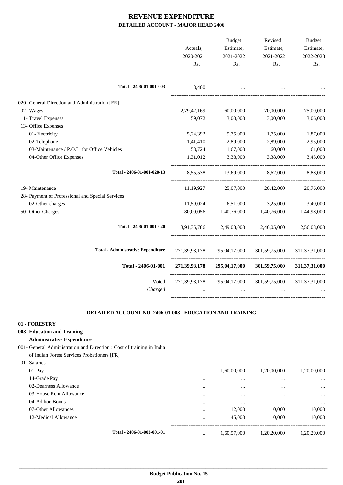|                                                  | Actuals,<br>2020-2021<br>Rs. | <b>Budget</b><br>Estimate,<br>2021-2022<br>Rs. | Revised<br>Estimate,<br>2021-2022<br>Rs. | <b>Budget</b><br>Estimate,<br>2022-2023<br>Rs. |
|--------------------------------------------------|------------------------------|------------------------------------------------|------------------------------------------|------------------------------------------------|
| Total - 2406-01-001-003                          | 8,400                        |                                                |                                          |                                                |
| 020- General Direction and Administration [FR]   |                              |                                                |                                          |                                                |
| 02- Wages                                        | 2,79,42,169                  | 60,00,000                                      | 70,00,000                                | 75,00,000                                      |
| 11- Travel Expenses                              | 59,072                       | 3,00,000                                       | 3,00,000                                 | 3,06,000                                       |
| 13- Office Expenses                              |                              |                                                |                                          |                                                |
| 01-Electricity                                   | 5,24,392                     | 5,75,000                                       | 1,75,000                                 | 1,87,000                                       |
| 02-Telephone                                     | 1,41,410                     | 2,89,000                                       | 2,89,000                                 | 2,95,000                                       |
| 03-Maintenance / P.O.L. for Office Vehicles      | 58,724                       | 1,67,000                                       | 60,000                                   | 61,000                                         |
| 04-Other Office Expenses                         | 1,31,012                     | 3,38,000                                       | 3,38,000                                 | 3,45,000                                       |
|                                                  |                              |                                                |                                          |                                                |
| Total - 2406-01-001-020-13                       | 8,55,538                     | 13,69,000                                      | 8,62,000                                 | 8,88,000                                       |
| 19- Maintenance                                  | 11,19,927                    | 25,07,000                                      | 20,42,000                                | 20,76,000                                      |
| 28- Payment of Professional and Special Services |                              |                                                |                                          |                                                |
| 02-Other charges                                 | 11,59,024                    | 6,51,000                                       | 3,25,000                                 | 3,40,000                                       |
| 50- Other Charges                                | 80,00,056                    | 1,40,76,000                                    | 1,40,76,000                              | 1,44,98,000                                    |
| Total - 2406-01-001-020                          | 3,91,35,786                  | 2,49,03,000                                    | 2,46,05,000                              | 2,56,08,000                                    |
| <b>Total - Administrative Expenditure</b>        | 271,39,98,178                | 295,04,17,000                                  | 301,59,75,000                            | 311, 37, 31, 000                               |
| Total - 2406-01-001                              | 271,39,98,178                | 295,04,17,000                                  | 301,59,75,000                            | 311,37,31,000                                  |
| Voted<br>Charged                                 | 271, 39, 98, 178             | 295,04,17,000                                  | 301,59,75,000                            | 311, 37, 31, 000                               |

#### **DETAILED ACCOUNT NO. 2406-01-003 - EDUCATION AND TRAINING .**

.

**01 - FORESTRY**

- **003- Education and Training**
	- **Administrative Expenditure**
- 001- General Administration and Direction : Cost of training in India
	- of Indian Forest Services Probationers [FR]
- 01- Salaries

| $01-Pay$                |                            | $\cdots$ | 1,60,00,000 | 1,20,00,000 | 1,20,00,000 |
|-------------------------|----------------------------|----------|-------------|-------------|-------------|
| 14-Grade Pay            |                            |          | $\cdots$    |             | $\cdots$    |
| 02-Dearness Allowance   |                            |          | $\cdots$    |             | $\cdots$    |
| 03-House Rent Allowance |                            |          | $\cdots$    |             | $\cdots$    |
| 04-Ad hoc Bonus         |                            |          | $\cdots$    |             | $\cdots$    |
| 07-Other Allowances     |                            |          | 12,000      | 10,000      | 10,000      |
| 12-Medical Allowance    |                            |          | 45,000      | 10,000      | 10,000      |
|                         | Total - 2406-01-003-001-01 |          |             |             |             |
|                         |                            | $\cdots$ | 1,60,57,000 | 1,20,20,000 | 1,20,20,000 |
|                         |                            |          |             |             |             |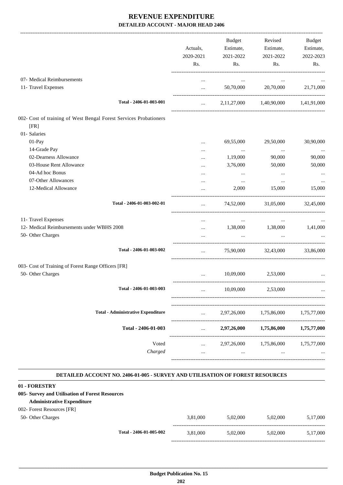|                                                                                        | Actuals,<br>2020-2021<br>Rs. | Budget<br>Estimate,<br>2021-2022<br>Rs. | Revised<br>Estimate,<br>2021-2022<br>Rs.  | Budget<br>Estimate,<br>2022-2023<br>Rs. |
|----------------------------------------------------------------------------------------|------------------------------|-----------------------------------------|-------------------------------------------|-----------------------------------------|
| 07- Medical Reimbursements<br>11- Travel Expenses                                      | $\cdots$<br>$\cdots$         | $\cdots$<br>50,70,000                   | $\cdots$<br>20,70,000                     | 21,71,000                               |
| Total - 2406-01-003-001                                                                | $\mathbf{1}$                 |                                         | 2,11,27,000 1,40,90,000 1,41,91,000       |                                         |
| 002- Cost of training of West Bengal Forest Services Probationers<br>[FR]              |                              |                                         |                                           |                                         |
| 01- Salaries<br>01-Pay<br>14-Grade Pay                                                 | $\ddotsc$<br>$\cdots$        | 69,55,000<br>$\ldots$                   | 29,50,000<br>$\ldots$                     | 30,90,000<br>$\cdots$                   |
| 02-Dearness Allowance<br>03-House Rent Allowance                                       | <br>$\ddotsc$                | 1,19,000<br>3,76,000                    | 90,000<br>50,000                          | 90,000<br>50,000                        |
| 04-Ad hoc Bonus<br>07-Other Allowances<br>12-Medical Allowance                         | $\cdots$<br><br>$\cdots$     | $\cdots$<br>$\cdots$<br>2,000           | $\ddotsc$<br>$\ddotsc$<br>15,000          | 15,000                                  |
| Total - 2406-01-003-002-01                                                             | $\cdots$                     | 74,52,000                               | 31,05,000                                 | 32,45,000                               |
| 11- Travel Expenses<br>12- Medical Reimbursements under WBHS 2008<br>50- Other Charges | <br>$\cdots$                 | $\cdots$<br>$\cdots$                    | $\cdots$<br>1,38,000 1,38,000<br>$\ddots$ | 1,41,000                                |
| Total - 2406-01-003-002                                                                | $\cdots$                     |                                         | 75,90,000 32,43,000                       | 33,86,000                               |
| 003- Cost of Training of Forest Range Officers [FR]<br>50- Other Charges               |                              |                                         | 10,09,000 2,53,000                        |                                         |
| Total - 2406-01-003-003                                                                |                              | 10,09,000                               | 2,53,000                                  |                                         |
| <b>Total - Administrative Expenditure</b>                                              | $\cdots$                     | 2,97,26,000                             | 1,75,86,000                               | 1,75,77,000                             |
| Total - 2406-01-003                                                                    | $\cdots$                     | 2,97,26,000                             | 1,75,86,000                               | 1,75,77,000                             |
| Voted<br>Charged                                                                       | $\cdots$<br>$\ddotsc$        | 2,97,26,000<br>                         | 1,75,86,000<br>                           | 1,75,77,000                             |

#### **DETAILED ACCOUNT NO. 2406-01-005 - SURVEY AND UTILISATION OF FOREST RESOURCES .**

.

#### **01 - FORESTRY**

#### **005- Survey and Utilisation of Forest Resources**

### **Administrative Expenditure**

## 002- Forest Resources [FR]

| 50- Other Charges |                         | 3.81,000 | 5.02.000 | 5.02.000 | 5,17,000 |
|-------------------|-------------------------|----------|----------|----------|----------|
|                   | Total - 2406-01-005-002 | 3.81.000 | 5.02.000 | 5.02.000 | 5,17,000 |

-----------------------------------------------------------------------------------------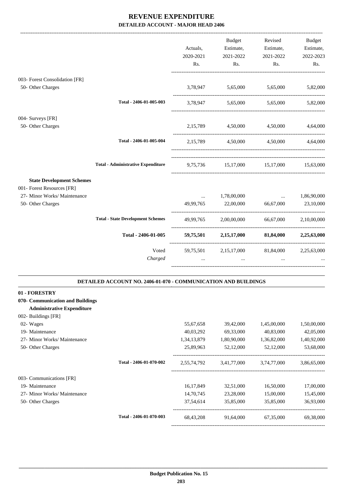|                                                            |                                           | Actuals,<br>2020-2021 | Budget<br>Estimate,                         | Revised<br>Estimate,  | Budget<br>Estimate, |
|------------------------------------------------------------|-------------------------------------------|-----------------------|---------------------------------------------|-----------------------|---------------------|
|                                                            |                                           | Rs.                   | 2021-2022<br>Rs.                            | 2021-2022<br>Rs.      | 2022-2023<br>Rs.    |
| 003- Forest Consolidation [FR]                             |                                           |                       |                                             |                       |                     |
| 50- Other Charges                                          |                                           |                       | 3,78,947 5,65,000 5,65,000                  |                       | 5,82,000            |
|                                                            | Total - 2406-01-005-003                   |                       | 3,78,947 5,65,000 5,65,000 5,82,000         |                       |                     |
| 004- Surveys [FR]                                          |                                           |                       |                                             |                       |                     |
| 50- Other Charges                                          |                                           |                       | 2,15,789 4,50,000 4,50,000                  |                       | 4,64,000            |
|                                                            | Total - 2406-01-005-004                   |                       | 2,15,789 4,50,000 4,50,000                  |                       | 4.64.000            |
|                                                            | <b>Total - Administrative Expenditure</b> | 9,75,736              |                                             | 15,17,000 15,17,000   | 15,63,000           |
| <b>State Development Schemes</b>                           |                                           |                       |                                             |                       |                     |
| 001- Forest Resources [FR]<br>27- Minor Works/ Maintenance |                                           | $\cdots$              | 1,78,00,000                                 | $\ddotsc$             | 1,86,90,000         |
| 50- Other Charges                                          |                                           | 49,99,765             | 22,00,000                                   | 66,67,000             | 23,10,000           |
|                                                            | <b>Total - State Development Schemes</b>  | 49,99,765             |                                             | 2,00,00,000 66,67,000 | 2,10,00,000         |
|                                                            | Total - 2406-01-005                       | 59,75,501             |                                             | 2,15,17,000 81,84,000 | 2,25,63,000         |
|                                                            | Voted                                     |                       | 59,75,501 2,15,17,000 81,84,000 2,25,63,000 |                       |                     |
|                                                            | Charged                                   |                       |                                             |                       |                     |

| 01 - FORESTRY                     |                         |             |             |             |             |
|-----------------------------------|-------------------------|-------------|-------------|-------------|-------------|
| 070- Communication and Buildings  |                         |             |             |             |             |
| <b>Administrative Expenditure</b> |                         |             |             |             |             |
| 002- Buildings [FR]               |                         |             |             |             |             |
| 02- Wages                         |                         | 55,67,658   | 39,42,000   | 1,45,00,000 | 1,50,00,000 |
| 19- Maintenance                   |                         | 40,03,292   | 69,33,000   | 40,83,000   | 42,05,000   |
| 27- Minor Works/ Maintenance      |                         | 1,34,13,879 | 1,80,90,000 | 1,36,82,000 | 1,40,92,000 |
| 50- Other Charges                 |                         | 25,89,963   | 52,12,000   | 52,12,000   | 53,68,000   |
|                                   | Total - 2406-01-070-002 | 2,55,74,792 | 3,41,77,000 | 3,74,77,000 | 3,86,65,000 |
| 003- Communications [FR]          |                         |             |             |             |             |
| 19- Maintenance                   |                         | 16, 17, 849 | 32,51,000   | 16,50,000   | 17,00,000   |
| 27- Minor Works/ Maintenance      |                         | 14,70,745   | 23,28,000   | 15,00,000   | 15,45,000   |
| 50- Other Charges                 |                         | 37,54,614   | 35,85,000   | 35,85,000   | 36,93,000   |
|                                   | Total - 2406-01-070-003 | 68, 43, 208 | 91,64,000   | 67,35,000   | 69,38,000   |
|                                   |                         |             |             |             |             |

**.**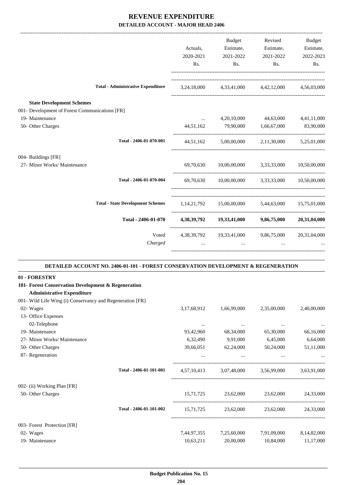|                                                           |                                                                                   | Actuals,<br>2020-2021<br>Rs. | Budget<br>Estimate,<br>2021-2022<br>Rs.                                                                | Revised<br>Estimate,<br>2021-2022<br>Rs.    | Budget<br>Estimate,<br>2022-2023<br>Rs. |
|-----------------------------------------------------------|-----------------------------------------------------------------------------------|------------------------------|--------------------------------------------------------------------------------------------------------|---------------------------------------------|-----------------------------------------|
|                                                           | <b>Total - Administrative Expenditure</b>                                         |                              | 3,24,18,000 4,33,41,000 4,42,12,000 4,56,03,000                                                        |                                             |                                         |
| <b>State Development Schemes</b>                          |                                                                                   |                              |                                                                                                        |                                             |                                         |
| 001- Development of Forest Communications [FR]            |                                                                                   |                              |                                                                                                        |                                             |                                         |
| 19- Maintenance                                           |                                                                                   | $\cdots$                     |                                                                                                        | 4,20,10,000 44,63,000 4,41,11,000           |                                         |
| 50- Other Charges                                         |                                                                                   | 44,51,162                    | 79,90,000                                                                                              | 1,66,67,000                                 | 83,90,000                               |
|                                                           | Total - 2406-01-070-001                                                           | 44,51,162                    | 5,00,00,000                                                                                            |                                             | 2,11,30,000 5,25,01,000                 |
| 004- Buildings [FR]                                       |                                                                                   |                              |                                                                                                        |                                             |                                         |
| 27- Minor Works/ Maintenance                              |                                                                                   | 69,70,630                    |                                                                                                        | $10,00,00,000$ $3,33,33,000$ $10,50,00,000$ |                                         |
|                                                           | Total - 2406-01-070-004                                                           |                              | 69,70,630 10,00,00,000 3,33,33,000 10,50,00,000                                                        |                                             |                                         |
|                                                           | <b>Total - State Development Schemes</b>                                          |                              | $1,14,21,792 \qquad \quad 15,00,00,000 \qquad \quad \  \  5,44,63,000 \qquad \quad \  \  15,75,01,000$ |                                             |                                         |
|                                                           | Total - 2406-01-070                                                               |                              | 4,38,39,792 19,33,41,000 9,86,75,000                                                                   |                                             | 20,31,04,000                            |
|                                                           | Voted                                                                             |                              | 4,38,39,792 19,33,41,000 9,86,75,000 20,31,04,000                                                      |                                             |                                         |
|                                                           | Charged                                                                           | $\ddotsc$                    | $\ddotsc$                                                                                              | $\cdots$                                    |                                         |
|                                                           | DETAILED ACCOUNT NO. 2406-01-101 - FOREST CONSERVATION DEVELOPMENT & REGENERATION |                              |                                                                                                        |                                             |                                         |
| 01 - FORESTRY                                             |                                                                                   |                              |                                                                                                        |                                             |                                         |
| 101- Forest Conservation Development & Regeneration       |                                                                                   |                              |                                                                                                        |                                             |                                         |
| <b>Administrative Expenditure</b>                         |                                                                                   |                              |                                                                                                        |                                             |                                         |
| 001- Wild Life Wing (i) Conservancy and Regeneration [FR] |                                                                                   |                              |                                                                                                        |                                             |                                         |
| 02- Wages                                                 |                                                                                   | 3,17,68,912                  | 1,66,99,000                                                                                            | 2,35,00,000                                 | 2,40,00,000                             |
| 13- Office Expenses                                       |                                                                                   |                              |                                                                                                        |                                             |                                         |
| 02-Telephone<br>19- Maintenance                           |                                                                                   | $\cdots$                     | $\cdots$                                                                                               | $\cdots$                                    |                                         |
| 27- Minor Works/ Maintenance                              |                                                                                   | 93,42,960<br>6,32,490        | 68,34,000<br>9,91,000                                                                                  | 65,30,000<br>6,45,000                       | 66,16,000<br>6,64,000                   |
|                                                           |                                                                                   | 39,66,051                    | 62,24,000                                                                                              |                                             |                                         |
| 50- Other Charges<br>87- Regeneration                     |                                                                                   | $\cdots$                     | $\cdots$                                                                                               | 50,24,000<br>$\cdots$                       | 51,11,000                               |
|                                                           |                                                                                   |                              |                                                                                                        |                                             |                                         |
|                                                           | Total - 2406-01-101-001                                                           | 4,57,10,413                  |                                                                                                        | 3,07,48,000 3,56,99,000                     | 3,63,91,000                             |
| 002- (ii) Working Plan [FR]                               |                                                                                   |                              |                                                                                                        |                                             |                                         |

 **\_\_\_\_\_\_\_\_\_\_\_\_\_\_\_\_\_\_\_\_\_\_\_\_\_\_\_\_\_\_\_\_\_\_\_\_\_\_\_\_\_\_\_\_\_\_\_\_\_\_\_\_\_\_\_\_\_\_\_\_\_\_\_\_\_\_\_\_\_\_\_\_\_\_\_\_\_\_\_\_\_\_\_\_\_\_\_\_\_\_\_\_\_\_\_\_\_\_\_\_\_\_\_\_\_\_\_\_\_\_\_\_\_\_\_\_\_\_\_**

003- Forest Protection [FR]

50- Other Charges 15,71,725 23,62,000 23,62,000 24,33,000

02- Wages 7,44,97,355 7,25,60,000 7,91,09,000 8,14,82,000 19- Maintenance 10,63,211 20,00,000 10,84,000 11,17,000

----------------------------------------------------------------------------------------

-----------------------------------------------------------------------------------------

**Total - 2406-01-101-002** 15,71,725 23,62,000 23,62,000 24,33,000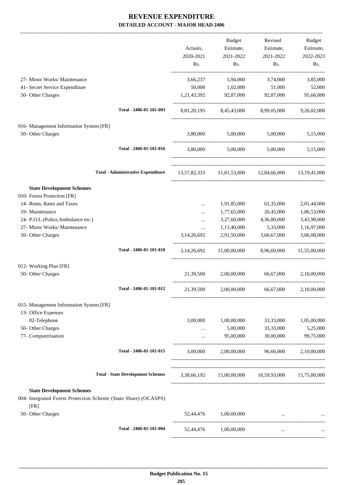-------------------------------------------------------------------------------------------------------------------------------------------------------------------------------

|                                                                         |                                           | Actuals,<br>2020-2021<br>Rs. | <b>Budget</b><br>Estimate,<br>2021-2022<br>Rs. | Revised<br>Estimate,<br>2021-2022<br>Rs.            | <b>Budget</b><br>Estimate,<br>2022-2023<br>Rs. |
|-------------------------------------------------------------------------|-------------------------------------------|------------------------------|------------------------------------------------|-----------------------------------------------------|------------------------------------------------|
| 27- Minor Works/ Maintenance                                            |                                           | 3,66,237                     | 5,94,000                                       | 3,74,000                                            | 3,85,000                                       |
| 41- Secret Service Expenditure                                          |                                           | 50,000                       | 1,02,000                                       | 51,000                                              | 52,000                                         |
| 50- Other Charges                                                       |                                           | 1,21,43,392                  | 92,87,000                                      | 92,87,000                                           | 95,66,000                                      |
|                                                                         | Total - 2406-01-101-003                   |                              | 8,81,20,195 8,45,43,000 8,99,05,000            |                                                     | 9,26,02,000                                    |
| 016- Management Information System [FR]                                 |                                           |                              |                                                |                                                     |                                                |
| 50- Other Charges                                                       |                                           |                              |                                                | 3,80,000 5,00,000 5,00,000 5,15,000                 |                                                |
|                                                                         | Total - 2406-01-101-016                   |                              |                                                | 3,80,000 5,00,000 5,00,000                          | 5,15,000                                       |
|                                                                         | <b>Total - Administrative Expenditure</b> |                              |                                                | 13,57,82,333 11,81,53,000 12,84,66,000 13,19,41,000 |                                                |
| <b>State Development Schemes</b>                                        |                                           |                              |                                                |                                                     |                                                |
| 010- Forest Protection [FR]                                             |                                           |                              |                                                |                                                     |                                                |
| 14- Rents, Rates and Taxes                                              |                                           | $\cdots$                     | 1,91,85,000                                    | 61,35,000                                           | 2,01,44,000                                    |
| 19- Maintenance                                                         |                                           | $\cdots$                     | 1,77,65,000                                    | 26,45,000                                           | 1,86,53,000                                    |
| 24- P.O.L.(Police, Ambulance etc.)                                      |                                           |                              | 3,27,60,000                                    | 4,36,80,000                                         | 3,43,98,000                                    |
| 27- Minor Works/ Maintenance                                            |                                           | $\ldots$                     | 1,11,40,000                                    | 5,33,000                                            | 1,16,97,000                                    |
| 50- Other Charges                                                       |                                           | 3,14,26,692                  | 2,91,50,000                                    | 3,66,67,000                                         | 3,06,08,000                                    |
|                                                                         | Total - 2406-01-101-010                   | 3, 14, 26, 692               | 11,00,00,000                                   | 8,96,60,000                                         | 11,55,00,000                                   |
| 012- Working Plan [FR]                                                  |                                           |                              |                                                |                                                     |                                                |
| 50- Other Charges                                                       |                                           | 21,39,500                    | 2,00,00,000                                    | 66,67,000                                           | 2,10,00,000                                    |
|                                                                         | Total - 2406-01-101-012                   | 21,39,500                    | 2,00,00,000                                    | 66,67,000                                           | 2,10,00,000                                    |
| 015- Management Information System [FR]                                 |                                           |                              |                                                |                                                     |                                                |
| 13- Office Expenses                                                     |                                           |                              |                                                |                                                     |                                                |
| 02-Telephone                                                            |                                           | 3,00,000                     | 1,00,00,000                                    | 33,33,000                                           | 1,05,00,000                                    |
| 50- Other Charges                                                       |                                           |                              | 5,00,000                                       | 33,33,000                                           | 5,25,000                                       |
| 77- Computerisation                                                     |                                           | $\cdots$                     | 95,00,000                                      | 30,00,000                                           | 99,75,000                                      |
|                                                                         | Total - 2406-01-101-015                   | 3,00,000                     | 2,00,00,000                                    |                                                     | 96,66,000 2,10,00,000                          |
|                                                                         | <b>Total - State Development Schemes</b>  |                              |                                                | 3,38,66,192 15,00,00,000 10,59,93,000               | 15,75,00,000                                   |
| <b>State Development Schemes</b>                                        |                                           |                              |                                                |                                                     |                                                |
| 004- Integrated Forest Protection Scheme (State Share) (OCASPS)<br>[FR] |                                           |                              |                                                |                                                     |                                                |
| 50- Other Charges                                                       |                                           |                              | 52,44,476 1,00,00,000                          |                                                     |                                                |
|                                                                         | Total - 2406-01-101-004                   |                              | 52,44,476 1,00,00,000                          | $\ddots$                                            |                                                |
|                                                                         |                                           |                              |                                                |                                                     |                                                |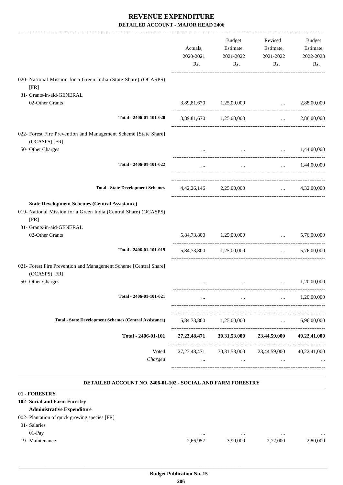|                                                                                                                                                                                   | Actuals,<br>2020-2021<br>Rs. | Budget<br>Estimate,<br>2021-2022<br>Rs. | Revised<br>Estimate,<br>2021-2022<br>Rs.       | <b>Budget</b><br>Estimate,<br>2022-2023<br>Rs. |
|-----------------------------------------------------------------------------------------------------------------------------------------------------------------------------------|------------------------------|-----------------------------------------|------------------------------------------------|------------------------------------------------|
| 020- National Mission for a Green India (State Share) (OCASPS)<br>[FR]                                                                                                            |                              |                                         |                                                |                                                |
| 31- Grants-in-aid-GENERAL                                                                                                                                                         |                              |                                         |                                                |                                                |
| 02-Other Grants                                                                                                                                                                   |                              | 3,89,81,670 1,25,00,000                 | <b><i>Property Services</i></b>                | 2,88,00,000                                    |
| Total - 2406-01-101-020                                                                                                                                                           |                              | 3,89,81,670 1,25,00,000                 |                                                | $\ldots$ 2,88,00,000                           |
| 022- Forest Fire Prevention and Management Scheme [State Share]<br>(OCASPS) [FR]                                                                                                  |                              |                                         |                                                |                                                |
| 50- Other Charges                                                                                                                                                                 |                              |                                         | $\ldots$ $1,44,00,000$                         |                                                |
| Total - 2406-01-101-022                                                                                                                                                           | $\cdots$                     | $\cdots$                                |                                                | $\ldots$ 1,44,00,000                           |
| <b>Total - State Development Schemes</b>                                                                                                                                          |                              | 4,42,26,146 2,25,00,000                 | $\mathbf{r}$ and $\mathbf{r}$ and $\mathbf{r}$ | 4,32,00,000                                    |
| <b>State Development Schemes (Central Assistance)</b><br>019- National Mission for a Green India (Central Share) (OCASPS)<br>[FR]<br>31- Grants-in-aid-GENERAL<br>02-Other Grants |                              | 5,84,73,800 1,25,00,000                 | $\cdots$ . The same of $\cdots$                | 5,76,00,000                                    |
| Total - 2406-01-101-019                                                                                                                                                           |                              | 5,84,73,800 1,25,00,000                 | $\cdots$                                       | 5,76,00,000                                    |
| 021- Forest Fire Prevention and Management Scheme [Central Share]<br>(OCASPS) [FR]                                                                                                |                              |                                         |                                                |                                                |
| 50- Other Charges                                                                                                                                                                 |                              | $\cdots$                                | $\ddotsc$                                      | 1,20,00,000                                    |
| Total - 2406-01-101-021                                                                                                                                                           | $\cdots$                     |                                         | $\cdots$                                       | 1,20,00,000                                    |
| <b>Total - State Development Schemes (Central Assistance)</b>                                                                                                                     | 5,84,73,800                  | 1,25,00,000                             | $\ddotsc$                                      | 6,96,00,000                                    |
| Total - 2406-01-101                                                                                                                                                               | 27, 23, 48, 471              | 30,31,53,000                            | 23,44,59,000                                   | 40,22,41,000                                   |
| Voted<br>Charged                                                                                                                                                                  | 27, 23, 48, 471<br>$\cdots$  | 30, 31, 53, 000<br>                     | 23,44,59,000<br>$\cdots$                       | 40,22,41,000                                   |
|                                                                                                                                                                                   |                              |                                         |                                                |                                                |

#### **DETAILED ACCOUNT NO. 2406-01-102 - SOCIAL AND FARM FORESTRY .**

.

| 01 - FORESTRY                                 |          |          |          |          |
|-----------------------------------------------|----------|----------|----------|----------|
| 102- Social and Farm Forestry                 |          |          |          |          |
| <b>Administrative Expenditure</b>             |          |          |          |          |
| 002- Plantation of quick growing species [FR] |          |          |          |          |
| 01- Salaries                                  |          |          |          |          |
| $01-Pav$                                      |          | $\cdots$ |          | $\cdots$ |
| 19- Maintenance                               | 2,66,957 | 3,90,000 | 2.72,000 | 2,80,000 |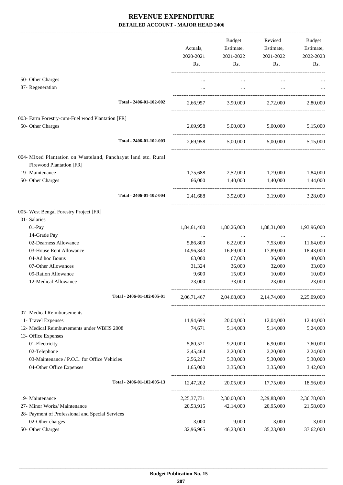|                                                                                                  | Actuals,<br>2020-2021<br>Rs. | Budget<br>Estimate,<br>2021-2022<br>Rs. | Revised<br>Estimate,<br>2021-2022<br>Rs. | Budget<br>Estimate,<br>2022-2023<br>Rs. |
|--------------------------------------------------------------------------------------------------|------------------------------|-----------------------------------------|------------------------------------------|-----------------------------------------|
| 50- Other Charges                                                                                | $\cdots$                     | $\cdots$                                | $\cdots$                                 |                                         |
| 87- Regeneration                                                                                 | $\cdots$                     | $\cdots$                                | $\cdots$                                 |                                         |
|                                                                                                  |                              |                                         |                                          |                                         |
| Total - 2406-01-102-002                                                                          |                              |                                         | 2,66,957 3,90,000 2,72,000 2,80,000      |                                         |
| 003- Farm Forestry-cum-Fuel wood Plantation [FR]                                                 |                              |                                         |                                          |                                         |
| 50- Other Charges                                                                                | 2,69,958                     | 5,00,000                                | 5,00,000                                 | 5,15,000                                |
|                                                                                                  |                              |                                         |                                          |                                         |
| Total - 2406-01-102-003                                                                          | 2,69,958                     |                                         | 5,00,000 5,00,000                        | 5,15,000                                |
| 004- Mixed Plantation on Wasteland, Panchayat land etc. Rural<br><b>Firewood Plantation [FR]</b> |                              |                                         |                                          |                                         |
| 19- Maintenance                                                                                  | 1,75,688                     | 2,52,000                                | 1,79,000                                 | 1,84,000                                |
| 50- Other Charges                                                                                | 66,000                       | 1,40,000                                | 1,40,000                                 | 1,44,000                                |
| Total - 2406-01-102-004                                                                          | 2,41,688                     |                                         | 3,92,000 3,19,000                        | 3,28,000                                |
| 005- West Bengal Forestry Project [FR]                                                           |                              |                                         |                                          |                                         |
| 01- Salaries                                                                                     |                              |                                         |                                          |                                         |
| 01-Pay                                                                                           | 1,84,61,400                  | 1,80,26,000                             | 1,88,31,000                              | 1,93,96,000                             |
| 14-Grade Pay                                                                                     | $\cdots$                     | $\cdots$                                | $\cdots$                                 |                                         |
| 02-Dearness Allowance<br>03-House Rent Allowance                                                 | 5,86,800                     | 6,22,000                                | 7,53,000                                 | 11,64,000                               |
| 04-Ad hoc Bonus                                                                                  | 14,96,343<br>63,000          | 16,69,000<br>67,000                     | 17,89,000<br>36,000                      | 18,43,000<br>40,000                     |
| 07-Other Allowances                                                                              | 31,324                       | 36,000                                  | 32,000                                   | 33,000                                  |
| 09-Ration Allowance                                                                              | 9,600                        | 15,000                                  | 10,000                                   | 10,000                                  |
| 12-Medical Allowance                                                                             | 23,000                       | 33,000                                  | 23,000                                   | 23,000                                  |
| Total - 2406-01-102-005-01                                                                       | 2,06,71,467                  | 2,04,68,000                             | 2, 14, 74, 000                           | 2,25,09,000                             |
| 07- Medical Reimbursements                                                                       | $\cdots$                     | $\cdots$                                | $\cdots$                                 |                                         |
| 11- Travel Expenses                                                                              | 11,94,699                    | 20,04,000                               | 12,04,000                                | 12,44,000                               |
| 12- Medical Reimbursements under WBHS 2008                                                       | 74,671                       | 5,14,000                                | 5,14,000                                 | 5,24,000                                |
| 13- Office Expenses                                                                              |                              |                                         |                                          |                                         |
| 01-Electricity                                                                                   | 5,80,521                     | 9,20,000                                | 6,90,000                                 | 7,60,000                                |
| 02-Telephone                                                                                     | 2,45,464                     | 2,20,000                                | 2,20,000                                 | 2,24,000                                |
| 03-Maintenance / P.O.L. for Office Vehicles                                                      | 2,56,217                     | 5,30,000                                | 5,30,000                                 | 5,30,000                                |
| 04-Other Office Expenses                                                                         | 1,65,000                     | 3,35,000                                | 3,35,000                                 | 3,42,000                                |
| Total - 2406-01-102-005-13                                                                       | 12,47,202                    |                                         | 20,05,000 17,75,000                      | 18,56,000                               |
| 19- Maintenance                                                                                  | 2, 25, 37, 731               | 2,30,00,000                             | 2,29,88,000                              | 2,36,78,000                             |
| 27- Minor Works/ Maintenance                                                                     | 20,53,915                    | 42,14,000                               | 20,95,000                                | 21,58,000                               |
| 28- Payment of Professional and Special Services                                                 |                              |                                         |                                          |                                         |
| 02-Other charges                                                                                 | 3,000                        | 9,000                                   | 3,000                                    | 3,000                                   |
| 50- Other Charges                                                                                | 32,96,965                    | 46,23,000                               | 35,23,000                                | 37,62,000                               |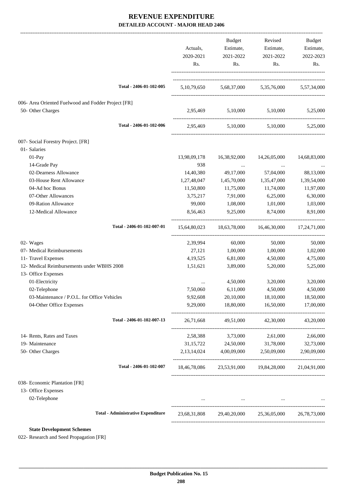|                                                                         | Actuals,<br>2020-2021<br>Rs. | Budget<br>Estimate,<br>2021-2022<br>Rs.   | Revised<br>Estimate,<br>2021-2022<br>Rs.                                                            | Budget<br>Estimate,<br>2022-2023<br>Rs. |
|-------------------------------------------------------------------------|------------------------------|-------------------------------------------|-----------------------------------------------------------------------------------------------------|-----------------------------------------|
| Total - 2406-01-102-005                                                 |                              |                                           | 5,10,79,650 5,68,37,000 5,35,76,000 5,57,34,000                                                     |                                         |
| 006- Area Oriented Fuelwood and Fodder Project [FR]                     |                              |                                           |                                                                                                     |                                         |
| 50- Other Charges                                                       | 2,95,469                     | 5,10,000                                  | 5,10,000                                                                                            | 5,25,000                                |
| Total - 2406-01-102-006                                                 |                              |                                           | 2,95,469 5,10,000 5,10,000                                                                          | 5,25,000                                |
| 007- Social Forestry Project. [FR]                                      |                              |                                           |                                                                                                     |                                         |
| 01-Salaries                                                             |                              |                                           |                                                                                                     |                                         |
| 01-Pay                                                                  | 13,98,09,178                 | 16,38,92,000                              | 14,26,05,000                                                                                        | 14,68,83,000                            |
| 14-Grade Pay                                                            | 938                          | $\ldots$                                  |                                                                                                     |                                         |
| 02-Dearness Allowance                                                   | 14,40,380                    | 49,17,000                                 | 57,04,000                                                                                           | 88,13,000                               |
| 03-House Rent Allowance                                                 | 1,27,48,047                  | 1,45,70,000                               | 1,35,47,000                                                                                         | 1,39,54,000                             |
| 04-Ad hoc Bonus                                                         | 11,50,800                    | 11,75,000                                 | 11,74,000                                                                                           | 11,97,000                               |
| 07-Other Allowances                                                     | 3,75,217                     | 7,91,000                                  | 6,25,000                                                                                            | 6,30,000                                |
| 09-Ration Allowance                                                     | 99,000                       | 1,08,000                                  | 1,01,000                                                                                            | 1,03,000                                |
| 12-Medical Allowance                                                    | 8,56,463                     | 9,25,000                                  | 8,74,000                                                                                            | 8,91,000                                |
| Total - 2406-01-102-007-01                                              |                              |                                           | 15,64,80,023 18,63,78,000 16,46,30,000                                                              | 17,24,71,000                            |
| 02- Wages                                                               | 2,39,994                     | 60,000                                    | 50,000                                                                                              | 50,000                                  |
| 07- Medical Reimbursements                                              | 27,121                       | 1,00,000                                  | 1,00,000                                                                                            | 1,02,000                                |
| 11- Travel Expenses                                                     | 4, 19, 525                   | 6,81,000                                  | 4,50,000                                                                                            | 4,75,000                                |
| 12- Medical Reimbursements under WBHS 2008                              | 1,51,621                     | 3,89,000                                  | 5,20,000                                                                                            | 5,25,000                                |
| 13- Office Expenses                                                     |                              |                                           |                                                                                                     |                                         |
| 01-Electricity                                                          |                              | 4,50,000                                  | 3,20,000                                                                                            | 3,20,000                                |
| 02-Telephone                                                            | 7,50,060                     | 6,11,000                                  | 4,50,000                                                                                            | 4,50,000                                |
| 03-Maintenance / P.O.L. for Office Vehicles<br>04-Other Office Expenses | 9,92,608<br>9,29,000         | 20,10,000<br>18,80,000                    | 18,10,000<br>16,50,000                                                                              | 18,50,000<br>17,00,000                  |
| Total - 2406-01-102-007-13                                              | 26,71,668                    |                                           | 49,51,000 42,30,000                                                                                 | 43,20,000                               |
| 14- Rents, Rates and Taxes                                              | 2,58,388                     | 3,73,000                                  | 2,61,000                                                                                            | 2,66,000                                |
| 19- Maintenance                                                         | 31,15,722                    | 24,50,000                                 | 31,78,000                                                                                           | 32,73,000                               |
| 50- Other Charges                                                       |                              | $2,13,14,024$ $4,00,09,000$ $2,50,09,000$ |                                                                                                     | 2,90,09,000                             |
| Total - 2406-01-102-007                                                 |                              |                                           | 18,46,78,086 23,53,91,000 19,84,28,000 21,04,91,000                                                 |                                         |
| 038- Economic Plantation [FR]                                           |                              |                                           |                                                                                                     |                                         |
| 13- Office Expenses                                                     |                              |                                           |                                                                                                     |                                         |
| 02-Telephone                                                            |                              |                                           | the contract of the contract of the contract of the contract of the contract of the contract of the |                                         |
| <b>Total - Administrative Expenditure</b>                               | 23,68,31,808                 |                                           | 29,40,20,000 25,36,05,000                                                                           | 26,78,73,000                            |
|                                                                         |                              |                                           |                                                                                                     |                                         |

**State Development Schemes**

022- Research and Seed Propagation [FR]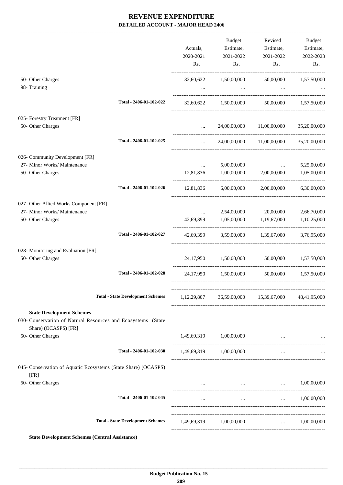|                                                                                                                                               |                                          | Actuals,<br>2020-2021<br>Rs.  | Budget<br>Estimate,<br>2021-2022<br>Rs. | Revised<br>Estimate,<br>2021-2022<br>Rs.                               | Budget<br>Estimate,<br>2022-2023<br>Rs. |
|-----------------------------------------------------------------------------------------------------------------------------------------------|------------------------------------------|-------------------------------|-----------------------------------------|------------------------------------------------------------------------|-----------------------------------------|
| 50- Other Charges<br>98- Training                                                                                                             |                                          | 32,60,622                     | 1,50,00,000<br>$\ddots$                 | 50,00,000<br>$\ddots$                                                  | 1,57,50,000                             |
|                                                                                                                                               | Total - 2406-01-102-022                  |                               | 32,60,622 1,50,00,000                   |                                                                        | 50,00,000 1,57,50,000                   |
| 025- Forestry Treatment [FR]<br>50- Other Charges                                                                                             |                                          | $\cdots$                      |                                         | 24,00,00,000 11,00,00,000                                              | 35,20,00,000                            |
|                                                                                                                                               | Total - 2406-01-102-025                  | $\cdots$                      |                                         | 24,00,00,000 11,00,00,000 35,20,00,000                                 |                                         |
| 026- Community Development [FR]<br>27- Minor Works/ Maintenance<br>50- Other Charges                                                          |                                          | $\cdots$<br>12,81,836         | 5,00,00,000<br>1,00,00,000              | and the company of the company<br>2,00,00,000                          | 5,25,00,000<br>1,05,00,000              |
|                                                                                                                                               | Total - 2406-01-102-026                  |                               |                                         | 12,81,836 6,00,00,000 2,00,00,000                                      | 6,30,00,000                             |
| 027- Other Allied Works Component [FR]<br>27- Minor Works/ Maintenance<br>50- Other Charges                                                   | Total - 2406-01-102-027                  | $\mathbf{m}$ and $\mathbf{m}$ | 42,69,399 1,05,00,000 1,19,67,000       | 2,54,00,000 20,00,000<br>42,69,399 3,59,00,000 1,39,67,000 3,76,95,000 | 2,66,70,000<br>1,10,25,000              |
| 028- Monitoring and Evaluation [FR]<br>50- Other Charges                                                                                      |                                          |                               | 24,17,950 1,50,00,000 50,00,000         |                                                                        | 1,57,50,000                             |
|                                                                                                                                               | Total - 2406-01-102-028                  |                               | 24,17,950 1,50,00,000                   |                                                                        | 50,00,000 1,57,50,000                   |
|                                                                                                                                               | <b>Total - State Development Schemes</b> |                               |                                         | 1,12,29,807 36,59,00,000 15,39,67,000                                  | 48,41,95,000                            |
| <b>State Development Schemes</b><br>030- Conservation of Natural Resources and Ecosystems (State<br>Share) (OCASPS) [FR]<br>50- Other Charges |                                          |                               | 1,49,69,319 1,00,00,000                 |                                                                        |                                         |
|                                                                                                                                               | Total - 2406-01-102-030                  |                               | 1,49,69,319 1,00,00,000                 | $\cdots$                                                               |                                         |
| 045- Conservation of Aquatic Ecosystems (State Share) (OCASPS)<br>[FR]                                                                        |                                          |                               |                                         |                                                                        |                                         |
| 50- Other Charges                                                                                                                             |                                          |                               |                                         | $\dots$ $1,00,00,000$                                                  |                                         |
|                                                                                                                                               | Total - 2406-01-102-045                  |                               | $\cdots$                                |                                                                        | $\ldots$ 1,00,00,000                    |
|                                                                                                                                               | <b>Total - State Development Schemes</b> |                               | 1,49,69,319 1,00,00,000                 |                                                                        | $\ldots$ 1,00,00,000                    |

**State Development Schemes (Central Assistance)**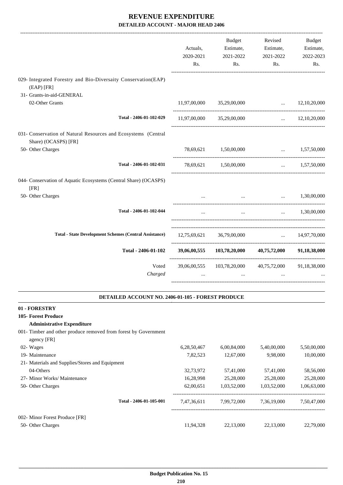|                                                                                        | Actuals,<br>2020-2021<br>Rs. | Budget<br>Estimate,<br>2021-2022<br>Rs. | Revised<br>Estimate,<br>2021-2022<br>Rs.                       | <b>Budget</b><br>Estimate,<br>2022-2023<br>Rs. |
|----------------------------------------------------------------------------------------|------------------------------|-----------------------------------------|----------------------------------------------------------------|------------------------------------------------|
| 029- Integrated Forestry and Bio-Diversaity Conservation(EAP)<br>$(EAP)$ [FR]          |                              |                                         |                                                                |                                                |
| 31- Grants-in-aid-GENERAL                                                              |                              |                                         |                                                                |                                                |
| 02-Other Grants                                                                        |                              | 11,97,00,000 35,29,00,000               | $\ldots$ 12,10,20,000<br>------------------------------------- |                                                |
| Total - 2406-01-102-029                                                                |                              | 11,97,00,000 35,29,00,000               |                                                                | $\ldots$ 12,10,20,000                          |
| 031- Conservation of Natural Resources and Ecosystems (Central<br>Share) (OCASPS) [FR] |                              |                                         |                                                                |                                                |
| 50- Other Charges                                                                      | 78,69,621                    | 1,50,00,000                             |                                                                | $\ldots$ 1,57,50,000                           |
| Total - 2406-01-102-031                                                                |                              | 78,69,621 1,50,00,000                   | $\cdots$                                                       | 1,57,50,000                                    |
| 044- Conservation of Aquatic Ecosystems (Central Share) (OCASPS)<br>[FR]               |                              |                                         |                                                                |                                                |
| 50- Other Charges                                                                      |                              | $\cdots$                                | $\cdots$                                                       | 1,30,00,000                                    |
| Total - 2406-01-102-044                                                                | $\cdots$                     | $\ddotsc$                               | $\cdots$                                                       | 1,30,00,000                                    |
| <b>Total - State Development Schemes (Central Assistance)</b>                          |                              | 12,75,69,621 36,79,00,000               |                                                                | $\ldots$ 14,97,70,000                          |
| Total - 2406-01-102                                                                    | 39,06,00,555                 |                                         | 103,78,20,000 40,75,72,000 91,18,38,000                        |                                                |
| Voted<br>Charged                                                                       | 39,06,00,555                 |                                         | 103,78,20,000 40,75,72,000 91,18,38,000                        |                                                |

#### **DETAILED ACCOUNT NO. 2406-01-105 - FOREST PRODUCE .**

#### **01 - FORESTRY**

#### **105- Forest Produce**

#### **Administrative Expenditure**

001- Timber and other produce removed from forest by Government

| agency [FR]                                     |             |             |             |             |
|-------------------------------------------------|-------------|-------------|-------------|-------------|
| 02- Wages                                       | 6,28,50,467 | 6,00,84,000 | 5,40,00,000 | 5,50,00,000 |
| 19- Maintenance                                 | 7,82,523    | 12,67,000   | 9.98.000    | 10,00,000   |
| 21- Materials and Supplies/Stores and Equipment |             |             |             |             |
| 04-Others                                       | 32.73.972   | 57,41,000   | 57,41,000   | 58,56,000   |
| 27- Minor Works/ Maintenance                    | 16,28,998   | 25,28,000   | 25,28,000   | 25,28,000   |
| 50- Other Charges                               | 62,00.651   | 1.03.52,000 | 1,03,52,000 | 1,06,63,000 |
| Total - 2406-01-105-001                         | 7,47,36,611 | 7,99,72,000 | 7,36,19,000 | 7,50,47,000 |
| 002- Minor Forest Produce [FR]                  |             |             |             |             |
| 50- Other Charges                               | 11,94,328   | 22,13,000   | 22.13.000   | 22,79,000   |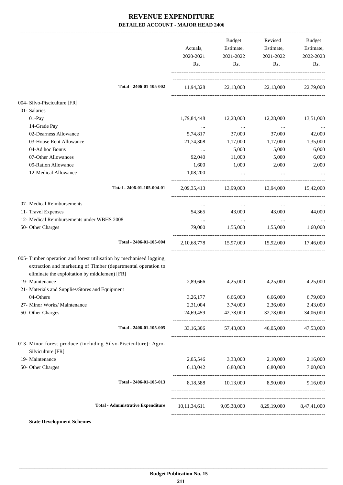|                                                                                                                                                                                       | Actuals,<br>2020-2021 | Budget<br>Estimate,<br>2021-2022 | Revised<br>Estimate,<br>2021-2022                | Budget<br>Estimate,<br>2022-2023 |
|---------------------------------------------------------------------------------------------------------------------------------------------------------------------------------------|-----------------------|----------------------------------|--------------------------------------------------|----------------------------------|
|                                                                                                                                                                                       | Rs.                   | Rs.                              | Rs.                                              | Rs.                              |
| Total - 2406-01-105-002                                                                                                                                                               |                       |                                  | 11,94,328 22,13,000 22,13,000 22,79,000          |                                  |
| 004- Silvo-Pisciculture [FR]                                                                                                                                                          |                       |                                  |                                                  |                                  |
| 01- Salaries                                                                                                                                                                          |                       |                                  |                                                  |                                  |
| $01-Pay$                                                                                                                                                                              | 1,79,84,448           | 12,28,000                        | 12,28,000                                        | 13,51,000                        |
| 14-Grade Pay                                                                                                                                                                          | $\cdots$              | $\ldots$                         | $\ddots$                                         | $\cdots$                         |
| 02-Dearness Allowance                                                                                                                                                                 | 5,74,817              | 37,000                           | 37,000                                           | 42,000                           |
| 03-House Rent Allowance                                                                                                                                                               | 21,74,308             | 1,17,000                         | 1,17,000                                         | 1,35,000                         |
| 04-Ad hoc Bonus                                                                                                                                                                       | $\cdots$              | 5,000                            | 5,000                                            | 6,000                            |
| 07-Other Allowances                                                                                                                                                                   | 92,040                | 11,000                           | 5,000                                            | 6,000                            |
| 09-Ration Allowance                                                                                                                                                                   | 1,600                 | 1,000                            | 2,000                                            | 2,000                            |
| 12-Medical Allowance                                                                                                                                                                  | 1,08,200              | $\cdots$                         |                                                  |                                  |
| Total - 2406-01-105-004-01                                                                                                                                                            |                       |                                  | 2,09,35,413 13,99,000 13,94,000 15,42,000        |                                  |
| 07- Medical Reimbursements                                                                                                                                                            | $\cdots$              | $\cdots$                         | $\cdots$                                         |                                  |
| 11- Travel Expenses                                                                                                                                                                   | 54,365                | 43,000                           | 43,000                                           | 44,000                           |
| 12- Medical Reimbursements under WBHS 2008                                                                                                                                            | $\ldots$              | $\sim$ $\sim$                    | $\ldots$                                         |                                  |
| 50- Other Charges                                                                                                                                                                     | 79,000                | 1,55,000                         | 1,55,000                                         | 1,60,000                         |
| Total - 2406-01-105-004                                                                                                                                                               |                       |                                  | 2,10,68,778 15,97,000 15,92,000 17,46,000        |                                  |
| 005- Timber operation and forest utilisation by mechanised logging,<br>extraction and marketing of Timber (departmental operation to<br>eliminate the exploitation by middlemen) [FR] |                       |                                  |                                                  |                                  |
| 19- Maintenance                                                                                                                                                                       | 2,89,666              | 4,25,000                         | 4,25,000                                         | 4,25,000                         |
| 21- Materials and Supplies/Stores and Equipment                                                                                                                                       |                       |                                  |                                                  |                                  |
| 04-Others                                                                                                                                                                             | 3,26,177              | 6,66,000                         | 6,66,000                                         | 6,79,000                         |
| 27- Minor Works/ Maintenance                                                                                                                                                          | 2,31,004              | 3,74,000                         | 2,36,000                                         | 2,43,000                         |
| 50- Other Charges                                                                                                                                                                     | 24,69,459             | 42,78,000                        | 32,78,000                                        | 34,06,000                        |
| Total - 2406-01-105-005                                                                                                                                                               |                       |                                  | 33,16,306 57,43,000 46,05,000 47,53,000          |                                  |
| 013- Minor forest produce (including Silvo-Pisciculture): Agro-                                                                                                                       |                       |                                  |                                                  |                                  |
| Silviculture [FR]                                                                                                                                                                     |                       |                                  |                                                  |                                  |
| 19- Maintenance                                                                                                                                                                       |                       | 2,05,546 3,33,000                | 2,10,000                                         | 2,16,000                         |
| 50- Other Charges                                                                                                                                                                     |                       | 6,13,042 6,80,000 6,80,000       |                                                  | 7,00,000                         |
| Total - 2406-01-105-013                                                                                                                                                               |                       |                                  | 8,18,588 10,13,000 8,90,000 9,16,000             |                                  |
| <b>Total - Administrative Expenditure</b>                                                                                                                                             |                       |                                  | 10,11,34,611 9,05,38,000 8,29,19,000 8,47,41,000 |                                  |
| <b>State Development Schemes</b>                                                                                                                                                      |                       |                                  |                                                  |                                  |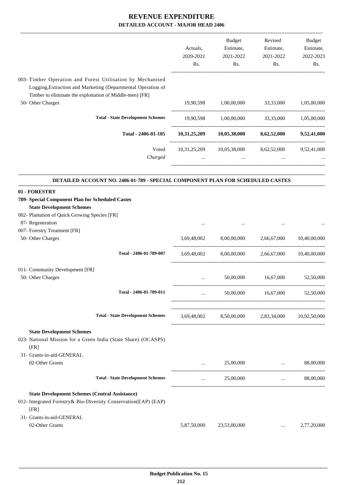|                                                                                                                                                                                        | Actuals,<br>2020-2021<br>Rs.   | Budget<br>Estimate,<br>2021-2022<br>Rs. | Revised<br>Estimate,<br>2021-2022<br>Rs.                      | Budget<br>Estimate,<br>2022-2023<br>Rs. |
|----------------------------------------------------------------------------------------------------------------------------------------------------------------------------------------|--------------------------------|-----------------------------------------|---------------------------------------------------------------|-----------------------------------------|
| 003- Timber Operation and Forest Utilisation by Mechanised<br>Logging, Extraction and Marketing (Departmental Operation of<br>Timber to eliminate the exploitation of Middle-men) [FR] |                                |                                         |                                                               |                                         |
| 50- Other Charges                                                                                                                                                                      | 19,90,598                      | 1,00,00,000                             | 33,33,000                                                     | 1,05,00,000                             |
| <b>Total - State Development Schemes</b>                                                                                                                                               |                                |                                         | 19,90,598 1,00,00,000 33,33,000 1,05,00,000                   |                                         |
| Total - 2406-01-105                                                                                                                                                                    |                                |                                         | $10,31,25,209$ $10,05,38,000$ $8,62,52,000$ $9,52,41,000$     |                                         |
| Voted<br>Charged                                                                                                                                                                       | <b><i>Committee States</i></b> | and the company of the company          | 10,31,25,209 10,05,38,000 8,62,52,000 9,52,41,000<br>$\cdots$ |                                         |
| DETAILED ACCOUNT NO. 2406-01-789 - SPECIAL COMPONENT PLAN FOR SCHEDULED CASTES                                                                                                         |                                |                                         |                                                               |                                         |
| 01 - FORESTRY<br>789- Special Component Plan for Scheduled Castes<br><b>State Development Schemes</b><br>002- Plantation of Quick Growing Species [FR]<br>87- Regeneration             |                                |                                         |                                                               |                                         |
| 007- Forestry Treatment [FR]                                                                                                                                                           |                                |                                         |                                                               |                                         |
| 50- Other Charges                                                                                                                                                                      |                                | 3,69,48,002 8,00,00,000 2,66,67,000     |                                                               | 10,40,00,000                            |
| Total - 2406-01-789-007                                                                                                                                                                | 3.69.48.002                    | 8,00,00,000                             | 2,66,67,000                                                   | 10,40,00,000                            |
| 011- Community Development [FR]<br>50- Other Charges                                                                                                                                   |                                | 50,00,000                               | 16,67,000                                                     | 52,50,000                               |
| Total - 2406-01-789-011                                                                                                                                                                |                                | 50,00,000                               | 16,67,000                                                     | 52,50,000                               |
| <b>Total - State Development Schemes</b>                                                                                                                                               |                                |                                         | 3,69,48,002 8,50,00,000 2,83,34,000 10,92,50,000              |                                         |
| <b>State Development Schemes</b><br>023- National Mission for a Green India (State Share) (OCASPS)<br>[FR]                                                                             |                                |                                         |                                                               |                                         |
| 31- Grants-in-aid-GENERAL<br>02-Other Grants                                                                                                                                           | $\cdots$                       | 25,00,000                               | and the company of the company of the                         | 88,00,000                               |
| <b>Total - State Development Schemes</b>                                                                                                                                               | $\cdots$                       | 25,00,000                               | <b>Sales Committee</b>                                        | 88,00,000                               |
| <b>State Development Schemes (Central Assistance)</b><br>012- Integrated Forestry& Bio-Diversity Conservation(EAP) (EAP)<br>[FR]<br>31- Grants-in-aid-GENERAL                          |                                |                                         |                                                               |                                         |
| 02-Other Grants                                                                                                                                                                        | 5,87,50,000                    | 23,53,00,000                            | $\cdots$                                                      | 2,77,20,000                             |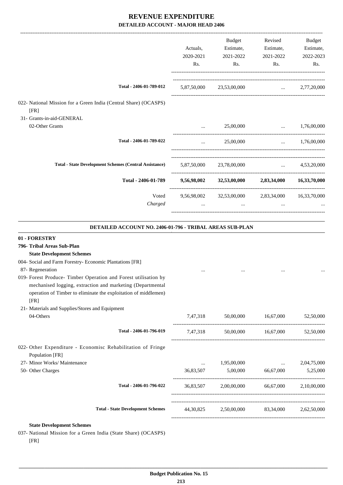|                                                                          |             | <b>Budget</b>                                     | Revised                               | Budget               |
|--------------------------------------------------------------------------|-------------|---------------------------------------------------|---------------------------------------|----------------------|
|                                                                          | Actuals.    | Estimate,                                         | Estimate,                             | Estimate,            |
|                                                                          | 2020-2021   | 2021-2022                                         | 2021-2022                             | 2022-2023            |
|                                                                          | Rs.         | Rs.                                               | Rs.                                   | Rs.                  |
| Total - 2406-01-789-012                                                  | 5,87,50,000 | 23,53,00,000                                      |                                       | $\ldots$ 2,77,20,000 |
| 022- National Mission for a Green India (Central Share) (OCASPS)<br>[FR] |             |                                                   |                                       |                      |
| 31- Grants-in-aid-GENERAL                                                |             |                                                   |                                       |                      |
| 02-Other Grants                                                          |             | 25,00,000                                         |                                       | 1,76,00,000          |
| Total - 2406-01-789-022                                                  | $\cdots$    | 25,00,000                                         |                                       | $\ldots$ 1,76,00,000 |
| <b>Total - State Development Schemes (Central Assistance)</b>            |             | 5,87,50,000 23,78,00,000                          | <b>Contract Contract Contract</b>     | 4,53,20,000          |
| Total - 2406-01-789                                                      | 9,56,98,002 |                                                   | 32,53,00,000 2,83,34,000 16,33,70,000 |                      |
| Voted                                                                    |             | 9,56,98,002 32,53,00,000 2,83,34,000 16,33,70,000 |                                       |                      |
| Charged                                                                  |             | $\cdots$                                          | $\cdots$                              |                      |
|                                                                          |             |                                                   |                                       |                      |

#### **DETAILED ACCOUNT NO. 2406-01-796 - TRIBAL AREAS SUB-PLAN**

.

| 01 - FORESTRY                                                                  |           |                                             |                    |             |
|--------------------------------------------------------------------------------|-----------|---------------------------------------------|--------------------|-------------|
| 796- Tribal Areas Sub-Plan                                                     |           |                                             |                    |             |
| <b>State Development Schemes</b>                                               |           |                                             |                    |             |
| 004- Social and Farm Forestry- Economic Plantations [FR]                       |           |                                             |                    |             |
| 87- Regeneration                                                               |           |                                             |                    |             |
| 019- Forest Produce- Timber Operation and Forest utilisation by                |           |                                             |                    |             |
| mechanised logging, extraction and marketing (Departmental                     |           |                                             |                    |             |
| operation of Timber to eliminate the exploitation of middlemen)                |           |                                             |                    |             |
| [FR]                                                                           |           |                                             |                    |             |
| 21- Materials and Supplies/Stores and Equipment                                |           |                                             |                    |             |
| 04-Others                                                                      | 7,47,318  | 50,00,000                                   | 16,67,000          | 52,50,000   |
| Total - 2406-01-796-019                                                        | 7,47,318  |                                             |                    |             |
| 022- Other Expenditure - Economisc Rehabilitation of Fringe<br>Population [FR] |           |                                             |                    |             |
| 27- Minor Works/ Maintenance                                                   | $\cdots$  | 1,95,00,000                                 |                    | 2,04,75,000 |
| 50- Other Charges                                                              | 36,83,507 |                                             | 5,00,000 66,67,000 | 5,25,000    |
| Total - 2406-01-796-022                                                        | 36,83,507 | 2,00,00,000                                 | 66.67.000          | 2,10,00,000 |
| <b>Total - State Development Schemes</b>                                       |           | 44,30,825 2,50,00,000 83,34,000 2,62,50,000 |                    |             |
|                                                                                |           |                                             |                    |             |

#### **State Development Schemes**

037- National Mission for a Green India (State Share) (OCASPS) [FR]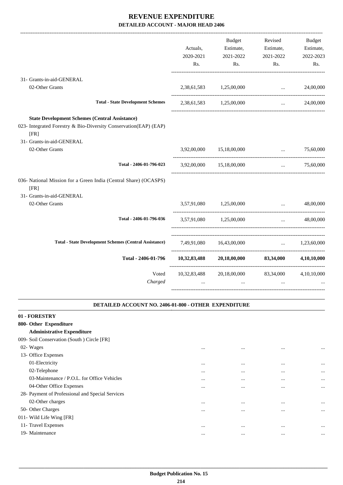-------------------------------------------------------------------------------------------------------------------------------------------------------------------------------

|                                                                                                                                                                | Actuals,<br>2020-2021<br>Rs. | <b>Budget</b><br>Estimate,<br>2021-2022<br>Rs.              | Revised<br>Estimate,<br>2021-2022<br>Rs.       | <b>Budget</b><br>Estimate,<br>2022-2023<br>Rs. |
|----------------------------------------------------------------------------------------------------------------------------------------------------------------|------------------------------|-------------------------------------------------------------|------------------------------------------------|------------------------------------------------|
| 31- Grants-in-aid-GENERAL                                                                                                                                      |                              |                                                             |                                                |                                                |
| 02-Other Grants                                                                                                                                                | 2,38,61,583                  | 1,25,00,000                                                 | $\ddotsc$                                      | 24,00,000                                      |
| <b>Total - State Development Schemes</b>                                                                                                                       |                              | 2,38,61,583 1,25,00,000                                     | $\cdots$                                       | 24,00,000                                      |
| <b>State Development Schemes (Central Assistance)</b><br>023- Integrated Forestry & Bio-Diversity Conservation(EAP) (EAP)<br>[FR]<br>31- Grants-in-aid-GENERAL |                              |                                                             |                                                |                                                |
| 02-Other Grants                                                                                                                                                | 3,92,00,000                  | 15,18,00,000                                                | $\mathbf{r}$                                   | 75,60,000                                      |
| Total - 2406-01-796-023                                                                                                                                        |                              | 3,92,00,000 15,18,00,000                                    | $\ddotsc$                                      | 75,60,000                                      |
| 036- National Mission for a Green India (Central Share) (OCASPS)<br>[FR]<br>31- Grants-in-aid-GENERAL                                                          |                              |                                                             |                                                |                                                |
| 02-Other Grants                                                                                                                                                |                              | 3,57,91,080 1,25,00,000                                     | $\mathbf{r}$                                   | 48,00,000                                      |
| Total - 2406-01-796-036                                                                                                                                        |                              | 3,57,91,080 1,25,00,000                                     | $\mathbf{r}$ and $\mathbf{r}$ and $\mathbf{r}$ | 48,00,000                                      |
| <b>Total - State Development Schemes (Central Assistance)</b>                                                                                                  |                              | 7,49,91,080 16,43,00,000                                    |                                                | $\ldots$ 1,23,60,000                           |
| Total - 2406-01-796                                                                                                                                            |                              | $10,32,83,488$ $20,18,00,000$ $83,34,000$                   |                                                | 4.10.10.000                                    |
| Voted<br>Charged                                                                                                                                               | $\cdots$                     | 10,32,83,488 20,18,00,000 83,34,000 4,10,10,000<br>$\cdots$ | $\cdots$                                       |                                                |
|                                                                                                                                                                |                              |                                                             |                                                |                                                |

#### **DETAILED ACCOUNT NO. 2406-01-800 - OTHER EXPENDITURE**

.

| 01 - FORESTRY                                    |          |          |          |           |
|--------------------------------------------------|----------|----------|----------|-----------|
| 800- Other Expenditure                           |          |          |          |           |
| <b>Administrative Expenditure</b>                |          |          |          |           |
| 009- Soil Conservation (South) Circle [FR]       |          |          |          |           |
| 02- Wages                                        | $\cdots$ | $\cdots$ | $\cdots$ | $\ddotsc$ |
| 13- Office Expenses                              |          |          |          |           |
| 01-Electricity                                   | $\cdots$ | $\cdots$ | $\cdots$ | $\ddotsc$ |
| 02-Telephone                                     | $\cdots$ | $\cdots$ | $\cdots$ | $\ddotsc$ |
| 03-Maintenance / P.O.L. for Office Vehicles      | $\cdots$ | $\cdots$ | $\cdots$ | $\ddotsc$ |
| 04-Other Office Expenses                         | $\cdots$ | $\cdots$ |          | $\ddotsc$ |
| 28- Payment of Professional and Special Services |          |          |          |           |
| 02-Other charges                                 | $\cdots$ | $\cdots$ | $\cdots$ | $\ddotsc$ |
| 50- Other Charges                                | $\cdots$ | $\cdots$ | $\cdots$ | $\ddotsc$ |
| 011- Wild Life Wing [FR]                         |          |          |          |           |
| 11- Travel Expenses                              | $\cdots$ | $\cdots$ | $\cdots$ | $\ddotsc$ |
| 19- Maintenance                                  | $\cdots$ | $\cdots$ |          | $\ddotsc$ |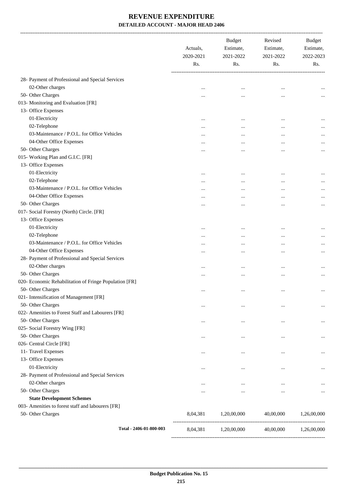|                                                        | Actuals,<br>2020-2021<br>Rs. | <b>Budget</b><br>Estimate,<br>2021-2022<br>Rs. | Revised<br>Estimate,<br>2021-2022<br>Rs. | <b>Budget</b><br>Estimate,<br>2022-2023<br>Rs. |
|--------------------------------------------------------|------------------------------|------------------------------------------------|------------------------------------------|------------------------------------------------|
| 28- Payment of Professional and Special Services       |                              |                                                |                                          |                                                |
| 02-Other charges                                       | $\ddotsc$                    |                                                |                                          |                                                |
| 50- Other Charges                                      | $\cdots$                     |                                                |                                          | $\cdots$                                       |
| 013- Monitoring and Evaluation [FR]                    |                              |                                                |                                          |                                                |
| 13- Office Expenses                                    |                              |                                                |                                          |                                                |
| 01-Electricity                                         | $\ddotsc$                    | $\ddotsc$                                      |                                          |                                                |
| 02-Telephone                                           |                              | $\ddotsc$                                      | $\ddotsc$                                | $\cdots$                                       |
| 03-Maintenance / P.O.L. for Office Vehicles            | $\cdots$                     |                                                |                                          | $\cdots$                                       |
| 04-Other Office Expenses                               | $\cdots$                     | $\cdots$                                       | $\cdots$                                 | $\cdots$                                       |
| 50- Other Charges                                      |                              |                                                | $\ddotsc$                                |                                                |
| 015- Working Plan and G.I.C. [FR]                      | $\ddotsc$                    |                                                |                                          | $\cdots$                                       |
| 13- Office Expenses                                    |                              |                                                |                                          |                                                |
| 01-Electricity                                         |                              |                                                |                                          |                                                |
| 02-Telephone                                           | $\cdots$                     | $\ddotsc$                                      |                                          | $\cdots$                                       |
| 03-Maintenance / P.O.L. for Office Vehicles            |                              |                                                | $\cdots$                                 | $\cdots$                                       |
| 04-Other Office Expenses                               | $\cdots$                     |                                                | $\cdots$                                 | $\cdots$                                       |
|                                                        |                              |                                                |                                          | $\cdots$                                       |
| 50- Other Charges                                      | $\ddotsc$                    |                                                | $\cdots$                                 | $\cdots$                                       |
| 017- Social Forestry (North) Circle. [FR]              |                              |                                                |                                          |                                                |
| 13- Office Expenses                                    |                              |                                                |                                          |                                                |
| 01-Electricity                                         | $\cdots$                     | $\ddotsc$                                      | $\cdots$                                 |                                                |
| 02-Telephone                                           | $\cdots$                     |                                                |                                          | $\cdots$                                       |
| 03-Maintenance / P.O.L. for Office Vehicles            | $\cdots$                     |                                                | $\cdots$                                 | $\cdots$                                       |
| 04-Other Office Expenses                               |                              |                                                | $\ddotsc$                                | $\cdots$                                       |
| 28- Payment of Professional and Special Services       |                              |                                                |                                          |                                                |
| 02-Other charges                                       | $\cdots$                     | $\cdots$                                       | $\cdots$                                 |                                                |
| 50- Other Charges                                      | $\cdots$                     | $\ddotsc$                                      | $\cdots$                                 |                                                |
| 020- Economic Rehabilitation of Fringe Population [FR] |                              |                                                |                                          |                                                |
| 50- Other Charges                                      | $\ddotsc$                    | $\ddotsc$                                      | $\cdots$                                 | $\ldots$                                       |
| 021- Intensification of Management [FR]                |                              |                                                |                                          |                                                |
| 50- Other Charges                                      | $\cdots$                     | $\cdots$                                       | $\ddotsc$                                |                                                |
| 022- Amenities to Forest Staff and Labourers [FR]      |                              |                                                |                                          |                                                |
| 50- Other Charges                                      | $\cdots$                     | $\cdots$                                       | $\ddotsc$                                |                                                |
| 025- Social Forestry Wing [FR]                         |                              |                                                |                                          |                                                |
| 50- Other Charges                                      |                              | $\ddotsc$                                      | $\ddotsc$                                | $\cdots$                                       |
| 026- Central Circle [FR]                               |                              |                                                |                                          |                                                |
| 11- Travel Expenses                                    |                              | $\cdots$                                       | $\cdots$                                 |                                                |
| 13- Office Expenses                                    |                              |                                                |                                          |                                                |
| 01-Electricity                                         | $\cdots$                     | $\cdots$                                       | $\cdots$                                 | $\cdots$                                       |
| 28- Payment of Professional and Special Services       |                              |                                                |                                          |                                                |
| 02-Other charges                                       | $\cdots$                     | $\cdots$                                       | $\cdots$                                 |                                                |
| 50- Other Charges                                      |                              | $\cdots$                                       | $\cdots$                                 | $\cdots$                                       |
| <b>State Development Schemes</b>                       |                              |                                                |                                          |                                                |
| 003- Amenities to forest staff and labourers [FR]      |                              |                                                |                                          |                                                |
| 50- Other Charges                                      | 8,04,381                     | 1,20,00,000                                    | 40,00,000                                | 1,26,00,000                                    |
| Total - 2406-01-800-003                                | 8,04,381                     | 1,20,00,000                                    | 40,00,000                                | 1,26,00,000                                    |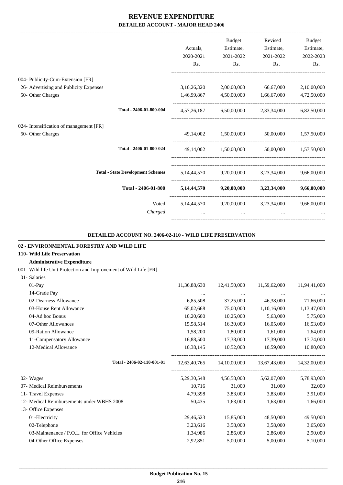|                                          |             | Budget                | Revised                                         | <b>Budget</b>         |
|------------------------------------------|-------------|-----------------------|-------------------------------------------------|-----------------------|
|                                          | Actuals,    | Estimate,             | Estimate,                                       | Estimate,             |
|                                          | 2020-2021   | 2021-2022             | 2021-2022                                       | 2022-2023             |
|                                          | Rs.         | Rs.                   | Rs.                                             | Rs.                   |
| 004- Publicity-Cum-Extension [FR]        |             |                       |                                                 |                       |
| 26- Advertising and Publicity Expenses   | 3,10,26,320 |                       | 2,00,00,000 66,67,000                           | 2,10,00,000           |
| 50- Other Charges                        | 1,46,99,867 |                       | 4,50,00,000 1,66,67,000                         | 4,72,50,000           |
| Total - 2406-01-800-004                  |             |                       | 4,57,26,187 6,50,00,000 2,33,34,000 6,82,50,000 |                       |
| 024- Intensification of management [FR]  |             |                       |                                                 |                       |
| 50- Other Charges                        |             |                       | 49,14,002 1,50,00,000 50,00,000 1,57,50,000     |                       |
| Total - 2406-01-800-024                  |             | 49,14,002 1,50,00,000 |                                                 | 50,00,000 1.57,50,000 |
| <b>Total - State Development Schemes</b> |             |                       | 5,14,44,570 9,20,00,000 3,23,34,000 9,66,00,000 |                       |
| Total - 2406-01-800                      |             |                       | 5,14,44,570 9,20,00,000 3,23,34,000 9,66,00,000 |                       |
| Voted                                    |             |                       | 5,14,44,570 9,20,00,000 3,23,34,000             | 9,66,00,000           |
| Charged                                  |             | $\cdots$              |                                                 |                       |
|                                          |             |                       |                                                 |                       |

#### **DETAILED ACCOUNT NO. 2406-02-110 - WILD LIFE PRESERVATION**

.

| 02 - ENVIRONMENTAL FORESTRY AND WILD LIFE                        |                |              |                                                     |              |
|------------------------------------------------------------------|----------------|--------------|-----------------------------------------------------|--------------|
| 110- Wild Life Preservation                                      |                |              |                                                     |              |
| <b>Administrative Expenditure</b>                                |                |              |                                                     |              |
| 001- Wild life Unit Protection and Improvement of Wild Life [FR] |                |              |                                                     |              |
| 01- Salaries                                                     |                |              |                                                     |              |
| $01-Pay$                                                         | 11,36,88,630   | 12,41,50,000 | 11,59,62,000                                        | 11,94,41,000 |
| 14-Grade Pay                                                     | $\cdots$       | $\cdots$     | $\cdots$                                            |              |
| 02-Dearness Allowance                                            | 6,85,508       | 37,25,000    | 46,38,000                                           | 71,66,000    |
| 03-House Rent Allowance                                          | 65,02,668      | 75,00,000    | 1,10,16,000                                         | 1,13,47,000  |
| 04-Ad hoc Bonus                                                  | 10,20,600      | 10,25,000    | 5,63,000                                            | 5,75,000     |
| 07-Other Allowances                                              | 15,58,514      | 16,30,000    | 16,05,000                                           | 16,53,000    |
| 09-Ration Allowance                                              | 1,58,200       | 1,80,000     | 1,61,000                                            | 1,64,000     |
| 11-Compensatory Allowance                                        | 16,88,500      | 17,38,000    | 17,39,000                                           | 17,74,000    |
| 12-Medical Allowance                                             | 10,38,145      | 10,52,000    | 10,59,000                                           | 10,80,000    |
| Total - 2406-02-110-001-01                                       |                |              | 12,63,40,765 14,10,00,000 13,67,43,000 14,32,00,000 |              |
| 02- Wages                                                        | 5, 29, 30, 548 | 4,56,58,000  | 5,62,07,000                                         | 5,78,93,000  |
| 07- Medical Reimbursements                                       | 10,716         | 31,000       | 31,000                                              | 32,000       |
| 11- Travel Expenses                                              | 4.79.398       | 3,83,000     | 3,83,000                                            | 3,91,000     |
| 12- Medical Reimbursements under WBHS 2008                       | 50,435         | 1,63,000     | 1,63,000                                            | 1,66,000     |
| 13- Office Expenses                                              |                |              |                                                     |              |
| 01-Electricity                                                   | 29,46,523      | 15,85,000    | 48,50,000                                           | 49,50,000    |
| 02-Telephone                                                     | 3,23,616       | 3,58,000     | 3,58,000                                            | 3,65,000     |
| 03-Maintenance / P.O.L. for Office Vehicles                      | 1,34,986       | 2,86,000     | 2,86,000                                            | 2,90,000     |
| 04-Other Office Expenses                                         | 2,92,851       | 5,00,000     | 5,00,000                                            | 5,10,000     |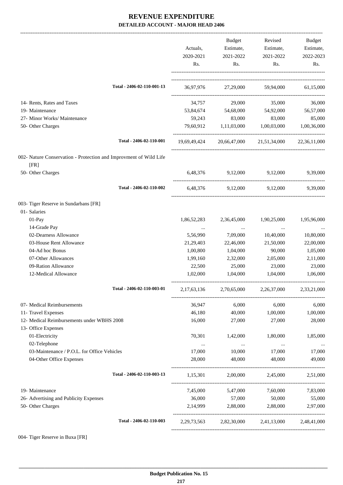|                                                                         | Actuals,<br>2020-2021<br>Rs. | Budget<br>Estimate,<br>2021-2022<br>Rs. | Revised<br>Estimate,<br>2021-2022<br>Rs. | Budget<br>Estimate,<br>2022-2023<br>Rs. |
|-------------------------------------------------------------------------|------------------------------|-----------------------------------------|------------------------------------------|-----------------------------------------|
| Total - 2406-02-110-001-13                                              |                              |                                         | 36,97,976 27,29,000 59,94,000 61,15,000  |                                         |
| 14- Rents, Rates and Taxes                                              | 34,757                       | 29,000                                  | 35,000                                   | 36,000                                  |
| 19- Maintenance                                                         |                              |                                         | 53,84,674 54,68,000 54,92,000            | 56,57,000                               |
| 27- Minor Works/ Maintenance                                            | 59,243                       | 83,000                                  | 83,000                                   | 85,000                                  |
| 50- Other Charges                                                       | 79,60,912                    | 1,11,03,000                             | 1,00,03,000                              | 1,00,36,000                             |
| Total - 2406-02-110-001                                                 |                              |                                         | 19,69,49,424 20,66,47,000 21,51,34,000   | 22,36,11,000                            |
| 002- Nature Conservation - Protection and Improvment of Wild Life       |                              |                                         |                                          |                                         |
| [FR]<br>50- Other Charges                                               | 6,48,376                     | 9,12,000 9,12,000                       |                                          | 9,39,000                                |
| Total - 2406-02-110-002                                                 |                              | 6,48,376 9,12,000 9,12,000              |                                          | 9,39,000                                |
| 003- Tiger Reserve in Sundarbans [FR]                                   |                              |                                         |                                          |                                         |
| 01- Salaries                                                            |                              |                                         |                                          |                                         |
| 01-Pay                                                                  | 1,86,52,283                  | 2,36,45,000                             | 1,90,25,000                              | 1,95,96,000                             |
| 14-Grade Pay                                                            |                              | $\ldots$                                |                                          |                                         |
| 02-Dearness Allowance                                                   | 5,56,990                     | 7,09,000                                | 10,40,000                                | 10,80,000                               |
| 03-House Rent Allowance                                                 | 21,29,403                    | 22,46,000                               | 21,50,000                                | 22,00,000                               |
| 04-Ad hoc Bonus                                                         | 1,00,800                     | 1,04,000                                | 90,000                                   | 1,05,000                                |
| 07-Other Allowances                                                     | 1,99,160                     | 2,32,000                                | 2,05,000                                 | 2,11,000                                |
| 09-Ration Allowance<br>12-Medical Allowance                             | 22,500<br>1,02,000           | 25,000<br>1,04,000                      | 23,000<br>1,04,000                       | 23,000<br>1,06,000                      |
| Total - 2406-02-110-003-01                                              | 2,17,63,136                  | 2,70,65,000                             | 2,26,37,000                              | 2,33,21,000                             |
| 07- Medical Reimbursements                                              | 36,947                       | 6,000                                   | 6,000                                    | 6,000                                   |
| 11- Travel Expenses                                                     | 46,180                       | 40,000                                  | 1,00,000                                 | 1,00,000                                |
| 12- Medical Reimbursements under WBHS 2008                              | 16,000                       | 27,000                                  | 27,000                                   | 28,000                                  |
| 13- Office Expenses                                                     |                              |                                         |                                          |                                         |
| 01-Electricity                                                          | 70,301                       | 1,42,000                                | 1,80,000                                 | 1,85,000                                |
| 02-Telephone                                                            | $\ldots$                     | $\cdots$                                | $\cdots$                                 | $\ldots$                                |
| 03-Maintenance / P.O.L. for Office Vehicles<br>04-Other Office Expenses | 17,000<br>28,000             | 10,000<br>48,000                        | 17,000<br>48,000                         | 17,000<br>49,000                        |
|                                                                         |                              |                                         |                                          |                                         |
| Total - 2406-02-110-003-13                                              | 1,15,301                     | 2,00,000                                | 2,45,000                                 | 2,51,000                                |
| 19- Maintenance                                                         | 7,45,000                     | 5,47,000                                | 7,60,000                                 | 7,83,000                                |
| 26- Advertising and Publicity Expenses                                  | 36,000                       | 57,000                                  | 50,000                                   | 55,000                                  |
| 50- Other Charges                                                       | 2,14,999                     | 2,88,000                                | 2,88,000                                 | 2,97,000                                |
| Total - 2406-02-110-003                                                 | 2, 29, 73, 563               |                                         | 2,82,30,000 2,41,13,000 2,48,41,000      |                                         |
|                                                                         |                              |                                         |                                          |                                         |

004- Tiger Reserve in Buxa [FR]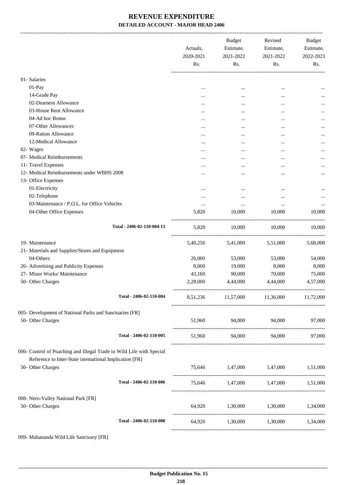-------------------------------------------------------------------------------------------------------------------------------------------------------------------------------

|                                                                                                                                 |                            | Actuals,<br>2020-2021<br>Rs. | <b>Budget</b><br>Estimate,<br>2021-2022<br>Rs. | Revised<br>Estimate,<br>2021-2022<br>Rs. | <b>Budget</b><br>Estimate,<br>2022-2023<br>Rs. |
|---------------------------------------------------------------------------------------------------------------------------------|----------------------------|------------------------------|------------------------------------------------|------------------------------------------|------------------------------------------------|
| 01- Salaries                                                                                                                    |                            |                              |                                                |                                          |                                                |
| $01-Pay$                                                                                                                        |                            |                              | $\cdots$                                       | $\ddotsc$                                |                                                |
| 14-Grade Pay                                                                                                                    |                            |                              | $\cdots$                                       | $\cdots$                                 | $\cdots$                                       |
| 02-Dearness Allowance                                                                                                           |                            | $\cdots$                     |                                                | $\ddotsc$                                |                                                |
| 03-House Rent Allowance                                                                                                         |                            |                              |                                                |                                          | $\cdots$                                       |
| 04-Ad hoc Bonus                                                                                                                 |                            | $\cdots$                     |                                                |                                          |                                                |
| 07-Other Allowances                                                                                                             |                            |                              |                                                |                                          |                                                |
| 09-Ration Allowance                                                                                                             |                            | $\cdots$                     |                                                |                                          |                                                |
| 12-Medical Allowance                                                                                                            |                            |                              |                                                |                                          |                                                |
| 02- Wages                                                                                                                       |                            |                              |                                                |                                          |                                                |
| 07- Medical Reimbursements                                                                                                      |                            |                              |                                                | $\ddotsc$                                | $\cdots$                                       |
| 11- Travel Expenses                                                                                                             |                            | $\cdots$                     | $\cdots$                                       | $\ddotsc$                                | $\cdots$                                       |
| 12- Medical Reimbursements under WBHS 2008                                                                                      |                            |                              |                                                | $\ddotsc$                                | $\cdots$                                       |
| 13- Office Expenses                                                                                                             |                            |                              |                                                |                                          |                                                |
| 01-Electricity                                                                                                                  |                            |                              |                                                |                                          | $\cdots$                                       |
| 02-Telephone                                                                                                                    |                            |                              |                                                |                                          |                                                |
| 03-Maintenance / P.O.L. for Office Vehicles                                                                                     |                            |                              |                                                | $\cdots$                                 | $\cdots$                                       |
| 04-Other Office Expenses                                                                                                        |                            | 5,820                        | 10,000                                         | 10,000                                   | 10,000                                         |
|                                                                                                                                 | Total - 2406-02-110-004-13 | 5,820                        | 10,000                                         | 10,000                                   | 10,000                                         |
| 19- Maintenance                                                                                                                 |                            | 5,40,256                     | 5,41,000                                       | 5,51,000                                 | 5,68,000                                       |
| 21- Materials and Supplies/Stores and Equipment                                                                                 |                            |                              |                                                |                                          |                                                |
| 04-Others                                                                                                                       |                            | 26,000                       | 53,000                                         | 53,000                                   | 54,000                                         |
| 26- Advertising and Publicity Expenses                                                                                          |                            | 8,000                        | 19,000                                         | 8,000                                    | 8,000                                          |
| 27- Minor Works/ Maintenance                                                                                                    |                            | 43,160                       | 90,000                                         | 70,000                                   | 75,000                                         |
| 50- Other Charges                                                                                                               |                            | 2,28,000                     | 4,44,000                                       | 4,44,000                                 | 4,57,000                                       |
|                                                                                                                                 | Total - 2406-02-110-004    |                              | 8,51,236 11,57,000 11,36,000 11,72,000         |                                          |                                                |
| 005- Development of National Parks and Sanctuaries [FR]                                                                         |                            |                              |                                                |                                          |                                                |
| 50- Other Charges                                                                                                               |                            | 51,960                       | 94,000 94,000                                  |                                          | 97,000                                         |
|                                                                                                                                 | Total - 2406-02-110-005    | 51,960                       | 94,000                                         | 94,000                                   | 97,000                                         |
| 006- Control of Poaching and Illegal Trade in Wild Life with Special<br>Reference to Inter-State international Implication [FR] |                            |                              |                                                |                                          |                                                |
| 50- Other Charges                                                                                                               |                            |                              | 75,646 1,47,000 1,47,000 1,51,000              |                                          |                                                |
|                                                                                                                                 | Total - 2406-02-110-006    |                              | 75,646 1,47,000 1,47,000 1,51,000              |                                          |                                                |
| 008- Nero-Valley National Park [FR]                                                                                             |                            |                              |                                                |                                          |                                                |
| 50- Other Charges                                                                                                               |                            |                              | 64,920 1,30,000 1,30,000 1,34,000              |                                          |                                                |
|                                                                                                                                 | Total - 2406-02-110-008    |                              | 64,920   1,30,000   1,30,000   1,34,000        |                                          |                                                |
|                                                                                                                                 |                            |                              |                                                |                                          |                                                |

009- Mahananda Wild Life Sanctuary [FR]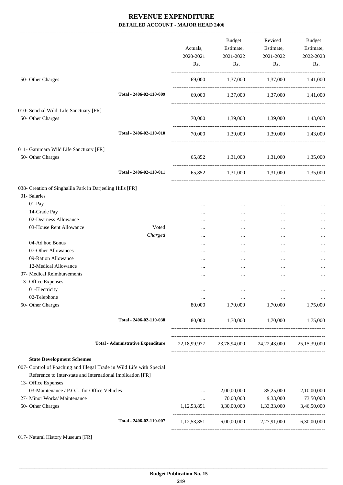|                                                                                                                                     |                  | Actuals,<br>2020-2021<br>Rs. | <b>Budget</b><br>Estimate,<br>2021-2022<br>Rs. | Estimate,<br>2021-2022<br>$\mathsf{Rs.}$            | Revised Budget<br>Estimate,<br>2022-2023<br>Rs. |
|-------------------------------------------------------------------------------------------------------------------------------------|------------------|------------------------------|------------------------------------------------|-----------------------------------------------------|-------------------------------------------------|
| 50- Other Charges                                                                                                                   |                  |                              |                                                | $69,000$ $1,37,000$ $1,37,000$ $1,41,000$           |                                                 |
| Total - 2406-02-110-009                                                                                                             |                  |                              |                                                | 69,000 1,37,000 1,37,000 1,41,000                   |                                                 |
| 010- Senchal Wild Life Sanctuary [FR]                                                                                               |                  |                              |                                                |                                                     |                                                 |
| 50- Other Charges                                                                                                                   |                  | 70,000                       |                                                | 1,39,000 1,39,000 1,43,000                          |                                                 |
| Total - 2406-02-110-010                                                                                                             |                  |                              |                                                | 70,000 1,39,000 1,39,000 1,43,000                   |                                                 |
| 011- Garumara Wild Life Sanctuary [FR]                                                                                              |                  |                              |                                                |                                                     |                                                 |
| 50- Other Charges                                                                                                                   |                  |                              |                                                | 65,852 1,31,000 1,31,000 1,35,000                   |                                                 |
| Total - 2406-02-110-011                                                                                                             |                  |                              |                                                | 65,852 1,31,000 1,31,000 1,35,000                   |                                                 |
| 038- Creation of Singhalila Park in Darjeeling Hills [FR]                                                                           |                  |                              |                                                |                                                     |                                                 |
| 01- Salaries                                                                                                                        |                  |                              |                                                |                                                     |                                                 |
| 01-Pay                                                                                                                              |                  | $\cdots$                     | $\cdots$                                       | $\cdots$                                            |                                                 |
| 14-Grade Pay                                                                                                                        |                  |                              | $\cdots$                                       | $\cdots$                                            |                                                 |
| 02-Dearness Allowance                                                                                                               |                  |                              | $\cdots$                                       | $\ddotsc$                                           |                                                 |
| 03-House Rent Allowance                                                                                                             | Voted<br>Charged | $\cdots$<br>$\cdots$         | $\cdots$<br>$\cdots$                           | $\cdots$<br>$\ddotsc$                               |                                                 |
| 04-Ad hoc Bonus                                                                                                                     |                  |                              | $\cdots$                                       | $\ddotsc$                                           |                                                 |
| 07-Other Allowances                                                                                                                 |                  |                              | $\cdots$                                       | $\cdots$                                            |                                                 |
| 09-Ration Allowance                                                                                                                 |                  |                              | $\cdots$                                       | $\ddotsc$                                           |                                                 |
| 12-Medical Allowance                                                                                                                |                  | $\cdots$                     |                                                | $\cdots$                                            |                                                 |
| 07- Medical Reimbursements                                                                                                          |                  | $\cdots$                     |                                                | $\ddotsc$                                           |                                                 |
| 13- Office Expenses                                                                                                                 |                  |                              |                                                |                                                     |                                                 |
| 01-Electricity                                                                                                                      |                  |                              |                                                |                                                     |                                                 |
| 02-Telephone                                                                                                                        |                  | $\cdots$                     | $\cdots$                                       | $\cdots$                                            |                                                 |
| 50- Other Charges                                                                                                                   |                  | 80,000                       | 1,70,000 1,70,000                              |                                                     | 1,75,000                                        |
| Total - 2406-02-110-038                                                                                                             |                  |                              |                                                | 80,000 1,70,000 1,70,000 1,75,000                   |                                                 |
| <b>Total - Administrative Expenditure</b>                                                                                           |                  |                              |                                                | 22,18,99,977 23,78,94,000 24,22,43,000 25,15,39,000 |                                                 |
| <b>State Development Schemes</b>                                                                                                    |                  |                              |                                                |                                                     |                                                 |
| 007- Control of Poaching and Illegal Trade in Wild Life with Special<br>Reference to Inter-state and International Implication [FR] |                  |                              |                                                |                                                     |                                                 |
| 13- Office Expenses                                                                                                                 |                  |                              |                                                |                                                     |                                                 |
| 03-Maintenance / P.O.L. for Office Vehicles                                                                                         |                  | $\cdots$                     | 2,00,00,000                                    | 85,25,000                                           | 2,10,00,000                                     |
| 27- Minor Works/ Maintenance                                                                                                        |                  | $\cdots$                     | 70,00,000                                      | 9,33,000                                            | 73,50,000                                       |
| 50- Other Charges                                                                                                                   |                  | 1,12,53,851                  | 3,30,00,000                                    | 1,33,33,000                                         | 3,46,50,000                                     |
| Total - 2406-02-110-007                                                                                                             |                  | 1,12,53,851                  |                                                | 6,00,00,000 2,27,91,000                             | 6,30,00,000                                     |
| 017- Natural History Museum [FR]                                                                                                    |                  |                              |                                                |                                                     |                                                 |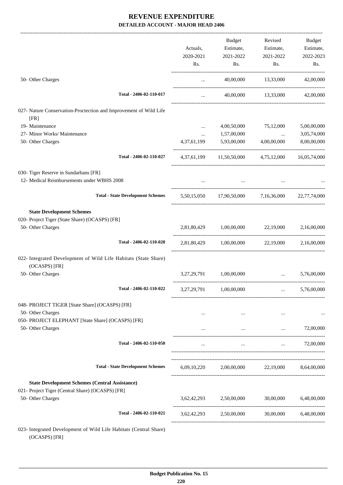|                                                                                  |             | Budget                                                | Revised                                         | Budget                                       |
|----------------------------------------------------------------------------------|-------------|-------------------------------------------------------|-------------------------------------------------|----------------------------------------------|
|                                                                                  | Actuals,    | Estimate,                                             | Estimate,                                       | Estimate,                                    |
|                                                                                  | 2020-2021   | 2021-2022                                             | 2021-2022                                       | 2022-2023                                    |
|                                                                                  | Rs.         | Rs.                                                   | Rs.                                             | Rs.                                          |
| 50- Other Charges                                                                | $\cdots$    |                                                       | 40,00,000 13,33,000                             | 42,00,000                                    |
| Total - 2406-02-110-017                                                          | $\cdots$    |                                                       | 40,00,000 13,33,000                             | 42,00,000                                    |
|                                                                                  |             |                                                       |                                                 |                                              |
| 027- Nature Conservation-Proctection and Improvement of Wild Life<br>[FR]        |             |                                                       |                                                 |                                              |
| 19- Maintenance                                                                  | $\cdots$    | 4,00,50,000                                           | 75,12,000                                       | 5,00,00,000                                  |
| 27- Minor Works/ Maintenance                                                     | $\cdots$    | 1,57,00,000                                           | $\ddots$                                        | 3,05,74,000                                  |
| 50- Other Charges                                                                | 4,37,61,199 | 5,93,00,000                                           | 4,00,00,000                                     | 8,00,00,000                                  |
| Total - 2406-02-110-027                                                          |             | 4,37,61,199 11,50,50,000 4,75,12,000 16,05,74,000     |                                                 |                                              |
| 030- Tiger Reserve in Sundarbans [FR]                                            |             |                                                       |                                                 |                                              |
| 12- Medical Reimbursements under WBHS 2008                                       |             |                                                       |                                                 |                                              |
| <b>Total - State Development Schemes</b>                                         |             | 5,50,15,050 17,90,50,000 7,16,36,000 22,77,74,000     |                                                 |                                              |
| <b>State Development Schemes</b>                                                 |             |                                                       |                                                 |                                              |
| 020- Project Tiger (State Share) (OCASPS) [FR]                                   |             |                                                       |                                                 |                                              |
| 50- Other Charges                                                                |             | 2,81,80,429 1,00,00,000 22,19,000                     |                                                 | 2,16,00,000                                  |
| Total - 2406-02-110-020                                                          |             | 2,81,80,429 1,00,00,000 22,19,000 2,16,00,000         |                                                 |                                              |
| 022- Integrated Development of Wild Life Habitats (State Share)<br>(OCASPS) [FR] |             |                                                       |                                                 |                                              |
| 50- Other Charges                                                                |             | 3,27,29,791 1,00,00,000                               | and the company of the company of               | 5,76,00,000                                  |
| Total - 2406-02-110-022                                                          |             | 3,27,29,791 1,00,00,000                               |                                                 | 5,76,00,000                                  |
| 048- PROJECT TIGER [State Share] (OCASPS) [FR]                                   |             |                                                       |                                                 |                                              |
| 50- Other Charges                                                                |             |                                                       | the contract of the contract of the<br>$\cdots$ |                                              |
| 050- PROJECT ELEPHANT [State Share] (OCASPS) [FR]                                |             |                                                       |                                                 |                                              |
| 50- Other Charges                                                                |             | $\cdots$                                              | $\cdots$                                        | 72,00,000                                    |
| Total - 2406-02-110-050                                                          | $\cdots$    | $\cdots$                                              |                                                 | 72,00,000<br><b>Second Contract Contract</b> |
| <b>Total - State Development Schemes</b>                                         |             | $6,09,10,220$ $2,00,00,000$ $22,19,000$ $8,64,00,000$ |                                                 |                                              |
|                                                                                  |             |                                                       |                                                 |                                              |
| <b>State Development Schemes (Central Assistance)</b>                            |             |                                                       |                                                 |                                              |
| 021- Project Tiger (Central Share) (OCASPS) [FR]                                 |             |                                                       |                                                 |                                              |
| 50- Other Charges                                                                |             | $3,62,42,293$ $2,50,00,000$ $30,00,000$ $6,48,00,000$ |                                                 |                                              |
| Total - 2406-02-110-021                                                          | 3,62,42,293 | 2,50,00,000                                           | 30,00,000                                       | 6,48,00,000                                  |
| 023- Integrated Development of Wild Life Habitats (Central Share)                |             |                                                       |                                                 |                                              |

(OCASPS) [FR]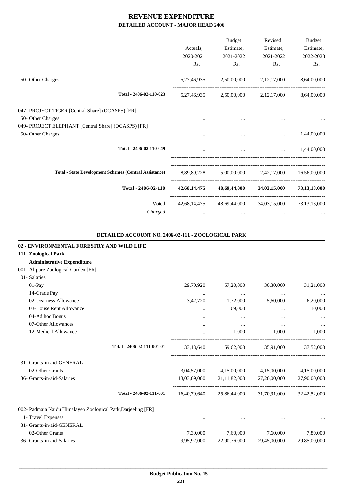-------------------------------------------------------------------------------------------------------------------------------------------------------------------------------

|                                                               |           | <b>Budget</b> | Revised                                             | <b>Budget</b>        |
|---------------------------------------------------------------|-----------|---------------|-----------------------------------------------------|----------------------|
|                                                               | Actuals,  | Estimate,     | Estimate,                                           | Estimate,            |
|                                                               | 2020-2021 | 2021-2022     | 2021-2022                                           | 2022-2023            |
|                                                               | Rs.       | Rs.           | Rs.                                                 | Rs.                  |
| 50- Other Charges                                             |           |               | 5,27,46,935 2,50,00,000 2,12,17,000 8,64,00,000     |                      |
| Total - 2406-02-110-023                                       |           |               | 5,27,46,935 2,50,00,000 2,12,17,000 8,64,00,000     |                      |
| 047- PROJECT TIGER [Central Share] (OCASPS) [FR]              |           |               |                                                     |                      |
| 50- Other Charges                                             | $\cdots$  | $\cdots$      |                                                     |                      |
| 049- PROJECT ELEPHANT [Central Share] (OCASPS) [FR]           |           |               |                                                     |                      |
| 50- Other Charges                                             | $\cdots$  |               | and the state of the state of the                   | $\ldots$ 1,44,00,000 |
| Total - 2406-02-110-049                                       | $\cdots$  |               | and the state of the state of the                   | $\ldots$ 1,44,00,000 |
| <b>Total - State Development Schemes (Central Assistance)</b> |           |               | 8,89,89,228 5,00,00,000 2,42,17,000 16,56,00,000    |                      |
| Total - 2406-02-110                                           |           |               | 42,68,14,475 48,69,44,000 34,03,15,000              | 73,13,13,000         |
| Voted                                                         |           |               | 42,68,14,475 48,69,44,000 34,03,15,000 73,13,13,000 |                      |
| Charged                                                       | $\cdots$  | $\cdots$      | $\cdots$                                            |                      |
|                                                               |           |               |                                                     |                      |

#### **DETAILED ACCOUNT NO. 2406-02-111 - ZOOLOGICAL PARK**

.

| 02 - ENVIRONMENTAL FORESTRY AND WILD LIFE                     |                            |             |              |                                                     |              |
|---------------------------------------------------------------|----------------------------|-------------|--------------|-----------------------------------------------------|--------------|
| 111- Zoological Park                                          |                            |             |              |                                                     |              |
| <b>Administrative Expenditure</b>                             |                            |             |              |                                                     |              |
| 001- Alipore Zoological Garden [FR]                           |                            |             |              |                                                     |              |
| 01- Salaries                                                  |                            |             |              |                                                     |              |
| $01-Pav$                                                      |                            | 29,70,920   | 57,20,000    | 30,30,000                                           | 31,21,000    |
| 14-Grade Pay                                                  |                            | $\cdots$    | $\cdots$     | $\cdots$                                            | $\cdots$     |
| 02-Dearness Allowance                                         |                            | 3,42,720    | 1,72,000     | 5,60,000                                            | 6,20,000     |
| 03-House Rent Allowance                                       |                            | $\cdots$    | 69,000       | $\cdots$                                            | 10,000       |
| 04-Ad hoc Bonus                                               |                            | $\cdots$    | $\cdots$     | $\cdots$                                            |              |
| 07-Other Allowances                                           |                            | $\cdots$    | $\cdots$     | $\cdots$                                            | $\cdots$     |
| 12-Medical Allowance                                          |                            | $\cdots$    | 1,000        | 1,000                                               | 1,000        |
|                                                               | Total - 2406-02-111-001-01 | 33,13,640   |              | 59,62,000 35,91,000 37,52,000                       |              |
| 31- Grants-in-aid-GENERAL                                     |                            |             |              |                                                     |              |
| 02-Other Grants                                               |                            |             |              | 3,04,57,000 4,15,00,000 4,15,00,000                 | 4,15,00,000  |
| 36- Grants-in-aid-Salaries                                    |                            |             |              | 13,03,09,000 21,11,82,000 27,20,00,000              | 27,90,00,000 |
|                                                               | Total - 2406-02-111-001    |             |              | 16,40,79,640 25,86,44,000 31,70,91,000 32,42,52,000 |              |
| 002- Padmaja Naidu Himalayen Zoological Park, Darjeeling [FR] |                            |             |              |                                                     |              |
| 11- Travel Expenses                                           |                            | $\cdots$    | $\cdots$     |                                                     |              |
| 31- Grants-in-aid-GENERAL                                     |                            |             |              |                                                     |              |
| 02-Other Grants                                               |                            | 7,30,000    | 7,60,000     | 7,60,000                                            | 7,80,000     |
| 36- Grants-in-aid-Salaries                                    |                            | 9,95,92,000 | 22,90,76,000 | 29,45,00,000                                        | 29,85,00,000 |
|                                                               |                            |             |              |                                                     |              |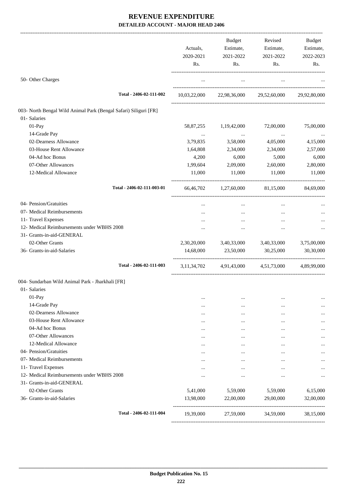|                                                                  | Actuals,<br>2020-2021<br>Rs. | Budget<br>Estimate,<br>2021-2022<br>Rs. | Revised<br>Estimate,<br>2021-2022<br>Rs. | Budget<br>Estimate,<br>2022-2023<br>Rs. |
|------------------------------------------------------------------|------------------------------|-----------------------------------------|------------------------------------------|-----------------------------------------|
| 50- Other Charges                                                | $\cdots$                     | $\cdots$                                | $\ldots$                                 |                                         |
| Total - 2406-02-111-002                                          |                              |                                         | 10,03,22,000 22,98,36,000 29,52,60,000   | 29,92,80,000                            |
| 003- North Bengal Wild Animal Park (Bengal Safari) Siliguri [FR] |                              |                                         |                                          |                                         |
| 01- Salaries                                                     |                              |                                         |                                          |                                         |
| 01-Pay                                                           | 58,87,255                    | 1,19,42,000                             | 72,00,000                                | 75,00,000                               |
| 14-Grade Pay                                                     | $\cdots$                     | $\cdots$                                | $\cdots$                                 | $\cdots$                                |
| 02-Dearness Allowance                                            | 3,79,835                     | 3,58,000                                | 4,05,000                                 | 4,15,000                                |
| 03-House Rent Allowance                                          | 1,64,808                     | 2,34,000                                | 2,34,000                                 | 2,57,000                                |
| 04-Ad hoc Bonus                                                  | 4,200                        | 6,000                                   | 5,000                                    | 6,000                                   |
| 07-Other Allowances                                              | 1,99,604                     | 2,09,000                                | 2,60,000                                 | 2,80,000                                |
| 12-Medical Allowance                                             | 11,000                       | 11,000                                  | 11,000                                   | 11,000                                  |
| Total - 2406-02-111-003-01                                       |                              | 66,46,702 1,27,60,000 81,15,000         |                                          | 84,69,000                               |
| 04- Pension/Gratuities                                           | $\cdots$                     | $\cdots$                                | $\cdots$                                 |                                         |
| 07- Medical Reimbursements                                       |                              |                                         | $\cdots$                                 |                                         |
| 11- Travel Expenses                                              | $\cdots$                     | $\cdots$                                | $\cdots$                                 |                                         |
| 12- Medical Reimbursements under WBHS 2008                       |                              |                                         | $\cdots$                                 |                                         |
| 31- Grants-in-aid-GENERAL                                        |                              |                                         |                                          |                                         |
| 02-Other Grants                                                  | 2,30,20,000                  | 3,40,33,000                             | 3,40,33,000                              | 3,75,00,000                             |
| 36- Grants-in-aid-Salaries                                       | 14,68,000                    | 23,50,000                               | 30,25,000                                | 30,30,000                               |
| Total - 2406-02-111-003                                          | 3, 11, 34, 702               | 4,91,43,000                             | 4,51,73,000                              | 4,89,99,000                             |
| 004- Sundarban Wild Animal Park - Jharkhali [FR]<br>01- Salaries |                              |                                         |                                          |                                         |
| 01-Pay                                                           |                              |                                         |                                          |                                         |
| 14-Grade Pay                                                     | $\cdots$                     | $\cdots$<br>$\cdots$                    | $\cdots$<br>                             |                                         |
| 02-Dearness Allowance                                            | $\cdots$<br>                 | $\cdots$                                | $\cdots$                                 |                                         |
| 03-House Rent Allowance                                          | $\cdots$                     | $\cdots$                                | $\ddotsc$                                |                                         |
| 04-Ad hoc Bonus                                                  | $\cdots$                     | $\cdots$                                |                                          |                                         |
| 07-Other Allowances                                              | $\cdots$                     |                                         |                                          |                                         |
| 12-Medical Allowance                                             |                              |                                         | $\cdots$                                 |                                         |
| 04- Pension/Gratuities                                           | $\cdots$                     |                                         | $\cdots$                                 |                                         |
| 07- Medical Reimbursements                                       | $\cdots$                     |                                         | $\cdots$                                 |                                         |
| 11- Travel Expenses                                              |                              | $\cdots$                                | $\cdots$                                 |                                         |
| 12- Medical Reimbursements under WBHS 2008                       | $\cdots$                     | $\cdots$                                | $\cdots$                                 |                                         |
| 31- Grants-in-aid-GENERAL                                        |                              |                                         |                                          |                                         |
| 02-Other Grants                                                  | 5,41,000                     | 5,59,000                                | 5,59,000                                 | 6,15,000                                |
| 36- Grants-in-aid-Salaries                                       | 13,98,000                    | 22,00,000                               | 29,00,000                                | 32,00,000                               |
| Total - 2406-02-111-004                                          | 19,39,000                    | 27,59,000                               | 34,59,000                                | 38,15,000                               |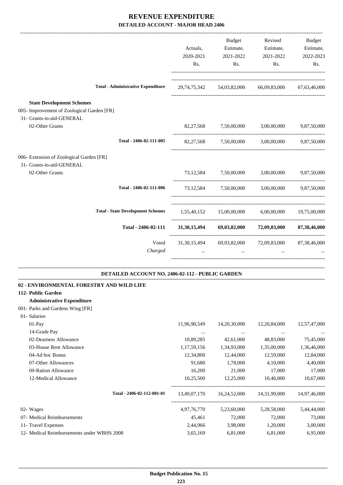|                                                                                                             | Actuals,<br>2020-2021<br>Rs. | <b>Budget</b><br>Estimate,<br>2021-2022<br>Rs. | Revised<br>Estimate,<br>2021-2022<br>Rs.                        | Budget<br>Estimate,<br>2022-2023<br>Rs. |
|-------------------------------------------------------------------------------------------------------------|------------------------------|------------------------------------------------|-----------------------------------------------------------------|-----------------------------------------|
| <b>Total - Administrative Expenditure</b>                                                                   |                              |                                                | 29,74,75,342 54,03,82,000 66,09,83,000 67,63,46,000             |                                         |
| <b>State Development Schemes</b><br>005- Improvement of Zoological Garden [FR]<br>31- Grants-in-aid-GENERAL |                              |                                                |                                                                 |                                         |
| 02-Other Grants                                                                                             |                              |                                                | 82,27,568 7,50,00,000 3,00,00,000 9,87,50,000                   |                                         |
| Total - 2406-02-111-005                                                                                     |                              | 82,27,568 7,50,00,000                          |                                                                 | 3,00,00,000 9,87,50,000                 |
| 006- Extension of Zoological Garden [FR]                                                                    |                              |                                                |                                                                 |                                         |
| 31- Grants-in-aid-GENERAL                                                                                   |                              |                                                |                                                                 |                                         |
| 02-Other Grants                                                                                             |                              | 73,12,584 7,50,00,000                          | 3.00.00.000                                                     | 9,87,50,000                             |
| Total - 2406-02-111-006                                                                                     |                              |                                                | 73,12,584 7,50,00,000 3,00,00,000 9,87,50,000                   |                                         |
| <b>Total - State Development Schemes</b>                                                                    |                              |                                                | 1,55,40,152 15,00,00,000 6,00,00,000 19,75,00,000               |                                         |
| Total - 2406-02-111                                                                                         |                              |                                                | 31,30,15,494 69,03,82,000 72,09,83,000 87,38,46,000             |                                         |
| Voted<br>Charged                                                                                            | $\cdots$                     | $\ddots$                                       | 31,30,15,494 69,03,82,000 72,09,83,000 87,38,46,000<br>$\ddots$ |                                         |
| DETAILED ACCOUNT NO. 2406-02-112 - PUBLIC GARDEN                                                            |                              |                                                |                                                                 |                                         |
| 02 - ENVIRONMENTAL FORESTRY AND WILD LIFE                                                                   |                              |                                                |                                                                 |                                         |
| 112- Public Garden                                                                                          |                              |                                                |                                                                 |                                         |
| <b>Administrative Expenditure</b>                                                                           |                              |                                                |                                                                 |                                         |
| 001- Parks and Gardens Wing [FR]<br>01- Salaries                                                            |                              |                                                |                                                                 |                                         |
| 01-Pay                                                                                                      | 11,96,90,549                 | 14,20,30,000                                   | 12,20,84,000                                                    | 12,57,47,000                            |
| 14-Grade Pay                                                                                                | $\cdots$                     |                                                | $\ldots$                                                        |                                         |
| 02-Dearness Allowance                                                                                       | 10,89,285                    | 42,61,000                                      | 48,83,000                                                       | 75,45,000                               |
| 03-House Rent Allowance                                                                                     | 1,17,59,156                  | 1,34,93,000                                    | 1,35,00,000                                                     | 1,36,46,000                             |
| 04-Ad hoc Bonus                                                                                             | 12,34,800                    | 12,44,000                                      | 12,59,000                                                       | 12,84,000                               |
| 07-Other Allowances                                                                                         | 91,680                       | 1,78,000                                       | 4,10,000                                                        | 4,40,000                                |
| 09-Ration Allowance                                                                                         | 16,200                       | 21,000                                         | 17,000                                                          | 17,000                                  |
| 12-Medical Allowance                                                                                        | 10,25,500                    | 12,25,000                                      | 10,46,000                                                       | 10,67,000                               |
| Total - 2406-02-112-001-01                                                                                  | 13,49,07,170                 | 16,24,52,000                                   | 14,31,99,000                                                    | 14,97,46,000                            |
| 02- Wages                                                                                                   | 4,97,76,770                  | 5,23,60,000                                    | 5,28,58,000                                                     | 5,44,44,000                             |
| 07- Medical Reimbursements                                                                                  | 45,461                       | 72,000                                         | 72,000                                                          | 73,000                                  |
| 11- Travel Expenses                                                                                         | 2,44,966                     | 3,98,000                                       | 1,20,000                                                        | 3,00,000                                |
| 12- Medical Reimbursements under WBHS 2008                                                                  | 3,65,169                     | 6,81,000                                       | 6,81,000                                                        | 6,95,000                                |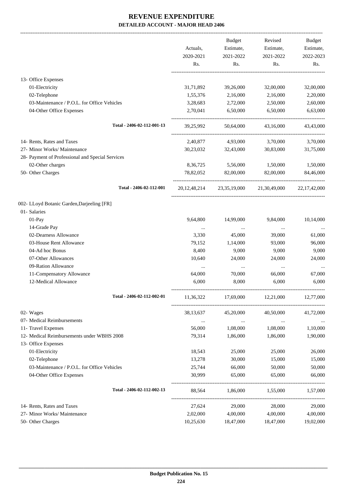|                                                  |             | Budget    | Revised                                | Budget          |
|--------------------------------------------------|-------------|-----------|----------------------------------------|-----------------|
|                                                  | Actuals,    | Estimate, | Estimate,                              | Estimate,       |
|                                                  | 2020-2021   | 2021-2022 | 2021-2022                              | 2022-2023       |
|                                                  | Rs.         | Rs.       | Rs.                                    | Rs.             |
| 13- Office Expenses                              |             |           |                                        |                 |
| 01-Electricity                                   | 31,71,892   | 39,26,000 | 32,00,000                              | 32,00,000       |
| 02-Telephone                                     | 1,55,376    | 2,16,000  | 2,16,000                               | 2,20,000        |
| 03-Maintenance / P.O.L. for Office Vehicles      | 3,28,683    | 2,72,000  | 2,50,000                               | 2,60,000        |
| 04-Other Office Expenses                         | 2,70,041    | 6,50,000  | 6,50,000                               | 6,63,000        |
| Total - 2406-02-112-001-13                       | 39,25,992   | 50,64,000 | 43,16,000                              | 43,43,000       |
| 14- Rents, Rates and Taxes                       | 2,40,877    | 4,93,000  | 3,70,000                               | 3,70,000        |
| 27- Minor Works/ Maintenance                     | 30,23,032   | 32,43,000 | 30,83,000                              | 31,75,000       |
| 28- Payment of Professional and Special Services |             |           |                                        |                 |
| 02-Other charges                                 | 8,36,725    | 5,56,000  | 1,50,000                               | 1,50,000        |
| 50- Other Charges                                | 78,82,052   | 82,00,000 | 82,00,000                              | 84,46,000       |
| Total - 2406-02-112-001                          |             |           | 20,12,48,214 23,35,19,000 21,30,49,000 | 22, 17, 42, 000 |
| 002- LLoyd Botanic Garden, Darjeeling [FR]       |             |           |                                        |                 |
| 01- Salaries                                     |             |           |                                        |                 |
| 01-Pay                                           | 9,64,800    | 14,99,000 | 9,84,000                               | 10,14,000       |
| 14-Grade Pay                                     | $\cdots$    | $\cdots$  | $\cdots$                               |                 |
| 02-Dearness Allowance                            | 3,330       | 45,000    | 39,000                                 | 61,000          |
| 03-House Rent Allowance                          | 79,152      | 1,14,000  | 93,000                                 | 96,000          |
| 04-Ad hoc Bonus                                  | 8,400       | 9,000     | 9,000                                  | 9,000           |
| 07-Other Allowances                              | 10,640      | 24,000    | 24,000                                 | 24,000          |
| 09-Ration Allowance                              | $\cdots$    | $\cdots$  | $\cdots$                               |                 |
| 11-Compensatory Allowance                        | 64,000      | 70,000    | 66,000                                 | 67,000          |
| 12-Medical Allowance                             | 6,000       | 8,000     | 6,000                                  | 6,000           |
| Total - 2406-02-112-002-01                       | 11,36,322   | 17,69,000 | 12,21,000                              | 12,77,000       |
| 02- Wages                                        | 38, 13, 637 | 45,20,000 | 40,50,000                              | 41,72,000       |
| 07- Medical Reimbursements                       | $\cdots$    | $\ldots$  | $\cdots$                               |                 |
| 11- Travel Expenses                              | 56,000      | 1,08,000  | 1,08,000                               | 1,10,000        |
| 12- Medical Reimbursements under WBHS 2008       | 79,314      | 1,86,000  | 1,86,000                               | 1,90,000        |
| 13- Office Expenses                              |             |           |                                        |                 |
| 01-Electricity                                   | 18,543      | 25,000    | 25,000                                 | 26,000          |
| 02-Telephone                                     | 13,278      | 30,000    | 15,000                                 | 15,000          |
| 03-Maintenance / P.O.L. for Office Vehicles      | 25,744      | 66,000    | 50,000                                 | 50,000          |
| 04-Other Office Expenses                         | 30,999      | 65,000    | 65,000                                 | 66,000          |
| Total - 2406-02-112-002-13                       | 88,564      | 1,86,000  | 1,55,000                               | 1,57,000        |
| 14- Rents, Rates and Taxes                       | 27,624      | 29,000    | 28,000                                 | 29,000          |
| 27- Minor Works/ Maintenance                     | 2,02,000    | 4,00,000  | 4,00,000                               | 4,00,000        |
| 50- Other Charges                                | 10,25,630   | 18,47,000 | 18,47,000                              | 19,02,000       |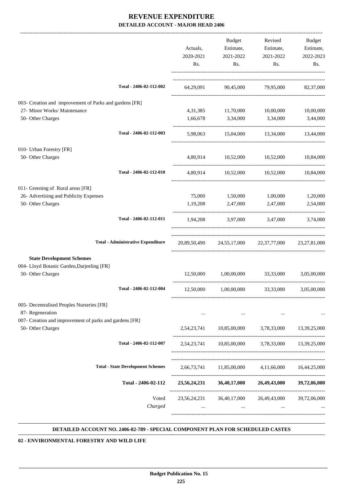|                                                         |                                           | Actuals,<br>2020-2021<br>Rs. | Budget<br>Estimate,<br>2021-2022<br>Rs. | Revised<br>Estimate,<br>2021-2022<br>Rs.                        | Budget<br>Estimate,<br>2022-2023<br>Rs. |
|---------------------------------------------------------|-------------------------------------------|------------------------------|-----------------------------------------|-----------------------------------------------------------------|-----------------------------------------|
|                                                         |                                           |                              |                                         |                                                                 |                                         |
|                                                         | Total - 2406-02-112-002                   |                              |                                         | 64,29,091 90,45,000 79,95,000 82,37,000                         |                                         |
| 003- Creation and improvement of Parks and gardens [FR] |                                           |                              |                                         |                                                                 |                                         |
| 27- Minor Works/ Maintenance                            |                                           |                              |                                         | 4,31,385 11,70,000 10,00,000 10,00,000                          |                                         |
| 50- Other Charges                                       |                                           |                              | 1,66,678 3,34,000 3,34,000              |                                                                 | 3,44,000                                |
|                                                         | Total - 2406-02-112-003                   |                              |                                         | 5,98,063 15,04,000 13,34,000 13,44,000                          |                                         |
| 010- Urban Forestry [FR]                                |                                           |                              |                                         |                                                                 |                                         |
| 50- Other Charges                                       |                                           |                              |                                         | 4,80,914 10,52,000 10,52,000 10,84,000                          |                                         |
|                                                         | Total - 2406-02-112-010                   |                              |                                         | 4,80,914 10,52,000 10,52,000 10,84,000                          |                                         |
| 011- Greening of Rural areas [FR]                       |                                           |                              |                                         |                                                                 |                                         |
| 26- Advertising and Publicity Expenses                  |                                           | 75,000                       | 1,50,000 1,00,000                       |                                                                 | 1,20,000                                |
| 50- Other Charges                                       |                                           | 1,19,208                     | 2,47,000                                | 2,47,000                                                        | 2,54,000                                |
|                                                         | Total - 2406-02-112-011                   |                              |                                         | 1,94,208 3,97,000 3,47,000 3,74,000                             |                                         |
|                                                         | <b>Total - Administrative Expenditure</b> |                              |                                         | 20,89,50,490 24,55,17,000 22,37,77,000 23,27,81,000             |                                         |
| <b>State Development Schemes</b>                        |                                           |                              |                                         |                                                                 |                                         |
| 004- Lloyd Botanic Garden, Darjeeling [FR]              |                                           |                              |                                         |                                                                 |                                         |
| 50- Other Charges                                       |                                           |                              |                                         | $12,50,000$ $1,00,00,000$ $33,33,000$ $3,05,00,000$             |                                         |
|                                                         | Total - 2406-02-112-004                   |                              |                                         | 12,50,000  1,00,00,000  33,33,000  3,05,00,000                  |                                         |
| 005- Decentralised Peoples Nurseries [FR]               |                                           |                              |                                         |                                                                 |                                         |
| 87- Regeneration                                        |                                           | $\cdots$                     | $\ldots$                                | $\cdots$                                                        |                                         |
| 007- Creation and improvement of parks and gardens [FR] |                                           |                              |                                         |                                                                 |                                         |
| 50- Other Charges                                       |                                           |                              |                                         | 2,54,23,741 10,85,00,000 3,78,33,000 13,39,25,000               |                                         |
|                                                         | Total - 2406-02-112-007                   |                              |                                         | 2,54,23,741 10,85,00,000 3,78,33,000 13,39,25,000               |                                         |
|                                                         |                                           |                              |                                         |                                                                 |                                         |
|                                                         | <b>Total - State Development Schemes</b>  |                              |                                         | 2,66,73,741 11,85,00,000 4,11,66,000 16,44,25,000               |                                         |
|                                                         | Total - 2406-02-112                       |                              |                                         | 23,56,24,231 36,40,17,000 26,49,43,000 39,72,06,000             |                                         |
|                                                         | Voted<br>Charged                          | $\cdots$                     | $\cdots$                                | 23,56,24,231 36,40,17,000 26,49,43,000 39,72,06,000<br>$\cdots$ |                                         |
|                                                         |                                           |                              |                                         |                                                                 |                                         |

#### **DETAILED ACCOUNT NO. 2406-02-789 - SPECIAL COMPONENT PLAN FOR SCHEDULED CASTES .**

 **\_\_\_\_\_\_\_\_\_\_\_\_\_\_\_\_\_\_\_\_\_\_\_\_\_\_\_\_\_\_\_\_\_\_\_\_\_\_\_\_\_\_\_\_\_\_\_\_\_\_\_\_\_\_\_\_\_\_\_\_\_\_\_\_\_\_\_\_\_\_\_\_\_\_\_\_\_\_\_\_\_\_\_\_\_\_\_\_\_\_\_\_\_\_\_\_\_\_\_\_\_\_\_\_\_\_\_\_\_\_\_\_\_\_\_\_\_\_\_**

**02 - ENVIRONMENTAL FORESTRY AND WILD LIFE**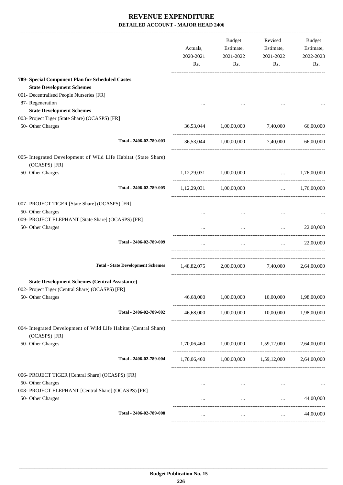|                                                                                                                                               | Actuals,<br>2020-2021<br>Rs. | Budget<br>Estimate,<br>2021-2022<br>Rs. | Revised<br>Estimate,<br>2021-2022<br>Rs.        | Budget<br>Estimate,<br>2022-2023<br>Rs. |
|-----------------------------------------------------------------------------------------------------------------------------------------------|------------------------------|-----------------------------------------|-------------------------------------------------|-----------------------------------------|
| 789- Special Component Plan for Scheduled Castes                                                                                              |                              |                                         |                                                 |                                         |
| <b>State Development Schemes</b>                                                                                                              |                              |                                         |                                                 |                                         |
| 001- Decentralised People Nurseries [FR]                                                                                                      |                              |                                         |                                                 |                                         |
| 87- Regeneration                                                                                                                              |                              |                                         |                                                 |                                         |
| <b>State Development Schemes</b>                                                                                                              |                              |                                         |                                                 |                                         |
| 003- Project Tiger (State Share) (OCASPS) [FR]<br>50- Other Charges                                                                           |                              | 36,53,044 1,00,00,000                   | 7,40,000                                        | 66,00,000                               |
|                                                                                                                                               |                              |                                         |                                                 |                                         |
| Total - 2406-02-789-003                                                                                                                       |                              | 36,53,044 1,00,00,000                   | 7,40,000                                        | 66,00,000                               |
| 005- Integrated Development of Wild Life Habitat (State Share)<br>(OCASPS) [FR]                                                               |                              |                                         |                                                 |                                         |
| 50- Other Charges                                                                                                                             |                              | 1,12,29,031 1,00,00,000                 |                                                 | $\ldots$ 1,76,00,000                    |
| Total - 2406-02-789-005                                                                                                                       |                              | 1,12,29,031 1,00,00,000                 |                                                 | $\ldots$ 1,76,00,000                    |
| 007- PROJECT TIGER [State Share] (OCASPS) [FR]<br>50- Other Charges<br>009- PROJECT ELEPHANT [State Share] (OCASPS) [FR]<br>50- Other Charges |                              | $\cdots$                                | $\cdots$                                        | 22,00,000                               |
| Total - 2406-02-789-009                                                                                                                       | $\cdots$                     | $\ldots$                                | and the state                                   | 22,00,000                               |
| <b>Total - State Development Schemes</b>                                                                                                      | 1,48,82,075                  |                                         | 2,00,00,000 7,40,000 2,64,00,000                |                                         |
| <b>State Development Schemes (Central Assistance)</b><br>002- Project Tiger (Central Share) (OCASPS) [FR]<br>50- Other Charges                | 46,68,000                    | 1,00,00,000                             | 10,00,000                                       | 1,98,00,000                             |
| Total - 2406-02-789-002                                                                                                                       |                              |                                         | 46,68,000  1,00,00,000  10,00,000  1,98,00,000  |                                         |
| 004- Integrated Development of Wild Life Habitat (Central Share)<br>(OCASPS) [FR]                                                             |                              |                                         |                                                 |                                         |
| 50- Other Charges                                                                                                                             |                              |                                         | 1,70,06,460 1,00,00,000 1,59,12,000 2,64,00,000 |                                         |
| Total - 2406-02-789-004                                                                                                                       |                              |                                         | 1,70,06,460 1,00,00,000 1,59,12,000 2,64,00,000 |                                         |
| 006- PROJECT TIGER [Central Share] (OCASPS) [FR]<br>50- Other Charges                                                                         |                              |                                         |                                                 |                                         |
| 008- PROJECT ELEPHANT [Central Share] (OCASPS) [FR]<br>50- Other Charges                                                                      |                              |                                         | <b>Section</b> (1997)                           | 44,00,000                               |
| Total - 2406-02-789-008                                                                                                                       | $\cdots$                     | $\cdots$                                | $\cdots$                                        | 44,00,000                               |
|                                                                                                                                               |                              |                                         |                                                 |                                         |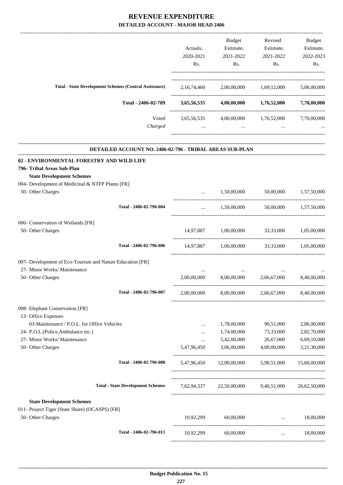-------------------------------------------------------------------------------------------------------------------------------------------------------------------------------

|                                                                 | Actuals,<br>2020-2021 | <b>Budget</b><br>Estimate,<br>2021-2022 | Revised<br>Estimate,<br>2021-2022 | <b>Budget</b><br>Estimate,<br>2022-2023 |
|-----------------------------------------------------------------|-----------------------|-----------------------------------------|-----------------------------------|-----------------------------------------|
|                                                                 | Rs.                   | Rs.                                     | Rs.                               | Rs.                                     |
| <b>Total - State Development Schemes (Central Assistance)</b>   | 2, 16, 74, 460        | 2,00,00,000                             | 1,69,12,000                       | 5,06,00,000                             |
| Total - 2406-02-789                                             | 3,65,56,535           | 4,00,00,000                             | 1,76,52,000                       | 7,70,00,000                             |
| Voted                                                           | 3,65,56,535           | 4,00,00,000                             | 1,76,52,000                       | 7,70,00,000                             |
| Charged                                                         | $\cdots$              | $\cdots$                                | $\cdots$                          |                                         |
| <b>DETAILED ACCOUNT NO. 2406-02-796 - TRIBAL AREAS SUB-PLAN</b> |                       |                                         |                                   |                                         |
| 02 - ENVIRONMENTAL FORESTRY AND WILD LIFE                       |                       |                                         |                                   |                                         |
| 796- Tribal Areas Sub-Plan                                      |                       |                                         |                                   |                                         |
| <b>State Development Schemes</b>                                |                       |                                         |                                   |                                         |
| 004- Development of Medicinal & NTFP Plants [FR]                |                       |                                         |                                   |                                         |
| 50- Other Charges                                               |                       | 1,50,00,000                             | 50,00,000                         | 1,57,50,000                             |

|             |             |                                                                              | 1,57,50,000                                                                                                                                                                                                                                                      |
|-------------|-------------|------------------------------------------------------------------------------|------------------------------------------------------------------------------------------------------------------------------------------------------------------------------------------------------------------------------------------------------------------|
|             |             |                                                                              | 1,57,50,000                                                                                                                                                                                                                                                      |
|             |             |                                                                              |                                                                                                                                                                                                                                                                  |
|             |             |                                                                              | 1,05,00,000                                                                                                                                                                                                                                                      |
|             |             |                                                                              |                                                                                                                                                                                                                                                                  |
|             |             |                                                                              |                                                                                                                                                                                                                                                                  |
|             |             |                                                                              |                                                                                                                                                                                                                                                                  |
|             |             |                                                                              |                                                                                                                                                                                                                                                                  |
|             |             |                                                                              | 2,66,67,000 8,40,00,000                                                                                                                                                                                                                                          |
|             |             |                                                                              |                                                                                                                                                                                                                                                                  |
|             |             |                                                                              |                                                                                                                                                                                                                                                                  |
| $\cdots$    | 1,78,00,000 | 90,51,000                                                                    | 2,86,90,000                                                                                                                                                                                                                                                      |
| $\cdots$    | 1,74,00,000 | 73,33,000                                                                    | 2,82,70,000                                                                                                                                                                                                                                                      |
| $\cdots$    | 5,42,00,000 | 26,67,000                                                                    | 6,69,10,000                                                                                                                                                                                                                                                      |
| 5,47,96,450 | 3,06,00,000 | 4,00,00,000                                                                  | 3,21,30,000                                                                                                                                                                                                                                                      |
|             |             |                                                                              |                                                                                                                                                                                                                                                                  |
|             |             |                                                                              | 26,62,50,000                                                                                                                                                                                                                                                     |
|             |             |                                                                              |                                                                                                                                                                                                                                                                  |
|             |             |                                                                              |                                                                                                                                                                                                                                                                  |
| 10.92.299   |             |                                                                              | 18,00,000                                                                                                                                                                                                                                                        |
| 10,92,299   | 60,00,000   | $\cdots$                                                                     | 18,00,000                                                                                                                                                                                                                                                        |
|             |             | 1,50,00,000<br>$\cdots$<br>14,97,887 1,00,00,000<br>2,00,00,000<br>60,00,000 | 50,00,000<br>1,50,00,000<br>50.00.000<br>33,33,000<br>14,97,887 1,00,00,000 33,33,000 1,05,00,000<br>2,00,00,000 8,00,00,000 2,66,67,000 8,40,00,000<br>8,00,00,000<br>5,47,96,450 12,00,00,000 5,90,51,000 15,60,00,000<br>7,62,94,337 22,50,00,000 9,40,51,000 |

-----------------------------------------------------------------------------------------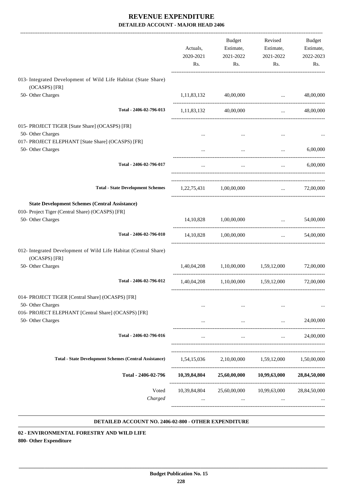|                                                                                                                                | Actuals,<br>2020-2021<br>Rs. | Budget<br>Estimate,<br>2021-2022<br>Rs. | Revised<br>Estimate,<br>2021-2022<br>Rs.       | Budget<br>Estimate,<br>2022-2023<br>Rs.                         |
|--------------------------------------------------------------------------------------------------------------------------------|------------------------------|-----------------------------------------|------------------------------------------------|-----------------------------------------------------------------|
| 013- Integrated Development of Wild Life Habitat (State Share)                                                                 |                              |                                         |                                                |                                                                 |
| (OCASPS) [FR]<br>50- Other Charges                                                                                             |                              | 1,11,83,132 40,00,000                   | $\ddotsc$                                      | 48,00,000                                                       |
| Total - 2406-02-796-013                                                                                                        | 1,11,83,132                  | 40,00,000                               |                                                | 48,00,000<br>$\mathbf{r}$ , and $\mathbf{r}$ , and $\mathbf{r}$ |
| 015- PROJECT TIGER [State Share] (OCASPS) [FR]<br>50- Other Charges                                                            | $\cdots$                     | $\cdots$                                | $\cdots$                                       |                                                                 |
| 017- PROJECT ELEPHANT [State Share] (OCASPS) [FR]<br>50- Other Charges                                                         |                              | $\cdots$                                | $\ldots$                                       | 6,00,000                                                        |
| Total - 2406-02-796-017                                                                                                        | $\cdots$                     | $\ddots$                                | $\cdots$                                       | 6,00,000                                                        |
| <b>Total - State Development Schemes</b>                                                                                       |                              | 1,22,75,431 1,00,00,000                 | and the state                                  | 72,00,000                                                       |
| <b>State Development Schemes (Central Assistance)</b><br>010- Project Tiger (Central Share) (OCASPS) [FR]<br>50- Other Charges |                              | 14,10,828 1,00,00,000                   | $\mathbf{r}$ and $\mathbf{r}$ and $\mathbf{r}$ | 54,00,000                                                       |
| Total - 2406-02-796-010                                                                                                        |                              | 14,10,828 1,00,00,000                   |                                                | 54,00,000<br>$\mathbf{m}$ and $\mathbf{m}$                      |
| 012- Integrated Development of Wild Life Habitat (Central Share)<br>(OCASPS) [FR]                                              |                              |                                         |                                                |                                                                 |
| 50- Other Charges                                                                                                              |                              | 1,40,04,208 1,10,00,000 1,59,12,000     |                                                | 72,00,000                                                       |
| Total - 2406-02-796-012                                                                                                        |                              |                                         | 1,40,04,208 1,10,00,000 1,59,12,000            | 72,00,000                                                       |
| 014- PROJECT TIGER [Central Share] (OCASPS) [FR]<br>50- Other Charges                                                          | $\cdots$                     |                                         |                                                |                                                                 |
| 016- PROJECT ELEPHANT [Central Share] (OCASPS) [FR]<br>50- Other Charges                                                       |                              | $\cdots$                                | $\cdots$                                       | 24,00,000                                                       |
| Total - 2406-02-796-016                                                                                                        |                              | $\cdots$                                |                                                | 24,00,000                                                       |
| <b>Total - State Development Schemes (Central Assistance)</b>                                                                  | 1,54,15,036                  |                                         | 2,10,00,000 1,59,12,000                        | 1,50,00,000                                                     |
| Total - 2406-02-796                                                                                                            | 10,39,84,804                 | 25,60,00,000                            | 10,99,63,000                                   | 28,84,50,000                                                    |
| Voted<br>Charged                                                                                                               |                              |                                         | 10,39,84,804 25,60,00,000 10,99,63,000         | 28,84,50,000                                                    |

#### **DETAILED ACCOUNT NO. 2406-02-800 - OTHER EXPENDITURE .**

**02 - ENVIRONMENTAL FORESTRY AND WILD LIFE 800- Other Expenditure**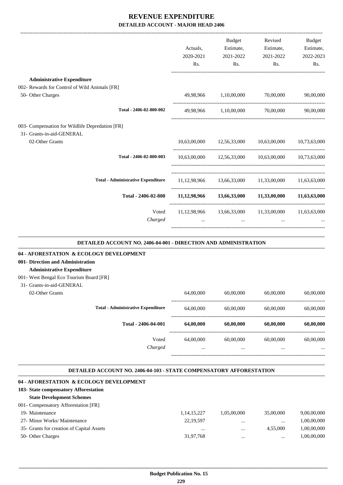|                                                 |           | <b>Budget</b>                   | Revised                                                     | <b>Budget</b> |
|-------------------------------------------------|-----------|---------------------------------|-------------------------------------------------------------|---------------|
|                                                 | Actuals,  | Estimate,                       | Estimate,                                                   | Estimate,     |
|                                                 | 2020-2021 | 2021-2022                       | 2021-2022                                                   | 2022-2023     |
|                                                 | Rs.       | Rs.                             | Rs.                                                         | Rs.           |
| <b>Administrative Expenditure</b>               |           |                                 |                                                             |               |
| 002- Rewards for Control of Wild Animals [FR]   |           |                                 |                                                             |               |
| 50- Other Charges                               |           | 49,98,966 1,10,00,000 70,00,000 |                                                             | 90,00,000     |
| Total - 2406-02-800-002                         |           | 49,98,966 1,10,00,000           | 70,00,000                                                   | 90,00,000     |
| 003- Compensation for Wildlife Depredation [FR] |           |                                 |                                                             |               |
| 31- Grants-in-aid-GENERAL                       |           |                                 |                                                             |               |
| 02-Other Grants                                 |           |                                 | 10,63,00,000 12,56,33,000 10,63,00,000                      | 10,73,63,000  |
| Total - 2406-02-800-003                         |           |                                 | 10,63,00,000 12,56,33,000 10,63,00,000 10,73,63,000         |               |
|                                                 |           |                                 |                                                             |               |
| <b>Total - Administrative Expenditure</b>       |           |                                 | 11,12,98,966 13,66,33,000 11,33,00,000                      | 11,63,63,000  |
| Total - 2406-02-800                             |           |                                 | $11,12,98,966$ $13,66,33,000$ $11,33,00,000$ $11,63,63,000$ |               |
| Voted                                           |           |                                 | 11,12,98,966 13,66,33,000 11,33,00,000 11,63,63,000         |               |
| Charged                                         |           |                                 |                                                             |               |
|                                                 |           |                                 |                                                             |               |

#### **DETAILED ACCOUNT NO. 2406-04-001 - DIRECTION AND ADMINISTRATION .**

#### **04 - AFORESTATION & ECOLOGY DEVELOPMENT**

### **001- Direction and Administration**

#### **Administrative Expenditure**

#### 001- West Bengal Eco Tourism Board [FR]

31- Grants-in-aid-GENERAL

| )2-Other Grants |  |
|-----------------|--|
|-----------------|--|

| 02-Other Grants |                                           | 64,00,000 | 60,00,000 | 60,00,000 | 60,00,000 |
|-----------------|-------------------------------------------|-----------|-----------|-----------|-----------|
|                 | <b>Total - Administrative Expenditure</b> | 64,00,000 | 60,00,000 | 60,00,000 | 60,00,000 |
|                 | Total - 2406-04-001                       | 64,00,000 | 60,00,000 | 60,00,000 | 60,00,000 |
|                 | Voted                                     | 64,00,000 | 60,00,000 | 60,00,000 | 60,00,000 |
|                 | Charged                                   |           |           | $\cdots$  | $\cdots$  |
|                 |                                           |           |           |           |           |

.

#### **DETAILED ACCOUNT NO. 2406-04-103 - STATE COMPENSATORY AFFORESTATION**

| 04 - AFORESTATION & ECOLOGY DEVELOPMENT   |                |             |           |             |
|-------------------------------------------|----------------|-------------|-----------|-------------|
| 103- State compensatory Afforestation     |                |             |           |             |
| <b>State Development Schemes</b>          |                |             |           |             |
| 001- Compensatory Afforestation [FR]      |                |             |           |             |
| 19- Maintenance                           | 1, 14, 15, 227 | 1,05,00,000 | 35,00,000 | 9,00,00,000 |
| 27- Minor Works/ Maintenance              | 22,19,597      | $\cdots$    |           | 1,00,00,000 |
| 35- Grants for creation of Capital Assets |                |             | 4.55,000  | 1,00,00,000 |
| 50- Other Charges                         | 31,97,768      | $\cdots$    | $\cdots$  | 1,00,00,000 |
|                                           |                |             |           |             |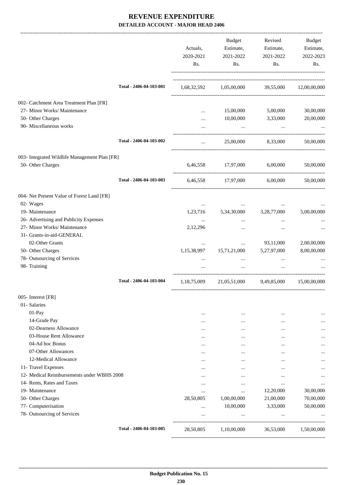|                                                                                                                         |                         | Actuals,<br>2020-2021<br>Rs. | Budget<br>Estimate,<br>2021-2022<br>Rs.        | Revised<br>Estimate,<br>2021-2022<br>Rs. | Budget<br>Estimate,<br>2022-2023<br>Rs. |
|-------------------------------------------------------------------------------------------------------------------------|-------------------------|------------------------------|------------------------------------------------|------------------------------------------|-----------------------------------------|
|                                                                                                                         | Total - 2406-04-103-001 |                              | 1,68,32,592 1,05,00,000 39,55,000 12,00,00,000 |                                          |                                         |
| 002- Catchment Area Treatment Plan [FR]<br>27- Minor Works/ Maintenance<br>50- Other Charges<br>90- Miscellaneous works |                         | $\cdots$<br>$\cdots$         | 15,00,000<br>10,00,000<br>$\ddots$             | 5,00,000<br>3,33,000<br>$\ddots$         | 30,00,000<br>20,00,000                  |
|                                                                                                                         | Total - 2406-04-103-002 | $\cdots$                     | 25,00,000                                      | 8,33,000                                 | 50,00,000                               |
| 003- Integrated Wildlife Management Plan [FR]<br>50- Other Charges                                                      |                         |                              | 6,46,558 17,97,000 6,00,000                    |                                          | 50,00,000                               |
|                                                                                                                         | Total - 2406-04-103-003 |                              | 6,46,558 17,97,000 6,00,000                    |                                          | 50,00,000                               |
| 004- Net Present Value of Forest Land [FR]<br>02- Wages                                                                 |                         | $\ldots$                     | $\cdots$                                       | $\cdots$                                 |                                         |
| 19- Maintenance                                                                                                         |                         |                              | 1,23,716 5,34,30,000                           | 3,28,77,000                              | 5,00,00,000                             |
| 26- Advertising and Publicity Expenses                                                                                  |                         | $\cdots$                     | $\cdots$                                       | $\cdots$                                 |                                         |
| 27- Minor Works/ Maintenance                                                                                            |                         | 2,12,296                     | $\cdots$                                       | $\cdots$                                 |                                         |
| 31- Grants-in-aid-GENERAL                                                                                               |                         |                              |                                                |                                          |                                         |
| 02-Other Grants                                                                                                         |                         |                              | $\cdots$                                       | 93,11,000                                | 2,00,00,000                             |
| 50- Other Charges                                                                                                       |                         | 1,15,38,997                  | 15,71,21,000                                   | 5,27,97,000                              | 8,00,00,000                             |
| 78- Outsourcing of Services                                                                                             |                         | $\cdots$                     | $\cdots$                                       | $\cdots$                                 |                                         |
| 98- Training                                                                                                            |                         | $\cdots$                     | $\cdots$                                       | $\cdots$                                 |                                         |
|                                                                                                                         | Total - 2406-04-103-004 | 1,18,75,009                  | 21,05,51,000 9,49,85,000                       |                                          | 15,00,00,000                            |
| 005- Interest [FR]                                                                                                      |                         |                              |                                                |                                          |                                         |
| 01- Salaries                                                                                                            |                         |                              |                                                |                                          |                                         |
| 01-Pay                                                                                                                  |                         | $\ddotsc$                    | $\cdots$                                       |                                          |                                         |
| 14-Grade Pay                                                                                                            |                         | $\cdots$                     |                                                |                                          |                                         |
| 02-Dearness Allowance                                                                                                   |                         |                              |                                                |                                          |                                         |
| 03-House Rent Allowance                                                                                                 |                         |                              |                                                | $\cdots$                                 |                                         |
| 04-Ad hoc Bonus                                                                                                         |                         |                              |                                                | $\cdots$                                 |                                         |
| 07-Other Allowances<br>12-Medical Allowance                                                                             |                         | $\cdots$                     |                                                |                                          |                                         |
| 11- Travel Expenses                                                                                                     |                         |                              |                                                | $\cdots$                                 |                                         |
| 12- Medical Reimbursements under WBHS 2008                                                                              |                         |                              |                                                |                                          |                                         |
| 14- Rents, Rates and Taxes                                                                                              |                         |                              | $\ddotsc$                                      | $\ddotsc$                                | $\cdots$                                |
| 19- Maintenance                                                                                                         |                         | $\cdots$<br>                 | $\ddotsc$<br>$\cdots$                          | $\cdots$<br>12,20,000                    | <br>30,00,000                           |
| 50- Other Charges                                                                                                       |                         | 28,50,805                    | 1,00,00,000                                    | 21,00,000                                | 70,00,000                               |
| 77- Computerisation                                                                                                     |                         | $\cdots$                     | 10,00,000                                      | 3,33,000                                 | 50,00,000                               |
| 78- Outsourcing of Services                                                                                             |                         |                              | $\cdots$                                       | $\cdots$                                 |                                         |
|                                                                                                                         | Total - 2406-04-103-005 | 28,50,805                    | 1,10,00,000                                    | 36,53,000                                | 1,50,00,000                             |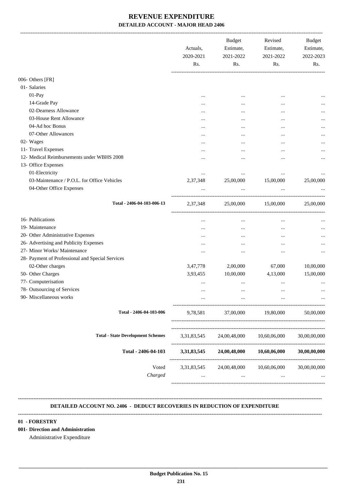|                                                  | Actuals,<br>2020-2021<br>Rs. | <b>Budget</b><br>Estimate,<br>2021-2022<br>Rs. | Revised<br>Estimate,<br>2021-2022<br>Rs. | Budget<br>Estimate,<br>2022-2023<br>Rs. |
|--------------------------------------------------|------------------------------|------------------------------------------------|------------------------------------------|-----------------------------------------|
|                                                  |                              |                                                |                                          |                                         |
| 006- Others [FR]                                 |                              |                                                |                                          |                                         |
| 01- Salaries                                     |                              |                                                |                                          |                                         |
| 01-Pay                                           | $\cdots$                     | $\cdots$                                       | $\ddotsc$                                |                                         |
| 14-Grade Pay                                     |                              |                                                |                                          |                                         |
| 02-Dearness Allowance                            |                              |                                                |                                          |                                         |
| 03-House Rent Allowance                          | $\cdots$                     |                                                |                                          |                                         |
| 04-Ad hoc Bonus                                  |                              |                                                | $\ddotsc$                                | $\cdots$                                |
| 07-Other Allowances                              |                              | $\cdots$                                       | $\ddotsc$                                |                                         |
| 02- Wages                                        |                              |                                                |                                          | $\cdots$                                |
| 11- Travel Expenses                              | $\cdots$                     |                                                |                                          |                                         |
| 12- Medical Reimbursements under WBHS 2008       |                              |                                                |                                          | $\cdots$                                |
| 13- Office Expenses                              |                              |                                                |                                          |                                         |
| 01-Electricity                                   |                              | $\cdots$                                       | $\cdots$                                 |                                         |
| 03-Maintenance / P.O.L. for Office Vehicles      | 2,37,348                     | 25,00,000                                      | 15,00,000                                | 25,00,000                               |
| 04-Other Office Expenses                         | $\cdots$                     | $\cdots$                                       | $\ddots$                                 |                                         |
| Total - 2406-04-103-006-13                       | 2,37,348                     | 25,00,000                                      | 15,00,000                                | 25,00,000                               |
| 16- Publications                                 |                              | $\cdots$                                       | $\cdots$                                 |                                         |
| 19- Maintenance                                  |                              | $\cdots$                                       | $\ddotsc$                                |                                         |
| 20- Other Administrative Expenses                |                              |                                                |                                          |                                         |
| 26- Advertising and Publicity Expenses           | $\cdots$                     | $\cdots$                                       | $\ddotsc$                                |                                         |
| 27- Minor Works/ Maintenance                     |                              |                                                |                                          | $\cdots$                                |
| 28- Payment of Professional and Special Services |                              |                                                |                                          |                                         |
| 02-Other charges                                 | 3,47,778                     | 2,00,000                                       | 67,000                                   | 10,00,000                               |
| 50- Other Charges                                | 3,93,455                     | 10,00,000                                      | 4,13,000                                 | 15,00,000                               |
| 77- Computerisation                              | $\cdots$                     | $\cdots$                                       | $\cdots$                                 |                                         |
| 78- Outsourcing of Services                      |                              |                                                |                                          |                                         |
| 90- Miscellaneous works                          |                              |                                                |                                          |                                         |
| Total - 2406-04-103-006                          | 9,78,581                     | 37,00,000                                      | 19,80,000                                | 50,00,000                               |
| <b>Total - State Development Schemes</b>         | 3,31,83,545                  | 24,00,48,000                                   | 10,60,06,000                             | 30,00,00,000                            |
| Total - 2406-04-103                              | 3,31,83,545                  | 24,00,48,000                                   | 10,60,06,000                             | 30,00,00,000                            |
| Voted<br>Charged                                 | 3,31,83,545<br>$\cdots$      | 24,00,48,000<br>$\cdots$                       | 10,60,06,000<br>$\cdots$                 | 30,00,00,000                            |

#### **DETAILED ACCOUNT NO. 2406 - DEDUCT RECOVERIES IN REDUCTION OF EXPENDITURE --------------------------------------------------------------------------------------------------------------------------------------------------------------------------------**

**--------------------------------------------------------------------------------------------------------------------------------------------------------------------------------**

 **\_\_\_\_\_\_\_\_\_\_\_\_\_\_\_\_\_\_\_\_\_\_\_\_\_\_\_\_\_\_\_\_\_\_\_\_\_\_\_\_\_\_\_\_\_\_\_\_\_\_\_\_\_\_\_\_\_\_\_\_\_\_\_\_\_\_\_\_\_\_\_\_\_\_\_\_\_\_\_\_\_\_\_\_\_\_\_\_\_\_\_\_\_\_\_\_\_\_\_\_\_\_\_\_\_\_\_\_\_\_\_\_\_\_\_\_\_\_\_**

#### **01 - FORESTRY**

**001- Direction and Administration**

Administrative Expenditure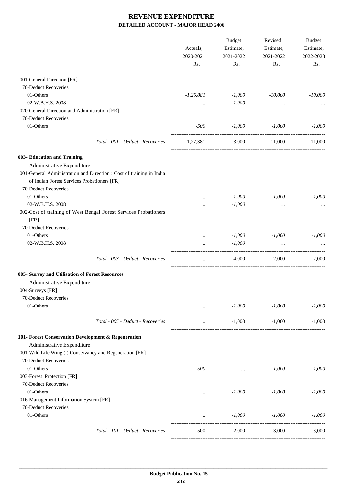|                                                                                   |                                                                      | Actuals,<br>2020-2021<br>Rs. | Budget<br>Estimate,<br>2021-2022<br>Rs.                                                                                                                                                                                                       | Revised<br>Estimate,<br>2021-2022<br>Rs. | Budget<br>Estimate,<br>2022-2023<br>Rs. |
|-----------------------------------------------------------------------------------|----------------------------------------------------------------------|------------------------------|-----------------------------------------------------------------------------------------------------------------------------------------------------------------------------------------------------------------------------------------------|------------------------------------------|-----------------------------------------|
| 001-General Direction [FR]                                                        |                                                                      |                              |                                                                                                                                                                                                                                               |                                          |                                         |
| 70-Deduct Recoveries                                                              |                                                                      |                              |                                                                                                                                                                                                                                               |                                          |                                         |
| 01-Others                                                                         |                                                                      | $-1,26,881$                  | $-1,000$                                                                                                                                                                                                                                      | $-10,000$                                | $-10,000$                               |
| 02-W.B.H.S. 2008                                                                  |                                                                      | $\cdots$                     | $-1,000$                                                                                                                                                                                                                                      | $\cdots$                                 |                                         |
| 020-General Direction and Administration [FR]                                     |                                                                      |                              |                                                                                                                                                                                                                                               |                                          |                                         |
| 70-Deduct Recoveries                                                              |                                                                      |                              |                                                                                                                                                                                                                                               |                                          |                                         |
| 01-Others                                                                         |                                                                      | $-500$                       | $-1,000$                                                                                                                                                                                                                                      | $-1,000$                                 | $-1,000$                                |
|                                                                                   | Total - 001 - Deduct - Recoveries                                    | $-1,27,381$                  | $-3,000$                                                                                                                                                                                                                                      | $-11,000$                                | $-11,000$                               |
| 003- Education and Training                                                       |                                                                      |                              |                                                                                                                                                                                                                                               |                                          |                                         |
| Administrative Expenditure                                                        |                                                                      |                              |                                                                                                                                                                                                                                               |                                          |                                         |
| of Indian Forest Services Probationers [FR]                                       | 001-General Administration and Direction : Cost of training in India |                              |                                                                                                                                                                                                                                               |                                          |                                         |
| 70-Deduct Recoveries                                                              |                                                                      |                              |                                                                                                                                                                                                                                               |                                          |                                         |
| 01-Others                                                                         |                                                                      | $\cdots$                     | $-1,000$                                                                                                                                                                                                                                      | $-1,000$                                 | $-1,000$                                |
| 02-W.B.H.S. 2008                                                                  |                                                                      | $\cdots$                     | $-1,000$                                                                                                                                                                                                                                      | $\cdots$                                 |                                         |
| [FR]                                                                              | 002-Cost of training of West Bengal Forest Services Probationers     |                              |                                                                                                                                                                                                                                               |                                          |                                         |
| 70-Deduct Recoveries                                                              |                                                                      |                              |                                                                                                                                                                                                                                               |                                          |                                         |
| 01-Others                                                                         |                                                                      | $\cdots$                     | $-1,000$                                                                                                                                                                                                                                      | $-1,000$                                 | $-1,000$                                |
| 02-W.B.H.S. 2008                                                                  |                                                                      | $\cdots$                     | $-1,000$                                                                                                                                                                                                                                      | $\ddots$                                 |                                         |
|                                                                                   | Total - 003 - Deduct - Recoveries                                    | $\cdots$                     | $-4,000$                                                                                                                                                                                                                                      | $-2,000$                                 | $-2,000$                                |
| 005- Survey and Utilisation of Forest Resources                                   |                                                                      |                              |                                                                                                                                                                                                                                               |                                          |                                         |
| Administrative Expenditure                                                        |                                                                      |                              |                                                                                                                                                                                                                                               |                                          |                                         |
| 004-Surveys [FR]                                                                  |                                                                      |                              |                                                                                                                                                                                                                                               |                                          |                                         |
| 70-Deduct Recoveries                                                              |                                                                      |                              |                                                                                                                                                                                                                                               |                                          |                                         |
| 01-Others                                                                         |                                                                      |                              | $-1,000$<br>$\mathbf{r}$ , and the contract of the contract of the contract of the contract of the contract of the contract of the contract of the contract of the contract of the contract of the contract of the contract of the contract o | $-1,000$                                 | $-1,000$                                |
|                                                                                   | Total - 005 - Deduct - Recoveries                                    | $\cdots$                     | $-1,000$                                                                                                                                                                                                                                      | $-1,000$                                 | $-1.000$                                |
| 101- Forest Conservation Development & Regeneration<br>Administrative Expenditure |                                                                      |                              |                                                                                                                                                                                                                                               |                                          |                                         |
| 001-Wild Life Wing (i) Conservancy and Regeneration [FR]                          |                                                                      |                              |                                                                                                                                                                                                                                               |                                          |                                         |
| 70-Deduct Recoveries                                                              |                                                                      |                              |                                                                                                                                                                                                                                               |                                          |                                         |
| 01-Others                                                                         |                                                                      | -500                         | $\cdots$                                                                                                                                                                                                                                      | $-1,000$                                 | $-1,000$                                |
| 003-Forest Protection [FR]                                                        |                                                                      |                              |                                                                                                                                                                                                                                               |                                          |                                         |
| 70-Deduct Recoveries                                                              |                                                                      |                              |                                                                                                                                                                                                                                               |                                          |                                         |
| 01-Others                                                                         |                                                                      | $\cdots$                     | $-1,000$                                                                                                                                                                                                                                      | $-1,000$                                 | $-1,000$                                |
| 016-Management Information System [FR]                                            |                                                                      |                              |                                                                                                                                                                                                                                               |                                          |                                         |
| 70-Deduct Recoveries                                                              |                                                                      |                              |                                                                                                                                                                                                                                               |                                          |                                         |
| 01-Others                                                                         |                                                                      | $\cdots$                     | $-1,000$                                                                                                                                                                                                                                      | $-1,000$                                 | $-1,000$                                |
|                                                                                   | Total - 101 - Deduct - Recoveries                                    | $-500$                       | $-2,000$                                                                                                                                                                                                                                      | $-3,000$                                 | $-3,000$                                |
|                                                                                   |                                                                      |                              |                                                                                                                                                                                                                                               |                                          |                                         |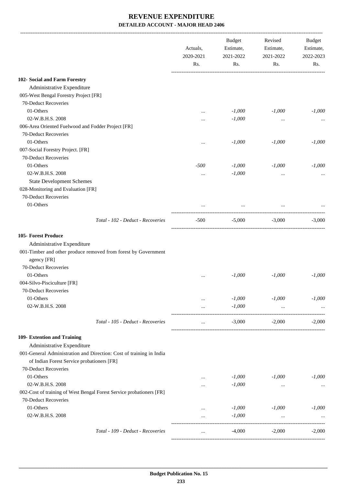|                                                                      | Actuals,<br>2020-2021<br>Rs. | <b>Budget</b><br>Estimate,<br>2021-2022<br>Rs. | Revised<br>Estimate,<br>2021-2022<br>Rs. | Budget<br>Estimate,<br>2022-2023<br>Rs. |
|----------------------------------------------------------------------|------------------------------|------------------------------------------------|------------------------------------------|-----------------------------------------|
| 102- Social and Farm Forestry                                        |                              |                                                |                                          |                                         |
| Administrative Expenditure                                           |                              |                                                |                                          |                                         |
| 005-West Bengal Forestry Project [FR]                                |                              |                                                |                                          |                                         |
| 70-Deduct Recoveries                                                 |                              |                                                |                                          |                                         |
| 01-Others                                                            |                              | $-1,000$                                       | $-1,000$                                 | $-1,000$                                |
| 02-W.B.H.S. 2008                                                     |                              | $-1,000$                                       |                                          |                                         |
| 006-Area Oriented Fuelwood and Fodder Project [FR]                   |                              |                                                | $\cdots$                                 |                                         |
| 70-Deduct Recoveries                                                 |                              |                                                |                                          |                                         |
| 01-Others                                                            |                              | $-1,000$                                       | $-1,000$                                 | $-1,000$                                |
| 007-Social Forestry Project. [FR]                                    |                              |                                                |                                          |                                         |
| 70-Deduct Recoveries                                                 |                              |                                                |                                          |                                         |
| 01-Others                                                            | $-500$                       | $-1,000$                                       | $-1,000$                                 | $-1,000$                                |
| 02-W.B.H.S. 2008                                                     |                              | $-1,000$                                       |                                          |                                         |
| <b>State Development Schemes</b>                                     | $\cdots$                     |                                                | $\cdots$                                 |                                         |
| 028-Monitoring and Evaluation [FR]                                   |                              |                                                |                                          |                                         |
| 70-Deduct Recoveries                                                 |                              |                                                |                                          |                                         |
| 01-Others                                                            |                              |                                                |                                          |                                         |
|                                                                      |                              | $\cdots$                                       |                                          |                                         |
| Total - 102 - Deduct - Recoveries                                    | $-500$                       | $-5,000$                                       | $-3,000$                                 | $-3,000$                                |
| 105- Forest Produce                                                  |                              |                                                |                                          |                                         |
| Administrative Expenditure                                           |                              |                                                |                                          |                                         |
| 001-Timber and other produce removed from forest by Government       |                              |                                                |                                          |                                         |
| agency [FR]                                                          |                              |                                                |                                          |                                         |
| 70-Deduct Recoveries                                                 |                              |                                                |                                          |                                         |
| 01-Others                                                            | $\cdots$                     | $-1,000$                                       | $-1,000$                                 | $-1,000$                                |
| 004-Silvo-Pisciculture [FR]                                          |                              |                                                |                                          |                                         |
| 70-Deduct Recoveries                                                 |                              |                                                |                                          |                                         |
| 01-Others                                                            | $\cdots$                     | $-1,000$                                       | $-1,000$                                 | $-1,000$                                |
| 02-W.B.H.S. 2008                                                     | $\cdots$                     | $-1,000$                                       | $\cdots$                                 |                                         |
|                                                                      |                              |                                                |                                          |                                         |
| Total - 105 - Deduct - Recoveries                                    | $\cdots$                     | $-3,000$                                       | $-2,000$                                 | $-2,000$                                |
| 109- Extention and Training                                          |                              |                                                |                                          |                                         |
| Administrative Expenditure                                           |                              |                                                |                                          |                                         |
| 001-General Administration and Direction: Cost of training in India  |                              |                                                |                                          |                                         |
| of Indian Forest Service probationers [FR]                           |                              |                                                |                                          |                                         |
| 70-Deduct Recoveries                                                 |                              |                                                |                                          |                                         |
| 01-Others                                                            | $\cdots$                     | $-1,000$                                       | $-1,000$                                 | $-1,000$                                |
| 02-W.B.H.S. 2008                                                     |                              | $-1,000$                                       | $\cdots$                                 |                                         |
| 002-Cost of training of West Bengal Forest Service probationers [FR] |                              |                                                |                                          |                                         |
| 70-Deduct Recoveries                                                 |                              |                                                |                                          |                                         |
| 01-Others                                                            | $\cdots$                     | $-1,000$                                       | $-1,000$                                 | $-1,000$                                |
| 02-W.B.H.S. 2008                                                     | $\cdots$                     | $-1,000$                                       | $\cdots$                                 |                                         |
|                                                                      |                              |                                                |                                          |                                         |
| Total - 109 - Deduct - Recoveries                                    | $\cdots$                     | $-4,000$                                       | $-2,000$                                 | $-2,000$                                |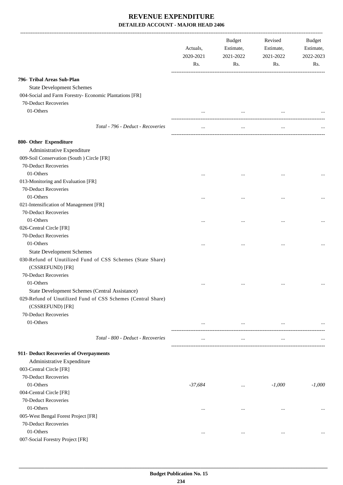|                                                                                | Actuals,<br>2020-2021<br>Rs. | Budget<br>Estimate,<br>2021-2022<br>Rs. | Revised<br>Estimate,<br>2021-2022<br>Rs. | Budget<br>Estimate,<br>2022-2023<br>Rs. |
|--------------------------------------------------------------------------------|------------------------------|-----------------------------------------|------------------------------------------|-----------------------------------------|
| 796- Tribal Areas Sub-Plan                                                     |                              |                                         |                                          |                                         |
| <b>State Development Schemes</b>                                               |                              |                                         |                                          |                                         |
| 004-Social and Farm Forestry- Economic Plantations [FR]                        |                              |                                         |                                          |                                         |
| 70-Deduct Recoveries                                                           |                              |                                         |                                          |                                         |
| 01-Others                                                                      |                              | $\cdots$                                |                                          |                                         |
|                                                                                |                              |                                         |                                          |                                         |
| Total - 796 - Deduct - Recoveries                                              | $\cdots$                     | $\cdots$                                | $\cdots$                                 |                                         |
| 800- Other Expenditure                                                         |                              |                                         |                                          |                                         |
| Administrative Expenditure                                                     |                              |                                         |                                          |                                         |
| 009-Soil Conservation (South ) Circle [FR]                                     |                              |                                         |                                          |                                         |
| 70-Deduct Recoveries                                                           |                              |                                         |                                          |                                         |
| 01-Others                                                                      |                              |                                         |                                          |                                         |
| 013-Monitoring and Evaluation [FR]                                             |                              |                                         |                                          |                                         |
| 70-Deduct Recoveries                                                           |                              |                                         |                                          |                                         |
| 01-Others                                                                      | $\cdots$                     | $\cdots$                                |                                          |                                         |
| 021-Intensification of Management [FR]                                         |                              |                                         |                                          |                                         |
| 70-Deduct Recoveries                                                           |                              |                                         |                                          |                                         |
| 01-Others                                                                      |                              |                                         |                                          |                                         |
| 026-Central Circle [FR]                                                        |                              |                                         |                                          |                                         |
| 70-Deduct Recoveries                                                           |                              |                                         |                                          |                                         |
| 01-Others                                                                      |                              |                                         |                                          |                                         |
| <b>State Development Schemes</b>                                               |                              |                                         |                                          |                                         |
| 030-Refund of Unutilized Fund of CSS Schemes (State Share)<br>(CSSREFUND) [FR] |                              |                                         |                                          |                                         |
| 70-Deduct Recoveries                                                           |                              |                                         |                                          |                                         |
| 01-Others                                                                      | $\ddotsc$                    | $\ddotsc$                               | $\cdots$                                 |                                         |
| State Development Schemes (Central Assistance)                                 |                              |                                         |                                          |                                         |
| 029-Refund of Unutilized Fund of CSS Schemes (Central Share)                   |                              |                                         |                                          |                                         |
| (CSSREFUND) [FR]                                                               |                              |                                         |                                          |                                         |
| 70-Deduct Recoveries                                                           |                              |                                         |                                          |                                         |
| 01-Others                                                                      | $\cdots$                     | $\cdots$                                |                                          |                                         |
| Total - 800 - Deduct - Recoveries                                              | $\cdots$                     | $\ldots$                                | $\cdots$                                 |                                         |
| 911- Deduct Recoveries of Overpayments                                         |                              |                                         |                                          |                                         |
| Administrative Expenditure                                                     |                              |                                         |                                          |                                         |
| 003-Central Circle [FR]                                                        |                              |                                         |                                          |                                         |
| 70-Deduct Recoveries                                                           |                              |                                         |                                          |                                         |
| 01-Others                                                                      | -37,684                      |                                         | $-1,000$                                 | $-1,000$                                |
| 004-Central Circle [FR]                                                        |                              | $\ldots$                                |                                          |                                         |
| 70-Deduct Recoveries                                                           |                              |                                         |                                          |                                         |
| 01-Others                                                                      |                              |                                         |                                          |                                         |
| 005-West Bengal Forest Project [FR]                                            | $\cdots$                     | $\cdots$                                | $\cdots$                                 |                                         |
| 70-Deduct Recoveries                                                           |                              |                                         |                                          |                                         |
| 01-Others                                                                      | $\cdots$                     | $\cdots$                                | $\ldots$                                 | $\cdots$                                |
| 007-Social Forestry Project [FR]                                               |                              |                                         |                                          |                                         |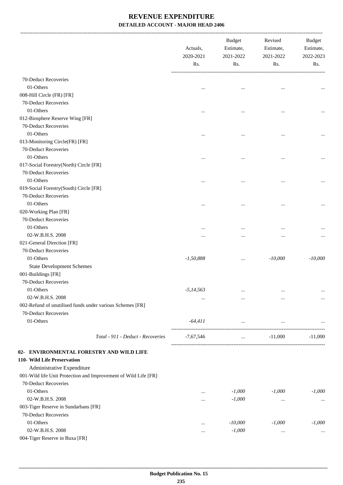-------------------------------------------------------------------------------------------------------------------------------------------------------------------------------

|                                                                 | Actuals,<br>2020-2021<br>Rs. | <b>Budget</b><br>Estimate,<br>2021-2022<br>Rs. | Revised<br>Estimate,<br>2021-2022<br>Rs. | <b>Budget</b><br>Estimate,<br>2022-2023<br>Rs. |
|-----------------------------------------------------------------|------------------------------|------------------------------------------------|------------------------------------------|------------------------------------------------|
| 70-Deduct Recoveries                                            |                              |                                                |                                          |                                                |
| 01-Others                                                       |                              |                                                |                                          |                                                |
| 008-Hill Circle (FR) [FR]                                       | $\ddotsc$                    |                                                | $\cdots$                                 | $\cdots$                                       |
| 70-Deduct Recoveries                                            |                              |                                                |                                          |                                                |
| 01-Others                                                       |                              |                                                |                                          |                                                |
| 012-Biosphere Reserve Wing [FR]                                 |                              | $\cdots$                                       |                                          |                                                |
| 70-Deduct Recoveries                                            |                              |                                                |                                          |                                                |
| 01-Others                                                       |                              |                                                |                                          |                                                |
| 013-Monitoring Circle(FR) [FR]                                  |                              | $\cdots$                                       | $\cdots$                                 | $\cdots$                                       |
| 70-Deduct Recoveries                                            |                              |                                                |                                          |                                                |
| 01-Others                                                       |                              |                                                |                                          |                                                |
| 017-Social Forestry(North) Circle [FR]                          |                              |                                                | $\ddotsc$                                | $\cdots$                                       |
| 70-Deduct Recoveries                                            |                              |                                                |                                          |                                                |
| 01-Others                                                       |                              |                                                |                                          |                                                |
| 019-Social Forestry(South) Circle [FR]                          | $\cdots$                     |                                                | $\cdots$                                 | $\ddotsc$                                      |
| 70-Deduct Recoveries                                            |                              |                                                |                                          |                                                |
| 01-Others                                                       |                              |                                                |                                          |                                                |
| 020-Working Plan [FR]                                           | $\cdots$                     | $\cdots$                                       |                                          | $\ddotsc$                                      |
| 70-Deduct Recoveries                                            |                              |                                                |                                          |                                                |
| 01-Others                                                       |                              |                                                |                                          |                                                |
| 02-W.B.H.S. 2008                                                | $\cdots$                     | $\cdots$                                       | $\ddotsc$                                | $\cdots$                                       |
| 021-General Direction [FR]                                      |                              | $\cdots$                                       |                                          | $\cdots$                                       |
| 70-Deduct Recoveries                                            |                              |                                                |                                          |                                                |
| 01-Others                                                       | $-1,50,888$                  |                                                | $-10,000$                                | $-10,000$                                      |
|                                                                 |                              |                                                |                                          |                                                |
| <b>State Development Schemes</b>                                |                              |                                                |                                          |                                                |
| 001-Buildings [FR]<br>70-Deduct Recoveries                      |                              |                                                |                                          |                                                |
|                                                                 |                              |                                                |                                          |                                                |
| 01-Others                                                       | $-5, 14, 563$                | $\ddotsc$                                      | $\ddotsc$                                |                                                |
| 02-W.B.H.S. 2008                                                | $\cdots$                     | $\cdots$                                       | $\cdots$                                 | $\ldots$                                       |
| 002-Refund of unutilised funds under various Schemes [FR]       |                              |                                                |                                          |                                                |
| 70-Deduct Recoveries                                            |                              |                                                |                                          |                                                |
| 01-Others                                                       | $-64,411$                    | $\ldots$                                       | $\ldots$                                 |                                                |
| Total - 911 - Deduct - Recoveries                               | $-7,67,546$                  | and the state of the                           | $-11,000$                                | $-11,000$                                      |
| 02- ENVIRONMENTAL FORESTRY AND WILD LIFE                        |                              |                                                |                                          |                                                |
| 110- Wild Life Preservation                                     |                              |                                                |                                          |                                                |
| Administrative Expenditure                                      |                              |                                                |                                          |                                                |
| 001-Wild life Unit Protection and Improvement of Wild Life [FR] |                              |                                                |                                          |                                                |
| 70-Deduct Recoveries                                            |                              |                                                |                                          |                                                |
| 01-Others                                                       |                              | $-1,000$                                       | $-1,000$                                 | $-1,000$                                       |
| 02-W.B.H.S. 2008                                                |                              | $-1,000$                                       | $\ldots$                                 | $\cdots$                                       |
| 003-Tiger Reserve in Sundarbans [FR]                            |                              |                                                |                                          |                                                |
| 70-Deduct Recoveries                                            |                              |                                                |                                          |                                                |
| 01-Others                                                       |                              | $-10,000$                                      | $-1,000$                                 | $-1,000$                                       |
| 02-W.B.H.S. 2008                                                | $\cdots$                     | $-1,000$                                       | $\ldots$                                 | $\cdots$                                       |
| 004-Tiger Reserve in Buxa [FR]                                  |                              |                                                |                                          |                                                |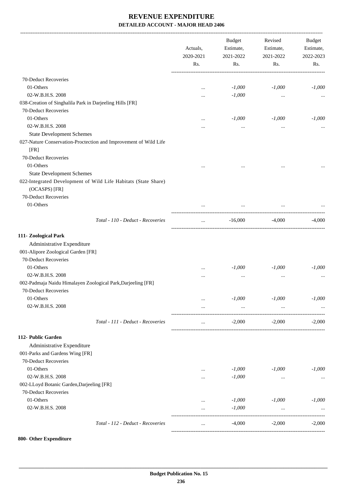|                                                                                 | Actuals,<br>2020-2021<br>Rs. | <b>Budget</b><br>Estimate,<br>2021-2022<br>Rs. | Revised<br>Estimate,<br>2021-2022<br>Rs. | <b>Budget</b><br>Estimate,<br>2022-2023<br>Rs. |
|---------------------------------------------------------------------------------|------------------------------|------------------------------------------------|------------------------------------------|------------------------------------------------|
|                                                                                 |                              |                                                |                                          |                                                |
| 70-Deduct Recoveries                                                            |                              |                                                |                                          |                                                |
| 01-Others                                                                       | $\cdots$                     | $-1,000$                                       | $-1,000$                                 | $-1,000$                                       |
| 02-W.B.H.S. 2008                                                                |                              | $-1,000$                                       | $\ldots$                                 |                                                |
| 038-Creation of Singhalila Park in Darjeeling Hills [FR]                        |                              |                                                |                                          |                                                |
| 70-Deduct Recoveries                                                            |                              |                                                |                                          |                                                |
| 01-Others                                                                       |                              | $-1,000$                                       | $-1,000$                                 | $-1,000$                                       |
| 02-W.B.H.S. 2008                                                                |                              | $\ldots$                                       | $\ldots$                                 | $\ddotsc$                                      |
| <b>State Development Schemes</b>                                                |                              |                                                |                                          |                                                |
| 027-Nature Conservation-Proctection and Improvement of Wild Life                |                              |                                                |                                          |                                                |
| [FR]                                                                            |                              |                                                |                                          |                                                |
| 70-Deduct Recoveries                                                            |                              |                                                |                                          |                                                |
| 01-Others                                                                       |                              |                                                |                                          |                                                |
| <b>State Development Schemes</b>                                                |                              |                                                |                                          |                                                |
| 022-Integrated Development of Wild Life Habitats (State Share)<br>(OCASPS) [FR] |                              |                                                |                                          |                                                |
| 70-Deduct Recoveries                                                            |                              |                                                |                                          |                                                |
| 01-Others                                                                       |                              |                                                |                                          |                                                |
| Total - 110 - Deduct - Recoveries                                               | $\cdots$                     | $-16,000$                                      | -4,000                                   | $-4,000$                                       |
| 111- Zoological Park                                                            |                              |                                                |                                          |                                                |
| Administrative Expenditure                                                      |                              |                                                |                                          |                                                |
| 001-Alipore Zoological Garden [FR]                                              |                              |                                                |                                          |                                                |
| 70-Deduct Recoveries                                                            |                              |                                                |                                          |                                                |
| 01-Others                                                                       |                              | $-1,000$                                       | $-1,000$                                 | $-1,000$                                       |
| 02-W.B.H.S. 2008                                                                | $\cdots$                     | $\cdots$                                       | $\ddotsc$                                |                                                |
| 002-Padmaja Naidu Himalayen Zoological Park, Darjeeling [FR]                    |                              |                                                |                                          |                                                |
| 70-Deduct Recoveries                                                            |                              |                                                |                                          |                                                |
| 01-Others                                                                       | $\cdots$                     | $-1,000$                                       | $-1,000$                                 | $-1,000$                                       |
| 02-W.B.H.S. 2008                                                                | $\cdots$                     | $\ldots$                                       |                                          |                                                |
| Total - 111 - Deduct - Recoveries                                               | $\cdots$                     | $-2,000$                                       | $-2,000$                                 | $-2,000$                                       |
| 112- Public Garden                                                              |                              |                                                |                                          |                                                |
| Administrative Expenditure                                                      |                              |                                                |                                          |                                                |
| 001-Parks and Gardens Wing [FR]                                                 |                              |                                                |                                          |                                                |
| 70-Deduct Recoveries                                                            |                              |                                                |                                          |                                                |
| 01-Others                                                                       | $\cdots$                     | $-1,000$                                       | $-1,000$                                 | $-1,000$                                       |
| 02-W.B.H.S. 2008                                                                |                              | $-1,000$                                       | $\ldots$                                 |                                                |
| 002-LLoyd Botanic Garden, Darjeeling [FR]                                       |                              |                                                |                                          |                                                |
| 70-Deduct Recoveries                                                            |                              |                                                |                                          |                                                |
| 01-Others                                                                       |                              | $-1,000$                                       | $-1,000$                                 | $-1,000$                                       |
| 02-W.B.H.S. 2008                                                                | $\cdots$                     | $-1,000$                                       | $\ldots$                                 |                                                |
|                                                                                 |                              |                                                |                                          |                                                |
| Total - 112 - Deduct - Recoveries                                               |                              | $-4,000$                                       | $-2,000$                                 | $-2,000$                                       |

#### **800- Other Expenditure**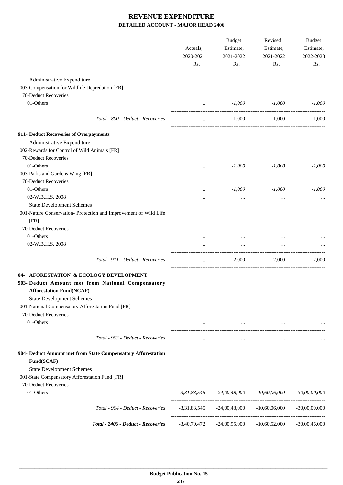|                                                                                      | Actuals,<br>2020-2021<br>Rs. | Budget<br>Estimate,<br>2021-2022<br>Rs. | Revised<br>Estimate,<br>2021-2022<br>Rs.                       | Budget<br>Estimate,<br>2022-2023<br>Rs. |
|--------------------------------------------------------------------------------------|------------------------------|-----------------------------------------|----------------------------------------------------------------|-----------------------------------------|
| Administrative Expenditure                                                           |                              |                                         |                                                                |                                         |
| 003-Compensation for Wildlife Depredation [FR]                                       |                              |                                         |                                                                |                                         |
| 70-Deduct Recoveries                                                                 |                              |                                         |                                                                |                                         |
| 01-Others                                                                            | $\cdots$                     | $-1,000$                                | $-1,000$                                                       | $-1,000$                                |
| Total - 800 - Deduct - Recoveries                                                    | $\cdots$                     | $-1,000$                                | $-1,000$                                                       | $-1,000$                                |
| 911- Deduct Recoveries of Overpayments                                               |                              |                                         |                                                                |                                         |
| Administrative Expenditure                                                           |                              |                                         |                                                                |                                         |
| 002-Rewards for Control of Wild Animals [FR]                                         |                              |                                         |                                                                |                                         |
| 70-Deduct Recoveries                                                                 |                              |                                         |                                                                |                                         |
| 01-Others                                                                            | $\cdots$                     | $-1,000$                                | $-1,000$                                                       | $-1,000$                                |
| 003-Parks and Gardens Wing [FR]                                                      |                              |                                         |                                                                |                                         |
| 70-Deduct Recoveries                                                                 |                              |                                         |                                                                |                                         |
| 01-Others                                                                            |                              | $-1,000$                                | $-1,000$                                                       | $-1,000$                                |
| 02-W.B.H.S. 2008                                                                     |                              | $\cdots$                                | $\ddotsc$                                                      |                                         |
| <b>State Development Schemes</b>                                                     |                              |                                         |                                                                |                                         |
| 001-Nature Conservation- Protection and Improvement of Wild Life<br>[FR]             |                              |                                         |                                                                |                                         |
| 70-Deduct Recoveries                                                                 |                              |                                         |                                                                |                                         |
| 01-Others                                                                            |                              |                                         |                                                                |                                         |
| 02-W.B.H.S. 2008                                                                     | $\cdots$                     | $\cdots$                                | $\cdots$                                                       |                                         |
| Total - 911 - Deduct - Recoveries                                                    | $\cdots$                     | $-2,000$                                | $-2,000$                                                       | $-2,000$                                |
| 04- AFORESTATION & ECOLOGY DEVELOPMENT                                               |                              |                                         |                                                                |                                         |
| 903- Deduct Amount met from National Compensatory<br><b>Afforestation Fund(NCAF)</b> |                              |                                         |                                                                |                                         |
| <b>State Development Schemes</b>                                                     |                              |                                         |                                                                |                                         |
| 001-National Compensatory Afforestation Fund [FR]                                    |                              |                                         |                                                                |                                         |
| 70-Deduct Recoveries                                                                 |                              |                                         |                                                                |                                         |
| 01-Others                                                                            |                              | $\cdots$                                |                                                                |                                         |
| Total - 903 - Deduct - Recoveries                                                    | $\cdots$                     | $\cdots$                                | $\cdots$                                                       |                                         |
| 904- Deduct Amount met from State Compensatory Afforestation<br>Fund(SCAF)           |                              |                                         |                                                                |                                         |
| <b>State Development Schemes</b>                                                     |                              |                                         |                                                                |                                         |
| 001-State Compensatory Afforestation Fund [FR]                                       |                              |                                         |                                                                |                                         |
| 70-Deduct Recoveries                                                                 |                              |                                         |                                                                |                                         |
| 01-Others                                                                            |                              | $-3,31,83,545$ $-24,00,48,000$          | -10,60,06,000                                                  | $-30,00,00,000$                         |
| Total - 904 - Deduct - Recoveries                                                    |                              | $-3,31,83,545$ $-24,00,48,000$          | $-10,60,06,000$                                                | $-30,00,00,000$                         |
| Total - 2406 - Deduct - Recoveries                                                   |                              |                                         | $-3,40,79,472$ $-24,00,95,000$ $-10,60,52,000$ $-30,00,46,000$ |                                         |
|                                                                                      |                              |                                         |                                                                |                                         |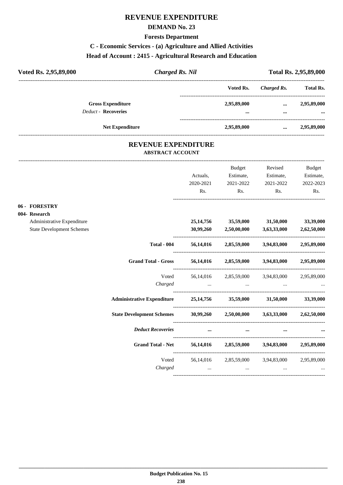## **REVENUE EXPENDITURE**

#### **DEMAND No. 23**

#### **Forests Department**

# **C - Economic Services - (a) Agriculture and Allied Activities**

#### **Head of Account : 2415 - Agricultural Research and Education**

| Voted Rs. 2,95,89,000      | <b>Charged Rs. Nil</b> |             | <b>Total Rs. 2,95,89,000</b> |                  |  |
|----------------------------|------------------------|-------------|------------------------------|------------------|--|
|                            |                        | Voted Rs.   | Charged Rs.                  | <b>Total Rs.</b> |  |
| <b>Gross Expenditure</b>   |                        | 2,95,89,000 | $\cdots$                     | 2,95,89,000      |  |
| <b>Deduct - Recoveries</b> |                        | $\cdots$    | $\cdots$                     | $\cdots$         |  |
|                            | <b>Net Expenditure</b> | 2,95,89,000 | $\cdots$                     | 2,95,89,000      |  |

#### **REVENUE EXPENDITURE ABSTRACT ACCOUNT**

---------------------------------------------------------------------------------------------------------------------------------------------------------------------------------

|                                  |                                                                         |                       | Budget                                                                                                                                                                                                                        | Revised                | <b>Budget</b>          |
|----------------------------------|-------------------------------------------------------------------------|-----------------------|-------------------------------------------------------------------------------------------------------------------------------------------------------------------------------------------------------------------------------|------------------------|------------------------|
|                                  |                                                                         | Actuals,<br>2020-2021 | Estimate,<br>2021-2022                                                                                                                                                                                                        | Estimate,<br>2021-2022 | Estimate,<br>2022-2023 |
|                                  |                                                                         | Rs.                   | Rs.                                                                                                                                                                                                                           | Rs.                    | Rs.                    |
| 06 - FORESTRY                    |                                                                         |                       |                                                                                                                                                                                                                               |                        |                        |
| 004- Research                    |                                                                         |                       |                                                                                                                                                                                                                               |                        |                        |
| Administrative Expenditure       |                                                                         |                       | 25,14,756 35,59,000 31,50,000 33,39,000                                                                                                                                                                                       |                        |                        |
| <b>State Development Schemes</b> |                                                                         |                       | $30,99,260$ $2,50,00,000$ $3,63,33,000$ $2,62,50,000$                                                                                                                                                                         |                        |                        |
|                                  | <b>Total - 004</b>                                                      |                       | 56,14,016 2,85,59,000 3,94,83,000 2,95,89,000                                                                                                                                                                                 |                        |                        |
|                                  | <b>Grand Total - Gross</b>                                              |                       | 56,14,016 2,85,59,000 3,94,83,000 2,95,89,000                                                                                                                                                                                 |                        |                        |
|                                  |                                                                         |                       | Voted 56,14,016 2,85,59,000 3,94,83,000 2,95,89,000                                                                                                                                                                           |                        |                        |
|                                  |                                                                         |                       |                                                                                                                                                                                                                               |                        |                        |
|                                  | Administrative Expenditure 25,14,756 35,59,000 31,50,000 33,39,000      |                       |                                                                                                                                                                                                                               |                        |                        |
|                                  | State Development Schemes 30,99,260 2,50,00,000 3,63,33,000 2,62,50,000 |                       |                                                                                                                                                                                                                               |                        |                        |
|                                  | <b>Deduct Recoveries</b>                                                | $\cdots$              | $\cdots$                                                                                                                                                                                                                      |                        |                        |
|                                  | Grand Total - Net 56,14,016 2,85,59,000 3,94,83,000 2,95,89,000         |                       |                                                                                                                                                                                                                               |                        |                        |
|                                  |                                                                         |                       | Voted 56,14,016 2,85,59,000 3,94,83,000 2,95,89,000                                                                                                                                                                           |                        |                        |
|                                  | Charged                                                                 |                       | the control of the control of the control of the control of the control of the control of the control of the control of the control of the control of the control of the control of the control of the control of the control |                        |                        |
|                                  |                                                                         |                       |                                                                                                                                                                                                                               |                        |                        |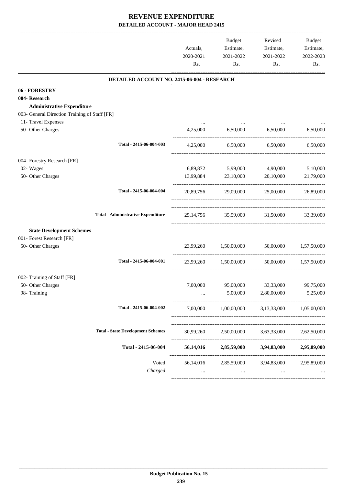|                                               |                                             | Actuals,<br>2020-2021<br>Rs. | Budget<br>Estimate,<br>2021-2022<br>Rs. | Revised<br>Estimate,<br>2021-2022<br>Rs.      | <b>Budget</b><br>Estimate,<br>2022-2023<br>Rs. |
|-----------------------------------------------|---------------------------------------------|------------------------------|-----------------------------------------|-----------------------------------------------|------------------------------------------------|
|                                               | DETAILED ACCOUNT NO. 2415-06-004 - RESEARCH |                              |                                         |                                               |                                                |
| 06 - FORESTRY                                 |                                             |                              |                                         |                                               |                                                |
| 004- Research                                 |                                             |                              |                                         |                                               |                                                |
| <b>Administrative Expenditure</b>             |                                             |                              |                                         |                                               |                                                |
| 003- General Direction Training of Staff [FR] |                                             |                              |                                         |                                               |                                                |
| 11- Travel Expenses                           |                                             |                              |                                         |                                               |                                                |
| 50- Other Charges                             |                                             | 4,25,000                     | 6,50,000                                | 6,50,000                                      | 6,50,000                                       |
|                                               | Total - 2415-06-004-003                     |                              | 4.25.000 6.50.000 6.50.000              |                                               | 6,50,000                                       |
| 004- Forestry Research [FR]                   |                                             |                              |                                         |                                               |                                                |
| 02- Wages                                     |                                             | 6,89,872                     | 5,99,000                                | 4,90,000                                      | 5,10,000                                       |
| 50- Other Charges                             |                                             | 13,99,884                    | 23,10,000                               | 20,10,000                                     | 21,79,000                                      |
|                                               |                                             |                              |                                         |                                               |                                                |
|                                               | Total - 2415-06-004-004                     | 20,89,756                    |                                         | 29,09,000 25,00,000                           | 26,89,000                                      |
|                                               | <b>Total - Administrative Expenditure</b>   |                              |                                         | 25,14,756 35,59,000 31,50,000 33,39,000       |                                                |
| <b>State Development Schemes</b>              |                                             |                              |                                         |                                               |                                                |
| 001- Forest Research [FR]                     |                                             |                              |                                         |                                               |                                                |
| 50- Other Charges                             |                                             |                              | 23,99,260 1,50,00,000 50,00,000         |                                               | 1,57,50,000                                    |
|                                               |                                             |                              |                                         |                                               |                                                |
|                                               | Total - 2415-06-004-001                     |                              | 23.99.260 1.50.00.000                   |                                               | 50,00,000 1,57,50,000                          |
| 002- Training of Staff [FR]                   |                                             |                              |                                         |                                               |                                                |
| 50- Other Charges                             |                                             | 7,00,000                     | 95,00,000                               | 33,33,000                                     | 99,75,000                                      |
| 98- Training                                  |                                             | $\cdots$                     | 5,00,000                                | 2,80,00,000                                   | 5,25,000                                       |
|                                               |                                             |                              |                                         |                                               |                                                |
|                                               | Total - 2415-06-004-002                     | 7,00,000                     | 1,00,00,000                             | 3,13,33,000                                   | 1,05,00,000                                    |
|                                               |                                             |                              |                                         |                                               |                                                |
|                                               | <b>Total - State Development Schemes</b>    | 30,99,260                    | 2,50,00,000                             | 3,63,33,000                                   | 2,62,50,000                                    |
|                                               | Total - 2415-06-004                         | 56,14,016                    |                                         | 2,85,59,000 3,94,83,000                       | 2,95,89,000                                    |
|                                               | Voted                                       |                              |                                         | 56,14,016 2,85,59,000 3,94,83,000 2,95,89,000 |                                                |
|                                               | Charged                                     | $\cdots$                     | $\cdots$                                | $\cdots$                                      |                                                |
|                                               |                                             |                              |                                         |                                               |                                                |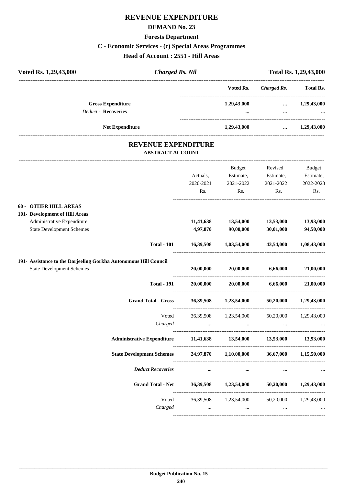# **REVENUE EXPENDITURE**

#### **DEMAND No. 23**

## **Forests Department**

## **C - Economic Services - (c) Special Areas Programmes**

**Head of Account : 2551 - Hill Areas**

| Voted Rs. 1,29,43,000 | <b>Charged Rs. Nil</b>     |                      | Total Rs. 1,29,43,000 |             |                  |
|-----------------------|----------------------------|----------------------|-----------------------|-------------|------------------|
|                       |                            |                      | Voted Rs.             | Charged Rs. | <b>Total Rs.</b> |
|                       | <b>Gross Expenditure</b>   |                      | 1,29,43,000           | $\cdots$    | 1,29,43,000      |
|                       | <b>Deduct - Recoveries</b> |                      |                       | $\cdots$    | $\ddotsc$        |
|                       | <b>Net Expenditure</b>     |                      | 1,29,43,000           | $\cdots$    | 1,29,43,000      |
|                       |                            | DEVENIUE EVOENDUCUDE |                       |             |                  |

#### **REVENUE EXPENDITURE ABSTRACT ACCOUNT**

---------------------------------------------------------------------------------------------------------------------------------------------------------------------------------

|                                                                  | Actuals,<br>2020-2021<br>Rs. | <b>Budget</b><br>Estimate,<br>2021-2022<br>Rs.                                                                  | Revised<br>Estimate,<br>2021-2022<br>Rs. | <b>Budget</b><br>Estimate,<br>2022-2023<br>Rs. |
|------------------------------------------------------------------|------------------------------|-----------------------------------------------------------------------------------------------------------------|------------------------------------------|------------------------------------------------|
| 60 - OTHER HILL AREAS                                            |                              |                                                                                                                 |                                          |                                                |
| 101- Development of Hill Areas                                   |                              |                                                                                                                 |                                          |                                                |
| Administrative Expenditure<br><b>State Development Schemes</b>   | 4,97,870                     | 11,41,638 13,54,000 13,53,000 13,93,000<br>90,00,000                                                            | 30,01,000                                | 94,50,000                                      |
| <b>Total - 101</b>                                               |                              | 16,39,508 1,03,54,000 43,54,000                                                                                 |                                          | 1,08,43,000                                    |
| 191- Assistance to the Darjeeling Gorkha Autonomous Hill Council |                              |                                                                                                                 |                                          |                                                |
| <b>State Development Schemes</b>                                 | 20,00,000                    | 20,00,000 6,66,000                                                                                              |                                          | 21,00,000                                      |
| <b>Total - 191</b>                                               |                              | $20,00,000$ $20,00,000$ $6,66,000$ $21,00,000$                                                                  |                                          |                                                |
| <b>Grand Total - Gross</b>                                       |                              | 36,39,508 1,23,54,000 50,20,000 1,29,43,000                                                                     |                                          |                                                |
| Voted                                                            |                              | 36,39,508 1,23,54,000 50,20,000 1,29,43,000                                                                     |                                          |                                                |
| Charged                                                          |                              | المساوي المساوي المساوي المساوي المساوي المساوي المساوي المساوي المساوي المساوي المساوي المساوي المساوي المساوي |                                          |                                                |
| <b>Administrative Expenditure</b>                                |                              | 11,41,638 13,54,000 13,53,000 13,93,000                                                                         |                                          |                                                |
| <b>State Development Schemes</b>                                 |                              | 24,97,870 1,10,00,000 36,67,000 1,15,50,000                                                                     |                                          |                                                |
| <b>Deduct Recoveries</b>                                         |                              |                                                                                                                 |                                          |                                                |
| Grand Total - Net 36,39,508 1,23,54,000 50,20,000 1,29,43,000    |                              |                                                                                                                 |                                          |                                                |
| Voted                                                            |                              | 36,39,508 1,23,54,000 50,20,000 1,29,43,000                                                                     |                                          |                                                |
| Charged                                                          | $\sim$ 100 $\sim$            | $\cdots$                                                                                                        | $\ddots$                                 |                                                |
|                                                                  |                              |                                                                                                                 |                                          |                                                |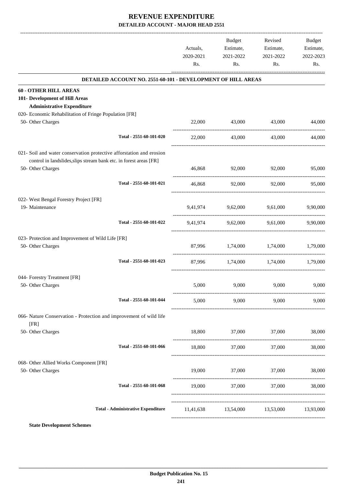|                                                                                             |                         | Actuals,<br>2020-2021<br>Rs. | <b>Budget</b><br>Estimate,<br>2021-2022<br>Rs. | Revised<br>Estimate,<br>2021-2022<br>Rs. | Budget<br>Estimate,<br>2022-2023<br>Rs. |
|---------------------------------------------------------------------------------------------|-------------------------|------------------------------|------------------------------------------------|------------------------------------------|-----------------------------------------|
| DETAILED ACCOUNT NO. 2551-60-101 - DEVELOPMENT OF HILL AREAS                                |                         |                              |                                                |                                          |                                         |
| <b>60 - OTHER HILL AREAS</b>                                                                |                         |                              |                                                |                                          |                                         |
| 101- Development of Hill Areas                                                              |                         |                              |                                                |                                          |                                         |
| <b>Administrative Expenditure</b><br>020- Economic Rehabilitation of Fringe Population [FR] |                         |                              |                                                |                                          |                                         |
| 50- Other Charges                                                                           |                         | 22,000                       | 43,000                                         | 43,000                                   | 44,000                                  |
|                                                                                             | Total - 2551-60-101-020 | 22,000                       | 43,000                                         | 43,000                                   | 44,000                                  |
| 021- Soil and water conservation protective afforstation and erosion                        |                         |                              |                                                |                                          |                                         |
| control in landslides, slips stream bank etc. in forest areas [FR]<br>50- Other Charges     |                         | 46,868                       | 92,000                                         | 92,000                                   | 95,000                                  |
|                                                                                             | Total - 2551-60-101-021 | 46,868                       | 92,000                                         | 92,000                                   | 95,000                                  |
| 022- West Bengal Forestry Project [FR]                                                      |                         |                              |                                                |                                          |                                         |
| 19- Maintenance                                                                             |                         |                              | 9,41,974 9,62,000                              | 9,61,000                                 | 9,90,000                                |
|                                                                                             | Total - 2551-60-101-022 |                              | 9,41,974 9,62,000 9,61,000                     |                                          | 9,90,000                                |
| 023- Protection and Improvement of Wild Life [FR]                                           |                         |                              |                                                |                                          |                                         |
| 50- Other Charges                                                                           |                         |                              | 87,996 1,74,000 1,74,000                       |                                          | 1,79,000                                |
|                                                                                             | Total - 2551-60-101-023 |                              |                                                | 87,996 1,74,000 1,74,000                 | 1.79.000                                |
| 044- Forestry Treatment [FR]                                                                |                         |                              |                                                |                                          |                                         |
| 50- Other Charges                                                                           |                         | 5,000                        | 9,000                                          | 9,000                                    | 9,000                                   |
|                                                                                             | Total - 2551-60-101-044 | 5,000                        | 9,000                                          | 9,000                                    | 9,000                                   |
| 066- Nature Conservation - Protection and improvement of wild life<br>[FR]                  |                         |                              |                                                |                                          |                                         |
| 50- Other Charges                                                                           |                         | 18,800                       | 37,000                                         | 37,000                                   | 38,000                                  |
|                                                                                             | Total - 2551-60-101-066 | 18,800                       | 37,000                                         | 37,000                                   | 38,000                                  |
| 068- Other Allied Works Component [FR]                                                      |                         |                              |                                                |                                          |                                         |
| 50- Other Charges                                                                           |                         | 19,000                       | 37,000                                         | 37,000                                   | 38,000                                  |
|                                                                                             | Total - 2551-60-101-068 | 19,000                       | 37,000                                         | 37,000                                   | 38,000                                  |
| <b>Total - Administrative Expenditure</b>                                                   |                         | 11,41,638                    | --------------------------------------         | 13,54,000 13,53,000                      | 13,93,000                               |
|                                                                                             |                         |                              |                                                |                                          |                                         |

**State Development Schemes**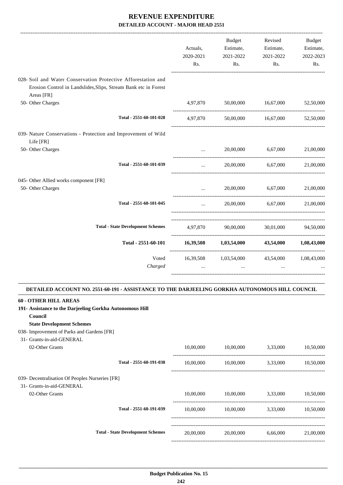|                                                                                                                                                | Actuals,<br>2020-2021<br>Rs. | Budget<br>Estimate,<br>2021-2022<br>Rs.                 | Revised<br>Estimate,<br>2021-2022<br>Rs. | <b>Budget</b><br>Estimate,<br>2022-2023<br>Rs. |
|------------------------------------------------------------------------------------------------------------------------------------------------|------------------------------|---------------------------------------------------------|------------------------------------------|------------------------------------------------|
| 028- Soil and Water Conservation Protective Afforestation and<br>Erosion Control in Landslides, Slips, Stream Bank etc in Forest<br>Areas [FR] |                              |                                                         |                                          |                                                |
| 50- Other Charges                                                                                                                              | 4,97,870                     |                                                         | 50,00,000 16,67,000                      | 52,50,000                                      |
| Total - 2551-60-101-028                                                                                                                        | 4,97,870                     |                                                         | 50,00,000 16,67,000                      | 52,50,000                                      |
| 039- Nature Conservations - Protection and Improvement of Wild<br>Life [FR]                                                                    |                              |                                                         |                                          |                                                |
| 50- Other Charges                                                                                                                              | $\sim$ $\sim$                |                                                         | 20,00,000 6.67,000                       | 21,00,000                                      |
| Total - 2551-60-101-039                                                                                                                        |                              |                                                         | 20,00,000 6,67,000                       | 21,00,000                                      |
| 045- Other Allied works component [FR]                                                                                                         |                              |                                                         |                                          |                                                |
| 50- Other Charges                                                                                                                              | $\cdots$                     | 20,00,000                                               | 6,67,000                                 | 21,00,000                                      |
| Total - 2551-60-101-045                                                                                                                        | $\cdots$                     |                                                         | 20,00,000 6.67,000 21,00,000             |                                                |
| <b>Total - State Development Schemes</b>                                                                                                       | 4,97,870                     | 90,00,000                                               |                                          | 30,01,000 94,50,000                            |
| Total - 2551-60-101                                                                                                                            | 16,39,508                    | 1,03,54,000                                             | 43,54,000                                | 1,08,43,000                                    |
| Voted<br>Charged                                                                                                                               |                              | 16,39,508 1,03,54,000 43,54,000 1,08,43,000<br>$\cdots$ | $\cdots$                                 |                                                |

#### **DETAILED ACCOUNT NO. 2551-60-191 - ASSISTANCE TO THE DARJEELING GORKHA AUTONOMOUS HILL COUNCIL .**

| <b>60 - OTHER HILL AREAS</b>                             |                                          |           |           |          |           |
|----------------------------------------------------------|------------------------------------------|-----------|-----------|----------|-----------|
| 191- Assistance to the Darjeeling Gorkha Autonomous Hill |                                          |           |           |          |           |
| Council                                                  |                                          |           |           |          |           |
| <b>State Development Schemes</b>                         |                                          |           |           |          |           |
| 038- Improvement of Parks and Gardens [FR]               |                                          |           |           |          |           |
| 31- Grants-in-aid-GENERAL                                |                                          |           |           |          |           |
| 02-Other Grants                                          |                                          | 10,00,000 | 10,00,000 | 3,33,000 | 10,50,000 |
|                                                          | Total - 2551-60-191-038                  | 10,00,000 | 10,00,000 | 3,33,000 | 10,50,000 |
| 039- Decentralisation Of Peoples Nurseries [FR]          |                                          |           |           |          |           |
| 31- Grants-in-aid-GENERAL                                |                                          |           |           |          |           |
| 02-Other Grants                                          |                                          | 10,00,000 | 10,00,000 | 3,33,000 | 10,50,000 |
|                                                          | Total - 2551-60-191-039                  | 10,00,000 | 10,00,000 | 3,33,000 | 10,50,000 |
|                                                          |                                          |           |           |          |           |
|                                                          | <b>Total - State Development Schemes</b> | 20,00,000 | 20,00,000 | 6,66,000 | 21,00,000 |
|                                                          |                                          |           |           |          |           |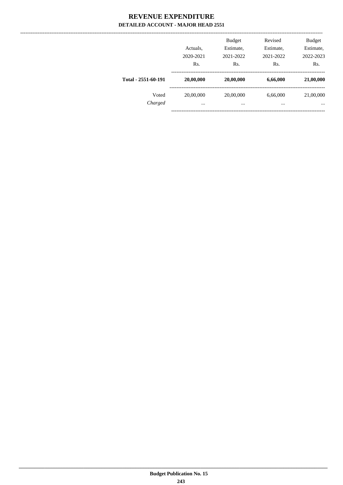|                     | Actuals.<br>2020-2021<br>Rs. | <b>Budget</b><br>Estimate,<br>2021-2022<br>Rs. | Revised<br>Estimate,<br>2021-2022<br>Rs. | <b>Budget</b><br>Estimate,<br>2022-2023<br>Rs. |
|---------------------|------------------------------|------------------------------------------------|------------------------------------------|------------------------------------------------|
| Total - 2551-60-191 | 20,00,000                    | 20,00,000                                      | 6,66,000                                 | 21,00,000                                      |
| Voted<br>Charged    | 20,00,000<br>$\cdots$        | 20,00,000<br>$\cdots$                          | 6,66,000<br>$\cdots$                     | 21,00,000<br>$\cdots$                          |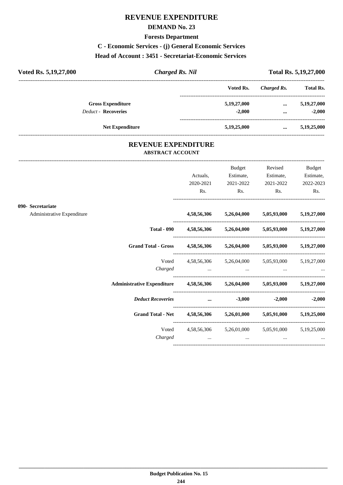## **REVENUE EXPENDITURE**

#### **DEMAND No. 23**

**Forests Department**

**C - Economic Services - (j) General Economic Services**

#### **Head of Account : 3451 - Secretariat-Economic Services**

| Voted Rs. 5, 19, 27, 000   | <b>Charged Rs. Nil</b> |             | Total Rs. 5,19,27,000 |                  |  |
|----------------------------|------------------------|-------------|-----------------------|------------------|--|
|                            |                        | Voted Rs.   | Charged Rs.           | <b>Total Rs.</b> |  |
| <b>Gross Expenditure</b>   |                        | 5,19,27,000 | $\cdots$              | 5,19,27,000      |  |
| <b>Deduct - Recoveries</b> |                        | $-2.000$    | $\cdots$              | $-2.000$         |  |
| <b>Net Expenditure</b>     |                        | 5,19,25,000 | $\cdots$              | 5,19,25,000      |  |

#### **REVENUE EXPENDITURE ABSTRACT ACCOUNT**

---------------------------------------------------------------------------------------------------------------------------------------------------------------------------------

|                            |                                                                            | Actuals,<br>2020-2021 | <b>Budget</b><br>Estimate,<br>2021-2022 | Revised<br>Estimate,<br>2021-2022                                                                                    | <b>Budget</b><br>Estimate,<br>2022-2023 |
|----------------------------|----------------------------------------------------------------------------|-----------------------|-----------------------------------------|----------------------------------------------------------------------------------------------------------------------|-----------------------------------------|
|                            |                                                                            | Rs.                   | Rs.                                     | $\mathbf{Rs.}$                                                                                                       | Rs.                                     |
| 090- Secretariate          |                                                                            |                       |                                         |                                                                                                                      |                                         |
| Administrative Expenditure |                                                                            |                       |                                         | 4,58,56,306 5,26,04,000 5,05,93,000 5,19,27,000                                                                      |                                         |
|                            |                                                                            |                       |                                         | Total - 090 4,58,56,306 5,26,04,000 5,05,93,000 5,19,27,000                                                          |                                         |
|                            | Grand Total - Gross 4,58,56,306 5,26,04,000 5,05,93,000 5,19,27,000        |                       |                                         |                                                                                                                      |                                         |
|                            | Voted                                                                      |                       |                                         | 4,58,56,306 5,26,04,000 5,05,93,000 5,19,27,000                                                                      |                                         |
|                            | Charged                                                                    |                       |                                         | المستخدم المستخدم المستخدم المستخدم المستخدم المستخدم المستخدم المستخدم المستخدم المستخدم المستخدم المستخدم المستخدم |                                         |
|                            | Administrative Expenditure 4,58,56,306 5,26,04,000 5,05,93,000 5,19,27,000 |                       |                                         |                                                                                                                      |                                         |
|                            | Deduct Recoveries  3,000                                                   |                       |                                         |                                                                                                                      | $-2,000$ $-2,000$                       |
|                            | Grand Total - Net 4,58,56,306 5,26,01,000 5,05,91,000 5,19,25,000          |                       |                                         |                                                                                                                      |                                         |
|                            |                                                                            |                       |                                         | Voted 4,58,56,306 5,26,01,000 5,05,91,000 5,19,25,000                                                                |                                         |
|                            | Charged                                                                    |                       | $\cdots$                                | $\cdots$                                                                                                             |                                         |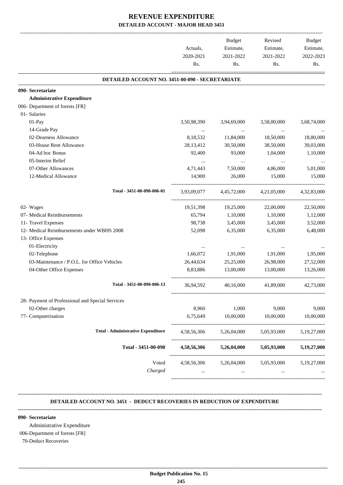|                                                  | Actuals,    | <b>Budget</b><br>Estimate, | Revised<br>Estimate,                | Budget<br>Estimate, |
|--------------------------------------------------|-------------|----------------------------|-------------------------------------|---------------------|
|                                                  | 2020-2021   | 2021-2022                  | 2021-2022                           | 2022-2023           |
|                                                  | Rs.         | Rs.                        | Rs.                                 | Rs.                 |
| DETAILED ACCOUNT NO. 3451-00-090 - SECRETARIATE  |             |                            |                                     |                     |
| 090- Secretariate                                |             |                            |                                     |                     |
| <b>Administrative Expenditure</b>                |             |                            |                                     |                     |
| 006- Department of forests [FR]                  |             |                            |                                     |                     |
| 01- Salaries                                     |             |                            |                                     |                     |
| 01-Pay                                           | 3,50,98,390 | 3,94,69,000                | 3,58,00,000                         | 3,68,74,000         |
| 14-Grade Pay                                     |             | $\cdots$                   | $\ldots$                            |                     |
| 02-Dearness Allowance                            | 8,18,532    | 11,84,000                  | 18,50,000                           | 18,80,000           |
| 03-House Rent Allowance                          | 28, 13, 412 | 30,50,000                  | 38,50,000                           | 39,03,000           |
| 04-Ad hoc Bonus                                  | 92,400      | 93,000                     | 1,04,000                            | 1,10,000            |
| 05-Interim Relief                                | $\cdots$    | $\ldots$                   | $\cdots$                            |                     |
| 07-Other Allowances                              | 4,71,443    | 7,50,000                   | 4,86,000                            | 5,01,000            |
| 12-Medical Allowance                             | 14,900      | 26,000                     | 15,000                              | 15,000              |
| Total - 3451-00-090-006-01                       | 3,93,09,077 | 4,45,72,000                | 4.21.05.000                         | 4,32,83,000         |
| 02- Wages                                        | 19,51,398   | 19,25,000                  | 22,00,000                           | 22,50,000           |
| 07- Medical Reimbursements                       | 65,794      | 1,10,000                   | 1,10,000                            | 1,12,000            |
| 11- Travel Expenses                              | 98,738      | 3,45,000                   | 3,45,000                            | 3,52,000            |
| 12- Medical Reimbursements under WBHS 2008       | 52,098      | 6,35,000                   | 6,35,000                            | 6,48,000            |
| 13- Office Expenses                              |             |                            |                                     |                     |
| 01-Electricity                                   |             |                            |                                     |                     |
| 02-Telephone                                     | 1,66,072    | 1,91,000                   | 1,91,000                            | 1,95,000            |
| 03-Maintenance / P.O.L. for Office Vehicles      | 26,44,634   | 25,25,000                  | 26,98,000                           | 27,52,000           |
| 04-Other Office Expenses                         | 8,83,886    | 13,00,000                  | 13,00,000                           | 13,26,000           |
| Total - 3451-00-090-006-13                       | 36,94,592   | 40,16,000                  | 41,89,000                           | 42,73,000           |
| 28- Payment of Professional and Special Services |             |                            |                                     |                     |
| 02-Other charges                                 | 8,960       | 1,000                      | 9,000                               | 9,000               |
| 77- Computerisation                              | 6,75,649    | 10,00,000                  | 10,00,000                           | 10,00,000           |
| <b>Total - Administrative Expenditure</b>        | 4,58,56,306 | 5,26,04,000                | 5,05,93,000                         | 5,19,27,000         |
| Total - 3451-00-090                              | 4,58,56,306 | 5,26,04,000                | 5,05,93,000                         | 5,19,27,000         |
| Voted                                            |             |                            | 4,58,56,306 5,26,04,000 5,05,93,000 | 5, 19, 27, 000      |
| Charged                                          |             | $\cdots$                   |                                     |                     |

#### **DETAILED ACCOUNT NO. 3451 - DEDUCT RECOVERIES IN REDUCTION OF EXPENDITURE**

**--------------------------------------------------------------------------------------------------------------------------------------------------------------------------------**

**--------------------------------------------------------------------------------------------------------------------------------------------------------------------------------**

#### **090- Secretariate**

Administrative Expenditure

#### 006-Department of forests [FR]

70-Deduct Recoveries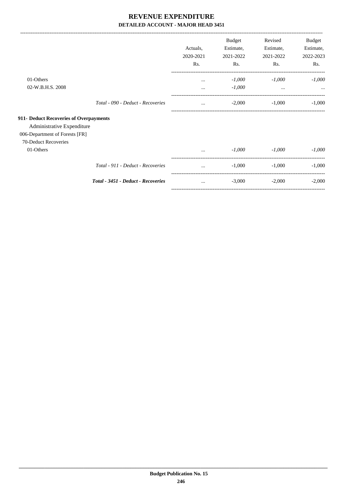|                                        |                                    |           | <b>Budget</b> | Revised   | Budget    |
|----------------------------------------|------------------------------------|-----------|---------------|-----------|-----------|
|                                        |                                    | Actuals,  | Estimate,     | Estimate, | Estimate, |
|                                        |                                    | 2020-2021 | 2021-2022     | 2021-2022 | 2022-2023 |
|                                        |                                    | Rs.       | Rs.           | Rs.       | Rs.       |
| 01-Others                              |                                    | $\cdots$  | $-1,000$      | $-1,000$  | $-1,000$  |
| 02-W.B.H.S. 2008                       |                                    |           | $-1,000$      | $\cdots$  | $\cdots$  |
|                                        | Total - 090 - Deduct - Recoveries  | $\cdots$  | $-2,000$      | $-1,000$  | $-1,000$  |
| 911- Deduct Recoveries of Overpayments |                                    |           |               |           |           |
| Administrative Expenditure             |                                    |           |               |           |           |
| 006-Department of Forests [FR]         |                                    |           |               |           |           |
| 70-Deduct Recoveries                   |                                    |           |               |           |           |
| 01-Others                              |                                    | $\cdots$  | $-1,000$      | $-1,000$  | $-1,000$  |
|                                        | Total - 911 - Deduct - Recoveries  |           | $-1.000$      | $-1,000$  | $-1,000$  |
|                                        | Total - 3451 - Deduct - Recoveries | $\cdots$  | $-3,000$      | $-2,000$  | $-2,000$  |
|                                        |                                    |           |               |           |           |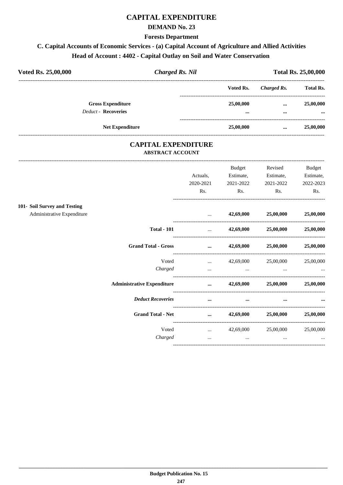## **CAPITAL EXPENDITURE**

#### **DEMAND No. 23**

**Forests Department**

# **C. Capital Accounts of Economic Services - (a) Capital Account of Agriculture and Allied Activities Head of Account : 4402 - Capital Outlay on Soil and Water Conservation**

| Voted Rs. 25,00,000        | <b>Charged Rs. Nil</b>   |                       | <b>Total Rs. 25,00,000</b> |                       |  |
|----------------------------|--------------------------|-----------------------|----------------------------|-----------------------|--|
|                            |                          | Voted Rs.             | Charged Rs.                | <b>Total Rs.</b>      |  |
| <b>Deduct - Recoveries</b> | <b>Gross Expenditure</b> | 25,00,000<br>$\cdots$ | $\cdots$<br>$\cdots$       | 25,00,000<br>$\cdots$ |  |
|                            | <b>Net Expenditure</b>   | 25,00,000             | $\cdots$                   | 25,00,000             |  |

#### **CAPITAL EXPENDITURE ABSTRACT ACCOUNT**

---------------------------------------------------------------------------------------------------------------------------------------------------------------------------------

|                                   |           | Budget    | Revised                                                                                             | <b>Budget</b> |
|-----------------------------------|-----------|-----------|-----------------------------------------------------------------------------------------------------|---------------|
|                                   | Actuals,  | Estimate, | Estimate,                                                                                           | Estimate,     |
|                                   | 2020-2021 | 2021-2022 | 2021-2022                                                                                           | 2022-2023     |
|                                   | Rs.       | Rs.       | Rs.                                                                                                 | Rs.           |
| 101- Soil Survey and Testing      |           |           |                                                                                                     |               |
| Administrative Expenditure        |           |           | $42,69,000$ $25,00,000$                                                                             | 25,00,000     |
| <b>Total - 101</b>                |           |           | $42,69,000$ $25,00,000$ $25,00,000$                                                                 |               |
| <b>Grand Total - Gross</b>        |           |           | $\ldots$ 42,69,000 25,00,000 25,00,000                                                              |               |
| Voted                             |           |           | $42,69,000$ $25,00,000$                                                                             | 25,00,000     |
| Charged                           | $\cdots$  |           | the contract of the contract of the contract of the contract of the contract of the contract of the |               |
| <b>Administrative Expenditure</b> |           |           | $\ldots$ 42,69,000 25,00,000 25,00,000                                                              |               |
| <b>Deduct Recoveries</b>          | $\cdots$  | $\cdots$  | $\cdots$                                                                                            |               |
| <b>Grand Total - Net</b>          |           |           | $\ldots$ 42,69,000 25,00,000 25,00,000                                                              |               |
| Voted                             |           |           | $42,69,000$ $25,00,000$ $25,00,000$                                                                 |               |
| Charged                           | $\cdots$  | $\cdots$  | $\cdots$                                                                                            |               |
|                                   |           |           |                                                                                                     |               |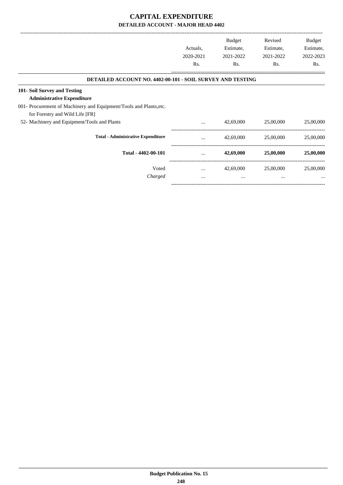## **CAPITAL EXPENDITURE DETAILED ACCOUNT - MAJOR HEAD 4402**

|                                                                                                                                         | Actuals,<br>2020-2021<br>Rs. | <b>Budget</b><br>Estimate,<br>2021-2022<br>Rs. | Revised<br>Estimate,<br>2021-2022<br>Rs. | Budget<br>Estimate,<br>2022-2023<br>Rs. |
|-----------------------------------------------------------------------------------------------------------------------------------------|------------------------------|------------------------------------------------|------------------------------------------|-----------------------------------------|
| <b>DETAILED ACCOUNT NO. 4402-00-101 - SOIL SURVEY AND TESTING</b>                                                                       |                              |                                                |                                          |                                         |
| 101- Soil Survey and Testing<br><b>Administrative Expenditure</b><br>001- Procurement of Machinery and Equipment/Tools and Plants, etc. |                              |                                                |                                          |                                         |
| for Forestry and Wild Life [FR]<br>52- Machinery and Equipment/Tools and Plants                                                         | $\cdots$                     | 42,69,000                                      | 25,00,000                                | 25,00,000                               |
| <b>Total - Administrative Expenditure</b>                                                                                               | $\cdots$                     | 42,69,000                                      | 25,00,000                                | 25,00,000                               |
| Total - 4402-00-101                                                                                                                     |                              | 42,69,000                                      | 25,00,000                                | 25,00,000                               |
| Voted<br>Charged                                                                                                                        | $\cdots$<br>$\cdots$         | 42,69,000<br>$\cdots$                          | 25,00,000<br>$\cdots$                    | 25,00,000                               |
|                                                                                                                                         |                              |                                                |                                          |                                         |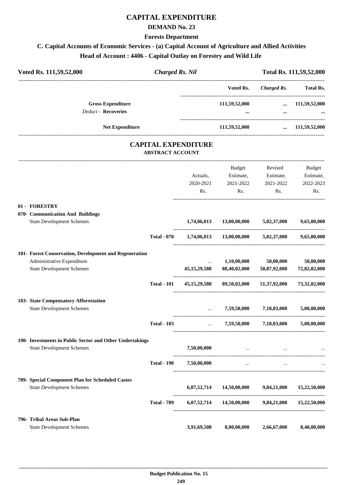## **CAPITAL EXPENDITURE**

#### **DEMAND No. 23**

**Forests Department**

# **C. Capital Accounts of Economic Services - (a) Capital Account of Agriculture and Allied Activities Head of Account : 4406 - Capital Outlay on Forestry and Wild Life**

| Voted Rs. 111,59,52,000                                  | <b>Charged Rs. Nil</b>                                |                 | Total Rs. 111,59,52,000                           |                                                               |                       |
|----------------------------------------------------------|-------------------------------------------------------|-----------------|---------------------------------------------------|---------------------------------------------------------------|-----------------------|
|                                                          |                                                       |                 | Voted Rs.                                         |                                                               | Charged Rs. Total Rs. |
| <b>Gross Expenditure</b>                                 |                                                       |                 | 111,59,52,000                                     |                                                               | $\dots$ 111,59,52,000 |
| <b>Deduct - Recoveries</b>                               |                                                       |                 | $\cdots$                                          | $\cdots$                                                      |                       |
| <b>Net Expenditure</b>                                   |                                                       |                 | 111,59,52,000                                     |                                                               | $\dots$ 111,59,52,000 |
|                                                          | <b>CAPITAL EXPENDITURE</b><br><b>ABSTRACT ACCOUNT</b> |                 |                                                   |                                                               |                       |
|                                                          |                                                       |                 | Budget                                            | Revised                                                       | Budget                |
|                                                          |                                                       | Actuals,        |                                                   | Estimate, Estimate,                                           | Estimate,             |
|                                                          |                                                       | 2020-2021       | 2021-2022                                         | 2021-2022                                                     | 2022-2023             |
|                                                          |                                                       | Rs.             | Rs.                                               | Rs.                                                           | Rs.                   |
| 01 - FORESTRY                                            |                                                       |                 |                                                   |                                                               |                       |
| 070- Communication And Buildings                         |                                                       |                 |                                                   |                                                               |                       |
| <b>State Development Schemes</b>                         |                                                       |                 | $1,74,06,013$ $13,00,00,000$ $5,02,37,000$        |                                                               | 9,65,00,000           |
|                                                          | <b>Total - 070</b>                                    |                 | 1,74,06,013 13,00,00,000                          | 5,02,37,000                                                   | 9,65,00,000           |
| 101- Forest Conservation, Development and Regeneration   |                                                       |                 |                                                   |                                                               |                       |
| Administrative Expenditure                               |                                                       | $\cdots$        | 1,10,00,000                                       | 50,00,000                                                     | 50,00,000             |
| <b>State Development Schemes</b>                         |                                                       | 45, 15, 29, 588 | 88,40,02,000                                      | 50,87,92,000                                                  | 72,82,02,000          |
|                                                          | <b>Total - 101</b>                                    |                 | 45,15,29,588 89,50,02,000 51,37,92,000            |                                                               | 73,32,02,000          |
| 103- State Compensatory Afforestation                    |                                                       |                 |                                                   |                                                               |                       |
| <b>State Development Schemes</b>                         |                                                       |                 | $\ldots$ 7,59,50,000 7,18,03,000                  |                                                               | 5,00,00,000           |
|                                                          | <b>Total - 103</b>                                    |                 |                                                   | 7,59,50,000 7,18,03,000 5,00,00,000                           |                       |
| 190- Investments in Public Sector and Other Undertakings |                                                       |                 |                                                   |                                                               |                       |
| <b>State Development Schemes</b>                         |                                                       | 7,50,00,000     |                                                   | <b>Contract Contract Contract</b><br>$\overline{\phantom{a}}$ |                       |
|                                                          | <b>Total - 190</b>                                    | 7,50,00,000     |                                                   | <b>Contract Contract Contract Contract</b>                    |                       |
| 789- Special Component Plan for Scheduled Castes         |                                                       |                 |                                                   |                                                               |                       |
| <b>State Development Schemes</b>                         |                                                       |                 | 6,07,52,714 14,50,00,000 9,84,21,000 15,22,50,000 |                                                               |                       |
|                                                          | <b>Total - 789</b>                                    |                 | 6,07,52,714 14,50,00,000 9,84,21,000 15,22,50,000 |                                                               |                       |
| 796- Tribal Areas Sub-Plan                               |                                                       |                 |                                                   |                                                               |                       |
| <b>State Development Schemes</b>                         |                                                       | 3,91,69,508     | 8,00,00,000                                       | 2,66,67,000                                                   | 8,40,00,000           |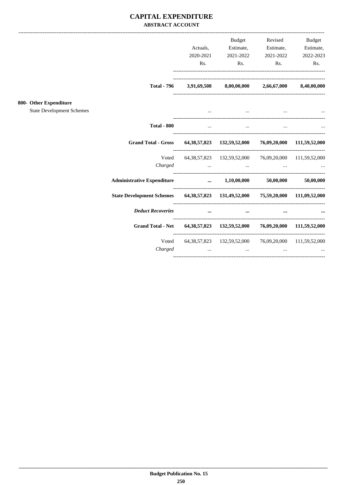### **CAPITAL EXPENDITURE ABSTRACT ACCOUNT**

|                                                            |                                                                                                                     | Actuals,<br>2020-2021<br>Rs. | Budget<br>Estimate,<br>2021-2022<br>Rs.                                                                                                                                              | Revised<br>Estimate,<br>2021-2022 | <b>Budget</b><br>Estimate,<br>2022-2023<br>$\mathbf{Rs.}$<br>Rs. |
|------------------------------------------------------------|---------------------------------------------------------------------------------------------------------------------|------------------------------|--------------------------------------------------------------------------------------------------------------------------------------------------------------------------------------|-----------------------------------|------------------------------------------------------------------|
|                                                            |                                                                                                                     |                              | Total - 796 $3,91,69,508$ $8,00,00,000$ $2,66,67,000$ $8,40,00,000$                                                                                                                  |                                   |                                                                  |
| 800- Other Expenditure<br><b>State Development Schemes</b> |                                                                                                                     |                              | and the contract of the contract of the contract of the contract of the contract of the contract of the contract of                                                                  |                                   |                                                                  |
|                                                            | <b>Total - 800</b>                                                                                                  | $\cdots$                     | $\cdots$                                                                                                                                                                             | $\cdots$                          |                                                                  |
|                                                            | <b>Grand Total - Gross</b>                                                                                          |                              | 64, 38, 57, 823 132, 59, 52, 000 76, 09, 20, 000 111, 59, 52, 000                                                                                                                    |                                   |                                                                  |
|                                                            |                                                                                                                     |                              | Voted 64,38,57,823 132,59,52,000 76,09,20,000 111,59,52,000<br>Charged                                                                                                               |                                   |                                                                  |
|                                                            | Administrative Expenditure $\qquad \qquad \dots \qquad 1,10,00,000 \qquad \qquad 50,00,000 \qquad \qquad 50,00,000$ |                              |                                                                                                                                                                                      |                                   |                                                                  |
|                                                            | State Development Schemes 64,38,57,823 131,49,52,000 75,59,20,000 111,09,52,000                                     |                              |                                                                                                                                                                                      |                                   |                                                                  |
|                                                            | <b>Deduct Recoveries</b>                                                                                            | $\cdots$                     |                                                                                                                                                                                      | $\cdots$<br>$\cdots$              |                                                                  |
|                                                            | <b>Grand Total - Net</b>                                                                                            |                              | 64, 38, 57, 823 132, 59, 52, 000 76, 09, 20, 000 111, 59, 52, 000                                                                                                                    |                                   |                                                                  |
|                                                            | Voted<br>Charged                                                                                                    |                              | 64, 38, 57, 823 132, 59, 52, 000 76, 09, 20, 000 111, 59, 52, 000<br>the contract of the contract of the contract of the contract of the contract of the contract of the contract of |                                   |                                                                  |
|                                                            |                                                                                                                     |                              |                                                                                                                                                                                      |                                   |                                                                  |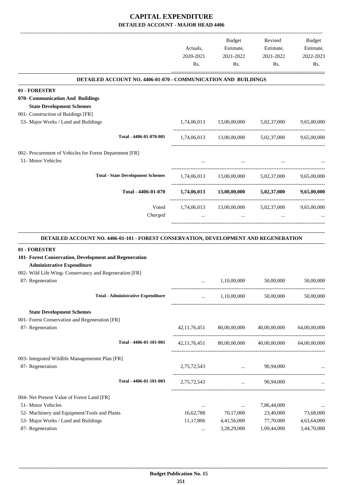|                                                                                      |                        | Budget                               | Revised                                             | Budget                   |
|--------------------------------------------------------------------------------------|------------------------|--------------------------------------|-----------------------------------------------------|--------------------------|
|                                                                                      | Actuals,               | Estimate,                            | Estimate,                                           | Estimate,                |
|                                                                                      | 2020-2021              | 2021-2022                            | 2021-2022                                           | 2022-2023                |
|                                                                                      | Rs.                    | Rs.                                  | Rs.                                                 | Rs.                      |
| DETAILED ACCOUNT NO. 4406-01-070 - COMMUNICATION AND BUILDINGS                       |                        |                                      |                                                     |                          |
| 01 - FORESTRY                                                                        |                        |                                      |                                                     |                          |
| 070- Communication And Buildings                                                     |                        |                                      |                                                     |                          |
| <b>State Development Schemes</b>                                                     |                        |                                      |                                                     |                          |
| 001- Construction of Buidings [FR]                                                   |                        |                                      |                                                     |                          |
| 53- Major Works / Land and Buildings                                                 |                        | 1,74,06,013 13,00,00,000 5,02,37,000 |                                                     | 9,65,00,000              |
| Total - 4406-01-070-001                                                              |                        |                                      | $1,74,06,013$ $13,00,00,000$ $5,02,37,000$          | 9,65,00,000              |
| 002- Procurement of Vehicles for Forest Department [FR]                              |                        |                                      |                                                     |                          |
| 51- Motor Vehicles                                                                   | $\cdots$               | $\sim$ $\sim$ $\sim$                 |                                                     |                          |
| <b>Total - State Development Schemes</b>                                             |                        |                                      | $1,74,06,013$ $13,00,00,000$ $5,02,37,000$          | 9,65,00,000              |
| Total - 4406-01-070                                                                  |                        | $1,74,06,013$ $13,00,00,000$         | 5,02,37,000                                         | 9,65,00,000              |
| Voted                                                                                |                        |                                      | 1,74,06,013 13,00,00,000 5,02,37,000 9,65,00,000    |                          |
| Charged                                                                              |                        | $\ddots$                             | $\cdots$                                            |                          |
|                                                                                      |                        |                                      |                                                     |                          |
|                                                                                      |                        |                                      |                                                     |                          |
| DETAILED ACCOUNT NO. 4406-01-101 - FOREST CONSERVATION, DEVELOPMENT AND REGENERATION |                        |                                      |                                                     |                          |
| 01 - FORESTRY                                                                        |                        |                                      |                                                     |                          |
| 101- Forest Conservation, Development and Regeneration                               |                        |                                      |                                                     |                          |
| <b>Administrative Expenditure</b>                                                    |                        |                                      |                                                     |                          |
| 002- Wild Life Wing- Conservancy and Regeneration [FR]                               |                        |                                      |                                                     |                          |
| 87- Regeneration                                                                     | $\cdots$               | 1,10,00,000                          | 50,00,000                                           | 50,00,000                |
| <b>Total - Administrative Expenditure</b>                                            | $\cdots$               | 1,10,00,000                          | 50,00,000                                           | 50,00,000                |
|                                                                                      |                        |                                      |                                                     |                          |
| <b>State Development Schemes</b>                                                     |                        |                                      |                                                     |                          |
| 001- Forest Conservation and Regeneration [FR]                                       |                        |                                      |                                                     |                          |
| 87- Regeneration                                                                     | 42, 11, 76, 451        | 80,00,00,000                         | 40,00,00,000                                        | 64,00,00,000             |
| Total - 4406-01-101-001                                                              |                        |                                      | 42,11,76,451 80,00,00,000 40,00,00,000 64,00,00,000 |                          |
| 003- Integrated Wildlife Managemenmt Plan [FR]                                       |                        |                                      |                                                     |                          |
| 87- Regeneration                                                                     | 2,75,72,543            | $\ldots$ 90,94,000                   |                                                     |                          |
| Total - 4406-01-101-003                                                              | 2,75,72,543            |                                      | $\ldots$ 90,94,000                                  |                          |
|                                                                                      |                        |                                      |                                                     |                          |
| 004- Net Present Value of Forest Land [FR]                                           |                        |                                      |                                                     |                          |
| 51- Motor Vehicles                                                                   | $\cdots$               | $\ldots$                             | 7,86,44,000                                         |                          |
| 52- Machinery and Equipment/Tools and Plants<br>53- Major Works / Land and Buildings | 16,62,788<br>11,17,806 | 70,17,000<br>4,41,56,000             | 23,40,000<br>77,70,000                              | 73,68,000<br>4,63,64,000 |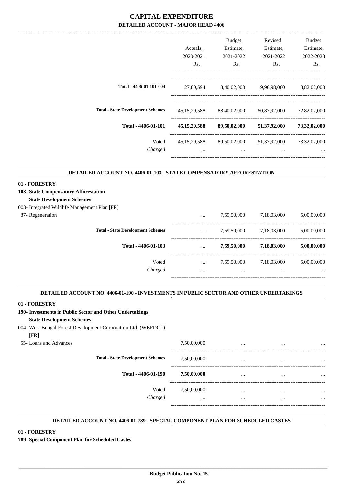|                                          | Actuals.                    | <b>Budget</b><br>Estimate, | Revised<br>Estimate,     | Budget<br>Estimate,      |
|------------------------------------------|-----------------------------|----------------------------|--------------------------|--------------------------|
|                                          | 2020-2021<br>Rs.            | 2021-2022<br>Rs.           | 2021-2022<br>Rs.         | 2022-2023<br>Rs.         |
| Total - 4406-01-101-004                  | 27,80,594                   | 8,40,02,000                | 9,96,98,000              | 8,82,02,000              |
| <b>Total - State Development Schemes</b> | 45, 15, 29, 588             | 88,40,02,000               | 50,87,92,000             | 72,82,02,000             |
| Total - 4406-01-101                      | 45, 15, 29, 588             | 89,50,02,000               | 51,37,92,000             | 73,32,02,000             |
| Voted<br>Charged                         | 45, 15, 29, 588<br>$\cdots$ | 89,50,02,000<br>$\cdots$   | 51,37,92,000<br>$\cdots$ | 73,32,02,000<br>$\cdots$ |
|                                          |                             |                            |                          |                          |

#### **DETAILED ACCOUNT NO. 4406-01-103 - STATE COMPENSATORY AFFORESTATION .**

#### **01 - FORESTRY**

- **103- State Compensatory Afforestation**
- **State Development Schemes**
- 003- Integrated Wildlife Management Plan [FR]
- 87- Regeneration

| Charged                                  | $\cdots$ |             | $\cdots$    | $\cdots$    |
|------------------------------------------|----------|-------------|-------------|-------------|
| Voted                                    | $\cdots$ | 7,59,50,000 | 7,18,03,000 | 5,00,00,000 |
| Total - 4406-01-103                      | $\cdots$ | 7,59,50,000 | 7,18,03,000 | 5,00,00,000 |
| <b>Total - State Development Schemes</b> | $\cdots$ | 7,59,50,000 | 7,18,03,000 | 5,00,00,000 |
|                                          | $\cdots$ | 7,59,50,000 | 7,18,03,000 | 5,00,00,000 |

.

.

#### **DETAILED ACCOUNT NO. 4406-01-190 - INVESTMENTS IN PUBLIC SECTOR AND OTHER UNDERTAKINGS .**

#### **01 - FORESTRY**

| 190- Investments in Public Sector and Other Undertakings      |             |          |          |          |
|---------------------------------------------------------------|-------------|----------|----------|----------|
| <b>State Development Schemes</b>                              |             |          |          |          |
| 004- West Bengal Forest Development Corporation Ltd. (WBFDCL) |             |          |          |          |
| [FR]                                                          |             |          |          |          |
| 55-Loans and Advances                                         | 7,50,00,000 | $\cdots$ |          |          |
| <b>Total - State Development Schemes</b>                      | 7,50,00,000 | $\cdots$ |          |          |
| Total - 4406-01-190                                           | 7,50,00,000 | $\cdots$ |          |          |
| Voted                                                         | 7,50,00,000 | $\cdots$ | $\cdots$ | $\cdots$ |
| Charged                                                       | $\cdots$    | $\cdots$ | $\cdots$ | $\cdots$ |
|                                                               |             |          |          |          |

#### **DETAILED ACCOUNT NO. 4406-01-789 - SPECIAL COMPONENT PLAN FOR SCHEDULED CASTES .**

#### **01 - FORESTRY**

**789- Special Component Plan for Scheduled Castes**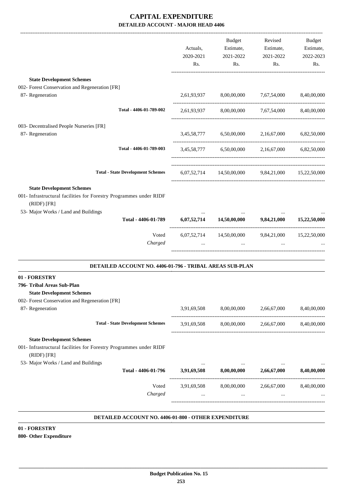|                                                                                                                                   | Actuals,<br>2020-2021<br>Rs.                       | Budget<br>Estimate,<br>2021-2022<br>Rs.           | Revised<br>Estimate,<br>2021-2022<br>Rs. | <b>Budget</b><br>Estimate,<br>2022-2023<br>Rs. |
|-----------------------------------------------------------------------------------------------------------------------------------|----------------------------------------------------|---------------------------------------------------|------------------------------------------|------------------------------------------------|
| <b>State Development Schemes</b>                                                                                                  |                                                    |                                                   |                                          |                                                |
| 002- Forest Conservation and Regeneration [FR]<br>87- Regeneration                                                                | 2,61,93,937 8,00,00,000 7,67,54,000<br>8,40,00,000 |                                                   |                                          |                                                |
| Total - 4406-01-789-002                                                                                                           |                                                    | 2,61,93,937 8,00,00,000 7,67,54,000 8,40,00,000   |                                          |                                                |
| 003- Decentralised People Nurseries [FR]<br>87- Regeneration                                                                      |                                                    | 3,45,58,777 6,50,00,000 2,16,67,000               |                                          | 6,82,50,000                                    |
| Total - 4406-01-789-003                                                                                                           |                                                    | 3,45,58,777 6,50,00,000 2,16,67,000 6,82,50,000   |                                          |                                                |
| <b>Total - State Development Schemes</b>                                                                                          |                                                    | 6,07,52,714 14,50,00,000 9,84,21,000 15,22,50,000 |                                          |                                                |
| <b>State Development Schemes</b><br>001- Infrastructural facilities for Forestry Programmes under RIDF<br>(RIDF) [FR]             |                                                    |                                                   |                                          |                                                |
| 53- Major Works / Land and Buildings                                                                                              |                                                    |                                                   |                                          |                                                |
| Total - 4406-01-789                                                                                                               |                                                    | $6,07,52,714$ $14,50,00,000$ $9,84,21,000$        |                                          | 15,22,50,000                                   |
| Voted<br>Charged                                                                                                                  |                                                    | 6,07,52,714 14,50,00,000 9,84,21,000 15,22,50,000 |                                          |                                                |
| DETAILED ACCOUNT NO. 4406-01-796 - TRIBAL AREAS SUB-PLAN                                                                          |                                                    |                                                   |                                          |                                                |
| 01 - FORESTRY<br>796- Tribal Areas Sub-Plan<br><b>State Development Schemes</b><br>002- Forest Conservation and Regeneration [FR] |                                                    |                                                   |                                          |                                                |
| 87- Regeneration                                                                                                                  |                                                    | 3,91,69,508 8,00,00,000 2,66,67,000 8,40,00,000   |                                          |                                                |
| <b>Total - State Development Schemes</b>                                                                                          | 3,91,69,508                                        | 8,00,00,000                                       | 2,66,67,000                              | 8,40,00,000                                    |
| <b>State Development Schemes</b><br>001- Infrastructural facilities for Forestry Programmes under RIDF<br>(RIDF) [FR]             |                                                    |                                                   |                                          |                                                |
| 53- Major Works / Land and Buildings<br>Total - 4406-01-796                                                                       |                                                    | 3,91,69,508 8,00,00,000 2,66,67,000               |                                          | 8,40,00,000                                    |
| Voted<br>Charged                                                                                                                  | $\cdots$                                           | 3,91,69,508 8,00,00,000 2,66,67,000<br>$\cdots$   |                                          | 8,40,00,000                                    |

#### **DETAILED ACCOUNT NO. 4406-01-800 - OTHER EXPENDITURE .**

#### **01 - FORESTRY 800- Other Expenditure**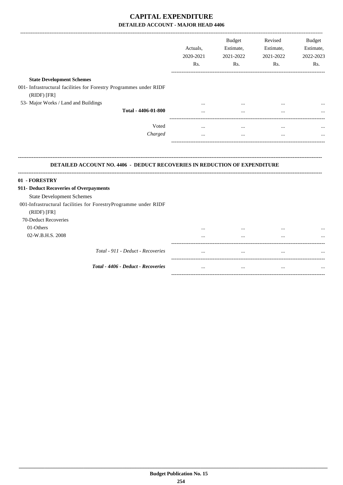|                                                                                                     | Actuals,<br>2020-2021<br>Rs. | <b>Budget</b><br>Estimate,<br>2021-2022<br>Rs. | Revised<br>Estimate,<br>2021-2022<br>Rs. | <b>Budget</b><br>Estimate,<br>2022-2023<br>Rs. |
|-----------------------------------------------------------------------------------------------------|------------------------------|------------------------------------------------|------------------------------------------|------------------------------------------------|
| <b>State Development Schemes</b>                                                                    |                              |                                                |                                          |                                                |
| 001- Infrastructural facilities for Forestry Programmes under RIDF<br>(RIDF) [FR]                   |                              |                                                |                                          |                                                |
| 53- Major Works / Land and Buildings                                                                | $\cdots$                     | $\cdots$                                       | $\cdots$                                 |                                                |
| Total - 4406-01-800                                                                                 |                              |                                                |                                          |                                                |
| Voted                                                                                               | $\cdots$                     | $\cdots$                                       | $\cdots$                                 |                                                |
| Charged                                                                                             |                              | $\cdots$                                       | $\cdots$                                 |                                                |
| <b>DETAILED ACCOUNT NO. 4406 - DEDUCT RECOVERIES IN REDUCTION OF EXPENDITURE</b>                    |                              |                                                |                                          |                                                |
| 01 - FORESTRY                                                                                       |                              |                                                |                                          |                                                |
| 911- Deduct Recoveries of Overpayments                                                              |                              |                                                |                                          |                                                |
| <b>State Development Schemes</b><br>001-Infrastructural facilities for ForestryProgramme under RIDF |                              |                                                |                                          |                                                |
| (RIDF) [FR]                                                                                         |                              |                                                |                                          |                                                |
| 70-Deduct Recoveries                                                                                |                              |                                                |                                          |                                                |
| 01-Others                                                                                           |                              |                                                |                                          |                                                |
| 02-W.B.H.S. 2008                                                                                    |                              |                                                |                                          |                                                |
| Total - 911 - Deduct - Recoveries                                                                   |                              |                                                |                                          |                                                |
| Total - 4406 - Deduct - Recoveries                                                                  | $\cdots$                     | $\cdots$                                       | $\cdots$                                 |                                                |

-----------------------------------------------------------------------------------------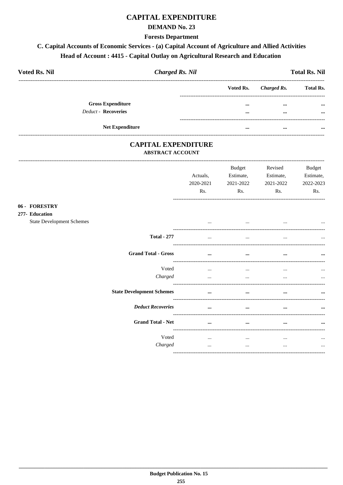## **CAPITAL EXPENDITURE**

### **DEMAND No. 23**

**Forests Department** 

# C. Capital Accounts of Economic Services - (a) Capital Account of Agriculture and Allied Activities Head of Account: 4415 - Capital Outlay on Agricultural Research and Education

| <b>Voted Rs. Nil</b>       | <b>Charged Rs. Nil</b> |                                     | <b>Total Rs. Nil</b> |
|----------------------------|------------------------|-------------------------------------|----------------------|
|                            | Voted Rs.              | Charged Rs.                         | <b>Total Rs.</b>     |
| <b>Gross Expenditure</b>   |                        | $\cdots$<br>$\cdots$                | $\cdots$             |
| <b>Deduct - Recoveries</b> |                        | $\bullet\bullet\bullet$<br>$\cdots$ | $\cdots$             |
| <b>Net Expenditure</b>     |                        | <br>$\cdots$                        | $\cdots$             |

### **CAPITAL EXPENDITURE ABSTRACT ACCOUNT**

|                                                                     | Actuals,<br>2020-2021<br>Rs. | <b>Budget</b><br>Estimate,<br>2021-2022<br>Rs. | Revised<br>Estimate,<br>2021-2022<br>Rs. | Budget<br>Estimate,<br>2022-2023<br>Rs. |
|---------------------------------------------------------------------|------------------------------|------------------------------------------------|------------------------------------------|-----------------------------------------|
| 06 - FORESTRY<br>277- Education<br><b>State Development Schemes</b> | $\cdots$                     | $\cdots$                                       | $\cdots$                                 | $\ddotsc$                               |
| <b>Total - 277</b>                                                  | $\cdots$                     | $\cdots$                                       | $\cdots$                                 |                                         |
| <b>Grand Total - Gross</b>                                          |                              | $\cdots$                                       |                                          |                                         |
| Voted<br>Charged                                                    | $\cdots$<br>$\cdots$         | $\cdots$<br>$\cdots$                           | <br>$\cdots$                             | $\ddotsc$<br>$\cdots$                   |
| <b>State Development Schemes</b>                                    | $\cdots$                     | $\cdots$                                       | $\cdots$                                 | $\cdots$                                |
| <b>Deduct Recoveries</b>                                            |                              |                                                |                                          |                                         |
| <b>Grand Total - Net</b>                                            | $\cdots$                     | $\cdots$                                       | $\cdots$                                 |                                         |
| Voted<br>Charged                                                    | $\cdots$<br>$\cdots$         | $\cdots$<br>$\cdots$                           | $\cdots$<br>$\cdots$                     | $\ddotsc$<br>$\cdots$                   |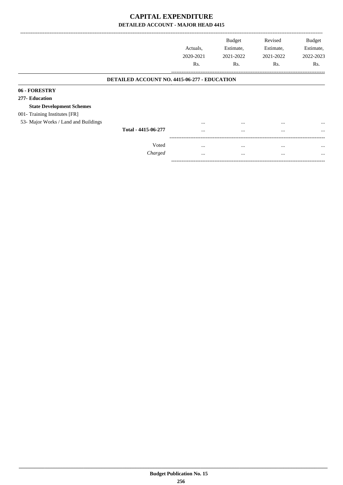|                                      |                                                     | Actuals.<br>2020-2021<br>Rs. | <b>Budget</b><br>Estimate,<br>2021-2022<br>Rs. | Revised<br>Estimate,<br>2021-2022<br>Rs. | <b>Budget</b><br>Estimate,<br>2022-2023<br>Rs. |
|--------------------------------------|-----------------------------------------------------|------------------------------|------------------------------------------------|------------------------------------------|------------------------------------------------|
|                                      |                                                     |                              |                                                |                                          |                                                |
|                                      | <b>DETAILED ACCOUNT NO. 4415-06-277 - EDUCATION</b> |                              |                                                |                                          |                                                |
| 06 - FORESTRY                        |                                                     |                              |                                                |                                          |                                                |
| 277- Education                       |                                                     |                              |                                                |                                          |                                                |
| <b>State Development Schemes</b>     |                                                     |                              |                                                |                                          |                                                |
| 001- Training Institutes [FR]        |                                                     |                              |                                                |                                          |                                                |
| 53- Major Works / Land and Buildings |                                                     |                              | $\cdots$                                       |                                          |                                                |
|                                      | Total - 4415-06-277                                 | $\cdots$                     | $\cdots$                                       | $\cdots$                                 | $\cdots$                                       |
|                                      |                                                     |                              |                                                |                                          |                                                |
|                                      | Voted                                               |                              | $\cdots$                                       |                                          |                                                |
|                                      | Charged                                             | $\cdots$                     | $\cdots$                                       | $\cdots$                                 | $\cdots$                                       |

-----------------------------------------------------------------------------------------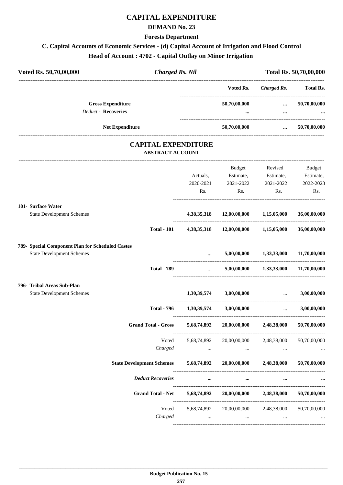# **CAPITAL EXPENDITURE**

#### **DEMAND No. 23**

**Forests Department**

# **C. Capital Accounts of Economic Services - (d) Capital Account of Irrigation and Flood Control Head of Account : 4702 - Capital Outlay on Minor Irrigation**

| Voted Rs. 50,70,00,000                           | <b>Charged Rs. Nil</b>   |                                |                                      |                                                                                                                       | Total Rs. 50,70,00,000 |
|--------------------------------------------------|--------------------------|--------------------------------|--------------------------------------|-----------------------------------------------------------------------------------------------------------------------|------------------------|
|                                                  |                          |                                | Voted Rs.                            | Charged Rs. Total Rs.                                                                                                 |                        |
| <b>Gross Expenditure</b>                         |                          |                                | 50,70,00,000                         | $\cdots$                                                                                                              | 50,70,00,000           |
| <b>Deduct - Recoveries</b>                       |                          |                                |                                      | $\cdots$                                                                                                              |                        |
| Net Expenditure                                  |                          |                                | 50,70,00,000                         | and the contract of the contract of                                                                                   | 50,70,00,000           |
|                                                  | <b>ABSTRACT ACCOUNT</b>  | <b>CAPITAL EXPENDITURE</b>     |                                      |                                                                                                                       |                        |
|                                                  |                          |                                | Budget                               | Revised                                                                                                               | Budget                 |
|                                                  |                          | Actuals,                       | Estimate,                            | Estimate,                                                                                                             | Estimate,              |
|                                                  |                          | 2020-2021                      | 2021-2022                            | 2021-2022                                                                                                             | 2022-2023              |
|                                                  |                          | Rs.                            | Rs.                                  | Rs.                                                                                                                   | Rs.                    |
| 101- Surface Water                               |                          |                                |                                      |                                                                                                                       |                        |
| <b>State Development Schemes</b>                 |                          |                                | 4,38,35,318 12,00,00,000 1,15,05,000 |                                                                                                                       | 36,00,00,000           |
|                                                  | <b>Total - 101</b>       |                                | 4,38,35,318 12,00,00,000 1,15,05,000 |                                                                                                                       | 36,00,00,000           |
| 789- Special Component Plan for Scheduled Castes |                          |                                |                                      |                                                                                                                       |                        |
| <b>State Development Schemes</b>                 |                          | ------------------------------ |                                      | $5,00,00,000$ $1,33,33,000$                                                                                           | 11,70,00,000           |
|                                                  | <b>Total - 789</b>       | <b>Sales Control</b>           |                                      | 5,00,00,000 1,33,33,000 11,70,00,000                                                                                  |                        |
| 796- Tribal Areas Sub-Plan                       |                          |                                |                                      |                                                                                                                       |                        |
| <b>State Development Schemes</b>                 |                          |                                | $1,30,39,574$ $3,00,00,000$          | <u>and the community of the community of the community of the community of the community of the community of the </u> | 3,00,00,000            |
|                                                  | <b>Total - 796</b>       | $1,30,39,574$ $3,00,00,000$    |                                      | $\cdots$                                                                                                              | 3,00,00,000            |
| <b>Grand Total - Gross</b>                       |                          | 5,68,74,892                    | 20,00,00,000                         | 2,48,38,000                                                                                                           | 50,70,00,000           |
|                                                  | Voted                    | 5,68,74,892                    | 20,00,00,000                         | 2,48,38,000                                                                                                           | 50,70,00,000           |
|                                                  | Charged                  | $\cdots$                       | $\cdots$                             | $\cdots$                                                                                                              |                        |
| <b>State Development Schemes</b>                 |                          | 5,68,74,892                    | 20,00,00,000                         | 2,48,38,000                                                                                                           | 50,70,00,000           |
| <b>Deduct Recoveries</b>                         |                          | $\cdots$                       | $\cdots$                             | $\cdots$                                                                                                              |                        |
|                                                  | <b>Grand Total - Net</b> | 5,68,74,892                    | 20,00,00,000                         | 2,48,38,000                                                                                                           | 50,70,00,000           |
|                                                  | Voted                    | 5,68,74,892                    |                                      | 20,00,00,000 2,48,38,000                                                                                              | 50,70,00,000           |
|                                                  | Charged                  | $\cdots$                       | $\cdots$                             | $\cdots$                                                                                                              |                        |
|                                                  |                          |                                |                                      |                                                                                                                       |                        |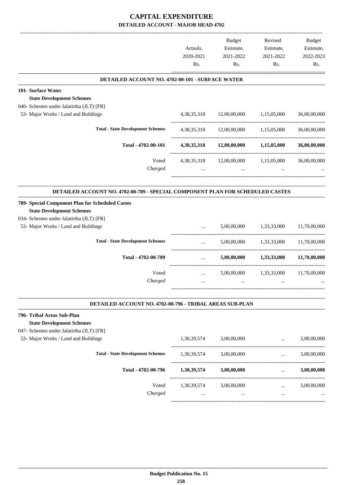|                                                                                  | Actuals,<br>2020-2021<br>Rs. | Budget<br>Estimate,<br>2021-2022<br>Rs. | Revised<br>Estimate,<br>2021-2022<br>Rs.          | <b>Budget</b><br>Estimate,<br>2022-2023<br>Rs. |
|----------------------------------------------------------------------------------|------------------------------|-----------------------------------------|---------------------------------------------------|------------------------------------------------|
| DETAILED ACCOUNT NO. 4702-00-101 - SURFACE WATER                                 |                              |                                         |                                                   |                                                |
| 101- Surface Water                                                               |                              |                                         |                                                   |                                                |
| <b>State Development Schemes</b>                                                 |                              |                                         |                                                   |                                                |
| 040- Schemes under Jalatirtha (JLT) [FR]                                         |                              |                                         |                                                   |                                                |
| 53- Major Works / Land and Buildings                                             | 4,38,35,318                  | 12,00,00,000                            | 1,15,05,000                                       | 36,00,00,000                                   |
| <b>Total - State Development Schemes</b>                                         | 4, 38, 35, 318               | 12,00,00,000                            | 1,15,05,000                                       | 36,00,00,000                                   |
| Total - 4702-00-101                                                              | 4, 38, 35, 318               | 12,00,00,000                            | 1,15,05,000                                       | 36,00,00,000                                   |
| Voted                                                                            | 4, 38, 35, 318               | -----------------------<br>12,00,00,000 | 1,15,05,000                                       | 36,00,00,000                                   |
| Charged                                                                          | $\cdots$                     | $\cdots$                                |                                                   |                                                |
| DETAILED ACCOUNT NO. 4702-00-789 - SPECIAL COMPONENT PLAN FOR SCHEDULED CASTES   |                              |                                         |                                                   |                                                |
|                                                                                  |                              |                                         |                                                   |                                                |
| 789- Special Component Plan for Scheduled Castes                                 |                              |                                         |                                                   |                                                |
| <b>State Development Schemes</b>                                                 |                              |                                         |                                                   |                                                |
| 034- Schemes under Jalatirtha (JLT) [FR]                                         |                              | 5,00,00,000                             |                                                   | 11,70,00,000                                   |
| 53- Major Works / Land and Buildings                                             |                              |                                         | 1,33,33,000                                       |                                                |
| <b>Total - State Development Schemes</b>                                         | $\cdots$                     | 5,00,00,000                             | 1,33,33,000                                       | 11,70,00,000                                   |
| Total - 4702-00-789                                                              | $\ldots$                     | 5,00,00,000                             | 1,33,33,000                                       | 11,70,00,000                                   |
| Voted                                                                            | $\cdots$                     | 5,00,00,000                             | 1,33,33,000                                       | 11,70,00,000                                   |
| Charged                                                                          | $\cdots$                     |                                         |                                                   |                                                |
|                                                                                  |                              |                                         |                                                   |                                                |
| DETAILED ACCOUNT NO. 4702-00-796 - TRIBAL AREAS SUB-PLAN                         |                              |                                         |                                                   |                                                |
| 796- Tribal Areas Sub-Plan                                                       |                              |                                         |                                                   |                                                |
| <b>State Development Schemes</b>                                                 |                              |                                         |                                                   |                                                |
| 047- Schemes under Jalatirtha (JLT) [FR]<br>53- Major Works / Land and Buildings |                              |                                         |                                                   |                                                |
|                                                                                  | 1,30,39,574                  | 3,00,00,000                             | $\cdots$                                          | 3,00,00,000                                    |
| <b>Total - State Development Schemes</b>                                         | 1,30,39,574                  | 3,00,00,000                             | $\ddotsc$<br>------------------------------------ | 3,00,00,000                                    |
| Total - 4702-00-796                                                              | 1,30,39,574                  | 3,00,00,000                             | $\cdots$ . The same is a set of $\mathbb{R}^n$    | 3,00,00,000                                    |
| Voted                                                                            | 1,30,39,574                  | 3,00,00,000                             | $\cdots$                                          | 3,00,00,000                                    |
| Charged                                                                          | $\cdots$                     | $\cdots$                                | $\cdots$                                          |                                                |
|                                                                                  |                              |                                         |                                                   |                                                |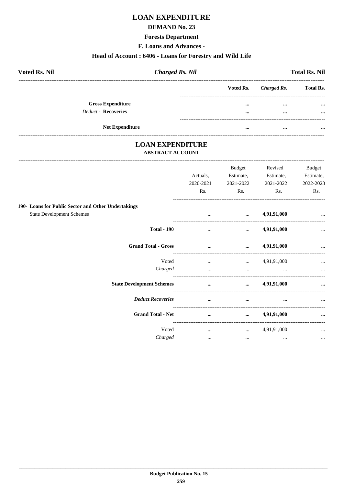# **LOAN EXPENDITURE**

#### **DEMAND No. 23**

#### **Forests Department**

F. Loans and Advances -

#### Head of Account: 6406 - Loans for Forestry and Wild Life

| <b>Voted Rs. Nil</b>       | <b>Charged Rs. Nil</b> |  |  | <b>Total Rs. Nil</b>  |                  |  |
|----------------------------|------------------------|--|--|-----------------------|------------------|--|
|                            |                        |  |  | Voted Rs. Charged Rs. | <b>Total Rs.</b> |  |
| <b>Gross Expenditure</b>   |                        |  |  | $\cdots$              | $\cdots$         |  |
| <b>Deduct - Recoveries</b> |                        |  |  | $\cdots$              | $\cdots$         |  |
|                            |                        |  |  |                       |                  |  |
|                            | <b>Net Expenditure</b> |  |  | $\cdots$              |                  |  |

# **LOAN EXPENDITURE**

-----------------------------

#### **ABSTRACT ACCOUNT**

|                                                     |                  | <b>Budget</b>                              | Revised          | <b>Budget</b>    |
|-----------------------------------------------------|------------------|--------------------------------------------|------------------|------------------|
|                                                     | Actuals,         | Estimate,                                  | Estimate,        | Estimate,        |
|                                                     | 2020-2021<br>Rs. | 2021-2022<br>Rs.                           | 2021-2022<br>Rs. | 2022-2023<br>Rs. |
|                                                     |                  |                                            |                  |                  |
| 190- Loans for Public Sector and Other Undertakings |                  |                                            |                  |                  |
| <b>State Development Schemes</b>                    |                  | and the state of the state of the state of | 4,91,91,000      | $\ddotsc$        |
| <b>Total - 190</b>                                  | $\mathbf{1}$     | <b>Section</b> 1999                        | 4,91,91,000      |                  |
| <b>Grand Total - Gross</b>                          | $\ddotsc$        | $\cdots$                                   | 4,91,91,000      | $\cdots$         |
| Voted                                               |                  | $4,91,91,000$                              |                  | $\cdots$         |
| Charged                                             | $\cdots$         | $\cdots$                                   |                  | $\cdots$         |
| <b>State Development Schemes</b>                    | $\cdots$         | $\cdots$                                   | 4,91,91,000      |                  |
| <b>Deduct Recoveries</b>                            | $\cdots$         | $\cdots$                                   |                  | $\cdots$         |
| <b>Grand Total - Net</b>                            | $\cdots$         | $\cdots$                                   | 4,91,91,000      | $\cdots$         |
| Voted                                               |                  | $\ldots$ $4,91,91,000$                     |                  | $\ddotsc$        |
| Charged                                             | $\cdots$         | $\cdots$                                   | $\cdots$         | $\ddotsc$        |
|                                                     |                  |                                            |                  |                  |